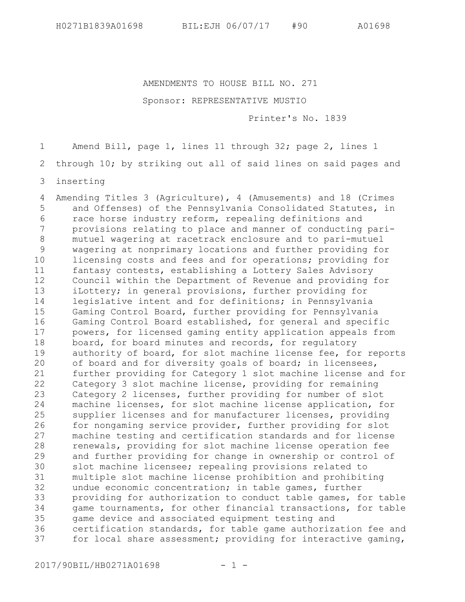AMENDMENTS TO HOUSE BILL NO. 271

## Sponsor: REPRESENTATIVE MUSTIO

Printer's No. 1839

Amend Bill, page 1, lines 11 through 32; page 2, lines 1 1

through 10; by striking out all of said lines on said pages and 2

inserting 3

Amending Titles 3 (Agriculture), 4 (Amusements) and 18 (Crimes and Offenses) of the Pennsylvania Consolidated Statutes, in race horse industry reform, repealing definitions and provisions relating to place and manner of conducting parimutuel wagering at racetrack enclosure and to pari-mutuel wagering at nonprimary locations and further providing for licensing costs and fees and for operations; providing for fantasy contests, establishing a Lottery Sales Advisory Council within the Department of Revenue and providing for iLottery; in general provisions, further providing for legislative intent and for definitions; in Pennsylvania Gaming Control Board, further providing for Pennsylvania Gaming Control Board established, for general and specific powers, for licensed gaming entity application appeals from board, for board minutes and records, for regulatory authority of board, for slot machine license fee, for reports of board and for diversity goals of board; in licensees, further providing for Category 1 slot machine license and for Category 3 slot machine license, providing for remaining Category 2 licenses, further providing for number of slot machine licenses, for slot machine license application, for supplier licenses and for manufacturer licenses, providing for nongaming service provider, further providing for slot machine testing and certification standards and for license renewals, providing for slot machine license operation fee and further providing for change in ownership or control of slot machine licensee; repealing provisions related to multiple slot machine license prohibition and prohibiting undue economic concentration; in table games, further providing for authorization to conduct table games, for table game tournaments, for other financial transactions, for table game device and associated equipment testing and certification standards, for table game authorization fee and for local share assessment; providing for interactive gaming, 4 5 6 7 8 9 10 11 12 13 14 15 16 17 18 19 20 21 22 23 24 25 26 27 28 29 30 31 32 33 34 35 36 37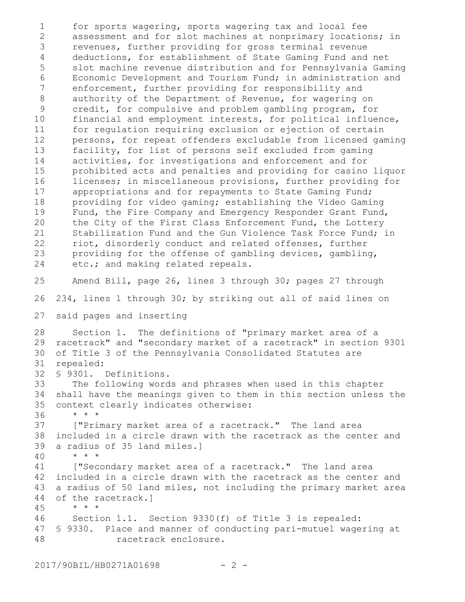for sports wagering, sports wagering tax and local fee assessment and for slot machines at nonprimary locations; in revenues, further providing for gross terminal revenue deductions, for establishment of State Gaming Fund and net slot machine revenue distribution and for Pennsylvania Gaming Economic Development and Tourism Fund; in administration and enforcement, further providing for responsibility and authority of the Department of Revenue, for wagering on credit, for compulsive and problem gambling program, for financial and employment interests, for political influence, for regulation requiring exclusion or ejection of certain persons, for repeat offenders excludable from licensed gaming facility, for list of persons self excluded from gaming activities, for investigations and enforcement and for prohibited acts and penalties and providing for casino liquor licenses; in miscellaneous provisions, further providing for appropriations and for repayments to State Gaming Fund; providing for video gaming; establishing the Video Gaming Fund, the Fire Company and Emergency Responder Grant Fund, the City of the First Class Enforcement Fund, the Lottery Stabilization Fund and the Gun Violence Task Force Fund; in riot, disorderly conduct and related offenses, further providing for the offense of gambling devices, gambling, etc.; and making related repeals. Amend Bill, page 26, lines 3 through 30; pages 27 through 234, lines 1 through 30; by striking out all of said lines on said pages and inserting Section 1. The definitions of "primary market area of a racetrack" and "secondary market of a racetrack" in section 9301 29 of Title 3 of the Pennsylvania Consolidated Statutes are repealed: § 9301. Definitions. The following words and phrases when used in this chapter shall have the meanings given to them in this section unless the context clearly indicates otherwise: \* \* \* ["Primary market area of a racetrack." The land area included in a circle drawn with the racetrack as the center and a radius of 35 land miles.] \* \* \* ["Secondary market area of a racetrack." The land area included in a circle drawn with the racetrack as the center and a radius of 50 land miles, not including the primary market area of the racetrack.] \* \* \* Section 1.1. Section 9330(f) of Title 3 is repealed: § 9330. Place and manner of conducting pari-mutuel wagering at racetrack enclosure. 1 2 3 4 5 6 7 8 9 10 11 12 13 14 15 16 17 18 19 20 21 22 23 24 25 26 27 28 30 31 32 33 34 35 36 37 38 39 40 41 42 43 44 45 46 47 48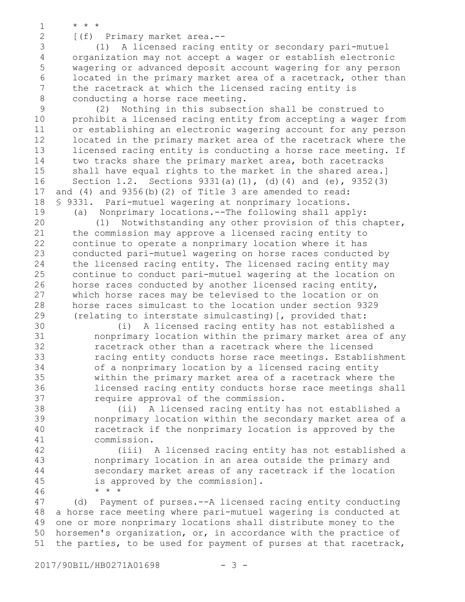\* \* \* 1

2

[(f) Primary market area.--

(1) A licensed racing entity or secondary pari-mutuel organization may not accept a wager or establish electronic wagering or advanced deposit account wagering for any person located in the primary market area of a racetrack, other than the racetrack at which the licensed racing entity is conducting a horse race meeting. 3 4 5 6 7 8

(2) Nothing in this subsection shall be construed to prohibit a licensed racing entity from accepting a wager from or establishing an electronic wagering account for any person located in the primary market area of the racetrack where the licensed racing entity is conducting a horse race meeting. If two tracks share the primary market area, both racetracks shall have equal rights to the market in the shared area.] Section 1.2. Sections  $9331(a)(1)$ , (d)(4) and (e),  $9352(3)$ and (4) and 9356(b)(2) of Title 3 are amended to read: § 9331. Pari-mutuel wagering at nonprimary locations. 9 10 11 12 13 14 15 16 17 18 19

(a) Nonprimary locations.--The following shall apply: (1) Notwithstanding any other provision of this chapter, the commission may approve a licensed racing entity to continue to operate a nonprimary location where it has conducted pari-mutuel wagering on horse races conducted by the licensed racing entity. The licensed racing entity may continue to conduct pari-mutuel wagering at the location on horse races conducted by another licensed racing entity, which horse races may be televised to the location or on horse races simulcast to the location under section 9329 (relating to interstate simulcasting)[, provided that: 20 21 22 23 24 25 26 27 28 29

(i) A licensed racing entity has not established a nonprimary location within the primary market area of any racetrack other than a racetrack where the licensed racing entity conducts horse race meetings. Establishment of a nonprimary location by a licensed racing entity within the primary market area of a racetrack where the licensed racing entity conducts horse race meetings shall require approval of the commission. 30 31 32 33 34 35 36 37

(ii) A licensed racing entity has not established a nonprimary location within the secondary market area of a racetrack if the nonprimary location is approved by the commission. 38 39 40 41

(iii) A licensed racing entity has not established a nonprimary location in an area outside the primary and secondary market areas of any racetrack if the location is approved by the commission]. \* \* \*

(d) Payment of purses.--A licensed racing entity conducting a horse race meeting where pari-mutuel wagering is conducted at one or more nonprimary locations shall distribute money to the horsemen's organization, or, in accordance with the practice of the parties, to be used for payment of purses at that racetrack, 47 48 49 50 51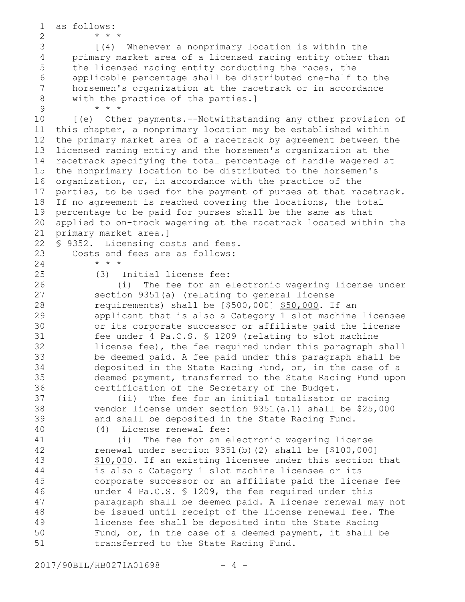as follows: \* \* \* [(4) Whenever a nonprimary location is within the primary market area of a licensed racing entity other than the licensed racing entity conducting the races, the applicable percentage shall be distributed one-half to the horsemen's organization at the racetrack or in accordance with the practice of the parties.] \* \* \* [(e) Other payments.--Notwithstanding any other provision of this chapter, a nonprimary location may be established within the primary market area of a racetrack by agreement between the licensed racing entity and the horsemen's organization at the racetrack specifying the total percentage of handle wagered at the nonprimary location to be distributed to the horsemen's organization, or, in accordance with the practice of the parties, to be used for the payment of purses at that racetrack. If no agreement is reached covering the locations, the total percentage to be paid for purses shall be the same as that applied to on-track wagering at the racetrack located within the primary market area.] § 9352. Licensing costs and fees. Costs and fees are as follows: \* \* \* (3) Initial license fee: (i) The fee for an electronic wagering license under section 9351(a) (relating to general license requirements) shall be [\$500,000] \$50,000. If an applicant that is also a Category 1 slot machine licensee or its corporate successor or affiliate paid the license fee under 4 Pa.C.S. § 1209 (relating to slot machine license fee), the fee required under this paragraph shall be deemed paid. A fee paid under this paragraph shall be deposited in the State Racing Fund, or, in the case of a deemed payment, transferred to the State Racing Fund upon certification of the Secretary of the Budget. (ii) The fee for an initial totalisator or racing vendor license under section 9351(a.1) shall be \$25,000 and shall be deposited in the State Racing Fund. (4) License renewal fee: (i) The fee for an electronic wagering license renewal under section 9351(b)(2) shall be [\$100,000] \$10,000. If an existing licensee under this section that is also a Category 1 slot machine licensee or its corporate successor or an affiliate paid the license fee under 4 Pa.C.S. § 1209, the fee required under this paragraph shall be deemed paid. A license renewal may not be issued until receipt of the license renewal fee. The license fee shall be deposited into the State Racing Fund, or, in the case of a deemed payment, it shall be 1 2 3 4 5 6 7 8 9 10 11 12 13 14 15 16 17 18 19 20 21 22 23 24 25 26 27 28 29 30 31 32 33 34 35 36 37 38 39 40 41 42 43 44 45 46 47 48 49 50

51

transferred to the State Racing Fund.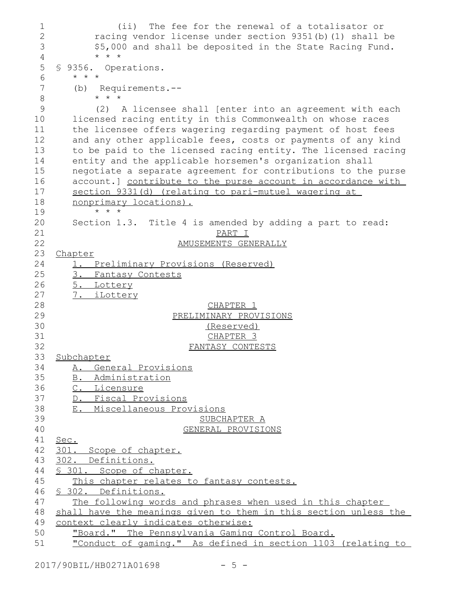(ii) The fee for the renewal of a totalisator or racing vendor license under section 9351(b)(1) shall be \$5,000 and shall be deposited in the State Racing Fund. \* \* \* § 9356. Operations. \* \* \* (b) Requirements.-- \* \* \* (2) A licensee shall [enter into an agreement with each licensed racing entity in this Commonwealth on whose races the licensee offers wagering regarding payment of host fees and any other applicable fees, costs or payments of any kind to be paid to the licensed racing entity. The licensed racing entity and the applicable horsemen's organization shall negotiate a separate agreement for contributions to the purse account.] contribute to the purse account in accordance with section 9331(d) (relating to pari-mutuel wagering at nonprimary locations). \* \* \* Section 1.3.Title 4 is amended by adding a part to read: PART I AMUSEMENTS GENERALLY Chapter 1. Preliminary Provisions (Reserved) 3. Fantasy Contests 5. Lottery 7. iLottery CHAPTER 1 PRELIMINARY PROVISIONS (Reserved) CHAPTER 3 FANTASY CONTESTS Subchapter A. General Provisions B. Administration C. Licensure D. Fiscal Provisions E. Miscellaneous Provisions SUBCHAPTER A GENERAL PROVISIONS Sec. 301. Scope of chapter. 302. Definitions. § 301. Scope of chapter. This chapter relates to fantasy contests. § 302. Definitions. The following words and phrases when used in this chapter shall have the meanings given to them in this section unless the context clearly indicates otherwise: "Board." The Pennsylvania Gaming Control Board. "Conduct of gaming." As defined in section 1103 (relating to 1 2 3 4 5 6 7 8 9 10 11 12 13 14 15 16 17 18 19 20 21 22 23 24 25 26 27 28 29 30 31 32 33 34 35 36 37 38 39 40 41 42 43 44 45 46 47 48 49 50 51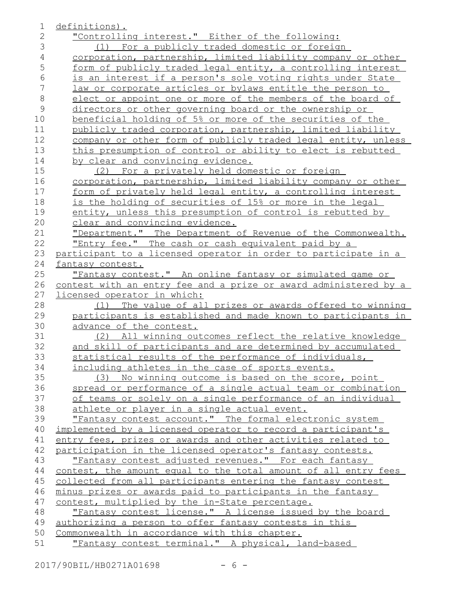| 1              | definitions).                                                    |
|----------------|------------------------------------------------------------------|
| $\overline{2}$ | "Controlling interest." Either of the following:                 |
| 3              | (1) For a publicly traded domestic or foreign                    |
| $\overline{4}$ | corporation, partnership, limited liability company or other     |
| 5              | form of publicly traded legal entity, a controlling interest     |
| $6\,$          | is an interest if a person's sole voting rights under State      |
| $\overline{7}$ | law or corporate articles or bylaws entitle the person to        |
| $\,8\,$        | elect or appoint one or more of the members of the board of      |
| $\mathcal{G}$  | directors or other governing board or the ownership or           |
| 10             | beneficial holding of 5% or more of the securities of the        |
| 11             | publicly traded corporation, partnership, limited liability      |
| 12             | company or other form of publicly traded legal entity, unless    |
| 13             | this presumption of control or ability to elect is rebutted      |
| 14             | by clear and convincing evidence.                                |
| 15             | (2) For a privately held domestic or foreign                     |
| 16             | corporation, partnership, limited liability company or other     |
| 17             | form of privately held legal entity, a controlling interest      |
| 18             | is the holding of securities of 15% or more in the legal         |
| 19             | entity, unless this presumption of control is rebutted by        |
| 20             | clear and convincing evidence.                                   |
| 21             | "Department." The Department of Revenue of the Commonwealth.     |
| 22             | "Entry fee." The cash or cash equivalent paid by a               |
| 23             | participant to a licensed operator in order to participate in a  |
| 24             | fantasy contest.                                                 |
| 25             | "Fantasy contest." An online fantasy or simulated game or        |
| 26             | contest with an entry fee and a prize or award administered by a |
| 27             | <u>licensed operator in which:</u>                               |
| 28             | The value of all prizes or awards offered to winning<br>(1)      |
| 29             | participants is established and made known to participants in    |
| 30             | advance of the contest.                                          |
| 31             | (2) All winning outcomes reflect the relative knowledge          |
| 32             | and skill of participants and are determined by accumulated      |
| 33             | statistical results of the performance of individuals,           |
| 34             | including athletes in the case of sports events.                 |
| 35             | (3) No winning outcome is based on the score, point              |
| 36             | spread or performance of a single actual team or combination     |
| 37             | of teams or solely on a single performance of an individual      |
| 38             | athlete or player in a single actual event.                      |
| 39             | "Fantasy contest account." The formal electronic system          |
| 40             | implemented by a licensed operator to record a participant's     |
| 41             | entry fees, prizes or awards and other activities related to     |
| 42             | participation in the licensed operator's fantasy contests.       |
| 43             | "Fantasy contest adjusted revenues." For each fantasy            |
| 44             | contest, the amount equal to the total amount of all entry fees  |
| 45             | collected from all participants entering the fantasy contest     |
| 46             | minus prizes or awards paid to participants in the fantasy       |
| 47             | contest, multiplied by the in-State percentage.                  |
| 48             | "Fantasy contest license." A license issued by the board         |
| 49             | authorizing a person to offer fantasy contests in this           |
| 50             | Commonwealth in accordance with this chapter.                    |
| 51             | "Fantasy contest terminal." A physical, land-based               |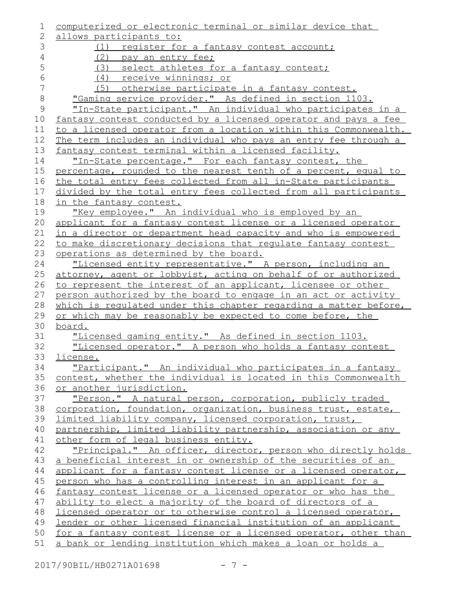| 1              | computerized or electronic terminal or similar device that                                  |
|----------------|---------------------------------------------------------------------------------------------|
| $\overline{2}$ | allows participants to:                                                                     |
| 3              | (1) register for a fantasy contest account;                                                 |
| $\sqrt{4}$     | (2) pay an entry fee;                                                                       |
| 5              | (3) select athletes for a fantasy contest;                                                  |
| $\epsilon$     | (4) receive winnings; or                                                                    |
| 7              | (5) otherwise participate in a fantasy contest.                                             |
| $\,8\,$        | "Gaming service provider." As defined in section 1103.                                      |
| $\mathsf 9$    | "In-State participant." An individual who participates in a                                 |
| 10             | fantasy contest conducted by a licensed operator and pays a fee                             |
| 11             | to a licensed operator from a location within this Commonwealth.                            |
| 12             | The term includes an individual who pays an entry fee through a                             |
| 13             | fantasy contest terminal within a licensed facility.                                        |
| 14             | "In-State percentage." For each fantasy contest, the                                        |
| 15             | percentage, rounded to the nearest tenth of a percent, equal to                             |
| 16             | the total entry fees collected from all in-State participants                               |
| 17             | divided by the total entry fees collected from all participants                             |
| 18             | in the fantasy contest.                                                                     |
| 19             | "Key employee." An individual who is employed by an                                         |
| 20             | applicant for a fantasy contest license or a licensed operator                              |
| 21             | in a director or department head capacity and who is empowered                              |
| 22             | to make discretionary decisions that regulate fantasy contest                               |
| 23             | operations as determined by the board.                                                      |
| 24             | "Licensed entity representative." A person, including an                                    |
| 25             | attorney, agent or lobbyist, acting on behalf of or authorized                              |
| 26             | to represent the interest of an applicant, licensee or other                                |
| 27             | person authorized by the board to engage in an act or activity                              |
| 28             | which is requlated under this chapter regarding a matter before,                            |
| 29             | or which may be reasonably be expected to come before, the                                  |
| 30             | board.                                                                                      |
| 31             | "Licensed gaming entity." As defined in section 1103.                                       |
| 32             | "Licensed operator." A person who holds a fantasy contest                                   |
| 33             | license.                                                                                    |
| 34<br>35       | "Participant." An individual who participates in a fantasy                                  |
| 36             | contest, whether the individual is located in this Commonwealth<br>or another jurisdiction. |
| 37             | "Person." A natural person, corporation, publicly traded                                    |
| 38             | corporation, foundation, organization, business trust, estate,                              |
| 39             | limited liability company, licensed corporation, trust,                                     |
| 40             | partnership, limited liability partnership, association or any                              |
| 41             | other form of legal business entity.                                                        |
| 42             | "Principal." An officer, director, person who directly holds                                |
| 43             | a beneficial interest in or ownership of the securities of an                               |
| 44             | applicant for a fantasy contest license or a licensed operator,                             |
| 45             | person who has a controlling interest in an applicant for a                                 |
| 46             | fantasy contest license or a licensed operator or who has the                               |
| 47             | ability to elect a majority of the board of directors of a                                  |
| 48             | licensed operator or to otherwise control a licensed operator,                              |
| 49             | lender or other licensed financial institution of an applicant                              |
| 50             | for a fantasy contest license or a licensed operator, other than                            |
| 51             | a bank or lending institution which makes a loan or holds a                                 |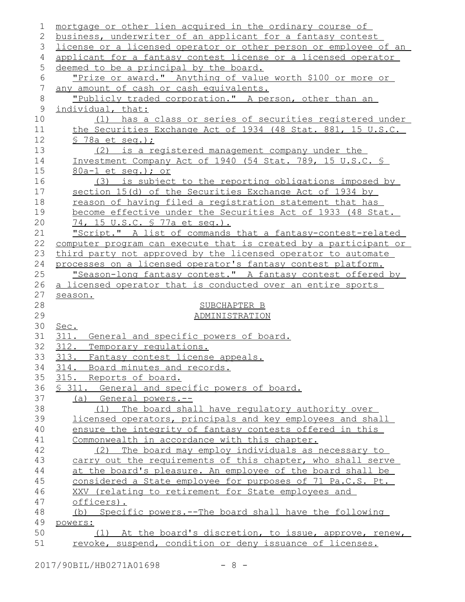| 1              | mortgage or other lien acquired in the ordinary course of              |
|----------------|------------------------------------------------------------------------|
| 2              | business, underwriter of an applicant for a fantasy contest            |
| 3              | license or a licensed operator or other person or employee of an       |
| 4              | applicant for a fantasy contest license or a licensed operator         |
| 5              | deemed to be a principal by the board.                                 |
| 6              | "Prize or award." Anything of value worth \$100 or more or             |
| $\overline{7}$ | any amount of cash or cash equivalents.                                |
| $\,8\,$        | "Publicly traded corporation." A person, other than an                 |
| $\mathcal{G}$  | individual, that:                                                      |
| 10             | (1) has a class or series of securities registered under               |
| 11             | the Securities Exchange Act of 1934 (48 Stat. 881, 15 U.S.C.           |
| 12             | § 78a et seq.) ;                                                       |
| 13             | is a registered management company under the<br>(2)                    |
| 14             | Investment Company Act of 1940 (54 Stat. 789, 15 U.S.C. §              |
| 15             | 80a-1 et seq.); or                                                     |
| 16             | (3) is subject to the reporting obligations imposed by                 |
| 17             | section 15(d) of the Securities Exchange Act of 1934 by                |
| 18             | reason of having filed a registration statement that has               |
| 19             | become effective under the Securities Act of 1933 (48 Stat.            |
| 20             | 74, 15 U.S.C. § 77a et seq.).                                          |
| 21             | "Script." A list of commands that a fantasy-contest-related            |
| 22             | computer program can execute that is created by a participant or       |
| 23             | third party not approved by the licensed operator to automate          |
| 24             | processes on a licensed operator's fantasy contest platform.           |
| 25             | "Season-long fantasy contest." A fantasy contest offered by            |
| 26             | a licensed operator that is conducted over an entire sports            |
| 27             | season.                                                                |
| 28             | SUBCHAPTER B                                                           |
| 29             | ADMINISTRATION                                                         |
| 30             | Sec.                                                                   |
| 31             | 311. General and specific powers of board.                             |
| 32             | 312. Temporary requiations.                                            |
| 33             | 313. Fantasy contest license appeals.                                  |
| 34             | 314. Board minutes and records.                                        |
| 35             | 315. Reports of board.                                                 |
| 36             | § 311. General and specific powers of board.                           |
| 37             | (a) General powers.--                                                  |
| 38             | (1) The board shall have requlatory authority over                     |
| 39             | licensed operators, principals and key employees and shall             |
| 40             | ensure the integrity of fantasy contests offered in this               |
| 41             | Commonwealth in accordance with this chapter.                          |
| 42             | (2) The board may employ individuals as necessary to                   |
| 43             | carry out the requirements of this chapter, who shall serve            |
| 44<br>45       | at the board's pleasure. An employee of the board shall be             |
|                | considered a State employee for purposes of 71 Pa.C.S. Pt.             |
| 46<br>47       | XXV (relating to retirement for State employees and                    |
| 48             | officers).<br>(b) Specific powers.--The board shall have the following |
| 49             | powers:                                                                |
| 50             | (1) At the board's discretion, to issue, approve, renew,               |
| 51             | revoke, suspend, condition or deny issuance of licenses.               |
|                |                                                                        |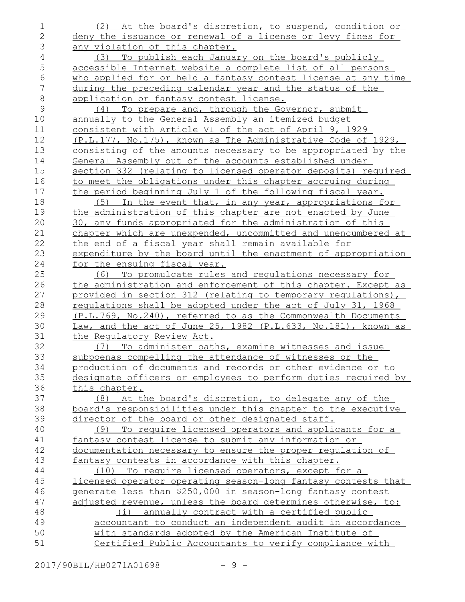(2) At the board's discretion, to suspend, condition or deny the issuance or renewal of a license or levy fines for any violation of this chapter. (3) To publish each January on the board's publicly accessible Internet website a complete list of all persons who applied for or held a fantasy contest license at any time during the preceding calendar year and the status of the application or fantasy contest license. (4) To prepare and, through the Governor, submit annually to the General Assembly an itemized budget consistent with Article VI of the act of April 9, 1929 (P.L.177, No.175), known as The Administrative Code of 1929, consisting of the amounts necessary to be appropriated by the General Assembly out of the accounts established under section 332 (relating to licensed operator deposits) required to meet the obligations under this chapter accruing during the period beginning July 1 of the following fiscal year. (5) In the event that, in any year, appropriations for the administration of this chapter are not enacted by June 30, any funds appropriated for the administration of this chapter which are unexpended, uncommitted and unencumbered at the end of a fiscal year shall remain available for expenditure by the board until the enactment of appropriation for the ensuing fiscal year. (6) To promulgate rules and regulations necessary for the administration and enforcement of this chapter. Except as provided in section 312 (relating to temporary regulations), regulations shall be adopted under the act of July 31, 1968 (P.L.769, No.240), referred to as the Commonwealth Documents Law, and the act of June 25, 1982 (P.L.633, No.181), known as the Regulatory Review Act. (7) To administer oaths, examine witnesses and issue subpoenas compelling the attendance of witnesses or the production of documents and records or other evidence or to designate officers or employees to perform duties required by this chapter. (8) At the board's discretion, to delegate any of the board's responsibilities under this chapter to the executive director of the board or other designated staff. (9) To require licensed operators and applicants for a fantasy contest license to submit any information or documentation necessary to ensure the proper regulation of fantasy contests in accordance with this chapter. (10) To require licensed operators, except for a licensed operator operating season-long fantasy contests that generate less than \$250,000 in season-long fantasy contest adjusted revenue, unless the board determines otherwise, to: (i) annually contract with a certified public accountant to conduct an independent audit in accordance with standards adopted by the American Institute of Certified Public Accountants to verify compliance with 1 2 3 4 5 6 7 8 9 10 11 12 13 14 15 16 17 18 19 20 21 22 23 24 25 26 27 28 29 30 31 32 33 34 35 36 37 38 39 40 41 42 43 44 45 46 47 48 49 50 51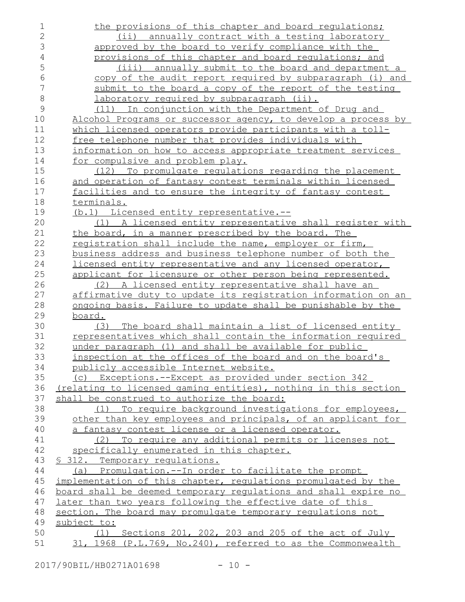| 1              | the provisions of this chapter and board regulations;                     |
|----------------|---------------------------------------------------------------------------|
| $\overline{2}$ | (ii) annually contract with a testing laboratory                          |
| 3              | approved by the board to verify compliance with the                       |
| $\sqrt{4}$     | provisions of this chapter and board requlations; and                     |
| 5              | (iii) annually submit to the board and department a                       |
| 6              | copy of the audit report required by subparagraph (i) and                 |
| 7              | submit to the board a copy of the report of the testing                   |
| $\,8\,$        | <u>laboratory required by subparagraph (ii).</u>                          |
| $\mathcal{G}$  | (11) In conjunction with the Department of Drug and                       |
| 10             | Alcohol Programs or successor agency, to develop a process by             |
| 11             | which licensed operators provide participants with a toll-                |
| 12             | free telephone number that provides individuals with                      |
| 13             | information on how to access appropriate treatment services               |
| 14             | for compulsive and problem play.                                          |
| 15             | (12) To promulgate regulations regarding the placement                    |
| 16             | and operation of fantasy contest terminals within licensed                |
| 17             | facilities and to ensure the integrity of fantasy contest                 |
| 18             | terminals.                                                                |
| 19             | (b.1) Licensed entity representative.--                                   |
| 20             | (1) A licensed entity representative shall register with                  |
| 21             | the board, in a manner prescribed by the board. The                       |
| 22             | registration shall include the name, employer or firm,                    |
| 23             | business address and business telephone number of both the                |
| 24             | licensed entity representative and any licensed operator,                 |
| 25             | applicant for licensure or other person being represented.                |
| 26             | (2) A licensed entity representative shall have an                        |
| 27             | affirmative duty to update its registration information on an             |
| 28             | ongoing basis. Failure to update shall be punishable by the               |
| 29             | board.                                                                    |
| 30             | The board shall maintain a list of licensed entity<br>(3)                 |
| 31             | representatives which shall contain the information required              |
| 32             | under paragraph (1) and shall be available for public                     |
| 33             | inspection at the offices of the board and on the board's                 |
| 34             | publicly accessible Internet website.                                     |
| 35             | (c) Exceptions.--Except as provided under section 342                     |
| 36             | (relating to licensed gaming entities), nothing in this section           |
| 37<br>38       | shall be construed to authorize the board:                                |
| 39             | (1) To require background investigations for employees,                   |
| 40             | other than key employees and principals, of an applicant for              |
| 41             | a fantasy contest license or a licensed operator.                         |
|                | (2) To require any additional permits or licenses not                     |
| 42<br>43       | specifically enumerated in this chapter.<br>§ 312. Temporary regulations. |
| 44             | (a) Promulgation.--In order to facilitate the prompt                      |
| 45             | implementation of this chapter, regulations promulgated by the            |
| 46             | board shall be deemed temporary requlations and shall expire no           |
| 47             | later than two years following the effective date of this                 |
| 48             | section. The board may promulgate temporary requiations not               |
| 49             | subject to:                                                               |
| 50             | (1) Sections 201, 202, 203 and 205 of the act of July                     |
| 51             | 31, 1968 (P.L.769, No.240), referred to as the Commonwealth               |
|                |                                                                           |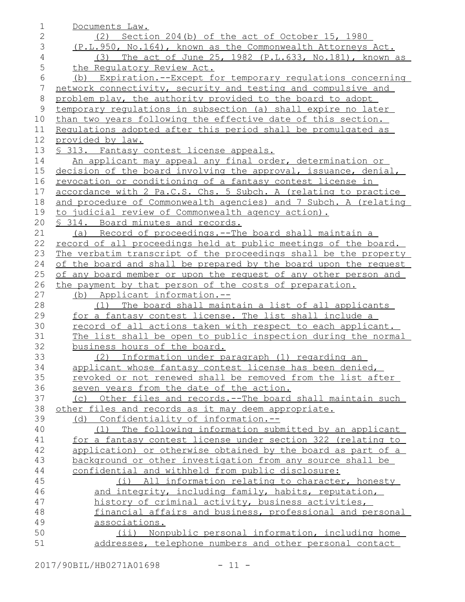| 1               | Documents Law.                                                   |
|-----------------|------------------------------------------------------------------|
| $\mathbf{2}$    | (2) Section 204(b) of the act of October 15, 1980                |
| 3               | (P.L.950, No.164), known as the Commonwealth Attorneys Act.      |
| $\overline{4}$  | The act of June 25, 1982 (P.L.633, No.181), known as<br>(3)      |
| 5               | the Requlatory Review Act.                                       |
| 6               | (b) Expiration.--Except for temporary requlations concerning     |
| $7\phantom{.0}$ | network connectivity, security and testing and compulsive and    |
| $\,8\,$         | problem play, the authority provided to the board to adopt       |
| $\mathsf 9$     | temporary regulations in subsection (a) shall expire no later    |
| 10              | than two years following the effective date of this section.     |
| 11              | Regulations adopted after this period shall be promulgated as    |
| 12              | provided by law.                                                 |
| 13              | § 313. Fantasy contest license appeals.                          |
| 14              | An applicant may appeal any final order, determination or        |
| 15              | decision of the board involving the approval, issuance, denial,  |
| 16              | revocation or conditioning of a fantasy contest license in       |
| 17              | accordance with 2 Pa.C.S. Chs. 5 Subch. A (relating to practice  |
| 18              | and procedure of Commonwealth agencies) and 7 Subch. A (relating |
| 19              | to judicial review of Commonwealth agency action).               |
| 20              | § 314. Board minutes and records.                                |
| 21              | (a) Record of proceedings. -- The board shall maintain a         |
| 22              | record of all proceedings held at public meetings of the board.  |
| 23              | The verbatim transcript of the proceedings shall be the property |
| 24              | of the board and shall be prepared by the board upon the request |
| 25              | of any board member or upon the request of any other person and  |
| 26              | the payment by that person of the costs of preparation.          |
| 27              | (b) Applicant information.--                                     |
| 28              | The board shall maintain a list of all applicants<br>(1)         |
| 29              | for a fantasy contest license. The list shall include a          |
| 30              | record of all actions taken with respect to each applicant.      |
| 31              | The list shall be open to public inspection during the normal    |
| 32              | business hours of the board.                                     |
| 33              | (2)<br>Information under paragraph (1) regarding an              |
| 34              | applicant whose fantasy contest license has been denied,         |
| 35              | revoked or not renewed shall be removed from the list after      |
| 36              | seven years from the date of the action.                         |
| 37              | Other files and records.--The board shall maintain such<br>(C)   |
| 38              | other files and records as it may deem appropriate.              |
| 39              | (d) Confidentiality of information.--                            |
| 40              | (1) The following information submitted by an applicant          |
| 41              | for a fantasy contest license under section 322 (relating to     |
| 42              | application) or otherwise obtained by the board as part of a     |
| 43              | background or other investigation from any source shall be       |
| 44              | confidential and withheld from public disclosure:                |
| 45              | (i) All information relating to character, honesty               |
| 46              | and integrity, including family, habits, reputation,             |
| 47              | history of criminal activity, business activities,               |
| 48              | financial affairs and business, professional and personal        |
| 49              | associations.                                                    |
| 50              | (ii) Nonpublic personal information, including home              |
| 51              | addresses, telephone numbers and other personal contact          |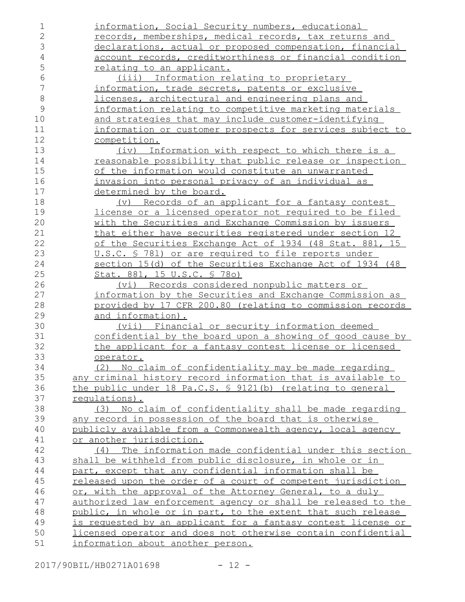| 1          | information, Social Security numbers, educational                  |
|------------|--------------------------------------------------------------------|
| 2          | records, memberships, medical records, tax returns and             |
| 3          | declarations, actual or proposed compensation, financial           |
| $\sqrt{4}$ | account records, creditworthiness or financial condition           |
| 5          | <u>relating to an applicant.</u>                                   |
| 6          | (iii) Information relating to proprietary                          |
| 7          | information, trade secrets, patents or exclusive                   |
| 8          | licenses, architectural and engineering plans and                  |
| 9          | information relating to competitive marketing materials            |
| 10         | and strategies that may include customer-identifying               |
| 11         | information or customer prospects for services subject to          |
| 12         | competition.                                                       |
| 13         | (iv) Information with respect to which there is a                  |
| 14         | reasonable possibility that public release or inspection           |
| 15         | of the information would constitute an unwarranted                 |
| 16         |                                                                    |
|            | invasion into personal privacy of an individual as                 |
| 17         | determined by the board.                                           |
| 18         | Records of an applicant for a fantasy contest<br>$(\triangledown)$ |
| 19         | license or a licensed operator not required to be filed            |
| 20         | with the Securities and Exchange Commission by issuers             |
| 21         | that either have securities registered under section 12            |
| 22         | of the Securities Exchange Act of 1934 (48 Stat. 881, 15           |
| 23         | U.S.C. § 781) or are required to file reports under                |
| 24         | section 15(d) of the Securities Exchange Act of 1934 (48           |
| 25         | Stat. 881, 15 U.S.C. § 780)                                        |
| 26         | (vi) Records considered nonpublic matters or                       |
| 27         | information by the Securities and Exchange Commission as           |
| 28         | provided by 17 CFR 200.80 (relating to commission records          |
| 29         | <u>and information).</u>                                           |
| 30         | (vii) Financial or security information deemed                     |
| 31         | confidential by the board upon a showing of good cause by          |
| 32         | the applicant for a fantasy contest license or licensed            |
| 33         | operator.                                                          |
| 34         | (2) No claim of confidentiality may be made regarding              |
| 35         | any criminal history record information that is available to       |
| 36         | the public under 18 Pa.C.S. § 9121(b) (relating to general         |
| 37         | requlations).                                                      |
| 38         | (3) No claim of confidentiality shall be made regarding            |
| 39         | any record in possession of the board that is otherwise            |
| 40         | publicly available from a Commonwealth agency, local agency        |
| 41         | or another jurisdiction.                                           |
| 42         | The information made confidential under this section<br>(4)        |
| 43         | shall be withheld from public disclosure, in whole or in           |
| 44         | part, except that any confidential information shall be            |
| 45         | released upon the order of a court of competent jurisdiction       |
| 46         | or, with the approval of the Attorney General, to a duly           |
| 47         | authorized law enforcement agency or shall be released to the      |
| 48         | public, in whole or in part, to the extent that such release       |
| 49         | is requested by an applicant for a fantasy contest license or      |
| 50         | licensed operator and does not otherwise contain confidential      |
| 51         | information about another person.                                  |

2017/90BIL/HB0271A01698 - 12 -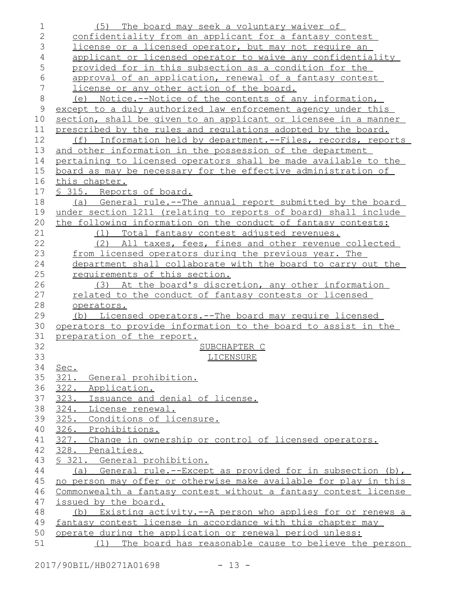| $\mathbf 1$  | The board may seek a voluntary waiver of<br>(5)                  |
|--------------|------------------------------------------------------------------|
| $\mathbf{2}$ | confidentiality from an applicant for a fantasy contest          |
| 3            | license or a licensed operator, but may not require an           |
| 4            | applicant or licensed operator to waive any confidentiality      |
| 5            | provided for in this subsection as a condition for the           |
| 6            | approval of an application, renewal of a fantasy contest         |
| 7            | license or any other action of the board.                        |
| $\,8\,$      | (e) Notice.--Notice of the contents of any information,          |
| $\mathsf{S}$ | except to a duly authorized law enforcement agency under this    |
| 10           | section, shall be given to an applicant or licensee in a manner  |
| 11           | prescribed by the rules and regulations adopted by the board.    |
| 12           | (f) Information held by department.--Files, records, reports     |
| 13           | and other information in the possession of the department        |
| 14           | pertaining to licensed operators shall be made available to the  |
| 15           | board as may be necessary for the effective administration of    |
| 16           | this chapter.                                                    |
| 17           | § 315. Reports of board.                                         |
| 18           | (a) General rule.--The annual report submitted by the board      |
| 19           | under section 1211 (relating to reports of board) shall include  |
| 20           | the following information on the conduct of fantasy contests:    |
| 21           | Total fantasy contest adjusted revenues.<br>(1)                  |
| 22           | (2) All taxes, fees, fines and other revenue collected           |
| 23           | from licensed operators during the previous year. The            |
| 24           | department shall collaborate with the board to carry out the     |
| 25           | requirements of this section.                                    |
| 26           | (3) At the board's discretion, any other information             |
| 27           | related to the conduct of fantasy contests or licensed           |
| 28           | operators.                                                       |
| 29           | (b) Licensed operators.--The board may require licensed          |
| 30           | operators to provide information to the board to assist in the   |
| 31           | preparation of the report.                                       |
| 32           | SUBCHAPTER C                                                     |
| 33           | LICENSURE                                                        |
| 34           |                                                                  |
| 35           | Sec.<br>321. General prohibition.                                |
| 36           | 322. Application.                                                |
| 37           | 323. Issuance and denial of license.                             |
| 38           | 324. License renewal.                                            |
| 39           | 325. Conditions of licensure.                                    |
| 40           | 326. Prohibitions.                                               |
| 41           | 327. Change in ownership or control of licensed operators.       |
|              | 328. Penalties.                                                  |
| 42           |                                                                  |
| 43           | § 321. General prohibition.                                      |
| 44           | (a) General rule.--Except as provided for in subsection (b),     |
| 45           | no person may offer or otherwise make available for play in this |
| 46           | Commonwealth a fantasy contest without a fantasy contest license |
| 47           | issued by the board.                                             |
| 48           | Existing activity.--A person who applies for or renews a<br>(b)  |
| 49           | fantasy contest license in accordance with this chapter may      |
| 50           | operate during the application or renewal period unless:         |
| 51           | The board has reasonable cause to believe the person<br>(1)      |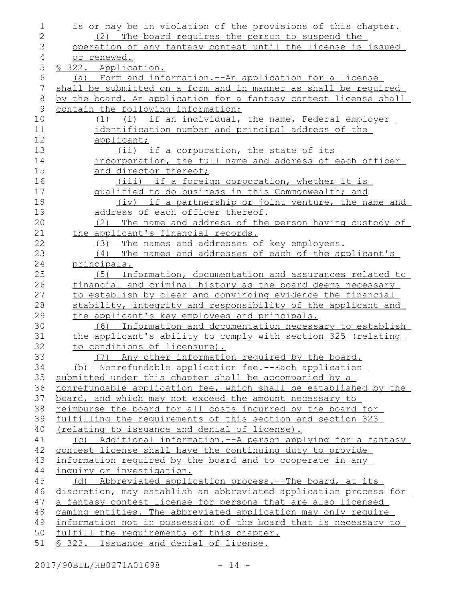| 1              | is or may be in violation of the provisions of this chapter.       |
|----------------|--------------------------------------------------------------------|
| $\overline{2}$ | (2) The board requires the person to suspend the                   |
| 3              | operation of any fantasy contest until the license is issued       |
| 4              | or renewed.                                                        |
| 5              | § 322. Application.                                                |
| 6              | Form and information. -- An application for a license<br>(a)       |
| 7              | shall be submitted on a form and in manner as shall be required    |
| $\,8\,$        | by the board. An application for a fantasy contest license shall   |
| 9              | contain the following information:                                 |
| 10             | (1) (i) if an individual, the name, Federal employer               |
| 11             | identification number and principal address of the                 |
| 12             | applicant;                                                         |
| 13             | (ii) if a corporation, the state of its                            |
| 14             | incorporation, the full name and address of each officer           |
| 15             | and director thereof;                                              |
| 16             | (iii) if a foreign corporation, whether it is                      |
| 17             | qualified to do business in this Commonwealth; and                 |
| 18             | (iv) if a partnership or joint venture, the name and               |
| 19             | address of each officer thereof.                                   |
| 20             | The name and address of the person having custody of<br>(2)        |
| 21             | the applicant's financial records.                                 |
| 22             | (3) The names and addresses of key employees.                      |
| 23             | (4) The names and addresses of each of the applicant's             |
| 24             | principals.                                                        |
| 25             | Information, documentation and assurances related to<br>(5)        |
| 26             | financial and criminal history as the board deems necessary        |
| 27             | to establish by clear and convincing evidence the financial        |
| 28             | stability, integrity and responsibility of the applicant and       |
| 29             | the applicant's key employees and principals.                      |
| 30             | (6) Information and documentation necessary to establish           |
| 31             | the applicant's ability to comply with section 325 (relating       |
| 32             | to conditions of licensure).                                       |
| 33             | (7) Any other information required by the board.                   |
| 34             | (b) Nonrefundable application fee.--Each application               |
| 35             | submitted under this chapter shall be accompanied by a             |
| 36             | nonrefundable application fee, which shall be established by the   |
| 37             | board, and which may not exceed the amount necessary to            |
| 38             | reimburse the board for all costs incurred by the board for        |
| 39             | <u>fulfilling the requirements of this section and section 323</u> |
| 40             | <u>(relating to issuance and denial of license).</u>               |
| 41             | (c) Additional information.--A person applying for a fantasy       |
| 42             | contest license shall have the continuing duty to provide          |
| 43             | information required by the board and to cooperate in any          |
| 44             | inquiry or investigation.                                          |
| 45             | (d) Abbreviated application process.--The board, at its            |
| 46             | discretion, may establish an abbreviated application process for   |
| 47             | a fantasy contest license for persons that are also licensed       |
| 48             | gaming entities. The abbreviated application may only require      |
| 49             | information not in possession of the board that is necessary to    |
| 50             | fulfill the requirements of this chapter.                          |
| 51             | § 323. Issuance and denial of license.                             |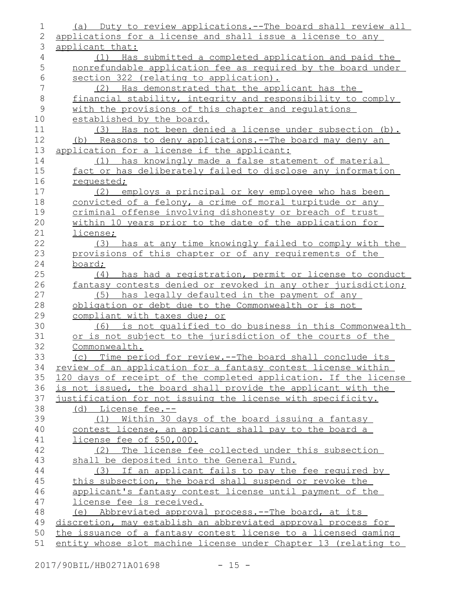| 1              | (a) Duty to review applications.--The board shall review all                                                                    |
|----------------|---------------------------------------------------------------------------------------------------------------------------------|
| $\mathbf{2}$   | applications for a license and shall issue a license to any                                                                     |
| 3              | applicant that:                                                                                                                 |
| $\overline{4}$ | (1) Has submitted a completed application and paid the                                                                          |
| 5              | nonrefundable application fee as required by the board under                                                                    |
| $6\,$          | section 322 (relating to application).                                                                                          |
| 7              | Has demonstrated that the applicant has the<br>(2)                                                                              |
| $\,8\,$        | financial stability, integrity and responsibility to comply                                                                     |
| $\mathsf 9$    | with the provisions of this chapter and regulations                                                                             |
| 10             | established by the board.                                                                                                       |
| 11             | (3) Has not been denied a license under subsection (b).                                                                         |
| 12             | (b) Reasons to deny applications.--The board may deny an                                                                        |
| 13             | application for a license if the applicant:                                                                                     |
| 14             | (1) has knowingly made a false statement of material                                                                            |
| 15             | fact or has deliberately failed to disclose any information                                                                     |
| 16             | requested;                                                                                                                      |
| 17             | (2) employs a principal or key employee who has been                                                                            |
| 18             | convicted of a felony, a crime of moral turpitude or any                                                                        |
| 19             | criminal offense involving dishonesty or breach of trust                                                                        |
| 20             | within 10 years prior to the date of the application for                                                                        |
| 21             | license;                                                                                                                        |
| 22             | has at any time knowingly failed to comply with the<br>(3)                                                                      |
| 23             | provisions of this chapter or of any requirements of the                                                                        |
| 24             | board;                                                                                                                          |
| 25             | (4) has had a registration, permit or license to conduct                                                                        |
| 26             | fantasy contests denied or revoked in any other jurisdiction;                                                                   |
| 27             | (5) has legally defaulted in the payment of any                                                                                 |
| 28             | obligation or debt due to the Commonwealth or is not                                                                            |
| 29             | compliant with taxes due; or                                                                                                    |
| 30             | (6) is not qualified to do business in this Commonwealth                                                                        |
| 31             | or is not subject to the jurisdiction of the courts of the                                                                      |
| 32             | Commonwealth.                                                                                                                   |
| 33             | (c) Time period for review.--The board shall conclude its                                                                       |
| 34             | review of an application for a fantasy contest license within                                                                   |
| 35             | 120 days of receipt of the completed application. If the license                                                                |
| 36             | is not issued, the board shall provide the applicant with the                                                                   |
| 37             | justification for not issuing the license with specificity.                                                                     |
| 38             | (d) License fee.--                                                                                                              |
| 39             | (1) Within 30 days of the board issuing a fantasy                                                                               |
| 40             | contest license, an applicant shall pay to the board a                                                                          |
| 41             | license fee of \$50,000.                                                                                                        |
| 42             | (2) The license fee collected under this subsection                                                                             |
| 43             | shall be deposited into the General Fund.                                                                                       |
| 44             | (3) If an applicant fails to pay the fee required by                                                                            |
| 45             | this subsection, the board shall suspend or revoke the                                                                          |
| 46             | applicant's fantasy contest license until payment of the                                                                        |
| 47             | license fee is received.                                                                                                        |
| 48             | (e) Abbreviated approval process.--The board, at its                                                                            |
| 49<br>50       | discretion, may establish an abbreviated approval process for<br>the issuance of a fantasy contest license to a licensed gaming |
| 51             | entity whose slot machine license under Chapter 13 (relating to                                                                 |
|                |                                                                                                                                 |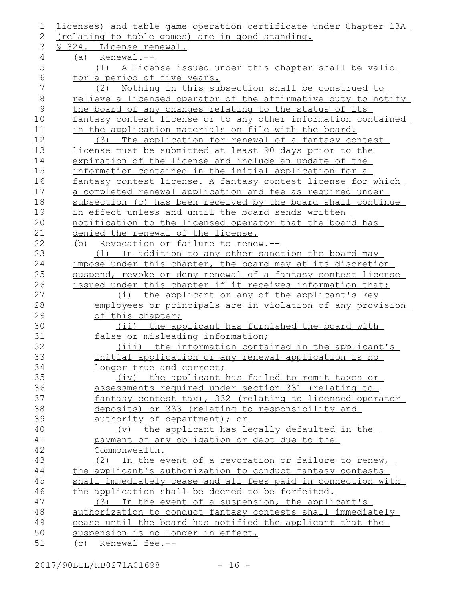| l,            | licenses) and table game operation certificate under Chapter 13A |
|---------------|------------------------------------------------------------------|
| 2             | <u>(relating to table games) are in good standing.</u>           |
| 3             | § 324. License renewal.                                          |
| 4             | $(a)$ Renewal.--                                                 |
| 5             | (1) A license issued under this chapter shall be valid           |
| 6             | for a period of five years.                                      |
| 7             | Nothing in this subsection shall be construed to<br>(2)          |
| 8             | relieve a licensed operator of the affirmative duty to notify    |
| $\mathcal{G}$ | the board of any changes relating to the status of its           |
| 10            | fantasy contest license or to any other information contained    |
| 11            | in the application materials on file with the board.             |
| 12            | The application for renewal of a fantasy contest<br>(3)          |
| 13            | license must be submitted at least 90 days prior to the          |
| 14            | expiration of the license and include an update of the           |
| 15            | information contained in the initial application for a           |
| 16            | fantasy contest license. A fantasy contest license for which     |
| 17            | a completed renewal application and fee as required under        |
| 18            | subsection (c) has been received by the board shall continue     |
| 19            | in effect unless and until the board sends written               |
| 20            | notification to the licensed operator that the board has         |
| 21            | denied the renewal of the license.                               |
| 22            | (b) Revocation or failure to renew.--                            |
| 23            | (1) In addition to any other sanction the board may              |
| 24            | impose under this chapter, the board may at its discretion       |
| 25            | suspend, revoke or deny renewal of a fantasy contest license     |
| 26            | issued under this chapter if it receives information that:       |
| 27            | (i) the applicant or any of the applicant's key                  |
| 28            | employees or principals are in violation of any provision        |
| 29            | of this chapter;                                                 |
| 30            | (ii) the applicant has furnished the board with                  |
| 31            | false or misleading information;                                 |
| 32            | (iii) the information contained in the applicant's               |
| 33            | initial application or any renewal application is no             |
| 34            | longer true and correct;                                         |
| 35            | (iv) the applicant has failed to remit taxes or                  |
| 36            | assessments required under section 331 (relating to              |
| 37            | fantasy contest tax), 332 (relating to licensed operator         |
| 38            | deposits) or 333 (relating to responsibility and                 |
| 39            | authority of department); or                                     |
| 40            | (v) the applicant has legally defaulted in the                   |
| 41            | payment of any obligation or debt due to the                     |
| 42            | Commonwealth.                                                    |
| 43            | (2) In the event of a revocation or failure to renew,            |
| 44            | the applicant's authorization to conduct fantasy contests        |
| 45            | shall immediately cease and all fees paid in connection with     |
| 46            | the application shall be deemed to be forfeited.                 |
| 47            | (3) In the event of a suspension, the applicant's                |
| 48            | authorization to conduct fantasy contests shall immediately      |
| 49            | cease until the board has notified the applicant that the        |
| 50<br>51      | suspension is no longer in effect.                               |
|               | (c) Renewal fee.--                                               |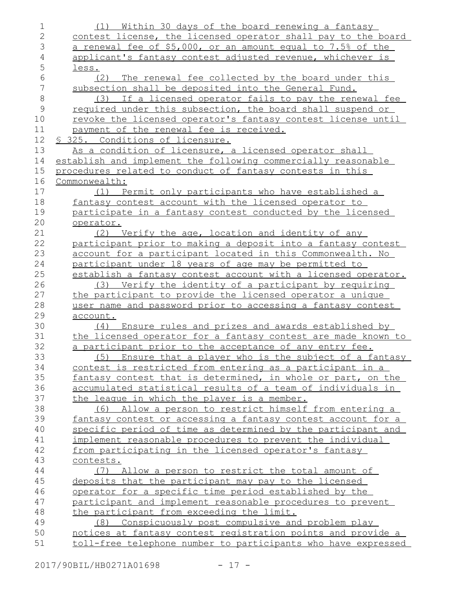| 1              | (1) Within 30 days of the board renewing a fantasy            |
|----------------|---------------------------------------------------------------|
| $\mathbf{2}$   | contest license, the licensed operator shall pay to the board |
| 3              | a renewal fee of \$5,000, or an amount equal to 7.5% of the   |
| $\overline{4}$ | applicant's fantasy contest adjusted revenue, whichever is    |
| 5              | less.                                                         |
| $\epsilon$     | (2) The renewal fee collected by the board under this         |
| $\overline{7}$ | subsection shall be deposited into the General Fund.          |
| $\,8\,$        | (3) If a licensed operator fails to pay the renewal fee       |
| $\mathcal{G}$  | required under this subsection, the board shall suspend or    |
| 10             | revoke the licensed operator's fantasy contest license until  |
| 11             | payment of the renewal fee is received.                       |
| 12             | § 325. Conditions of licensure.                               |
| 13             | As a condition of licensure, a licensed operator shall        |
| 14             | establish and implement the following commercially reasonable |
| 15             | procedures related to conduct of fantasy contests in this     |
| 16             | Commonwealth:                                                 |
| 17             | (1) Permit only participants who have established a           |
| 18             | fantasy contest account with the licensed operator to         |
| 19             | participate in a fantasy contest conducted by the licensed    |
| 20             | operator.                                                     |
| 21             | (2) Verify the age, location and identity of any              |
| 22             | participant prior to making a deposit into a fantasy contest  |
| 23             | account for a participant located in this Commonwealth. No    |
| 24             | participant under 18 years of age may be permitted to         |
| 25             | establish a fantasy contest account with a licensed operator. |
| 26             | (3) Verify the identity of a participant by requiring         |
| 27             | the participant to provide the licensed operator a unique     |
| 28             | user name and password prior to accessing a fantasy contest   |
| 29             | account.                                                      |
| 30             | (4) Ensure rules and prizes and awards established by         |
| 31             | the licensed operator for a fantasy contest are made known to |
| 32             | a participant prior to the acceptance of any entry fee.       |
| 33             | (5) Ensure that a player who is the subject of a fantasy      |
| 34             | contest is restricted from entering as a participant in a     |
| 35             | fantasy contest that is determined, in whole or part, on the  |
| 36             | accumulated statistical results of a team of individuals in   |
| 37             | the league in which the player is a member.                   |
| 38             | (6) Allow a person to restrict himself from entering a        |
| 39             | fantasy contest or accessing a fantasy contest account for a  |
| 40             | specific period of time as determined by the participant and  |
| 41             | implement reasonable procedures to prevent the individual     |
| 42             | from participating in the licensed operator's fantasy         |
| 43             | contests.                                                     |
| 44             | (7) Allow a person to restrict the total amount of            |
| 45             | deposits that the participant may pay to the licensed         |
| 46             | operator for a specific time period established by the        |
| 47             | participant and implement reasonable procedures to prevent    |
| 48             | the participant from exceeding the limit.                     |
| 49             | Conspicuously post compulsive and problem play<br>(8)         |
| 50             | notices at fantasy contest registration points and provide a  |
| 51             | toll-free telephone number to participants who have expressed |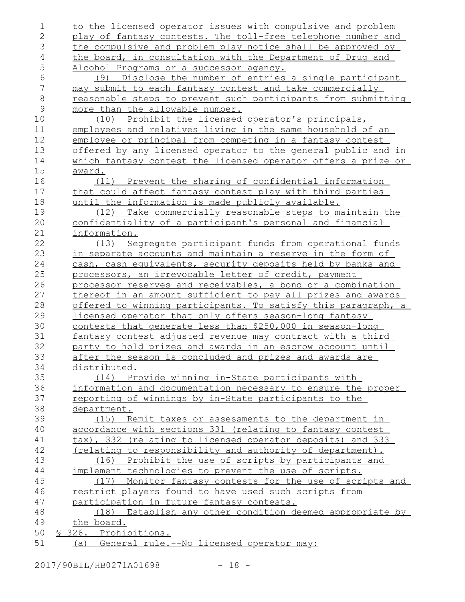| 1              | to the licensed operator issues with compulsive and problem          |
|----------------|----------------------------------------------------------------------|
| $\mathbf{2}$   | play of fantasy contests. The toll-free telephone number and         |
| 3              | the compulsive and problem play notice shall be approved by          |
| $\overline{4}$ | the board, in consultation with the Department of Drug and           |
| 5              | Alcohol Programs or a successor agency.                              |
| $\epsilon$     | Disclose the number of entries a single participant<br>(9)           |
| 7              | may submit to each fantasy contest and take commercially             |
| $\,8\,$        | reasonable steps to prevent such participants from submitting        |
| $\mathcal{G}$  | more than the allowable number.                                      |
| 10             | (10) Prohibit the licensed operator's principals,                    |
| 11             | employees and relatives living in the same household of an           |
| 12             | employee or principal from competing in a fantasy contest            |
| 13             | <u>offered by any licensed operator to the general public and in</u> |
| 14             | <u>which fantasy contest the licensed operator offers a prize or</u> |
| 15             | <u>award.</u>                                                        |
| 16             | (11) Prevent the sharing of confidential information                 |
| 17             | that could affect fantasy contest play with third parties            |
| 18             | until the information is made publicly available.                    |
| 19             | (12) Take commercially reasonable steps to maintain the              |
| 20             | confidentiality of a participant's personal and financial            |
| 21             | information.                                                         |
| 22             | (13) Segregate participant funds from operational funds              |
| 23             | in separate accounts and maintain a reserve in the form of           |
| 24             | cash, cash equivalents, security deposits held by banks and          |
| 25             | processors, an irrevocable letter of credit, payment                 |
| 26             | processor reserves and receivables, a bond or a combination          |
| 27             | thereof in an amount sufficient to pay all prizes and awards         |
| 28             | offered to winning participants. To satisfy this paragraph, a        |
| 29             | <u>licensed operator that only offers season-long fantasy</u>        |
| 30             | contests that generate less than \$250,000 in season-long            |
| 31             | fantasy contest adjusted revenue may contract with a third           |
| 32             | party to hold prizes and awards in an escrow account until           |
| 33             | after the season is concluded and prizes and awards are              |
| 34             | distributed.                                                         |
| 35             | (14) Provide winning in-State participants with                      |
| 36             | information and documentation necessary to ensure the proper         |
| 37             | reporting of winnings by in-State participants to the                |
| 38             | department.                                                          |
| 39             | (15) Remit taxes or assessments to the department in                 |
| 40             | accordance with sections 331 (relating to fantasy contest            |
| 41             | tax), 332 (relating to licensed operator deposits) and 333           |
| 42             | (relating to responsibility and authority of department).            |
| 43             | (16) Prohibit the use of scripts by participants and                 |
| 44             | implement technologies to prevent the use of scripts.                |
| 45             | (17) Monitor fantasy contests for the use of scripts and             |
| 46             | restrict players found to have used such scripts from                |
| 47             | participation in future fantasy contests.                            |
| 48             | (18) Establish any other condition deemed appropriate by             |
| 49             | the board.                                                           |
| 50             | § 326. Prohibitions.                                                 |
| 51             | (a) General rule.--No licensed operator may:                         |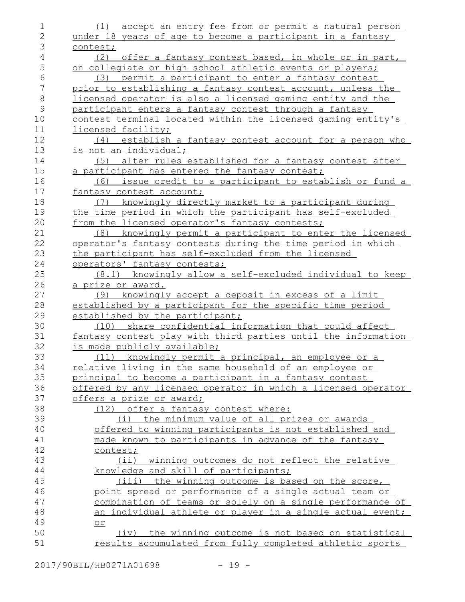| 1                | (1) accept an entry fee from or permit a natural person                                                          |
|------------------|------------------------------------------------------------------------------------------------------------------|
| $\mathbf{2}$     | under 18 years of age to become a participant in a fantasy                                                       |
| 3                | contest;                                                                                                         |
| 4                | (2)<br>offer a fantasy contest based, in whole or in part,                                                       |
| 5                | on collegiate or high school athletic events or players;                                                         |
| 6                | (3) permit a participant to enter a fantasy contest                                                              |
| $\boldsymbol{7}$ | prior to establishing a fantasy contest account, unless the                                                      |
| $\,8\,$          | <u>licensed operator is also a licensed gaming entity and the</u>                                                |
| $\overline{9}$   | participant enters a fantasy contest through a fantasy                                                           |
| 10               | contest terminal located within the licensed gaming entity's                                                     |
| 11               | licensed facility;                                                                                               |
| 12               | (4) establish a fantasy contest account for a person who                                                         |
| 13               | is not an individual;                                                                                            |
| 14               | (5) alter rules established for a fantasy contest after                                                          |
| 15               | a participant has entered the fantasy contest;                                                                   |
| 16               | <u>(6) issue credit to a participant to establish or fund a</u>                                                  |
| 17               | fantasy contest account;                                                                                         |
| 18               | (7) knowingly directly market to a participant during                                                            |
| 19               | the time period in which the participant has self-excluded                                                       |
| 20               | from the licensed operator's fantasy contests;                                                                   |
| 21               | (8) knowingly permit a participant to enter the licensed                                                         |
| 22               | operator's fantasy contests during the time period in which                                                      |
| 23               | the participant has self-excluded from the licensed                                                              |
| 24               | operators' fantasy contests;                                                                                     |
| 25               | (8.1) knowingly allow a self-excluded individual to keep                                                         |
| 26               |                                                                                                                  |
|                  |                                                                                                                  |
|                  | a prize or award.                                                                                                |
| 27               | knowingly accept a deposit in excess of a limit<br>(9)                                                           |
| 28               | established by a participant for the specific time period                                                        |
| 29               | established by the participant;                                                                                  |
| 30               | (10) share confidential information that could affect                                                            |
| 31               | fantasy contest play with third parties until the information                                                    |
| 32               | is made publicly available;                                                                                      |
| 33               | (11) knowingly permit a principal, an employee or a                                                              |
| 34               | <u>relative living in the same household of an employee or</u>                                                   |
| 35               | principal to become a participant in a fantasy contest                                                           |
| 36               | offered by any licensed operator in which a licensed operator                                                    |
| 37               | offers a prize or award;                                                                                         |
| 38               | offer a fantasy contest where:<br>(12)                                                                           |
| 39               | the minimum value of all prizes or awards<br>(i)                                                                 |
| 40               | offered to winning participants is not established and                                                           |
| 41               | made known to participants in advance of the fantasy                                                             |
| 42               | contest;                                                                                                         |
| 43               | (ii) winning outcomes do not reflect the relative                                                                |
| 44               | knowledge and skill of participants;                                                                             |
| 45               | (iii) the winning outcome is based on the score,                                                                 |
| 46               | point spread or performance of a single actual team or                                                           |
| 47               | combination of teams or solely on a single performance of                                                        |
| 48               | <u>an individual athlete or player in a single actual event;</u>                                                 |
| 49               | or                                                                                                               |
| 50<br>51         | (iv) the winning outcome is not based on statistical<br>results accumulated from fully completed athletic sports |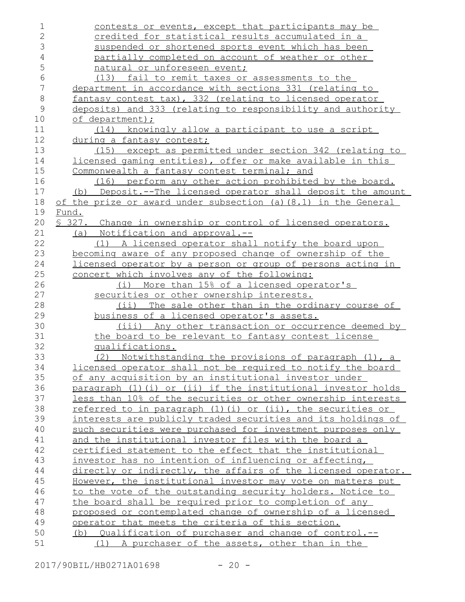| $\mathbf 1$    | contests or events, except that participants may be             |
|----------------|-----------------------------------------------------------------|
| $\overline{2}$ | credited for statistical results accumulated in a               |
| 3              | suspended or shortened sports event which has been              |
| $\sqrt{4}$     | partially completed on account of weather or other              |
| 5              | natural or unforeseen event;                                    |
| $6\,$          | (13) fail to remit taxes or assessments to the                  |
| $\overline{7}$ | department in accordance with sections 331 (relating to         |
| $\,8\,$        | fantasy contest tax), 332 (relating to licensed operator        |
| $\mathsf 9$    | deposits) and 333 (relating to responsibility and authority     |
| 10             | of department);                                                 |
| 11             | (14) knowingly allow a participant to use a script              |
| 12             | during a fantasy contest;                                       |
| 13             | (15) except as permitted under section 342 (relating to         |
| 14             | licensed gaming entities), offer or make available in this      |
| 15             | Commonwealth a fantasy contest terminal; and                    |
| 16             | (16) perform any other action prohibited by the board.          |
| 17             | (b) Deposit.--The licensed operator shall deposit the amount    |
| 18             | of the prize or award under subsection (a) (8.1) in the General |
| 19             | Fund.                                                           |
| 20             | \$ 327. Change in ownership or control of licensed operators.   |
| 21             | (a) Notification and approval.--                                |
| 22             | A licensed operator shall notify the board upon<br>(1)          |
| 23             | becoming aware of any proposed change of ownership of the       |
| 24             | licensed operator by a person or group of persons acting in     |
| 25             | concert which involves any of the following:                    |
| 26             | (i) More than 15% of a licensed operator's                      |
| 27             | securities or other ownership interests.                        |
| 28             | The sale other than in the ordinary course of<br>$(i$ ii)       |
| 29             | business of a licensed operator's assets.                       |
| 30             | (iii) Any other transaction or occurrence deemed by             |
| 31             | the board to be relevant to fantasy contest license             |
| 32             | qualifications.                                                 |
| 33             | (2) Notwithstanding the provisions of paragraph (1), a          |
| 34             | licensed operator shall not be required to notify the board     |
| 35             | of any acquisition by an institutional investor under           |
| 36             | paragraph (1)(i) or (ii) if the institutional investor holds    |
| 37             | less than 10% of the securities or other ownership interests    |
| 38             | referred to in paragraph (1)(i) or (ii), the securities or      |
| 39             | interests are publicly traded securities and its holdings of    |
| 40             | such securities were purchased for investment purposes only     |
| 41             | <u>and the institutional investor files with the board a</u>    |
| 42             | certified statement to the effect that the institutional        |
| 43             | investor has no intention of influencing or affecting,          |
| 44             | directly or indirectly, the affairs of the licensed operator.   |
| 45             | However, the institutional investor may vote on matters put     |
| 46             | to the vote of the outstanding security holders. Notice to      |
| 47             | the board shall be required prior to completion of any          |
| 48             | proposed or contemplated change of ownership of a licensed      |
| 49             | operator that meets the criteria of this section.               |
| 50             | (b) Qualification of purchaser and change of control.--         |
| 51             | (1)<br>A purchaser of the assets, other than in the             |
|                |                                                                 |

2017/90BIL/HB0271A01698 - 20 -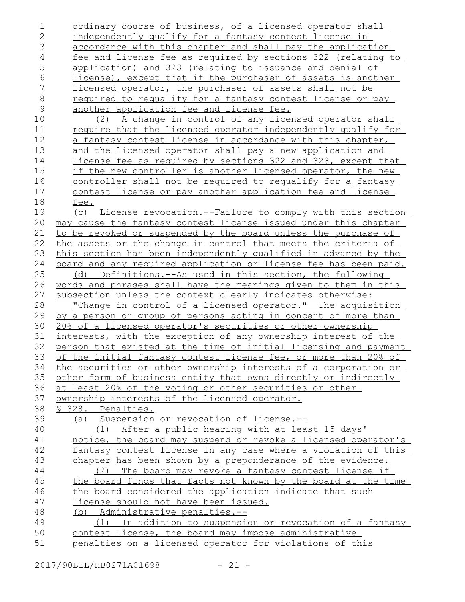| 1              | ordinary course of business, of a licensed operator shall                                                                 |
|----------------|---------------------------------------------------------------------------------------------------------------------------|
| $\overline{2}$ | independently qualify for a fantasy contest license in                                                                    |
| 3              | accordance with this chapter and shall pay the application                                                                |
| $\overline{4}$ | fee and license fee as required by sections 322 (relating to                                                              |
| 5              | application) and 323 (relating to issuance and denial of                                                                  |
| $\sqrt{6}$     | license), except that if the purchaser of assets is another                                                               |
| $\sqrt{}$      | licensed operator, the purchaser of assets shall not be                                                                   |
| $\,8\,$        | required to requalify for a fantasy contest license or pay                                                                |
| $\mathsf 9$    | another application fee and license fee.                                                                                  |
| 10             | (2) A change in control of any licensed operator shall                                                                    |
| 11             | <u>require that the licensed operator independently qualify for</u>                                                       |
| 12             | a fantasy contest license in accordance with this chapter,                                                                |
| 13             | and the licensed operator shall pay a new application and                                                                 |
| 14             | license fee as required by sections 322 and 323, except that                                                              |
| 15             | if the new controller is another licensed operator, the new                                                               |
| 16             | controller shall not be required to requalify for a fantasy                                                               |
| 17             | contest license or pay another application fee and license                                                                |
| 18             | fee.                                                                                                                      |
| 19             | (c) License revocation.--Failure to comply with this section                                                              |
| 20             | may cause the fantasy contest license issued under this chapter                                                           |
| 21             | to be revoked or suspended by the board unless the purchase of                                                            |
| 22             | the assets or the change in control that meets the criteria of                                                            |
| 23             | this section has been independently qualified in advance by the                                                           |
| 24             | board and any required application or license fee has been paid.                                                          |
| 25             | (d) Definitions.--As used in this section, the following                                                                  |
| 26             | words and phrases shall have the meanings given to them in this                                                           |
| 27             | subsection unless the context clearly indicates otherwise:                                                                |
| 28             | "Change in control of a licensed operator." The acquisition                                                               |
| 29             | by a person or group of persons acting in concert of more than                                                            |
| 30             | 20% of a licensed operator's securities or other ownership                                                                |
| 31             | interests, with the exception of any ownership interest of the                                                            |
| 32<br>33       | person that existed at the time of initial licensing and payment                                                          |
|                | of the initial fantasy contest license fee, or more than 20% of                                                           |
| 34             | the securities or other ownership interests of a corporation or                                                           |
| 35<br>36       | other form of business entity that owns directly or indirectly<br>at least 20% of the voting or other securities or other |
| 37             | ownership interests of the licensed operator.                                                                             |
| 38             | § 328. Penalties.                                                                                                         |
| 39             | (a) Suspension or revocation of license.--                                                                                |
| 40             | (1) After a public hearing with at least 15 days'                                                                         |
| 41             | notice, the board may suspend or revoke a licensed operator's                                                             |
| 42             | fantasy contest license in any case where a violation of this                                                             |
| 43             | chapter has been shown by a preponderance of the evidence.                                                                |
| 44             | (2) The board may revoke a fantasy contest license if                                                                     |
| 45             | the board finds that facts not known by the board at the time                                                             |
| 46             | the board considered the application indicate that such                                                                   |
| 47             | license should not have been issued.                                                                                      |
| 48             | (b) Administrative penalties.--                                                                                           |
| 49             | (1) In addition to suspension or revocation of a fantasy                                                                  |
| 50             | contest license, the board may impose administrative                                                                      |
| 51             | penalties on a licensed operator for violations of this                                                                   |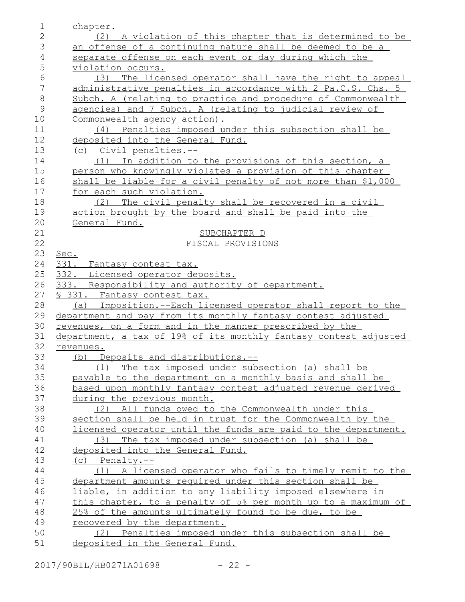| $\mathbf 1$    | chapter.                                                                                                                    |
|----------------|-----------------------------------------------------------------------------------------------------------------------------|
| $\mathbf{2}$   | (2) A violation of this chapter that is determined to be                                                                    |
| 3              | an offense of a continuing nature shall be deemed to be a                                                                   |
| $\overline{4}$ | separate offense on each event or day during which the                                                                      |
| 5              | violation occurs.                                                                                                           |
| 6              | The licensed operator shall have the right to appeal<br>(3)                                                                 |
| $\overline{7}$ | administrative penalties in accordance with 2 Pa.C.S. Chs. 5                                                                |
| $\,8\,$        | Subch. A (relating to practice and procedure of Commonwealth                                                                |
| $\mathcal{G}$  | agencies) and 7 Subch. A (relating to judicial review of                                                                    |
| 10             | Commonwealth agency action).                                                                                                |
| 11             | (4) Penalties imposed under this subsection shall be                                                                        |
| 12             | deposited into the General Fund.                                                                                            |
| 13             | (c) Civil penalties.--                                                                                                      |
| 14             | (1) In addition to the provisions of this section, a                                                                        |
| 15             | person who knowingly violates a provision of this chapter                                                                   |
| 16             | shall be liable for a civil penalty of not more than \$1,000                                                                |
| 17             | for each such violation.                                                                                                    |
| 18             | The civil penalty shall be recovered in a civil<br>(2)                                                                      |
| 19             | action brought by the board and shall be paid into the                                                                      |
| 20             | General Fund.                                                                                                               |
| 21             | SUBCHAPTER D                                                                                                                |
| 22             | FISCAL PROVISIONS                                                                                                           |
| 23             | Sec.                                                                                                                        |
| 24             | 331. Fantasy contest tax.                                                                                                   |
| 25             | 332. Licensed operator deposits.                                                                                            |
| 26             | 333. Responsibility and authority of department.                                                                            |
| 27             | § 331. Fantasy contest tax.                                                                                                 |
| 28             | Imposition.--Each licensed operator shall report to the<br>(a)                                                              |
| 29             | department and pay from its monthly fantasy contest adjusted                                                                |
| 30             | revenues, on a form and in the manner prescribed by the                                                                     |
| 31             | department, a tax of 19% of its monthly fantasy contest adjusted                                                            |
| 32             | revenues.                                                                                                                   |
| 33             | (b) Deposits and distributions.--                                                                                           |
| 34             | (1) The tax imposed under subsection (a) shall be                                                                           |
| 35             | payable to the department on a monthly basis and shall be                                                                   |
| 36             | based upon monthly fantasy contest adjusted revenue derived                                                                 |
| 37<br>38       | during the previous month.                                                                                                  |
| 39             | All funds owed to the Commonwealth under this<br>(2)                                                                        |
| 40             | section shall be held in trust for the Commonwealth by the<br>licensed operator until the funds are paid to the department. |
| 41             | (3) The tax imposed under subsection (a) shall be                                                                           |
| 42             | deposited into the General Fund.                                                                                            |
| 43             | $(c)$ Penalty.--                                                                                                            |
| 44             | (1) A licensed operator who fails to timely remit to the                                                                    |
| 45             | department amounts required under this section shall be                                                                     |
| 46             | liable, in addition to any liability imposed elsewhere in                                                                   |
| 47             | this chapter, to a penalty of 5% per month up to a maximum of                                                               |
| 48             | 25% of the amounts ultimately found to be due, to be                                                                        |
| 49             | recovered by the department.                                                                                                |
| 50             | (2) Penalties imposed under this subsection shall be                                                                        |
| 51             | deposited in the General Fund.                                                                                              |
|                |                                                                                                                             |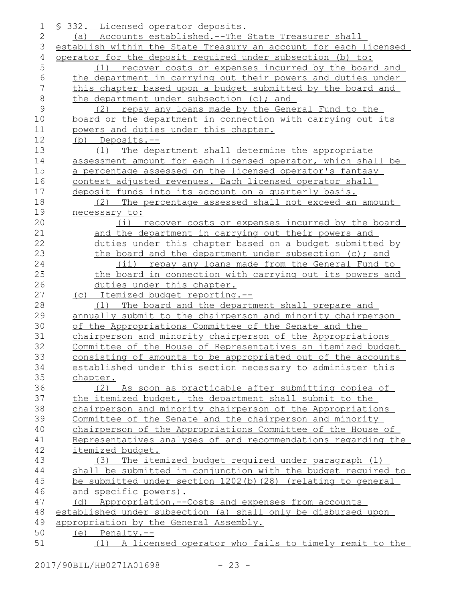| 1       | <u>S 332. Licensed operator deposits.</u>                        |
|---------|------------------------------------------------------------------|
| 2       | (a) Accounts established.--The State Treasurer shall             |
| 3       | establish within the State Treasury an account for each licensed |
| 4       | operator for the deposit required under subsection (b) to:       |
| 5       | recover costs or expenses incurred by the board and<br>(1)       |
| 6       | the department in carrying out their powers and duties under     |
| 7       | this chapter based upon a budget submitted by the board and      |
| $\,8\,$ | the department under subsection (c); and                         |
| 9       | (2) repay any loans made by the General Fund to the              |
| 10      | board or the department in connection with carrying out its      |
| 11      | powers and duties under this chapter.                            |
| 12      | (b) Deposits.--                                                  |
| 13      | The department shall determine the appropriate<br>(1)            |
| 14      | assessment amount for each licensed operator, which shall be     |
| 15      | a percentage assessed on the licensed operator's fantasy         |
| 16      | contest adjusted revenues. Each licensed operator shall          |
| 17      | deposit funds into its account on a quarterly basis.             |
| 18      | (2) The percentage assessed shall not exceed an amount           |
| 19      | necessary to:                                                    |
| 20      | (i) recover costs or expenses incurred by the board              |
| 21      | and the department in carrying out their powers and              |
| 22      | duties under this chapter based on a budget submitted by         |
| 23      | the board and the department under subsection (c); and           |
| 24      | (ii) repay any loans made from the General Fund to               |
| 25      | the board in connection with carrying out its powers and         |
| 26      | duties under this chapter.                                       |
| 27      | (c) Itemized budget reporting.--                                 |
| 28      | The board and the department shall prepare and<br>(1)            |
| 29      | annually submit to the chairperson and minority chairperson      |
| 30      | of the Appropriations Committee of the Senate and the            |
| 31      | chairperson and minority chairperson of the Appropriations       |
| 32      | Committee of the House of Representatives an itemized budget     |
| 33      | consisting of amounts to be appropriated out of the accounts     |
| 34      | established under this section necessary to administer this      |
| 35      | chapter.                                                         |
| 36      | (2) As soon as practicable after submitting copies of            |
| 37      | the itemized budget, the department shall submit to the          |
| 38      | chairperson and minority chairperson of the Appropriations       |
| 39      | Committee of the Senate and the chairperson and minority         |
| 40      | chairperson of the Appropriations Committee of the House of      |
| 41      | Representatives analyses of and recommendations regarding the    |
| 42      | itemized budget.                                                 |
| 43      | (3) The itemized budget required under paragraph (1)             |
| 44      | shall be submitted in conjunction with the budget required to    |
| 45      | be submitted under section 1202(b)(28) (relating to general      |
| 46      | and specific powers).                                            |
| 47      | (d) Appropriation.--Costs and expenses from accounts             |
| 48      | established under subsection (a) shall only be disbursed upon    |
| 49      | appropriation by the General Assembly.                           |
| 50      | $(e)$ Penalty.--                                                 |
| 51      | (1) A licensed operator who fails to timely remit to the         |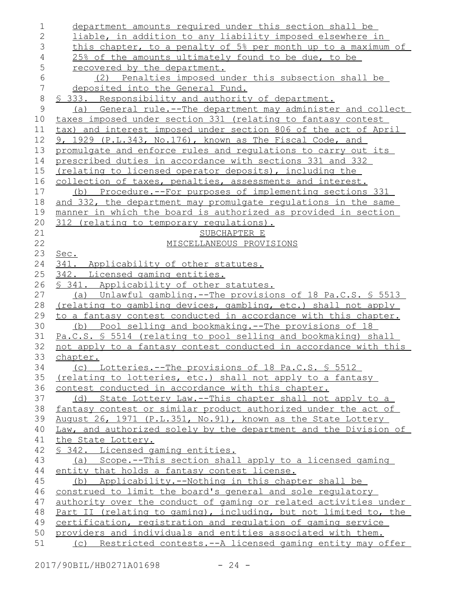| 1            | department amounts required under this section shall be                                                                      |
|--------------|------------------------------------------------------------------------------------------------------------------------------|
| $\mathbf{2}$ | liable, in addition to any liability imposed elsewhere in                                                                    |
| 3            | this chapter, to a penalty of 5% per month up to a maximum of                                                                |
| 4            | 25% of the amounts ultimately found to be due, to be                                                                         |
| 5            | recovered by the department.                                                                                                 |
| 6            | (2) Penalties imposed under this subsection shall be                                                                         |
| 7            | deposited into the General Fund.                                                                                             |
| $\,8\,$      | § 333. Responsibility and authority of department.                                                                           |
| 9            | (a) General rule.--The department may administer and collect                                                                 |
| 10           | taxes imposed under section 331 (relating to fantasy contest                                                                 |
| 11           | tax) and interest imposed under section 806 of the act of April                                                              |
| 12           | 9, 1929 (P.L.343, No.176), known as The Fiscal Code, and                                                                     |
| 13           | promulgate and enforce rules and regulations to carry out its                                                                |
| 14           | prescribed duties in accordance with sections 331 and 332                                                                    |
| 15           | (relating to licensed operator deposits), including the                                                                      |
| 16           | collection of taxes, penalties, assessments and interest.                                                                    |
| 17           | (b) Procedure.--For purposes of implementing sections 331                                                                    |
| 18           | and 332, the department may promulgate regulations in the same                                                               |
| 19           | manner in which the board is authorized as provided in section                                                               |
| 20           | 312 (relating to temporary regulations).                                                                                     |
| 21           | SUBCHAPTER E                                                                                                                 |
| 22           | MISCELLANEOUS PROVISIONS                                                                                                     |
| 23           | Sec.                                                                                                                         |
| 24           | 341. Applicability of other statutes.                                                                                        |
| 25           | 342. Licensed gaming entities.                                                                                               |
| 26           | § 341. Applicability of other statutes.                                                                                      |
| 27           | (a) Unlawful gambling.--The provisions of 18 Pa.C.S. § 5513                                                                  |
| 28           | (relating to gambling devices, gambling, etc.) shall not apply                                                               |
| 29           | to a fantasy contest conducted in accordance with this chapter.                                                              |
| 30           | (b) Pool selling and bookmaking.--The provisions of 18                                                                       |
| 31           | Pa.C.S. § 5514 (relating to pool selling and bookmaking) shall                                                               |
| 32           | not apply to a fantasy contest conducted in accordance with this                                                             |
| 33           | chapter.                                                                                                                     |
| 34           | (c) Lotteries.--The provisions of 18 Pa.C.S. \$ 5512                                                                         |
| 35           | (relating to lotteries, etc.) shall not apply to a fantasy                                                                   |
| 36           | contest conducted in accordance with this chapter.                                                                           |
| 37           | (d) State Lottery Law.--This chapter shall not apply to a                                                                    |
| 38           | fantasy contest or similar product authorized under the act of                                                               |
| 39           | August 26, 1971 (P.L.351, No.91), known as the State Lottery                                                                 |
| 40           | Law, and authorized solely by the department and the Division of                                                             |
| 41           | the State Lottery.                                                                                                           |
| 42           | § 342. Licensed gaming entities.                                                                                             |
| 43           | (a) Scope.--This section shall apply to a licensed gaming                                                                    |
| 44           | entity that holds a fantasy contest license.                                                                                 |
| 45           | (b) Applicability.--Nothing in this chapter shall be                                                                         |
| 46           | construed to limit the board's general and sole regulatory                                                                   |
| 47           | authority over the conduct of gaming or related activities under                                                             |
| 48           | Part II (relating to gaming), including, but not limited to, the                                                             |
| 49           | certification, registration and regulation of gaming service                                                                 |
| 50           |                                                                                                                              |
| 51           | providers and individuals and entities associated with them.<br>(c) Restricted contests.--A licensed gaming entity may offer |

2017/90BIL/HB0271A01698 - 24 -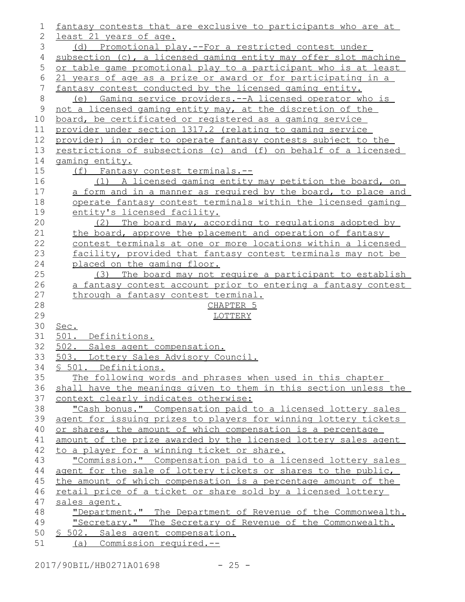| 1           | fantasy contests that are exclusive to participants who are at   |
|-------------|------------------------------------------------------------------|
| 2           | least 21 years of age.                                           |
| 3           | (d) Promotional play.--For a restricted contest under            |
| 4           | subsection (c), a licensed gaming entity may offer slot machine  |
| $\mathsf S$ | or table game promotional play to a participant who is at least  |
| 6           | 21 years of age as a prize or award or for participating in a    |
| 7           | fantasy contest conducted by the licensed gaming entity.         |
| $8\,$       | Gaming service providers. -- A licensed operator who is<br>(e)   |
| 9           | not a licensed gaming entity may, at the discretion of the       |
| 10          | board, be certificated or registered as a gaming service         |
| 11          | provider under section 1317.2 (relating to gaming service        |
| 12          | provider) in order to operate fantasy contests subject to the    |
| 13          | restrictions of subsections (c) and (f) on behalf of a licensed  |
| 14          | gaming entity.                                                   |
| 15          | (f) Fantasy contest terminals.--                                 |
| 16          | (1) A licensed gaming entity may petition the board, on          |
| 17          | a form and in a manner as required by the board, to place and    |
| 18          | operate fantasy contest terminals within the licensed gaming     |
| 19          | entity's licensed facility.                                      |
| 20          | (2) The board may, according to regulations adopted by           |
| 21          | the board, approve the placement and operation of fantasy        |
| 22          | contest terminals at one or more locations within a licensed     |
| 23          | facility, provided that fantasy contest terminals may not be     |
| 24          | placed on the gaming floor.                                      |
| 25          | (3) The board may not require a participant to establish         |
| 26          | a fantasy contest account prior to entering a fantasy contest    |
| 27          | through a fantasy contest terminal.                              |
| 28          | CHAPTER <sub>5</sub>                                             |
| 29          | LOTTERY                                                          |
| 30          | Sec.                                                             |
| 31          | 501.<br>Definitions.                                             |
| 32          | 502. Sales agent compensation.                                   |
| 33          | 503. Lottery Sales Advisory Council.                             |
| 34          | S<br>501. Definitions.                                           |
| 35          | The following words and phrases when used in this chapter        |
| 36          | shall have the meanings given to them in this section unless the |
| 37          | context clearly indicates otherwise:                             |
| 38          | "Cash bonus." Compensation paid to a licensed lottery sales      |
| 39          | agent for issuing prizes to players for winning lottery tickets  |
| 40          | or shares, the amount of which compensation is a percentage      |
| 41          | amount of the prize awarded by the licensed lottery sales agent  |
| 42          | to a player for a winning ticket or share.                       |
| 43          | "Commission." Compensation paid to a licensed lottery sales      |
| 44          | agent for the sale of lottery tickets or shares to the public,   |
| 45          | the amount of which compensation is a percentage amount of the   |
| 46          | retail price of a ticket or share sold by a licensed lottery     |
| 47          | sales agent.                                                     |
| 48          | "Department." The Department of Revenue of the Commonwealth.     |
| 49          | "Secretary." The Secretary of Revenue of the Commonwealth.       |
| 50          | § 502. Sales agent compensation.                                 |
| 51          | (a) Commission required.--                                       |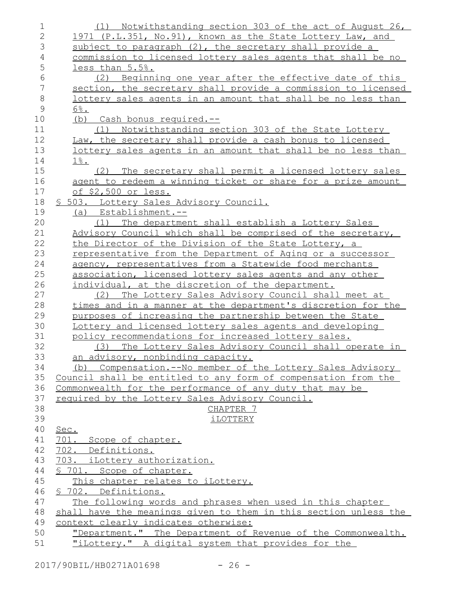| $\mathbf 1$    | (1) Notwithstanding section 303 of the act of August 26,            |
|----------------|---------------------------------------------------------------------|
| $\overline{2}$ | 1971 (P.L.351, No.91), known as the State Lottery Law, and          |
| 3              | subject to paragraph (2), the secretary shall provide a             |
| $\overline{4}$ | commission to licensed lottery sales agents that shall be no        |
| 5              | less than 5.5%.                                                     |
| 6              | (2) Beginning one year after the effective date of this             |
| $\sqrt{}$      | section, the secretary shall provide a commission to licensed       |
| $\,8\,$        | <u>lottery sales agents in an amount that shall be no less than</u> |
| $\mathcal{G}$  | $6\%$ .                                                             |
| 10             | (b) Cash bonus required.--                                          |
| 11             | Notwithstanding section 303 of the State Lottery<br>(1)             |
| 12             | Law, the secretary shall provide a cash bonus to licensed           |
| 13             | <u>lottery sales agents in an amount that shall be no less than</u> |
| 14             | $1\%$ .                                                             |
| 15             | (2) The secretary shall permit a licensed lottery sales             |
| 16             | agent to redeem a winning ticket or share for a prize amount        |
| 17             | of \$2,500 or less.                                                 |
| 18             | § 503. Lottery Sales Advisory Council.                              |
| 19             | $(a)$ Establishment.--                                              |
| 20             | The department shall establish a Lottery Sales<br>(1)               |
| 21             | Advisory Council which shall be comprised of the secretary,         |
| 22             | the Director of the Division of the State Lottery, a                |
| 23             | representative from the Department of Aging or a successor          |
| 24             | agency, representatives from a Statewide food merchants             |
| 25             | association, licensed lottery sales agents and any other            |
| 26             | individual, at the discretion of the department.                    |
| 27             | The Lottery Sales Advisory Council shall meet at<br>(2)             |
| 28             | times and in a manner at the department's discretion for the        |
| 29             | purposes of increasing the partnership between the State            |
| 30             | Lottery and licensed lottery sales agents and developing            |
| 31             | policy recommendations for increased lottery sales.                 |
| 32             | (3) The Lottery Sales Advisory Council shall operate in             |
| 33             | an advisory, nonbinding capacity.                                   |
| 34             | (b) Compensation.--No member of the Lottery Sales Advisory          |
| 35             | Council shall be entitled to any form of compensation from the      |
| 36             | Commonwealth for the performance of any duty that may be            |
| 37<br>38       | required by the Lottery Sales Advisory Council.                     |
| 39             | CHAPTER <sub>7</sub>                                                |
| 40             | <i>iLOTTERY</i>                                                     |
| 41             | Sec.<br>701. Scope of chapter.                                      |
| 42             | 702. Definitions.                                                   |
| 43             | 703. iLottery authorization.                                        |
| 44             | \$ 701. Scope of chapter.                                           |
| 45             | This chapter relates to iLottery.                                   |
| 46             | § 702. Definitions.                                                 |
| 47             | The following words and phrases when used in this chapter           |
| 48             | shall have the meanings given to them in this section unless the    |
| 49             | context clearly indicates otherwise:                                |
| 50             | "Department." The Department of Revenue of the Commonwealth.        |
| 51             | "iLottery." A digital system that provides for the                  |
|                |                                                                     |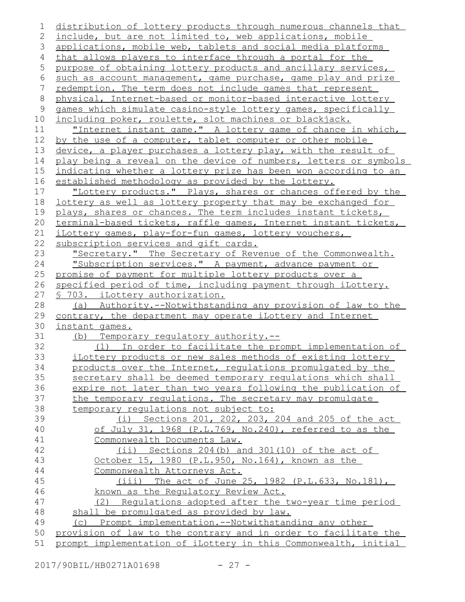```
distribution of lottery products through numerous channels that
   include, but are not limited to, web applications, mobile
   applications, mobile web, tablets and social media platforms
   that allows players to interface through a portal for the
   purpose of obtaining lottery products and ancillary services,
   such as account management, game purchase, game play and prize
   redemption. The term does not include games that represent
   physical, Internet-based or monitor-based interactive lottery
   games which simulate casino-style lottery games, specifically
   including poker, roulette, slot machines or blackjack.
       "Internet instant game." A lottery game of chance in which,
   by the use of a computer, tablet computer or other mobile
   device, a player purchases a lottery play, with the result of
   play being a reveal on the device of numbers, letters or symbols
   indicating whether a lottery prize has been won according to an
   established methodology as provided by the lottery.
       "Lottery products." Plays, shares or chances offered by the
   lottery as well as lottery property that may be exchanged for
   plays, shares or chances. The term includes instant tickets,
   terminal-based tickets, raffle games, Internet instant tickets,
   iLottery games, play-for-fun games, lottery vouchers,
   subscription services and gift cards.
       "Secretary." The Secretary of Revenue of the Commonwealth.
       "Subscription services." A payment, advance payment or
   promise of payment for multiple lottery products over a
   specified period of time, including payment through iLottery.
   § 703. iLottery authorization.
       (a) Authority.--Notwithstanding any provision of law to the
   contrary, the department may operate iLottery and Internet
   instant games.
       (b) Temporary regulatory authority.--
           (1) In order to facilitate the prompt implementation of
      iLottery products or new sales methods of existing lottery
      products over the Internet, regulations promulgated by the
       secretary shall be deemed temporary regulations which shall
      expire not later than two years following the publication of
      the temporary regulations. The secretary may promulgate
      temporary requlations not subject to:
               (i) Sections 201, 202, 203, 204 and 205 of the act
           of July 31, 1968 (P.L.769, No.240), referred to as the
           Commonwealth Documents Law.
               (ii) Sections 204(b) and 301(10) of the act of
          October 15, 1980 (P.L.950, No.164), known as the
           Commonwealth Attorneys Act.
              (iii) The act of June 25, 1982 (P.L.633, No.181),
          known as the Regulatory Review Act.
           (2) Regulations adopted after the two-year time period
      shall be promulgated as provided by law.
      (c) Prompt implementation.--Notwithstanding any other
   provision of law to the contrary and in order to facilitate the
   prompt implementation of iLottery in this Commonwealth, initial
1
2
3
 4
 5
 6
7
8
9
10
11
12
13
14
15
16
17
18
19
20
21
22
23
24
25
26
27
28
29
30
31
32
33
34
35
36
37
38
39
40
41
42
43
44
45
46
47
48
49
50
51
```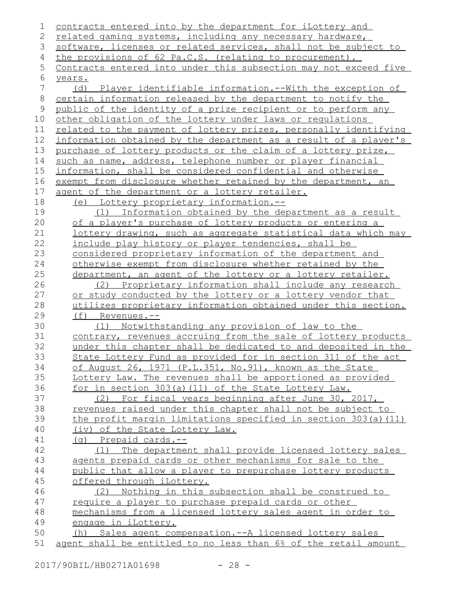| 1           | contracts entered into by the department for iLottery and        |
|-------------|------------------------------------------------------------------|
| 2           | related gaming systems, including any necessary hardware,        |
| 3           | software, licenses or related services, shall not be subject to  |
| 4           | the provisions of 62 Pa.C.S. (relating to procurement).          |
| 5           | Contracts entered into under this subsection may not exceed five |
| 6           | years.                                                           |
| 7           | (d) Player identifiable information.--With the exception of      |
| $\,8\,$     | certain information released by the department to notify the     |
| $\mathsf 9$ | public of the identity of a prize recipient or to perform any    |
| 10          | other obligation of the lottery under laws or regulations        |
| 11          | related to the payment of lottery prizes, personally identifying |
| 12          | information obtained by the department as a result of a player's |
| 13          | purchase of lottery products or the claim of a lottery prize,    |
| 14          | such as name, address, telephone number or player financial      |
| 15          | information, shall be considered confidential and otherwise      |
| 16          | exempt from disclosure whether retained by the department, an    |
| 17          | agent of the department or a lottery retailer.                   |
| 18          | (e) Lottery proprietary information.--                           |
| 19          | (1) Information obtained by the department as a result           |
| 20          | of a player's purchase of lottery products or entering a         |
| 21          | lottery drawing, such as aggregate statistical data which may    |
| 22          | include play history or player tendencies, shall be              |
| 23          | considered proprietary information of the department and         |
| 24          | otherwise exempt from disclosure whether retained by the         |
| 25          | department, an agent of the lottery or a lottery retailer.       |
| 26          | (2) Proprietary information shall include any research           |
| 27          | or study conducted by the lottery or a lottery vendor that       |
| 28          | utilizes proprietary information obtained under this section.    |
| 29          | $(f)$ Revenues.--                                                |
| 30          | (1) Notwithstanding any provision of law to the                  |
| 31          | contrary, revenues accruing from the sale of lottery products    |
| 32          | under this chapter shall be dedicated to and deposited in the    |
| 33          | State Lottery Fund as provided for in section 311 of the act     |
| 34          | of August 26, 1971 (P.L.351, No.91), known as the State          |
| 35          | Lottery Law. The revenues shall be apportioned as provided       |
| 36          | for in section 303(a)(11) of the State Lottery Law.              |
| 37          | For fiscal years beginning after June 30, 2017,<br>(2)           |
| 38          | revenues raised under this chapter shall not be subject to       |
| 39          | the profit margin limitations specified in section 303(a)(11)    |
| 40          | (iv) of the State Lottery Law.                                   |
| 41          | $(q)$ Prepaid cards.--                                           |
| 42          | (1) The department shall provide licensed lottery sales          |
| 43          | agents prepaid cards or other mechanisms for sale to the         |
| 44          | public that allow a player to prepurchase lottery products       |
| 45          | offered through iLottery.                                        |
| 46          | (2) Nothing in this subsection shall be construed to             |
| 47          | require a player to purchase prepaid cards or other              |
| 48          | mechanisms from a licensed lottery sales agent in order to       |
| 49          | engage in iLottery.                                              |
| 50          | (h) Sales agent compensation.--A licensed lottery sales          |
| 51          | agent shall be entitled to no less than 6% of the retail amount  |
|             |                                                                  |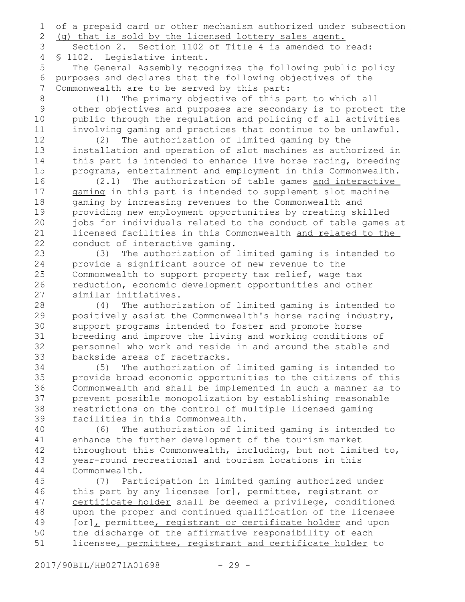of a prepaid card or other mechanism authorized under subsection 1

(g) that is sold by the licensed lottery sales agent. 2

Section 2. Section 1102 of Title 4 is amended to read: § 1102. Legislative intent. 3 4

The General Assembly recognizes the following public policy purposes and declares that the following objectives of the Commonwealth are to be served by this part: 5 6 7

(1) The primary objective of this part to which all other objectives and purposes are secondary is to protect the public through the regulation and policing of all activities involving gaming and practices that continue to be unlawful. 8 9 10 11

(2) The authorization of limited gaming by the installation and operation of slot machines as authorized in this part is intended to enhance live horse racing, breeding programs, entertainment and employment in this Commonwealth. 12 13 14 15

(2.1) The authorization of table games and interactive gaming in this part is intended to supplement slot machine gaming by increasing revenues to the Commonwealth and providing new employment opportunities by creating skilled jobs for individuals related to the conduct of table games at licensed facilities in this Commonwealth and related to the conduct of interactive gaming. 16 17 18 19 20 21 22

(3) The authorization of limited gaming is intended to provide a significant source of new revenue to the Commonwealth to support property tax relief, wage tax reduction, economic development opportunities and other similar initiatives. 23 24 25 26 27

(4) The authorization of limited gaming is intended to positively assist the Commonwealth's horse racing industry, support programs intended to foster and promote horse breeding and improve the living and working conditions of personnel who work and reside in and around the stable and backside areas of racetracks. 28 29 30 31 32 33

(5) The authorization of limited gaming is intended to provide broad economic opportunities to the citizens of this Commonwealth and shall be implemented in such a manner as to prevent possible monopolization by establishing reasonable restrictions on the control of multiple licensed gaming facilities in this Commonwealth. 34 35 36 37 38 39

(6) The authorization of limited gaming is intended to enhance the further development of the tourism market throughout this Commonwealth, including, but not limited to, year-round recreational and tourism locations in this Commonwealth. 40 41 42 43 44

(7) Participation in limited gaming authorized under this part by any licensee [or], permittee, registrant or certificate holder shall be deemed a privilege, conditioned upon the proper and continued qualification of the licensee [or], permittee, registrant or certificate holder and upon the discharge of the affirmative responsibility of each licensee, permittee, registrant and certificate holder to 45 46 47 48 49 50 51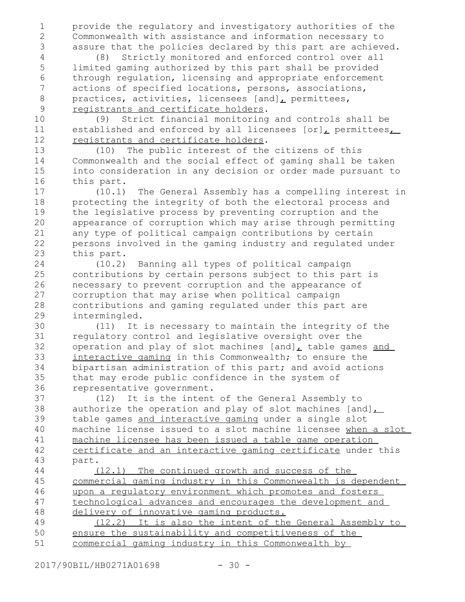provide the regulatory and investigatory authorities of the Commonwealth with assistance and information necessary to assure that the policies declared by this part are achieved. 1 2 3

(8) Strictly monitored and enforced control over all limited gaming authorized by this part shall be provided through regulation, licensing and appropriate enforcement actions of specified locations, persons, associations, practices, activities, licensees  $[and]_L$  permittees, registrants and certificate holders. 4 5 6 7 8 9

(9) Strict financial monitoring and controls shall be established and enforced by all licensees  $[or]_L$  permittees $_L$ registrants and certificate holders.

(10) The public interest of the citizens of this Commonwealth and the social effect of gaming shall be taken into consideration in any decision or order made pursuant to this part.

(10.1) The General Assembly has a compelling interest in protecting the integrity of both the electoral process and the legislative process by preventing corruption and the appearance of corruption which may arise through permitting any type of political campaign contributions by certain persons involved in the gaming industry and regulated under this part. 17 18 19 20 21 22 23

(10.2) Banning all types of political campaign contributions by certain persons subject to this part is necessary to prevent corruption and the appearance of corruption that may arise when political campaign contributions and gaming regulated under this part are intermingled. 24 25 26 27 28 29

(11) It is necessary to maintain the integrity of the regulatory control and legislative oversight over the operation and play of slot machines [and], table games and interactive gaming in this Commonwealth; to ensure the bipartisan administration of this part; and avoid actions that may erode public confidence in the system of representative government. 30 31 32 33 34 35 36

(12) It is the intent of the General Assembly to authorize the operation and play of slot machines [and] $\overline{\phantom{a}}$ table games and interactive gaming under a single slot machine license issued to a slot machine licensee when a slot machine licensee has been issued a table game operation certificate and an interactive gaming certificate under this part. 37 38 39 40 41 42 43 44

(12.1) The continued growth and success of the commercial gaming industry in this Commonwealth is dependent upon a regulatory environment which promotes and fosters technological advances and encourages the development and delivery of innovative gaming products.

(12.2) It is also the intent of the General Assembly to ensure the sustainability and competitiveness of the commercial gaming industry in this Commonwealth by 49 50 51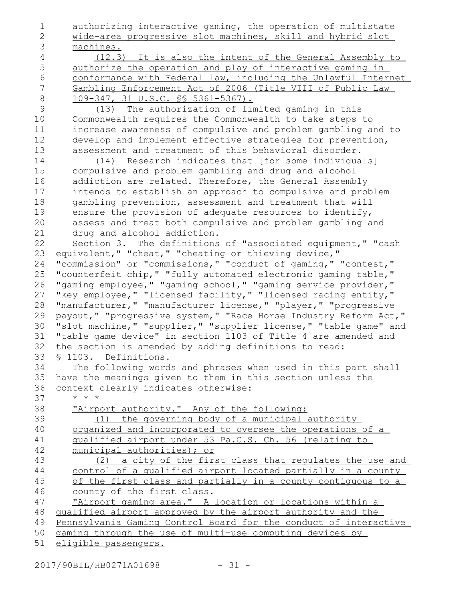authorizing interactive gaming, the operation of multistate wide-area progressive slot machines, skill and hybrid slot machines. (12.3) It is also the intent of the General Assembly to authorize the operation and play of interactive gaming in conformance with Federal law, including the Unlawful Internet Gambling Enforcement Act of 2006 (Title VIII of Public Law 109-347, 31 U.S.C. §§ 5361-5367). (13) The authorization of limited gaming in this Commonwealth requires the Commonwealth to take steps to increase awareness of compulsive and problem gambling and to develop and implement effective strategies for prevention, assessment and treatment of this behavioral disorder. (14) Research indicates that [for some individuals] compulsive and problem gambling and drug and alcohol addiction are related. Therefore, the General Assembly intends to establish an approach to compulsive and problem gambling prevention, assessment and treatment that will ensure the provision of adequate resources to identify, assess and treat both compulsive and problem gambling and drug and alcohol addiction. Section 3. The definitions of "associated equipment," "cash equivalent," "cheat," "cheating or thieving device," "commission" or "commissions," "conduct of gaming," "contest," "counterfeit chip," "fully automated electronic gaming table," "gaming employee," "gaming school," "gaming service provider," "key employee," "licensed facility," "licensed racing entity," "manufacturer," "manufacturer license," "player," "progressive payout," "progressive system," "Race Horse Industry Reform Act," "slot machine," "supplier," "supplier license," "table game" and "table game device" in section 1103 of Title 4 are amended and the section is amended by adding definitions to read: § 1103. Definitions. The following words and phrases when used in this part shall have the meanings given to them in this section unless the context clearly indicates otherwise: \* \* \* "Airport authority." Any of the following: (1) the governing body of a municipal authority organized and incorporated to oversee the operations of a qualified airport under 53 Pa.C.S. Ch. 56 (relating to municipal authorities); or (2) a city of the first class that regulates the use and control of a qualified airport located partially in a county of the first class and partially in a county contiguous to a county of the first class. "Airport gaming area." A location or locations within a qualified airport approved by the airport authority and the Pennsylvania Gaming Control Board for the conduct of interactive gaming through the use of multi-use computing devices by 1 2 3 4 5 6 7 8 9 10 11 12 13 14 15 16 17 18 19 20 21 22 23 24 25 26 27 28 29 30 31 32 33 34 35 36 37 38 39 40 41 42 43 44 45 46 47 48 49 50

eligible passengers. 51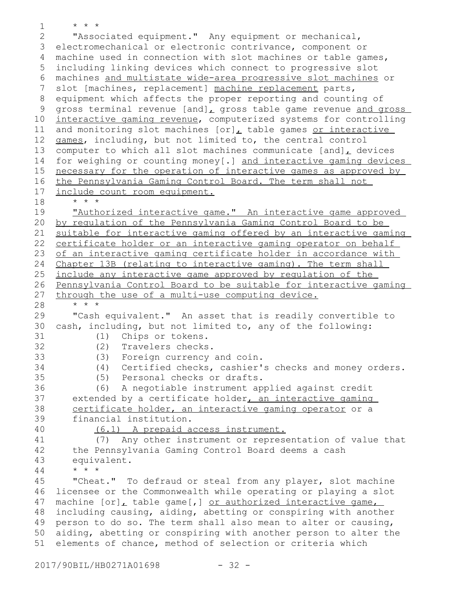\* \* \* "Associated equipment." Any equipment or mechanical, 3 electromechanical or electronic contrivance, component or machine used in connection with slot machines or table games, 4 including linking devices which connect to progressive slot 5 machines and multistate wide-area progressive slot machines or slot [machines, replacement] machine replacement parts, equipment which affects the proper reporting and counting of gross terminal revenue [and], gross table game revenue and gross interactive gaming revenue, computerized systems for controlling and monitoring slot machines  $[or]_L$  table games or interactive games, including, but not limited to, the central control computer to which all slot machines communicate [and], devices for weighing or counting money[.] and interactive gaming devices necessary for the operation of interactive games as approved by the Pennsylvania Gaming Control Board. The term shall not include count room equipment. \* \* \* "Authorized interactive game." An interactive game approved by regulation of the Pennsylvania Gaming Control Board to be suitable for interactive gaming offered by an interactive gaming certificate holder or an interactive gaming operator on behalf of an interactive gaming certificate holder in accordance with Chapter 13B (relating to interactive gaming). The term shall include any interactive game approved by regulation of the Pennsylvania Control Board to be suitable for interactive gaming through the use of a multi-use computing device. \* \* \* "Cash equivalent." An asset that is readily convertible to cash, including, but not limited to, any of the following: (1) Chips or tokens. (2) Travelers checks. (3) Foreign currency and coin. (4) Certified checks, cashier's checks and money orders. (5) Personal checks or drafts. (6) A negotiable instrument applied against credit extended by a certificate holder, an interactive gaming certificate holder, an interactive gaming operator or a financial institution. (6.1) A prepaid access instrument. (7) Any other instrument or representation of value that the Pennsylvania Gaming Control Board deems a cash equivalent. \* \* \* "Cheat." To defraud or steal from any player, slot machine licensee or the Commonwealth while operating or playing a slot machine [or], table game[,] or authorized interactive game, including causing, aiding, abetting or conspiring with another person to do so. The term shall also mean to alter or causing, aiding, abetting or conspiring with another person to alter the elements of chance, method of selection or criteria which 1 2 6 7 8 9 10 11 12 13 14 15 16 17 18 19 20 21 22 23 24 25 26 27 28 29 30 31 32 33 34 35 36 37 38 39 40 41 42 43 44 45 46 47 48 49 50 51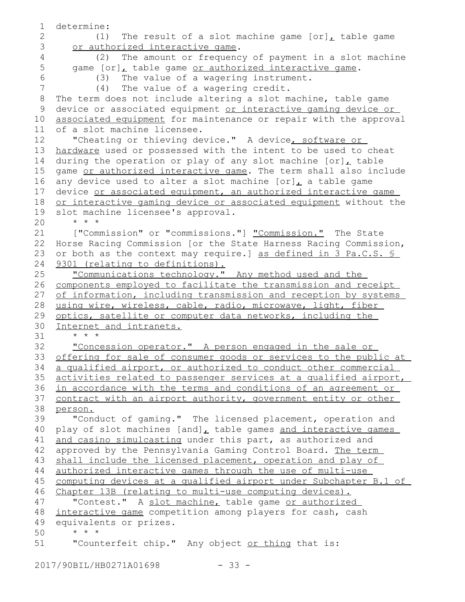```
determine:
           (1) The result of a slot machine game [or]_L table game
      or authorized interactive game.
           (2) The amount or frequency of payment in a slot machine
      game [or], table game or authorized interactive game.
           (3) The value of a wagering instrument.
           (4) The value of a wagering credit.
   The term does not include altering a slot machine, table game
   device or associated equipment or interactive gaming device or
   associated equipment for maintenance or repair with the approval
   of a slot machine licensee.
       "Cheating or thieving device." A device, software or
   hardware used or possessed with the intent to be used to cheat
   during the operation or play of any slot machine [or]_{L} table
   game or authorized interactive game. The term shall also include
   any device used to alter a slot machine [or], a table game
   device or associated equipment, an authorized interactive game
   or interactive gaming device or associated equipment without the
   slot machine licensee's approval.
       * * *
       ["Commission" or "commissions."] "Commission." The State
   Horse Racing Commission [or the State Harness Racing Commission,
   or both as the context may require.] as defined in 3 Pa.C.S. §
    9301 (relating to definitions).
      "Communications technology." Any method used and the
   components employed to facilitate the transmission and receipt
   of information, including transmission and reception by systems
   using wire, wireless, cable, radio, microwave, light, fiber
   optics, satellite or computer data networks, including the
   Internet and intranets.
       * * *
       "Concession operator." A person engaged in the sale or
   offering for sale of consumer goods or services to the public at
   a qualified airport, or authorized to conduct other commercial
   activities related to passenger services at a qualified airport,
   in accordance with the terms and conditions of an agreement or
   contract with an airport authority, government entity or other
   person.
       "Conduct of gaming." The licensed placement, operation and
   play of slot machines [and]L table games and interactive games
   and casino simulcasting under this part, as authorized and
   approved by the Pennsylvania Gaming Control Board. The term
   shall include the licensed placement, operation and play of
   authorized interactive games through the use of multi-use
   computing devices at a qualified airport under Subchapter B.1 of
   Chapter 13B (relating to multi-use computing devices).
       "Contest." A slot machine, table game or authorized
   interactive game competition among players for cash, cash
   equivalents or prizes.
       * * *
       "Counterfeit chip." Any object or thing that is:
1
2
3
4
5
6
7
8
9
10
11
12
13
14
15
16
17
18
19
20
21
22
23
24
25
26
27
28
29
30
31
32
33
34
35
36
37
38
39
40
41
42
43
44
45
46
47
48
49
50
51
```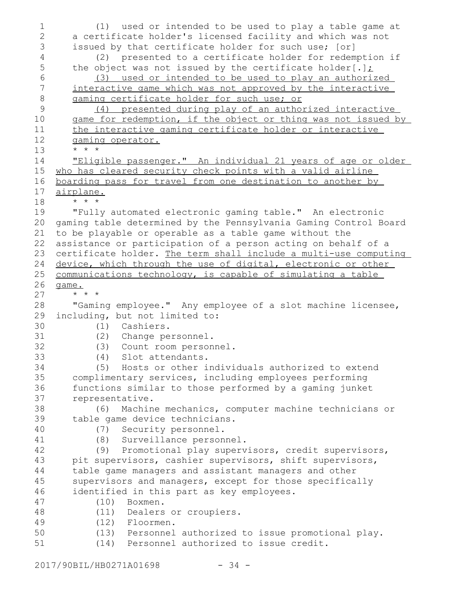(1) used or intended to be used to play a table game at a certificate holder's licensed facility and which was not issued by that certificate holder for such use; [or] (2) presented to a certificate holder for redemption if the object was not issued by the certificate holder[.]; (3) used or intended to be used to play an authorized interactive game which was not approved by the interactive gaming certificate holder for such use; or (4) presented during play of an authorized interactive game for redemption, if the object or thing was not issued by the interactive gaming certificate holder or interactive gaming operator. \* \* \* "Eligible passenger." An individual 21 years of age or older who has cleared security check points with a valid airline boarding pass for travel from one destination to another by airplane. \* \* \* "Fully automated electronic gaming table." An electronic gaming table determined by the Pennsylvania Gaming Control Board to be playable or operable as a table game without the assistance or participation of a person acting on behalf of a certificate holder. The term shall include a multi-use computing device, which through the use of digital, electronic or other communications technology, is capable of simulating a table game. \* \* \* "Gaming employee." Any employee of a slot machine licensee, including, but not limited to: (1) Cashiers. (2) Change personnel. (3) Count room personnel. (4) Slot attendants. (5) Hosts or other individuals authorized to extend complimentary services, including employees performing functions similar to those performed by a gaming junket representative. (6) Machine mechanics, computer machine technicians or table game device technicians. (7) Security personnel. (8) Surveillance personnel. (9) Promotional play supervisors, credit supervisors, pit supervisors, cashier supervisors, shift supervisors, table game managers and assistant managers and other supervisors and managers, except for those specifically identified in this part as key employees. (10) Boxmen. (11) Dealers or croupiers. (12) Floormen. (13) Personnel authorized to issue promotional play. (14) Personnel authorized to issue credit. 1 2 3 4 5 6 7 8 9 10 11 12 13 14 15 16 17 18 19 20 21 22 23 24 25 26 27 28 29 30 31 32 33 34 35 36 37 38 39 40 41 42 43 44 45 46 47 48 49 50 51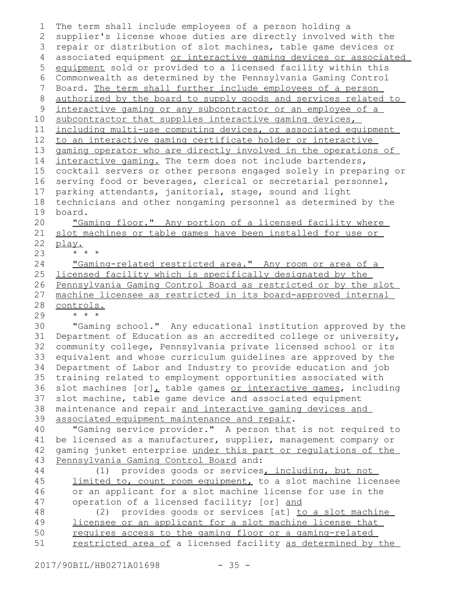| 1               | The term shall include employees of a person holding a                                                                          |
|-----------------|---------------------------------------------------------------------------------------------------------------------------------|
| 2               | supplier's license whose duties are directly involved with the                                                                  |
| 3               | repair or distribution of slot machines, table game devices or                                                                  |
| $\overline{4}$  | associated equipment or interactive gaming devices or associated                                                                |
| 5               | equipment sold or provided to a licensed facility within this                                                                   |
| 6               | Commonwealth as determined by the Pennsylvania Gaming Control                                                                   |
| $7\phantom{.0}$ | Board. The term shall further include employees of a person                                                                     |
| $8\,$           | authorized by the board to supply goods and services related to                                                                 |
| 9               | interactive gaming or any subcontractor or an employee of a                                                                     |
| 10 <sub>o</sub> | subcontractor that supplies interactive gaming devices,                                                                         |
| 11              | including multi-use computing devices, or associated equipment                                                                  |
| 12              | to an interactive gaming certificate holder or interactive                                                                      |
| 13              | gaming operator who are directly involved in the operations of                                                                  |
| 14              | interactive gaming. The term does not include bartenders,                                                                       |
| 15              | cocktail servers or other persons engaged solely in preparing or                                                                |
| 16              | serving food or beverages, clerical or secretarial personnel,                                                                   |
| 17              | parking attendants, janitorial, stage, sound and light                                                                          |
| 18              | technicians and other nongaming personnel as determined by the                                                                  |
| 19              | board.                                                                                                                          |
| 20              | "Gaming floor." Any portion of a licensed facility where                                                                        |
| 21              | slot machines or table games have been installed for use or                                                                     |
| 22              | play.                                                                                                                           |
| 23              | $\star$ $\star$ $\star$                                                                                                         |
| 24              | "Gaming-related restricted area." Any room or area of a                                                                         |
| 25              | licensed facility which is specifically designated by the                                                                       |
| 26              | Pennsylvania Gaming Control Board as restricted or by the slot                                                                  |
| 27              | machine licensee as restricted in its board-approved internal                                                                   |
| 28              | controls.                                                                                                                       |
| 29              |                                                                                                                                 |
| 30              | "Gaming school." Any educational institution approved by the<br>Department of Education as an accredited college or university, |
| 31<br>32        | community college, Pennsylvania private licensed school or its                                                                  |
| 33              |                                                                                                                                 |
| 34              | equivalent and whose curriculum quidelines are approved by the<br>Department of Labor and Industry to provide education and job |
|                 | training related to employment opportunities associated with                                                                    |
| 35<br>36        |                                                                                                                                 |
| 37              | slot machines [or], table games or interactive games, including                                                                 |
| 38              | slot machine, table game device and associated equipment                                                                        |
| 39              | maintenance and repair and interactive gaming devices and<br>associated equipment maintenance and repair.                       |
| 40              | "Gaming service provider." A person that is not required to                                                                     |
| 41              | be licensed as a manufacturer, supplier, management company or                                                                  |
| 42              | gaming junket enterprise under this part or regulations of the                                                                  |
| 43              | Pennsylvania Gaming Control Board and:                                                                                          |
| 44              | (1) provides goods or services, including, but not                                                                              |
| 45              | limited to, count room equipment, to a slot machine licensee                                                                    |
| 46              | or an applicant for a slot machine license for use in the                                                                       |
| 47              | operation of a licensed facility; [or] and                                                                                      |
| 48              | provides goods or services [at] to a slot machine<br>(2)                                                                        |
| 49              | licensee or an applicant for a slot machine license that                                                                        |
| 50              | requires access to the gaming floor or a gaming-related                                                                         |
| 51              | restricted area of a licensed facility as determined by the                                                                     |
|                 |                                                                                                                                 |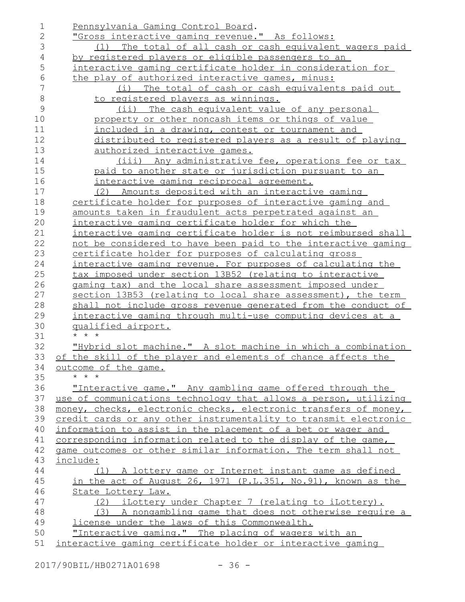| 1             | Pennsylvania Gaming Control Board.                               |
|---------------|------------------------------------------------------------------|
| $\mathbf{2}$  | <u> "Gross interactive gaming revenue." As follows:</u>          |
| 3             | (1) The total of all cash or cash equivalent wagers paid         |
| 4             | by registered players or eligible passengers to an               |
| 5             | interactive gaming certificate holder in consideration for       |
| 6             | the play of authorized interactive games, minus:                 |
| 7             | (i) The total of cash or cash equivalents paid out               |
| 8             | to registered players as winnings.                               |
| $\mathcal{G}$ | (ii) The cash equivalent value of any personal                   |
| 10            | property or other noncash items or things of value               |
| 11            | <u>included in a drawing, contest or tournament and </u>         |
| 12            | distributed to registered players as a result of playing         |
| 13            | authorized interactive games.                                    |
| 14            | (iii) Any administrative fee, operations fee or tax              |
| 15            | paid to another state or jurisdiction pursuant to an             |
| 16            | interactive gaming reciprocal agreement.                         |
| 17            | (2) Amounts deposited with an interactive gaming                 |
| 18            | certificate holder for purposes of interactive gaming and        |
| 19            | amounts taken in fraudulent acts perpetrated against an          |
| 20            | interactive gaming certificate holder for which the              |
| 21            | interactive gaming certificate holder is not reimbursed shall    |
| 22            | not be considered to have been paid to the interactive gaming    |
| 23            | certificate holder for purposes of calculating gross             |
| 24            | interactive gaming revenue. For purposes of calculating the      |
| 25            | tax imposed under section 13B52 (relating to interactive         |
| 26            | gaming tax) and the local share assessment imposed under         |
| 27            | section 13B53 (relating to local share assessment), the term     |
| 28            | shall not include gross revenue generated from the conduct of    |
| 29            | interactive gaming through multi-use computing devices at a      |
| 30            | <u>qualified airport.</u>                                        |
| 31            | $\star$ $\star$ $\star$                                          |
| 32            | "Hybrid slot machine." A slot machine in which a combination     |
| 33            | of the skill of the player and elements of chance affects the    |
| 34            | outcome of the game.                                             |
| 35            | $\star$ $\star$ $\star$                                          |
| 36            | "Interactive game." Any gambling game offered through the        |
| 37            | use of communications technology that allows a person, utilizing |
| 38            | money, checks, electronic checks, electronic transfers of money, |
| 39            | credit cards or any other instrumentality to transmit electronic |
| 40            | information to assist in the placement of a bet or wager and     |
| 41            | corresponding information related to the display of the game,    |
| 42            | game outcomes or other similar information. The term shall not   |
| 43            | include:                                                         |
| 44            | (1) A lottery game or Internet instant game as defined           |
| 45            | in the act of August 26, 1971 (P.L.351, No.91), known as the     |
| 46            | State Lottery Law.                                               |
| 47            | (2) iLottery under Chapter 7 (relating to iLottery).             |
| 48            | (3) A nongambling game that does not otherwise require a         |
| 49            | license under the laws of this Commonwealth.                     |
| 50            | "Interactive gaming." The placing of wagers with an              |
| 51            | interactive gaming certificate holder or interactive gaming      |
|               |                                                                  |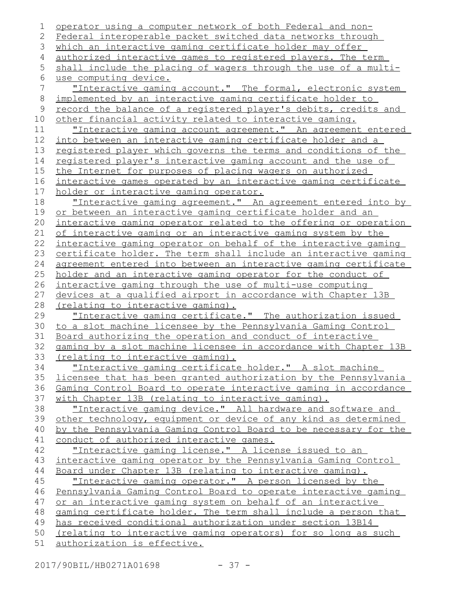```
operator using a computer network of both Federal and non-
   Federal interoperable packet switched data networks through
   which an interactive gaming certificate holder may offer
   authorized interactive games to registered players. The term
   shall include the placing of wagers through the use of a multi-
   use computing device.
       "Interactive gaming account." The formal, electronic system
   implemented by an interactive gaming certificate holder to
   record the balance of a registered player's debits, credits and
   other financial activity related to interactive gaming.
       "Interactive gaming account agreement." An agreement entered
   into between an interactive gaming certificate holder and a
   registered player which governs the terms and conditions of the
   registered player's interactive gaming account and the use of
   the Internet for purposes of placing wagers on authorized
   interactive games operated by an interactive gaming certificate
   holder or interactive gaming operator.
       "Interactive gaming agreement." An agreement entered into by
   or between an interactive gaming certificate holder and an
   interactive gaming operator related to the offering or operation
   of interactive gaming or an interactive gaming system by the
   interactive gaming operator on behalf of the interactive gaming
   certificate holder. The term shall include an interactive gaming
   agreement entered into between an interactive gaming certificate
   holder and an interactive gaming operator for the conduct of
   interactive gaming through the use of multi-use computing
   devices at a qualified airport in accordance with Chapter 13B
   (relating to interactive gaming).
       "Interactive gaming certificate." The authorization issued
   to a slot machine licensee by the Pennsylvania Gaming Control
   Board authorizing the operation and conduct of interactive
   gaming by a slot machine licensee in accordance with Chapter 13B
   (relating to interactive gaming).
       "Interactive gaming certificate holder." A slot machine
   licensee that has been granted authorization by the Pennsylvania
   Gaming Control Board to operate interactive gaming in accordance
   with Chapter 13B (relating to interactive gaming).
       "Interactive gaming device." All hardware and software and
   other technology, equipment or device of any kind as determined
   by the Pennsylvania Gaming Control Board to be necessary for the
   conduct of authorized interactive games.
       "Interactive gaming license." A license issued to an
   interactive gaming operator by the Pennsylvania Gaming Control
   Board under Chapter 13B (relating to interactive gaming).
       "Interactive gaming operator." A person licensed by the
   Pennsylvania Gaming Control Board to operate interactive gaming
   or an interactive gaming system on behalf of an interactive
   gaming certificate holder. The term shall include a person that
   has received conditional authorization under section 13B14
   (relating to interactive gaming operators) for so long as such
   authorization is effective.
1
2
3
 4
5
 6
7
8
9
10
11
12
13
14
15
16
17
18
19
20
21
22
23
24
25
26
27
28
29
30
31
32
33
34
35
36
37
38
39
40
41
42
43
44
45
46
47
48
49
50
51
```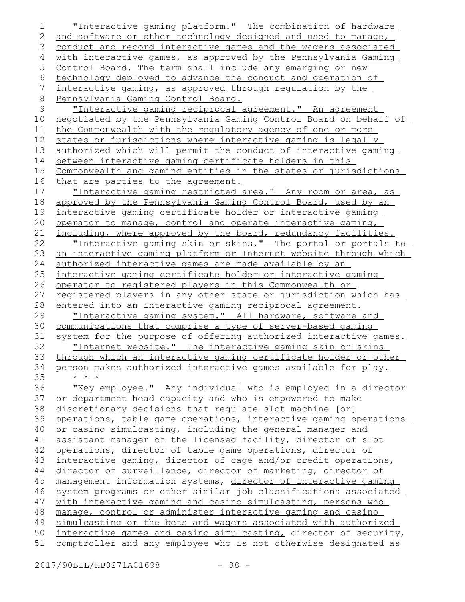"Interactive gaming platform." The combination of hardware and software or other technology designed and used to manage, conduct and record interactive games and the wagers associated with interactive games, as approved by the Pennsylvania Gaming Control Board. The term shall include any emerging or new technology deployed to advance the conduct and operation of interactive gaming, as approved through regulation by the Pennsylvania Gaming Control Board. "Interactive gaming reciprocal agreement." An agreement negotiated by the Pennsylvania Gaming Control Board on behalf of the Commonwealth with the regulatory agency of one or more states or jurisdictions where interactive gaming is legally authorized which will permit the conduct of interactive gaming between interactive gaming certificate holders in this Commonwealth and gaming entities in the states or jurisdictions that are parties to the agreement. "Interactive gaming restricted area." Any room or area, as approved by the Pennsylvania Gaming Control Board, used by an interactive gaming certificate holder or interactive gaming operator to manage, control and operate interactive gaming, including, where approved by the board, redundancy facilities. "Interactive gaming skin or skins." The portal or portals to an interactive gaming platform or Internet website through which authorized interactive games are made available by an interactive gaming certificate holder or interactive gaming operator to registered players in this Commonwealth or registered players in any other state or jurisdiction which has entered into an interactive gaming reciprocal agreement. "Interactive gaming system." All hardware, software and communications that comprise a type of server-based gaming system for the purpose of offering authorized interactive games. "Internet website." The interactive gaming skin or skins through which an interactive gaming certificate holder or other person makes authorized interactive games available for play. \* \* \* "Key employee." Any individual who is employed in a director or department head capacity and who is empowered to make discretionary decisions that regulate slot machine [or] operations, table game operations, interactive gaming operations or casino simulcasting, including the general manager and assistant manager of the licensed facility, director of slot operations, director of table game operations, director of interactive gaming, director of cage and/or credit operations, director of surveillance, director of marketing, director of management information systems, director of interactive gaming system programs or other similar job classifications associated with interactive gaming and casino simulcasting, persons who manage, control or administer interactive gaming and casino simulcasting or the bets and wagers associated with authorized interactive games and casino simulcasting, director of security, comptroller and any employee who is not otherwise designated as 1 2 3 4 5 6 7 8 9 10 11 12 13 14 15 16 17 18 19 20 21 22 23 24 25 26 27 28 29 30 31 32 33 34 35 36 37 38 39 40 41 42 43 44 45 46 47 48 49 50 51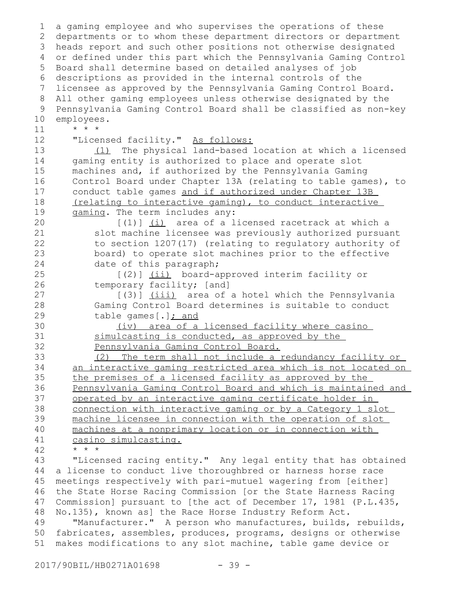a gaming employee and who supervises the operations of these departments or to whom these department directors or department heads report and such other positions not otherwise designated 3 or defined under this part which the Pennsylvania Gaming Control Board shall determine based on detailed analyses of job descriptions as provided in the internal controls of the licensee as approved by the Pennsylvania Gaming Control Board. All other gaming employees unless otherwise designated by the Pennsylvania Gaming Control Board shall be classified as non-key employees. \* \* \* "Licensed facility." As follows: (1) The physical land-based location at which a licensed gaming entity is authorized to place and operate slot machines and, if authorized by the Pennsylvania Gaming Control Board under Chapter 13A (relating to table games), to conduct table games and if authorized under Chapter 13B (relating to interactive gaming) , to conduct interactive gaming. The term includes any: [(1)] (i) area of a licensed racetrack at which a slot machine licensee was previously authorized pursuant to section 1207(17) (relating to regulatory authority of board) to operate slot machines prior to the effective date of this paragraph; [(2)] (ii) board-approved interim facility or temporary facility; [and] [(3)] (iii) area of a hotel which the Pennsylvania Gaming Control Board determines is suitable to conduct table games[.]; and (iv) area of a licensed facility where casino simulcasting is conducted, as approved by the Pennsylvania Gaming Control Board. (2) The term shall not include a redundancy facility or an interactive gaming restricted area which is not located on the premises of a licensed facility as approved by the Pennsylvania Gaming Control Board and which is maintained and operated by an interactive gaming certificate holder in connection with interactive gaming or by a Category 1 slot machine licensee in connection with the operation of slot machines at a nonprimary location or in connection with casino simulcasting. \* \* \* "Licensed racing entity." Any legal entity that has obtained a license to conduct live thoroughbred or harness horse race meetings respectively with pari-mutuel wagering from [either] the State Horse Racing Commission [or the State Harness Racing Commission] pursuant to [the act of December 17, 1981 (P.L.435, No.135), known as] the Race Horse Industry Reform Act. "Manufacturer." A person who manufactures, builds, rebuilds, fabricates, assembles, produces, programs, designs or otherwise makes modifications to any slot machine, table game device or 1 2 4 5 6 7 8 9 10 11 12 13 14 15 16 17 18 19 20 21 22 23 24 25 26 27 28 29 30 31 32 33 34 35 36 37 38 39 40 41 42 43 44 45 46 47 48 49 50 51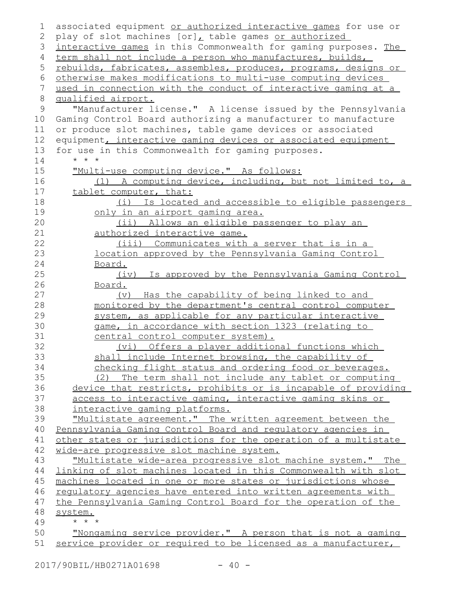| 1  | associated equipment or authorized interactive games for use or |
|----|-----------------------------------------------------------------|
| 2  | play of slot machines [or], table games or authorized           |
| 3  | interactive games in this Commonwealth for gaming purposes. The |
| 4  | term shall not include a person who manufactures, builds,       |
| 5  | rebuilds, fabricates, assembles, produces, programs, designs or |
| 6  | otherwise makes modifications to multi-use computing devices    |
| 7  | used in connection with the conduct of interactive gaming at a  |
| 8  | qualified airport.                                              |
| 9  | "Manufacturer license." A license issued by the Pennsylvania    |
| 10 | Gaming Control Board authorizing a manufacturer to manufacture  |
| 11 | or produce slot machines, table game devices or associated      |
| 12 | equipment, interactive gaming devices or associated equipment   |
| 13 | for use in this Commonwealth for gaming purposes.               |
| 14 | $\star$ $\star$ $\star$                                         |
| 15 |                                                                 |
|    | "Multi-use computing device." As follows:                       |
| 16 | (1) A computing device, including, but not limited to, a        |
| 17 | tablet computer, that:                                          |
| 18 | (i) Is located and accessible to eligible passengers            |
| 19 | only in an airport gaming area.                                 |
| 20 | (ii) Allows an eligible passenger to play an                    |
| 21 | authorized interactive game.                                    |
| 22 | (iii) Communicates with a server that is in a                   |
| 23 | location approved by the Pennsylvania Gaming Control            |
| 24 | Board.                                                          |
| 25 | (iv) Is approved by the Pennsylvania Gaming Control             |
| 26 | Board.                                                          |
| 27 | (v) Has the capability of being linked to and                   |
| 28 | monitored by the department's central control computer          |
| 29 | system, as applicable for any particular interactive            |
| 30 | game, in accordance with section 1323 (relating to              |
| 31 | central control computer system).                               |
| 32 | (vi) Offers a player additional functions which                 |
| 33 | shall include Internet browsing, the capability of              |
| 34 | checking flight status and ordering food or beverages.          |
| 35 | (2) The term shall not include any tablet or computing          |
| 36 | device that restricts, prohibits or is incapable of providing   |
| 37 | access to interactive gaming, interactive gaming skins or       |
| 38 | interactive gaming platforms.                                   |
| 39 | "Multistate agreement." The written agreement between the       |
| 40 | Pennsylvania Gaming Control Board and regulatory agencies in    |
| 41 | other states or jurisdictions for the operation of a multistate |
| 42 | wide-are progressive slot machine system.                       |
| 43 | "Multistate wide-area progressive slot machine system." The     |
| 44 | linking of slot machines located in this Commonwealth with slot |
| 45 | machines located in one or more states or jurisdictions whose   |
| 46 | regulatory agencies have entered into written agreements with   |
| 47 | the Pennsylvania Gaming Control Board for the operation of the  |
| 48 | system.                                                         |
| 49 | $\star$ $\star$ $\star$                                         |
| 50 | "Nongaming service provider." A person that is not a gaming     |
| 51 | service provider or required to be licensed as a manufacturer,  |
|    |                                                                 |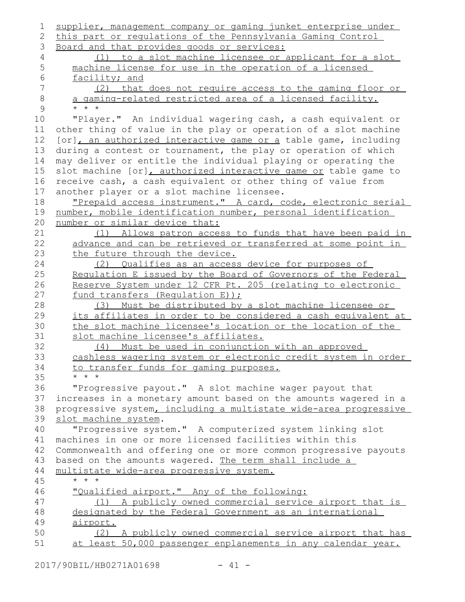| 1              | supplier, management company or gaming junket enterprise under                           |
|----------------|------------------------------------------------------------------------------------------|
| 2              | this part or regulations of the Pennsylvania Gaming Control                              |
| 3              | Board and that provides goods or services:                                               |
| $\overline{4}$ | (1) to a slot machine licensee or applicant for a slot                                   |
| 5              | machine license for use in the operation of a licensed                                   |
| 6              | facility; and                                                                            |
| 7              | (2) that does not require access to the gaming floor or                                  |
| $\,8\,$        | a gaming-related restricted area of a licensed facility.                                 |
| 9              | $* * *$                                                                                  |
| 10             | "Player." An individual wagering cash, a cash equivalent or                              |
| 11             | other thing of value in the play or operation of a slot machine                          |
| 12             | [or], an authorized interactive game or a table game, including                          |
| 13             | during a contest or tournament, the play or operation of which                           |
| 14             | may deliver or entitle the individual playing or operating the                           |
| 15             | slot machine [or], authorized interactive game or table game to                          |
| 16             | receive cash, a cash equivalent or other thing of value from                             |
| 17             | another player or a slot machine licensee.                                               |
| 18             | "Prepaid access instrument." A card, code, electronic serial                             |
| 19             | number, mobile identification number, personal identification                            |
| 20             | number or similar device that:                                                           |
| 21             | (1) Allows patron access to funds that have been paid in                                 |
| 22             | advance and can be retrieved or transferred at some point in                             |
| 23             | the future through the device.                                                           |
| 24             | (2) Qualifies as an access device for purposes of                                        |
| 25             | Regulation E issued by the Board of Governors of the Federal                             |
| 26             | Reserve System under 12 CFR Pt. 205 (relating to electronic                              |
| 27             | fund transfers (Requlation E));                                                          |
| 28             | (3) Must be distributed by a slot machine licensee or                                    |
| 29             | its affiliates in order to be considered a cash equivalent at                            |
| 30             | the slot machine licensee's location or the location of the                              |
| 31             | slot machine licensee's affiliates.                                                      |
| 32             | (4) Must be used in conjunction with an approved                                         |
| 33             | cashless wagering system or electronic credit system in order                            |
| 34             | to transfer funds for gaming purposes.<br>$* * *$                                        |
| 35<br>36       |                                                                                          |
| 37             | "Progressive payout." A slot machine wager payout that                                   |
| 38             | increases in a monetary amount based on the amounts wagered in a                         |
| 39             | progressive system, including a multistate wide-area progressive<br>slot machine system. |
| 40             | "Progressive system." A computerized system linking slot                                 |
| 41             | machines in one or more licensed facilities within this                                  |
| 42             | Commonwealth and offering one or more common progressive payouts                         |
| 43             | based on the amounts wagered. The term shall include a                                   |
| 44             | multistate wide-area progressive system.                                                 |
| 45             | $\star$ $\star$ $\star$                                                                  |
| 46             | "Qualified airport." Any of the following:                                               |
| 47             | A publicly owned commercial service airport that is<br>(1)                               |
| 48             | designated by the Federal Government as an international                                 |
| 49             | airport.                                                                                 |
| 50             | (2) A publicly owned commercial service airport that has                                 |
| 51             | at least 50,000 passenger enplanements in any calendar year.                             |
|                |                                                                                          |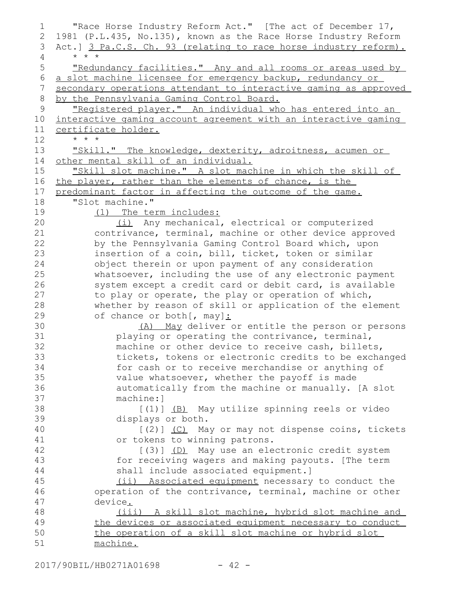"Race Horse Industry Reform Act." [The act of December 17, 1981 (P.L.435, No.135), known as the Race Horse Industry Reform Act.] 3 Pa.C.S. Ch. 93 (relating to race horse industry reform). \* \* \* "Redundancy facilities." Any and all rooms or areas used by a slot machine licensee for emergency backup, redundancy or secondary operations attendant to interactive gaming as approved by the Pennsylvania Gaming Control Board. "Registered player." An individual who has entered into an interactive gaming account agreement with an interactive gaming certificate holder. \* \* \* "Skill." The knowledge, dexterity, adroitness, acumen or other mental skill of an individual. "Skill slot machine." A slot machine in which the skill of the player, rather than the elements of chance, is the predominant factor in affecting the outcome of the game. "Slot machine." (1) The term includes: (i) Any mechanical, electrical or computerized contrivance, terminal, machine or other device approved by the Pennsylvania Gaming Control Board which, upon insertion of a coin, bill, ticket, token or similar object therein or upon payment of any consideration whatsoever, including the use of any electronic payment system except a credit card or debit card, is available to play or operate, the play or operation of which, whether by reason of skill or application of the element of chance or both [, may] : (A) May deliver or entitle the person or persons playing or operating the contrivance, terminal, machine or other device to receive cash, billets, tickets, tokens or electronic credits to be exchanged for cash or to receive merchandise or anything of value whatsoever, whether the payoff is made automatically from the machine or manually. [A slot machine:] [(1)] (B) May utilize spinning reels or video displays or both. [(2)] (C) May or may not dispense coins, tickets or tokens to winning patrons. [(3)] (D) May use an electronic credit system for receiving wagers and making payouts. [The term shall include associated equipment.] (ii) Associated equipment necessary to conduct the operation of the contrivance, terminal, machine or other device. (iii) A skill slot machine, hybrid slot machine and the devices or associated equipment necessary to conduct the operation of a skill slot machine or hybrid slot machine. 1 2 3 4 5 6 7 8 9 10 11 12 13 14 15 16 17 18 19 20 21 22 23 24 25 26 27 28 29 30 31 32 33 34 35 36 37 38 39 40 41 42 43 44 45 46 47 48 49 50 51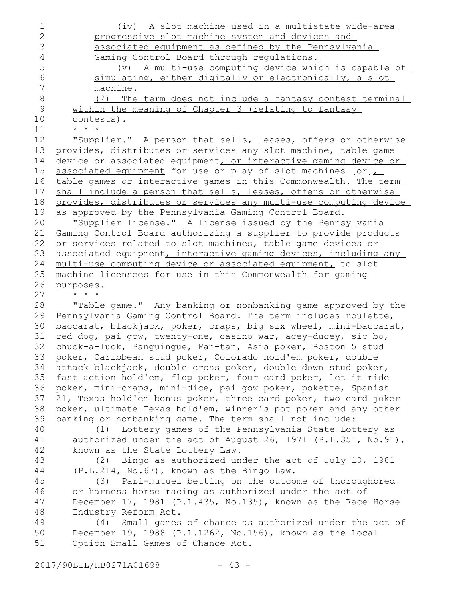| $\mathbf 1$    | (iv) A slot machine used in a multistate wide-area               |
|----------------|------------------------------------------------------------------|
| $\overline{2}$ | progressive slot machine system and devices and                  |
| 3              | associated equipment as defined by the Pennsylvania              |
| 4              | Gaming Control Board through regulations.                        |
| 5              | (v) A multi-use computing device which is capable of             |
| 6              | simulating, either digitally or electronically, a slot           |
| $\overline{7}$ | machine.                                                         |
| 8              | (2) The term does not include a fantasy contest terminal         |
| $\mathsf 9$    | within the meaning of Chapter 3 (relating to fantasy             |
| 10             | contests).                                                       |
| 11             | $\star$ $\star$ $\star$                                          |
| 12             | "Supplier." A person that sells, leases, offers or otherwise     |
| 13             | provides, distributes or services any slot machine, table game   |
| 14             | device or associated equipment, or interactive gaming device or  |
| 15             | associated equipment for use or play of slot machines [or]       |
| 16             | table games or interactive games in this Commonwealth. The term  |
| 17             | shall include a person that sells, leases, offers or otherwise   |
| 18             | provides, distributes or services any multi-use computing device |
| 19             | as approved by the Pennsylvania Gaming Control Board.            |
| 20             | "Supplier license." A license issued by the Pennsylvania         |
| 21             | Gaming Control Board authorizing a supplier to provide products  |
| 22             | or services related to slot machines, table game devices or      |
| 23             | associated equipment, interactive gaming devices, including any  |
| 24             | multi-use computing device or associated equipment, to slot      |
| 25             | machine licensees for use in this Commonwealth for gaming        |
| 26             | purposes.                                                        |
| 27             | $\star$ $\star$                                                  |
| 28             | "Table game." Any banking or nonbanking game approved by the     |
| 29             | Pennsylvania Gaming Control Board. The term includes roulette,   |
| 30             | baccarat, blackjack, poker, craps, big six wheel, mini-baccarat, |
| 31             | red dog, pai gow, twenty-one, casino war, acey-ducey, sic bo,    |
| 32             | chuck-a-luck, Panguingue, Fan-tan, Asia poker, Boston 5 stud     |
| 33             | poker, Caribbean stud poker, Colorado hold'em poker, double      |
| 34             | attack blackjack, double cross poker, double down stud poker,    |
| 35             | fast action hold'em, flop poker, four card poker, let it ride    |
| 36             | poker, mini-craps, mini-dice, pai gow poker, pokette, Spanish    |
| 37             | 21, Texas hold'em bonus poker, three card poker, two card joker  |
| 38             | poker, ultimate Texas hold'em, winner's pot poker and any other  |
| 39             | banking or nonbanking game. The term shall not include:          |
| 40             | (1) Lottery games of the Pennsylvania State Lottery as           |
| 41             | authorized under the act of August 26, 1971 (P.L.351, No.91),    |
| 42             | known as the State Lottery Law.                                  |
| 43             | (2) Bingo as authorized under the act of July 10, 1981           |
| 44             | (P.L.214, No.67), known as the Bingo Law.                        |
| 45             | Pari-mutuel betting on the outcome of thoroughbred<br>(3)        |
| 46             | or harness horse racing as authorized under the act of           |
| 47             | December 17, 1981 (P.L.435, No.135), known as the Race Horse     |
| 48             | Industry Reform Act.                                             |
| 49             | Small games of chance as authorized under the act of<br>(4)      |
| 50             | December 19, 1988 (P.L.1262, No.156), known as the Local         |
| 51             | Option Small Games of Chance Act.                                |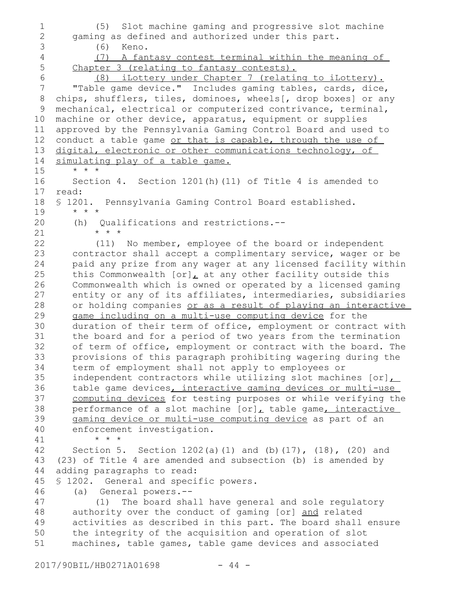(5) Slot machine gaming and progressive slot machine gaming as defined and authorized under this part. (6) Keno. (7) A fantasy contest terminal within the meaning of Chapter 3 (relating to fantasy contests). (8) iLottery under Chapter 7 (relating to iLottery). "Table game device." Includes gaming tables, cards, dice, chips, shufflers, tiles, dominoes, wheels[, drop boxes] or any mechanical, electrical or computerized contrivance, terminal, machine or other device, apparatus, equipment or supplies approved by the Pennsylvania Gaming Control Board and used to conduct a table game or that is capable, through the use of digital, electronic or other communications technology, of simulating play of a table game. \* \* \* Section 4. Section 1201(h)(11) of Title 4 is amended to read: § 1201. Pennsylvania Gaming Control Board established. \* \* \* (h) Qualifications and restrictions.-- \* \* \* (11) No member, employee of the board or independent contractor shall accept a complimentary service, wager or be paid any prize from any wager at any licensed facility within this Commonwealth  $[or]_L$  at any other facility outside this Commonwealth which is owned or operated by a licensed gaming entity or any of its affiliates, intermediaries, subsidiaries or holding companies or as a result of playing an interactive game including on a multi-use computing device for the duration of their term of office, employment or contract with the board and for a period of two years from the termination of term of office, employment or contract with the board. The provisions of this paragraph prohibiting wagering during the term of employment shall not apply to employees or independent contractors while utilizing slot machines  $[or]$ , table game devices, interactive gaming devices or multi-use computing devices for testing purposes or while verifying the performance of a slot machine  $[or]_L$  table game, interactive gaming device or multi-use computing device as part of an enforcement investigation. \* \* \* Section 5. Section 1202(a)(1) and (b)(17), (18), (20) and (23) of Title 4 are amended and subsection (b) is amended by adding paragraphs to read: § 1202. General and specific powers. (a) General powers.-- (1) The board shall have general and sole regulatory authority over the conduct of gaming [or] and related activities as described in this part. The board shall ensure the integrity of the acquisition and operation of slot machines, table games, table game devices and associated 1 2 3 4 5 6 7 8 9 10 11 12 13 14 15 16 17 18 19 20 21 22 23 24 25 26 27 28 29 30 31 32 33 34 35 36 37 38 39 40 41 42 43 44 45 46 47 48 49 50 51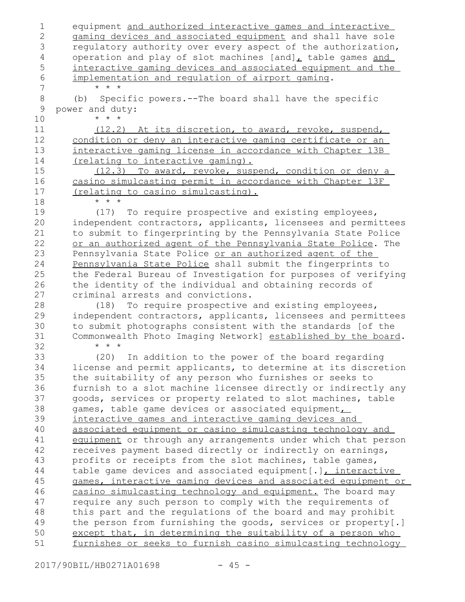| 1             | equipment and authorized interactive games and interactive    |
|---------------|---------------------------------------------------------------|
| $\mathbf 2$   | gaming devices and associated equipment and shall have sole   |
| 3             | regulatory authority over every aspect of the authorization,  |
| 4             | operation and play of slot machines [and], table games and    |
| 5             | interactive gaming devices and associated equipment and the   |
| 6             | implementation and regulation of airport gaming.              |
| 7             | $\star$ $\star$ $\star$                                       |
| $\,8\,$       | Specific powers.--The board shall have the specific<br>(b)    |
| $\mathcal{G}$ | power and duty:                                               |
| 10            | $\star$ $\star$ $\star$                                       |
| 11            | (12.2) At its discretion, to award, revoke, suspend,          |
| 12            | condition or deny an interactive gaming certificate or an     |
| 13            | interactive gaming license in accordance with Chapter 13B     |
| 14            | (relating to interactive gaming).                             |
| 15            | (12.3) To award, revoke, suspend, condition or deny a         |
| 16            | casino simulcasting permit in accordance with Chapter 13F     |
| 17            | (relating to casino simulcasting).                            |
| 18            | $\star$ $\star$ $\star$                                       |
| 19            | (17) To require prospective and existing employees,           |
| 20            | independent contractors, applicants, licensees and permittees |
| 21            | to submit to fingerprinting by the Pennsylvania State Police  |
| 22            | or an authorized agent of the Pennsylvania State Police. The  |
| 23            | Pennsylvania State Police or an authorized agent of the       |
| 24            | Pennsylvania State Police shall submit the fingerprints to    |
| 25            | the Federal Bureau of Investigation for purposes of verifying |
| 26            | the identity of the individual and obtaining records of       |
| 27            | criminal arrests and convictions.                             |
| 28            | (18) To require prospective and existing employees,           |
| 29            | independent contractors, applicants, licensees and permittees |
| 30            | to submit photographs consistent with the standards [of the   |
| 31            | Commonwealth Photo Imaging Network] established by the board. |
| 32            | $\star$ $\star$ $\star$                                       |
| 33            | (20)                                                          |
|               | In addition to the power of the board regarding               |
| 34            | license and permit applicants, to determine at its discretion |
| 35            | the suitability of any person who furnishes or seeks to       |
| 36            | furnish to a slot machine licensee directly or indirectly any |
| 37            | goods, services or property related to slot machines, table   |
| 38            | games, table game devices or associated equipment             |
| 39            | interactive games and interactive gaming devices and          |
| 40            | associated equipment or casino simulcasting technology and    |
| 41            | equipment or through any arrangements under which that person |
| 42            | receives payment based directly or indirectly on earnings,    |
| 43            | profits or receipts from the slot machines, table games,      |
| 44            | table game devices and associated equipment [.], interactive  |
| 45            | games, interactive gaming devices and associated equipment or |
| 46            | casino simulcasting technology and equipment. The board may   |
| 47            | require any such person to comply with the requirements of    |
| 48            | this part and the regulations of the board and may prohibit   |
| 49            | the person from furnishing the goods, services or property[.] |
| 50            | except that, in determining the suitability of a person who   |
| 51            | furnishes or seeks to furnish casino simulcasting technology  |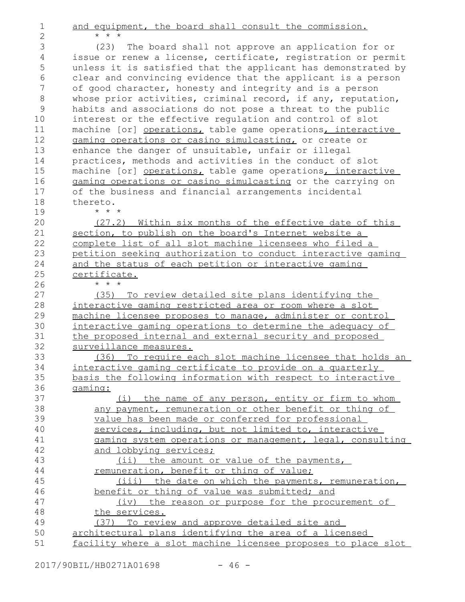and equipment, the board shall consult the commission. \* \* \*

(23) The board shall not approve an application for or issue or renew a license, certificate, registration or permit unless it is satisfied that the applicant has demonstrated by clear and convincing evidence that the applicant is a person of good character, honesty and integrity and is a person whose prior activities, criminal record, if any, reputation, habits and associations do not pose a threat to the public interest or the effective regulation and control of slot machine [or] operations, table game operations, interactive gaming operations or casino simulcasting, or create or enhance the danger of unsuitable, unfair or illegal practices, methods and activities in the conduct of slot machine [or] operations, table game operations, interactive gaming operations or casino simulcasting or the carrying on of the business and financial arrangements incidental thereto. \* \* \* 3 4 5 6 7 8 9 10 11 12 13 14 15 16 17 18 19

(27.2) Within six months of the effective date of this section, to publish on the board's Internet website a complete list of all slot machine licensees who filed a petition seeking authorization to conduct interactive gaming and the status of each petition or interactive gaming certificate.

\* \* \*

1 2

(35) To review detailed site plans identifying the interactive gaming restricted area or room where a slot machine licensee proposes to manage, administer or control interactive gaming operations to determine the adequacy of the proposed internal and external security and proposed surveillance measures.

(36) To require each slot machine licensee that holds an interactive gaming certificate to provide on a quarterly basis the following information with respect to interactive gaming:

| 37 | the name of any person, entity or firm to whom                |
|----|---------------------------------------------------------------|
| 38 | any payment, remuneration or other benefit or thing of        |
| 39 | value has been made or conferred for professional             |
| 40 | services, including, but not limited to, interactive          |
| 41 | gaming system operations or management, legal, consulting     |
| 42 | and lobbying services;                                        |
| 43 | <u>(ii) the amount or value of the payments,</u>              |
| 44 | remuneration, benefit or thing of value;                      |
| 45 | the date on which the payments, remuneration,<br>(iii)        |
| 46 | benefit or thing of value was submitted; and                  |
| 47 | (iv) the reason or purpose for the procurement of             |
| 48 | the services.                                                 |
| 49 | (37) To review and approve detailed site and                  |
| 50 | architectural plans identifying the area of a licensed        |
| 51 | facility where a slot machine licensee proposes to place slot |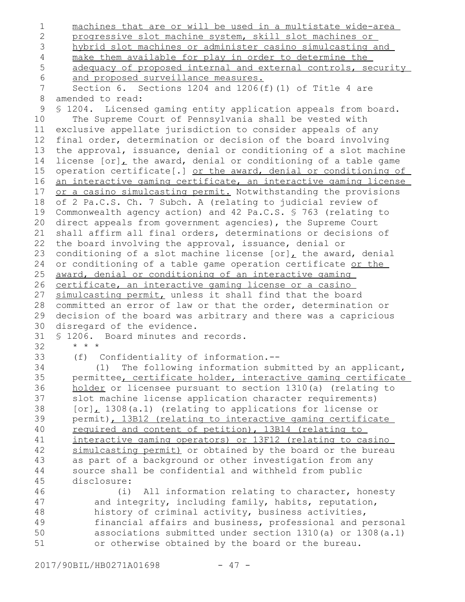machines that are or will be used in a multistate wide-area progressive slot machine system, skill slot machines or hybrid slot machines or administer casino simulcasting and make them available for play in order to determine the adequacy of proposed internal and external controls, security and proposed surveillance measures. Section 6. Sections 1204 and 1206(f)(1) of Title 4 are amended to read: § 1204. Licensed gaming entity application appeals from board. The Supreme Court of Pennsylvania shall be vested with exclusive appellate jurisdiction to consider appeals of any final order, determination or decision of the board involving the approval, issuance, denial or conditioning of a slot machine license  $[or]_L$  the award, denial or conditioning of a table game operation certificate[.] or the award, denial or conditioning of an interactive gaming certificate, an interactive gaming license or a casino simulcasting permit. Notwithstanding the provisions of 2 Pa.C.S. Ch. 7 Subch. A (relating to judicial review of Commonwealth agency action) and 42 Pa.C.S. § 763 (relating to direct appeals from government agencies), the Supreme Court shall affirm all final orders, determinations or decisions of the board involving the approval, issuance, denial or conditioning of a slot machine license  $[or]_L$  the award, denial or conditioning of a table game operation certificate or the award, denial or conditioning of an interactive gaming certificate, an interactive gaming license or a casino simulcasting permit, unless it shall find that the board committed an error of law or that the order, determination or decision of the board was arbitrary and there was a capricious disregard of the evidence. § 1206. Board minutes and records. \* \* \* (f) Confidentiality of information.-- (1) The following information submitted by an applicant, permittee, certificate holder, interactive gaming certificate holder or licensee pursuant to section 1310(a) (relating to slot machine license application character requirements) [or], 1308(a.1) (relating to applications for license or permit), 13B12 (relating to interactive gaming certificate required and content of petition), 13B14 (relating to interactive gaming operators) or 13F12 (relating to casino simulcasting permit) or obtained by the board or the bureau as part of a background or other investigation from any source shall be confidential and withheld from public disclosure: (i) All information relating to character, honesty and integrity, including family, habits, reputation, history of criminal activity, business activities, financial affairs and business, professional and personal associations submitted under section 1310(a) or 1308(a.1) or otherwise obtained by the board or the bureau. 1 2 3 4 5 6 7 8 9 10 11 12 13 14 15 16 17 18 19 20 21 22 23 24 25 26 27 28 29 30 31 32 33 34 35 36 37 38 39 40 41 42 43 44 45 46 47 48 49 50 51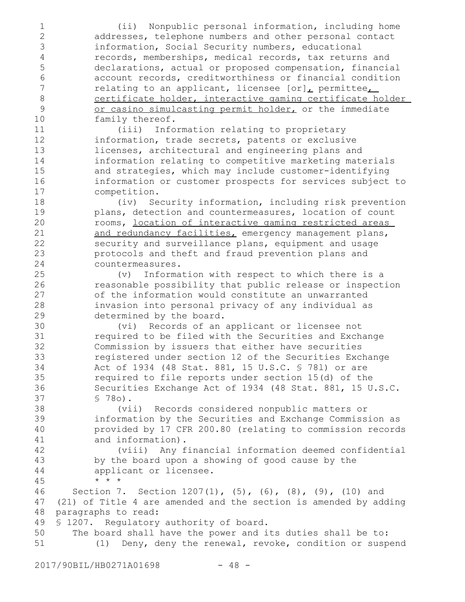(ii) Nonpublic personal information, including home addresses, telephone numbers and other personal contact information, Social Security numbers, educational records, memberships, medical records, tax returns and declarations, actual or proposed compensation, financial account records, creditworthiness or financial condition relating to an applicant, licensee  $[or]_L$  permittee, certificate holder, interactive gaming certificate holder or casino simulcasting permit holder, or the immediate family thereof. (iii) Information relating to proprietary information, trade secrets, patents or exclusive licenses, architectural and engineering plans and information relating to competitive marketing materials and strategies, which may include customer-identifying information or customer prospects for services subject to competition. (iv) Security information, including risk prevention plans, detection and countermeasures, location of count rooms, location of interactive gaming restricted areas and redundancy facilities, emergency management plans, security and surveillance plans, equipment and usage protocols and theft and fraud prevention plans and countermeasures. (v) Information with respect to which there is a reasonable possibility that public release or inspection of the information would constitute an unwarranted invasion into personal privacy of any individual as determined by the board. (vi) Records of an applicant or licensee not required to be filed with the Securities and Exchange Commission by issuers that either have securities registered under section 12 of the Securities Exchange Act of 1934 (48 Stat. 881, 15 U.S.C. § 78l) or are required to file reports under section 15(d) of the Securities Exchange Act of 1934 (48 Stat. 881, 15 U.S.C. § 78o). (vii) Records considered nonpublic matters or information by the Securities and Exchange Commission as provided by 17 CFR 200.80 (relating to commission records and information). (viii) Any financial information deemed confidential by the board upon a showing of good cause by the applicant or licensee. \* \* \* Section 7. Section 1207(1), (5), (6), (8), (9), (10) and (21) of Title 4 are amended and the section is amended by adding paragraphs to read: § 1207. Regulatory authority of board. The board shall have the power and its duties shall be to: (1) Deny, deny the renewal, revoke, condition or suspend 1 2 3 4 5 6 7 8 9 10 11 12 13 14 15 16 17 18 19 20 21 22 23 24 25 26 27 28 29 30 31 32 33 34 35 36 37 38 39 40 41 42 43 44 45 46 47 48 49 50 51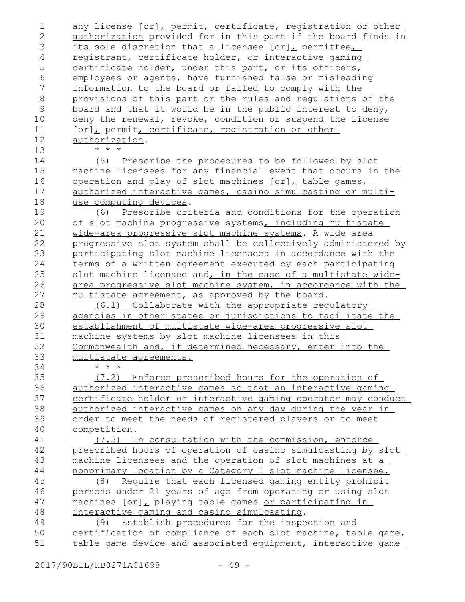any license [or], permit, certificate, registration or other authorization provided for in this part if the board finds in its sole discretion that a licensee [or], permittee, registrant, certificate holder, or interactive gaming certificate holder, under this part, or its officers, employees or agents, have furnished false or misleading information to the board or failed to comply with the provisions of this part or the rules and regulations of the board and that it would be in the public interest to deny, deny the renewal, revoke, condition or suspend the license [or], permit, certificate, registration or other authorization. \* \* \* (5) Prescribe the procedures to be followed by slot machine licensees for any financial event that occurs in the operation and play of slot machines  $[or]_L$  table games $_L$ authorized interactive games, casino simulcasting or multiuse computing devices. (6) Prescribe criteria and conditions for the operation of slot machine progressive systems, including multistate wide-area progressive slot machine systems. A wide area progressive slot system shall be collectively administered by participating slot machine licensees in accordance with the terms of a written agreement executed by each participating slot machine licensee and, in the case of a multistate widearea progressive slot machine system, in accordance with the multistate agreement, as approved by the board. (6.1) Collaborate with the appropriate regulatory agencies in other states or jurisdictions to facilitate the establishment of multistate wide-area progressive slot machine systems by slot machine licensees in this Commonwealth and, if determined necessary, enter into the multistate agreements. \* \* \* (7.2) Enforce prescribed hours for the operation of authorized interactive games so that an interactive gaming certificate holder or interactive gaming operator may conduct authorized interactive games on any day during the year in order to meet the needs of registered players or to meet competition. (7.3) In consultation with the commission, enforce prescribed hours of operation of casino simulcasting by slot machine licensees and the operation of slot machines at a nonprimary location by a Category 1 slot machine licensee. (8) Require that each licensed gaming entity prohibit persons under 21 years of age from operating or using slot machines [or], playing table games or participating in interactive gaming and casino simulcasting. (9) Establish procedures for the inspection and certification of compliance of each slot machine, table game, table game device and associated equipment, interactive game 1 2 3 4 5 6 7 8 9 10 11 12 13 14 15 16 17 18 19 20 21 22 23 24 25 26 27 28 29 30 31 32 33 34 35 36 37 38 39 40 41 42 43 44 45 46 47 48 49 50 51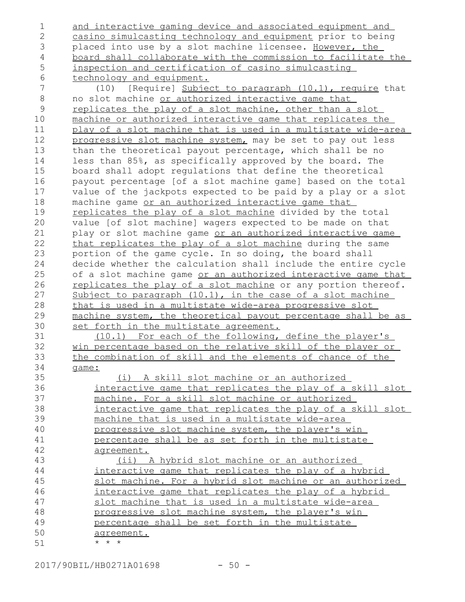and interactive gaming device and associated equipment and casino simulcasting technology and equipment prior to being placed into use by a slot machine licensee. However, the board shall collaborate with the commission to facilitate the inspection and certification of casino simulcasting technology and equipment. (10) [Require] Subject to paragraph (10.1), require that no slot machine or authorized interactive game that replicates the play of a slot machine, other than a slot machine or authorized interactive game that replicates the play of a slot machine that is used in a multistate wide-area progressive slot machine system, may be set to pay out less than the theoretical payout percentage, which shall be no less than 85%, as specifically approved by the board. The board shall adopt regulations that define the theoretical payout percentage [of a slot machine game] based on the total value of the jackpots expected to be paid by a play or a slot machine game or an authorized interactive game that replicates the play of a slot machine divided by the total value [of slot machine] wagers expected to be made on that play or slot machine game or an authorized interactive game that replicates the play of a slot machine during the same portion of the game cycle. In so doing, the board shall decide whether the calculation shall include the entire cycle of a slot machine game or an authorized interactive game that replicates the play of a slot machine or any portion thereof. Subject to paragraph (10.1), in the case of a slot machine that is used in a multistate wide-area progressive slot machine system, the theoretical payout percentage shall be as set forth in the multistate agreement. (10.1) For each of the following, define the player's win percentage based on the relative skill of the player or the combination of skill and the elements of chance of the game: (i) A skill slot machine or an authorized interactive game that replicates the play of a skill slot machine. For a skill slot machine or authorized interactive game that replicates the play of a skill slot machine that is used in a multistate wide-area progressive slot machine system, the player's win percentage shall be as set forth in the multistate agreement. (ii) A hybrid slot machine or an authorized interactive game that replicates the play of a hybrid slot machine. For a hybrid slot machine or an authorized interactive game that replicates the play of a hybrid slot machine that is used in a multistate wide-area progressive slot machine system, the player's win percentage shall be set forth in the multistate agreement. \* \* \* 1 2 3 4 5 6 7 8 9 10 11 12 13 14 15 16 17 18 19 20 21 22 23 24 25 26 27 28 29 30 31 32 33 34 35 36 37 38 39 40 41 42 43 44 45 46 47 48 49 50 51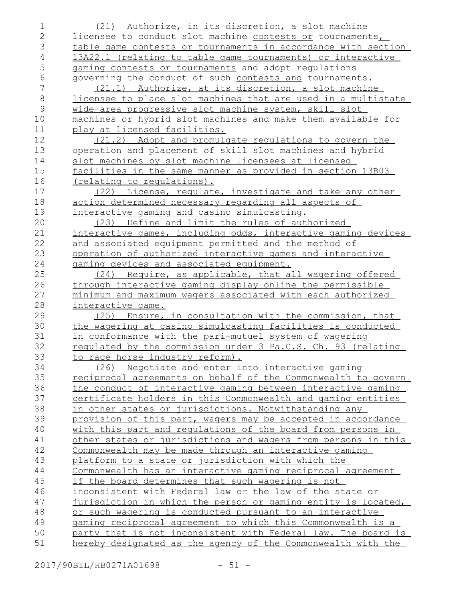(21) Authorize, in its discretion, a slot machine licensee to conduct slot machine contests or tournaments, table game contests or tournaments in accordance with section 13A22.1 (relating to table game tournaments) or interactive gaming contests or tournaments and adopt regulations governing the conduct of such contests and tournaments. (21.1) Authorize, at its discretion, a slot machine licensee to place slot machines that are used in a multistate wide-area progressive slot machine system, skill slot machines or hybrid slot machines and make them available for play at licensed facilities. (21.2) Adopt and promulgate regulations to govern the operation and placement of skill slot machines and hybrid slot machines by slot machine licensees at licensed facilities in the same manner as provided in section 13B03 (relating to regulations). (22) License, regulate, investigate and take any other action determined necessary regarding all aspects of interactive gaming and casino simulcasting. (23) Define and limit the rules of authorized interactive games, including odds, interactive gaming devices and associated equipment permitted and the method of operation of authorized interactive games and interactive gaming devices and associated equipment. (24) Require, as applicable, that all wagering offered through interactive gaming display online the permissible minimum and maximum wagers associated with each authorized interactive game. (25) Ensure, in consultation with the commission, that the wagering at casino simulcasting facilities is conducted in conformance with the pari-mutuel system of wagering regulated by the commission under 3 Pa.C.S. Ch. 93 (relating to race horse industry reform). (26) Negotiate and enter into interactive gaming reciprocal agreements on behalf of the Commonwealth to govern the conduct of interactive gaming between interactive gaming certificate holders in this Commonwealth and gaming entities in other states or jurisdictions. Notwithstanding any provision of this part, wagers may be accepted in accordance with this part and requlations of the board from persons in other states or jurisdictions and wagers from persons in this Commonwealth may be made through an interactive gaming platform to a state or jurisdiction with which the Commonwealth has an interactive gaming reciprocal agreement if the board determines that such wagering is not inconsistent with Federal law or the law of the state or jurisdiction in which the person or gaming entity is located, or such wagering is conducted pursuant to an interactive gaming reciprocal agreement to which this Commonwealth is a party that is not inconsistent with Federal law. The board is hereby designated as the agency of the Commonwealth with the 1 2 3 4 5 6 7 8 9 10 11 12 13 14 15 16 17 18 19 20 21 22 23 24 25 26 27 28 29 30 31 32 33 34 35 36 37 38 39 40 41 42 43 44 45 46 47 48 49 50 51

2017/90BIL/HB0271A01698 - 51 -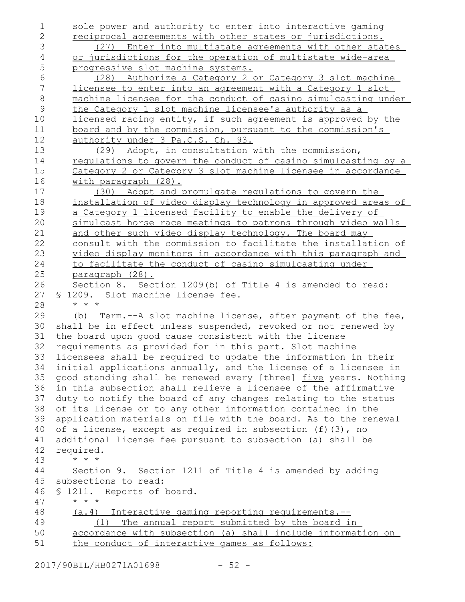sole power and authority to enter into interactive gaming reciprocal agreements with other states or jurisdictions. (27) Enter into multistate agreements with other states or jurisdictions for the operation of multistate wide-area progressive slot machine systems. (28) Authorize a Category 2 or Category 3 slot machine licensee to enter into an agreement with a Category 1 slot machine licensee for the conduct of casino simulcasting under the Category 1 slot machine licensee's authority as a licensed racing entity, if such agreement is approved by the board and by the commission, pursuant to the commission's authority under 3 Pa.C.S. Ch. 93. (29) Adopt, in consultation with the commission, regulations to govern the conduct of casino simulcasting by a Category 2 or Category 3 slot machine licensee in accordance with paragraph (28). (30) Adopt and promulgate regulations to govern the installation of video display technology in approved areas of a Category 1 licensed facility to enable the delivery of simulcast horse race meetings to patrons through video walls and other such video display technology. The board may consult with the commission to facilitate the installation of video display monitors in accordance with this paragraph and to facilitate the conduct of casino simulcasting under paragraph (28). Section 8. Section 1209(b) of Title 4 is amended to read: § 1209. Slot machine license fee. \* \* \* (b) Term.--A slot machine license, after payment of the fee, shall be in effect unless suspended, revoked or not renewed by the board upon good cause consistent with the license requirements as provided for in this part. Slot machine licensees shall be required to update the information in their initial applications annually, and the license of a licensee in good standing shall be renewed every [three] five years. Nothing in this subsection shall relieve a licensee of the affirmative duty to notify the board of any changes relating to the status of its license or to any other information contained in the application materials on file with the board. As to the renewal of a license, except as required in subsection (f)(3), no additional license fee pursuant to subsection (a) shall be required. \* \* \* Section 9. Section 1211 of Title 4 is amended by adding subsections to read: § 1211. Reports of board. \* \* \* (a.4) Interactive gaming reporting requirements.-- (1) The annual report submitted by the board in accordance with subsection (a) shall include information on the conduct of interactive games as follows: 1 2 3 4 5 6 7 8 9 10 11 12 13 14 15 16 17 18 19 20 21 22 23 24 25 26 27 28 29 30 31 32 33 34 35 36 37 38 39 40 41 42 43 44 45 46 47 48 49 50 51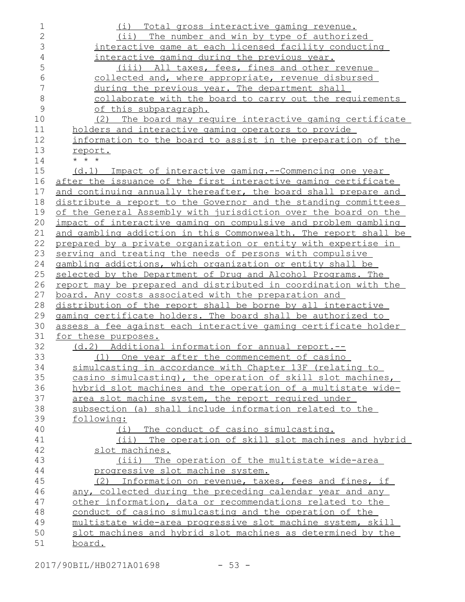| $\mathbf 1$    | (i) Total gross interactive gaming revenue.                                                                    |
|----------------|----------------------------------------------------------------------------------------------------------------|
| $\overline{2}$ | (ii) The number and win by type of authorized                                                                  |
| 3              | interactive game at each licensed facility conducting                                                          |
| $\overline{4}$ | interactive gaming during the previous year.                                                                   |
| 5              | (iii) All taxes, fees, fines and other revenue                                                                 |
| 6              | collected and, where appropriate, revenue disbursed                                                            |
| 7              | during the previous year. The department shall                                                                 |
| $\,8\,$        | collaborate with the board to carry out the requirements                                                       |
| 9              | of this subparagraph.                                                                                          |
| 10             | The board may require interactive gaming certificate<br>(2)                                                    |
| 11             | holders and interactive gaming operators to provide                                                            |
| 12             | information to the board to assist in the preparation of the                                                   |
| 13             | report.                                                                                                        |
| 14             | $\star$ $\star$ $\star$                                                                                        |
| 15             | (d.1) Impact of interactive gaming.--Commencing one year                                                       |
| 16             | after the issuance of the first interactive gaming certificate                                                 |
| 17             | and continuing annually thereafter, the board shall prepare and                                                |
| 18             | distribute a report to the Governor and the standing committees                                                |
| 19             | of the General Assembly with jurisdiction over the board on the                                                |
| 20             | impact of interactive gaming on compulsive and problem gambling                                                |
| 21             | and gambling addiction in this Commonwealth. The report shall be                                               |
| 22             | prepared by a private organization or entity with expertise in                                                 |
| 23             | serving and treating the needs of persons with compulsive                                                      |
| 24             | gambling addictions, which organization or entity shall be                                                     |
| 25             | selected by the Department of Drug and Alcohol Programs. The                                                   |
| 26             | <u>report may be prepared and distributed in coordination with the</u>                                         |
| 27             | board. Any costs associated with the preparation and                                                           |
| 28             | distribution of the report shall be borne by all interactive                                                   |
| 29             | gaming certificate holders. The board shall be authorized to                                                   |
| 30             | assess a fee against each interactive gaming certificate holder                                                |
| 31             | for these purposes.                                                                                            |
| 32             | (d.2) Additional information for annual report.--                                                              |
| 33             | (1) One year after the commencement of casino                                                                  |
| 34             | simulcasting in accordance with Chapter 13F (relating to                                                       |
| 35             | casino simulcasting), the operation of skill slot machines,                                                    |
| 36             | hybrid slot machines and the operation of a multistate wide-                                                   |
| 37<br>38       | area slot machine system, the report required under<br>subsection (a) shall include information related to the |
| 39             | following:                                                                                                     |
| 40             | (i) The conduct of casino simulcasting.                                                                        |
| 41             | (ii) The operation of skill slot machines and hybrid                                                           |
| 42             | slot machines.                                                                                                 |
| 43             | (iii) The operation of the multistate wide-area                                                                |
| 44             | progressive slot machine system.                                                                               |
| 45             | (2) Information on revenue, taxes, fees and fines, if                                                          |
| 46             | any, collected during the preceding calendar year and any                                                      |
| 47             | other information, data or recommendations related to the                                                      |
| 48             | conduct of casino simulcasting and the operation of the                                                        |
| 49             | multistate wide-area progressive slot machine system, skill                                                    |
| 50             | slot machines and hybrid slot machines as determined by the                                                    |
| 51             | <u>board.</u>                                                                                                  |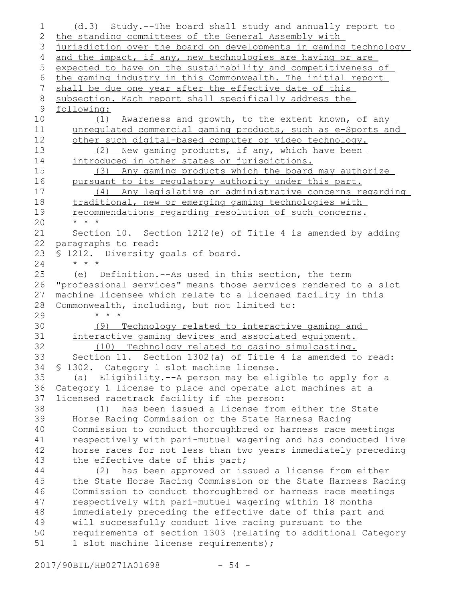(d.3) Study.--The board shall study and annually report to the standing committees of the General Assembly with jurisdiction over the board on developments in gaming technology and the impact, if any, new technologies are having or are expected to have on the sustainability and competitiveness of the gaming industry in this Commonwealth. The initial report shall be due one year after the effective date of this subsection. Each report shall specifically address the following: (1) Awareness and growth, to the extent known, of any unregulated commercial gaming products, such as e-Sports and other such digital-based computer or video technology. (2) New gaming products, if any, which have been introduced in other states or jurisdictions. (3) Any gaming products which the board may authorize pursuant to its regulatory authority under this part. (4) Any legislative or administrative concerns regarding traditional, new or emerging gaming technologies with recommendations regarding resolution of such concerns. \* \* \* Section 10. Section 1212(e) of Title 4 is amended by adding paragraphs to read: § 1212. Diversity goals of board. \* \* \* (e) Definition.--As used in this section, the term "professional services" means those services rendered to a slot machine licensee which relate to a licensed facility in this Commonwealth, including, but not limited to: \* \* \* (9) Technology related to interactive gaming and interactive gaming devices and associated equipment. (10) Technology related to casino simulcasting. Section 11. Section 1302(a) of Title 4 is amended to read: § 1302. Category 1 slot machine license. (a) Eligibility.--A person may be eligible to apply for a Category 1 license to place and operate slot machines at a licensed racetrack facility if the person: (1) has been issued a license from either the State Horse Racing Commission or the State Harness Racing Commission to conduct thoroughbred or harness race meetings respectively with pari-mutuel wagering and has conducted live horse races for not less than two years immediately preceding the effective date of this part; (2) has been approved or issued a license from either the State Horse Racing Commission or the State Harness Racing Commission to conduct thoroughbred or harness race meetings respectively with pari-mutuel wagering within 18 months immediately preceding the effective date of this part and will successfully conduct live racing pursuant to the requirements of section 1303 (relating to additional Category 1 slot machine license requirements); 1 2 3 4 5 6 7 8 9 10 11 12 13 14 15 16 17 18 19 20 21 22 23 24 25 26 27 28 29 30 31 32 33 34 35 36 37 38 39 40 41 42 43 44 45 46 47 48 49 50 51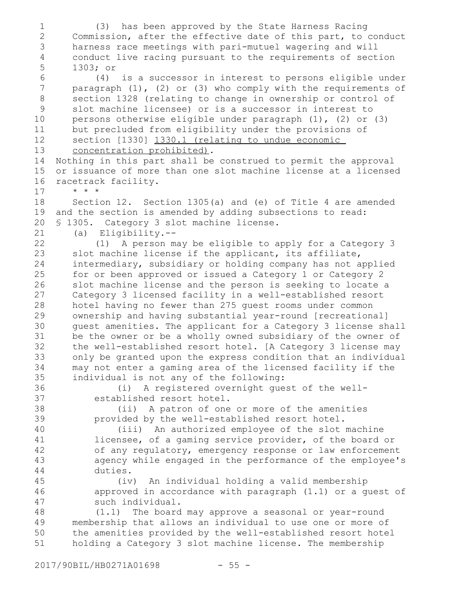(3) has been approved by the State Harness Racing Commission, after the effective date of this part, to conduct harness race meetings with pari-mutuel wagering and will conduct live racing pursuant to the requirements of section 1303; or (4) is a successor in interest to persons eligible under paragraph (1), (2) or (3) who comply with the requirements of section 1328 (relating to change in ownership or control of slot machine licensee) or is a successor in interest to persons otherwise eligible under paragraph (1), (2) or (3) but precluded from eligibility under the provisions of section [1330] 1330.1 (relating to undue economic concentration prohibited). Nothing in this part shall be construed to permit the approval or issuance of more than one slot machine license at a licensed racetrack facility. \* \* \* Section 12. Section 1305(a) and (e) of Title 4 are amended and the section is amended by adding subsections to read: § 1305. Category 3 slot machine license. (a) Eligibility.-- (1) A person may be eligible to apply for a Category 3 slot machine license if the applicant, its affiliate, intermediary, subsidiary or holding company has not applied for or been approved or issued a Category 1 or Category 2 slot machine license and the person is seeking to locate a Category 3 licensed facility in a well-established resort hotel having no fewer than 275 guest rooms under common ownership and having substantial year-round [recreational] guest amenities. The applicant for a Category 3 license shall be the owner or be a wholly owned subsidiary of the owner of the well-established resort hotel. [A Category 3 license may only be granted upon the express condition that an individual may not enter a gaming area of the licensed facility if the individual is not any of the following: (i) A registered overnight guest of the wellestablished resort hotel. (ii) A patron of one or more of the amenities provided by the well-established resort hotel. (iii) An authorized employee of the slot machine licensee, of a gaming service provider, of the board or of any regulatory, emergency response or law enforcement agency while engaged in the performance of the employee's duties. (iv) An individual holding a valid membership approved in accordance with paragraph (1.1) or a guest of such individual. (1.1) The board may approve a seasonal or year-round membership that allows an individual to use one or more of the amenities provided by the well-established resort hotel holding a Category 3 slot machine license. The membership 1 2 3 4 5 6 7 8 9 10 11 12 13 14 15 16 17 18 19 20 21 22 23 24 25 26 27 28 29 30 31 32 33 34 35 36 37 38 39 40 41 42 43 44 45 46 47 48 49 50 51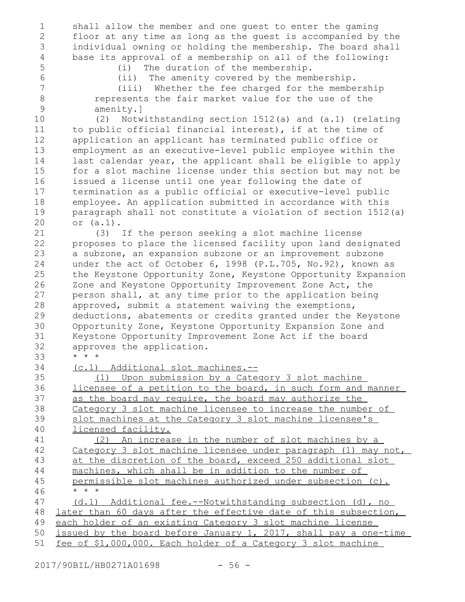shall allow the member and one guest to enter the gaming floor at any time as long as the guest is accompanied by the individual owning or holding the membership. The board shall base its approval of a membership on all of the following: (i) The duration of the membership.

(ii) The amenity covered by the membership.

7

(iii) Whether the fee charged for the membership represents the fair market value for the use of the amenity.]

9 10

8

(2) Notwithstanding section 1512(a) and (a.1) (relating to public official financial interest), if at the time of application an applicant has terminated public office or employment as an executive-level public employee within the last calendar year, the applicant shall be eligible to apply for a slot machine license under this section but may not be issued a license until one year following the date of termination as a public official or executive-level public employee. An application submitted in accordance with this paragraph shall not constitute a violation of section 1512(a) or (a.1).

(3) If the person seeking a slot machine license proposes to place the licensed facility upon land designated a subzone, an expansion subzone or an improvement subzone under the act of October 6, 1998 (P.L.705, No.92), known as the Keystone Opportunity Zone, Keystone Opportunity Expansion Zone and Keystone Opportunity Improvement Zone Act, the person shall, at any time prior to the application being approved, submit a statement waiving the exemptions, deductions, abatements or credits granted under the Keystone Opportunity Zone, Keystone Opportunity Expansion Zone and Keystone Opportunity Improvement Zone Act if the board approves the application. \* \* \* 21 22 23 24 25 26 27 28 29 30 31 32 33

(c.1) Additional slot machines.-- 34

(1) Upon submission by a Category 3 slot machine licensee of a petition to the board, in such form and manner as the board may require, the board may authorize the Category 3 slot machine licensee to increase the number of slot machines at the Category 3 slot machine licensee's licensed facility. (2) An increase in the number of slot machines by a Category 3 slot machine licensee under paragraph (1) may not, 35 36 37 38 39 40 41 42

at the discretion of the board, exceed 250 additional slot machines, which shall be in addition to the number of permissible slot machines authorized under subsection (c). \* \* \* 43 44 45 46

(d.1) Additional fee.--Notwithstanding subsection (d), no later than 60 days after the effective date of this subsection, each holder of an existing Category 3 slot machine license issued by the board before January 1, 2017, shall pay a one-time fee of \$1,000,000. Each holder of a Category 3 slot machine 47 48 49 50 51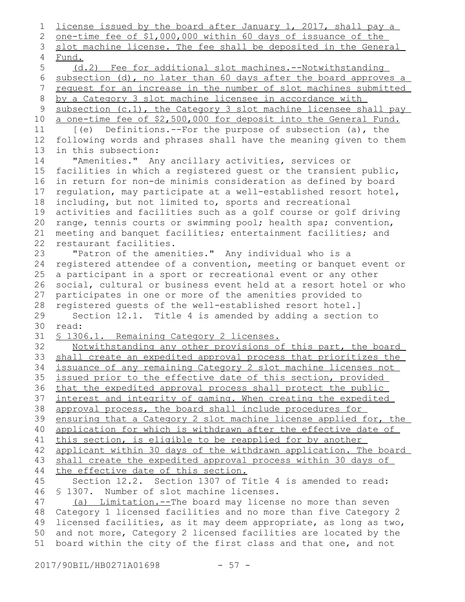license issued by the board after January 1, 2017, shall pay a one-time fee of \$1,000,000 within 60 days of issuance of the slot machine license. The fee shall be deposited in the General Fund. (d.2) Fee for additional slot machines.--Notwithstanding subsection (d), no later than 60 days after the board approves a request for an increase in the number of slot machines submitted by a Category 3 slot machine licensee in accordance with subsection (c.1), the Category 3 slot machine licensee shall pay a one-time fee of \$2,500,000 for deposit into the General Fund. [(e) Definitions.--For the purpose of subsection (a), the following words and phrases shall have the meaning given to them in this subsection: "Amenities." Any ancillary activities, services or facilities in which a registered guest or the transient public, in return for non-de minimis consideration as defined by board regulation, may participate at a well-established resort hotel, including, but not limited to, sports and recreational activities and facilities such as a golf course or golf driving range, tennis courts or swimming pool; health spa; convention, meeting and banquet facilities; entertainment facilities; and restaurant facilities. "Patron of the amenities." Any individual who is a registered attendee of a convention, meeting or banquet event or a participant in a sport or recreational event or any other social, cultural or business event held at a resort hotel or who participates in one or more of the amenities provided to registered guests of the well-established resort hotel.] Section 12.1. Title 4 is amended by adding a section to read: § 1306.1. Remaining Category 2 licenses. Notwithstanding any other provisions of this part, the board shall create an expedited approval process that prioritizes the issuance of any remaining Category 2 slot machine licenses not issued prior to the effective date of this section, provided that the expedited approval process shall protect the public interest and integrity of gaming. When creating the expedited approval process, the board shall include procedures for ensuring that a Category 2 slot machine license applied for, the application for which is withdrawn after the effective date of this section, is eligible to be reapplied for by another applicant within 30 days of the withdrawn application. The board shall create the expedited approval process within 30 days of the effective date of this section. Section 12.2. Section 1307 of Title 4 is amended to read: § 1307. Number of slot machine licenses. (a) Limitation.--The board may license no more than seven Category 1 licensed facilities and no more than five Category 2 licensed facilities, as it may deem appropriate, as long as two, and not more, Category 2 licensed facilities are located by the board within the city of the first class and that one, and not 1 2 3 4 5 6 7 8 9 10 11 12 13 14 15 16 17 18 19 20 21 22 23 24 25 26 27 28 29 30 31 32 33 34 35 36 37 38 39 40 41 42 43 44 45 46 47 48 49 50 51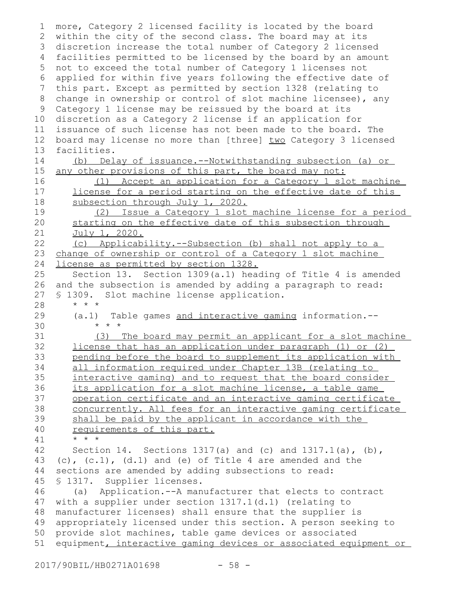more, Category 2 licensed facility is located by the board within the city of the second class. The board may at its 3 discretion increase the total number of Category 2 licensed facilities permitted to be licensed by the board by an amount 4 not to exceed the total number of Category 1 licenses not 5 applied for within five years following the effective date of this part. Except as permitted by section 1328 (relating to change in ownership or control of slot machine licensee), any Category 1 license may be reissued by the board at its discretion as a Category 2 license if an application for issuance of such license has not been made to the board. The board may license no more than [three] two Category 3 licensed facilities. (b) Delay of issuance.--Notwithstanding subsection (a) or any other provisions of this part, the board may not: (1) Accept an application for a Category 1 slot machine license for a period starting on the effective date of this subsection through July 1, 2020. (2) Issue a Category 1 slot machine license for a period starting on the effective date of this subsection through July 1, 2020. (c) Applicability.--Subsection (b) shall not apply to a change of ownership or control of a Category 1 slot machine license as permitted by section 1328. Section 13. Section 1309(a.1) heading of Title 4 is amended and the subsection is amended by adding a paragraph to read: § 1309. Slot machine license application. \* \* \* (a.1) Table games and interactive gaming information.-- \* \* \* (3) The board may permit an applicant for a slot machine license that has an application under paragraph (1) or (2) pending before the board to supplement its application with all information required under Chapter 13B (relating to interactive gaming) and to request that the board consider its application for a slot machine license, a table game operation certificate and an interactive gaming certificate concurrently. All fees for an interactive gaming certificate shall be paid by the applicant in accordance with the requirements of this part. \* \* \* Section 14. Sections 1317(a) and (c) and  $1317.1(a)$ , (b),  $(c)$ ,  $(c.1)$ ,  $(d.1)$  and  $(e)$  of Title 4 are amended and the sections are amended by adding subsections to read: § 1317. Supplier licenses. (a) Application.--A manufacturer that elects to contract with a supplier under section 1317.1(d.1) (relating to manufacturer licenses) shall ensure that the supplier is appropriately licensed under this section. A person seeking to provide slot machines, table game devices or associated equipment, interactive gaming devices or associated equipment or 1 2 6 7 8 9 10 11 12 13 14 15 16 17 18 19 20 21 22 23 24 25 26 27 28 29 30 31 32 33 34 35 36 37 38 39 40 41 42 43 44 45 46 47 48 49 50 51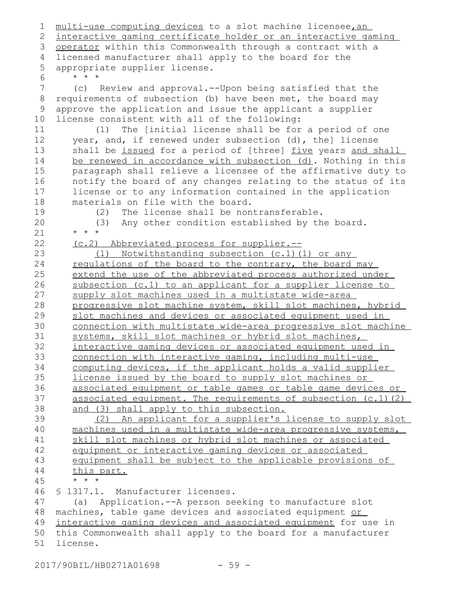multi-use computing devices to a slot machine licensee, an interactive gaming certificate holder or an interactive gaming 3 operator within this Commonwealth through a contract with a licensed manufacturer shall apply to the board for the appropriate supplier license. \* \* \* (c) Review and approval.--Upon being satisfied that the requirements of subsection (b) have been met, the board may approve the application and issue the applicant a supplier license consistent with all of the following: (1) The [initial license shall be for a period of one year, and, if renewed under subsection (d), the] license shall be issued for a period of [three] five years and shall be renewed in accordance with subsection (d). Nothing in this paragraph shall relieve a licensee of the affirmative duty to notify the board of any changes relating to the status of its license or to any information contained in the application materials on file with the board. (2) The license shall be nontransferable. (3) Any other condition established by the board. \* \* \* (c.2) Abbreviated process for supplier.-- (1) Notwithstanding subsection (c.1)(1) or any regulations of the board to the contrary, the board may extend the use of the abbreviated process authorized under subsection (c.1) to an applicant for a supplier license to supply slot machines used in a multistate wide-area progressive slot machine system, skill slot machines, hybrid slot machines and devices or associated equipment used in connection with multistate wide-area progressive slot machine systems, skill slot machines or hybrid slot machines, interactive gaming devices or associated equipment used in connection with interactive gaming, including multi-use computing devices, if the applicant holds a valid supplier license issued by the board to supply slot machines or associated equipment or table games or table game devices or associated equipment. The requirements of subsection (c.1)(2) and (3) shall apply to this subsection. (2) An applicant for a supplier's license to supply slot machines used in a multistate wide-area progressive systems, skill slot machines or hybrid slot machines or associated equipment or interactive gaming devices or associated equipment shall be subject to the applicable provisions of this part. \* \* \* § 1317.1. Manufacturer licenses. (a) Application.--A person seeking to manufacture slot machines, table game devices and associated equipment or interactive gaming devices and associated equipment for use in this Commonwealth shall apply to the board for a manufacturer license. 1 2 4 5 6 7 8 9 10 11 12 13 14 15 16 17 18 19 20 21 22 23 24 25 26 27 28 29 30 31 32 33 34 35 36 37 38 39 40 41 42 43 44 45 46 47 48 49 50 51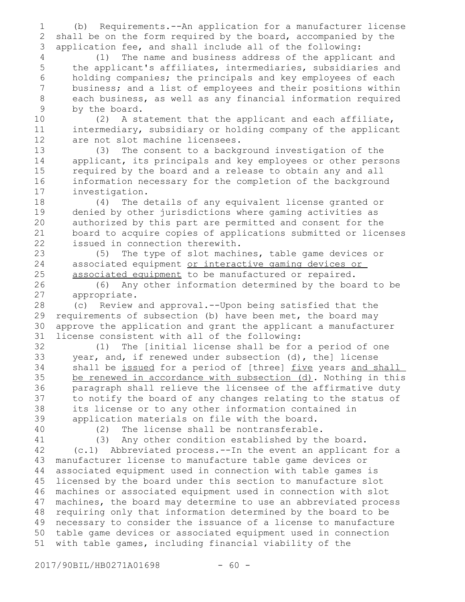(b) Requirements.--An application for a manufacturer license shall be on the form required by the board, accompanied by the application fee, and shall include all of the following: 1 2 3

(1) The name and business address of the applicant and the applicant's affiliates, intermediaries, subsidiaries and holding companies; the principals and key employees of each business; and a list of employees and their positions within each business, as well as any financial information required by the board. 4 5 6 7 8 9

(2) A statement that the applicant and each affiliate, intermediary, subsidiary or holding company of the applicant are not slot machine licensees. 10 11 12

(3) The consent to a background investigation of the applicant, its principals and key employees or other persons required by the board and a release to obtain any and all information necessary for the completion of the background investigation. 13 14 15 16 17

(4) The details of any equivalent license granted or denied by other jurisdictions where gaming activities as authorized by this part are permitted and consent for the board to acquire copies of applications submitted or licenses issued in connection therewith. 18 19 20 21 22

(5) The type of slot machines, table game devices or associated equipment or interactive gaming devices or associated equipment to be manufactured or repaired.

(6) Any other information determined by the board to be appropriate.

(c) Review and approval.--Upon being satisfied that the requirements of subsection (b) have been met, the board may approve the application and grant the applicant a manufacturer license consistent with all of the following: 28 29 30 31

(1) The [initial license shall be for a period of one year, and, if renewed under subsection (d), the] license shall be issued for a period of [three] five years and shall be renewed in accordance with subsection (d). Nothing in this paragraph shall relieve the licensee of the affirmative duty to notify the board of any changes relating to the status of its license or to any other information contained in application materials on file with the board. 32 33 34 35 36 37 38 39

40 41

(2) The license shall be nontransferable.

(3) Any other condition established by the board.

(c.1) Abbreviated process.--In the event an applicant for a manufacturer license to manufacture table game devices or associated equipment used in connection with table games is licensed by the board under this section to manufacture slot machines or associated equipment used in connection with slot machines, the board may determine to use an abbreviated process requiring only that information determined by the board to be necessary to consider the issuance of a license to manufacture table game devices or associated equipment used in connection with table games, including financial viability of the 42 43 44 45 46 47 48 49 50 51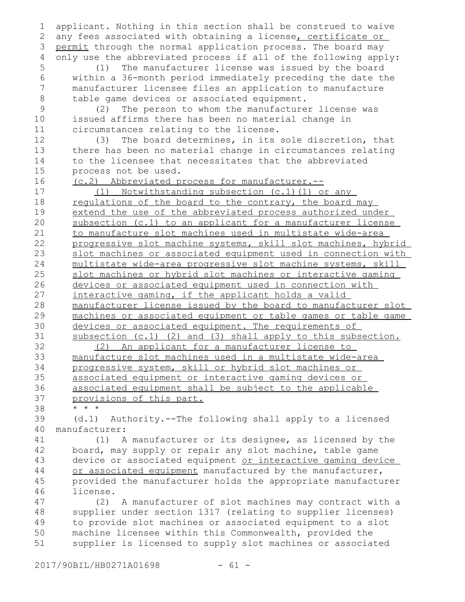applicant. Nothing in this section shall be construed to waive any fees associated with obtaining a license, certificate or permit through the normal application process. The board may only use the abbreviated process if all of the following apply: (1) The manufacturer license was issued by the board within a 36-month period immediately preceding the date the manufacturer licensee files an application to manufacture table game devices or associated equipment. (2) The person to whom the manufacturer license was issued affirms there has been no material change in circumstances relating to the license. (3) The board determines, in its sole discretion, that there has been no material change in circumstances relating to the licensee that necessitates that the abbreviated process not be used. (c.2) Abbreviated process for manufacturer.-- (1) Notwithstanding subsection (c.1)(1) or any regulations of the board to the contrary, the board may extend the use of the abbreviated process authorized under subsection (c.1) to an applicant for a manufacturer license to manufacture slot machines used in multistate wide-area progressive slot machine systems, skill slot machines, hybrid slot machines or associated equipment used in connection with multistate wide-area progressive slot machine systems, skill slot machines or hybrid slot machines or interactive gaming devices or associated equipment used in connection with interactive gaming, if the applicant holds a valid manufacturer license issued by the board to manufacturer slot machines or associated equipment or table games or table game devices or associated equipment. The requirements of subsection (c.1) (2) and (3) shall apply to this subsection. (2) An applicant for a manufacturer license to manufacture slot machines used in a multistate wide-area progressive system, skill or hybrid slot machines or associated equipment or interactive gaming devices or associated equipment shall be subject to the applicable provisions of this part. \* \* \* (d.1) Authority.--The following shall apply to a licensed manufacturer: (1) A manufacturer or its designee, as licensed by the board, may supply or repair any slot machine, table game device or associated equipment or interactive gaming device or associated equipment manufactured by the manufacturer, provided the manufacturer holds the appropriate manufacturer license. (2) A manufacturer of slot machines may contract with a supplier under section 1317 (relating to supplier licenses) to provide slot machines or associated equipment to a slot machine licensee within this Commonwealth, provided the supplier is licensed to supply slot machines or associated 1 2 3 4 5 6 7 8 9 10 11 12 13 14 15 16 17 18 19 20 21 22 23 24 25 26 27 28 29 30 31 32 33 34 35 36 37 38 39 40 41 42 43 44 45 46 47 48 49 50 51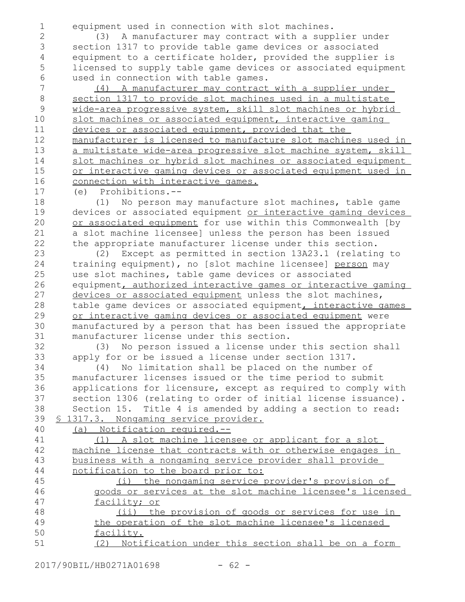1 2

32 33 equipment used in connection with slot machines.

(3) A manufacturer may contract with a supplier under section 1317 to provide table game devices or associated equipment to a certificate holder, provided the supplier is licensed to supply table game devices or associated equipment used in connection with table games.

(4) A manufacturer may contract with a supplier under section 1317 to provide slot machines used in a multistate wide-area progressive system, skill slot machines or hybrid slot machines or associated equipment, interactive gaming devices or associated equipment, provided that the manufacturer is licensed to manufacture slot machines used in a multistate wide-area progressive slot machine system, skill slot machines or hybrid slot machines or associated equipment or interactive gaming devices or associated equipment used in connection with interactive games.

(e) Prohibitions.-- 17

(1) No person may manufacture slot machines, table game devices or associated equipment or interactive gaming devices or associated equipment for use within this Commonwealth [by a slot machine licensee] unless the person has been issued the appropriate manufacturer license under this section.

(2) Except as permitted in section 13A23.1 (relating to training equipment), no [slot machine licensee] person may use slot machines, table game devices or associated equipment, authorized interactive games or interactive gaming devices or associated equipment unless the slot machines, table game devices or associated equipment, interactive games or interactive gaming devices or associated equipment were manufactured by a person that has been issued the appropriate manufacturer license under this section. 23 24 25 26 27 28 29 30 31

(3) No person issued a license under this section shall apply for or be issued a license under section 1317.

(4) No limitation shall be placed on the number of manufacturer licenses issued or the time period to submit applications for licensure, except as required to comply with section 1306 (relating to order of initial license issuance). Section 15. Title 4 is amended by adding a section to read: § 1317.3. Nongaming service provider. 34 35 36 37 38 39

(a) Notification required.-- 40

| 41 | (1) A slot machine licensee or applicant for a slot         |
|----|-------------------------------------------------------------|
| 42 | machine license that contracts with or otherwise engages in |
| 43 | business with a nongaming service provider shall provide    |
| 44 | notification to the board prior to:                         |
| 45 | (i) the nongaming service provider's provision of           |
| 46 | goods or services at the slot machine licensee's licensed   |
| 47 | facility; or                                                |
| 48 | (ii) the provision of goods or services for use in          |
| 49 | the operation of the slot machine licensee's licensed       |
| 50 | facility.                                                   |
| 51 | (2) Notification under this section shall be on a form      |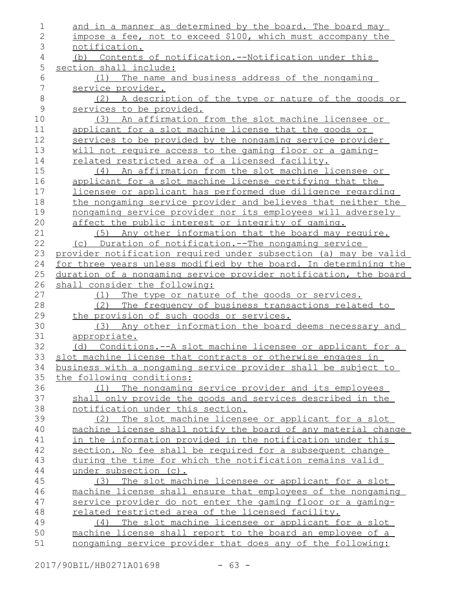| $\mathbf 1$   | and in a manner as determined by the board. The board may                                                                |
|---------------|--------------------------------------------------------------------------------------------------------------------------|
| 2             | impose a fee, not to exceed \$100, which must accompany the                                                              |
| 3             | notification.                                                                                                            |
| 4             | (b) Contents of notification.--Notification under this                                                                   |
| 5             | section shall include:                                                                                                   |
| 6             | (1) The name and business address of the nongaming                                                                       |
| 7             | service provider.                                                                                                        |
| 8             | (2) A description of the type or nature of the goods or                                                                  |
| $\mathcal{G}$ | services to be provided.                                                                                                 |
| 10            | An affirmation from the slot machine licensee or<br>(3)                                                                  |
| 11            | applicant for a slot machine license that the goods or                                                                   |
| 12            | services to be provided by the nongaming service provider                                                                |
| 13            | will not require access to the gaming floor or a gaming-                                                                 |
| 14            | related restricted area of a licensed facility.                                                                          |
| 15            | (4) An affirmation from the slot machine licensee or                                                                     |
| 16            | applicant for a slot machine license certifying that the                                                                 |
| 17            | licensee or applicant has performed due diligence regarding                                                              |
| 18            | the nongaming service provider and believes that neither the                                                             |
| 19            | nongaming service provider nor its employees will adversely                                                              |
| 20            | affect the public interest or integrity of gaming.                                                                       |
| 21            | Any other information that the board may require.<br>(5)                                                                 |
| 22            | (c) Duration of notification.--The nongaming service                                                                     |
| 23            | provider notification required under subsection (a) may be valid                                                         |
| 24            | for three years unless modified by the board. In determining the                                                         |
| 25            | duration of a nongaming service provider notification, the board                                                         |
| 26            | shall consider the following:                                                                                            |
| 27            | The type or nature of the goods or services.<br>(1)                                                                      |
| 28            | The frequency of business transactions related to<br>(2)                                                                 |
| 29            | the provision of such goods or services.                                                                                 |
| 30            | (3) Any other information the board deems necessary and                                                                  |
| 31            | appropriate.                                                                                                             |
| 32            | (d) Conditions.--A slot machine licensee or applicant for a                                                              |
| 33            | slot machine license that contracts or otherwise engages in                                                              |
| 34            | <u>business with a nongaming service provider shall be subject to</u>                                                    |
| 35            | the following conditions:                                                                                                |
| 36            | The nongaming service provider and its employees<br>(1)                                                                  |
| 37            | shall only provide the goods and services described in the                                                               |
| 38            | notification under this section.                                                                                         |
| 39            | The slot machine licensee or applicant for a slot<br>(2)                                                                 |
| 40            | machine license shall notify the board of any material change                                                            |
| 41            | in the information provided in the notification under this                                                               |
| 42            | section. No fee shall be required for a subsequent change                                                                |
| 43            | during the time for which the notification remains valid                                                                 |
| 44            | under subsection (c).                                                                                                    |
| 45            | (3) The slot machine licensee or applicant for a slot                                                                    |
| 46            | machine license shall ensure that employees of the nongaming                                                             |
| 47            | service provider do not enter the gaming floor or a gaming-                                                              |
| 48<br>49      | related restricted area of the licensed facility.                                                                        |
|               |                                                                                                                          |
|               | (4) The slot machine licensee or applicant for a slot                                                                    |
| 50<br>51      | machine license shall report to the board an employee of a<br>nongaming service provider that does any of the following: |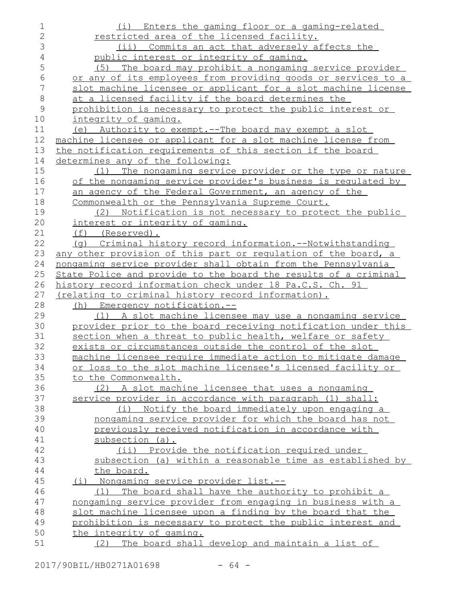| $\mathbf 1$    | (i) Enters the gaming floor or a gaming-related                 |
|----------------|-----------------------------------------------------------------|
| $\overline{2}$ | restricted area of the licensed facility.                       |
| 3              | (ii) Commits an act that adversely affects the                  |
| $\overline{4}$ | public interest or integrity of gaming.                         |
| 5              | The board may prohibit a nongaming service provider<br>(5)      |
| $\sqrt{6}$     | or any of its employees from providing goods or services to a   |
| 7              | slot machine licensee or applicant for a slot machine license   |
| $\,8\,$        | at a licensed facility if the board determines the              |
| $\mathsf 9$    | prohibition is necessary to protect the public interest or      |
| 10             | integrity of gaming.                                            |
| 11             | (e) Authority to exempt.--The board may exempt a slot           |
| 12             | machine licensee or applicant for a slot machine license from   |
| 13             | the notification requirements of this section if the board      |
| 14             | determines any of the following:                                |
| 15             | The nongaming service provider or the type or nature<br>(1)     |
| 16             | of the nongaming service provider's business is regulated by    |
| 17             | an agency of the Federal Government, an agency of the           |
| 18             | Commonwealth or the Pennsylvania Supreme Court.                 |
| 19             | (2) Notification is not necessary to protect the public         |
| 20             | interest or integrity of gaming.                                |
| 21             | $(f)$ (Reserved).                                               |
| 22             | (q) Criminal history record information.--Notwithstanding       |
| 23             | any other provision of this part or regulation of the board, a  |
| 24             | nongaming service provider shall obtain from the Pennsylvania   |
| 25             | State Police and provide to the board the results of a criminal |
| 26             | history record information check under 18 Pa.C.S. Ch. 91        |
| 27             | <u>(relating to criminal history record information).</u>       |
| 28             | Emergency notification.--<br>(h)                                |
| 29             | (1) A slot machine licensee may use a nongaming service         |
| 30             | provider prior to the board receiving notification under this   |
| 31             | section when a threat to public health, welfare or safety       |
| 32             | exists or circumstances outside the control of the slot         |
| 33             | machine licensee require immediate action to mitigate damage    |
| 34             | or loss to the slot machine licensee's licensed facility or     |
| 35             | to the Commonwealth.                                            |
| 36             | (2) A slot machine licensee that uses a nongaming               |
| 37             | service provider in accordance with paragraph (1) shall:        |
| 38             | (i)<br>Notify the board immediately upon engaging a             |
| 39             | nongaming service provider for which the board has not          |
| 40             | previously received notification in accordance with             |
| 41             | subsection (a).                                                 |
| 42             | (ii) Provide the notification required under                    |
| 43             | subsection (a) within a reasonable time as established by       |
| 44             | the board.                                                      |
| 45             | (i) Nongaming service provider list.--                          |
| 46             | The board shall have the authority to prohibit a<br>(1)         |
| 47             | nongaming service provider from engaging in business with a     |
| 48             | slot machine licensee upon a finding by the board that the      |
| 49             | prohibition is necessary to protect the public interest and     |
| 50             | the integrity of gaming.                                        |
| 51             | The board shall develop and maintain a list of<br>(2)           |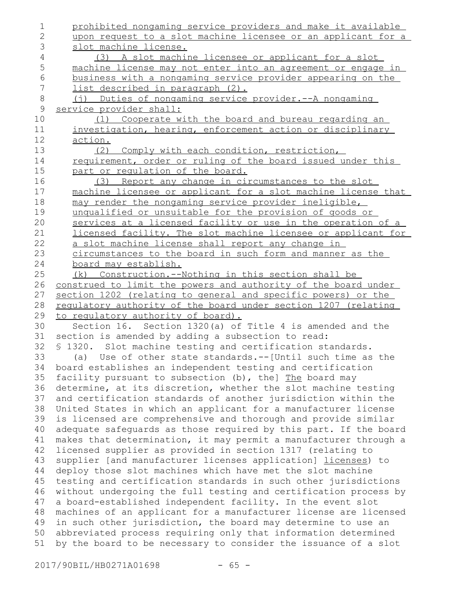prohibited nongaming service providers and make it available upon request to a slot machine licensee or an applicant for a slot machine license. (3) A slot machine licensee or applicant for a slot machine license may not enter into an agreement or engage in business with a nongaming service provider appearing on the list described in paragraph (2). (j) Duties of nongaming service provider.--A nongaming service provider shall: (1) Cooperate with the board and bureau regarding an investigation, hearing, enforcement action or disciplinary action. (2) Comply with each condition, restriction, requirement, order or ruling of the board issued under this part or regulation of the board. (3) Report any change in circumstances to the slot machine licensee or applicant for a slot machine license that may render the nongaming service provider ineligible, unqualified or unsuitable for the provision of goods or services at a licensed facility or use in the operation of a licensed facility. The slot machine licensee or applicant for a slot machine license shall report any change in circumstances to the board in such form and manner as the board may establish. (k) Construction.--Nothing in this section shall be construed to limit the powers and authority of the board under section 1202 (relating to general and specific powers) or the regulatory authority of the board under section 1207 (relating to regulatory authority of board). Section 16. Section 1320(a) of Title 4 is amended and the section is amended by adding a subsection to read: § 1320. Slot machine testing and certification standards. (a) Use of other state standards.--[Until such time as the board establishes an independent testing and certification facility pursuant to subsection (b), the] The board may determine, at its discretion, whether the slot machine testing and certification standards of another jurisdiction within the United States in which an applicant for a manufacturer license is licensed are comprehensive and thorough and provide similar adequate safeguards as those required by this part. If the board makes that determination, it may permit a manufacturer through a licensed supplier as provided in section 1317 (relating to supplier [and manufacturer licenses application] licenses) to deploy those slot machines which have met the slot machine testing and certification standards in such other jurisdictions without undergoing the full testing and certification process by a board-established independent facility. In the event slot machines of an applicant for a manufacturer license are licensed in such other jurisdiction, the board may determine to use an abbreviated process requiring only that information determined by the board to be necessary to consider the issuance of a slot 1 2 3 4 5 6 7 8 9 10 11 12 13 14 15 16 17 18 19 20 21 22 23 24 25 26 27 28 29 30 31 32 33 34 35 36 37 38 39 40 41 42 43 44 45 46 47 48 49 50 51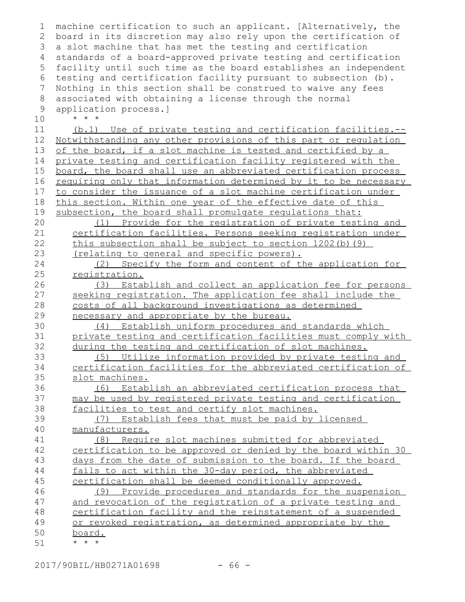| 1  | machine certification to such an applicant. [Alternatively, the  |
|----|------------------------------------------------------------------|
| 2  | board in its discretion may also rely upon the certification of  |
| 3  | a slot machine that has met the testing and certification        |
| 4  | standards of a board-approved private testing and certification  |
| 5  | facility until such time as the board establishes an independent |
| 6  | testing and certification facility pursuant to subsection (b).   |
| 7  | Nothing in this section shall be construed to waive any fees     |
| 8  | associated with obtaining a license through the normal           |
| 9  | application process.]                                            |
| 10 | $\star$ $\star$ $\star$                                          |
| 11 | (b.1) Use of private testing and certification facilities.--     |
| 12 | Notwithstanding any other provisions of this part or regulation  |
| 13 | of the board, if a slot machine is tested and certified by a     |
| 14 | private testing and certification facility registered with the   |
| 15 | board, the board shall use an abbreviated certification process  |
| 16 | requiring only that information determined by it to be necessary |
| 17 | to consider the issuance of a slot machine certification under   |
| 18 | this section. Within one year of the effective date of this      |
| 19 | subsection, the board shall promulgate regulations that:         |
| 20 | (1) Provide for the registration of private testing and          |
| 21 | certification facilities. Persons seeking registration under     |
| 22 | this subsection shall be subject to section 1202(b) (9)          |
| 23 | (relating to general and specific powers).                       |
| 24 | (2) Specify the form and content of the application for          |
| 25 | registration.                                                    |
| 26 | (3) Establish and collect an application fee for persons         |
| 27 | seeking registration. The application fee shall include the      |
| 28 | costs of all background investigations as determined             |
| 29 | necessary and appropriate by the bureau.                         |
| 30 | (4) Establish uniform procedures and standards which             |
| 31 | private testing and certification facilities must comply with    |
| 32 | during the testing and certification of slot machines.           |
| 33 | Utilize information provided by private testing and<br>(5)       |
| 34 | certification facilities for the abbreviated certification of    |
| 35 | slot machines.                                                   |
| 36 | Establish an abbreviated certification process that<br>(6)       |
| 37 | may be used by registered private testing and certification      |
| 38 | facilities to test and certify slot machines.                    |
| 39 | Establish fees that must be paid by licensed<br>(7)              |
| 40 | manufacturers.                                                   |
| 41 | Require slot machines submitted for abbreviated<br>(8)           |
| 42 | certification to be approved or denied by the board within 30    |
| 43 | days from the date of submission to the board. If the board      |
| 44 | fails to act within the 30-day period, the abbreviated           |
| 45 | certification shall be deemed conditionally approved.            |
| 46 | (9) Provide procedures and standards for the suspension          |
| 47 | and revocation of the registration of a private testing and      |
| 48 | certification facility and the reinstatement of a suspended      |
| 49 | or revoked registration, as determined appropriate by the        |
| 50 |                                                                  |
| 51 | <u>board.</u><br>$\star$ $\star$ $\star$                         |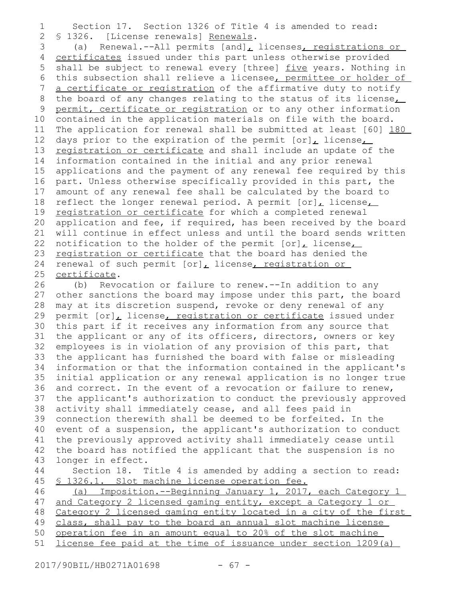Section 17. Section 1326 of Title 4 is amended to read: § 1326. [License renewals] Renewals. 1 2

(a) Renewal.--All permits  $[and]_L$  licenses, registrations or certificates issued under this part unless otherwise provided shall be subject to renewal every [three] five years. Nothing in this subsection shall relieve a licensee, permittee or holder of a certificate or registration of the affirmative duty to notify the board of any changes relating to the status of its license<sub>L</sub> permit, certificate or registration or to any other information contained in the application materials on file with the board. The application for renewal shall be submitted at least [60] 180 days prior to the expiration of the permit  $[or]_L$  license $_L$ registration or certificate and shall include an update of the information contained in the initial and any prior renewal applications and the payment of any renewal fee required by this part. Unless otherwise specifically provided in this part, the amount of any renewal fee shall be calculated by the board to reflect the longer renewal period. A permit  $[or]_L$  license $_L$ registration or certificate for which a completed renewal application and fee, if required, has been received by the board will continue in effect unless and until the board sends written notification to the holder of the permit [or], license, registration or certificate that the board has denied the renewal of such permit [or], license, registration or certificate. 3 4 5 6 7 8 9 10 11 12 13 14 15 16 17 18 19 20 21 22 23 24 25

(b) Revocation or failure to renew.--In addition to any other sanctions the board may impose under this part, the board may at its discretion suspend, revoke or deny renewal of any permit [or], license, registration or certificate issued under this part if it receives any information from any source that the applicant or any of its officers, directors, owners or key employees is in violation of any provision of this part, that the applicant has furnished the board with false or misleading information or that the information contained in the applicant's initial application or any renewal application is no longer true and correct. In the event of a revocation or failure to renew, the applicant's authorization to conduct the previously approved activity shall immediately cease, and all fees paid in connection therewith shall be deemed to be forfeited. In the event of a suspension, the applicant's authorization to conduct the previously approved activity shall immediately cease until the board has notified the applicant that the suspension is no longer in effect. Section 18. Title 4 is amended by adding a section to read: § 1326.1. Slot machine license operation fee. (a) Imposition.--Beginning January 1, 2017, each Category 1 and Category 2 licensed gaming entity, except a Category 1 or Category 2 licensed gaming entity located in a city of the first 26 27 28 29 30 31 32 33 34 35 36 37 38 39 40 41 42 43 44 45 46 47 48

class, shall pay to the board an annual slot machine license 49

operation fee in an amount equal to 20% of the slot machine 50

license fee paid at the time of issuance under section 1209(a) 51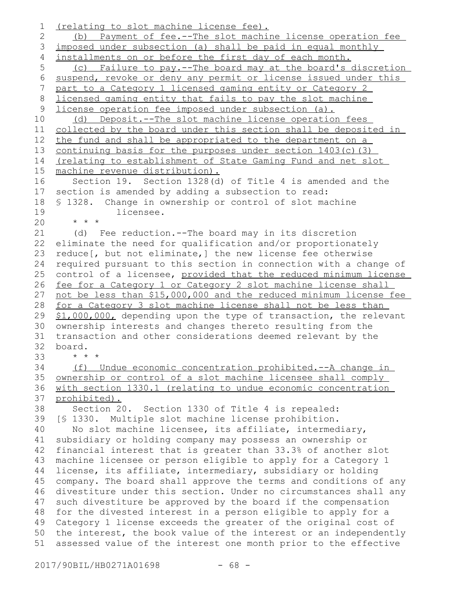(relating to slot machine license fee). (b) Payment of fee.--The slot machine license operation fee imposed under subsection (a) shall be paid in equal monthly installments on or before the first day of each month. (c) Failure to pay.--The board may at the board's discretion suspend, revoke or deny any permit or license issued under this part to a Category 1 licensed gaming entity or Category 2 licensed gaming entity that fails to pay the slot machine license operation fee imposed under subsection (a). (d) Deposit.--The slot machine license operation fees collected by the board under this section shall be deposited in the fund and shall be appropriated to the department on a continuing basis for the purposes under section 1403(c)(3) (relating to establishment of State Gaming Fund and net slot machine revenue distribution). Section 19. Section 1328(d) of Title 4 is amended and the section is amended by adding a subsection to read: § 1328. Change in ownership or control of slot machine licensee. \* \* \* (d) Fee reduction.--The board may in its discretion eliminate the need for qualification and/or proportionately reduce[, but not eliminate,] the new license fee otherwise required pursuant to this section in connection with a change of control of a licensee, provided that the reduced minimum license fee for a Category 1 or Category 2 slot machine license shall not be less than \$15,000,000 and the reduced minimum license fee for a Category 3 slot machine license shall not be less than \$1,000,000, depending upon the type of transaction, the relevant ownership interests and changes thereto resulting from the transaction and other considerations deemed relevant by the board. \* \* \* (f) Undue economic concentration prohibited.--A change in ownership or control of a slot machine licensee shall comply with section 1330.1 (relating to undue economic concentration prohibited). Section 20. Section 1330 of Title 4 is repealed: [§ 1330. Multiple slot machine license prohibition. No slot machine licensee, its affiliate, intermediary, subsidiary or holding company may possess an ownership or financial interest that is greater than 33.3% of another slot machine licensee or person eligible to apply for a Category 1 license, its affiliate, intermediary, subsidiary or holding company. The board shall approve the terms and conditions of any divestiture under this section. Under no circumstances shall any such divestiture be approved by the board if the compensation 48 for the divested interest in a person eligible to apply for a Category 1 license exceeds the greater of the original cost of 50 the interest, the book value of the interest or an independently assessed value of the interest one month prior to the effective 1 2 3 4 5 6 7 8 9 10 11 12 13 14 15 16 17 18 19 20 21 22 23 24 25 26 27 28 29 30 31 32 33 34 35 36 37 38 39 40 41 42 43 44 45 46 47 49 51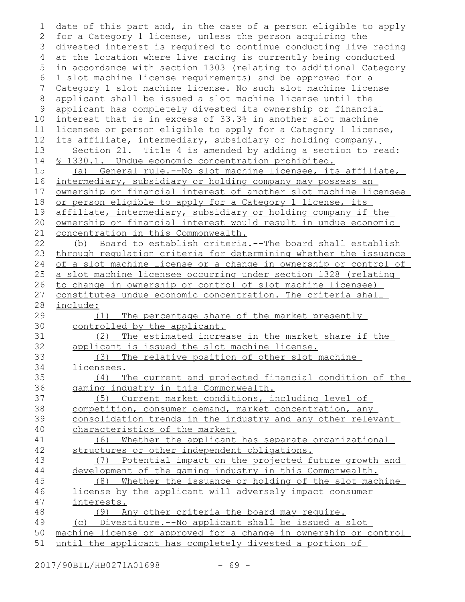date of this part and, in the case of a person eligible to apply for a Category 1 license, unless the person acquiring the 3 divested interest is required to continue conducting live racing at the location where live racing is currently being conducted in accordance with section 1303 (relating to additional Category 1 slot machine license requirements) and be approved for a Category 1 slot machine license. No such slot machine license applicant shall be issued a slot machine license until the applicant has completely divested its ownership or financial interest that is in excess of 33.3% in another slot machine licensee or person eligible to apply for a Category 1 license, its affiliate, intermediary, subsidiary or holding company.] Section 21. Title 4 is amended by adding a section to read: § 1330.1. Undue economic concentration prohibited. (a) General rule.--No slot machine licensee, its affiliate, intermediary, subsidiary or holding company may possess an ownership or financial interest of another slot machine licensee or person eligible to apply for a Category 1 license, its affiliate, intermediary, subsidiary or holding company if the ownership or financial interest would result in undue economic concentration in this Commonwealth. (b) Board to establish criteria.--The board shall establish through regulation criteria for determining whether the issuance of a slot machine license or a change in ownership or control of a slot machine licensee occurring under section 1328 (relating to change in ownership or control of slot machine licensee) constitutes undue economic concentration. The criteria shall include: (1) The percentage share of the market presently controlled by the applicant. (2) The estimated increase in the market share if the applicant is issued the slot machine license. (3) The relative position of other slot machine licensees. (4) The current and projected financial condition of the gaming industry in this Commonwealth. (5) Current market conditions, including level of competition, consumer demand, market concentration, any consolidation trends in the industry and any other relevant characteristics of the market. (6) Whether the applicant has separate organizational structures or other independent obligations. (7) Potential impact on the projected future growth and development of the gaming industry in this Commonwealth. (8) Whether the issuance or holding of the slot machine license by the applicant will adversely impact consumer interests. (9) Any other criteria the board may require. (c) Divestiture.--No applicant shall be issued a slot machine license or approved for a change in ownership or control until the applicant has completely divested a portion of 1 2 4 5 6 7 8 9 10 11 12 13 14 15 16 17 18 19 20 21 22 23 24 25 26 27 28 29 30 31 32 33 34 35 36 37 38 39 40 41 42 43 44 45 46 47 48 49 50 51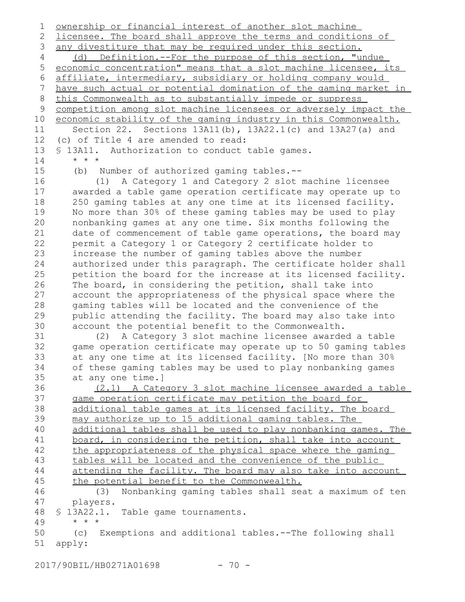ownership or financial interest of another slot machine licensee. The board shall approve the terms and conditions of any divestiture that may be required under this section. (d) Definition.--For the purpose of this section, "undue economic concentration" means that a slot machine licensee, its affiliate, intermediary, subsidiary or holding company would have such actual or potential domination of the gaming market in this Commonwealth as to substantially impede or suppress competition among slot machine licensees or adversely impact the economic stability of the gaming industry in this Commonwealth. Section 22. Sections 13A11(b), 13A22.1(c) and 13A27(a) and (c) of Title 4 are amended to read: § 13A11. Authorization to conduct table games. \* \* \* (b) Number of authorized gaming tables.-- (1) A Category 1 and Category 2 slot machine licensee awarded a table game operation certificate may operate up to 250 gaming tables at any one time at its licensed facility. No more than 30% of these gaming tables may be used to play nonbanking games at any one time. Six months following the date of commencement of table game operations, the board may permit a Category 1 or Category 2 certificate holder to increase the number of gaming tables above the number authorized under this paragraph. The certificate holder shall petition the board for the increase at its licensed facility. The board, in considering the petition, shall take into account the appropriateness of the physical space where the gaming tables will be located and the convenience of the public attending the facility. The board may also take into account the potential benefit to the Commonwealth. (2) A Category 3 slot machine licensee awarded a table game operation certificate may operate up to 50 gaming tables at any one time at its licensed facility. [No more than 30% of these gaming tables may be used to play nonbanking games at any one time.] (2.1) A Category 3 slot machine licensee awarded a table game operation certificate may petition the board for additional table games at its licensed facility. The board may authorize up to 15 additional gaming tables. The additional tables shall be used to play nonbanking games. The board, in considering the petition, shall take into account the appropriateness of the physical space where the gaming tables will be located and the convenience of the public attending the facility. The board may also take into account the potential benefit to the Commonwealth. (3) Nonbanking gaming tables shall seat a maximum of ten players. § 13A22.1. Table game tournaments. \* \* \* (c) Exemptions and additional tables.--The following shall apply: 1 2 3 4 5 6 7 8 9 10 11 12 13 14 15 16 17 18 19 20 21 22 23 24 25 26 27 28 29 30 31 32 33 34 35 36 37 38 39 40 41 42 43 44 45 46 47 48 49 50 51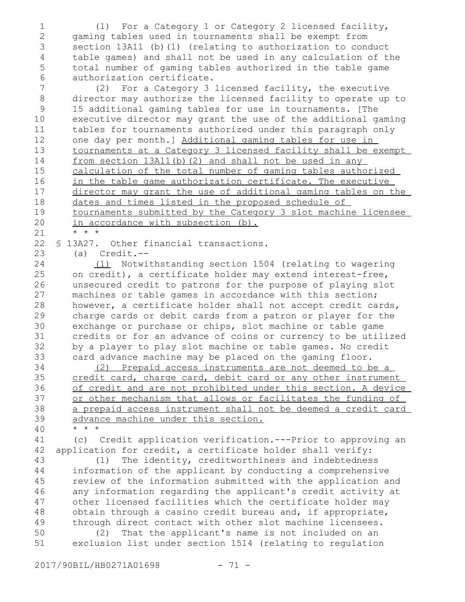(1) For a Category 1 or Category 2 licensed facility, gaming tables used in tournaments shall be exempt from section 13A11 (b)(1) (relating to authorization to conduct table games) and shall not be used in any calculation of the total number of gaming tables authorized in the table game authorization certificate. 1 2 3 4 5 6

(2) For a Category 3 licensed facility, the executive director may authorize the licensed facility to operate up to 15 additional gaming tables for use in tournaments. [The executive director may grant the use of the additional gaming tables for tournaments authorized under this paragraph only one day per month.] Additional gaming tables for use in tournaments at a Category 3 licensed facility shall be exempt from section 13A11(b)(2) and shall not be used in any calculation of the total number of gaming tables authorized in the table game authorization certificate. The executive director may grant the use of additional gaming tables on the dates and times listed in the proposed schedule of tournaments submitted by the Category 3 slot machine licensee in accordance with subsection (b). \* \* \* 7 8 9 10 11 12 13 14 15 16 17 18 19 20

21

23

§ 13A27. Other financial transactions. 22

(a) Credit.--

(1) Notwithstanding section 1504 (relating to wagering on credit), a certificate holder may extend interest-free, unsecured credit to patrons for the purpose of playing slot machines or table games in accordance with this section; however, a certificate holder shall not accept credit cards, charge cards or debit cards from a patron or player for the exchange or purchase or chips, slot machine or table game credits or for an advance of coins or currency to be utilized by a player to play slot machine or table games. No credit card advance machine may be placed on the gaming floor. 24 25 26 27 28 29 30 31 32 33

(2) Prepaid access instruments are not deemed to be a credit card, charge card, debit card or any other instrument of credit and are not prohibited under this section. A device or other mechanism that allows or facilitates the funding of a prepaid access instrument shall not be deemed a credit card advance machine under this section. \* \* \*

39 40

(c) Credit application verification.---Prior to approving an application for credit, a certificate holder shall verify: 41 42

(1) The identity, creditworthiness and indebtedness information of the applicant by conducting a comprehensive review of the information submitted with the application and any information regarding the applicant's credit activity at other licensed facilities which the certificate holder may obtain through a casino credit bureau and, if appropriate, through direct contact with other slot machine licensees. 43 44 45 46 47 48 49

(2) That the applicant's name is not included on an exclusion list under section 1514 (relating to regulation 50 51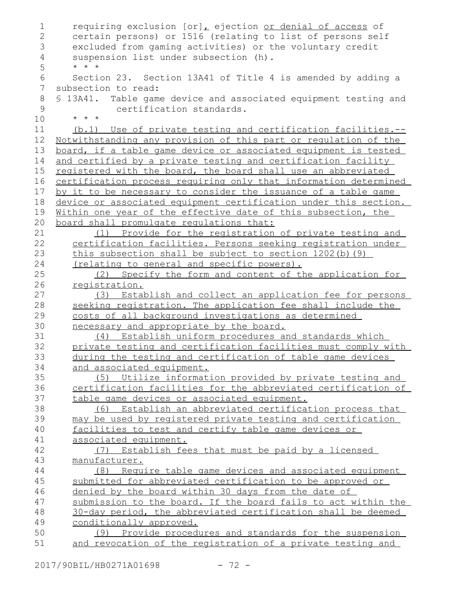```
requiring exclusion [or], ejection or denial of access of
       certain persons) or 1516 (relating to list of persons self
       excluded from gaming activities) or the voluntary credit
       suspension list under subsection (h).
       * * *
       Section 23. Section 13A41 of Title 4 is amended by adding a
   subsection to read:
   § 13A41. Table game device and associated equipment testing and
               certification standards.
       * * *
       (b.1) Use of private testing and certification facilities.--
   Notwithstanding any provision of this part or regulation of the
   board, if a table game device or associated equipment is tested
   and certified by a private testing and certification facility
   registered with the board, the board shall use an abbreviated
   certification process requiring only that information determined
   by it to be necessary to consider the issuance of a table game
   device or associated equipment certification under this section.
   Within one year of the effective date of this subsection, the
   board shall promulgate regulations that:
           (1) Provide for the registration of private testing and
      certification facilities. Persons seeking registration under
       this subsection shall be subject to section 1202(b)(9)
      (relating to general and specific powers).
           (2) Specify the form and content of the application for
       registration.
           (3) Establish and collect an application fee for persons
       seeking registration. The application fee shall include the
      costs of all background investigations as determined
      necessary and appropriate by the board.
           (4) Establish uniform procedures and standards which
      private testing and certification facilities must comply with
       during the testing and certification of table game devices
       and associated equipment.
           (5) Utilize information provided by private testing and
      certification facilities for the abbreviated certification of
       table game devices or associated equipment.
           (6) Establish an abbreviated certification process that
      may be used by registered private testing and certification
       facilities to test and certify table game devices or
       associated equipment.
           (7) Establish fees that must be paid by a licensed
      manufacturer.
           (8) Require table game devices and associated equipment
       submitted for abbreviated certification to be approved or
       denied by the board within 30 days from the date of
       submission to the board. If the board fails to act within the
       30-day period, the abbreviated certification shall be deemed
       conditionally approved.
           (9) Provide procedures and standards for the suspension
       and revocation of the registration of a private testing and
1
2
3
4
5
 6
7
8
9
10
11
12
13
14
15
16
17
18
19
20
21
22
23
24
25
26
27
28
29
30
31
32
33
34
35
36
37
38
39
40
41
42
43
44
45
46
47
48
49
50
51
```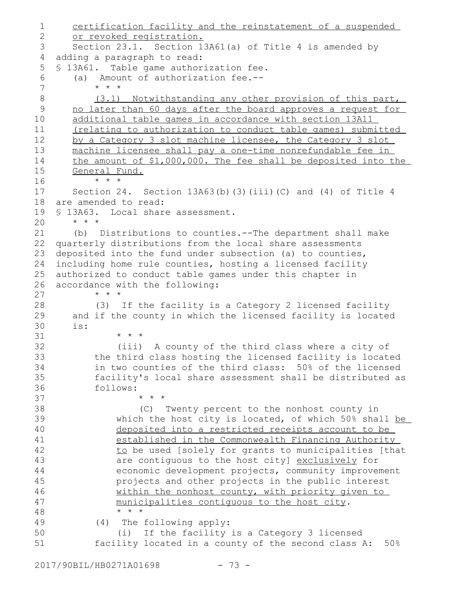certification facility and the reinstatement of a suspended or revoked registration. Section 23.1. Section 13A61(a) of Title 4 is amended by adding a paragraph to read: § 13A61. Table game authorization fee. (a) Amount of authorization fee.-- \* \* \* (3.1) Notwithstanding any other provision of this part, no later than 60 days after the board approves a request for additional table games in accordance with section 13A11 (relating to authorization to conduct table games) submitted by a Category 3 slot machine licensee, the Category 3 slot machine licensee shall pay a one-time nonrefundable fee in the amount of \$1,000,000. The fee shall be deposited into the General Fund. \* \* \* Section 24. Section  $13A63(b)$  (3)(iii)(C) and (4) of Title 4 are amended to read: § 13A63. Local share assessment. \* \* \* (b) Distributions to counties.--The department shall make quarterly distributions from the local share assessments deposited into the fund under subsection (a) to counties, including home rule counties, hosting a licensed facility authorized to conduct table games under this chapter in accordance with the following: \* \* \* (3) If the facility is a Category 2 licensed facility and if the county in which the licensed facility is located is: \* \* \* (iii) A county of the third class where a city of the third class hosting the licensed facility is located in two counties of the third class: 50% of the licensed facility's local share assessment shall be distributed as follows: \* \* \* (C) Twenty percent to the nonhost county in which the host city is located, of which 50% shall be deposited into a restricted receipts account to be established in the Commonwealth Financing Authority to be used [solely for grants to municipalities [that are contiguous to the host city] exclusively for economic development projects, community improvement projects and other projects in the public interest within the nonhost county, with priority given to municipalities contiguous to the host city.  $\star$   $\hspace{0.1cm} \star$   $\hspace{0.1cm} \star$ (4) The following apply: (i) If the facility is a Category 3 licensed facility located in a county of the second class A: 50% 1 2 3 4 5 6 7 8 9 10 11 12 13 14 15 16 17 18 19 20 21 22 23 24 25 26 27 28 29 30 31 32 33 34 35 36 37 38 39 40 41 42 43 44 45 46 47 48 49 50 51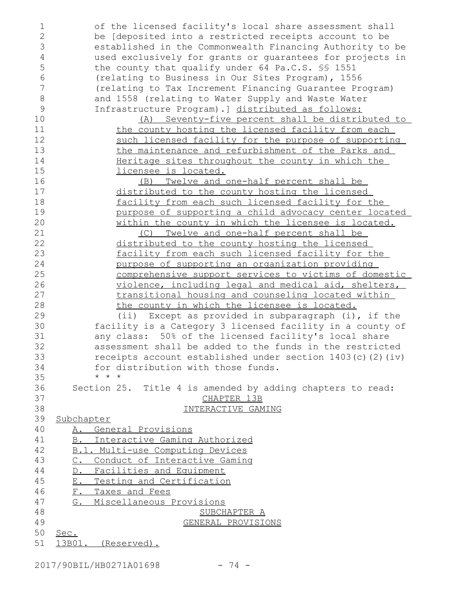| 1              | of the licensed facility's local share assessment shall       |
|----------------|---------------------------------------------------------------|
| $\mathbf{2}$   | be [deposited into a restricted receipts account to be        |
| 3              | established in the Commonwealth Financing Authority to be     |
| 4              | used exclusively for grants or guarantees for projects in     |
| 5              | the county that qualify under 64 Pa.C.S. SS 1551              |
| 6              | (relating to Business in Our Sites Program), 1556             |
| $\overline{7}$ | (relating to Tax Increment Financing Guarantee Program)       |
| 8              | and 1558 (relating to Water Supply and Waste Water            |
| 9              | Infrastructure Program).] distributed as follows:             |
| 10             | (A) Seventy-five percent shall be distributed to              |
| 11             | the county hosting the licensed facility from each            |
| 12             | such licensed facility for the purpose of supporting          |
| 13             | the maintenance and refurbishment of the Parks and            |
| 14             | Heritage sites throughout the county in which the             |
| 15             | licensee is located.                                          |
| 16             | (B) Twelve and one-half percent shall be                      |
| 17             | distributed to the county hosting the licensed                |
| 18             | facility from each such licensed facility for the             |
| 19             | purpose of supporting a child advocacy center located         |
| 20             | within the county in which the licensee is located.           |
| 21             | (C) Twelve and one-half percent shall be                      |
| 22             | distributed to the county hosting the licensed                |
| 23             | facility from each such licensed facility for the             |
| 24             | purpose of supporting an organization providing               |
| 25             | comprehensive support services to victims of domestic         |
| 26             | violence, including legal and medical aid, shelters,          |
| 27             | transitional housing and counseling located within            |
| 28             | the county in which the licensee is located.                  |
| 29             | (ii) Except as provided in subparagraph (i), if the           |
| 30             | facility is a Category 3 licensed facility in a county of     |
| 31             | any class: 50% of the licensed facility's local share         |
| 32             | assessment shall be added to the funds in the restricted      |
| 33             | receipts account established under section $1403(c)$ (2) (iv) |
| 34             | for distribution with those funds.                            |
| 35             | $\star$ $\star$ $\star$                                       |
| 36             | Section 25. Title 4 is amended by adding chapters to read:    |
| 37             | CHAPTER 13B                                                   |
| 38             | INTERACTIVE GAMING                                            |
| 39             | Subchapter                                                    |
| 40             | A. General Provisions                                         |
| 41             | B. Interactive Gaming Authorized                              |
| 42             | B.1. Multi-use Computing Devices                              |
| 43             | C. Conduct of Interactive Gaming                              |
| 44             | D. Facilities and Equipment                                   |
| 45             | E. Testing and Certification                                  |
| 46             | F. Taxes and Fees                                             |
| 47             | G. Miscellaneous Provisions                                   |
| 48             | SUBCHAPTER A                                                  |
| 49             | GENERAL PROVISIONS                                            |
| 50             | Sec.                                                          |
| 51             | 13B01. (Reserved).                                            |
|                |                                                               |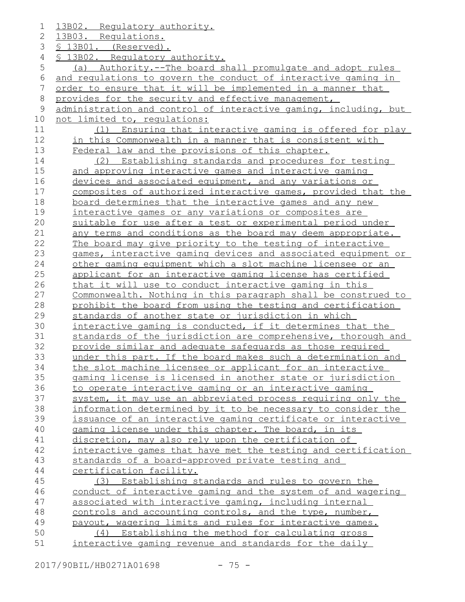13B02. Regulatory authority. 13B03. Regulations. § 13B01. (Reserved). § 13B02. Regulatory authority. (a) Authority.--The board shall promulgate and adopt rules and regulations to govern the conduct of interactive gaming in order to ensure that it will be implemented in a manner that provides for the security and effective management, administration and control of interactive gaming, including, but not limited to, regulations: (1) Ensuring that interactive gaming is offered for play in this Commonwealth in a manner that is consistent with Federal law and the provisions of this chapter. (2) Establishing standards and procedures for testing and approving interactive games and interactive gaming devices and associated equipment, and any variations or composites of authorized interactive games, provided that the board determines that the interactive games and any new interactive games or any variations or composites are suitable for use after a test or experimental period under any terms and conditions as the board may deem appropriate. The board may give priority to the testing of interactive games, interactive gaming devices and associated equipment or other gaming equipment which a slot machine licensee or an applicant for an interactive gaming license has certified that it will use to conduct interactive gaming in this Commonwealth. Nothing in this paragraph shall be construed to prohibit the board from using the testing and certification standards of another state or jurisdiction in which interactive gaming is conducted, if it determines that the standards of the jurisdiction are comprehensive, thorough and provide similar and adequate safeguards as those required under this part. If the board makes such a determination and the slot machine licensee or applicant for an interactive gaming license is licensed in another state or jurisdiction to operate interactive gaming or an interactive gaming system, it may use an abbreviated process requiring only the information determined by it to be necessary to consider the issuance of an interactive gaming certificate or interactive gaming license under this chapter. The board, in its discretion, may also rely upon the certification of interactive games that have met the testing and certification standards of a board-approved private testing and certification facility. (3) Establishing standards and rules to govern the conduct of interactive gaming and the system of and wagering associated with interactive gaming, including internal controls and accounting controls, and the type, number, payout, wagering limits and rules for interactive games. (4) Establishing the method for calculating gross interactive gaming revenue and standards for the daily 1 2 3 4 5 6 7 8 9 10 11 12 13 14 15 16 17 18 19 20 21 22 23 24 25 26 27 28 29 30 31 32 33 34 35 36 37 38 39 40 41 42 43 44 45 46 47 48 49 50 51

2017/90BIL/HB0271A01698 - 75 -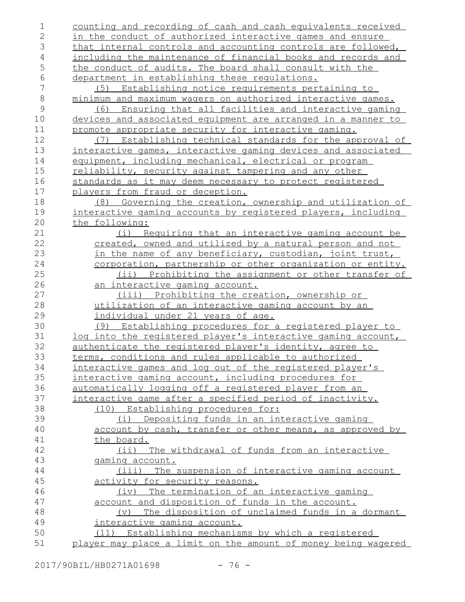| 1<br>$\mathbf{2}$ | counting and recording of cash and cash equivalents received<br>in the conduct of authorized interactive games and ensure |
|-------------------|---------------------------------------------------------------------------------------------------------------------------|
| 3                 | that internal controls and accounting controls are followed,                                                              |
| $\overline{4}$    | including the maintenance of financial books and records and                                                              |
| 5                 | the conduct of audits. The board shall consult with the                                                                   |
| 6                 | department in establishing these requlations.                                                                             |
| 7                 | (5) Establishing notice requirements pertaining to                                                                        |
| $\,8\,$           | minimum and maximum wagers on authorized interactive games.                                                               |
| $\mathsf 9$       | (6) Ensuring that all facilities and interactive gaming                                                                   |
| 10                | devices and associated equipment are arranged in a manner to                                                              |
| 11                | promote appropriate security for interactive gaming.                                                                      |
| 12                | Establishing technical standards for the approval of<br>(7)                                                               |
| 13                | interactive games, interactive gaming devices and associated                                                              |
| 14                | equipment, including mechanical, electrical or program                                                                    |
| 15                | reliability, security against tampering and any other                                                                     |
| 16                | standards as it may deem necessary to protect registered                                                                  |
| 17                | players from fraud or deception.                                                                                          |
| 18                | (8) Governing the creation, ownership and utilization of                                                                  |
| 19                | interactive gaming accounts by registered players, including                                                              |
| 20                | the following:                                                                                                            |
| 21                | (i) Requiring that an interactive gaming account be                                                                       |
| 22                | created, owned and utilized by a natural person and not                                                                   |
| 23                | in the name of any beneficiary, custodian, joint trust,                                                                   |
| 24                | corporation, partnership or other organization or entity.                                                                 |
| 25                | (ii) Prohibiting the assignment or other transfer of                                                                      |
| 26                | an interactive gaming account.                                                                                            |
| 27                | (iii) Prohibiting the creation, ownership or                                                                              |
| 28                | utilization of an interactive gaming account by an                                                                        |
| 29                | <u>individual under 21 years of age.</u>                                                                                  |
| 30                | (9) Establishing procedures for a registered player to                                                                    |
| 31                | <u>log into the registered player's interactive gaming account,</u>                                                       |
| 32                | authenticate the registered player's identity, agree to                                                                   |
| 33                | terms, conditions and rules applicable to authorized                                                                      |
| 34                | interactive games and log out of the registered player's                                                                  |
| 35                | interactive gaming account, including procedures for                                                                      |
| 36                | automatically logging off a registered player from an                                                                     |
| 37                | interactive game after a specified period of inactivity.                                                                  |
| 38                | (10) Establishing procedures for:                                                                                         |
| 39                | (i) Depositing funds in an interactive gaming                                                                             |
| 40                | account by cash, transfer or other means, as approved by                                                                  |
| 41                | the board.                                                                                                                |
| 42                | (ii) The withdrawal of funds from an interactive                                                                          |
| 43                | gaming account.                                                                                                           |
| 44<br>45          | (iii) The suspension of interactive gaming account                                                                        |
| 46                | activity for security reasons.                                                                                            |
| 47                | (iv) The termination of an interactive gaming<br>account and disposition of funds in the account.                         |
| 48                | (v) The disposition of unclaimed funds in a dormant                                                                       |
| 49                | interactive gaming account.                                                                                               |
| 50                | (11) Establishing mechanisms by which a registered                                                                        |
| 51                | player may place a limit on the amount of money being wagered                                                             |
|                   |                                                                                                                           |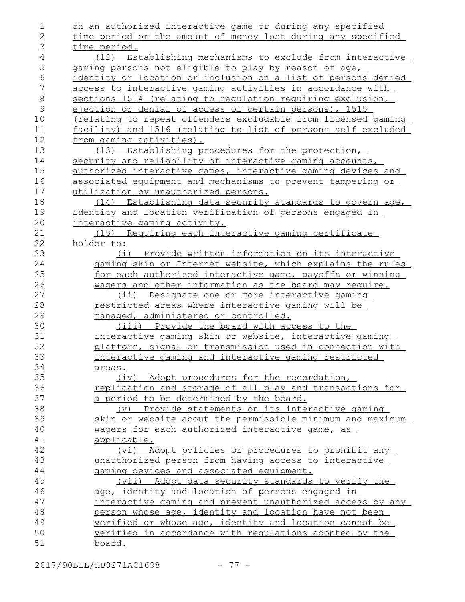| 1               | on an authorized interactive game or during any specified                                                  |
|-----------------|------------------------------------------------------------------------------------------------------------|
| $\mathbf{2}$    | time period or the amount of money lost during any specified                                               |
| 3               | time period.                                                                                               |
| 4               | (12) Establishing mechanisms to exclude from interactive                                                   |
| $\mathsf S$     | gaming persons not eligible to play by reason of age,                                                      |
| 6               | identity or location or inclusion on a list of persons denied                                              |
| $7\phantom{.0}$ | access to interactive gaming activities in accordance with                                                 |
| $\,8\,$         | sections 1514 (relating to regulation requiring exclusion,                                                 |
| $\mathsf 9$     | ejection or denial of access of certain persons), 1515                                                     |
| 10              | (relating to repeat offenders excludable from licensed gaming                                              |
| 11              | facility) and 1516 (relating to list of persons self excluded                                              |
| 12              | from gaming activities).                                                                                   |
| 13              | (13) Establishing procedures for the protection,                                                           |
| 14              | security and reliability of interactive gaming accounts,                                                   |
| 15              | authorized interactive games, interactive gaming devices and                                               |
| 16              | associated equipment and mechanisms to prevent tampering or                                                |
| 17              | utilization by unauthorized persons.                                                                       |
| 18              | (14) Establishing data security standards to govern age,                                                   |
| 19              | identity and location verification of persons engaged in                                                   |
| 20              | interactive gaming activity.                                                                               |
| 21              | (15) Requiring each interactive gaming certificate                                                         |
| 22              | holder to:                                                                                                 |
| 23              | (i) Provide written information on its interactive                                                         |
| 24              | gaming skin or Internet website, which explains the rules                                                  |
| 25              | for each authorized interactive game, payoffs or winning                                                   |
| 26              | wagers and other information as the board may require.                                                     |
| 27              | (ii) Designate one or more interactive gaming                                                              |
| 28              | restricted areas where interactive gaming will be                                                          |
| 29              | managed, administered or controlled.                                                                       |
| 30              | (iii) Provide the board with access to the                                                                 |
| 31              | interactive gaming skin or website, interactive gaming                                                     |
| 32              | platform, signal or transmission used in connection with                                                   |
| 33              | interactive gaming and interactive gaming restricted                                                       |
| 34              | areas.                                                                                                     |
| 35              | (iv) Adopt procedures for the recordation,                                                                 |
| 36              | replication and storage of all play and transactions for                                                   |
| 37              | a period to be determined by the board.                                                                    |
| 38              | (v) Provide statements on its interactive gaming                                                           |
| 39              | skin or website about the permissible minimum and maximum                                                  |
| 40<br>41        | wagers for each authorized interactive game, as                                                            |
| 42              | applicable.                                                                                                |
| 43              | (vi) Adopt policies or procedures to prohibit any<br>unauthorized person from having access to interactive |
| 44              |                                                                                                            |
| 45              | gaming devices and associated equipment.<br>(vii) Adopt data security standards to verify the              |
| 46              | age, identity and location of persons engaged in                                                           |
| 47              | interactive gaming and prevent unauthorized access by any                                                  |
| 48              | person whose age, identity and location have not been                                                      |
| 49              | verified or whose age, identity and location cannot be                                                     |
| 50              | verified in accordance with regulations adopted by the                                                     |
| 51              | <u>board.</u>                                                                                              |
|                 |                                                                                                            |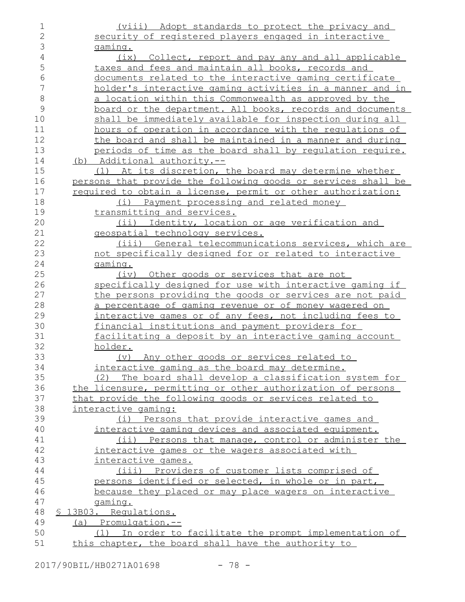| 1             | (viii) Adopt standards to protect the privacy and             |
|---------------|---------------------------------------------------------------|
| $\mathbf{2}$  | security of registered players engaged in interactive         |
| 3             | qaming.                                                       |
| 4             | (ix) Collect, report and pay any and all applicable           |
| 5             | taxes and fees and maintain all books, records and            |
| 6             | documents related to the interactive gaming certificate       |
| 7             | holder's interactive gaming activities in a manner and in     |
| 8             | a location within this Commonwealth as approved by the        |
| $\mathcal{G}$ | board or the department. All books, records and documents     |
| 10            | shall be immediately available for inspection during all      |
| 11            | hours of operation in accordance with the requlations of      |
| 12            | the board and shall be maintained in a manner and during      |
| 13            | periods of time as the board shall by requlation require.     |
| 14            | (b) Additional authority.--                                   |
| 15            | (1) At its discretion, the board may determine whether        |
| 16            | persons that provide the following goods or services shall be |
| 17            | required to obtain a license, permit or other authorization:  |
| 18            | (i) Payment processing and related money                      |
| 19            | transmitting and services.                                    |
| 20            | (ii) Identity, location or age verification and               |
| 21            | geospatial technology services.                               |
| 22            | (iii) General telecommunications services, which are          |
| 23            | not specifically designed for or related to interactive       |
| 24            | gaming.                                                       |
| 25            | Other goods or services that are not<br>(iv)                  |
| 26            | specifically designed for use with interactive gaming if      |
| 27            | the persons providing the goods or services are not paid      |
| 28            | a percentage of gaming revenue or of money wagered on         |
| 29            | interactive games or of any fees, not including fees to       |
| 30            | financial institutions and payment providers for              |
| 31            | facilitating a deposit by an interactive gaming account       |
| 32            | holder.                                                       |
| 33            | Any other goods or services related to<br>$(\vee)$            |
| 34            | interactive gaming as the board may determine.                |
| 35            | (2) The board shall develop a classification system for       |
| 36            | the licensure, permitting or other authorization of persons   |
| 37            | that provide the following goods or services related to       |
| 38            | interactive gaming:                                           |
| 39            | (i) Persons that provide interactive games and                |
| 40            | interactive gaming devices and associated equipment.          |
| 41            | (ii) Persons that manage, control or administer the           |
| 42            | interactive games or the wagers associated with               |
| 43            | interactive games.                                            |
| 44            | (iii) Providers of customer lists comprised of                |
| 45            | persons identified or selected, in whole or in part,          |
| 46            | because they placed or may place wagers on interactive        |
| 47            | qaming.                                                       |
| 48            | \$ 13B03. Requlations.                                        |
| 49            | (a) Promulgation.--                                           |
| 50            | (1) In order to facilitate the prompt implementation of       |
| 51            | this chapter, the board shall have the authority to           |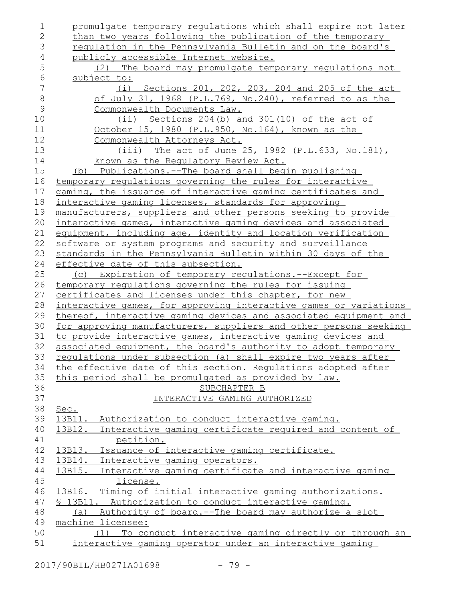| $\mathbf 1$   | promulgate temporary regulations which shall expire not later                              |
|---------------|--------------------------------------------------------------------------------------------|
| $\mathbf{2}$  | than two years following the publication of the temporary                                  |
| 3             | requlation in the Pennsylvania Bulletin and on the board's                                 |
| 4             | publicly accessible Internet website.                                                      |
| 5             | (2) The board may promulgate temporary regulations not                                     |
| 6             | subject to:                                                                                |
| 7             | (i) Sections 201, 202, 203, 204 and 205 of the act                                         |
| $\,8\,$       | of July 31, 1968 (P.L.769, No.240), referred to as the                                     |
| $\mathcal{G}$ | Commonwealth Documents Law.                                                                |
| 10            | (ii) Sections 204(b) and 301(10) of the act of                                             |
| 11            | October 15, 1980 (P.L.950, No.164), known as the                                           |
| 12            | Commonwealth Attorneys Act.                                                                |
| 13            | $(iii)$ The act of June 25, 1982 (P.L.633, No.181),                                        |
| 14            | known as the Requlatory Review Act.                                                        |
| 15            | (b) Publications.--The board shall begin publishing                                        |
| 16            | temporary requlations governing the rules for interactive                                  |
| 17            | gaming, the issuance of interactive gaming certificates and                                |
| 18            | interactive gaming licenses, standards for approving                                       |
| 19            | manufacturers, suppliers and other persons seeking to provide                              |
| 20            | interactive games, interactive gaming devices and associated                               |
| 21            | equipment, including age, identity and location verification                               |
| 22            | software or system programs and security and surveillance                                  |
| 23            | standards in the Pennsylvania Bulletin within 30 days of the                               |
| 24            | effective date of this subsection.                                                         |
| 25            | (c) Expiration of temporary requlations.--Except for                                       |
| 26            | temporary regulations governing the rules for issuing                                      |
| 27            | certificates and licenses under this chapter, for new                                      |
| 28            | interactive games, for approving interactive games or variations                           |
| 29            | thereof, interactive gaming devices and associated equipment and                           |
| 30            | for approving manufacturers, suppliers and other persons seeking                           |
| 31            | to provide interactive games, interactive gaming devices and                               |
| 32            | associated equipment, the board's authority to adopt temporary                             |
| 33            | requlations under subsection (a) shall expire two years after                              |
| 34            | the effective date of this section. Regulations adopted after                              |
| 35            | this period shall be promulgated as provided by law.                                       |
| 36            | SUBCHAPTER B                                                                               |
| 37            | INTERACTIVE GAMING AUTHORIZED                                                              |
| 38            | Sec.                                                                                       |
| 39            | 13B11. Authorization to conduct interactive gaming.                                        |
| 40<br>41      | 13B12. Interactive gaming certificate required and content of                              |
| 42            | petition.                                                                                  |
| 43            | 13B13. Issuance of interactive gaming certificate.<br>13B14. Interactive gaming operators. |
| 44            | 13B15. Interactive gaming certificate and interactive gaming                               |
| 45            | license.                                                                                   |
| 46            | 13B16. Timing of initial interactive gaming authorizations.                                |
| 47            | \$ 13B11. Authorization to conduct interactive gaming.                                     |
| 48            | (a) Authority of board.--The board may authorize a slot                                    |
| 49            | machine licensee:                                                                          |
| 50            | (1) To conduct interactive gaming directly or through an                                   |
| 51            | interactive gaming operator under an interactive gaming                                    |
|               |                                                                                            |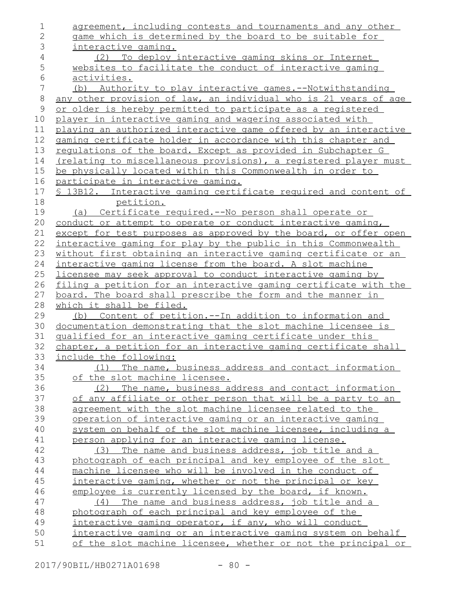| 1             | agreement, including contests and tournaments and any other                                                                   |
|---------------|-------------------------------------------------------------------------------------------------------------------------------|
| $\mathbf{2}$  | game which is determined by the board to be suitable for                                                                      |
| 3             | <u>interactive qaminq.</u>                                                                                                    |
| $\sqrt{4}$    | (2) To deploy interactive gaming skins or Internet                                                                            |
| 5             | websites to facilitate the conduct of interactive gaming                                                                      |
| 6             | activities.                                                                                                                   |
| 7             | Authority to play interactive games.--Notwithstanding<br>(b)                                                                  |
| $\,8\,$       | any other provision of law, an individual who is 21 years of age                                                              |
| $\mathcal{G}$ | or older is hereby permitted to participate as a registered                                                                   |
| 10            | player in interactive gaming and wagering associated with                                                                     |
| 11            | playing an authorized interactive game offered by an interactive                                                              |
| 12            | gaming certificate holder in accordance with this chapter and                                                                 |
| 13            | regulations of the board. Except as provided in Subchapter G                                                                  |
| 14            | (relating to miscellaneous provisions), a registered player must                                                              |
| 15            | be physically located within this Commonwealth in order to                                                                    |
| 16            | participate in interactive gaming.                                                                                            |
| 17            | \$ 13B12. Interactive gaming certificate required and content of                                                              |
| 18            | petition.                                                                                                                     |
| 19            | (a) Certificate required.--No person shall operate or                                                                         |
| 20            | conduct or attempt to operate or conduct interactive gaming,                                                                  |
| 21            | except for test purposes as approved by the board, or offer open                                                              |
| 22            | interactive gaming for play by the public in this Commonwealth                                                                |
| 23            | without first obtaining an interactive gaming certificate or an                                                               |
| 24            | interactive gaming license from the board. A slot machine                                                                     |
| 25            | licensee may seek approval to conduct interactive gaming by                                                                   |
|               |                                                                                                                               |
| 26            | filing a petition for an interactive gaming certificate with the                                                              |
| 27            | board. The board shall prescribe the form and the manner in                                                                   |
| 28            | which it shall be filed.                                                                                                      |
| 29            | Content of petition.--In addition to information and<br>(b)                                                                   |
| 30            | documentation demonstrating that the slot machine licensee is                                                                 |
| 31            | qualified for an interactive gaming certificate under this                                                                    |
| 32            | chapter, a petition for an interactive gaming certificate shall                                                               |
| 33            | include the following:                                                                                                        |
| 34            | The name, business address and contact information<br>(1)                                                                     |
| 35            | of the slot machine licensee.                                                                                                 |
| 36            | The name, business address and contact information<br>(2)                                                                     |
| 37            | of any affiliate or other person that will be a party to an                                                                   |
| 38            | agreement with the slot machine licensee related to the                                                                       |
| 39            | operation of interactive gaming or an interactive gaming                                                                      |
| 40            | system on behalf of the slot machine licensee, including a                                                                    |
| 41            | person applying for an interactive gaming license.                                                                            |
| 42            | (3) The name and business address, job title and a                                                                            |
| 43            | photograph of each principal and key employee of the slot                                                                     |
| 44            | machine licensee who will be involved in the conduct of                                                                       |
| 45            | interactive gaming, whether or not the principal or key                                                                       |
| 46            | employee is currently licensed by the board, if known.                                                                        |
| 47            | The name and business address, job title and a<br>(4)                                                                         |
| 48            | photograph of each principal and key employee of the                                                                          |
| 49            | interactive gaming operator, if any, who will conduct                                                                         |
| 50<br>51      | interactive gaming or an interactive gaming system on behalf<br>of the slot machine licensee, whether or not the principal or |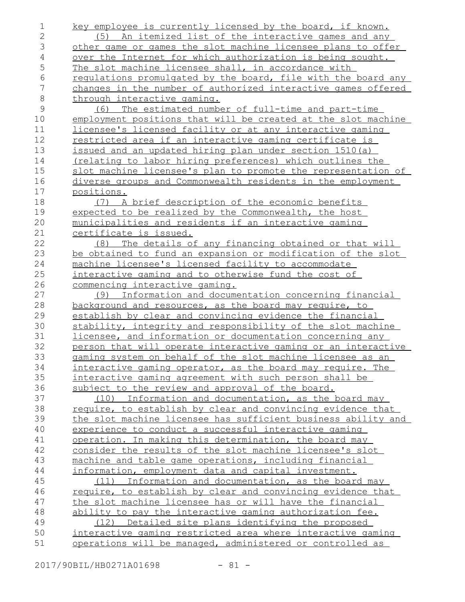key employee is currently licensed by the board, if known. (5) An itemized list of the interactive games and any other game or games the slot machine licensee plans to offer over the Internet for which authorization is being sought. The slot machine licensee shall, in accordance with regulations promulgated by the board, file with the board any changes in the number of authorized interactive games offered through interactive gaming. (6) The estimated number of full-time and part-time employment positions that will be created at the slot machine licensee's licensed facility or at any interactive gaming restricted area if an interactive gaming certificate is issued and an updated hiring plan under section 1510(a) (relating to labor hiring preferences) which outlines the slot machine licensee's plan to promote the representation of diverse groups and Commonwealth residents in the employment positions. (7) A brief description of the economic benefits expected to be realized by the Commonwealth, the host municipalities and residents if an interactive gaming certificate is issued. (8) The details of any financing obtained or that will be obtained to fund an expansion or modification of the slot machine licensee's licensed facility to accommodate interactive gaming and to otherwise fund the cost of commencing interactive gaming. (9) Information and documentation concerning financial background and resources, as the board may require, to establish by clear and convincing evidence the financial stability, integrity and responsibility of the slot machine licensee, and information or documentation concerning any person that will operate interactive gaming or an interactive gaming system on behalf of the slot machine licensee as an interactive gaming operator, as the board may require. The interactive gaming agreement with such person shall be subject to the review and approval of the board. (10) Information and documentation, as the board may require, to establish by clear and convincing evidence that the slot machine licensee has sufficient business ability and experience to conduct a successful interactive gaming operation. In making this determination, the board may consider the results of the slot machine licensee's slot machine and table game operations, including financial information, employment data and capital investment. (11) Information and documentation, as the board may require, to establish by clear and convincing evidence that the slot machine licensee has or will have the financial ability to pay the interactive gaming authorization fee. (12) Detailed site plans identifying the proposed interactive gaming restricted area where interactive gaming operations will be managed, administered or controlled as 1 2 3 4 5 6 7 8 9 10 11 12 13 14 15 16 17 18 19 20 21 22 23 24 25 26 27 28 29 30 31 32 33 34 35 36 37 38 39 40 41 42 43 44 45 46 47 48 49 50 51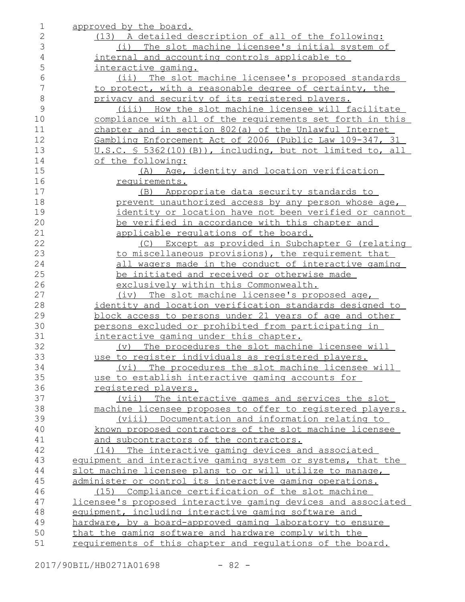| 1               | approved by the board.                                                   |
|-----------------|--------------------------------------------------------------------------|
| 2               | (13) A detailed description of all of the following:                     |
| 3               | (i) The slot machine licensee's initial system of                        |
| 4               | internal and accounting controls applicable to                           |
| 5               | interactive gaming.                                                      |
| 6               | (ii) The slot machine licensee's proposed standards                      |
| $7\phantom{.0}$ | to protect, with a reasonable degree of certainty, the                   |
| $\,8\,$         | privacy and security of its registered players.                          |
| $\mathcal{G}$   | (iii) How the slot machine licensee will facilitate                      |
| 10              | compliance with all of the requirements set forth in this                |
| 11              | chapter and in section 802(a) of the Unlawful Internet                   |
| 12              | Gambling Enforcement Act of 2006 (Public Law 109-347, 31                 |
| 13              | U.S.C. § 5362(10)(B)), including, but not limited to, all                |
| 14              | of the following:                                                        |
| 15              | (A) Age, identity and location verification                              |
| 16              | requirements.                                                            |
| 17              | (B) Appropriate data security standards to                               |
| 18              | prevent unauthorized access by any person whose age,                     |
| 19              | identity or location have not been verified or cannot                    |
| 20              | be verified in accordance with this chapter and                          |
| 21              | applicable requlations of the board.                                     |
| 22              | (C) Except as provided in Subchapter G (relating                         |
| 23              | to miscellaneous provisions), the requirement that                       |
| 24              | all wagers made in the conduct of interactive gaming                     |
| 25              | be initiated and received or otherwise made                              |
| 26              | exclusively within this Commonwealth.                                    |
| 27              | (iv) The slot machine licensee's proposed age,                           |
| 28              | identity and location verification standards designed to                 |
| 29              | block access to persons under 21 years of age and other                  |
| 30              | persons excluded or prohibited from participating in                     |
| 31              | interactive gaming under this chapter.                                   |
| 32              | (v) The procedures the slot machine licensee will                        |
| 33              | use to register individuals as registered players.                       |
| 34              |                                                                          |
| 35              | (vi) The procedures the slot machine licensee will                       |
| 36              | use to establish interactive gaming accounts for                         |
| 37              | registered players.<br>(vii) The interactive games and services the slot |
| 38              | machine licensee proposes to offer to registered players.                |
| 39              | (viii) Documentation and information relating to                         |
| 40              |                                                                          |
| 41              | known proposed contractors of the slot machine licensee                  |
|                 | and subcontractors of the contractors.                                   |
| 42              | (14) The interactive gaming devices and associated                       |
| 43              | equipment and interactive gaming system or systems, that the             |
| 44              | slot machine licensee plans to or will utilize to manage,                |
| 45              | administer or control its interactive gaming operations.                 |
| 46              | (15) Compliance certification of the slot machine                        |
| 47              | licensee's proposed interactive gaming devices and associated            |
| 48              | equipment, including interactive gaming software and                     |
| 49              | hardware, by a board-approved gaming laboratory to ensure                |
| 50              | that the gaming software and hardware comply with the                    |
| 51              | requirements of this chapter and requlations of the board.               |

2017/90BIL/HB0271A01698 - 82 -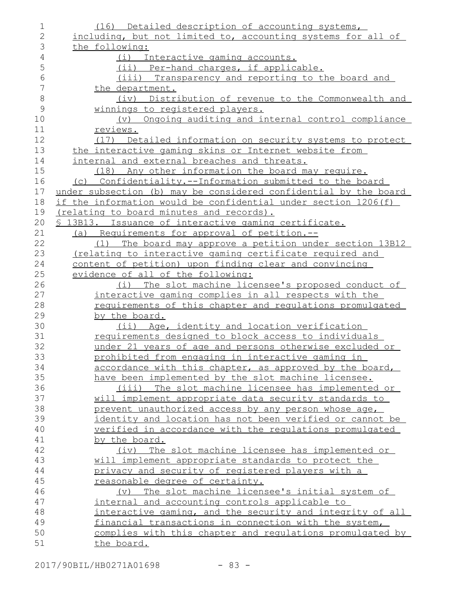| $\overline{2}$<br>including, but not limited to, accounting systems for all of<br>3<br>the following:<br>$\overline{4}$<br>(i) Interactive gaming accounts.<br>5<br>(ii) Per-hand charges, if applicable.<br>6<br>(iii) Transparency and reporting to the board and<br>7<br>the department.<br>$\,8\,$<br>(iv) Distribution of revenue to the Commonwealth and<br>$\mathcal{G}$<br>winnings to registered players.<br>(v) Ongoing auditing and internal control compliance<br>10<br>11<br>reviews.<br>12<br>(17) Detailed information on security systems to protect<br>13<br>the interactive gaming skins or Internet website from<br>14<br>internal and external breaches and threats.<br>15<br>(18) Any other information the board may require.<br>16<br>(c) Confidentiality.--Information submitted to the board<br>17<br>under subsection (b) may be considered confidential by the board<br>if the information would be confidential under section 1206(f)<br>18<br>19<br>(relating to board minutes and records).<br>20<br>\$ 13B13. Issuance of interactive gaming certificate.<br>21<br>(a) Requirements for approval of petition.--<br>22<br>(1) The board may approve a petition under section 13B12<br>23<br><u>(relating to interactive gaming certificate required and</u><br>24<br>content of petition) upon finding clear and convincing<br>25<br>evidence of all of the following:<br>26<br>(i) The slot machine licensee's proposed conduct of<br>27<br>interactive gaming complies in all respects with the<br>28<br>requirements of this chapter and regulations promulgated<br>29<br>by the board.<br>30<br>(ii) Age, identity and location verification<br>31<br>requirements designed to block access to individuals<br>32<br>under 21 years of age and persons otherwise excluded or<br>33<br>prohibited from engaging in interactive gaming in<br>34<br>accordance with this chapter, as approved by the board,<br>35<br>have been implemented by the slot machine licensee.<br>36<br>(iii) The slot machine licensee has implemented or<br>37<br>will implement appropriate data security standards to<br>38<br>prevent unauthorized access by any person whose age,<br>39<br>identity and location has not been verified or cannot be<br>verified in accordance with the requlations promulgated<br>40<br>41<br>by the board.<br>42<br>The slot machine licensee has implemented or<br>(iv)<br>43<br>will implement appropriate standards to protect the<br>44<br>privacy and security of registered players with a<br>45<br>reasonable degree of certainty.<br>46<br>The slot machine licensee's initial system of<br>$(\triangledown)$<br>47<br>internal and accounting controls applicable to<br>48<br>interactive gaming, and the security and integrity of all<br>49<br>financial transactions in connection with the system,<br>50<br>complies with this chapter and requlations promulgated by<br>51<br>the board. | 1 | (16) Detailed description of accounting systems, |
|-------------------------------------------------------------------------------------------------------------------------------------------------------------------------------------------------------------------------------------------------------------------------------------------------------------------------------------------------------------------------------------------------------------------------------------------------------------------------------------------------------------------------------------------------------------------------------------------------------------------------------------------------------------------------------------------------------------------------------------------------------------------------------------------------------------------------------------------------------------------------------------------------------------------------------------------------------------------------------------------------------------------------------------------------------------------------------------------------------------------------------------------------------------------------------------------------------------------------------------------------------------------------------------------------------------------------------------------------------------------------------------------------------------------------------------------------------------------------------------------------------------------------------------------------------------------------------------------------------------------------------------------------------------------------------------------------------------------------------------------------------------------------------------------------------------------------------------------------------------------------------------------------------------------------------------------------------------------------------------------------------------------------------------------------------------------------------------------------------------------------------------------------------------------------------------------------------------------------------------------------------------------------------------------------------------------------------------------------------------------------------------------------------------------------------------------------------------------------------------------------------------------------------------------------------------------------------------------------------------------------------------------------------------------------------------------------------------------------------------------------------------------------------------------------------------------------------------------------------------------------------------------------------------------------------------------------------|---|--------------------------------------------------|
|                                                                                                                                                                                                                                                                                                                                                                                                                                                                                                                                                                                                                                                                                                                                                                                                                                                                                                                                                                                                                                                                                                                                                                                                                                                                                                                                                                                                                                                                                                                                                                                                                                                                                                                                                                                                                                                                                                                                                                                                                                                                                                                                                                                                                                                                                                                                                                                                                                                                                                                                                                                                                                                                                                                                                                                                                                                                                                                                                       |   |                                                  |
|                                                                                                                                                                                                                                                                                                                                                                                                                                                                                                                                                                                                                                                                                                                                                                                                                                                                                                                                                                                                                                                                                                                                                                                                                                                                                                                                                                                                                                                                                                                                                                                                                                                                                                                                                                                                                                                                                                                                                                                                                                                                                                                                                                                                                                                                                                                                                                                                                                                                                                                                                                                                                                                                                                                                                                                                                                                                                                                                                       |   |                                                  |
|                                                                                                                                                                                                                                                                                                                                                                                                                                                                                                                                                                                                                                                                                                                                                                                                                                                                                                                                                                                                                                                                                                                                                                                                                                                                                                                                                                                                                                                                                                                                                                                                                                                                                                                                                                                                                                                                                                                                                                                                                                                                                                                                                                                                                                                                                                                                                                                                                                                                                                                                                                                                                                                                                                                                                                                                                                                                                                                                                       |   |                                                  |
|                                                                                                                                                                                                                                                                                                                                                                                                                                                                                                                                                                                                                                                                                                                                                                                                                                                                                                                                                                                                                                                                                                                                                                                                                                                                                                                                                                                                                                                                                                                                                                                                                                                                                                                                                                                                                                                                                                                                                                                                                                                                                                                                                                                                                                                                                                                                                                                                                                                                                                                                                                                                                                                                                                                                                                                                                                                                                                                                                       |   |                                                  |
|                                                                                                                                                                                                                                                                                                                                                                                                                                                                                                                                                                                                                                                                                                                                                                                                                                                                                                                                                                                                                                                                                                                                                                                                                                                                                                                                                                                                                                                                                                                                                                                                                                                                                                                                                                                                                                                                                                                                                                                                                                                                                                                                                                                                                                                                                                                                                                                                                                                                                                                                                                                                                                                                                                                                                                                                                                                                                                                                                       |   |                                                  |
|                                                                                                                                                                                                                                                                                                                                                                                                                                                                                                                                                                                                                                                                                                                                                                                                                                                                                                                                                                                                                                                                                                                                                                                                                                                                                                                                                                                                                                                                                                                                                                                                                                                                                                                                                                                                                                                                                                                                                                                                                                                                                                                                                                                                                                                                                                                                                                                                                                                                                                                                                                                                                                                                                                                                                                                                                                                                                                                                                       |   |                                                  |
|                                                                                                                                                                                                                                                                                                                                                                                                                                                                                                                                                                                                                                                                                                                                                                                                                                                                                                                                                                                                                                                                                                                                                                                                                                                                                                                                                                                                                                                                                                                                                                                                                                                                                                                                                                                                                                                                                                                                                                                                                                                                                                                                                                                                                                                                                                                                                                                                                                                                                                                                                                                                                                                                                                                                                                                                                                                                                                                                                       |   |                                                  |
|                                                                                                                                                                                                                                                                                                                                                                                                                                                                                                                                                                                                                                                                                                                                                                                                                                                                                                                                                                                                                                                                                                                                                                                                                                                                                                                                                                                                                                                                                                                                                                                                                                                                                                                                                                                                                                                                                                                                                                                                                                                                                                                                                                                                                                                                                                                                                                                                                                                                                                                                                                                                                                                                                                                                                                                                                                                                                                                                                       |   |                                                  |
|                                                                                                                                                                                                                                                                                                                                                                                                                                                                                                                                                                                                                                                                                                                                                                                                                                                                                                                                                                                                                                                                                                                                                                                                                                                                                                                                                                                                                                                                                                                                                                                                                                                                                                                                                                                                                                                                                                                                                                                                                                                                                                                                                                                                                                                                                                                                                                                                                                                                                                                                                                                                                                                                                                                                                                                                                                                                                                                                                       |   |                                                  |
|                                                                                                                                                                                                                                                                                                                                                                                                                                                                                                                                                                                                                                                                                                                                                                                                                                                                                                                                                                                                                                                                                                                                                                                                                                                                                                                                                                                                                                                                                                                                                                                                                                                                                                                                                                                                                                                                                                                                                                                                                                                                                                                                                                                                                                                                                                                                                                                                                                                                                                                                                                                                                                                                                                                                                                                                                                                                                                                                                       |   |                                                  |
|                                                                                                                                                                                                                                                                                                                                                                                                                                                                                                                                                                                                                                                                                                                                                                                                                                                                                                                                                                                                                                                                                                                                                                                                                                                                                                                                                                                                                                                                                                                                                                                                                                                                                                                                                                                                                                                                                                                                                                                                                                                                                                                                                                                                                                                                                                                                                                                                                                                                                                                                                                                                                                                                                                                                                                                                                                                                                                                                                       |   |                                                  |
|                                                                                                                                                                                                                                                                                                                                                                                                                                                                                                                                                                                                                                                                                                                                                                                                                                                                                                                                                                                                                                                                                                                                                                                                                                                                                                                                                                                                                                                                                                                                                                                                                                                                                                                                                                                                                                                                                                                                                                                                                                                                                                                                                                                                                                                                                                                                                                                                                                                                                                                                                                                                                                                                                                                                                                                                                                                                                                                                                       |   |                                                  |
|                                                                                                                                                                                                                                                                                                                                                                                                                                                                                                                                                                                                                                                                                                                                                                                                                                                                                                                                                                                                                                                                                                                                                                                                                                                                                                                                                                                                                                                                                                                                                                                                                                                                                                                                                                                                                                                                                                                                                                                                                                                                                                                                                                                                                                                                                                                                                                                                                                                                                                                                                                                                                                                                                                                                                                                                                                                                                                                                                       |   |                                                  |
|                                                                                                                                                                                                                                                                                                                                                                                                                                                                                                                                                                                                                                                                                                                                                                                                                                                                                                                                                                                                                                                                                                                                                                                                                                                                                                                                                                                                                                                                                                                                                                                                                                                                                                                                                                                                                                                                                                                                                                                                                                                                                                                                                                                                                                                                                                                                                                                                                                                                                                                                                                                                                                                                                                                                                                                                                                                                                                                                                       |   |                                                  |
|                                                                                                                                                                                                                                                                                                                                                                                                                                                                                                                                                                                                                                                                                                                                                                                                                                                                                                                                                                                                                                                                                                                                                                                                                                                                                                                                                                                                                                                                                                                                                                                                                                                                                                                                                                                                                                                                                                                                                                                                                                                                                                                                                                                                                                                                                                                                                                                                                                                                                                                                                                                                                                                                                                                                                                                                                                                                                                                                                       |   |                                                  |
|                                                                                                                                                                                                                                                                                                                                                                                                                                                                                                                                                                                                                                                                                                                                                                                                                                                                                                                                                                                                                                                                                                                                                                                                                                                                                                                                                                                                                                                                                                                                                                                                                                                                                                                                                                                                                                                                                                                                                                                                                                                                                                                                                                                                                                                                                                                                                                                                                                                                                                                                                                                                                                                                                                                                                                                                                                                                                                                                                       |   |                                                  |
|                                                                                                                                                                                                                                                                                                                                                                                                                                                                                                                                                                                                                                                                                                                                                                                                                                                                                                                                                                                                                                                                                                                                                                                                                                                                                                                                                                                                                                                                                                                                                                                                                                                                                                                                                                                                                                                                                                                                                                                                                                                                                                                                                                                                                                                                                                                                                                                                                                                                                                                                                                                                                                                                                                                                                                                                                                                                                                                                                       |   |                                                  |
|                                                                                                                                                                                                                                                                                                                                                                                                                                                                                                                                                                                                                                                                                                                                                                                                                                                                                                                                                                                                                                                                                                                                                                                                                                                                                                                                                                                                                                                                                                                                                                                                                                                                                                                                                                                                                                                                                                                                                                                                                                                                                                                                                                                                                                                                                                                                                                                                                                                                                                                                                                                                                                                                                                                                                                                                                                                                                                                                                       |   |                                                  |
|                                                                                                                                                                                                                                                                                                                                                                                                                                                                                                                                                                                                                                                                                                                                                                                                                                                                                                                                                                                                                                                                                                                                                                                                                                                                                                                                                                                                                                                                                                                                                                                                                                                                                                                                                                                                                                                                                                                                                                                                                                                                                                                                                                                                                                                                                                                                                                                                                                                                                                                                                                                                                                                                                                                                                                                                                                                                                                                                                       |   |                                                  |
|                                                                                                                                                                                                                                                                                                                                                                                                                                                                                                                                                                                                                                                                                                                                                                                                                                                                                                                                                                                                                                                                                                                                                                                                                                                                                                                                                                                                                                                                                                                                                                                                                                                                                                                                                                                                                                                                                                                                                                                                                                                                                                                                                                                                                                                                                                                                                                                                                                                                                                                                                                                                                                                                                                                                                                                                                                                                                                                                                       |   |                                                  |
|                                                                                                                                                                                                                                                                                                                                                                                                                                                                                                                                                                                                                                                                                                                                                                                                                                                                                                                                                                                                                                                                                                                                                                                                                                                                                                                                                                                                                                                                                                                                                                                                                                                                                                                                                                                                                                                                                                                                                                                                                                                                                                                                                                                                                                                                                                                                                                                                                                                                                                                                                                                                                                                                                                                                                                                                                                                                                                                                                       |   |                                                  |
|                                                                                                                                                                                                                                                                                                                                                                                                                                                                                                                                                                                                                                                                                                                                                                                                                                                                                                                                                                                                                                                                                                                                                                                                                                                                                                                                                                                                                                                                                                                                                                                                                                                                                                                                                                                                                                                                                                                                                                                                                                                                                                                                                                                                                                                                                                                                                                                                                                                                                                                                                                                                                                                                                                                                                                                                                                                                                                                                                       |   |                                                  |
|                                                                                                                                                                                                                                                                                                                                                                                                                                                                                                                                                                                                                                                                                                                                                                                                                                                                                                                                                                                                                                                                                                                                                                                                                                                                                                                                                                                                                                                                                                                                                                                                                                                                                                                                                                                                                                                                                                                                                                                                                                                                                                                                                                                                                                                                                                                                                                                                                                                                                                                                                                                                                                                                                                                                                                                                                                                                                                                                                       |   |                                                  |
|                                                                                                                                                                                                                                                                                                                                                                                                                                                                                                                                                                                                                                                                                                                                                                                                                                                                                                                                                                                                                                                                                                                                                                                                                                                                                                                                                                                                                                                                                                                                                                                                                                                                                                                                                                                                                                                                                                                                                                                                                                                                                                                                                                                                                                                                                                                                                                                                                                                                                                                                                                                                                                                                                                                                                                                                                                                                                                                                                       |   |                                                  |
|                                                                                                                                                                                                                                                                                                                                                                                                                                                                                                                                                                                                                                                                                                                                                                                                                                                                                                                                                                                                                                                                                                                                                                                                                                                                                                                                                                                                                                                                                                                                                                                                                                                                                                                                                                                                                                                                                                                                                                                                                                                                                                                                                                                                                                                                                                                                                                                                                                                                                                                                                                                                                                                                                                                                                                                                                                                                                                                                                       |   |                                                  |
|                                                                                                                                                                                                                                                                                                                                                                                                                                                                                                                                                                                                                                                                                                                                                                                                                                                                                                                                                                                                                                                                                                                                                                                                                                                                                                                                                                                                                                                                                                                                                                                                                                                                                                                                                                                                                                                                                                                                                                                                                                                                                                                                                                                                                                                                                                                                                                                                                                                                                                                                                                                                                                                                                                                                                                                                                                                                                                                                                       |   |                                                  |
|                                                                                                                                                                                                                                                                                                                                                                                                                                                                                                                                                                                                                                                                                                                                                                                                                                                                                                                                                                                                                                                                                                                                                                                                                                                                                                                                                                                                                                                                                                                                                                                                                                                                                                                                                                                                                                                                                                                                                                                                                                                                                                                                                                                                                                                                                                                                                                                                                                                                                                                                                                                                                                                                                                                                                                                                                                                                                                                                                       |   |                                                  |
|                                                                                                                                                                                                                                                                                                                                                                                                                                                                                                                                                                                                                                                                                                                                                                                                                                                                                                                                                                                                                                                                                                                                                                                                                                                                                                                                                                                                                                                                                                                                                                                                                                                                                                                                                                                                                                                                                                                                                                                                                                                                                                                                                                                                                                                                                                                                                                                                                                                                                                                                                                                                                                                                                                                                                                                                                                                                                                                                                       |   |                                                  |
|                                                                                                                                                                                                                                                                                                                                                                                                                                                                                                                                                                                                                                                                                                                                                                                                                                                                                                                                                                                                                                                                                                                                                                                                                                                                                                                                                                                                                                                                                                                                                                                                                                                                                                                                                                                                                                                                                                                                                                                                                                                                                                                                                                                                                                                                                                                                                                                                                                                                                                                                                                                                                                                                                                                                                                                                                                                                                                                                                       |   |                                                  |
|                                                                                                                                                                                                                                                                                                                                                                                                                                                                                                                                                                                                                                                                                                                                                                                                                                                                                                                                                                                                                                                                                                                                                                                                                                                                                                                                                                                                                                                                                                                                                                                                                                                                                                                                                                                                                                                                                                                                                                                                                                                                                                                                                                                                                                                                                                                                                                                                                                                                                                                                                                                                                                                                                                                                                                                                                                                                                                                                                       |   |                                                  |
|                                                                                                                                                                                                                                                                                                                                                                                                                                                                                                                                                                                                                                                                                                                                                                                                                                                                                                                                                                                                                                                                                                                                                                                                                                                                                                                                                                                                                                                                                                                                                                                                                                                                                                                                                                                                                                                                                                                                                                                                                                                                                                                                                                                                                                                                                                                                                                                                                                                                                                                                                                                                                                                                                                                                                                                                                                                                                                                                                       |   |                                                  |
|                                                                                                                                                                                                                                                                                                                                                                                                                                                                                                                                                                                                                                                                                                                                                                                                                                                                                                                                                                                                                                                                                                                                                                                                                                                                                                                                                                                                                                                                                                                                                                                                                                                                                                                                                                                                                                                                                                                                                                                                                                                                                                                                                                                                                                                                                                                                                                                                                                                                                                                                                                                                                                                                                                                                                                                                                                                                                                                                                       |   |                                                  |
|                                                                                                                                                                                                                                                                                                                                                                                                                                                                                                                                                                                                                                                                                                                                                                                                                                                                                                                                                                                                                                                                                                                                                                                                                                                                                                                                                                                                                                                                                                                                                                                                                                                                                                                                                                                                                                                                                                                                                                                                                                                                                                                                                                                                                                                                                                                                                                                                                                                                                                                                                                                                                                                                                                                                                                                                                                                                                                                                                       |   |                                                  |
|                                                                                                                                                                                                                                                                                                                                                                                                                                                                                                                                                                                                                                                                                                                                                                                                                                                                                                                                                                                                                                                                                                                                                                                                                                                                                                                                                                                                                                                                                                                                                                                                                                                                                                                                                                                                                                                                                                                                                                                                                                                                                                                                                                                                                                                                                                                                                                                                                                                                                                                                                                                                                                                                                                                                                                                                                                                                                                                                                       |   |                                                  |
|                                                                                                                                                                                                                                                                                                                                                                                                                                                                                                                                                                                                                                                                                                                                                                                                                                                                                                                                                                                                                                                                                                                                                                                                                                                                                                                                                                                                                                                                                                                                                                                                                                                                                                                                                                                                                                                                                                                                                                                                                                                                                                                                                                                                                                                                                                                                                                                                                                                                                                                                                                                                                                                                                                                                                                                                                                                                                                                                                       |   |                                                  |
|                                                                                                                                                                                                                                                                                                                                                                                                                                                                                                                                                                                                                                                                                                                                                                                                                                                                                                                                                                                                                                                                                                                                                                                                                                                                                                                                                                                                                                                                                                                                                                                                                                                                                                                                                                                                                                                                                                                                                                                                                                                                                                                                                                                                                                                                                                                                                                                                                                                                                                                                                                                                                                                                                                                                                                                                                                                                                                                                                       |   |                                                  |
|                                                                                                                                                                                                                                                                                                                                                                                                                                                                                                                                                                                                                                                                                                                                                                                                                                                                                                                                                                                                                                                                                                                                                                                                                                                                                                                                                                                                                                                                                                                                                                                                                                                                                                                                                                                                                                                                                                                                                                                                                                                                                                                                                                                                                                                                                                                                                                                                                                                                                                                                                                                                                                                                                                                                                                                                                                                                                                                                                       |   |                                                  |
|                                                                                                                                                                                                                                                                                                                                                                                                                                                                                                                                                                                                                                                                                                                                                                                                                                                                                                                                                                                                                                                                                                                                                                                                                                                                                                                                                                                                                                                                                                                                                                                                                                                                                                                                                                                                                                                                                                                                                                                                                                                                                                                                                                                                                                                                                                                                                                                                                                                                                                                                                                                                                                                                                                                                                                                                                                                                                                                                                       |   |                                                  |
|                                                                                                                                                                                                                                                                                                                                                                                                                                                                                                                                                                                                                                                                                                                                                                                                                                                                                                                                                                                                                                                                                                                                                                                                                                                                                                                                                                                                                                                                                                                                                                                                                                                                                                                                                                                                                                                                                                                                                                                                                                                                                                                                                                                                                                                                                                                                                                                                                                                                                                                                                                                                                                                                                                                                                                                                                                                                                                                                                       |   |                                                  |
|                                                                                                                                                                                                                                                                                                                                                                                                                                                                                                                                                                                                                                                                                                                                                                                                                                                                                                                                                                                                                                                                                                                                                                                                                                                                                                                                                                                                                                                                                                                                                                                                                                                                                                                                                                                                                                                                                                                                                                                                                                                                                                                                                                                                                                                                                                                                                                                                                                                                                                                                                                                                                                                                                                                                                                                                                                                                                                                                                       |   |                                                  |
|                                                                                                                                                                                                                                                                                                                                                                                                                                                                                                                                                                                                                                                                                                                                                                                                                                                                                                                                                                                                                                                                                                                                                                                                                                                                                                                                                                                                                                                                                                                                                                                                                                                                                                                                                                                                                                                                                                                                                                                                                                                                                                                                                                                                                                                                                                                                                                                                                                                                                                                                                                                                                                                                                                                                                                                                                                                                                                                                                       |   |                                                  |
|                                                                                                                                                                                                                                                                                                                                                                                                                                                                                                                                                                                                                                                                                                                                                                                                                                                                                                                                                                                                                                                                                                                                                                                                                                                                                                                                                                                                                                                                                                                                                                                                                                                                                                                                                                                                                                                                                                                                                                                                                                                                                                                                                                                                                                                                                                                                                                                                                                                                                                                                                                                                                                                                                                                                                                                                                                                                                                                                                       |   |                                                  |
|                                                                                                                                                                                                                                                                                                                                                                                                                                                                                                                                                                                                                                                                                                                                                                                                                                                                                                                                                                                                                                                                                                                                                                                                                                                                                                                                                                                                                                                                                                                                                                                                                                                                                                                                                                                                                                                                                                                                                                                                                                                                                                                                                                                                                                                                                                                                                                                                                                                                                                                                                                                                                                                                                                                                                                                                                                                                                                                                                       |   |                                                  |
|                                                                                                                                                                                                                                                                                                                                                                                                                                                                                                                                                                                                                                                                                                                                                                                                                                                                                                                                                                                                                                                                                                                                                                                                                                                                                                                                                                                                                                                                                                                                                                                                                                                                                                                                                                                                                                                                                                                                                                                                                                                                                                                                                                                                                                                                                                                                                                                                                                                                                                                                                                                                                                                                                                                                                                                                                                                                                                                                                       |   |                                                  |
|                                                                                                                                                                                                                                                                                                                                                                                                                                                                                                                                                                                                                                                                                                                                                                                                                                                                                                                                                                                                                                                                                                                                                                                                                                                                                                                                                                                                                                                                                                                                                                                                                                                                                                                                                                                                                                                                                                                                                                                                                                                                                                                                                                                                                                                                                                                                                                                                                                                                                                                                                                                                                                                                                                                                                                                                                                                                                                                                                       |   |                                                  |
|                                                                                                                                                                                                                                                                                                                                                                                                                                                                                                                                                                                                                                                                                                                                                                                                                                                                                                                                                                                                                                                                                                                                                                                                                                                                                                                                                                                                                                                                                                                                                                                                                                                                                                                                                                                                                                                                                                                                                                                                                                                                                                                                                                                                                                                                                                                                                                                                                                                                                                                                                                                                                                                                                                                                                                                                                                                                                                                                                       |   |                                                  |
|                                                                                                                                                                                                                                                                                                                                                                                                                                                                                                                                                                                                                                                                                                                                                                                                                                                                                                                                                                                                                                                                                                                                                                                                                                                                                                                                                                                                                                                                                                                                                                                                                                                                                                                                                                                                                                                                                                                                                                                                                                                                                                                                                                                                                                                                                                                                                                                                                                                                                                                                                                                                                                                                                                                                                                                                                                                                                                                                                       |   |                                                  |
|                                                                                                                                                                                                                                                                                                                                                                                                                                                                                                                                                                                                                                                                                                                                                                                                                                                                                                                                                                                                                                                                                                                                                                                                                                                                                                                                                                                                                                                                                                                                                                                                                                                                                                                                                                                                                                                                                                                                                                                                                                                                                                                                                                                                                                                                                                                                                                                                                                                                                                                                                                                                                                                                                                                                                                                                                                                                                                                                                       |   |                                                  |
|                                                                                                                                                                                                                                                                                                                                                                                                                                                                                                                                                                                                                                                                                                                                                                                                                                                                                                                                                                                                                                                                                                                                                                                                                                                                                                                                                                                                                                                                                                                                                                                                                                                                                                                                                                                                                                                                                                                                                                                                                                                                                                                                                                                                                                                                                                                                                                                                                                                                                                                                                                                                                                                                                                                                                                                                                                                                                                                                                       |   |                                                  |
|                                                                                                                                                                                                                                                                                                                                                                                                                                                                                                                                                                                                                                                                                                                                                                                                                                                                                                                                                                                                                                                                                                                                                                                                                                                                                                                                                                                                                                                                                                                                                                                                                                                                                                                                                                                                                                                                                                                                                                                                                                                                                                                                                                                                                                                                                                                                                                                                                                                                                                                                                                                                                                                                                                                                                                                                                                                                                                                                                       |   |                                                  |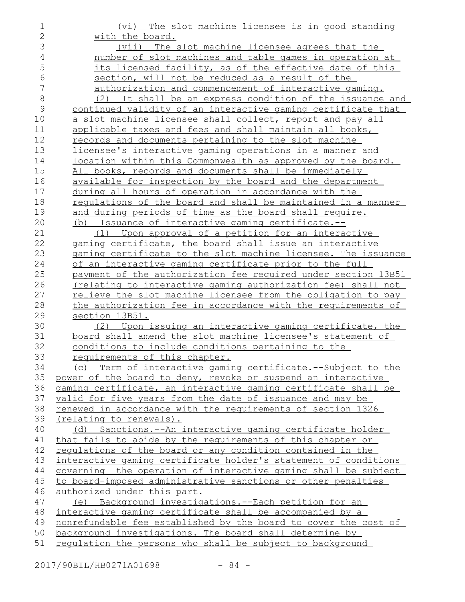| $\mathbf 1$    | The slot machine licensee is in good standing<br>(vi)              |
|----------------|--------------------------------------------------------------------|
| $\overline{2}$ | with the board.                                                    |
| 3              | (vii) The slot machine licensee agrees that the                    |
| $\overline{4}$ | number of slot machines and table games in operation at            |
| 5              | its licensed facility, as of the effective date of this            |
| 6              | section, will not be reduced as a result of the                    |
| 7              | authorization and commencement of interactive gaming.              |
| $\,8\,$        | It shall be an express condition of the issuance and<br>(2)        |
| $\mathcal{G}$  | continued validity of an interactive gaming certificate that       |
| 10             | a slot machine licensee shall collect, report and pay all          |
| 11             | applicable taxes and fees and shall maintain all books,            |
| 12             | records and documents pertaining to the slot machine               |
| 13             | licensee's interactive gaming operations in a manner and           |
| 14             | location within this Commonwealth as approved by the board.        |
| 15             | All books, records and documents shall be immediately              |
| 16             | available for inspection by the board and the department           |
| 17             | during all hours of operation in accordance with the               |
| 18             | regulations of the board and shall be maintained in a manner       |
| 19             | and during periods of time as the board shall require.             |
| 20             | (b) Issuance of interactive gaming certificate.--                  |
| 21             | (1) Upon approval of a petition for an interactive                 |
| 22             | gaming certificate, the board shall issue an interactive           |
| 23             | gaming certificate to the slot machine licensee. The issuance      |
| 24             | of an interactive gaming certificate prior to the full             |
| 25             | payment of the authorization fee required under section 13B51      |
| 26             | (relating to interactive gaming authorization fee) shall not       |
| 27             | relieve the slot machine licensee from the obligation to pay       |
| 28             | the authorization fee in accordance with the requirements of       |
| 29             | section 13B51.                                                     |
| 30             | (2) Upon issuing an interactive gaming certificate, the            |
| 31             | board shall amend the slot machine licensee's statement of         |
| 32             | conditions to include conditions pertaining to the                 |
| 33             | requirements of this chapter.                                      |
| 34             | (c) Term of interactive gaming certificate.--Subject to the        |
| 35             | power of the board to deny, revoke or suspend an interactive       |
| 36             | gaming certificate, an interactive gaming certificate shall be     |
| 37             | valid for five years from the date of issuance and may be          |
| 38             | <u>renewed in accordance with the requirements of section 1326</u> |
| 39             | (relating to renewals).                                            |
| 40             | (d) Sanctions.--An interactive gaming certificate holder           |
| 41             | that fails to abide by the requirements of this chapter or         |
| 42             | regulations of the board or any condition contained in the         |
| 43             | interactive gaming certificate holder's statement of conditions    |
| 44             | governing the operation of interactive gaming shall be subject     |
| 45             | to board-imposed administrative sanctions or other penalties       |
| 46             | authorized under this part.                                        |
| 47             | (e) Background investigations.--Each petition for an               |
| 48             | interactive gaming certificate shall be accompanied by a           |
| 49             | nonrefundable fee established by the board to cover the cost of    |
| 50             | background investigations. The board shall determine by            |
| 51             | regulation the persons who shall be subject to background          |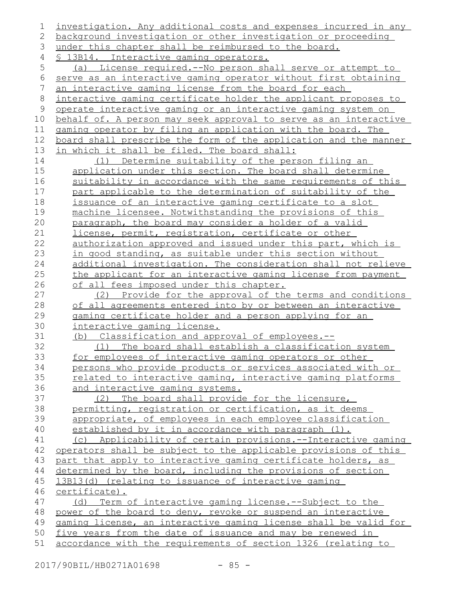| 1  | investigation. Any additional costs and expenses incurred in any     |
|----|----------------------------------------------------------------------|
| 2  | background investigation or other investigation or proceeding        |
| 3  | under this chapter shall be reimbursed to the board.                 |
| 4  | § 13B14. Interactive gaming operators.                               |
| 5  | (a) License required.--No person shall serve or attempt to           |
| 6  | serve as an interactive gaming operator without first obtaining      |
| 7  | an interactive gaming license from the board for each                |
| 8  | interactive gaming certificate holder the applicant proposes to      |
| 9  | <u>operate interactive gaming or an interactive gaming system on</u> |
| 10 | behalf of. A person may seek approval to serve as an interactive     |
| 11 | gaming operator by filing an application with the board. The         |
| 12 | board shall prescribe the form of the application and the manner     |
| 13 | in which it shall be filed. The board shall:                         |
| 14 | (1) Determine suitability of the person filing an                    |
| 15 | application under this section. The board shall determine            |
| 16 | suitability in accordance with the same requirements of this         |
| 17 | part applicable to the determination of suitability of the           |
| 18 | issuance of an interactive gaming certificate to a slot              |
| 19 | machine licensee. Notwithstanding the provisions of this             |
| 20 | paragraph, the board may consider a holder of a valid                |
| 21 | license, permit, registration, certificate or other                  |
| 22 | authorization approved and issued under this part, which is          |
| 23 | in good standing, as suitable under this section without             |
| 24 | additional investigation. The consideration shall not relieve        |
| 25 | the applicant for an interactive gaming license from payment         |
| 26 | of all fees imposed under this chapter.                              |
| 27 | (2)<br>Provide for the approval of the terms and conditions          |
| 28 | of all agreements entered into by or between an interactive          |
| 29 | gaming certificate holder and a person applying for an               |
| 30 | <u>interactive gaming license.</u>                                   |
| 31 | (b) Classification and approval of employees.--                      |
| 32 | (1) The board shall establish a classification system                |
| 33 | for employees of interactive gaming operators or other               |
| 34 | persons who provide products or services associated with or          |
| 35 | related to interactive gaming, interactive gaming platforms          |
| 36 | and interactive gaming systems.                                      |
| 37 | (2) The board shall provide for the licensure,                       |
| 38 | permitting, registration or certification, as it deems               |
| 39 | appropriate, of employees in each employee classification            |
| 40 | established by it in accordance with paragraph (1).                  |
| 41 | (c) Applicability of certain provisions.--Interactive gaming         |
| 42 | operators shall be subject to the applicable provisions of this      |
| 43 | part that apply to interactive gaming certificate holders, as        |
| 44 | determined by the board, including the provisions of section         |
| 45 | 13B13(d) (relating to issuance of interactive gaming                 |
| 46 | certificate).                                                        |
| 47 | Term of interactive gaming license.--Subject to the<br>(d)           |
| 48 | power of the board to deny, revoke or suspend an interactive         |
| 49 | gaming license, an interactive gaming license shall be valid for     |
| 50 | five years from the date of issuance and may be renewed in           |
| 51 | accordance with the requirements of section 1326 (relating to        |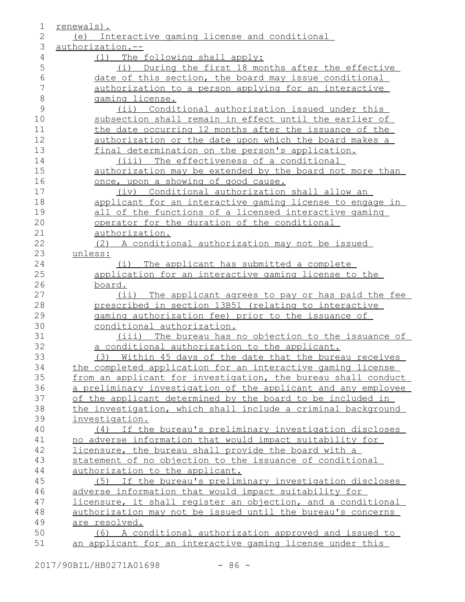| $\mathbf 1$  | renewals).                                                    |
|--------------|---------------------------------------------------------------|
| $\mathbf{2}$ | (e) Interactive gaming license and conditional                |
| 3            | authorization.--                                              |
| 4            | (1) The following shall apply:                                |
| 5            | (i) During the first 18 months after the effective            |
| 6            | date of this section, the board may issue conditional         |
| 7            | authorization to a person applying for an interactive         |
| $\,8\,$      | gaming license.                                               |
| 9            | (ii) Conditional authorization issued under this              |
| 10           | subsection shall remain in effect until the earlier of        |
| 11           | the date occurring 12 months after the issuance of the        |
| 12           | authorization or the date upon which the board makes a        |
| 13           | final determination on the person's application.              |
| 14           | (iii) The effectiveness of a conditional                      |
| 15           | authorization may be extended by the board not more than      |
| 16           | once, upon a showing of good cause.                           |
| 17           | (iv) Conditional authorization shall allow an                 |
| 18           | applicant for an interactive gaming license to engage in      |
| 19           | all of the functions of a licensed interactive gaming         |
| 20           | operator for the duration of the conditional                  |
| 21           | authorization.                                                |
| 22           | (2) A conditional authorization may not be issued             |
| 23           | unless:                                                       |
| 24           | (i) The applicant has submitted a complete                    |
| 25           | application for an interactive gaming license to the          |
| 26           | board.                                                        |
| 27           | (ii) The applicant agrees to pay or has paid the fee          |
| 28           | prescribed in section 13B51 (relating to interactive          |
| 29           | gaming authorization fee) prior to the issuance of            |
| 30           | conditional authorization.                                    |
| 31           | (iii) The bureau has no objection to the issuance of          |
| 32           | a conditional authorization to the applicant.                 |
| 33           | (3) Within 45 days of the date that the bureau receives       |
| 34           | the completed application for an interactive gaming license   |
| 35           | from an applicant for investigation, the bureau shall conduct |
| 36           | a preliminary investigation of the applicant and any employee |
| 37           | of the applicant determined by the board to be included in    |
| 38           | the investigation, which shall include a criminal background  |
| 39           | investigation.                                                |
| 40           | (4) If the bureau's preliminary investigation discloses       |
| 41           | no adverse information that would impact suitability for      |
| 42           | licensure, the bureau shall provide the board with a          |
| 43           | statement of no objection to the issuance of conditional      |
| 44           | authorization to the applicant.                               |
| 45           | (5) If the bureau's preliminary investigation discloses       |
| 46           | adverse information that would impact suitability for         |
| 47           | licensure, it shall register an objection, and a conditional  |
| 48           | authorization may not be issued until the bureau's concerns   |
| 49           | are resolved.                                                 |
| 50           | (6) A conditional authorization approved and issued to        |
| 51           | an applicant for an interactive gaming license under this     |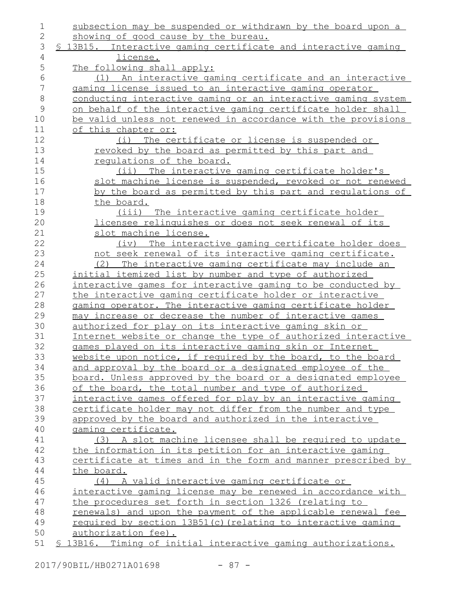| 1            | subsection may be suspended or withdrawn by the board upon a    |
|--------------|-----------------------------------------------------------------|
| $\mathbf{2}$ | showing of good cause by the bureau.                            |
| 3            | \$ 13B15. Interactive gaming certificate and interactive gaming |
| 4            | license.                                                        |
| 5            | The following shall apply:                                      |
| 6            | An interactive gaming certificate and an interactive<br>(1)     |
| 7            | gaming license issued to an interactive gaming operator         |
| 8            | conducting interactive gaming or an interactive gaming system   |
| $\mathsf 9$  | on behalf of the interactive gaming certificate holder shall    |
| 10           | be valid unless not renewed in accordance with the provisions   |
| 11           | of this chapter or:                                             |
| 12           | (i) The certificate or license is suspended or                  |
| 13           | revoked by the board as permitted by this part and              |
| 14           | requlations of the board.                                       |
| 15           | (ii) The interactive gaming certificate holder's                |
| 16           | slot machine license is suspended, revoked or not renewed       |
| 17           | by the board as permitted by this part and regulations of       |
| 18           | the board.                                                      |
| 19           | (iii) The interactive gaming certificate holder                 |
| 20           | licensee relinguishes or does not seek renewal of its           |
| 21           | slot machine license.                                           |
| 22           | The interactive gaming certificate holder does<br>$(i\vee)$     |
| 23           | not seek renewal of its interactive gaming certificate.         |
| 24           | (2) The interactive gaming certificate may include an           |
| 25           | initial itemized list by number and type of authorized          |
| 26           | interactive games for interactive gaming to be conducted by     |
| 27           | the interactive gaming certificate holder or interactive        |
| 28           | gaming operator. The interactive gaming certificate holder      |
| 29           | may increase or decrease the number of interactive games        |
| 30           | authorized for play on its interactive gaming skin or           |
| 31           | Internet website or change the type of authorized interactive   |
| 32           | games played on its interactive gaming skin or Internet         |
| 33           | website upon notice, if required by the board, to the board     |
| 34           | and approval by the board or a designated employee of the       |
| 35           | board. Unless approved by the board or a designated employee    |
| 36           | of the board, the total number and type of authorized           |
| 37           | interactive games offered for play by an interactive gaming     |
| 38           | certificate holder may not differ from the number and type      |
| 39           | approved by the board and authorized in the interactive         |
| 40           | gaming certificate.                                             |
| 41           | (3) A slot machine licensee shall be required to update         |
| 42           | the information in its petition for an interactive gaming       |
| 43           | certificate at times and in the form and manner prescribed by   |
| 44           | the board.                                                      |
| 45           | (4) A valid interactive gaming certificate or                   |
| 46           | interactive gaming license may be renewed in accordance with    |
| 47           | the procedures set forth in section 1326 (relating to           |
| 48           | renewals) and upon the payment of the applicable renewal fee    |
| 49           | required by section 13B51(c) (relating to interactive gaming    |
| 50           | authorization fee).                                             |
| 51           | \$ 13B16. Timing of initial interactive gaming authorizations.  |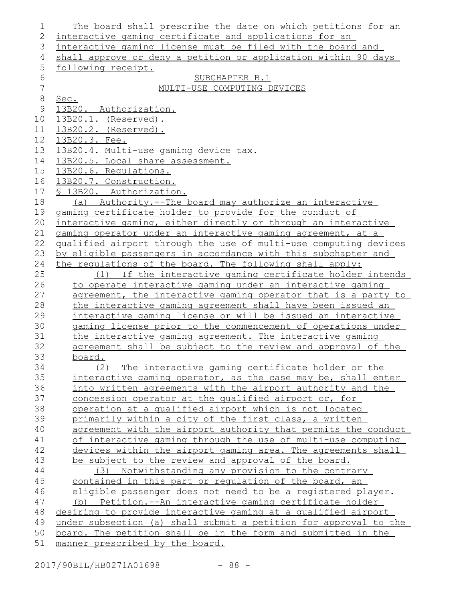| 1              | The board shall prescribe the date on which petitions for an     |
|----------------|------------------------------------------------------------------|
| $\overline{2}$ | interactive gaming certificate and applications for an           |
| 3              | interactive gaming license must be filed with the board and      |
| 4              | shall approve or deny a petition or application within 90 days   |
| 5              | following receipt.                                               |
| 6              | SUBCHAPTER B.1                                                   |
| $\overline{7}$ | MULTI-USE COMPUTING DEVICES                                      |
| $\,8\,$        | Sec.                                                             |
| $\mathsf 9$    | 13B20. Authorization.                                            |
| 10             | 13B20.1. (Reserved).                                             |
| 11             | 13B20.2. (Reserved).                                             |
| 12             | 13B20.3. Fee.                                                    |
| 13             | <u>13B20.4. Multi-use gaming device tax.</u>                     |
| 14             | 13B20.5. Local share assessment.                                 |
| 15             | 13B20.6. Requlations.                                            |
| 16             | 13B20.7. Construction.                                           |
| 17             | § 13B20. Authorization.                                          |
| 18             | (a) Authority.--The board may authorize an interactive           |
| 19             | gaming certificate holder to provide for the conduct of          |
| 20             | interactive gaming, either directly or through an interactive    |
| 21             | gaming operator under an interactive gaming agreement, at a      |
| 22             | qualified airport through the use of multi-use computing devices |
| 23             | by eligible passengers in accordance with this subchapter and    |
| 24             | the requlations of the board. The following shall apply:         |
| 25             | (1) If the interactive gaming certificate holder intends         |
| 26             | to operate interactive gaming under an interactive gaming        |
| 27             | agreement, the interactive gaming operator that is a party to    |
| 28             | the interactive gaming agreement shall have been issued an       |
| 29             | interactive gaming license or will be issued an interactive      |
| 30             | gaming license prior to the commencement of operations under     |
| 31             | the interactive gaming agreement. The interactive gaming         |
| 32             | agreement shall be subject to the review and approval of the     |
| 33             | board.                                                           |
| 34             | The interactive gaming certificate holder or the<br>(2)          |
| 35             | interactive gaming operator, as the case may be, shall enter     |
| 36             | into written agreements with the airport authority and the       |
| 37             | concession operator at the qualified airport or, for             |
| 38             | operation at a qualified airport which is not located            |
| 39             | primarily within a city of the first class, a written            |
| 40             | agreement with the airport authority that permits the conduct    |
| 41             | of interactive gaming through the use of multi-use computing     |
| 42             | devices within the airport gaming area. The agreements shall     |
| 43             |                                                                  |
| 44             | be subject to the review and approval of the board.<br>(3)       |
|                | Notwithstanding any provision to the contrary                    |
| 45             | contained in this part or regulation of the board, an            |
| 46             | eligible passenger does not need to be a registered player.      |
| 47             | Petition.--An interactive gaming certificate holder<br>(b)       |
| 48             | desiring to provide interactive gaming at a qualified airport    |
| 49             | under subsection (a) shall submit a petition for approval to the |
| 50             | board. The petition shall be in the form and submitted in the    |
| 51             | manner prescribed by the board.                                  |

2017/90BIL/HB0271A01698 - 88 -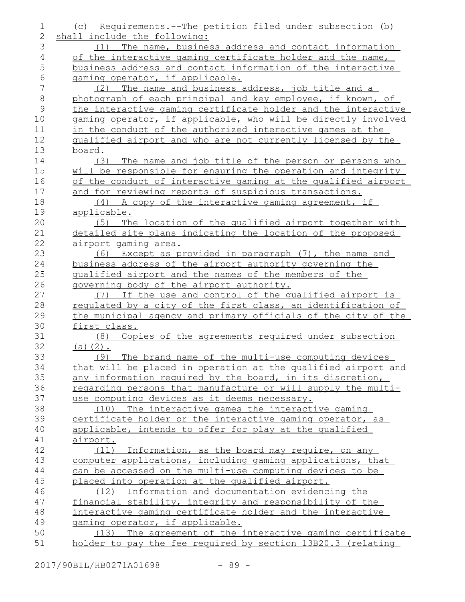| 1             | (c) Requirements. -- The petition filed under subsection (b)                  |
|---------------|-------------------------------------------------------------------------------|
| 2             | shall include the following:                                                  |
| 3             | (1) The name, business address and contact information                        |
| 4             | of the interactive gaming certificate holder and the name,                    |
| 5             | business address and contact information of the interactive                   |
| 6             | gaming operator, if applicable.                                               |
| 7             | (2) The name and business address, job title and a                            |
| $\,8\,$       | photograph of each principal and key employee, if known, of                   |
| $\mathcal{G}$ | the interactive gaming certificate holder and the interactive                 |
| 10            | gaming operator, if applicable, who will be directly involved                 |
| 11            | in the conduct of the authorized interactive games at the                     |
| 12            | qualified airport and who are not currently licensed by the                   |
| 13            | board.                                                                        |
| 14            | (3) The name and job title of the person or persons who                       |
| 15            | will be responsible for ensuring the operation and integrity                  |
| 16            | of the conduct of interactive gaming at the qualified airport                 |
| 17            | and for reviewing reports of suspicious transactions.                         |
| 18            | (4) A copy of the interactive gaming agreement, if                            |
| 19            | applicable.                                                                   |
| 20            | (5) The location of the qualified airport together with                       |
| 21            | detailed site plans indicating the location of the proposed                   |
| 22            | airport gaming area.                                                          |
| 23            | (6) Except as provided in paragraph (7), the name and                         |
| 24            | business address of the airport authority governing the                       |
| 25            | qualified airport and the names of the members of the                         |
| 26            | governing body of the airport authority.                                      |
| 27            | (7) If the use and control of the qualified airport is                        |
| 28            | regulated by a city of the first class, an identification of                  |
| 29            | the municipal agency and primary officials of the city of the<br>first class. |
| 30<br>31      | (8)                                                                           |
| 32            | Copies of the agreements required under subsection<br>(a) $(2)$ .             |
| 33            | The brand name of the multi-use computing devices<br>(9)                      |
| 34            | that will be placed in operation at the qualified airport and                 |
| 35            | any information required by the board, in its discretion,                     |
| 36            | regarding persons that manufacture or will supply the multi-                  |
| 37            | use computing devices as it deems necessary.                                  |
| 38            | (10) The interactive games the interactive gaming                             |
| 39            | certificate holder or the interactive gaming operator, as                     |
| 40            | applicable, intends to offer for play at the qualified                        |
| 41            | airport.                                                                      |
| 42            | (11) Information, as the board may require, on any                            |
| 43            | computer applications, including gaming applications, that                    |
| 44            | can be accessed on the multi-use computing devices to be                      |
| 45            | placed into operation at the qualified airport.                               |
| 46            | (12) Information and documentation evidencing the                             |
| 47            | financial stability, integrity and responsibility of the                      |
| 48            | interactive gaming certificate holder and the interactive                     |
| 49            | gaming operator, if applicable.                                               |
| 50            | (13) The agreement of the interactive gaming certificate                      |
| 51            | holder to pay the fee required by section 13B20.3 (relating                   |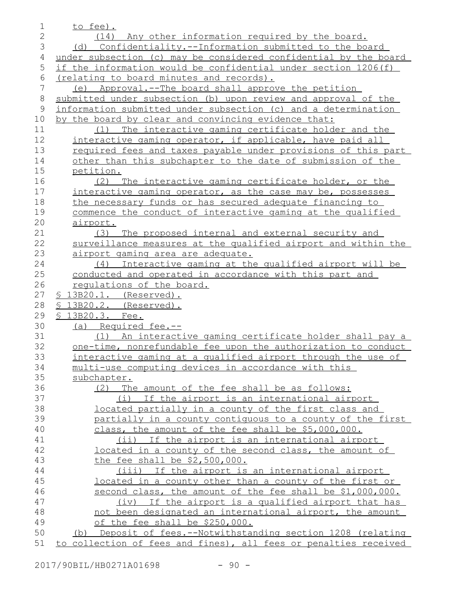| 1              | to fee).                                                                                     |
|----------------|----------------------------------------------------------------------------------------------|
| $\overline{2}$ | (14) Any other information required by the board.                                            |
| 3              | (d) Confidentiality.--Information submitted to the board                                     |
| 4              | under subsection (c) may be considered confidential by the board                             |
| 5              | if the information would be confidential under section 1206(f)                               |
| 6              | (relating to board minutes and records).                                                     |
| 7              | (e) Approval.--The board shall approve the petition                                          |
| 8              | submitted under subsection (b) upon review and approval of the                               |
| $\mathsf 9$    | information submitted under subsection (c) and a determination                               |
| 10             | by the board by clear and convincing evidence that:                                          |
| 11             | The interactive gaming certificate holder and the<br>(1)                                     |
| 12             | interactive gaming operator, if applicable, have paid all                                    |
| 13             | required fees and taxes payable under provisions of this part                                |
| 14             | other than this subchapter to the date of submission of the                                  |
| 15             |                                                                                              |
| 16             | petition.                                                                                    |
| 17             | (2) The interactive gaming certificate holder, or the                                        |
|                | interactive gaming operator, as the case may be, possesses                                   |
| 18             | the necessary funds or has secured adequate financing to                                     |
| 19             | commence the conduct of interactive gaming at the qualified                                  |
| 20             | airport.                                                                                     |
| 21<br>22       | (3) The proposed internal and external security and                                          |
| 23             | surveillance measures at the qualified airport and within the                                |
| 24             | airport gaming area are adequate.<br>(4) Interactive gaming at the qualified airport will be |
| 25             | conducted and operated in accordance with this part and                                      |
| 26             | requlations of the board.                                                                    |
| 27             | § 13B20.1. (Reserved).                                                                       |
| 28             | § 13B20.2. (Reserved).                                                                       |
| 29             | § 13B20.3. Fee.                                                                              |
| 30             | (a) Required fee.--                                                                          |
| 31             | (1) An interactive gaming certificate holder shall pay a                                     |
| 32             | one-time, nonrefundable fee upon the authorization to conduct                                |
| 33             | interactive gaming at a qualified airport through the use of                                 |
| 34             | multi-use computing devices in accordance with this                                          |
| 35             | subchapter.                                                                                  |
| 36             | The amount of the fee shall be as follows:<br>(2)                                            |
| 37             | (i) If the airport is an international airport                                               |
| 38             | located partially in a county of the first class and                                         |
| 39             | partially in a county contiguous to a county of the first                                    |
| 40             | class, the amount of the fee shall be \$5,000,000.                                           |
| 41             | (ii) If the airport is an international airport                                              |
| 42             | located in a county of the second class, the amount of                                       |
| 43             | the fee shall be \$2,500,000.                                                                |
| 44             | (iii) If the airport is an international airport                                             |
| 45             | located in a county other than a county of the first or                                      |
| 46             | second class, the amount of the fee shall be \$1,000,000.                                    |
| 47             | (iv) If the airport is a qualified airport that has                                          |
| 48             | not been designated an international airport, the amount                                     |
| 49             | of the fee shall be \$250,000.                                                               |
| 50             | (b) Deposit of fees.--Notwithstanding section 1208 (relating                                 |
| 51             | to collection of fees and fines), all fees or penalties received                             |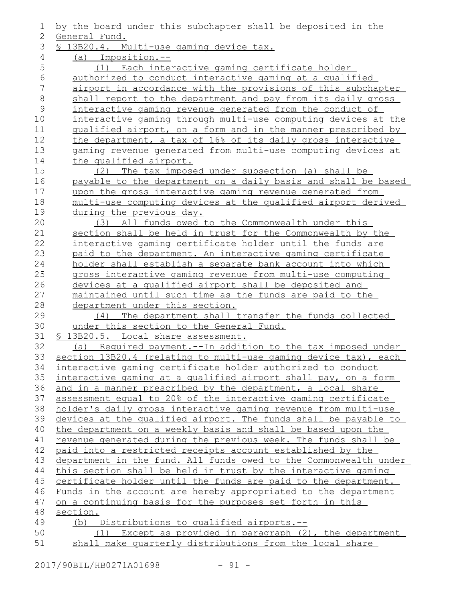| 1             | by the board under this subchapter shall be deposited in the                                                                 |
|---------------|------------------------------------------------------------------------------------------------------------------------------|
| 2             | General Fund.                                                                                                                |
| 3             | § 13B20.4. Multi-use gaming device tax.                                                                                      |
| 4             | (a) Imposition.--                                                                                                            |
| 5             | (1) Each interactive gaming certificate holder                                                                               |
| 6             | authorized to conduct interactive gaming at a qualified                                                                      |
| 7             | airport in accordance with the provisions of this subchapter                                                                 |
| $\,8\,$       | shall report to the department and pay from its daily gross                                                                  |
| $\mathcal{G}$ | interactive gaming revenue generated from the conduct of                                                                     |
| 10            | interactive gaming through multi-use computing devices at the                                                                |
| 11            | qualified airport, on a form and in the manner prescribed by                                                                 |
| 12            | the department, a tax of 16% of its daily gross interactive                                                                  |
| 13            | gaming revenue generated from multi-use computing devices at                                                                 |
| 14            | the qualified airport.                                                                                                       |
| 15            | (2) The tax imposed under subsection (a) shall be                                                                            |
| 16            | payable to the department on a daily basis and shall be based                                                                |
| 17            | upon the gross interactive gaming revenue generated from                                                                     |
| 18            | multi-use computing devices at the qualified airport derived                                                                 |
| 19            | during the previous day.                                                                                                     |
| 20            | (3) All funds owed to the Commonwealth under this                                                                            |
| 21            | section shall be held in trust for the Commonwealth by the                                                                   |
| 22            | interactive gaming certificate holder until the funds are                                                                    |
| 23            | paid to the department. An interactive gaming certificate                                                                    |
| 24            | holder shall establish a separate bank account into which                                                                    |
| 25            | gross interactive gaming revenue from multi-use computing                                                                    |
| 26            | devices at a qualified airport shall be deposited and                                                                        |
| 27            | maintained until such time as the funds are paid to the                                                                      |
| 28            | department under this section.                                                                                               |
| 29            | The department shall transfer the funds collected<br>(4)                                                                     |
| 30            | under this section to the General Fund.                                                                                      |
| 31            | § 13B20.5. Local share assessment.                                                                                           |
| 32            | (a) Required payment.--In addition to the tax imposed under                                                                  |
| 33            | section 13B20.4 (relating to multi-use gaming device tax), each                                                              |
| 34            | interactive gaming certificate holder authorized to conduct                                                                  |
| 35            | interactive gaming at a qualified airport shall pay, on a form                                                               |
| 36<br>37      | and in a manner prescribed by the department, a local share<br>assessment equal to 20% of the interactive gaming certificate |
| 38            | holder's daily gross interactive gaming revenue from multi-use                                                               |
| 39            | devices at the qualified airport. The funds shall be payable to                                                              |
| 40            | the department on a weekly basis and shall be based upon the                                                                 |
| 41            | revenue generated during the previous week. The funds shall be                                                               |
| 42            | paid into a restricted receipts account established by the                                                                   |
| 43            | department in the fund. All funds owed to the Commonwealth under                                                             |
| 44            | this section shall be held in trust by the interactive gaming                                                                |
| 45            | certificate holder until the funds are paid to the department.                                                               |
| 46            | Funds in the account are hereby appropriated to the department                                                               |
| 47            | on a continuing basis for the purposes set forth in this                                                                     |
| 48            | section.                                                                                                                     |
| 49            | (b) Distributions to qualified airports.--                                                                                   |
| 50            | (1) Except as provided in paragraph (2), the department                                                                      |
| 51            | shall make quarterly distributions from the local share                                                                      |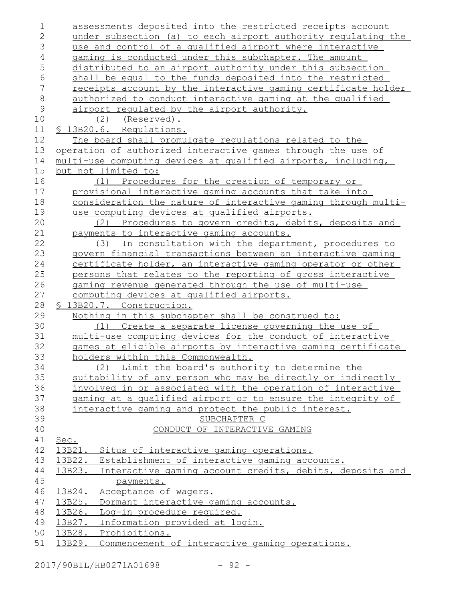| $\mathbf 1$         | assessments deposited into the restricted receipts account                                                        |
|---------------------|-------------------------------------------------------------------------------------------------------------------|
| $\overline{2}$<br>3 | under subsection (a) to each airport authority regulating the                                                     |
| $\overline{4}$      | use and control of a qualified airport where interactive<br>gaming is conducted under this subchapter. The amount |
| 5                   | distributed to an airport authority under this subsection                                                         |
| 6                   | shall be equal to the funds deposited into the restricted                                                         |
| 7                   | receipts account by the interactive gaming certificate holder                                                     |
| $\,8\,$             | authorized to conduct interactive gaming at the qualified                                                         |
| $\mathcal{G}$       | airport regulated by the airport authority.                                                                       |
| 10                  | (2)<br>(Reserved).                                                                                                |
| 11                  | \$ 13B20.6. Requlations.                                                                                          |
| 12                  | The board shall promulgate regulations related to the                                                             |
| 13                  | operation of authorized interactive games through the use of                                                      |
| 14                  | multi-use computing devices at qualified airports, including,                                                     |
| 15                  | but not limited to:                                                                                               |
| 16                  | (1) Procedures for the creation of temporary or                                                                   |
| 17                  | provisional interactive gaming accounts that take into                                                            |
| 18                  | consideration the nature of interactive gaming through multi-                                                     |
| 19                  | use computing devices at qualified airports.                                                                      |
| 20                  | (2) Procedures to govern credits, debits, deposits and                                                            |
| 21                  | payments to interactive gaming accounts.                                                                          |
| 22                  | (3) In consultation with the department, procedures to                                                            |
| 23                  | govern financial transactions between an interactive gaming                                                       |
| 24                  | certificate holder, an interactive gaming operator or other                                                       |
| 25                  | persons that relates to the reporting of gross interactive                                                        |
| 26                  | gaming revenue generated through the use of multi-use                                                             |
| 27                  | computing devices at qualified airports.                                                                          |
| 28                  | § 13B20.7. Construction.                                                                                          |
| 29                  | Nothing in this subchapter shall be construed to:                                                                 |
| 30                  | (1) Create a separate license governing the use of                                                                |
| 31                  | multi-use computing devices for the conduct of interactive                                                        |
| 32                  | games at eligible airports by interactive gaming certificate                                                      |
| 33                  | holders within this Commonwealth.                                                                                 |
| 34                  | (2) Limit the board's authority to determine the                                                                  |
| 35                  | suitability of any person who may be directly or indirectly                                                       |
| 36                  | involved in or associated with the operation of interactive                                                       |
| 37<br>38            | gaming at a qualified airport or to ensure the integrity of                                                       |
| 39                  | interactive gaming and protect the public interest.<br>SUBCHAPTER C                                               |
| 40                  | CONDUCT OF INTERACTIVE GAMING                                                                                     |
| 41                  | Sec.                                                                                                              |
| 42                  | 13B21. Situs of interactive gaming operations.                                                                    |
| 43                  | 13B22. Establishment of interactive gaming accounts.                                                              |
| 44                  | 13B23. Interactive gaming account credits, debits, deposits and                                                   |
| 45                  | payments.                                                                                                         |
| 46                  | 13B24.<br>Acceptance of wagers.                                                                                   |
| 47                  | Dormant interactive gaming accounts.<br>13B25.                                                                    |
| 48                  | 13B26. Log-in procedure required.                                                                                 |
| 49                  | 13B27. Information provided at login.                                                                             |
| 50                  | 13B28. Prohibitions.                                                                                              |
| 51                  | Commencement of interactive gaming operations.<br>13B29.                                                          |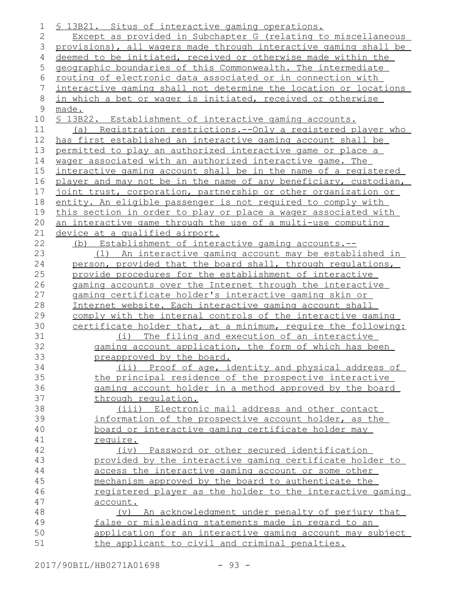| 1       | \$ 13B21. Situs of interactive gaming operations.                    |
|---------|----------------------------------------------------------------------|
| 2       | Except as provided in Subchapter G (relating to miscellaneous        |
| 3       | provisions), all wagers made through interactive gaming shall be     |
| 4       | deemed to be initiated, received or otherwise made within the        |
| 5       | geographic boundaries of this Commonwealth. The intermediate         |
| 6       | routing of electronic data associated or in connection with          |
| 7       | interactive gaming shall not determine the location or locations     |
| $\,8\,$ | in which a bet or wager is initiated, received or otherwise          |
| 9       | made.                                                                |
| 10      | \$ 13B22. Establishment of interactive gaming accounts.              |
| 11      | (a) Registration restrictions.--Only a registered player who         |
| 12      | has first established an interactive gaming account shall be         |
| 13      | permitted to play an authorized interactive game or place a          |
| 14      | wager associated with an authorized interactive game. The            |
| 15      | interactive gaming account shall be in the name of a registered      |
| 16      | player and may not be in the name of any beneficiary, custodian,     |
| 17      | joint trust, corporation, partnership or other organization or       |
| 18      | entity. An eligible passenger is not required to comply with         |
| 19      | this section in order to play or place a wager associated with       |
| 20      | an interactive game through the use of a multi-use computing         |
| 21      | device at a qualified airport.                                       |
| 22      | (b) Establishment of interactive gaming accounts.--                  |
| 23      | (1) An interactive gaming account may be established in              |
| 24      | person, provided that the board shall, through requlations,          |
| 25      | provide procedures for the establishment of interactive              |
| 26      | gaming accounts over the Internet through the interactive            |
| 27      | gaming certificate holder's interactive gaming skin or               |
| 28      | Internet website. Each interactive gaming account shall              |
| 29      | comply with the internal controls of the interactive gaming          |
| 30      | certificate holder that, at a minimum, require the following:        |
| 31      | (i) The filing and execution of an interactive                       |
| 32      | gaming account application, the form of which has been               |
| 33      | preapproved by the board.                                            |
| 34      | (ii) Proof of age, identity and physical address of                  |
| 35      | the principal residence of the prospective interactive               |
| 36      | gaming account holder in a method approved by the board              |
| 37      | through regulation.                                                  |
| 38      | (iii) Electronic mail address and other contact                      |
| 39      | information of the prospective account holder, as the                |
| 40      | board or interactive gaming certificate holder may                   |
| 41      | require.                                                             |
| 42      | (iv) Password or other secured identification                        |
| 43      | provided by the interactive gaming certificate holder to             |
| 44      | access the interactive gaming account or some other                  |
| 45      | mechanism approved by the board to authenticate the                  |
| 46      | registered player as the holder to the interactive gaming            |
| 47      | account.                                                             |
| 48      | An acknowledgment under penalty of perjury that<br>$(\triangledown)$ |
| 49      | false or misleading statements made in regard to an                  |
| 50      | application for an interactive gaming account may subject            |
| 51      | the applicant to civil and criminal penalties.                       |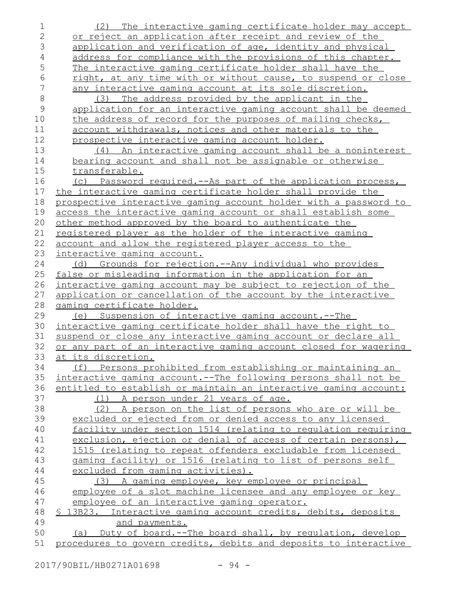| 1              | (2) The interactive gaming certificate holder may accept                                                                        |
|----------------|---------------------------------------------------------------------------------------------------------------------------------|
| $\overline{2}$ | or reject an application after receipt and review of the                                                                        |
| 3              | application and verification of age, identity and physical                                                                      |
| 4              | address for compliance with the provisions of this chapter.                                                                     |
| 5              | The interactive gaming certificate holder shall have the                                                                        |
| 6              | right, at any time with or without cause, to suspend or close                                                                   |
| 7              | any interactive gaming account at its sole discretion.                                                                          |
| $\,8\,$        | (3) The address provided by the applicant in the                                                                                |
| $\mathsf 9$    | application for an interactive gaming account shall be deemed                                                                   |
| 10             | the address of record for the purposes of mailing checks,                                                                       |
| 11             | account withdrawals, notices and other materials to the                                                                         |
| 12             | prospective interactive gaming account holder.                                                                                  |
| 13             | An interactive gaming account shall be a noninterest<br>(4)                                                                     |
| 14             | bearing account and shall not be assignable or otherwise                                                                        |
| 15             | transferable.                                                                                                                   |
| 16             | (c) Password required.--As part of the application process,                                                                     |
| 17             | the interactive gaming certificate holder shall provide the                                                                     |
| 18             | prospective interactive gaming account holder with a password to                                                                |
| 19             | access the interactive gaming account or shall establish some                                                                   |
| 20             | other method approved by the board to authenticate the                                                                          |
| 21             | registered player as the holder of the interactive gaming                                                                       |
| 22             | account and allow the registered player access to the                                                                           |
| 23             | interactive gaming account.                                                                                                     |
| 24             | (d) Grounds for rejection.--Any individual who provides                                                                         |
| 25             | false or misleading information in the application for an                                                                       |
| 26             | interactive gaming account may be subject to rejection of the                                                                   |
| 27             | application or cancellation of the account by the interactive                                                                   |
| 28             | gaming certificate holder.                                                                                                      |
| 29             | Suspension of interactive gaming account.--The<br>(e)                                                                           |
| 30             | interactive gaming certificate holder shall have the right to                                                                   |
| 31             | suspend or close any interactive gaming account or declare all                                                                  |
|                |                                                                                                                                 |
| 32             | or any part of an interactive gaming account closed for wagering                                                                |
| 33             | at its discretion.                                                                                                              |
| 34             | (f) Persons prohibited from establishing or maintaining an                                                                      |
| 35             | interactive gaming account.--The following persons shall not be                                                                 |
| 36             | entitled to establish or maintain an interactive gaming account:                                                                |
| 37             | (1) A person under 21 years of age.                                                                                             |
| 38             | (2) A person on the list of persons who are or will be                                                                          |
| 39             | excluded or ejected from or denied access to any licensed                                                                       |
| 40             | facility under section 1514 (relating to regulation requiring                                                                   |
| 41             | exclusion, ejection or denial of access of certain persons),                                                                    |
| 42             | 1515 (relating to repeat offenders excludable from licensed                                                                     |
| 43             | gaming facility) or 1516 (relating to list of persons self                                                                      |
| 44             | excluded from gaming activities).                                                                                               |
| 45             | (3) A gaming employee, key employee or principal                                                                                |
| 46             | employee of a slot machine licensee and any employee or key                                                                     |
| 47             | employee of an interactive gaming operator.                                                                                     |
| 48             | \$ 13B23. Interactive gaming account credits, debits, deposits                                                                  |
| 49             | and payments.                                                                                                                   |
| 50<br>51       | (a) Duty of board.--The board shall, by requlation, develop<br>procedures to govern credits, debits and deposits to interactive |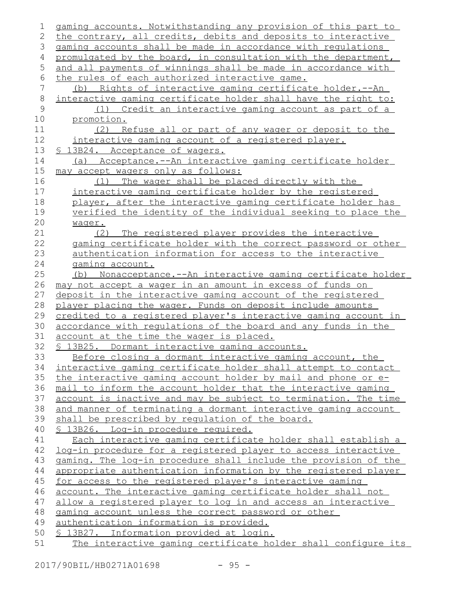| 1              | gaming accounts. Notwithstanding any provision of this part to  |
|----------------|-----------------------------------------------------------------|
| $\mathbf{2}$   | the contrary, all credits, debits and deposits to interactive   |
| 3              | gaming accounts shall be made in accordance with requlations    |
| 4              | promulgated by the board, in consultation with the department,  |
| 5              | and all payments of winnings shall be made in accordance with   |
| 6              | the rules of each authorized interactive game.                  |
| $\overline{7}$ | Rights of interactive gaming certificate holder.--An<br>(b)     |
| $\,8\,$        | interactive gaming certificate holder shall have the right to:  |
| $\mathsf 9$    | (1) Credit an interactive gaming account as part of a           |
| 10             | promotion.                                                      |
| 11             | (2) Refuse all or part of any wager or deposit to the           |
| 12             | interactive gaming account of a registered player.              |
| 13             | § 13B24. Acceptance of wagers.                                  |
| 14             | Acceptance.--An interactive gaming certificate holder<br>(a)    |
| 15             | may accept wagers only as follows:                              |
| 16             | (1) The wager shall be placed directly with the                 |
| 17             | interactive gaming certificate holder by the registered         |
| 18             | player, after the interactive gaming certificate holder has     |
| 19             | verified the identity of the individual seeking to place the    |
| 20             | waqer.                                                          |
| 21             | (2) The registered player provides the interactive              |
| 22             | gaming certificate holder with the correct password or other    |
| 23             | authentication information for access to the interactive        |
| 24             | gaming account.                                                 |
| 25             | (b) Nonacceptance.--An interactive gaming certificate holder    |
| 26             | may not accept a wager in an amount in excess of funds on       |
| 27             | deposit in the interactive gaming account of the registered     |
| 28             | player placing the wager. Funds on deposit include amounts      |
| 29             | credited to a registered player's interactive gaming account in |
| 30             | accordance with regulations of the board and any funds in the   |
| 31             | account at the time the wager is placed.                        |
| 32             | § 13B25. Dormant interactive gaming accounts.                   |
| 33             | Before closing a dormant interactive gaming account, the        |
| 34             | interactive gaming certificate holder shall attempt to contact  |
| 35             | the interactive gaming account holder by mail and phone or e-   |
| 36             | mail to inform the account holder that the interactive gaming   |
| 37             | account is inactive and may be subject to termination. The time |
| 38             | and manner of terminating a dormant interactive gaming account  |
| 39             | shall be prescribed by regulation of the board.                 |
| 40             | § 13B26. Log-in procedure required.                             |
| 41             | Each interactive gaming certificate holder shall establish a    |
| 42             | log-in procedure for a registered player to access interactive  |
| 43             | gaming. The log-in procedure shall include the provision of the |
| 44             | appropriate authentication information by the registered player |
| 45             | for access to the registered player's interactive gaming        |
| 46             | account. The interactive gaming certificate holder shall not    |
| 47             | allow a registered player to log in and access an interactive   |
| 48             | gaming account unless the correct password or other             |
| 49             | authentication information is provided.                         |
| 50             | <u>S 13B27. Information provided at login.</u>                  |
| 51             | The interactive gaming certificate holder shall configure its   |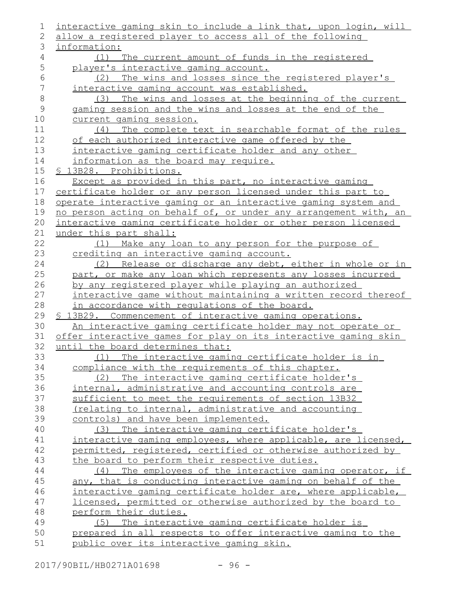| 1           | interactive gaming skin to include a link that, upon login, will                                        |
|-------------|---------------------------------------------------------------------------------------------------------|
| 2           | allow a registered player to access all of the following                                                |
| 3           | information:                                                                                            |
| 4           | (1) The current amount of funds in the registered                                                       |
| 5           | player's interactive gaming account.                                                                    |
| $\sqrt{6}$  | The wins and losses since the registered player's<br>(2)                                                |
| 7           | interactive gaming account was established.                                                             |
| $\,8\,$     | The wins and losses at the beginning of the current<br>(3)                                              |
| $\mathsf 9$ | gaming session and the wins and losses at the end of the                                                |
| 10          | current gaming session.                                                                                 |
| 11          | (4) The complete text in searchable format of the rules                                                 |
| 12          | of each authorized interactive game offered by the                                                      |
| 13          | interactive gaming certificate holder and any other                                                     |
| 14          | information as the board may require.                                                                   |
| 15          | § 13B28. Prohibitions.                                                                                  |
| 16          | Except as provided in this part, no interactive gaming                                                  |
| 17          | certificate holder or any person licensed under this part to                                            |
| 18          | operate interactive gaming or an interactive gaming system and                                          |
| 19          | no person acting on behalf of, or under any arrangement with, an                                        |
| 20          | interactive gaming certificate holder or other person licensed                                          |
| 21          | under this part shall:                                                                                  |
| 22          | (1) Make any loan to any person for the purpose of                                                      |
| 23          | crediting an interactive gaming account.                                                                |
| 24          | (2) Release or discharge any debt, either in whole or in                                                |
| 25          | part, or make any loan which represents any losses incurred                                             |
| 26          | by any registered player while playing an authorized                                                    |
| 27          | interactive game without maintaining a written record thereof                                           |
| 28          | in accordance with requlations of the board.                                                            |
| 29          | \$ 13B29. Commencement of interactive gaming operations.                                                |
| 30          | An interactive gaming certificate holder may not operate or                                             |
| 31          | offer interactive games for play on its interactive gaming skin                                         |
| 32<br>33    | until the board determines that:                                                                        |
| 34          | (1) The interactive gaming certificate holder is in                                                     |
| 35          | compliance with the requirements of this chapter.                                                       |
| 36          | (2) The interactive gaming certificate holder's<br>internal, administrative and accounting controls are |
| 37          | sufficient to meet the requirements of section 13B32                                                    |
| 38          | (relating to internal, administrative and accounting                                                    |
| 39          | controls) and have been implemented.                                                                    |
| 40          | (3) The interactive gaming certificate holder's                                                         |
| 41          | interactive gaming employees, where applicable, are licensed,                                           |
| 42          | permitted, registered, certified or otherwise authorized by                                             |
| 43          | the board to perform their respective duties.                                                           |
| 44          | The employees of the interactive gaming operator, if<br>(4)                                             |
| 45          | any, that is conducting interactive gaming on behalf of the                                             |
| 46          | interactive gaming certificate holder are, where applicable,                                            |
| 47          | licensed, permitted or otherwise authorized by the board to                                             |
| 48          | perform their duties.                                                                                   |
| 49          | (5) The interactive gaming certificate holder is                                                        |
| 50          | prepared in all respects to offer interactive gaming to the                                             |
| 51          | public over its interactive gaming skin.                                                                |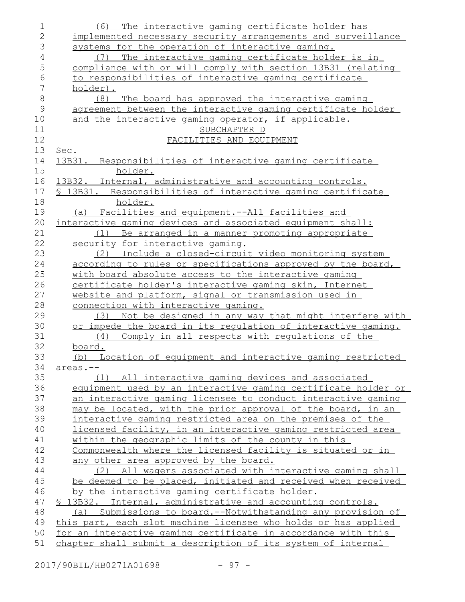| 1              | The interactive gaming certificate holder has<br>(6)                                                                |
|----------------|---------------------------------------------------------------------------------------------------------------------|
| $\overline{2}$ | implemented necessary security arrangements and surveillance                                                        |
| 3              | systems for the operation of interactive gaming.                                                                    |
| $\sqrt{4}$     | The interactive gaming certificate holder is in<br>(7)                                                              |
| 5              | compliance with or will comply with section 13B31 (relating                                                         |
| 6              | to responsibilities of interactive gaming certificate                                                               |
| $\overline{7}$ | holder).                                                                                                            |
| 8              | The board has approved the interactive gaming<br>(8)                                                                |
| $\mathsf 9$    | agreement between the interactive gaming certificate holder                                                         |
| 10             | and the interactive gaming operator, if applicable.                                                                 |
| 11             | SUBCHAPTER D                                                                                                        |
| 12             | FACILITIES AND EQUIPMENT                                                                                            |
| 13             | Sec.                                                                                                                |
| 14             | 13B31. Responsibilities of interactive gaming certificate                                                           |
| 15             | holder.                                                                                                             |
| 16             | 13B32. Internal, administrative and accounting controls.                                                            |
| 17             | Responsibilities of interactive gaming certificate<br><u>\$13B31.</u>                                               |
| 18             | holder.                                                                                                             |
| 19             | <u>Facilities and equipment.--All facilities and</u><br>(a)                                                         |
| 20             | interactive gaming devices and associated equipment shall:                                                          |
| 21             | Be arranged in a manner promoting appropriate<br>(1)                                                                |
| 22             | security for interactive gaming.                                                                                    |
| 23<br>24       | Include a closed-circuit video monitoring system<br>(2)                                                             |
| 25             | according to rules or specifications approved by the board,<br>with board absolute access to the interactive gaming |
| 26             | certificate holder's interactive gaming skin, Internet                                                              |
| 27             | website and platform, signal or transmission used in                                                                |
| 28             | connection with interactive gaming.                                                                                 |
| 29             | Not be designed in any way that might interfere with<br>(3)                                                         |
| 30             | or impede the board in its regulation of interactive gaming.                                                        |
| 31             | (4)<br>Comply in all respects with regulations of the                                                               |
| 32             | board.                                                                                                              |
| 33             | (b) Location of equipment and interactive gaming restricted                                                         |
| 34             | areas.--                                                                                                            |
| 35             | (1) All interactive gaming devices and associated                                                                   |
| 36             | equipment used by an interactive gaming certificate holder or                                                       |
| 37             | an interactive gaming licensee to conduct interactive gaming                                                        |
| 38             | may be located, with the prior approval of the board, in an                                                         |
| 39             | interactive gaming restricted area on the premises of the                                                           |
| 40             | licensed facility, in an interactive gaming restricted area                                                         |
| 41             | within the geographic limits of the county in this                                                                  |
| 42             | Commonwealth where the licensed facility is situated or in                                                          |
| 43             | any other area approved by the board.                                                                               |
| 44             | (2) All wagers associated with interactive gaming shall                                                             |
| 45             | be deemed to be placed, initiated and received when received                                                        |
| 46             | by the interactive gaming certificate holder.                                                                       |
| 47             | \$ 13B32. Internal, administrative and accounting controls.                                                         |
| 48             | (a) Submissions to board.--Notwithstanding any provision of                                                         |
| 49             | this part, each slot machine licensee who holds or has applied                                                      |
| 50             | for an interactive gaming certificate in accordance with this                                                       |
| 51             | chapter shall submit a description of its system of internal                                                        |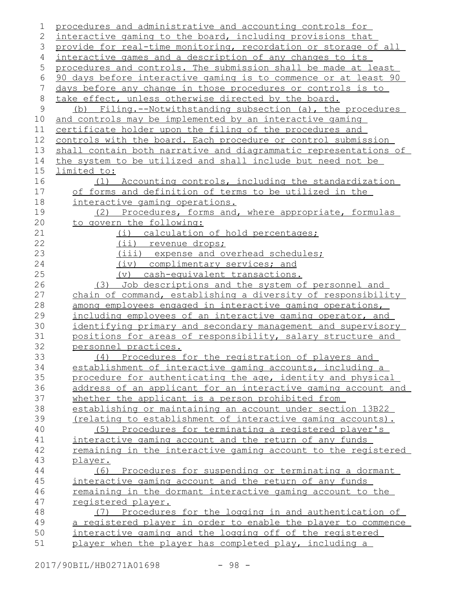| 1           | procedures and administrative and accounting controls for         |
|-------------|-------------------------------------------------------------------|
| 2           | interactive gaming to the board, including provisions that        |
| 3           | provide for real-time monitoring, recordation or storage of all   |
| 4           | interactive games and a description of any changes to its         |
| 5           | procedures and controls. The submission shall be made at least    |
| 6           | 90 days before interactive gaming is to commence or at least 90   |
| 7           | days before any change in those procedures or controls is to      |
| 8           | take effect, unless otherwise directed by the board.              |
| $\mathsf 9$ | (b) Filing.--Notwithstanding subsection (a), the procedures       |
| 10          | and controls may be implemented by an interactive gaming          |
| 11          | certificate holder upon the filing of the procedures and          |
| 12          | controls with the board. Each procedure or control submission     |
| 13          | shall contain both narrative and diagrammatic representations of  |
| 14          | the system to be utilized and shall include but need not be       |
| 15          | limited to:                                                       |
| 16          | (1) Accounting controls, including the standardization            |
| 17          | of forms and definition of terms to be utilized in the            |
| 18          | interactive gaming operations.                                    |
| 19          | Procedures, forms and, where appropriate, formulas<br>(2)         |
| 20          | to govern the following:                                          |
| 21          | (i) calculation of hold percentages;                              |
| 22          | <u>(ii) revenue drops;</u>                                        |
| 23          | (iii) expense and overhead schedules;                             |
| 24          | (iv) complimentary services; and                                  |
| 25          | (v) cash-equivalent transactions.                                 |
| 26          | (3) Job descriptions and the system of personnel and              |
| 27          | chain of command, establishing a diversity of responsibility      |
| 28          | among employees engaged in interactive gaming operations,         |
| 29          | including employees of an interactive gaming operator, and        |
| 30          | identifying primary and secondary management and supervisory      |
| 31          | positions for areas of responsibility, salary structure and       |
| 32          | personnel practices.                                              |
| 33          | Procedures for the registration of players and<br>(4)             |
| 34          | establishment of interactive gaming accounts, including a         |
| 35          | procedure for authenticating the age, identity and physical       |
| 36          | address of an applicant for an interactive gaming account and     |
| 37          | whether the applicant is a person prohibited from                 |
| 38          | establishing or maintaining an account under section 13B22        |
| 39          | (relating to establishment of interactive gaming accounts).       |
| 40          | (5) Procedures for terminating a registered player's              |
| 41          | interactive gaming account and the return of any funds            |
| 42          | remaining in the interactive gaming account to the registered     |
| 43          | player.                                                           |
| 44          | (6) Procedures for suspending or terminating a dormant            |
| 45          | interactive gaming account and the return of any funds            |
| 46          | <u>remaining in the dormant interactive gaming account to the</u> |
| 47          | registered player.                                                |
| 48          | (7) Procedures for the logging in and authentication of           |
| 49          | a registered player in order to enable the player to commence     |
| 50          | interactive gaming and the logging off of the registered          |
| 51          | player when the player has completed play, including a            |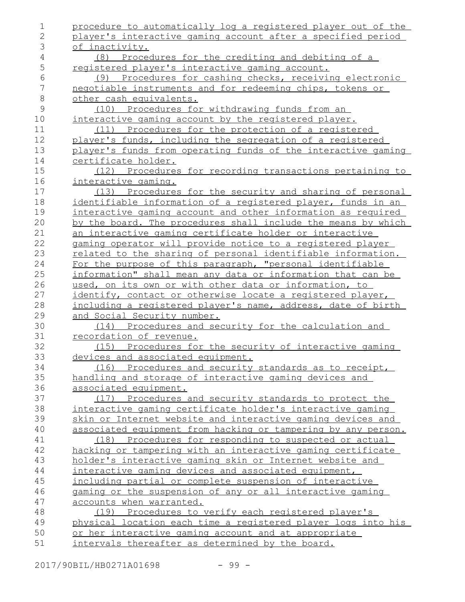| procedure to automatically log a registered player out of the |
|---------------------------------------------------------------|
| player's interactive gaming account after a specified period  |
| of inactivity.                                                |
| (8) Procedures for the crediting and debiting of a            |
| registered player's interactive gaming account.               |
| (9) Procedures for cashing checks, receiving electronic       |
| negotiable instruments and for redeeming chips, tokens or     |
| other cash equivalents.                                       |
| (10) Procedures for withdrawing funds from an                 |
| interactive gaming account by the registered player.          |
| (11) Procedures for the protection of a registered            |
| player's funds, including the segregation of a registered     |
| player's funds from operating funds of the interactive gaming |
| certificate holder.                                           |
| (12) Procedures for recording transactions pertaining to      |
| interactive gaming.                                           |
| (13) Procedures for the security and sharing of personal      |
| identifiable information of a registered player, funds in an  |
| interactive gaming account and other information as required  |
| by the board. The procedures shall include the means by which |
| an interactive gaming certificate holder or interactive       |
| gaming operator will provide notice to a registered player    |
| related to the sharing of personal identifiable information.  |
| For the purpose of this paragraph, "personal identifiable     |
| information" shall mean any data or information that can be   |
| used, on its own or with other data or information, to        |
| identify, contact or otherwise locate a registered player,    |
| including a registered player's name, address, date of birth  |
| and Social Security number.                                   |
| (14) Procedures and security for the calculation and          |
| recordation of revenue.                                       |
| (15) Procedures for the security of interactive gaming        |
| devices and associated equipment.                             |
| (16) Procedures and security standards as to receipt,         |
| handling and storage of interactive gaming devices and        |
| associated equipment.                                         |
| (17) Procedures and security standards to protect the         |
| interactive gaming certificate holder's interactive gaming    |
| skin or Internet website and interactive gaming devices and   |
| associated equipment from hacking or tampering by any person. |
| (18) Procedures for responding to suspected or actual         |
| hacking or tampering with an interactive gaming certificate   |
| holder's interactive gaming skin or Internet website and      |
| interactive gaming devices and associated equipment,          |
| including partial or complete suspension of interactive       |
| gaming or the suspension of any or all interactive gaming     |
| accounts when warranted.                                      |
| (19) Procedures to verify each registered player's            |
| physical location each time a registered player logs into his |
| or her interactive gaming account and at appropriate          |
| intervals thereafter as determined by the board.              |
|                                                               |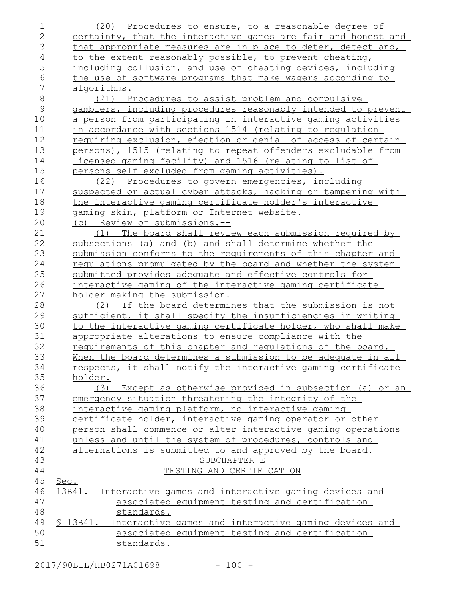| 1              | (20) Procedures to ensure, to a reasonable degree of                                                       |
|----------------|------------------------------------------------------------------------------------------------------------|
| $\mathbf{2}$   | certainty, that the interactive games are fair and honest and                                              |
| 3              | that appropriate measures are in place to deter, detect and,                                               |
| 4              | to the extent reasonably possible, to prevent cheating,                                                    |
| 5              | including collusion, and use of cheating devices, including                                                |
| 6              | the use of software programs that make wagers according to                                                 |
| $\overline{7}$ | algorithms.                                                                                                |
| 8              | (21) Procedures to assist problem and compulsive                                                           |
| $\mathsf 9$    | gamblers, including procedures reasonably intended to prevent                                              |
| 10             | a person from participating in interactive gaming activities                                               |
| 11             | in accordance with sections 1514 (relating to regulation                                                   |
| 12             | requiring exclusion, ejection or denial of access of certain                                               |
| 13             | persons), 1515 (relating to repeat offenders excludable from                                               |
| 14             | <u>licensed gaming facility) and 1516 (relating to list of</u>                                             |
| 15             | persons self excluded from gaming activities).                                                             |
| 16             | (22) Procedures to govern emergencies, including                                                           |
| 17             | suspected or actual cyber attacks, hacking or tampering with                                               |
| 18             | the interactive gaming certificate holder's interactive                                                    |
| 19             | gaming skin, platform or Internet website.                                                                 |
| 20             | (c) Review of submissions.--                                                                               |
| 21             | The board shall review each submission required by<br>(1)                                                  |
| 22             | subsections (a) and (b) and shall determine whether the                                                    |
| 23             | submission conforms to the requirements of this chapter and                                                |
| 24             | regulations promulgated by the board and whether the system                                                |
| 25             | submitted provides adequate and effective controls for                                                     |
| 26             | <u>interactive gaming of the interactive gaming certificate</u>                                            |
| 27             | holder making the submission.                                                                              |
| 28             | (2) If the board determines that the submission is not                                                     |
| 29             | sufficient, it shall specify the insufficiencies in writing                                                |
| 30             | to the interactive gaming certificate holder, who shall make                                               |
| 31             | appropriate alterations to ensure compliance with the                                                      |
| 32             | requirements of this chapter and requlations of the board.                                                 |
| 33             | When the board determines a submission to be adequate in all                                               |
| 34             | respects, it shall notify the interactive gaming certificate                                               |
| 35             | holder.                                                                                                    |
| 36             | (3) Except as otherwise provided in subsection (a) or an                                                   |
| 37<br>38       | emergency situation threatening the integrity of the<br>interactive gaming platform, no interactive gaming |
| 39             | certificate holder, interactive gaming operator or other                                                   |
| 40             | person shall commence or alter interactive gaming operations                                               |
| 41             | unless and until the system of procedures, controls and                                                    |
| 42             | alternations is submitted to and approved by the board.                                                    |
| 43             | SUBCHAPTER E                                                                                               |
| 44             | TESTING AND CERTIFICATION                                                                                  |
| 45             | Sec.                                                                                                       |
| 46             | Interactive games and interactive gaming devices and<br>13B41.                                             |
| 47             | associated equipment testing and certification                                                             |
| 48             | standards.                                                                                                 |
| 49             | S 13B41.<br>Interactive games and interactive gaming devices and                                           |
| 50             | associated equipment testing and certification                                                             |
| 51             | standards.                                                                                                 |
|                |                                                                                                            |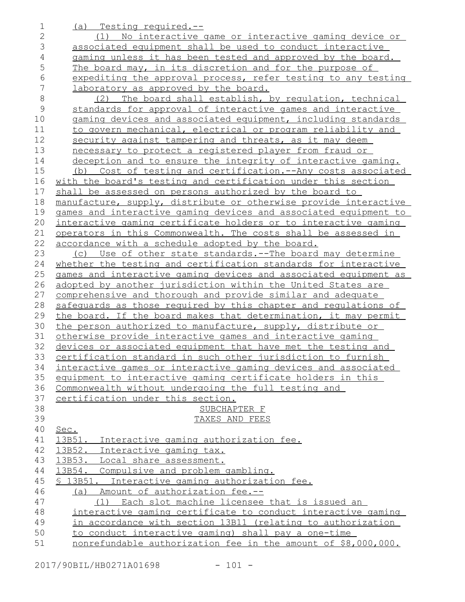| 1              | (a) Testing required.--                                           |
|----------------|-------------------------------------------------------------------|
| $\mathbf{2}$   | No interactive game or interactive gaming device or<br>(1)        |
| 3              | associated equipment shall be used to conduct interactive         |
| $\overline{4}$ | gaming unless it has been tested and approved by the board.       |
| 5              | The board may, in its discretion and for the purpose of           |
| 6              | expediting the approval process, refer testing to any testing     |
| 7              | laboratory as approved by the board.                              |
| 8              | The board shall establish, by requlation, technical<br>(2)        |
| $\mathsf 9$    | standards for approval of interactive games and interactive       |
| 10             | gaming devices and associated equipment, including standards      |
| 11             | to govern mechanical, electrical or program reliability and       |
| 12             | security against tampering and threats, as it may deem            |
| 13             | necessary to protect a registered player from fraud or            |
| 14             | deception and to ensure the integrity of interactive gaming.      |
| 15             | Cost of testing and certification. -- Any costs associated<br>(b) |
| 16             | with the board's testing and certification under this section     |
| 17             | shall be assessed on persons authorized by the board to           |
| 18             | manufacture, supply, distribute or otherwise provide interactive  |
| 19             | games and interactive gaming devices and associated equipment to  |
| 20             | interactive gaming certificate holders or to interactive gaming   |
| 21             | operators in this Commonwealth. The costs shall be assessed in    |
| 22             | accordance with a schedule adopted by the board.                  |
| 23             | (c) Use of other state standards.--The board may determine        |
| 24             | whether the testing and certification standards for interactive   |
| 25             | games and interactive gaming devices and associated equipment as  |
| 26             | adopted by another jurisdiction within the United States are      |
| 27             | comprehensive and thorough and provide similar and adequate       |
| 28             | safequards as those required by this chapter and requlations of   |
| 29             | the board. If the board makes that determination, it may permit   |
| 30             | the person authorized to manufacture, supply, distribute or       |
| 31             | otherwise provide interactive games and interactive gaming        |
| 32             | devices or associated equipment that have met the testing and     |
| 33             | certification standard in such other jurisdiction to furnish      |
| 34             | interactive games or interactive gaming devices and associated    |
| 35             | equipment to interactive gaming certificate holders in this       |
| 36             | Commonwealth without undergoing the full testing and              |
| 37<br>38       | certification under this section.                                 |
| 39             | SUBCHAPTER F<br>TAXES AND FEES                                    |
| 40             | Sec.                                                              |
| 41             | 13B51. Interactive gaming authorization fee.                      |
| 42             | 13B52. Interactive gaming tax.                                    |
| 43             | 13B53. Local share assessment.                                    |
| 44             | 13B54. Compulsive and problem gambling.                           |
| 45             | § 13B51. Interactive gaming authorization fee.                    |
| 46             | Amount of authorization fee.--<br>(a)                             |
| 47             | Each slot machine licensee that is issued an<br>(1)               |
| 48             | interactive gaming certificate to conduct interactive gaming      |
| 49             | in accordance with section 13B11 (relating to authorization       |
| 50             | to conduct interactive gaming) shall pay a one-time               |
| 51             | nonrefundable authorization fee in the amount of \$8,000,000.     |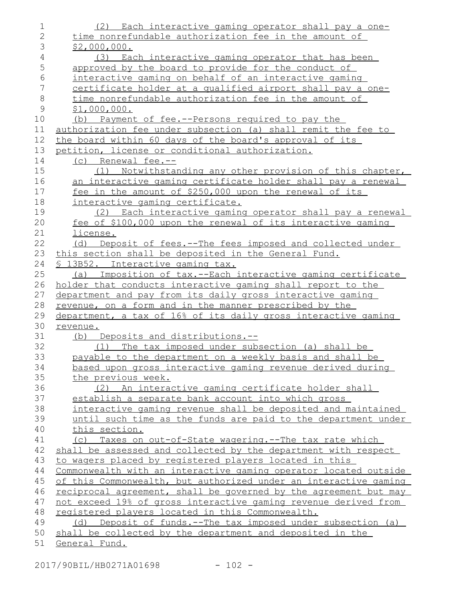| 1              | (2) Each interactive gaming operator shall pay a one-            |
|----------------|------------------------------------------------------------------|
| $\overline{2}$ | time nonrefundable authorization fee in the amount of            |
| 3              | \$2,000,000.                                                     |
| 4              | (3) Each interactive gaming operator that has been               |
| 5              | approved by the board to provide for the conduct of              |
| 6              | interactive gaming on behalf of an interactive gaming            |
| 7              | certificate holder at a qualified airport shall pay a one-       |
| $\,8\,$        | time nonrefundable authorization fee in the amount of            |
| $\mathcal{G}$  | \$1,000,000.                                                     |
| 10             | (b) Payment of fee.--Persons required to pay the                 |
| 11             | authorization fee under subsection (a) shall remit the fee to    |
| 12             | the board within 60 days of the board's approval of its          |
| 13             | petition, license or conditional authorization.                  |
| 14             | $(c)$ Renewal fee.--                                             |
| 15             | (1) Notwithstanding any other provision of this chapter,         |
| 16             | an interactive gaming certificate holder shall pay a renewal     |
| 17             | fee in the amount of \$250,000 upon the renewal of its           |
| 18             | interactive gaming certificate.                                  |
| 19             | (2) Each interactive gaming operator shall pay a renewal         |
| 20             | fee of \$100,000 upon the renewal of its interactive gaming      |
| 21             | license.                                                         |
| 22             | Deposit of fees.--The fees imposed and collected under<br>(d)    |
| 23             | this section shall be deposited in the General Fund.             |
| 24             | § 13B52. Interactive gaming tax.                                 |
| 25             | (a) Imposition of tax.--Each interactive gaming certificate      |
| 26             | holder that conducts interactive gaming shall report to the      |
| 27             | department and pay from its daily gross interactive gaming       |
| 28             | revenue, on a form and in the manner prescribed by the           |
| 29             | department, a tax of 16% of its daily gross interactive gaming   |
| 30             | revenue.                                                         |
| 31             | (b) Deposits and distributions.--                                |
| 32             | (1) The tax imposed under subsection (a) shall be                |
| 33             | payable to the department on a weekly basis and shall be         |
| 34             | based upon gross interactive gaming revenue derived during       |
| 35             | the previous week.                                               |
| 36             | (2) An interactive gaming certificate holder shall               |
| 37             | establish a separate bank account into which gross               |
| 38             | interactive gaming revenue shall be deposited and maintained     |
| 39             | until such time as the funds are paid to the department under    |
| 40             | this section.                                                    |
| 41             | (c) Taxes on out-of-State wagering.--The tax rate which          |
| 42             | shall be assessed and collected by the department with respect   |
| 43             | to wagers placed by registered players located in this           |
| 44             | Commonwealth with an interactive gaming operator located outside |
| 45             | of this Commonwealth, but authorized under an interactive gaming |
| 46             | reciprocal agreement, shall be governed by the agreement but may |
| 47             | not exceed 19% of gross interactive gaming revenue derived from  |
| 48             | registered players located in this Commonwealth.                 |
| 49             | (d) Deposit of funds.--The tax imposed under subsection (a)      |
| 50             | shall be collected by the department and deposited in the        |
| 51             | General Fund.                                                    |

2017/90BIL/HB0271A01698 - 102 -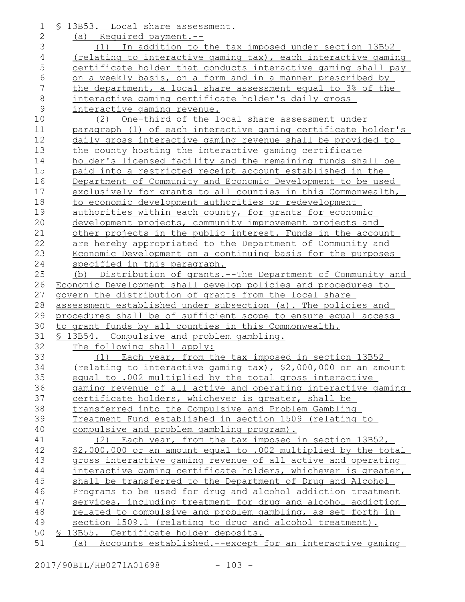| $\mathbf 1$   | \$ 13B53. Local share assessment.                                                                                               |
|---------------|---------------------------------------------------------------------------------------------------------------------------------|
| $\mathbf{2}$  | (a) Required payment.--                                                                                                         |
| 3             | (1) In addition to the tax imposed under section 13B52                                                                          |
| 4             | (relating to interactive gaming tax), each interactive gaming                                                                   |
| 5             | certificate holder that conducts interactive gaming shall pay                                                                   |
| 6             | on a weekly basis, on a form and in a manner prescribed by                                                                      |
| 7             | the department, a local share assessment equal to 3% of the                                                                     |
| 8             | interactive gaming certificate holder's daily gross                                                                             |
| $\mathcal{G}$ | interactive gaming revenue.                                                                                                     |
| 10            | (2) One-third of the local share assessment under                                                                               |
| 11            | paragraph (1) of each interactive gaming certificate holder's                                                                   |
| 12            | daily gross interactive gaming revenue shall be provided to                                                                     |
| 13            | the county hosting the interactive gaming certificate                                                                           |
| 14            | holder's licensed facility and the remaining funds shall be                                                                     |
| 15            | paid into a restricted receipt account established in the                                                                       |
| 16            | Department of Community and Economic Development to be used                                                                     |
| 17            | exclusively for grants to all counties in this Commonwealth,                                                                    |
| 18            | to economic development authorities or redevelopment                                                                            |
| 19            | authorities within each county, for grants for economic                                                                         |
| 20            | development projects, community improvement projects and                                                                        |
| 21            | other projects in the public interest. Funds in the account                                                                     |
| 22            | are hereby appropriated to the Department of Community and                                                                      |
| 23            | Economic Development on a continuing basis for the purposes                                                                     |
| 24            | specified in this paragraph.                                                                                                    |
| 25            | (b) Distribution of grants.--The Department of Community and                                                                    |
| 26            | Economic Development shall develop policies and procedures to                                                                   |
| 27            | govern the distribution of grants from the local share                                                                          |
| 28<br>29      | assessment established under subsection (a). The policies and<br>procedures shall be of sufficient scope to ensure equal access |
| 30            | to grant funds by all counties in this Commonwealth.                                                                            |
|               |                                                                                                                                 |
|               |                                                                                                                                 |
| 31            | § 13B54. Compulsive and problem gambling.                                                                                       |
| 32            | The following shall apply:                                                                                                      |
| 33            | (1) Each year, from the tax imposed in section 13B52                                                                            |
| 34            | (relating to interactive gaming tax), \$2,000,000 or an amount                                                                  |
| 35            | equal to .002 multiplied by the total gross interactive                                                                         |
| 36            | gaming revenue of all active and operating interactive gaming                                                                   |
| 37            | certificate holders, whichever is greater, shall be                                                                             |
| 38            | transferred into the Compulsive and Problem Gambling                                                                            |
| 39            | Treatment Fund established in section 1509 (relating to                                                                         |
| 40            | compulsive and problem gambling program).<br>(2)                                                                                |
| 41            | Each year, from the tax imposed in section 13B52,                                                                               |
| 42<br>43      | \$2,000,000 or an amount equal to .002 multiplied by the total                                                                  |
| 44            | gross interactive gaming revenue of all active and operating<br>interactive gaming certificate holders, whichever is greater,   |
| 45            | shall be transferred to the Department of Drug and Alcohol                                                                      |
| 46            | Programs to be used for drug and alcohol addiction treatment                                                                    |
| 47            | services, including treatment for drug and alcohol addiction                                                                    |
| 48            | related to compulsive and problem gambling, as set forth in                                                                     |
| 49            | section 1509.1 (relating to drug and alcohol treatment).                                                                        |
| 50            | § 13B55. Certificate holder deposits.                                                                                           |

2017/90BIL/HB0271A01698 - 103 -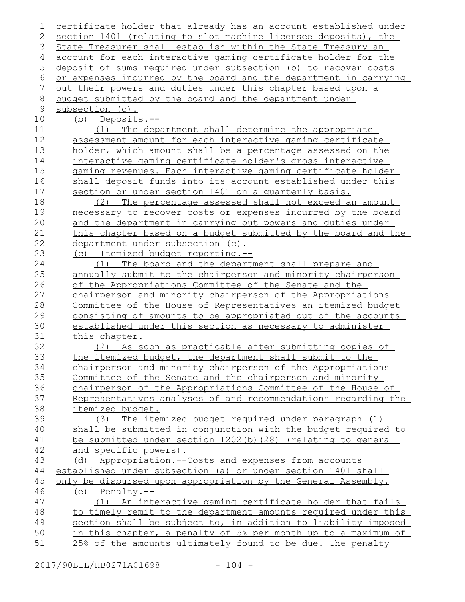| 1           | certificate holder that already has an account established under   |
|-------------|--------------------------------------------------------------------|
| 2           | section 1401 (relating to slot machine licensee deposits), the     |
| 3           | State Treasurer shall establish within the State Treasury an       |
| 4           | account for each interactive gaming certificate holder for the     |
| 5           | deposit of sums required under subsection (b) to recover costs     |
| 6           | or expenses incurred by the board and the department in carrying   |
| 7           | <u>out their powers and duties under this chapter based upon a</u> |
| 8           | budget submitted by the board and the department under             |
| $\mathsf 9$ | subsection (c).                                                    |
| 10          | (b) Deposits.--                                                    |
| 11          | (1) The department shall determine the appropriate                 |
| 12          | assessment amount for each interactive gaming certificate          |
| 13          | holder, which amount shall be a percentage assessed on the         |
| 14          | interactive gaming certificate holder's gross interactive          |
| 15          | gaming revenues. Each interactive gaming certificate holder        |
| 16          | shall deposit funds into its account established under this        |
| 17          | section or under section 1401 on a quarterly basis.                |
| 18          | The percentage assessed shall not exceed an amount<br>(2)          |
| 19          | necessary to recover costs or expenses incurred by the board       |
| 20          | and the department in carrying out powers and duties under         |
| 21          | this chapter based on a budget submitted by the board and the      |
| 22          | department under subsection (c).                                   |
| 23          | (c) Itemized budget reporting.--                                   |
| 24          | (1) The board and the department shall prepare and                 |
| 25          | annually submit to the chairperson and minority chairperson        |
| 26          | of the Appropriations Committee of the Senate and the              |
| 27          | chairperson and minority chairperson of the Appropriations         |
| 28          | Committee of the House of Representatives an itemized budget       |
| 29          | consisting of amounts to be appropriated out of the accounts       |
| 30          | established under this section as necessary to administer          |
| 31          | this chapter.                                                      |
| 32          | (2) As soon as practicable after submitting copies of              |
| 33          | the itemized budget, the department shall submit to the            |
| 34          | chairperson and minority chairperson of the Appropriations         |
| 35          | Committee of the Senate and the chairperson and minority           |
| 36          | chairperson of the Appropriations Committee of the House of        |
| 37          | Representatives analyses of and recommendations regarding the      |
| 38          | <i>itemized</i> budget.                                            |
| 39          | The itemized budget required under paragraph (1)<br>(3)            |
| 40          | shall be submitted in conjunction with the budget required to      |
| 41          | be submitted under section $1202(b)$ $(28)$ (relating to general   |
| 42          | and specific powers).                                              |
| 43          | (d) Appropriation.--Costs and expenses from accounts               |
| 44          | established under subsection (a) or under section 1401 shall       |
| 45          | only be disbursed upon appropriation by the General Assembly.      |
| 46          | $(e)$ Penalty.--                                                   |
| 47          | (1) An interactive gaming certificate holder that fails            |
| 48          | to timely remit to the department amounts required under this      |
| 49          | section shall be subject to, in addition to liability imposed      |
| 50          | in this chapter, a penalty of 5% per month up to a maximum of      |
| 51          | 25% of the amounts ultimately found to be due. The penalty         |
|             |                                                                    |

2017/90BIL/HB0271A01698 - 104 -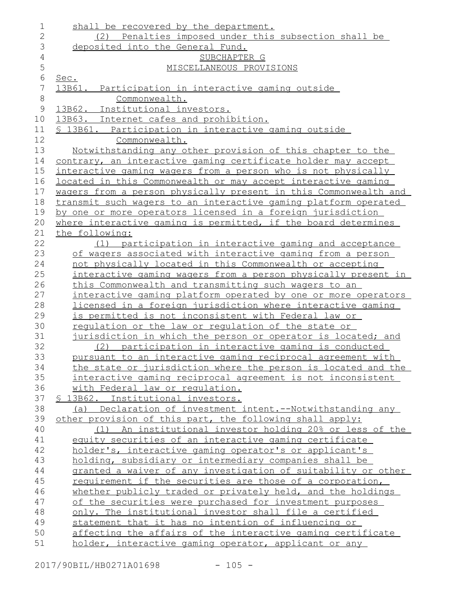| $\mathbf{2}$<br>(2) Penalties imposed under this subsection shall be<br>3<br>deposited into the General Fund.<br>$\overline{4}$<br>SUBCHAPTER G<br>5<br>MISCELLANEOUS PROVISIONS<br>$6\,$<br>Sec.<br>7<br>13B61.<br>Participation in interactive gaming outside<br>$\,8\,$<br>Commonwealth.<br>$\mathsf{S}$<br>13B62. Institutional investors.<br>13B63. Internet cafes and prohibition.<br>10<br>\$ 13B61. Participation in interactive gaming outside<br>11<br>12<br>Commonwealth.<br>13<br><u>Notwithstanding any other provision of this chapter to the</u><br>14<br>contrary, an interactive gaming certificate holder may accept<br>15<br>interactive gaming wagers from a person who is not physically<br>16<br>located in this Commonwealth or may accept interactive gaming<br>wagers from a person physically present in this Commonwealth and<br>17<br>18<br>transmit such wagers to an interactive gaming platform operated<br>19<br>by one or more operators licensed in a foreign jurisdiction<br>20<br>where interactive gaming is permitted, if the board determines<br>21<br>the following:<br>22<br>(1) participation in interactive gaming and acceptance<br>23<br>of wagers associated with interactive gaming from a person<br>24<br>not physically located in this Commonwealth or accepting<br>25<br>interactive gaming wagers from a person physically present in<br>this Commonwealth and transmitting such wagers to an<br>26<br>27<br>interactive gaming platform operated by one or more operators<br>licensed in a foreign jurisdiction where interactive gaming<br>28<br>is permitted is not inconsistent with Federal law or<br>29<br>30<br>requlation or the law or requlation of the state or<br>31<br>jurisdiction in which the person or operator is located; and<br>32<br>participation in interactive gaming is conducted<br>(2)<br>33<br>pursuant to an interactive gaming reciprocal agreement with<br>the state or jurisdiction where the person is located and the<br>34<br>35<br>interactive gaming reciprocal agreement is not inconsistent<br>36<br>with Federal law or regulation.<br>37<br><u>S 13B62. Institutional investors.</u><br>38<br>(a) Declaration of investment intent.--Notwithstanding any<br>39<br>other provision of this part, the following shall apply:<br>40<br>An institutional investor holding 20% or less of the<br>(1)<br>equity securities of an interactive gaming certificate<br>41<br>42<br>holder's, interactive gaming operator's or applicant's<br>holding, subsidiary or intermediary companies shall be<br>43<br>44<br>granted a waiver of any investigation of suitability or other<br>45<br>requirement if the securities are those of a corporation,<br>46<br>whether publicly traded or privately held, and the holdings<br>of the securities were purchased for investment purposes<br>47<br>48<br>only. The institutional investor shall file a certified<br>49<br>statement that it has no intention of influencing or<br>50<br>affecting the affairs of the interactive gaming certificate<br>51<br>holder, interactive gaming operator, applicant or any | 1 | shall be recovered by the department. |
|--------------------------------------------------------------------------------------------------------------------------------------------------------------------------------------------------------------------------------------------------------------------------------------------------------------------------------------------------------------------------------------------------------------------------------------------------------------------------------------------------------------------------------------------------------------------------------------------------------------------------------------------------------------------------------------------------------------------------------------------------------------------------------------------------------------------------------------------------------------------------------------------------------------------------------------------------------------------------------------------------------------------------------------------------------------------------------------------------------------------------------------------------------------------------------------------------------------------------------------------------------------------------------------------------------------------------------------------------------------------------------------------------------------------------------------------------------------------------------------------------------------------------------------------------------------------------------------------------------------------------------------------------------------------------------------------------------------------------------------------------------------------------------------------------------------------------------------------------------------------------------------------------------------------------------------------------------------------------------------------------------------------------------------------------------------------------------------------------------------------------------------------------------------------------------------------------------------------------------------------------------------------------------------------------------------------------------------------------------------------------------------------------------------------------------------------------------------------------------------------------------------------------------------------------------------------------------------------------------------------------------------------------------------------------------------------------------------------------------------------------------------------------------------------------------------------------------------------------------------------------------------------------------------------------------------------------------------------------------------------------------------------------------------------------------------------------------------------------------------------------------------------------|---|---------------------------------------|
|                                                                                                                                                                                                                                                                                                                                                                                                                                                                                                                                                                                                                                                                                                                                                                                                                                                                                                                                                                                                                                                                                                                                                                                                                                                                                                                                                                                                                                                                                                                                                                                                                                                                                                                                                                                                                                                                                                                                                                                                                                                                                                                                                                                                                                                                                                                                                                                                                                                                                                                                                                                                                                                                                                                                                                                                                                                                                                                                                                                                                                                                                                                                                  |   |                                       |
|                                                                                                                                                                                                                                                                                                                                                                                                                                                                                                                                                                                                                                                                                                                                                                                                                                                                                                                                                                                                                                                                                                                                                                                                                                                                                                                                                                                                                                                                                                                                                                                                                                                                                                                                                                                                                                                                                                                                                                                                                                                                                                                                                                                                                                                                                                                                                                                                                                                                                                                                                                                                                                                                                                                                                                                                                                                                                                                                                                                                                                                                                                                                                  |   |                                       |
|                                                                                                                                                                                                                                                                                                                                                                                                                                                                                                                                                                                                                                                                                                                                                                                                                                                                                                                                                                                                                                                                                                                                                                                                                                                                                                                                                                                                                                                                                                                                                                                                                                                                                                                                                                                                                                                                                                                                                                                                                                                                                                                                                                                                                                                                                                                                                                                                                                                                                                                                                                                                                                                                                                                                                                                                                                                                                                                                                                                                                                                                                                                                                  |   |                                       |
|                                                                                                                                                                                                                                                                                                                                                                                                                                                                                                                                                                                                                                                                                                                                                                                                                                                                                                                                                                                                                                                                                                                                                                                                                                                                                                                                                                                                                                                                                                                                                                                                                                                                                                                                                                                                                                                                                                                                                                                                                                                                                                                                                                                                                                                                                                                                                                                                                                                                                                                                                                                                                                                                                                                                                                                                                                                                                                                                                                                                                                                                                                                                                  |   |                                       |
|                                                                                                                                                                                                                                                                                                                                                                                                                                                                                                                                                                                                                                                                                                                                                                                                                                                                                                                                                                                                                                                                                                                                                                                                                                                                                                                                                                                                                                                                                                                                                                                                                                                                                                                                                                                                                                                                                                                                                                                                                                                                                                                                                                                                                                                                                                                                                                                                                                                                                                                                                                                                                                                                                                                                                                                                                                                                                                                                                                                                                                                                                                                                                  |   |                                       |
|                                                                                                                                                                                                                                                                                                                                                                                                                                                                                                                                                                                                                                                                                                                                                                                                                                                                                                                                                                                                                                                                                                                                                                                                                                                                                                                                                                                                                                                                                                                                                                                                                                                                                                                                                                                                                                                                                                                                                                                                                                                                                                                                                                                                                                                                                                                                                                                                                                                                                                                                                                                                                                                                                                                                                                                                                                                                                                                                                                                                                                                                                                                                                  |   |                                       |
|                                                                                                                                                                                                                                                                                                                                                                                                                                                                                                                                                                                                                                                                                                                                                                                                                                                                                                                                                                                                                                                                                                                                                                                                                                                                                                                                                                                                                                                                                                                                                                                                                                                                                                                                                                                                                                                                                                                                                                                                                                                                                                                                                                                                                                                                                                                                                                                                                                                                                                                                                                                                                                                                                                                                                                                                                                                                                                                                                                                                                                                                                                                                                  |   |                                       |
|                                                                                                                                                                                                                                                                                                                                                                                                                                                                                                                                                                                                                                                                                                                                                                                                                                                                                                                                                                                                                                                                                                                                                                                                                                                                                                                                                                                                                                                                                                                                                                                                                                                                                                                                                                                                                                                                                                                                                                                                                                                                                                                                                                                                                                                                                                                                                                                                                                                                                                                                                                                                                                                                                                                                                                                                                                                                                                                                                                                                                                                                                                                                                  |   |                                       |
|                                                                                                                                                                                                                                                                                                                                                                                                                                                                                                                                                                                                                                                                                                                                                                                                                                                                                                                                                                                                                                                                                                                                                                                                                                                                                                                                                                                                                                                                                                                                                                                                                                                                                                                                                                                                                                                                                                                                                                                                                                                                                                                                                                                                                                                                                                                                                                                                                                                                                                                                                                                                                                                                                                                                                                                                                                                                                                                                                                                                                                                                                                                                                  |   |                                       |
|                                                                                                                                                                                                                                                                                                                                                                                                                                                                                                                                                                                                                                                                                                                                                                                                                                                                                                                                                                                                                                                                                                                                                                                                                                                                                                                                                                                                                                                                                                                                                                                                                                                                                                                                                                                                                                                                                                                                                                                                                                                                                                                                                                                                                                                                                                                                                                                                                                                                                                                                                                                                                                                                                                                                                                                                                                                                                                                                                                                                                                                                                                                                                  |   |                                       |
|                                                                                                                                                                                                                                                                                                                                                                                                                                                                                                                                                                                                                                                                                                                                                                                                                                                                                                                                                                                                                                                                                                                                                                                                                                                                                                                                                                                                                                                                                                                                                                                                                                                                                                                                                                                                                                                                                                                                                                                                                                                                                                                                                                                                                                                                                                                                                                                                                                                                                                                                                                                                                                                                                                                                                                                                                                                                                                                                                                                                                                                                                                                                                  |   |                                       |
|                                                                                                                                                                                                                                                                                                                                                                                                                                                                                                                                                                                                                                                                                                                                                                                                                                                                                                                                                                                                                                                                                                                                                                                                                                                                                                                                                                                                                                                                                                                                                                                                                                                                                                                                                                                                                                                                                                                                                                                                                                                                                                                                                                                                                                                                                                                                                                                                                                                                                                                                                                                                                                                                                                                                                                                                                                                                                                                                                                                                                                                                                                                                                  |   |                                       |
|                                                                                                                                                                                                                                                                                                                                                                                                                                                                                                                                                                                                                                                                                                                                                                                                                                                                                                                                                                                                                                                                                                                                                                                                                                                                                                                                                                                                                                                                                                                                                                                                                                                                                                                                                                                                                                                                                                                                                                                                                                                                                                                                                                                                                                                                                                                                                                                                                                                                                                                                                                                                                                                                                                                                                                                                                                                                                                                                                                                                                                                                                                                                                  |   |                                       |
|                                                                                                                                                                                                                                                                                                                                                                                                                                                                                                                                                                                                                                                                                                                                                                                                                                                                                                                                                                                                                                                                                                                                                                                                                                                                                                                                                                                                                                                                                                                                                                                                                                                                                                                                                                                                                                                                                                                                                                                                                                                                                                                                                                                                                                                                                                                                                                                                                                                                                                                                                                                                                                                                                                                                                                                                                                                                                                                                                                                                                                                                                                                                                  |   |                                       |
|                                                                                                                                                                                                                                                                                                                                                                                                                                                                                                                                                                                                                                                                                                                                                                                                                                                                                                                                                                                                                                                                                                                                                                                                                                                                                                                                                                                                                                                                                                                                                                                                                                                                                                                                                                                                                                                                                                                                                                                                                                                                                                                                                                                                                                                                                                                                                                                                                                                                                                                                                                                                                                                                                                                                                                                                                                                                                                                                                                                                                                                                                                                                                  |   |                                       |
|                                                                                                                                                                                                                                                                                                                                                                                                                                                                                                                                                                                                                                                                                                                                                                                                                                                                                                                                                                                                                                                                                                                                                                                                                                                                                                                                                                                                                                                                                                                                                                                                                                                                                                                                                                                                                                                                                                                                                                                                                                                                                                                                                                                                                                                                                                                                                                                                                                                                                                                                                                                                                                                                                                                                                                                                                                                                                                                                                                                                                                                                                                                                                  |   |                                       |
|                                                                                                                                                                                                                                                                                                                                                                                                                                                                                                                                                                                                                                                                                                                                                                                                                                                                                                                                                                                                                                                                                                                                                                                                                                                                                                                                                                                                                                                                                                                                                                                                                                                                                                                                                                                                                                                                                                                                                                                                                                                                                                                                                                                                                                                                                                                                                                                                                                                                                                                                                                                                                                                                                                                                                                                                                                                                                                                                                                                                                                                                                                                                                  |   |                                       |
|                                                                                                                                                                                                                                                                                                                                                                                                                                                                                                                                                                                                                                                                                                                                                                                                                                                                                                                                                                                                                                                                                                                                                                                                                                                                                                                                                                                                                                                                                                                                                                                                                                                                                                                                                                                                                                                                                                                                                                                                                                                                                                                                                                                                                                                                                                                                                                                                                                                                                                                                                                                                                                                                                                                                                                                                                                                                                                                                                                                                                                                                                                                                                  |   |                                       |
|                                                                                                                                                                                                                                                                                                                                                                                                                                                                                                                                                                                                                                                                                                                                                                                                                                                                                                                                                                                                                                                                                                                                                                                                                                                                                                                                                                                                                                                                                                                                                                                                                                                                                                                                                                                                                                                                                                                                                                                                                                                                                                                                                                                                                                                                                                                                                                                                                                                                                                                                                                                                                                                                                                                                                                                                                                                                                                                                                                                                                                                                                                                                                  |   |                                       |
|                                                                                                                                                                                                                                                                                                                                                                                                                                                                                                                                                                                                                                                                                                                                                                                                                                                                                                                                                                                                                                                                                                                                                                                                                                                                                                                                                                                                                                                                                                                                                                                                                                                                                                                                                                                                                                                                                                                                                                                                                                                                                                                                                                                                                                                                                                                                                                                                                                                                                                                                                                                                                                                                                                                                                                                                                                                                                                                                                                                                                                                                                                                                                  |   |                                       |
|                                                                                                                                                                                                                                                                                                                                                                                                                                                                                                                                                                                                                                                                                                                                                                                                                                                                                                                                                                                                                                                                                                                                                                                                                                                                                                                                                                                                                                                                                                                                                                                                                                                                                                                                                                                                                                                                                                                                                                                                                                                                                                                                                                                                                                                                                                                                                                                                                                                                                                                                                                                                                                                                                                                                                                                                                                                                                                                                                                                                                                                                                                                                                  |   |                                       |
|                                                                                                                                                                                                                                                                                                                                                                                                                                                                                                                                                                                                                                                                                                                                                                                                                                                                                                                                                                                                                                                                                                                                                                                                                                                                                                                                                                                                                                                                                                                                                                                                                                                                                                                                                                                                                                                                                                                                                                                                                                                                                                                                                                                                                                                                                                                                                                                                                                                                                                                                                                                                                                                                                                                                                                                                                                                                                                                                                                                                                                                                                                                                                  |   |                                       |
|                                                                                                                                                                                                                                                                                                                                                                                                                                                                                                                                                                                                                                                                                                                                                                                                                                                                                                                                                                                                                                                                                                                                                                                                                                                                                                                                                                                                                                                                                                                                                                                                                                                                                                                                                                                                                                                                                                                                                                                                                                                                                                                                                                                                                                                                                                                                                                                                                                                                                                                                                                                                                                                                                                                                                                                                                                                                                                                                                                                                                                                                                                                                                  |   |                                       |
|                                                                                                                                                                                                                                                                                                                                                                                                                                                                                                                                                                                                                                                                                                                                                                                                                                                                                                                                                                                                                                                                                                                                                                                                                                                                                                                                                                                                                                                                                                                                                                                                                                                                                                                                                                                                                                                                                                                                                                                                                                                                                                                                                                                                                                                                                                                                                                                                                                                                                                                                                                                                                                                                                                                                                                                                                                                                                                                                                                                                                                                                                                                                                  |   |                                       |
|                                                                                                                                                                                                                                                                                                                                                                                                                                                                                                                                                                                                                                                                                                                                                                                                                                                                                                                                                                                                                                                                                                                                                                                                                                                                                                                                                                                                                                                                                                                                                                                                                                                                                                                                                                                                                                                                                                                                                                                                                                                                                                                                                                                                                                                                                                                                                                                                                                                                                                                                                                                                                                                                                                                                                                                                                                                                                                                                                                                                                                                                                                                                                  |   |                                       |
|                                                                                                                                                                                                                                                                                                                                                                                                                                                                                                                                                                                                                                                                                                                                                                                                                                                                                                                                                                                                                                                                                                                                                                                                                                                                                                                                                                                                                                                                                                                                                                                                                                                                                                                                                                                                                                                                                                                                                                                                                                                                                                                                                                                                                                                                                                                                                                                                                                                                                                                                                                                                                                                                                                                                                                                                                                                                                                                                                                                                                                                                                                                                                  |   |                                       |
|                                                                                                                                                                                                                                                                                                                                                                                                                                                                                                                                                                                                                                                                                                                                                                                                                                                                                                                                                                                                                                                                                                                                                                                                                                                                                                                                                                                                                                                                                                                                                                                                                                                                                                                                                                                                                                                                                                                                                                                                                                                                                                                                                                                                                                                                                                                                                                                                                                                                                                                                                                                                                                                                                                                                                                                                                                                                                                                                                                                                                                                                                                                                                  |   |                                       |
|                                                                                                                                                                                                                                                                                                                                                                                                                                                                                                                                                                                                                                                                                                                                                                                                                                                                                                                                                                                                                                                                                                                                                                                                                                                                                                                                                                                                                                                                                                                                                                                                                                                                                                                                                                                                                                                                                                                                                                                                                                                                                                                                                                                                                                                                                                                                                                                                                                                                                                                                                                                                                                                                                                                                                                                                                                                                                                                                                                                                                                                                                                                                                  |   |                                       |
|                                                                                                                                                                                                                                                                                                                                                                                                                                                                                                                                                                                                                                                                                                                                                                                                                                                                                                                                                                                                                                                                                                                                                                                                                                                                                                                                                                                                                                                                                                                                                                                                                                                                                                                                                                                                                                                                                                                                                                                                                                                                                                                                                                                                                                                                                                                                                                                                                                                                                                                                                                                                                                                                                                                                                                                                                                                                                                                                                                                                                                                                                                                                                  |   |                                       |
|                                                                                                                                                                                                                                                                                                                                                                                                                                                                                                                                                                                                                                                                                                                                                                                                                                                                                                                                                                                                                                                                                                                                                                                                                                                                                                                                                                                                                                                                                                                                                                                                                                                                                                                                                                                                                                                                                                                                                                                                                                                                                                                                                                                                                                                                                                                                                                                                                                                                                                                                                                                                                                                                                                                                                                                                                                                                                                                                                                                                                                                                                                                                                  |   |                                       |
|                                                                                                                                                                                                                                                                                                                                                                                                                                                                                                                                                                                                                                                                                                                                                                                                                                                                                                                                                                                                                                                                                                                                                                                                                                                                                                                                                                                                                                                                                                                                                                                                                                                                                                                                                                                                                                                                                                                                                                                                                                                                                                                                                                                                                                                                                                                                                                                                                                                                                                                                                                                                                                                                                                                                                                                                                                                                                                                                                                                                                                                                                                                                                  |   |                                       |
|                                                                                                                                                                                                                                                                                                                                                                                                                                                                                                                                                                                                                                                                                                                                                                                                                                                                                                                                                                                                                                                                                                                                                                                                                                                                                                                                                                                                                                                                                                                                                                                                                                                                                                                                                                                                                                                                                                                                                                                                                                                                                                                                                                                                                                                                                                                                                                                                                                                                                                                                                                                                                                                                                                                                                                                                                                                                                                                                                                                                                                                                                                                                                  |   |                                       |
|                                                                                                                                                                                                                                                                                                                                                                                                                                                                                                                                                                                                                                                                                                                                                                                                                                                                                                                                                                                                                                                                                                                                                                                                                                                                                                                                                                                                                                                                                                                                                                                                                                                                                                                                                                                                                                                                                                                                                                                                                                                                                                                                                                                                                                                                                                                                                                                                                                                                                                                                                                                                                                                                                                                                                                                                                                                                                                                                                                                                                                                                                                                                                  |   |                                       |
|                                                                                                                                                                                                                                                                                                                                                                                                                                                                                                                                                                                                                                                                                                                                                                                                                                                                                                                                                                                                                                                                                                                                                                                                                                                                                                                                                                                                                                                                                                                                                                                                                                                                                                                                                                                                                                                                                                                                                                                                                                                                                                                                                                                                                                                                                                                                                                                                                                                                                                                                                                                                                                                                                                                                                                                                                                                                                                                                                                                                                                                                                                                                                  |   |                                       |
|                                                                                                                                                                                                                                                                                                                                                                                                                                                                                                                                                                                                                                                                                                                                                                                                                                                                                                                                                                                                                                                                                                                                                                                                                                                                                                                                                                                                                                                                                                                                                                                                                                                                                                                                                                                                                                                                                                                                                                                                                                                                                                                                                                                                                                                                                                                                                                                                                                                                                                                                                                                                                                                                                                                                                                                                                                                                                                                                                                                                                                                                                                                                                  |   |                                       |
|                                                                                                                                                                                                                                                                                                                                                                                                                                                                                                                                                                                                                                                                                                                                                                                                                                                                                                                                                                                                                                                                                                                                                                                                                                                                                                                                                                                                                                                                                                                                                                                                                                                                                                                                                                                                                                                                                                                                                                                                                                                                                                                                                                                                                                                                                                                                                                                                                                                                                                                                                                                                                                                                                                                                                                                                                                                                                                                                                                                                                                                                                                                                                  |   |                                       |
|                                                                                                                                                                                                                                                                                                                                                                                                                                                                                                                                                                                                                                                                                                                                                                                                                                                                                                                                                                                                                                                                                                                                                                                                                                                                                                                                                                                                                                                                                                                                                                                                                                                                                                                                                                                                                                                                                                                                                                                                                                                                                                                                                                                                                                                                                                                                                                                                                                                                                                                                                                                                                                                                                                                                                                                                                                                                                                                                                                                                                                                                                                                                                  |   |                                       |
|                                                                                                                                                                                                                                                                                                                                                                                                                                                                                                                                                                                                                                                                                                                                                                                                                                                                                                                                                                                                                                                                                                                                                                                                                                                                                                                                                                                                                                                                                                                                                                                                                                                                                                                                                                                                                                                                                                                                                                                                                                                                                                                                                                                                                                                                                                                                                                                                                                                                                                                                                                                                                                                                                                                                                                                                                                                                                                                                                                                                                                                                                                                                                  |   |                                       |
|                                                                                                                                                                                                                                                                                                                                                                                                                                                                                                                                                                                                                                                                                                                                                                                                                                                                                                                                                                                                                                                                                                                                                                                                                                                                                                                                                                                                                                                                                                                                                                                                                                                                                                                                                                                                                                                                                                                                                                                                                                                                                                                                                                                                                                                                                                                                                                                                                                                                                                                                                                                                                                                                                                                                                                                                                                                                                                                                                                                                                                                                                                                                                  |   |                                       |
|                                                                                                                                                                                                                                                                                                                                                                                                                                                                                                                                                                                                                                                                                                                                                                                                                                                                                                                                                                                                                                                                                                                                                                                                                                                                                                                                                                                                                                                                                                                                                                                                                                                                                                                                                                                                                                                                                                                                                                                                                                                                                                                                                                                                                                                                                                                                                                                                                                                                                                                                                                                                                                                                                                                                                                                                                                                                                                                                                                                                                                                                                                                                                  |   |                                       |
|                                                                                                                                                                                                                                                                                                                                                                                                                                                                                                                                                                                                                                                                                                                                                                                                                                                                                                                                                                                                                                                                                                                                                                                                                                                                                                                                                                                                                                                                                                                                                                                                                                                                                                                                                                                                                                                                                                                                                                                                                                                                                                                                                                                                                                                                                                                                                                                                                                                                                                                                                                                                                                                                                                                                                                                                                                                                                                                                                                                                                                                                                                                                                  |   |                                       |
|                                                                                                                                                                                                                                                                                                                                                                                                                                                                                                                                                                                                                                                                                                                                                                                                                                                                                                                                                                                                                                                                                                                                                                                                                                                                                                                                                                                                                                                                                                                                                                                                                                                                                                                                                                                                                                                                                                                                                                                                                                                                                                                                                                                                                                                                                                                                                                                                                                                                                                                                                                                                                                                                                                                                                                                                                                                                                                                                                                                                                                                                                                                                                  |   |                                       |
|                                                                                                                                                                                                                                                                                                                                                                                                                                                                                                                                                                                                                                                                                                                                                                                                                                                                                                                                                                                                                                                                                                                                                                                                                                                                                                                                                                                                                                                                                                                                                                                                                                                                                                                                                                                                                                                                                                                                                                                                                                                                                                                                                                                                                                                                                                                                                                                                                                                                                                                                                                                                                                                                                                                                                                                                                                                                                                                                                                                                                                                                                                                                                  |   |                                       |
|                                                                                                                                                                                                                                                                                                                                                                                                                                                                                                                                                                                                                                                                                                                                                                                                                                                                                                                                                                                                                                                                                                                                                                                                                                                                                                                                                                                                                                                                                                                                                                                                                                                                                                                                                                                                                                                                                                                                                                                                                                                                                                                                                                                                                                                                                                                                                                                                                                                                                                                                                                                                                                                                                                                                                                                                                                                                                                                                                                                                                                                                                                                                                  |   |                                       |
|                                                                                                                                                                                                                                                                                                                                                                                                                                                                                                                                                                                                                                                                                                                                                                                                                                                                                                                                                                                                                                                                                                                                                                                                                                                                                                                                                                                                                                                                                                                                                                                                                                                                                                                                                                                                                                                                                                                                                                                                                                                                                                                                                                                                                                                                                                                                                                                                                                                                                                                                                                                                                                                                                                                                                                                                                                                                                                                                                                                                                                                                                                                                                  |   |                                       |
|                                                                                                                                                                                                                                                                                                                                                                                                                                                                                                                                                                                                                                                                                                                                                                                                                                                                                                                                                                                                                                                                                                                                                                                                                                                                                                                                                                                                                                                                                                                                                                                                                                                                                                                                                                                                                                                                                                                                                                                                                                                                                                                                                                                                                                                                                                                                                                                                                                                                                                                                                                                                                                                                                                                                                                                                                                                                                                                                                                                                                                                                                                                                                  |   |                                       |
|                                                                                                                                                                                                                                                                                                                                                                                                                                                                                                                                                                                                                                                                                                                                                                                                                                                                                                                                                                                                                                                                                                                                                                                                                                                                                                                                                                                                                                                                                                                                                                                                                                                                                                                                                                                                                                                                                                                                                                                                                                                                                                                                                                                                                                                                                                                                                                                                                                                                                                                                                                                                                                                                                                                                                                                                                                                                                                                                                                                                                                                                                                                                                  |   |                                       |
|                                                                                                                                                                                                                                                                                                                                                                                                                                                                                                                                                                                                                                                                                                                                                                                                                                                                                                                                                                                                                                                                                                                                                                                                                                                                                                                                                                                                                                                                                                                                                                                                                                                                                                                                                                                                                                                                                                                                                                                                                                                                                                                                                                                                                                                                                                                                                                                                                                                                                                                                                                                                                                                                                                                                                                                                                                                                                                                                                                                                                                                                                                                                                  |   |                                       |
|                                                                                                                                                                                                                                                                                                                                                                                                                                                                                                                                                                                                                                                                                                                                                                                                                                                                                                                                                                                                                                                                                                                                                                                                                                                                                                                                                                                                                                                                                                                                                                                                                                                                                                                                                                                                                                                                                                                                                                                                                                                                                                                                                                                                                                                                                                                                                                                                                                                                                                                                                                                                                                                                                                                                                                                                                                                                                                                                                                                                                                                                                                                                                  |   |                                       |
|                                                                                                                                                                                                                                                                                                                                                                                                                                                                                                                                                                                                                                                                                                                                                                                                                                                                                                                                                                                                                                                                                                                                                                                                                                                                                                                                                                                                                                                                                                                                                                                                                                                                                                                                                                                                                                                                                                                                                                                                                                                                                                                                                                                                                                                                                                                                                                                                                                                                                                                                                                                                                                                                                                                                                                                                                                                                                                                                                                                                                                                                                                                                                  |   |                                       |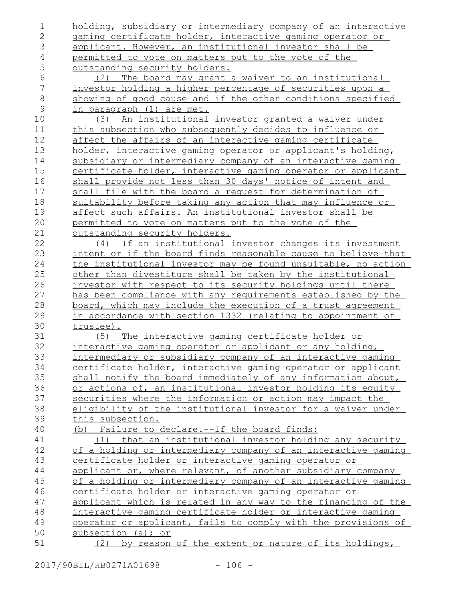| 1              | holding, subsidiary or intermediary company of an interactive     |
|----------------|-------------------------------------------------------------------|
| $\mathbf 2$    | gaming certificate holder, interactive gaming operator or         |
| 3              | applicant. However, an institutional investor shall be            |
| 4              | permitted to vote on matters put to the vote of the               |
| 5              | outstanding security holders.                                     |
| 6              | The board may grant a waiver to an institutional<br>(2)           |
| $\overline{7}$ | investor holding a higher percentage of securities upon a         |
| $\,8\,$        | showing of good cause and if the other conditions specified       |
| $\mathcal{G}$  | in paragraph (1) are met.                                         |
| 10             | An institutional investor granted a waiver under<br>(3)           |
| 11             | this subsection who subsequently decides to influence or          |
| 12             | affect the affairs of an interactive gaming certificate           |
| 13             | holder, interactive gaming operator or applicant's holding,       |
| 14             | subsidiary or intermediary company of an interactive gaming       |
| 15             | certificate holder, interactive gaming operator or applicant      |
| 16             | shall provide not less than 30 days' notice of intent and         |
| 17             | shall file with the board a request for determination of          |
| 18             | <u>suitability before taking any action that may influence or</u> |
| 19             | affect such affairs. An institutional investor shall be           |
| 20             | permitted to vote on matters put to the vote of the               |
| 21             | outstanding security holders.                                     |
| 22             | (4) If an institutional investor changes its investment           |
| 23             | intent or if the board finds reasonable cause to believe that     |
| 24             | the institutional investor may be found unsuitable, no action     |
| 25             | other than divestiture shall be taken by the institutional        |
| 26             | investor with respect to its security holdings until there        |
| 27             | has been compliance with any requirements established by the      |
| 28             | board, which may include the execution of a trust agreement       |
| 29             | in accordance with section 1332 (relating to appointment of       |
| 30             | trustee).                                                         |
| 31             | (5) The interactive gaming certificate holder or                  |
| 32             | interactive gaming operator or applicant or any holding,          |
| 33             | intermediary or subsidiary company of an interactive gaming       |
| 34             | certificate holder, interactive gaming operator or applicant      |
| 35             | shall notify the board immediately of any information about,      |
| 36             | or actions of, an institutional investor holding its equity       |
| 37             | securities where the information or action may impact the         |
| 38             | eligibility of the institutional investor for a waiver under      |
| 39             | this subsection.                                                  |
| 40             | (b) Failure to declare.--If the board finds:                      |
| 41             | that an institutional investor holding any security<br>(1)        |
| 42             | of a holding or intermediary company of an interactive gaming     |
| 43             | certificate holder or interactive gaming operator or              |
| 44             | applicant or, where relevant, of another subsidiary company       |
| 45             | of a holding or intermediary company of an interactive gaming     |
| 46             | certificate holder or interactive gaming operator or              |
| 47             | applicant which is related in any way to the financing of the     |
| 48             | interactive gaming certificate holder or interactive gaming       |
| 49             | operator or applicant, fails to comply with the provisions of     |
| 50             | subsection (a); or                                                |
| 51             | (2) by reason of the extent or nature of its holdings,            |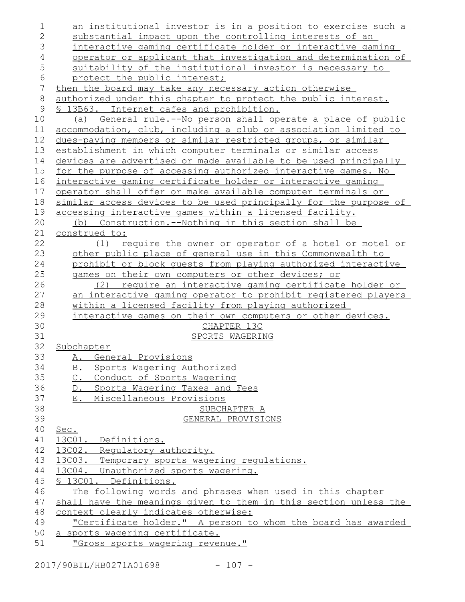| $\mathbf 1$    | <u>an institutional investor is in a position to exercise such a</u> |
|----------------|----------------------------------------------------------------------|
| $\overline{2}$ | substantial impact upon the controlling interests of an              |
| 3              | interactive gaming certificate holder or interactive gaming          |
| $\overline{4}$ | <u>operator or applicant that investigation and determination of</u> |
| 5              | suitability of the institutional investor is necessary to            |
| 6              | protect the public interest;                                         |
| 7              | then the board may take any necessary action otherwise               |
| $8\,$          | authorized under this chapter to protect the public interest.        |
| $\mathsf{S}$   | § 13B63. Internet cafes and prohibition.                             |
| 10             | (a) General rule.--No person shall operate a place of public         |
| 11             | accommodation, club, including a club or association limited to      |
| 12             | dues-paying members or similar restricted groups, or similar         |
| 13             | establishment in which computer terminals or similar access          |
| 14             | devices are advertised or made available to be used principally      |
| 15             | for the purpose of accessing authorized interactive games. No        |
| 16             | interactive gaming certificate holder or interactive gaming          |
| 17             | operator shall offer or make available computer terminals or         |
| 18             | similar access devices to be used principally for the purpose of     |
| 19             | accessing interactive games within a licensed facility.              |
| 20             | Construction.--Nothing in this section shall be<br>(b)               |
| 21             | construed to:                                                        |
| 22             | require the owner or operator of a hotel or motel or<br>(1)          |
| 23             | other public place of general use in this Commonwealth to            |
| 24             | prohibit or block quests from playing authorized interactive         |
| 25             | games on their own computers or other devices; or                    |
| 26             | (2) require an interactive gaming certificate holder or              |
| 27             | an interactive gaming operator to prohibit registered players        |
| 28             | within a licensed facility from playing authorized                   |
| 29             | interactive games on their own computers or other devices.           |
| 30             | CHAPTER 13C                                                          |
| 31             | SPORTS WAGERING                                                      |
| 32             | Subchapter                                                           |
| 33             | A. General Provisions                                                |
| 34             | Sports Wagering Authorized<br>B.                                     |
| 35             | Conduct of Sports Wagering<br>$C_{\bullet}$                          |
| 36             | Sports Wagering Taxes and Fees<br>$D_{\bullet}$                      |
| 37<br>38       | Miscellaneous Provisions<br>$E_{\star}$                              |
| 39             | SUBCHAPTER A                                                         |
| 40             | GENERAL PROVISIONS<br>Sec.                                           |
| 41             | 13001. Definitions.                                                  |
| 42             | 13C02. Regulatory authority.                                         |
| 43             | 13C03. Temporary sports wagering regulations.                        |
| 44             | 13004. Unauthorized sports wagering.                                 |
| 45             | § 13C01. Definitions.                                                |
| 46             | The following words and phrases when used in this chapter            |
| 47             | shall have the meanings given to them in this section unless the     |
| 48             | context clearly indicates otherwise:                                 |
| 49             | "Certificate holder." A person to whom the board has awarded         |
| 50             | a sports wagering certificate.                                       |
| 51             | "Gross sports wagering revenue."                                     |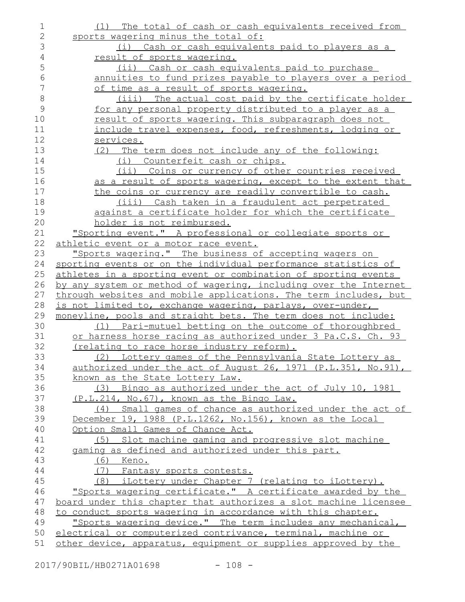| $\mathbf 1$    | (1) The total of cash or cash equivalents received from                                                                         |
|----------------|---------------------------------------------------------------------------------------------------------------------------------|
| $\mathbf 2$    | sports wagering minus the total of:                                                                                             |
| 3              | (i) Cash or cash equivalents paid to players as a                                                                               |
| $\overline{4}$ | result of sports wagering.                                                                                                      |
| 5              | (ii) Cash or cash equivalents paid to purchase                                                                                  |
| 6              | annuities to fund prizes payable to players over a period                                                                       |
| 7              | of time as a result of sports wagering.                                                                                         |
| 8              | (iii) The actual cost paid by the certificate holder                                                                            |
| 9              | for any personal property distributed to a player as a                                                                          |
| 10             | result of sports wagering. This subparagraph does not                                                                           |
| 11             | include travel expenses, food, refreshments, lodging or                                                                         |
| 12             | services.                                                                                                                       |
| 13             | (2) The term does not include any of the following:                                                                             |
| 14             | (i) Counterfeit cash or chips.                                                                                                  |
| 15             | (ii) Coins or currency of other countries received                                                                              |
| 16             | as a result of sports wagering, except to the extent that                                                                       |
| 17             | the coins or currency are readily convertible to cash.                                                                          |
| 18             | (iii) Cash taken in a fraudulent act perpetrated                                                                                |
| 19             | against a certificate holder for which the certificate                                                                          |
| 20             | holder is not reimbursed.                                                                                                       |
| 21             | "Sporting event." A professional or collegiate sports or                                                                        |
| 22             | athletic event or a motor race event.                                                                                           |
| 23             | "Sports wagering." The business of accepting wagers on                                                                          |
| 24             | sporting events or on the individual performance statistics of                                                                  |
| 25             | athletes in a sporting event or combination of sporting events                                                                  |
| 26             | by any system or method of wagering, including over the Internet                                                                |
| 27             | through websites and mobile applications. The term includes, but                                                                |
| 28             | is not limited to, exchange wagering, parlays, over-under,                                                                      |
| 29             | moneyline, pools and straight bets. The term does not include:                                                                  |
| 30             | (1) Pari-mutuel betting on the outcome of thoroughbred                                                                          |
| 31             | or harness horse racing as authorized under 3 Pa.C.S. Ch. 93                                                                    |
| 32             | (relating to race horse industry reform).                                                                                       |
| 33             | (2) Lottery games of the Pennsylvania State Lottery as                                                                          |
| 34             | authorized under the act of August 26, 1971 (P.L.351, No.91),                                                                   |
| 35             | known as the State Lottery Law.                                                                                                 |
| 36             | (3) Bingo as authorized under the act of July 10, 1981                                                                          |
| 37             | (P.L.214, No.67), known as the Bingo Law.                                                                                       |
| 38             | (4) Small games of chance as authorized under the act of                                                                        |
| 39             | December 19, 1988 (P.L.1262, No.156), known as the Local                                                                        |
| 40             | Option Small Games of Chance Act.                                                                                               |
| 41             | Slot machine gaming and progressive slot machine<br>(5)                                                                         |
| 42             | gaming as defined and authorized under this part.                                                                               |
| 43             | (6) Keno.                                                                                                                       |
| 44<br>45       | (7) Fantasy sports contests.                                                                                                    |
| 46             | (8) iLottery under Chapter 7 (relating to iLottery).<br>"Sports wagering certificate." A certificate awarded by the             |
| 47             |                                                                                                                                 |
| 48             | board under this chapter that authorizes a slot machine licensee<br>to conduct sports wagering in accordance with this chapter. |
| 49             | "Sports wagering device." The term includes any mechanical,                                                                     |
| 50             | electrical or computerized contrivance, terminal, machine or                                                                    |
| 51             | other device, apparatus, equipment or supplies approved by the                                                                  |
|                |                                                                                                                                 |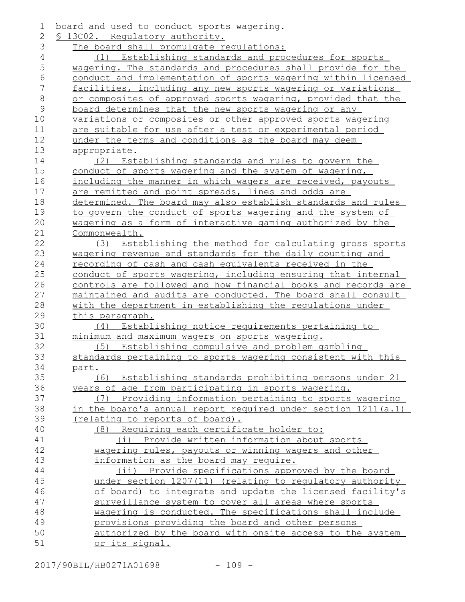| $\mathbf 1$   | board and used to conduct sports wagering.                    |
|---------------|---------------------------------------------------------------|
| 2             | § 13002. Requlatory authority.                                |
| 3             | The board shall promulgate regulations:                       |
| 4             | (1) Establishing standards and procedures for sports          |
| 5             | wagering. The standards and procedures shall provide for the  |
| $\sqrt{6}$    | conduct and implementation of sports wagering within licensed |
| 7             | facilities, including any new sports wagering or variations   |
| $\,8\,$       | or composites of approved sports wagering, provided that the  |
| $\mathcal{G}$ | board determines that the new sports wagering or any          |
| 10            | variations or composites or other approved sports wagering    |
| 11            | are suitable for use after a test or experimental period      |
| 12            | under the terms and conditions as the board may deem          |
| 13            | <u>appropriate.</u>                                           |
| 14            | (2) Establishing standards and rules to govern the            |
| 15            | conduct of sports wagering and the system of wagering,        |
| 16            | including the manner in which wagers are received, payouts    |
| 17            | are remitted and point spreads, lines and odds are            |
| 18            | determined. The board may also establish standards and rules  |
| 19            | to govern the conduct of sports wagering and the system of    |
| 20            | wagering as a form of interactive gaming authorized by the    |
| 21            | Commonwealth.                                                 |
| 22            | Establishing the method for calculating gross sports<br>(3)   |
| 23            | wagering revenue and standards for the daily counting and     |
| 24            | <u>recording of cash and cash equivalents received in the</u> |
| 25            | conduct of sports wagering, including ensuring that internal  |
| 26            | controls are followed and how financial books and records are |
| 27            | maintained and audits are conducted. The board shall consult  |
| 28            | with the department in establishing the regulations under     |
| 29            | this paragraph.                                               |
| 30            | Establishing notice requirements pertaining to<br>(4)         |
| 31            | minimum and maximum wagers on sports wagering.                |
| 32            | (5) Establishing compulsive and problem gambling              |
| 33            | standards pertaining to sports wagering consistent with this  |
| 34            | <u>part.</u>                                                  |
| 35            | (6) Establishing standards prohibiting persons under 21       |
| 36            | years of age from participating in sports wagering.           |
| 37            | Providing information pertaining to sports wagering<br>(7)    |
| 38            | in the board's annual report required under section 1211(a.1) |
| 39            | (relating to reports of board).                               |
| 40            | (8) Requiring each certificate holder to:                     |
| 41            | (i) Provide written information about sports                  |
| 42            | wagering rules, payouts or winning wagers and other           |
| 43            | information as the board may require.                         |
| 44            | (ii) Provide specifications approved by the board             |
| 45            | under section 1207(11) (relating to regulatory authority      |
| 46            | of board) to integrate and update the licensed facility's     |
| 47            | surveillance system to cover all areas where sports           |
| 48            | wagering is conducted. The specifications shall include       |
| 49            | provisions providing the board and other persons              |
| 50            | authorized by the board with onsite access to the system      |
| 51            | <u>or its signal.</u>                                         |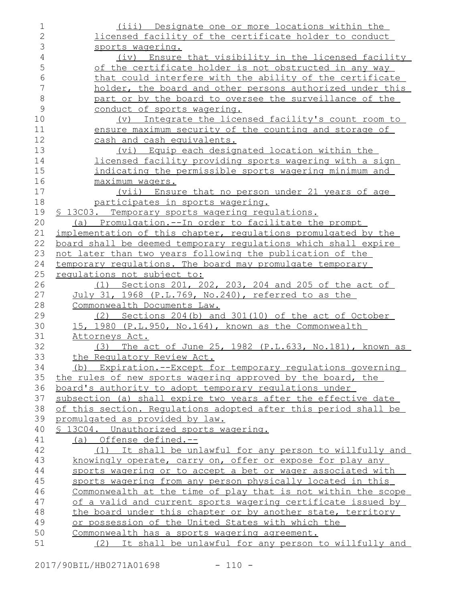| $\mathbf 1$    | (iii) Designate one or more locations within the                |
|----------------|-----------------------------------------------------------------|
| $\overline{2}$ | licensed facility of the certificate holder to conduct          |
| 3              | sports wagering.                                                |
| $\overline{4}$ | (iv) Ensure that visibility in the licensed facility            |
| 5              | of the certificate holder is not obstructed in any way          |
| 6              | that could interfere with the ability of the certificate        |
| $\overline{7}$ | holder, the board and other persons authorized under this       |
| $\,8\,$        | part or by the board to oversee the surveillance of the         |
| 9              | conduct of sports wagering.                                     |
| 10             | (v) Integrate the licensed facility's count room to             |
| 11             | ensure maximum security of the counting and storage of          |
| 12             | cash and cash equivalents.                                      |
| 13             | (vi) Equip each designated location within the                  |
| 14             | licensed facility providing sports wagering with a sign         |
| 15             | indicating the permissible sports wagering minimum and          |
| 16             | maximum waqers.                                                 |
| 17             | (vii) Ensure that no person under 21 years of age               |
| 18             | participates in sports wagering.                                |
| 19             | § 13003. Temporary sports wagering regulations.                 |
| 20             | (a) Promulgation.--In order to facilitate the prompt            |
| 21             | implementation of this chapter, requlations promulgated by the  |
| 22             | board shall be deemed temporary regulations which shall expire  |
| 23             | not later than two years following the publication of the       |
| 24             | temporary regulations. The board may promulgate temporary       |
| 25             | requlations not subject to:                                     |
| 26             | (1) Sections 201, 202, 203, 204 and 205 of the act of           |
| 27             | July 31, 1968 (P.L.769, No.240), referred to as the             |
| 28             | Commonwealth Documents Law.                                     |
| 29             | (2) Sections 204(b) and 301(10) of the act of October           |
| 30             | 15, 1980 (P.L.950, No.164), known as the Commonwealth           |
| 31             | Attorneys Act.                                                  |
| 32             | (3) The act of June 25, 1982 (P.L.633, No.181), known as        |
| 33             | the Regulatory Review Act.                                      |
| 34             | (b) Expiration.--Except for temporary requlations governing     |
| 35             | the rules of new sports wagering approved by the board, the     |
| 36             | board's authority to adopt temporary requlations under          |
| 37             | subsection (a) shall expire two years after the effective date  |
| 38             | of this section. Requlations adopted after this period shall be |
| 39             | promulgated as provided by law.                                 |
| 40             | § 13004. Unauthorized sports wagering.                          |
| 41             | (a) Offense defined.--                                          |
| 42             | (1) It shall be unlawful for any person to willfully and        |
| 43             | knowingly operate, carry on, offer or expose for play any       |
| 44             | sports wagering or to accept a bet or wager associated with     |
| 45             | sports wagering from any person physically located in this      |
| 46             | Commonwealth at the time of play that is not within the scope   |
| 47             | of a valid and current sports wagering certificate issued by    |
| 48             | the board under this chapter or by another state, territory     |
| 49             | or possession of the United States with which the               |
| 50             | Commonwealth has a sports wagering agreement.                   |
| 51             | (2) It shall be unlawful for any person to willfully and        |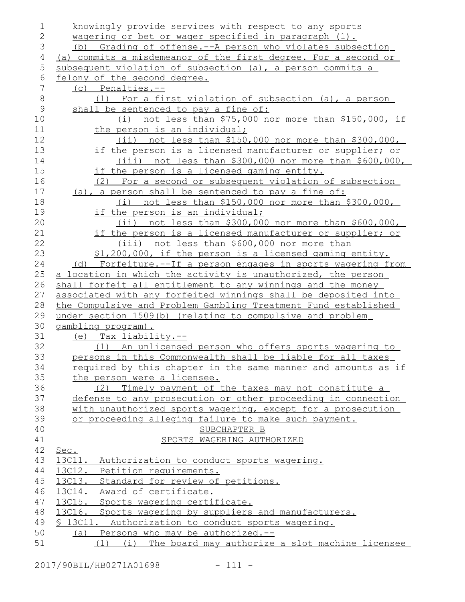| 1            | knowingly provide services with respect to any sports          |
|--------------|----------------------------------------------------------------|
| $\mathbf{2}$ | wagering or bet or wager specified in paragraph (1).           |
| 3            | (b) Grading of offense.--A person who violates subsection      |
| 4            | (a) commits a misdemeanor of the first degree. For a second or |
| 5            | subsequent violation of subsection (a), a person commits a     |
| 6            | felony of the second degree.                                   |
| 7            | $(c)$ Penalties.--                                             |
| 8            | (1) For a first violation of subsection (a), a person          |
| 9            | shall be sentenced to pay a fine of:                           |
| 10           | (i) not less than $$75,000$ nor more than $$150,000$ , if      |
| 11           | the person is an individual;                                   |
| 12           | $(ii)$ not less than \$150,000 nor more than \$300,000,        |
| 13           | if the person is a licensed manufacturer or supplier; or       |
| 14           | <u>(iii) not less than \$300,000 nor more than \$600,000,</u>  |
| 15           | if the person is a licensed gaming entity.                     |
| 16           | (2) For a second or subsequent violation of subsection         |
| 17           | (a), a person shall be sentenced to pay a fine of:             |
| 18           | (i) not less than $$150,000$ nor more than $$300,000$ ,        |
| 19           | if the person is an individual;                                |
| 20           | $(i)$ not less than \$300,000 nor more than \$600,000,         |
| 21           | if the person is a licensed manufacturer or supplier; or       |
| 22           | <u>(iii) not less than \$600,000 nor more than</u>             |
| 23           | \$1,200,000, if the person is a licensed gaming entity.        |
| 24           | (d) Forfeiture.--If a person engages in sports wagering from   |
| 25           | a location in which the activity is unauthorized, the person   |
| 26           | shall forfeit all entitlement to any winnings and the money    |
| 27           | associated with any forfeited winnings shall be deposited into |
| 28           | the Compulsive and Problem Gambling Treatment Fund established |
| 29           | under section 1509(b) (relating to compulsive and problem      |
| 30           | gambling program).                                             |
| 31           | (e) Tax liability.--                                           |
| 32           | (1) An unlicensed person who offers sports wagering to         |
| 33           | persons in this Commonwealth shall be liable for all taxes     |
| 34           | required by this chapter in the same manner and amounts as if  |
| 35           | the person were a licensee.                                    |
| 36           | Timely payment of the taxes may not constitute a<br>(2)        |
| 37           | defense to any prosecution or other proceeding in connection   |
| 38           | with unauthorized sports wagering, except for a prosecution    |
| 39           | or proceeding alleging failure to make such payment.           |
| 40           | SUBCHAPTER B                                                   |
| 41           | SPORTS WAGERING AUTHORIZED                                     |
| 42           | Sec.                                                           |
| 43           | 13C11.<br>Authorization to conduct sports wagering.            |
| 44           | 13C12. Petition requirements.                                  |
| 45           | 13C13. Standard for review of petitions.                       |
| 46           | 13014. Award of certificate.                                   |
| 47           | 13C15. Sports wagering certificate.                            |
| 48           | 13C16.<br>Sports wagering by suppliers and manufacturers.      |
| 49           | § 13C11.<br>Authorization to conduct sports wagering.          |
| 50           | Persons who may be authorized.--<br>(a)                        |
| 51           | (1) (i) The board may authorize a slot machine licensee        |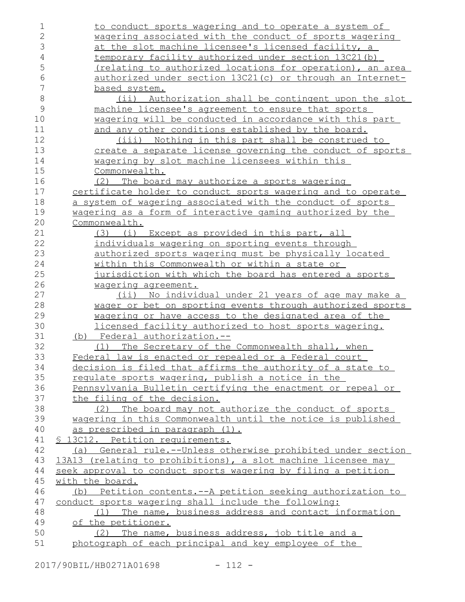| 1              | to conduct sports wagering and to operate a system of                                                   |
|----------------|---------------------------------------------------------------------------------------------------------|
| $\overline{2}$ | wagering associated with the conduct of sports wagering                                                 |
| 3              | at the slot machine licensee's licensed facility, a                                                     |
| $\overline{4}$ | temporary facility authorized under section 13C21(b)                                                    |
| 5              | (relating to authorized locations for operation), an area                                               |
| 6              | authorized under section 13C21(c) or through an Internet-                                               |
| 7              | based system.                                                                                           |
| $\,8\,$        | Authorization shall be contingent upon the slot<br>(i)                                                  |
| 9              | machine licensee's agreement to ensure that sports                                                      |
| 10             | wagering will be conducted in accordance with this part                                                 |
| 11             | and any other conditions established by the board.                                                      |
| 12             | Nothing in this part shall be construed to<br>(iii)                                                     |
| 13             | create a separate license governing the conduct of sports                                               |
| 14             | wagering by slot machine licensees within this                                                          |
| 15             | Commonwealth.                                                                                           |
| 16             | (2) The board may authorize a sports wagering                                                           |
| 17             | certificate holder to conduct sports wagering and to operate                                            |
| 18             | a system of wagering associated with the conduct of sports                                              |
| 19             | wagering as a form of interactive gaming authorized by the                                              |
| 20             | Commonwealth.                                                                                           |
| 21             | Except as provided in this part, all<br>(3)<br>(i)                                                      |
| 22             | individuals wagering on sporting events through                                                         |
| 23             | authorized sports wagering must be physically located                                                   |
| 24             | <u>within this Commonwealth or within a state or</u>                                                    |
| 25             | jurisdiction with which the board has entered a sports                                                  |
| 26             | wagering agreement.                                                                                     |
|                |                                                                                                         |
| 27             | No individual under 21 years of age may make a<br>$(i$ ii)                                              |
| 28             | wager or bet on sporting events through authorized sports                                               |
| 29             | wagering or have access to the designated area of the                                                   |
| 30             | licensed facility authorized to host sports wagering.                                                   |
| 31             | (b) Federal authorization.--                                                                            |
| 32             | (1) The Secretary of the Commonwealth shall, when                                                       |
| 33             | Federal law is enacted or repealed or a Federal court                                                   |
| 34             | decision is filed that affirms the authority of a state to                                              |
| 35             | regulate sports wagering, publish a notice in the                                                       |
| 36             | Pennsylvania Bulletin certifying the enactment or repeal or                                             |
| 37             | the filing of the decision.                                                                             |
| 38             | (2) The board may not authorize the conduct of sports                                                   |
| 39             | wagering in this Commonwealth until the notice is published                                             |
| 40             | as prescribed in paragraph (1).                                                                         |
| 41             | <u>S 13C12. Petition requirements.</u>                                                                  |
| 42             | (a) General rule.--Unless otherwise prohibited under section                                            |
| 43             | 13A13 (relating to prohibitions), a slot machine licensee may                                           |
| 44             | seek approval to conduct sports wagering by filing a petition                                           |
| 45             | with the board.                                                                                         |
| 46             | (b) Petition contents.--A petition seeking authorization to                                             |
| 47             | conduct sports wagering shall include the following:                                                    |
| 48             | (1) The name, business address and contact information                                                  |
| 49             | of the petitioner.                                                                                      |
| 50<br>51       | (2) The name, business address, job title and a<br>photograph of each principal and key employee of the |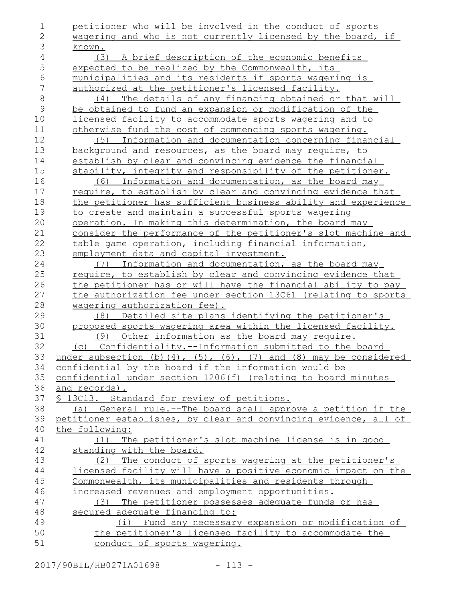| 1            | petitioner who will be involved in the conduct of sports                       |
|--------------|--------------------------------------------------------------------------------|
| $\mathbf{2}$ | wagering and who is not currently licensed by the board, if                    |
| 3            | known.                                                                         |
| 4            | A brief description of the economic benefits<br>(3)                            |
| 5            | expected to be realized by the Commonwealth, its                               |
| 6            | municipalities and its residents if sports wagering is                         |
| 7            | authorized at the petitioner's licensed facility.                              |
| $\,8\,$      | (4) The details of any financing obtained or that will                         |
| $\mathsf 9$  | be obtained to fund an expansion or modification of the                        |
| 10           | licensed facility to accommodate sports wagering and to                        |
| 11           | otherwise fund the cost of commencing sports wagering.                         |
| 12           | Information and documentation concerning financial<br>(5)                      |
| 13           | background and resources, as the board may require, to                         |
| 14           | establish by clear and convincing evidence the financial                       |
| 15           | stability, integrity and responsibility of the petitioner.                     |
| 16           | (6) Information and documentation, as the board may                            |
| 17           | require, to establish by clear and convincing evidence that                    |
| 18           | the petitioner has sufficient business ability and experience                  |
| 19           | to create and maintain a successful sports wagering                            |
| 20           | operation. In making this determination, the board may                         |
| 21           | consider the performance of the petitioner's slot machine and                  |
| 22           | table game operation, including financial information,                         |
| 23           | employment data and capital investment.                                        |
| 24           | (7) Information and documentation, as the board may                            |
| 25           | require, to establish by clear and convincing evidence that                    |
| 26           | the petitioner has or will have the financial ability to pay                   |
| 27           | the authorization fee under section 13061 (relating to sports                  |
| 28           | wagering authorization fee).                                                   |
| 29           | Detailed site plans identifying the petitioner's<br>(8)                        |
| 30           | proposed sports wagering area within the licensed facility.                    |
| 31           | Other information as the board may require.<br>(9)                             |
| 32           | (c) Confidentiality.--Information submitted to the board                       |
| 33           | under subsection (b) $(4)$ , $(5)$ , $(6)$ , $(7)$ and $(8)$ may be considered |
| 34           | confidential by the board if the information would be                          |
| 35           | confidential under section 1206(f) (relating to board minutes                  |
| 36           | and records).                                                                  |
| 37           | § 13C13. Standard for review of petitions.                                     |
| 38           | (a) General rule.--The board shall approve a petition if the                   |
| 39           | petitioner establishes, by clear and convincing evidence, all of               |
| 40           | the following:                                                                 |
| 41           | (1) The petitioner's slot machine license is in good                           |
| 42           | standing with the board.                                                       |
| 43           | (2) The conduct of sports wagering at the petitioner's                         |
| 44           | licensed facility will have a positive economic impact on the                  |
| 45           | Commonwealth, its municipalities and residents through                         |
| 46           | increased revenues and employment opportunities.                               |
| 47           | (3) The petitioner possesses adequate funds or has                             |
| 48           | secured adequate financing to:                                                 |
| 49           | (i) Fund any necessary expansion or modification of                            |
| 50           | the petitioner's licensed facility to accommodate the                          |
| 51           | conduct of sports wagering.                                                    |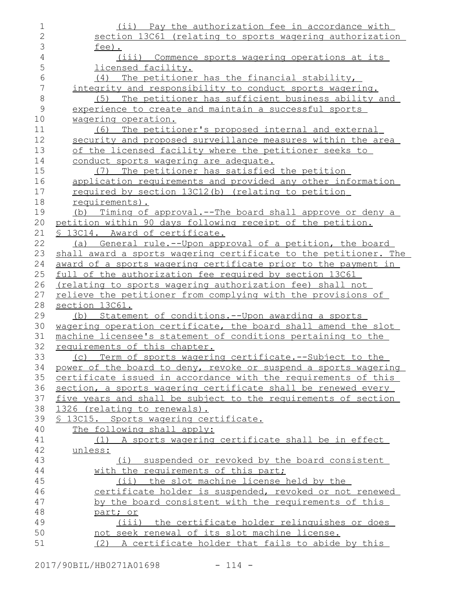| 1              | (ii) Pay the authorization fee in accordance with                |
|----------------|------------------------------------------------------------------|
| $\overline{2}$ | section 13C61 (relating to sports wagering authorization         |
| 3              | $fee$ ).                                                         |
| $\sqrt{4}$     | (iii) Commence sports wagering operations at its                 |
| 5              | licensed facility.                                               |
| 6              | The petitioner has the financial stability,<br>(4)               |
| $\overline{7}$ | integrity and responsibility to conduct sports wagering.         |
| $\,8\,$        | The petitioner has sufficient business ability and<br>(5)        |
| $\mathsf 9$    | experience to create and maintain a successful sports            |
| $10$           | wagering operation.                                              |
| 11             | (6) The petitioner's proposed internal and external              |
| 12             | security and proposed surveillance measures within the area      |
| 13             | of the licensed facility where the petitioner seeks to           |
| 14             | conduct sports wagering are adequate.                            |
| 15             | (7) The petitioner has satisfied the petition                    |
| 16             | application requirements and provided any other information      |
| 17             | required by section 13C12(b) (relating to petition               |
| 18             | requirements).                                                   |
| 19             | (b) Timing of approval.--The board shall approve or deny a       |
| 20             | petition within 90 days following receipt of the petition.       |
| 21             | <u>S 13C14. Award of certificate.</u>                            |
| 22             | (a) General rule.--Upon approval of a petition, the board        |
| 23             | shall award a sports wagering certificate to the petitioner. The |
| 24             | award of a sports wagering certificate prior to the payment in   |
| 25             | full of the authorization fee required by section 13C61          |
| 26             | (relating to sports wagering authorization fee) shall not        |
| 27             | relieve the petitioner from complying with the provisions of     |
| 28             | section 13C61.                                                   |
| 29             | (b) Statement of conditions.--Upon awarding a sports             |
| 30             | wagering operation certificate, the board shall amend the slot   |
| 31             | machine licensee's statement of conditions pertaining to the     |
| 32             | requirements of this chapter.                                    |
| 33             | (c) Term of sports wagering certificate.--Subject to the         |
| 34             | power of the board to deny, revoke or suspend a sports wagering  |
| 35             | certificate issued in accordance with the requirements of this   |
| 36             | section, a sports wagering certificate shall be renewed every    |
| 37             | five years and shall be subject to the requirements of section   |
| 38             | 1326 (relating to renewals).                                     |
| 39             | <u>S 13C15. Sports wagering certificate.</u>                     |
| 40             | The following shall apply:                                       |
| 41             | (1) A sports wagering certificate shall be in effect             |
| 42             | unless:                                                          |
| 43             | (i) suspended or revoked by the board consistent                 |
| 44             | with the requirements of this part;                              |
| 45             | (ii) the slot machine license held by the                        |
| 46             | certificate holder is suspended, revoked or not renewed          |
| 47             | by the board consistent with the requirements of this            |
| 48             | part; or                                                         |
| 49             | (iii) the certificate holder relinquishes or does                |
| 50             | not seek renewal of its slot machine license.                    |
| 51             | (2) A certificate holder that fails to abide by this             |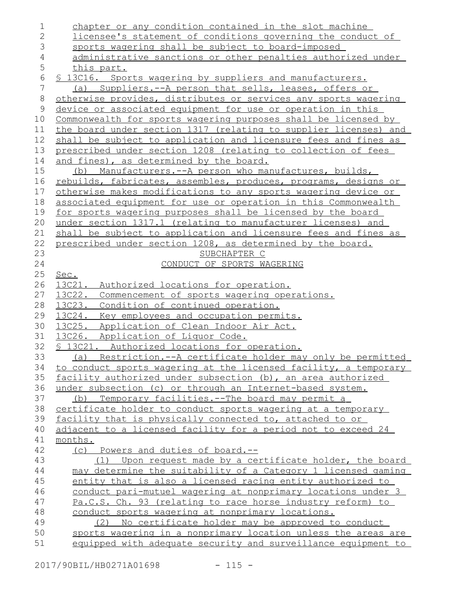| $\mathbf 1$    | chapter or any condition contained in the slot machine           |
|----------------|------------------------------------------------------------------|
| $\overline{2}$ | licensee's statement of conditions governing the conduct of      |
| 3              | sports wagering shall be subject to board-imposed                |
| 4              | administrative sanctions or other penalties authorized under     |
| 5              | this part.                                                       |
| $\epsilon$     | \$ 13C16. Sports wagering by suppliers and manufacturers.        |
| 7              | (a) Suppliers.--A person that sells, leases, offers or           |
| $\,8\,$        | otherwise provides, distributes or services any sports wagering  |
| 9              | device or associated equipment for use or operation in this      |
| 10             | Commonwealth for sports wagering purposes shall be licensed by   |
| 11             | the board under section 1317 (relating to supplier licenses) and |
| 12             | shall be subject to application and licensure fees and fines as  |
| 13             | prescribed under section 1208 (relating to collection of fees    |
| 14             | and fines), as determined by the board.                          |
| 15             | (b) Manufacturers.--A person who manufactures, builds,           |
| 16             | rebuilds, fabricates, assembles, produces, programs, designs or  |
| 17             | otherwise makes modifications to any sports wagering device or   |
| 18             | associated equipment for use or operation in this Commonwealth   |
| 19             | for sports wagering purposes shall be licensed by the board      |
| 20             | under section 1317.1 (relating to manufacturer licenses) and     |
| 21             | shall be subject to application and licensure fees and fines as  |
| 22             | prescribed under section 1208, as determined by the board.       |
| 23             | SUBCHAPTER C                                                     |
| 24             | CONDUCT OF SPORTS WAGERING                                       |
| 25             | Sec.                                                             |
| 26             | 13C21.<br>Authorized locations for operation.                    |
| 27             | 13C22.<br>Commencement of sports wagering operations.            |
| 28             | 13C23.<br>Condition of continued operation.                      |
| 29             | 13C24.<br>Key employees and occupation permits.                  |
| 30             | 13C25.<br>Application of Clean Indoor Air Act.                   |
| 31             | 13C26. Application of Liquor Code.                               |
| 32             | § 13C21. Authorized locations for operation.                     |
| 33             | Restriction.--A certificate holder may only be permitted<br>(a)  |
| 34             | to conduct sports wagering at the licensed facility, a temporary |
| 35             | facility authorized under subsection (b), an area authorized     |
| 36             | under subsection (c) or through an Internet-based system.        |
| 37             | (b) Temporary facilities.--The board may permit a                |
| 38             | certificate holder to conduct sports wagering at a temporary     |
| 39             | facility that is physically connected to, attached to or         |
| 40             | adjacent to a licensed facility for a period not to exceed 24    |
| 41             | months.                                                          |
| 42             | (c) Powers and duties of board.--                                |
| 43             | Upon request made by a certificate holder, the board<br>(1)      |
| 44             | may determine the suitability of a Category 1 licensed gaming    |
| 45             | entity that is also a licensed racing entity authorized to       |
| 46             | conduct pari-mutuel wagering at nonprimary locations under 3     |
| 47             | Pa.C.S. Ch. 93 (relating to race horse industry reform) to       |
| 48             | conduct sports wagering at nonprimary locations.                 |
| 49             | (2) No certificate holder may be approved to conduct             |
| 50             | sports wagering in a nonprimary location unless the areas are    |
| 51             | equipped with adequate security and surveillance equipment to    |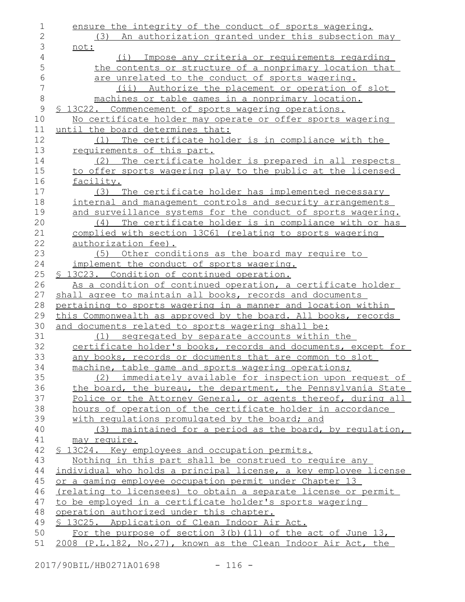ensure the integrity of the conduct of sports wagering. (3) An authorization granted under this subsection may not: (i) Impose any criteria or requirements regarding the contents or structure of a nonprimary location that are unrelated to the conduct of sports wagering. (ii) Authorize the placement or operation of slot machines or table games in a nonprimary location. § 13C22. Commencement of sports wagering operations. No certificate holder may operate or offer sports wagering until the board determines that: (1) The certificate holder is in compliance with the requirements of this part. (2) The certificate holder is prepared in all respects to offer sports wagering play to the public at the licensed facility. (3) The certificate holder has implemented necessary internal and management controls and security arrangements and surveillance systems for the conduct of sports wagering. (4) The certificate holder is in compliance with or has complied with section 13C61 (relating to sports wagering authorization fee). (5) Other conditions as the board may require to implement the conduct of sports wagering. § 13C23. Condition of continued operation. As a condition of continued operation, a certificate holder shall agree to maintain all books, records and documents pertaining to sports wagering in a manner and location within this Commonwealth as approved by the board. All books, records and documents related to sports wagering shall be: (1) segregated by separate accounts within the certificate holder's books, records and documents, except for any books, records or documents that are common to slot machine, table game and sports wagering operations; (2) immediately available for inspection upon request of the board, the bureau, the department, the Pennsylvania State Police or the Attorney General, or agents thereof, during all hours of operation of the certificate holder in accordance with regulations promulgated by the board; and (3) maintained for a period as the board, by regulation, may require. § 13C24. Key employees and occupation permits. Nothing in this part shall be construed to require any individual who holds a principal license, a key employee license or a gaming employee occupation permit under Chapter 13 (relating to licensees) to obtain a separate license or permit to be employed in a certificate holder's sports wagering operation authorized under this chapter. § 13C25. Application of Clean Indoor Air Act. For the purpose of section 3(b)(11) of the act of June 13, 2008 (P.L.182, No.27), known as the Clean Indoor Air Act, the 1 2 3 4 5 6 7 8 9 10 11 12 13 14 15 16 17 18 19 20 21 22 23 24 25 26 27 28 29 30 31 32 33 34 35 36 37 38 39 40 41 42 43 44 45 46 47 48 49 50 51

2017/90BIL/HB0271A01698 - 116 -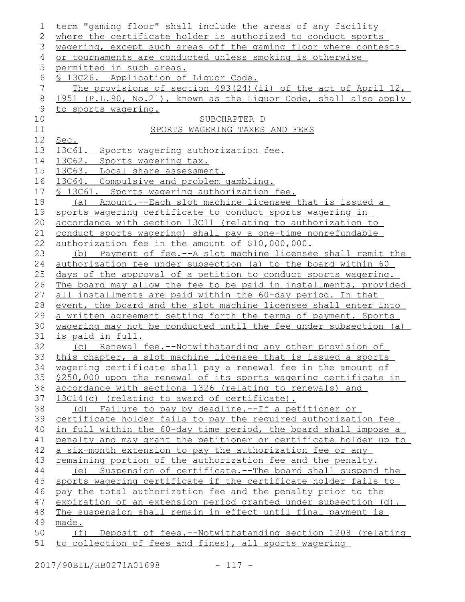| 1           | term "gaming floor" shall include the areas of any facility      |
|-------------|------------------------------------------------------------------|
| 2           | where the certificate holder is authorized to conduct sports     |
| 3           | wagering, except such areas off the gaming floor where contests  |
| 4           | or tournaments are conducted unless smoking is otherwise         |
| 5           | permitted in such areas.                                         |
| 6           | § 13C26. Application of Liquor Code.                             |
| 7           | The provisions of section 493(24)(ii) of the act of April 12,    |
| $\,8\,$     | 1951 (P.L.90, No.21), known as the Liquor Code, shall also apply |
| $\mathsf 9$ | to sports wagering.                                              |
| 10          | SUBCHAPTER D                                                     |
| 11          | SPORTS WAGERING TAXES AND FEES                                   |
| 12          | Sec.                                                             |
| 13          | 13C61. Sports wagering authorization fee.                        |
| 14          | 13C62. Sports wagering tax.                                      |
| 15          | 13C63. Local share assessment.                                   |
| 16          | 13C64. Compulsive and problem gambling.                          |
| 17          | § 13C61. Sports wagering authorization fee.                      |
| 18          | (a) Amount.--Each slot machine licensee that is issued a         |
| 19          | sports wagering certificate to conduct sports wagering in        |
| 20          | accordance with section 13C11 (relating to authorization to      |
| 21          | conduct sports wagering) shall pay a one-time nonrefundable      |
| 22          | authorization fee in the amount of \$10,000,000.                 |
| 23          | (b) Payment of fee.--A slot machine licensee shall remit the     |
| 24          | authorization fee under subsection (a) to the board within 60    |
| 25          | days of the approval of a petition to conduct sports wagering.   |
| 26          | The board may allow the fee to be paid in installments, provided |
| 27          | all installments are paid within the 60-day period. In that      |
| 28          | event, the board and the slot machine licensee shall enter into  |
| 29          | a written agreement setting forth the terms of payment. Sports   |
| 30          | wagering may not be conducted until the fee under subsection (a) |
| 31          | is paid in full.                                                 |
| 32          | (c) Renewal fee.--Notwithstanding any other provision of         |
| 33          | this chapter, a slot machine licensee that is issued a sports    |
| 34          | wagering certificate shall pay a renewal fee in the amount of    |
| 35          | \$250,000 upon the renewal of its sports wagering certificate in |
| 36          | accordance with sections 1326 (relating to renewals) and         |
| 37          | 13C14(c) (relating to award of certificate).                     |
| 38          | (d) Failure to pay by deadline.--If a petitioner or              |
| 39          | certificate holder fails to pay the required authorization fee   |
| 40          | in full within the 60-day time period, the board shall impose a  |
| 41          | penalty and may grant the petitioner or certificate holder up to |
| 42          | a six-month extension to pay the authorization fee or any        |
| 43          | remaining portion of the authorization fee and the penalty.      |
| 44          | (e) Suspension of certificate.--The board shall suspend the      |
| 45          | sports wagering certificate if the certificate holder fails to   |
| 46          | pay the total authorization fee and the penalty prior to the     |
| 47          | expiration of an extension period granted under subsection (d).  |
| 48          | The suspension shall remain in effect until final payment is     |
| 49          | made.                                                            |
| 50          | Deposit of fees.--Notwithstanding section 1208 (relating<br>(f)  |
| 51          | to collection of fees and fines), all sports wagering            |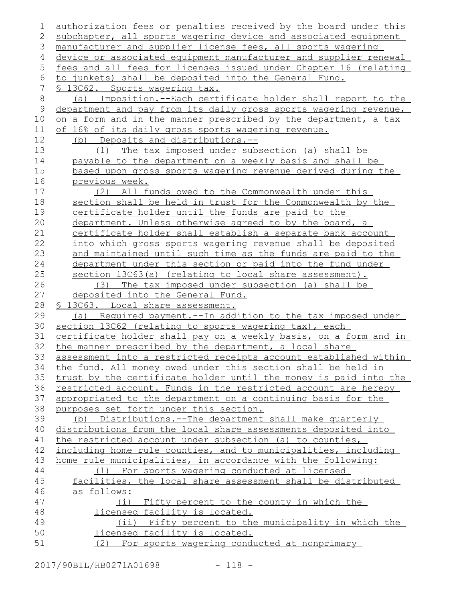authorization fees or penalties received by the board under this subchapter, all sports wagering device and associated equipment manufacturer and supplier license fees, all sports wagering device or associated equipment manufacturer and supplier renewal fees and all fees for licenses issued under Chapter 16 (relating to junkets) shall be deposited into the General Fund. § 13C62. Sports wagering tax. (a) Imposition.--Each certificate holder shall report to the department and pay from its daily gross sports wagering revenue, on a form and in the manner prescribed by the department, a tax of 16% of its daily gross sports wagering revenue. (b) Deposits and distributions.-- (1) The tax imposed under subsection (a) shall be payable to the department on a weekly basis and shall be based upon gross sports wagering revenue derived during the previous week. (2) All funds owed to the Commonwealth under this section shall be held in trust for the Commonwealth by the certificate holder until the funds are paid to the department. Unless otherwise agreed to by the board, a certificate holder shall establish a separate bank account into which gross sports wagering revenue shall be deposited and maintained until such time as the funds are paid to the department under this section or paid into the fund under section  $13C63(a)$  (relating to local share assessment). (3) The tax imposed under subsection (a) shall be deposited into the General Fund. § 13C63. Local share assessment. (a) Required payment.--In addition to the tax imposed under section 13C62 (relating to sports wagering tax), each certificate holder shall pay on a weekly basis, on a form and in the manner prescribed by the department, a local share assessment into a restricted receipts account established within the fund. All money owed under this section shall be held in trust by the certificate holder until the money is paid into the restricted account. Funds in the restricted account are hereby appropriated to the department on a continuing basis for the purposes set forth under this section. (b) Distributions.--The department shall make quarterly distributions from the local share assessments deposited into the restricted account under subsection (a) to counties, including home rule counties, and to municipalities, including home rule municipalities, in accordance with the following: (1) For sports wagering conducted at licensed facilities, the local share assessment shall be distributed as follows: (i) Fifty percent to the county in which the licensed facility is located. (ii) Fifty percent to the municipality in which the licensed facility is located. (2) For sports wagering conducted at nonprimary 1 2 3 4 5 6 7 8 9 10 11 12 13 14 15 16 17 18 19 20 21 22 23 24 25 26 27 28 29 30 31 32 33 34 35 36 37 38 39 40 41 42 43 44 45 46 47 48 49 50 51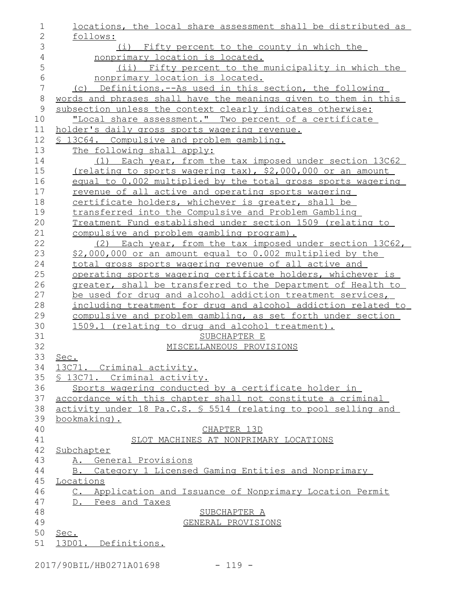| 1              | locations, the local share assessment shall be distributed as   |
|----------------|-----------------------------------------------------------------|
| $\overline{2}$ | follows:                                                        |
| 3              | (i) Fifty percent to the county in which the                    |
| $\overline{4}$ | nonprimary location is located.                                 |
| 5              | (ii) Fifty percent to the municipality in which the             |
| 6              | nonprimary location is located.                                 |
| $\overline{7}$ | (c) Definitions.--As used in this section, the following        |
| $\,8\,$        | words and phrases shall have the meanings given to them in this |
| 9              | subsection unless the context clearly indicates otherwise:      |
| 10             | "Local share assessment." Two percent of a certificate          |
| 11             | holder's daily gross sports wagering revenue.                   |
| 12             | \$ 13C64. Compulsive and problem gambling.                      |
| 13             | The following shall apply:                                      |
| 14             | (1) Each year, from the tax imposed under section 13C62         |
| 15             | (relating to sports wagering tax), \$2,000,000 or an amount     |
| 16             | equal to 0.002 multiplied by the total gross sports wagering    |
| 17             | revenue of all active and operating sports wagering             |
| 18             | certificate holders, whichever is greater, shall be             |
| 19             | transferred into the Compulsive and Problem Gambling            |
| 20             | Treatment Fund established under section 1509 (relating to      |
| 21             | compulsive and problem gambling program).                       |
| 22             | (2) Each year, from the tax imposed under section 13C62,        |
| 23             | \$2,000,000 or an amount equal to 0.002 multiplied by the       |
| 24             | total gross sports wagering revenue of all active and           |
| 25             | operating sports wagering certificate holders, whichever is     |
| 26             | greater, shall be transferred to the Department of Health to    |
| 27             | be used for drug and alcohol addiction treatment services,      |
| 28             | including treatment for drug and alcohol addiction related to   |
| 29             | compulsive and problem gambling, as set forth under section     |
| 30             | 1509.1 (relating to drug and alcohol treatment).                |
| 31             | SUBCHAPTER E                                                    |
| 32             | MISCELLANEOUS PROVISIONS                                        |
| 33             | Sec.                                                            |
| 34<br>35       | 13C71. Criminal activity.<br>§ 13071. Criminal activity.        |
| 36             | Sports wagering conducted by a certificate holder in            |
| 37             | accordance with this chapter shall not constitute a criminal    |
| 38             | activity under 18 Pa.C.S. § 5514 (relating to pool selling and  |
| 39             | bookmaking).                                                    |
| 40             | CHAPTER 13D                                                     |
| 41             | SLOT MACHINES AT NONPRIMARY LOCATIONS                           |
| 42             | Subchapter                                                      |
| 43             | A. General Provisions                                           |
| 44             | B. Category 1 Licensed Gaming Entities and Nonprimary           |
| 45             | Locations                                                       |
| 46             | C. Application and Issuance of Nonprimary Location Permit       |
| 47             | D. Fees and Taxes                                               |
| 48             | SUBCHAPTER A                                                    |
| 49             | GENERAL PROVISIONS                                              |
| 50             | Sec.                                                            |
| 51             | 13D01. Definitions.                                             |
|                |                                                                 |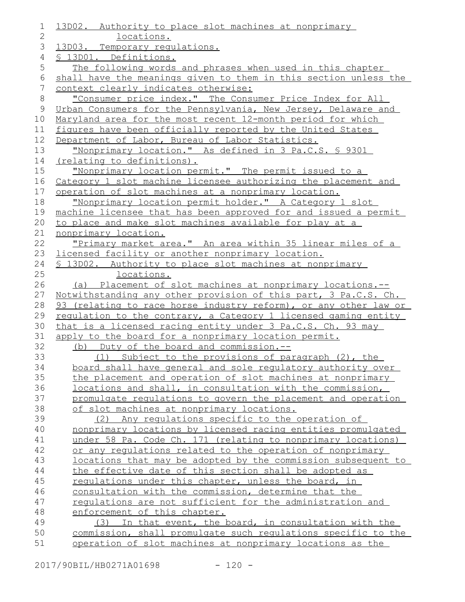| 1            | 13D02. Authority to place slot machines at nonprimary             |
|--------------|-------------------------------------------------------------------|
| $\mathbf{2}$ | locations.                                                        |
| 3            | 13D03. Temporary requlations.                                     |
| 4            | § 13D01. Definitions.                                             |
| 5            | The following words and phrases when used in this chapter         |
| 6            | shall have the meanings given to them in this section unless the  |
| 7            | context clearly indicates otherwise:                              |
| $8\,$        | "Consumer price index." The Consumer Price Index for All          |
| $\mathsf 9$  | Urban Consumers for the Pennsylvania, New Jersey, Delaware and    |
| 10           | Maryland area for the most recent 12-month period for which       |
| 11           | figures have been officially reported by the United States        |
| 12           | Department of Labor, Bureau of Labor Statistics.                  |
| 13           | "Nonprimary location." As defined in 3 Pa.C.S. \$ 9301            |
| 14           | (relating to definitions).                                        |
| 15           | "Nonprimary location permit." The permit issued to a              |
| 16           | Category 1 slot machine licensee authorizing the placement and    |
| 17           | operation of slot machines at a nonprimary location.              |
| 18           | "Nonprimary location permit holder." A Category 1 slot            |
| 19           | machine licensee that has been approved for and issued a permit   |
| 20           | to place and make slot machines available for play at a           |
| 21           | nonprimary location.                                              |
| 22           | <u>"Primary market area." An area within 35 linear miles of a</u> |
| 23           | licensed facility or another nonprimary location.                 |
| 24           | \$ 13D02. Authority to place slot machines at nonprimary          |
| 25           | locations.                                                        |
| 26           | (a) Placement of slot machines at nonprimary locations.--         |
| 27           | Notwithstanding any other provision of this part, 3 Pa.C.S. Ch.   |
| 28           | 93 (relating to race horse industry reform), or any other law or  |
| 29           | regulation to the contrary, a Category 1 licensed gaming entity   |
| 30           | that is a licensed racing entity under 3 Pa.C.S. Ch. 93 may       |
| 31           | apply to the board for a nonprimary location permit.              |
| 32           | (b) Duty of the board and commission.--                           |
| 33           | (1) Subject to the provisions of paragraph (2), the               |
| 34           | board shall have general and sole regulatory authority over       |
| 35           | the placement and operation of slot machines at nonprimary        |
| 36           | locations and shall, in consultation with the commission,         |
| 37           | promulgate regulations to govern the placement and operation      |
| 38           | of slot machines at nonprimary locations.                         |
| 39           | (2) Any requlations specific to the operation of                  |
| 40           | nonprimary locations by licensed racing entities promulgated      |
| 41           | under 58 Pa. Code Ch. 171 (relating to nonprimary locations)      |
| 42           | or any regulations related to the operation of nonprimary         |
| 43           | locations that may be adopted by the commission subsequent to     |
| 44           | the effective date of this section shall be adopted as            |
| 45           | regulations under this chapter, unless the board, in              |
| 46           | consultation with the commission, determine that the              |
| 47           | regulations are not sufficient for the administration and         |
| 48           | enforcement of this chapter.                                      |
| 49           | (3) In that event, the board, in consultation with the            |
| 50           | commission, shall promulgate such regulations specific to the     |
| 51           | operation of slot machines at nonprimary locations as the         |

2017/90BIL/HB0271A01698 - 120 -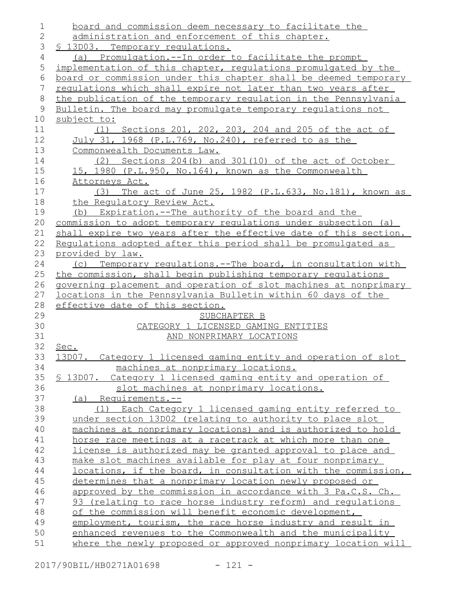board and commission deem necessary to facilitate the administration and enforcement of this chapter. § 13D03. Temporary regulations. (a) Promulgation.--In order to facilitate the prompt implementation of this chapter, regulations promulgated by the board or commission under this chapter shall be deemed temporary regulations which shall expire not later than two years after the publication of the temporary regulation in the Pennsylvania Bulletin. The board may promulgate temporary regulations not subject to: (1) Sections 201, 202, 203, 204 and 205 of the act of July 31, 1968 (P.L.769, No.240), referred to as the Commonwealth Documents Law. (2) Sections 204(b) and 301(10) of the act of October 15, 1980 (P.L.950, No.164), known as the Commonwealth Attorneys Act. (3) The act of June 25, 1982 (P.L.633, No.181), known as the Regulatory Review Act. (b) Expiration.--The authority of the board and the commission to adopt temporary regulations under subsection (a) shall expire two years after the effective date of this section. Regulations adopted after this period shall be promulgated as provided by law. (c) Temporary regulations.--The board, in consultation with the commission, shall begin publishing temporary regulations governing placement and operation of slot machines at nonprimary locations in the Pennsylvania Bulletin within 60 days of the effective date of this section. SUBCHAPTER B CATEGORY 1 LICENSED GAMING ENTITIES AND NONPRIMARY LOCATIONS Sec. 13D07. Category 1 licensed gaming entity and operation of slot machines at nonprimary locations. § 13D07. Category 1 licensed gaming entity and operation of slot machines at nonprimary locations. (a) Requirements.-- (1) Each Category 1 licensed gaming entity referred to under section 13D02 (relating to authority to place slot machines at nonprimary locations) and is authorized to hold horse race meetings at a racetrack at which more than one license is authorized may be granted approval to place and make slot machines available for play at four nonprimary locations, if the board, in consultation with the commission, determines that a nonprimary location newly proposed or approved by the commission in accordance with 3 Pa.C.S. Ch. 93 (relating to race horse industry reform) and regulations of the commission will benefit economic development, employment, tourism, the race horse industry and result in enhanced revenues to the Commonwealth and the municipality where the newly proposed or approved nonprimary location will 1 2 3 4 5 6 7 8 9 10 11 12 13 14 15 16 17 18 19 20 21 22 23 24 25 26 27 28 29 30 31 32 33 34 35 36 37 38 39 40 41 42 43 44 45 46 47 48 49 50 51

2017/90BIL/HB0271A01698 - 121 -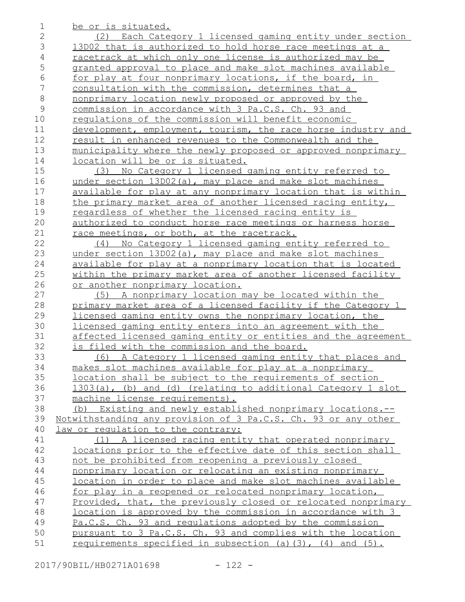| 1             | be or is situated.                                                    |
|---------------|-----------------------------------------------------------------------|
| $\mathbf{2}$  | (2) Each Category 1 licensed gaming entity under section              |
| 3             | 13D02 that is authorized to hold horse race meetings at a             |
| 4             | racetrack at which only one license is authorized may be              |
| 5             | granted approval to place and make slot machines available            |
| 6             | for play at four nonprimary locations, if the board, in               |
| 7             | consultation with the commission, determines that a                   |
| $8\,$         | nonprimary location newly proposed or approved by the                 |
| $\mathcal{G}$ | commission in accordance with 3 Pa.C.S. Ch. 93 and                    |
| 10            | requlations of the commission will benefit economic                   |
| 11            | development, employment, tourism, the race horse industry and         |
| 12            | result in enhanced revenues to the Commonwealth and the               |
| 13            | municipality where the newly proposed or approved nonprimary          |
| 14            | <u>location will be or is situated.</u>                               |
| 15            | (3) No Category 1 licensed gaming entity referred to                  |
| 16            | under section 13D02(a), may place and make slot machines              |
| 17            | available for play at any nonprimary location that is within          |
| 18            | the primary market area of another licensed racing entity,            |
| 19            | regardless of whether the licensed racing entity is                   |
| 20            | authorized to conduct horse race meetings or harness horse            |
| 21            | race meetings, or both, at the racetrack.                             |
| 22            | No Category 1 licensed gaming entity referred to<br>(4)               |
| 23            | under section 13D02(a), may place and make slot machines              |
| 24            | available for play at a nonprimary location that is located           |
| 25            | within the primary market area of another licensed facility           |
| 26            | or another nonprimary location.                                       |
| 27            | A nonprimary location may be located within the<br>(5)                |
| 28            | primary market area of a licensed facility if the Category 1          |
| 29            | licensed gaming entity owns the nonprimary location, the              |
| 30            | licensed gaming entity enters into an agreement with the              |
| 31            | affected licensed gaming entity or entities and the agreement         |
| 32            | is filed with the commission and the board.                           |
| 33            | A Category 1 licensed gaming entity that places and<br>(6)            |
| 34            | makes slot machines available for play at a nonprimary                |
| 35            | location shall be subject to the requirements of section              |
| 36            | 1303(a), (b) and (d) (relating to additional Category 1 slot          |
| 37            | machine license requirements).                                        |
| 38            | Existing and newly established nonprimary locations.--<br>(b)         |
| 39            | <u>Notwithstanding any provision of 3 Pa.C.S. Ch. 93 or any other</u> |
| 40            | law or regulation to the contrary:                                    |
| 41            | (1) A licensed racing entity that operated nonprimary                 |
| 42            | locations prior to the effective date of this section shall           |
| 43            | not be prohibited from reopening a previously closed                  |
| 44            | nonprimary location or relocating an existing nonprimary              |
| 45            | location in order to place and make slot machines available           |
| 46            | <u>for play in a reopened or relocated nonprimary location,</u>       |
| 47            | Provided, that, the previously closed or relocated nonprimary         |
| 48            | <u>location is approved by the commission in accordance with 3</u>    |
| 49            | Pa.C.S. Ch. 93 and regulations adopted by the commission              |
| 50            | pursuant to 3 Pa.C.S. Ch. 93 and complies with the location           |
| 51            | requirements specified in subsection (a) (3), (4) and (5).            |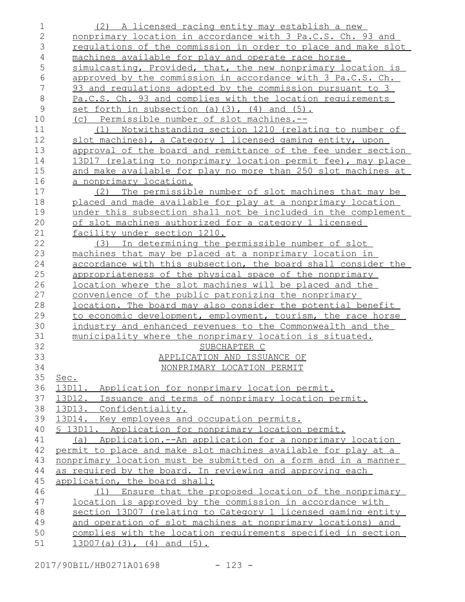| 1              | (2) A licensed racing entity may establish a new                                                                           |
|----------------|----------------------------------------------------------------------------------------------------------------------------|
| $\overline{2}$ | nonprimary location in accordance with 3 Pa.C.S. Ch. 93 and                                                                |
| 3              | regulations of the commission in order to place and make slot                                                              |
| 4              | machines available for play and operate race horse                                                                         |
| 5              | simulcasting, Provided, that, the new nonprimary location is                                                               |
| 6              | approved by the commission in accordance with 3 Pa.C.S. Ch.                                                                |
| 7              | 93 and regulations adopted by the commission pursuant to 3                                                                 |
| $\,8\,$        | Pa.C.S. Ch. 93 and complies with the location requirements                                                                 |
| $\mathcal{G}$  | set forth in subsection (a) $(3)$ , $(4)$ and $(5)$ .                                                                      |
| 10             | (c) Permissible number of slot machines.--                                                                                 |
| 11             | (1) Notwithstanding section 1210 (relating to number of                                                                    |
| 12             | slot machines), a Category 1 licensed gaming entity, upon                                                                  |
| 13             | approval of the board and remittance of the fee under section                                                              |
| 14             | 13D17 (relating to nonprimary location permit fee), may place                                                              |
| 15             | and make available for play no more than 250 slot machines at                                                              |
| 16             | a nonprimary location.                                                                                                     |
| 17             | The permissible number of slot machines that may be<br>(2)                                                                 |
| 18             | placed and made available for play at a nonprimary location                                                                |
| 19             | under this subsection shall not be included in the complement                                                              |
| 20             | of slot machines authorized for a category 1 licensed                                                                      |
| 21             | facility under section 1210.                                                                                               |
| 22             | (3) In determining the permissible number of slot                                                                          |
| 23             | machines that may be placed at a nonprimary location in                                                                    |
| 24             | accordance with this subsection, the board shall consider the                                                              |
| 25             | appropriateness of the physical space of the nonprimary                                                                    |
| 26             | location where the slot machines will be placed and the                                                                    |
| 27             | convenience of the public patronizing the nonprimary                                                                       |
| 28             | location. The board may also consider the potential benefit                                                                |
| 29<br>30       | to economic development, employment, tourism, the race horse<br>industry and enhanced revenues to the Commonwealth and the |
| 31             | municipality where the nonprimary location is situated.                                                                    |
| 32             | SUBCHAPTER C                                                                                                               |
| 33             | APPLICATION AND ISSUANCE OF                                                                                                |
| 34             | NONPRIMARY LOCATION PERMIT                                                                                                 |
| 35             | Sec.                                                                                                                       |
| 36             | 13D11.<br>Application for nonprimary location permit.                                                                      |
| 37             | 13D12. Issuance and terms of nonprimary location permit.                                                                   |
| 38             | 13D13. Confidentiality.                                                                                                    |
| 39             | 13D14. Key employees and occupation permits.                                                                               |
| 40             | § 13D11.<br>Application for nonprimary location permit.                                                                    |
| 41             | (a) Application.--An application for a nonprimary location                                                                 |
| 42             | permit to place and make slot machines available for play at a                                                             |
| 43             | nonprimary location must be submitted on a form and in a manner                                                            |
| 44             | as required by the board. In reviewing and approving each                                                                  |
| 45             | application, the board shall:                                                                                              |
| 46             | (1) Ensure that the proposed location of the nonprimary                                                                    |
| 47             | location is approved by the commission in accordance with                                                                  |
| 48             | section 13D07 (relating to Category 1 licensed gaming entity                                                               |
| 49             | and operation of slot machines at nonprimary locations) and                                                                |
| 50             | complies with the location requirements specified in section                                                               |
| 51             | $13D07(a)(3)$ , $(4)$ and $(5)$ .                                                                                          |

2017/90BIL/HB0271A01698 - 123 -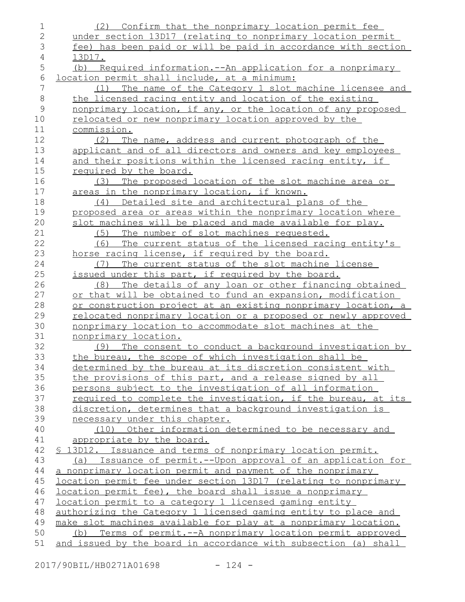| 1              | (2) Confirm that the nonprimary location permit fee              |
|----------------|------------------------------------------------------------------|
| $\mathbf{2}$   | under section 13D17 (relating to nonprimary location permit      |
| 3              | fee) has been paid or will be paid in accordance with section    |
| $\overline{4}$ | 13D17.                                                           |
| 5              | (b) Required information.--An application for a nonprimary       |
| 6              | location permit shall include, at a minimum:                     |
| 7              | The name of the Category 1 slot machine licensee and<br>(1)      |
| $\,8\,$        | the licensed racing entity and location of the existing          |
| $\mathcal{G}$  | nonprimary location, if any, or the location of any proposed     |
| 10             | relocated or new nonprimary location approved by the             |
| 11             | commission.                                                      |
| 12             | The name, address and current photograph of the<br>(2)           |
| 13             | applicant and of all directors and owners and key employees      |
| 14             | and their positions within the licensed racing entity, if        |
| 15             | required by the board.                                           |
| 16             | The proposed location of the slot machine area or<br>(3)         |
| 17             | areas in the nonprimary location, if known.                      |
| 18             | (4) Detailed site and architectural plans of the                 |
| 19             | proposed area or areas within the nonprimary location where      |
| 20             | slot machines will be placed and made available for play.        |
| 21             | The number of slot machines requested.<br>(5)                    |
| 22             | The current status of the licensed racing entity's<br>(6)        |
| 23             | horse racing license, if required by the board.                  |
| 24             | The current status of the slot machine license<br>(7)            |
| 25             | issued under this part, if required by the board.                |
| 26             | The details of any loan or other financing obtained<br>(8)       |
| 27             | or that will be obtained to fund an expansion, modification      |
| 28             | or construction project at an existing nonprimary location, a    |
| 29             | relocated nonprimary location or a proposed or newly approved    |
| 30             | nonprimary location to accommodate slot machines at the          |
| 31             | nonprimary location.                                             |
| 32             | The consent to conduct a background investigation by<br>(9)      |
| 33             | the bureau, the scope of which investigation shall be            |
| 34             | determined by the bureau at its discretion consistent with       |
| 35             | the provisions of this part, and a release signed by all         |
| 36             | persons subject to the investigation of all information          |
| 37             | required to complete the investigation, if the bureau, at its    |
| 38             | discretion, determines that a background investigation is        |
| 39             | necessary under this chapter.                                    |
| 40             | (10) Other information determined to be necessary and            |
| 41             | appropriate by the board.                                        |
| 42             | \$ 13D12. Issuance and terms of nonprimary location permit.      |
| 43             | (a) Issuance of permit.--Upon approval of an application for     |
| 44             | a nonprimary location permit and payment of the nonprimary       |
| 45             | location permit fee under section 13D17 (relating to nonprimary  |
| 46             | location permit fee), the board shall issue a nonprimary         |
| 47             | <u>location permit to a category 1 licensed gaming entity</u>    |
| 48             | authorizing the Category 1 licensed gaming entity to place and   |
| 49             | make slot machines available for play at a nonprimary location.  |
| 50             | Terms of permit. -- A nonprimary location permit approved<br>(b) |
| 51             | and issued by the board in accordance with subsection (a) shall  |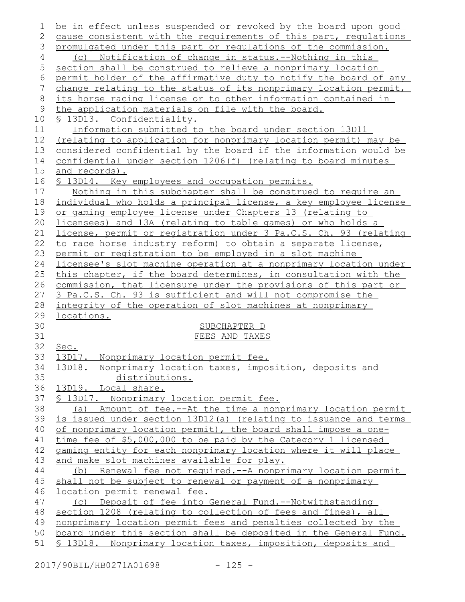| 1        | be in effect unless suspended or revoked by the board upon good  |
|----------|------------------------------------------------------------------|
| 2        | cause consistent with the requirements of this part, regulations |
| 3        | promulgated under this part or requlations of the commission.    |
| 4        | (c) Notification of change in status.--Nothing in this           |
| 5        | section shall be construed to relieve a nonprimary location      |
| 6        | permit holder of the affirmative duty to notify the board of any |
| 7        | change relating to the status of its nonprimary location permit, |
| $8\,$    | its horse racing license or to other information contained in    |
| 9        | the application materials on file with the board.                |
| 10       | <u>S 13D13. Confidentiality.</u>                                 |
| 11       | Information submitted to the board under section 13D11           |
| 12       | (relating to application for nonprimary location permit) may be  |
| 13       | considered confidential by the board if the information would be |
| 14       | confidential under section 1206(f) (relating to board minutes    |
| 15       | and records).                                                    |
| 16       | \$ 13D14. Key employees and occupation permits.                  |
| 17       | Nothing in this subchapter shall be construed to require an      |
| 18       | individual who holds a principal license, a key employee license |
| 19       | or gaming employee license under Chapters 13 (relating to        |
| 20       | licensees) and 13A (relating to table games) or who holds a      |
| 21       | license, permit or registration under 3 Pa.C.S. Ch. 93 (relating |
| 22       | to race horse industry reform) to obtain a separate license,     |
| 23       | permit or registration to be employed in a slot machine          |
| 24       | licensee's slot machine operation at a nonprimary location under |
| 25       | this chapter, if the board determines, in consultation with the  |
| 26       | commission, that licensure under the provisions of this part or  |
| 27       | 3 Pa.C.S. Ch. 93 is sufficient and will not compromise the       |
| 28       | integrity of the operation of slot machines at nonprimary        |
| 29       | locations.                                                       |
| 30       | SUBCHAPTER D                                                     |
| 31       | FEES AND TAXES                                                   |
| 32       | Sec.                                                             |
| 33<br>34 | 13D17. Nonprimary location permit fee.                           |
| 35       | 13D18. Nonprimary location taxes, imposition, deposits and       |
| 36       | distributions.<br>13D19. Local share.                            |
| 37       | § 13D17. Nonprimary location permit fee.                         |
| 38       | (a) Amount of fee.--At the time a nonprimary location permit     |
| 39       | is issued under section 13D12(a) (relating to issuance and terms |
| 40       | of nonprimary location permit), the board shall impose a one-    |
| 41       | time fee of \$5,000,000 to be paid by the Category 1 licensed    |
| 42       | gaming entity for each nonprimary location where it will place   |
| 43       | and make slot machines available for play.                       |
| 44       | (b) Renewal fee not required.--A nonprimary location permit      |
| 45       | shall not be subject to renewal or payment of a nonprimary       |
| 46       | location permit renewal fee.                                     |
| 47       | (c) Deposit of fee into General Fund.--Notwithstanding           |
| 48       | section 1208 (relating to collection of fees and fines), all     |
| 49       | nonprimary location permit fees and penalties collected by the   |
| 50       | board under this section shall be deposited in the General Fund. |
| 51       | \$ 13D18. Nonprimary location taxes, imposition, deposits and    |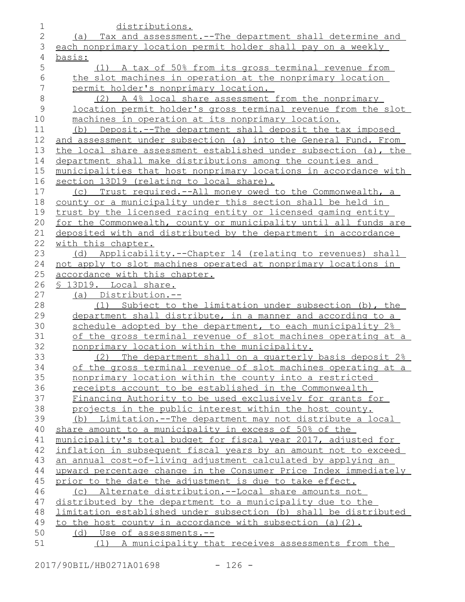| 1             | distributions.                                                   |
|---------------|------------------------------------------------------------------|
| $\mathbf{2}$  | (a) Tax and assessment.--The department shall determine and      |
| 3             | each nonprimary location permit holder shall pay on a weekly     |
| 4             | basis:                                                           |
| 5             | (1) A tax of 50% from its gross terminal revenue from            |
| 6             | the slot machines in operation at the nonprimary location        |
| 7             | permit holder's nonprimary location.                             |
| $8\,$         | (2) A 4% local share assessment from the nonprimary              |
| $\mathcal{G}$ | location permit holder's gross terminal revenue from the slot    |
| 10            | machines in operation at its nonprimary location.                |
| 11            | (b) Deposit.--The department shall deposit the tax imposed       |
| 12            | and assessment under subsection (a) into the General Fund. From  |
| 13            | the local share assessment established under subsection (a), the |
| 14            | department shall make distributions among the counties and       |
| 15            | municipalities that host nonprimary locations in accordance with |
| 16            | section 13D19 (relating to local share).                         |
| 17            | (c) Trust required.--All money owed to the Commonwealth, a       |
| 18            | county or a municipality under this section shall be held in     |
| 19            | trust by the licensed racing entity or licensed gaming entity    |
| 20            | for the Commonwealth, county or municipality until all funds are |
| 21            | deposited with and distributed by the department in accordance   |
| 22            | with this chapter.                                               |
| 23            | (d) Applicability.--Chapter 14 (relating to revenues) shall      |
| 24            | not apply to slot machines operated at nonprimary locations in   |
| 25            | accordance with this chapter.                                    |
| 26            | § 13D19. Local share.                                            |
| 27            | (a) Distribution.--                                              |
| 28            | Subject to the limitation under subsection (b), the<br>(1)       |
| 29            | department shall distribute, in a manner and according to a      |
| 30            | schedule adopted by the department, to each municipality 2%      |
| 31            | of the gross terminal revenue of slot machines operating at a    |
| 32            | nonprimary location within the municipality.                     |
| 33            | The department shall on a quarterly basis deposit 2%<br>(2)      |
| 34            | of the gross terminal revenue of slot machines operating at a    |
| 35            | nonprimary location within the county into a restricted          |
| 36            | receipts account to be established in the Commonwealth           |
| 37            | Financing Authority to be used exclusively for grants for        |
| 38            | projects in the public interest within the host county.          |
| 39            | Limitation.--The department may not distribute a local<br>(b)    |
| 40            | share amount to a municipality in excess of 50% of the           |
| 41            | municipality's total budget for fiscal year 2017, adjusted for   |
| 42            | inflation in subsequent fiscal years by an amount not to exceed  |
| 43            | an annual cost-of-living adjustment calculated by applying an    |
| 44            | upward percentage change in the Consumer Price Index immediately |
| 45            | prior to the date the adjustment is due to take effect.          |
| 46            | (c) Alternate distribution.--Local share amounts not             |
| 47            | distributed by the department to a municipality due to the       |
| 48            | limitation established under subsection (b) shall be distributed |
| 49            | to the host county in accordance with subsection (a)(2).         |
| 50            | (d) Use of assessments.--                                        |
| 51            | (1) A municipality that receives assessments from the            |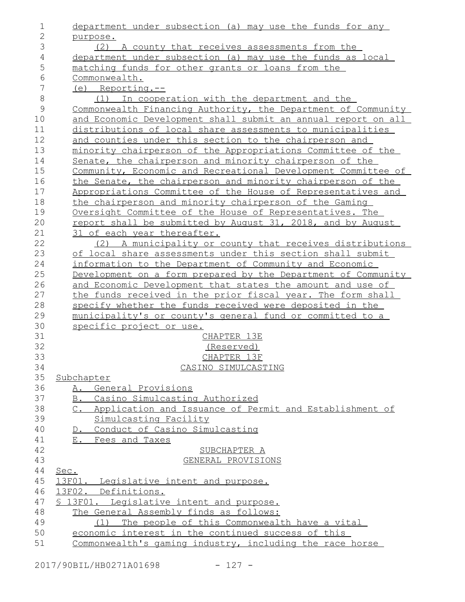| 1              | department under subsection (a) may use the funds for any     |
|----------------|---------------------------------------------------------------|
| $\overline{2}$ | purpose.                                                      |
| 3              | (2) A county that receives assessments from the               |
| 4              | department under subsection (a) may use the funds as local    |
| 5              | matching funds for other grants or loans from the             |
| 6              | Commonwealth.                                                 |
| 7              | $(e)$ Reporting.--                                            |
| 8              | (1) In cooperation with the department and the                |
| $\mathcal{G}$  | Commonwealth Financing Authority, the Department of Community |
| 10             | and Economic Development shall submit an annual report on all |
| 11             | distributions of local share assessments to municipalities    |
| 12             | and counties under this section to the chairperson and        |
| 13             | minority chairperson of the Appropriations Committee of the   |
| 14             | Senate, the chairperson and minority chairperson of the       |
| 15             | Community, Economic and Recreational Development Committee of |
| 16             | the Senate, the chairperson and minority chairperson of the   |
| 17             | Appropriations Committee of the House of Representatives and  |
| 18             | the chairperson and minority chairperson of the Gaming        |
| 19             | Oversight Committee of the House of Representatives. The      |
| 20             | report shall be submitted by August 31, 2018, and by August   |
| 21             | 31 of each year thereafter.                                   |
| 22             | (2) A municipality or county that receives distributions      |
| 23             | of local share assessments under this section shall submit    |
| 24             | information to the Department of Community and Economic       |
| 25             | Development on a form prepared by the Department of Community |
| 26             | and Economic Development that states the amount and use of    |
| 27             | the funds received in the prior fiscal year. The form shall   |
| 28             | specify whether the funds received were deposited in the      |
| 29             | municipality's or county's general fund or committed to a     |
| 30             | specific project or use.                                      |
| 31             | CHAPTER 13E                                                   |
| 32             | (Reserved)                                                    |
| 33             | CHAPTER 13F                                                   |
| 34             | CASINO SIMULCASTING                                           |
| 35             | Subchapter                                                    |
| 36             | A. General Provisions                                         |
| 37             | B. Casino Simulcasting Authorized                             |
| 38             | C. Application and Issuance of Permit and Establishment of    |
| 39             | Simulcasting Facility                                         |
| 40             | D. Conduct of Casino Simulcasting                             |
| 41             | E. Fees and Taxes                                             |
| 42             | SUBCHAPTER A                                                  |
| 43             | GENERAL PROVISIONS                                            |
| 44             | Sec.                                                          |
| 45             | 13F01. Legislative intent and purpose.                        |
| 46             | 13F02. Definitions.                                           |
| 47             | § 13F01. Legislative intent and purpose.                      |
| 48             | The General Assembly finds as follows:                        |
| 49             | (1) The people of this Commonwealth have a vital              |
| 50             | economic interest in the continued success of this            |
| 51             | Commonwealth's gaming industry, including the race horse      |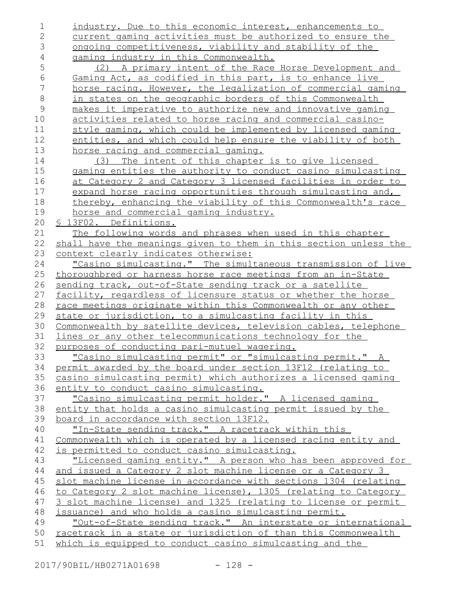industry. Due to this economic interest, enhancements to current gaming activities must be authorized to ensure the ongoing competitiveness, viability and stability of the gaming industry in this Commonwealth. (2) A primary intent of the Race Horse Development and Gaming Act, as codified in this part, is to enhance live horse racing. However, the legalization of commercial gaming in states on the geographic borders of this Commonwealth makes it imperative to authorize new and innovative gaming activities related to horse racing and commercial casinostyle gaming, which could be implemented by licensed gaming entities, and which could help ensure the viability of both horse racing and commercial gaming. (3) The intent of this chapter is to give licensed gaming entities the authority to conduct casino simulcasting at Category 2 and Category 3 licensed facilities in order to expand horse racing opportunities through simulcasting and, thereby, enhancing the viability of this Commonwealth's race horse and commercial gaming industry. § 13F02. Definitions. The following words and phrases when used in this chapter shall have the meanings given to them in this section unless the context clearly indicates otherwise: "Casino simulcasting." The simultaneous transmission of live thoroughbred or harness horse race meetings from an in-State sending track, out-of-State sending track or a satellite facility, regardless of licensure status or whether the horse race meetings originate within this Commonwealth or any other state or jurisdiction, to a simulcasting facility in this Commonwealth by satellite devices, television cables, telephone lines or any other telecommunications technology for the purposes of conducting pari-mutuel wagering. "Casino simulcasting permit" or "simulcasting permit." A permit awarded by the board under section 13F12 (relating to casino simulcasting permit) which authorizes a licensed gaming entity to conduct casino simulcasting. "Casino simulcasting permit holder." A licensed gaming entity that holds a casino simulcasting permit issued by the board in accordance with section 13F12. "In-State sending track." A racetrack within this Commonwealth which is operated by a licensed racing entity and is permitted to conduct casino simulcasting. "Licensed gaming entity." A person who has been approved for and issued a Category 2 slot machine license or a Category 3 slot machine license in accordance with sections 1304 (relating to Category 2 slot machine license), 1305 (relating to Category 3 slot machine license) and 1325 (relating to license or permit issuance) and who holds a casino simulcasting permit. "Out-of-State sending track." An interstate or international racetrack in a state or jurisdiction of than this Commonwealth which is equipped to conduct casino simulcasting and the 1 2 3 4 5 6 7 8 9 10 11 12 13 14 15 16 17 18 19 20 21 22 23 24 25 26 27 28 29 30 31 32 33 34 35 36 37 38 39 40 41 42 43 44 45 46 47 48 49 50 51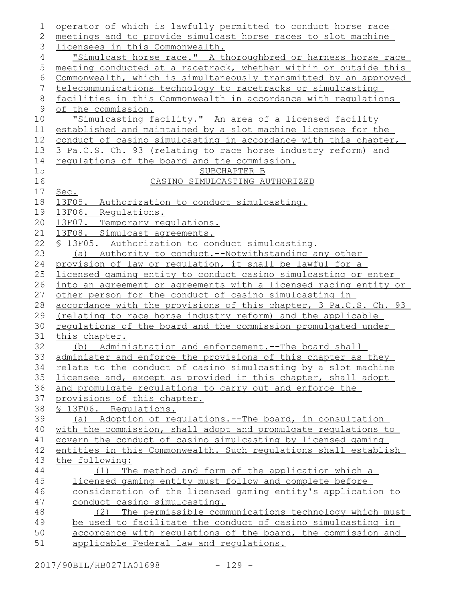| 1     | operator of which is lawfully permitted to conduct horse race    |
|-------|------------------------------------------------------------------|
| 2     | meetings and to provide simulcast horse races to slot machine    |
| 3     | licensees in this Commonwealth.                                  |
| 4     | "Simulcast horse race." A thoroughbred or harness horse race     |
| 5     | meeting conducted at a racetrack, whether within or outside this |
| 6     | Commonwealth, which is simultaneously transmitted by an approved |
| 7     | telecommunications technology to racetracks or simulcasting      |
| $8\,$ | facilities in this Commonwealth in accordance with regulations   |
| 9     | of the commission.                                               |
| 10    | "Simulcasting facility." An area of a licensed facility          |
| 11    | established and maintained by a slot machine licensee for the    |
| 12    | conduct of casino simulcasting in accordance with this chapter,  |
| 13    | 3 Pa.C.S. Ch. 93 (relating to race horse industry reform) and    |
| 14    | requlations of the board and the commission.                     |
| 15    | SUBCHAPTER B                                                     |
| 16    | CASINO SIMULCASTING AUTHORIZED                                   |
| 17    | Sec.                                                             |
| 18    | 13F05. Authorization to conduct simulcasting.                    |
| 19    | 13F06. Requlations.                                              |
| 20    | 13F07. Temporary requlations.                                    |
| 21    | 13F08. Simulcast agreements.                                     |
| 22    | § 13F05. Authorization to conduct simulcasting.                  |
| 23    | (a) Authority to conduct.--Notwithstanding any other             |
| 24    | provision of law or regulation, it shall be lawful for a         |
| 25    | licensed gaming entity to conduct casino simulcasting or enter   |
| 26    | into an agreement or agreements with a licensed racing entity or |
| 27    | other person for the conduct of casino simulcasting in           |
| 28    | accordance with the provisions of this chapter, 3 Pa.C.S. Ch. 93 |
| 29    | (relating to race horse industry reform) and the applicable      |
| 30    | regulations of the board and the commission promulgated under    |
| 31    | this chapter.                                                    |
| 32    | (b) Administration and enforcement.--The board shall             |
| 33    | administer and enforce the provisions of this chapter as they    |
| 34    | relate to the conduct of casino simulcasting by a slot machine   |
| 35    | licensee and, except as provided in this chapter, shall adopt    |
| 36    | and promulgate regulations to carry out and enforce the          |
| 37    | provisions of this chapter.                                      |
| 38    | § 13F06. Requlations.                                            |
| 39    | (a) Adoption of requlations.--The board, in consultation         |
| 40    | with the commission, shall adopt and promulgate regulations to   |
| 41    | govern the conduct of casino simulcasting by licensed gaming     |
| 42    | entities in this Commonwealth. Such regulations shall establish  |
| 43    | the following:                                                   |
| 44    | The method and form of the application which a<br>(1)            |
| 45    | licensed gaming entity must follow and complete before           |
| 46    | consideration of the licensed gaming entity's application to     |
| 47    | conduct casino simulcasting.                                     |
| 48    | The permissible communications technology which must<br>(2)      |
| 49    | be used to facilitate the conduct of casino simulcasting in      |
| 50    | accordance with regulations of the board, the commission and     |
| 51    | applicable Federal law and regulations.                          |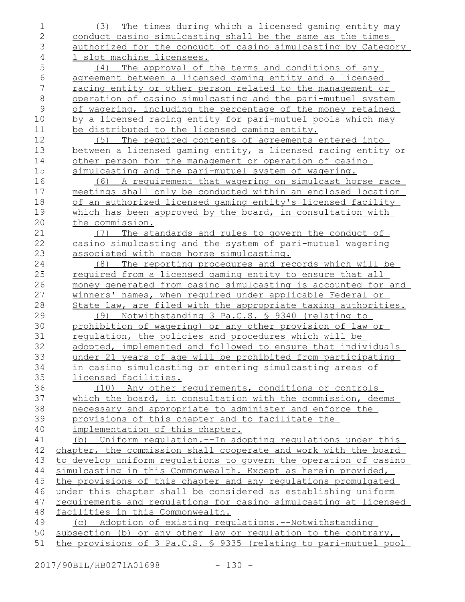| 1                        | The times during which a licensed gaming entity may<br>(3)                                 |
|--------------------------|--------------------------------------------------------------------------------------------|
| 2<br>3                   | conduct casino simulcasting shall be the same as the times                                 |
| 4                        | authorized for the conduct of casino simulcasting by Category<br>1 slot machine licensees. |
| 5                        |                                                                                            |
|                          | The approval of the terms and conditions of any<br>(4)                                     |
| 6<br>$\overline{7}$      | agreement between a licensed gaming entity and a licensed                                  |
|                          | racing entity or other person related to the management or                                 |
| $\,8\,$<br>$\mathcal{G}$ | operation of casino simulcasting and the pari-mutuel system                                |
|                          | of wagering, including the percentage of the money retained                                |
| 10                       | by a licensed racing entity for pari-mutuel pools which may                                |
| 11                       | be distributed to the licensed gaming entity.                                              |
| 12                       | (5) The required contents of agreements entered into                                       |
| 13                       | between a licensed gaming entity, a licensed racing entity or                              |
| 14                       | other person for the management or operation of casino                                     |
| 15                       | simulcasting and the pari-mutuel system of wagering.                                       |
| 16                       | A requirement that wagering on simulcast horse race<br>(6)                                 |
| 17                       | meetings shall only be conducted within an enclosed location                               |
| 18                       | of an authorized licensed gaming entity's licensed facility                                |
| 19                       | which has been approved by the board, in consultation with                                 |
| 20                       | the commission.                                                                            |
| 21                       | The standards and rules to govern the conduct of<br>(7)                                    |
| 22                       | casino simulcasting and the system of pari-mutuel wagering                                 |
| 23                       | associated with race horse simulcasting.                                                   |
| 24                       | (8) The reporting procedures and records which will be                                     |
| 25                       | required from a licensed gaming entity to ensure that all                                  |
| 26                       | money generated from casino simulcasting is accounted for and                              |
| 27                       | winners' names, when required under applicable Federal or                                  |
| 28                       | State law, are filed with the appropriate taxing authorities.                              |
| 29                       | (9) Notwithstanding 3 Pa.C.S. § 9340 (relating to                                          |
| 30                       | prohibition of wagering) or any other provision of law or                                  |
| 31                       | regulation, the policies and procedures which will be                                      |
| 32                       | adopted, implemented and followed to ensure that individuals                               |
| 33                       | under 21 years of age will be prohibited from participating                                |
| 34                       | <u>in casino simulcasting or entering simulcasting areas of</u>                            |
| 35                       | licensed facilities.                                                                       |
| 36                       | (10) Any other requirements, conditions or controls                                        |
| 37                       | which the board, in consultation with the commission, deems                                |
| 38                       | necessary and appropriate to administer and enforce the                                    |
| 39                       | provisions of this chapter and to facilitate the                                           |
| 40                       | implementation of this chapter.                                                            |
| 41                       | (b) Uniform requlation.--In adopting regulations under this                                |
| 42                       | chapter, the commission shall cooperate and work with the board                            |
| 43                       | to develop uniform regulations to govern the operation of casino                           |
| 44                       | simulcasting in this Commonwealth. Except as herein provided,                              |
| 45                       | the provisions of this chapter and any regulations promulgated                             |
| 46                       | under this chapter shall be considered as establishing uniform                             |
| 47                       | requirements and requlations for casino simulcasting at licensed                           |
| 48                       | facilities in this Commonwealth.                                                           |
| 49                       | (c) Adoption of existing regulations.--Notwithstanding                                     |
| 50                       | subsection (b) or any other law or regulation to the contrary,                             |
| 51                       | the provisions of 3 Pa.C.S. § 9335 (relating to pari-mutuel pool                           |

2017/90BIL/HB0271A01698 - 130 -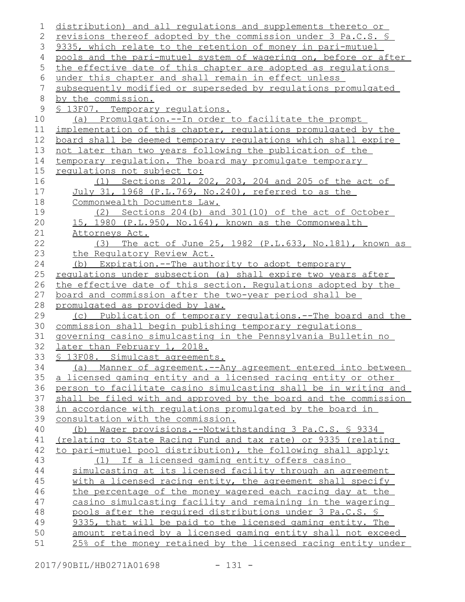distribution) and all regulations and supplements thereto or revisions thereof adopted by the commission under 3 Pa.C.S. § 9335, which relate to the retention of money in pari-mutuel pools and the pari-mutuel system of wagering on, before or after the effective date of this chapter are adopted as regulations under this chapter and shall remain in effect unless subsequently modified or superseded by regulations promulgated by the commission. § 13F07. Temporary requlations. (a) Promulgation.--In order to facilitate the prompt implementation of this chapter, regulations promulgated by the board shall be deemed temporary regulations which shall expire not later than two years following the publication of the temporary regulation. The board may promulgate temporary regulations not subject to: (1) Sections 201, 202, 203, 204 and 205 of the act of July 31, 1968 (P.L.769, No.240), referred to as the Commonwealth Documents Law. (2) Sections 204(b) and 301(10) of the act of October 15, 1980 (P.L.950, No.164), known as the Commonwealth Attorneys Act. (3) The act of June 25, 1982 (P.L.633, No.181), known as the Regulatory Review Act. (b) Expiration.--The authority to adopt temporary regulations under subsection (a) shall expire two years after the effective date of this section. Requlations adopted by the board and commission after the two-year period shall be promulgated as provided by law. (c) Publication of temporary regulations.--The board and the commission shall begin publishing temporary regulations governing casino simulcasting in the Pennsylvania Bulletin no later than February 1, 2018. § 13F08. Simulcast agreements. (a) Manner of agreement.--Any agreement entered into between a licensed gaming entity and a licensed racing entity or other person to facilitate casino simulcasting shall be in writing and shall be filed with and approved by the board and the commission in accordance with regulations promulgated by the board in consultation with the commission. (b) Wager provisions.--Notwithstanding 3 Pa.C.S. § 9334 (relating to State Racing Fund and tax rate) or 9335 (relating to pari-mutuel pool distribution), the following shall apply: (1) If a licensed gaming entity offers casino simulcasting at its licensed facility through an agreement with a licensed racing entity, the agreement shall specify the percentage of the money wagered each racing day at the casino simulcasting facility and remaining in the wagering pools after the required distributions under 3 Pa.C.S. § 9335, that will be paid to the licensed gaming entity. The amount retained by a licensed gaming entity shall not exceed 25% of the money retained by the licensed racing entity under 1 2 3 4 5 6 7 8 9 10 11 12 13 14 15 16 17 18 19 20 21 22 23 24 25 26 27 28 29 30 31 32 33 34 35 36 37 38 39 40 41 42 43 44 45 46 47 48 49 50 51

2017/90BIL/HB0271A01698 - 131 -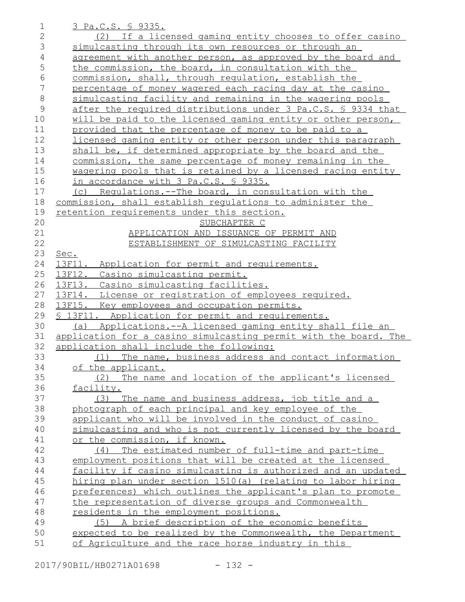|                | <u>3 Pa.C.S. § 9335.</u>                                                                                          |
|----------------|-------------------------------------------------------------------------------------------------------------------|
| $\overline{2}$ | (2) If a licensed gaming entity chooses to offer casino                                                           |
| 3              | simulcasting through its own resources or through an                                                              |
| $\overline{4}$ | agreement with another person, as approved by the board and                                                       |
| 5              | the commission, the board, in consultation with the                                                               |
| 6              | commission, shall, through regulation, establish the                                                              |
| 7              | percentage of money wagered each racing day at the casino                                                         |
| $\,8\,$        | simulcasting facility and remaining in the wagering pools                                                         |
| 9              | after the required distributions under 3 Pa.C.S. § 9334 that                                                      |
| 10             | will be paid to the licensed gaming entity or other person,                                                       |
| 11             | provided that the percentage of money to be paid to a                                                             |
| 12             | licensed gaming entity or other person under this paragraph                                                       |
| 13             | shall be, if determined appropriate by the board and the                                                          |
| 14             | commission, the same percentage of money remaining in the                                                         |
| 15             | wagering pools that is retained by a licensed racing entity                                                       |
| 16             | in accordance with 3 Pa.C.S. § 9335.                                                                              |
| 17             | (c) Regulations.--The board, in consultation with the                                                             |
| 18             | commission, shall establish requlations to administer the                                                         |
| 19             | retention requirements under this section.                                                                        |
| 20             | SUBCHAPTER C                                                                                                      |
| 21             | APPLICATION AND ISSUANCE OF PERMIT AND                                                                            |
| 22             | ESTABLISHMENT OF SIMULCASTING FACILITY                                                                            |
| 23             | Sec.                                                                                                              |
| 24             | 13F11.<br>Application for permit and requirements.                                                                |
| 25             | 13F12. Casino simulcasting permit.                                                                                |
| 26             | 13F13. Casino simulcasting facilities.                                                                            |
| 27             | 13F14. License or registration of employees required.                                                             |
| 28             | 13F15. Key employees and occupation permits.                                                                      |
| 29             | § 13F11. Application for permit and requirements.                                                                 |
| 30             | (a) Applications.--A licensed gaming entity shall file an                                                         |
| 31             |                                                                                                                   |
|                | application for a casino simulcasting permit with the board. The                                                  |
| 32             | application shall include the following:                                                                          |
| 33             | (1) The name, business address and contact information                                                            |
| 34             | of the applicant.                                                                                                 |
| 35             | The name and location of the applicant's licensed<br>(2)                                                          |
| 36             | facility.                                                                                                         |
| 37             | (3) The name and business address, job title and a                                                                |
| 38             | photograph of each principal and key employee of the                                                              |
| 39             | applicant who will be involved in the conduct of casino                                                           |
| 40             | simulcasting and who is not currently licensed by the board                                                       |
| 41             | or the commission, if known.                                                                                      |
| 42             | (4) The estimated number of full-time and part-time                                                               |
| 43             | employment positions that will be created at the licensed                                                         |
| 44             | facility if casino simulcasting is authorized and an updated                                                      |
| 45             | hiring plan under section 1510(a) (relating to labor hiring                                                       |
| 46             | preferences) which outlines the applicant's plan to promote                                                       |
| 47             | the representation of diverse groups and Commonwealth                                                             |
| 48             | residents in the employment positions.                                                                            |
| 49             | (5) A brief description of the economic benefits                                                                  |
| 50<br>51       | expected to be realized by the Commonwealth, the Department<br>of Agriculture and the race horse industry in this |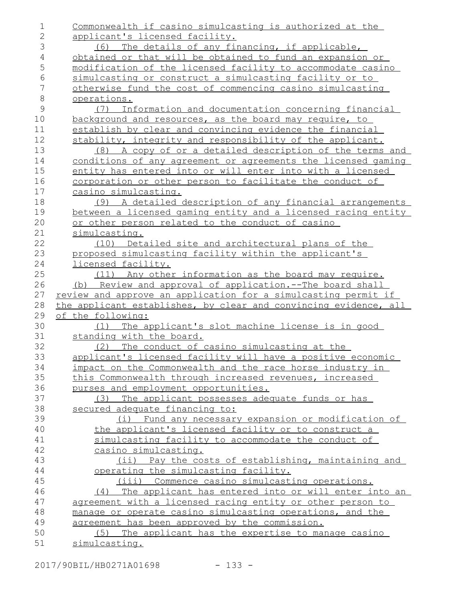| 1            | Commonwealth if casino simulcasting is authorized at the         |
|--------------|------------------------------------------------------------------|
| $\mathbf{2}$ | applicant's licensed facility.                                   |
| 3            | (6) The details of any financing, if applicable,                 |
| $\sqrt{4}$   | obtained or that will be obtained to fund an expansion or        |
| 5            | modification of the licensed facility to accommodate casino      |
| $\epsilon$   | simulcasting or construct a simulcasting facility or to          |
| 7            | otherwise fund the cost of commencing casino simulcasting        |
| $\,8\,$      | operations.                                                      |
| 9            | Information and documentation concerning financial<br>(7)        |
| 10           | background and resources, as the board may require, to           |
| 11           | establish by clear and convincing evidence the financial         |
| 12           | stability, integrity and responsibility of the applicant.        |
| 13           | A copy of or a detailed description of the terms and<br>(8)      |
| 14           | conditions of any agreement or agreements the licensed gaming    |
| 15           | entity has entered into or will enter into with a licensed       |
| 16           | corporation or other person to facilitate the conduct of         |
| 17           | casino simulcasting.                                             |
| 18           | (9) A detailed description of any financial arrangements         |
| 19           | between a licensed gaming entity and a licensed racing entity    |
| 20           | or other person related to the conduct of casino                 |
| 21           | simulcasting.                                                    |
| 22           | Detailed site and architectural plans of the<br>(10)             |
| 23           | proposed simulcasting facility within the applicant's            |
| 24           | licensed facility.                                               |
| 25           | (11) Any other information as the board may require.             |
| 26           | (b) Review and approval of application.--The board shall         |
| 27           | review and approve an application for a simulcasting permit if   |
| 28           | the applicant establishes, by clear and convincing evidence, all |
| 29           | of the following:                                                |
| 30           | (1) The applicant's slot machine license is in good              |
| 31           | standing with the board.                                         |
| 32           | (2) The conduct of casino simulcasting at the                    |
| 33           | applicant's licensed facility will have a positive economic      |
| 34           | impact on the Commonwealth and the race horse industry in        |
| 35           | this Commonwealth through increased revenues, increased          |
| 36           | purses and employment opportunities.                             |
| 37           | (3) The applicant possesses adequate funds or has                |
| 38           | secured adequate financing to:                                   |
| 39           | (i) Fund any necessary expansion or modification of              |
| 40           | the applicant's licensed facility or to construct a              |
| 41           | simulcasting facility to accommodate the conduct of              |
| 42           | casino simulcasting.                                             |
| 43           | (ii) Pay the costs of establishing, maintaining and              |
| 44           | operating the simulcasting facility.                             |
| 45           | (iii) Commence casino simulcasting operations.                   |
| 46           | The applicant has entered into or will enter into an<br>(4)      |
| 47           | agreement with a licensed racing entity or other person to       |
| 48           |                                                                  |
|              | manage or operate casino simulcasting operations, and the        |
| 49           | agreement has been approved by the commission.                   |
| 50           | (5) The applicant has the expertise to manage casino             |
| 51           | simulcasting.                                                    |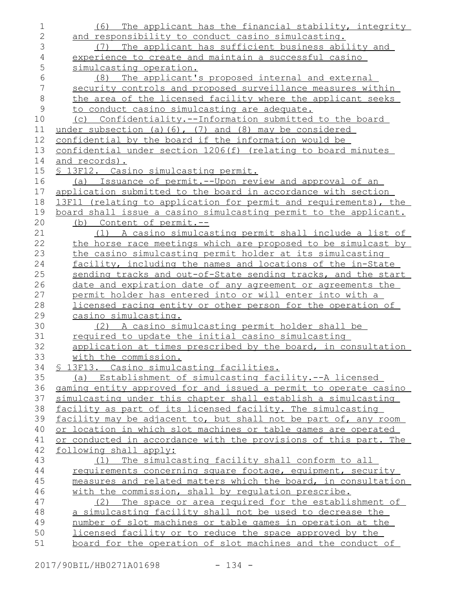| 1                | The applicant has the financial stability, integrity<br>(6)                                |
|------------------|--------------------------------------------------------------------------------------------|
| $\mathbf{2}$     | and responsibility to conduct casino simulcasting.                                         |
| 3                | The applicant has sufficient business ability and<br>(7)                                   |
| $\overline{4}$   | experience to create and maintain a successful casino                                      |
| 5                | simulcasting operation.                                                                    |
| 6                | The applicant's proposed internal and external<br>(8)                                      |
| $\boldsymbol{7}$ | security controls and proposed surveillance measures within                                |
| $\,8\,$          | the area of the licensed facility where the applicant seeks                                |
| $\mathcal{G}$    | to conduct casino simulcasting are adequate.                                               |
| 10               | (c) Confidentiality.--Information submitted to the board                                   |
| 11               | under subsection (a) $(6)$ , $(7)$ and $(8)$ may be considered                             |
| 12               | confidential by the board if the information would be                                      |
| 13               | confidential under section 1206(f) (relating to board minutes                              |
| 14               | and records).                                                                              |
| 15               | <u>S 13F12. Casino simulcasting permit.</u>                                                |
| 16               | (a) Issuance of permit.--Upon review and approval of an                                    |
| 17               | application submitted to the board in accordance with section                              |
| 18               | 13F11 (relating to application for permit and requirements), the                           |
| 19               | board shall issue a casino simulcasting permit to the applicant.                           |
| 20               | (b) Content of permit.--                                                                   |
| 21               | (1) A casino simulcasting permit shall include a list of                                   |
| 22               | the horse race meetings which are proposed to be simulcast by                              |
| 23               | the casino simulcasting permit holder at its simulcasting                                  |
| 24               | facility, including the names and locations of the in-State                                |
| 25               | sending tracks and out-of-State sending tracks, and the start                              |
| 26               | date and expiration date of any agreement or agreements the                                |
| 27               | permit holder has entered into or will enter into with a                                   |
| 28               | licensed racing entity or other person for the operation of                                |
| 29               | casino simulcasting.                                                                       |
| 30               | (2) A casino simulcasting permit holder shall be                                           |
| 31               | required to update the initial casino simulcasting                                         |
| 32               | application at times prescribed by the board, in consultation                              |
| 33               | with the commission.                                                                       |
| 34               | § 13F13. Casino simulcasting facilities.                                                   |
| 35               | (a) Establishment of simulcasting facility.--A licensed                                    |
| 36               | gaming entity approved for and issued a permit to operate casino                           |
| 37               | simulcasting under this chapter shall establish a simulcasting                             |
| 38               | facility as part of its licensed facility. The simulcasting                                |
| 39               | facility may be adjacent to, but shall not be part of, any room                            |
| 40               | or location in which slot machines or table games are operated                             |
| 41<br>42         | or conducted in accordance with the provisions of this part. The<br>following shall apply: |
| 43               | (1) The simulcasting facility shall conform to all                                         |
| 44               | requirements concerning square footage, equipment, security                                |
| 45               | measures and related matters which the board, in consultation                              |
| 46               | with the commission, shall by requlation prescribe.                                        |
| 47               | The space or area required for the establishment of<br>(2)                                 |
| 48               | a simulcasting facility shall not be used to decrease the                                  |
| 49               | number of slot machines or table games in operation at the                                 |
| 50               | licensed facility or to reduce the space approved by the                                   |
| 51               | board for the operation of slot machines and the conduct of                                |
|                  |                                                                                            |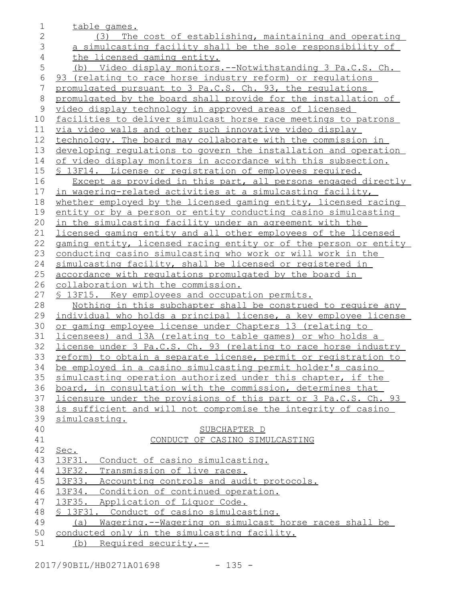| 1            | table games.                                                           |
|--------------|------------------------------------------------------------------------|
| $\mathbf{2}$ | The cost of establishing, maintaining and operating<br>(3)             |
| 3            | a simulcasting facility shall be the sole responsibility of            |
| 4            | the licensed gaming entity.                                            |
| 5            | (b) Video display monitors.--Notwithstanding 3 Pa.C.S. Ch.             |
| $\sqrt{6}$   | 93 (relating to race horse industry reform) or regulations             |
| 7            | promulgated pursuant to 3 Pa.C.S. Ch. 93, the regulations              |
| $8\,$        | promulgated by the board shall provide for the installation of         |
| 9            | video display technology in approved areas of licensed                 |
| 10           | facilities to deliver simulcast horse race meetings to patrons         |
| 11           | via video walls and other such innovative video display                |
| 12           | technology. The board may collaborate with the commission in           |
| 13           | developing requlations to govern the installation and operation        |
| 14           | of video display monitors in accordance with this subsection.          |
| 15           | <u>S 13F14. License or registration of employees required.</u>         |
| 16           | Except as provided in this part, all persons engaged directly          |
| 17           | in wagering-related activities at a simulcasting facility,             |
| 18           | whether employed by the licensed gaming entity, licensed racing        |
| 19           | entity or by a person or entity conducting casino simulcasting         |
| 20           | in the simulcasting facility under an agreement with the               |
| 21           | licensed gaming entity and all other employees of the licensed         |
| 22           | gaming entity, licensed racing entity or of the person or entity       |
| 23           | conducting casino simulcasting who work or will work in the            |
| 24           | simulcasting facility, shall be licensed or registered in              |
| 25           | accordance with regulations promulgated by the board in                |
| 26           | collaboration with the commission.                                     |
| 27           | <u>S 13F15. Key employees and occupation permits.</u>                  |
| 28           | Nothing in this subchapter shall be construed to require any           |
| 29           | individual who holds a principal license, a key employee license       |
| 30           | or gaming employee license under Chapters 13 (relating to              |
| 31           | licensees) and 13A (relating to table games) or who holds a            |
| 32           | license under 3 Pa.C.S. Ch. 93 (relating to race horse industry        |
| 33           | <u>reform) to obtain a separate license, permit or registration to</u> |
| 34           | be employed in a casino simulcasting permit holder's casino            |
| 35           | simulcasting operation authorized under this chapter, if the           |
| 36           | board, in consultation with the commission, determines that            |
| 37           | licensure under the provisions of this part or 3 Pa.C.S. Ch. 93        |
| 38           | is sufficient and will not compromise the integrity of casino          |
| 39           | simulcasting.                                                          |
| 40           | SUBCHAPTER D                                                           |
| 41           | CONDUCT OF CASINO SIMULCASTING                                         |
| 42           | Sec.                                                                   |
| 43           | 13F31. Conduct of casino simulcasting.                                 |
| 44           | 13F32. Transmission of live races.                                     |
| 45           | 13F33. Accounting controls and audit protocols.                        |
| 46           | 13F34. Condition of continued operation.                               |
| 47           | 13F35. Application of Liquor Code.                                     |
| 48           | § 13F31. Conduct of casino simulcasting.                               |
| 49           | Wagering.--Wagering on simulcast horse races shall be<br>(a)           |
| 50<br>51     | conducted only in the simulcasting facility.                           |
|              | (b) Required security.--                                               |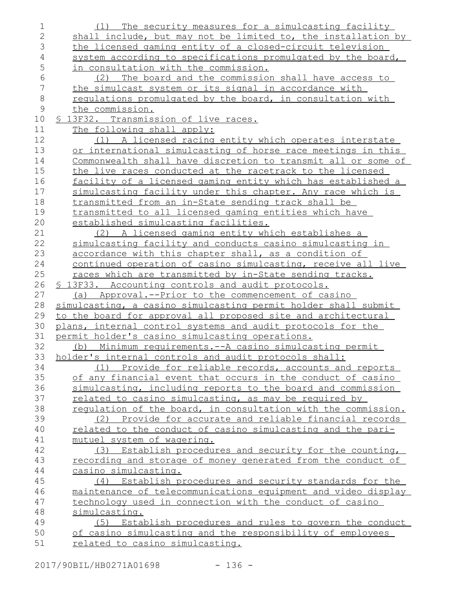| 1              | The security measures for a simulcasting facility<br>(1)                                                             |
|----------------|----------------------------------------------------------------------------------------------------------------------|
| $\overline{2}$ | shall include, but may not be limited to, the installation by                                                        |
| 3              | the licensed gaming entity of a closed-circuit television                                                            |
| $\overline{4}$ | system according to specifications promulgated by the board,                                                         |
| 5              | in consultation with the commission.                                                                                 |
| $\epsilon$     | The board and the commission shall have access to<br>(2)                                                             |
| 7              | the simulcast system or its signal in accordance with                                                                |
| $\,8\,$        | regulations promulgated by the board, in consultation with                                                           |
| $\mathsf 9$    | the commission.                                                                                                      |
| 10             | § 13F32. Transmission of live races.                                                                                 |
| 11             | The following shall apply:                                                                                           |
| 12             | (1) A licensed racing entity which operates interstate                                                               |
| 13             | or international simulcasting of horse race meetings in this                                                         |
| 14             | Commonwealth shall have discretion to transmit all or some of                                                        |
| 15             | the live races conducted at the racetrack to the licensed                                                            |
| 16             | facility of a licensed gaming entity which has established a                                                         |
| 17             | simulcasting facility under this chapter. Any race which is                                                          |
| 18             | transmitted from an in-State sending track shall be                                                                  |
| 19             | transmitted to all licensed gaming entities which have                                                               |
| 20             | established simulcasting facilities.                                                                                 |
| 21             | (2) A licensed gaming entity which establishes a                                                                     |
| 22             | simulcasting facility and conducts casino simulcasting in                                                            |
| 23             | accordance with this chapter shall, as a condition of                                                                |
| 24             | continued operation of casino simulcasting, receive all live                                                         |
| 25             | races which are transmitted by in-State sending tracks.                                                              |
| 26             | § 13F33. Accounting controls and audit protocols.                                                                    |
| 27             | (a) Approval.--Prior to the commencement of casino                                                                   |
| 28             | simulcasting, a casino simulcasting permit holder shall submit                                                       |
| 29             | to the board for approval all proposed site and architectural                                                        |
| 30             | plans, internal control systems and audit protocols for the                                                          |
| 31             | permit holder's casino simulcasting operations.                                                                      |
| 32             | (b) Minimum requirements.--A casino simulcasting permit                                                              |
| 33             | holder's internal controls and audit protocols shall:                                                                |
| 34             | (1) Provide for reliable records, accounts and reports                                                               |
| 35             | of any financial event that occurs in the conduct of casino                                                          |
| 36<br>37       | simulcasting, including reports to the board and commission<br>related to casino simulcasting, as may be required by |
| 38             | regulation of the board, in consultation with the commission.                                                        |
| 39             | (2) Provide for accurate and reliable financial records                                                              |
| 40             | related to the conduct of casino simulcasting and the pari-                                                          |
| 41             | mutuel system of wagering.                                                                                           |
| 42             | (3) Establish procedures and security for the counting,                                                              |
| 43             | recording and storage of money generated from the conduct of                                                         |
| 44             | casino simulcasting.                                                                                                 |
| 45             | (4) Establish procedures and security standards for the                                                              |
| 46             | maintenance of telecommunications equipment and video display                                                        |
| 47             | technology used in connection with the conduct of casino                                                             |
| 48             | simulcasting.                                                                                                        |
| 49             | Establish procedures and rules to govern the conduct<br>(5)                                                          |
| 50             | of casino simulcasting and the responsibility of employees                                                           |
| 51             | related to casino simulcasting.                                                                                      |
|                |                                                                                                                      |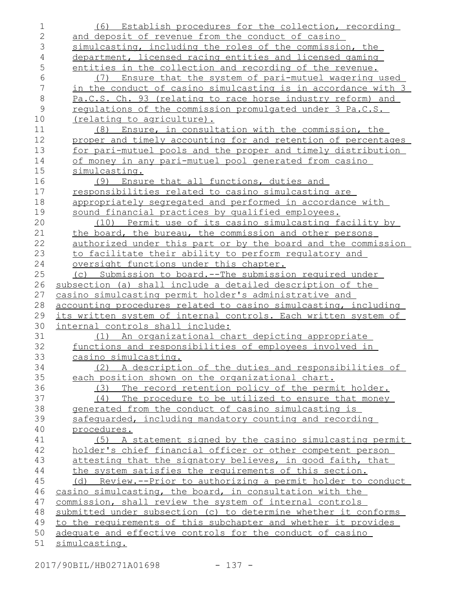| $\mathbf 1$    | (6) Establish procedures for the collection, recording          |
|----------------|-----------------------------------------------------------------|
| $\mathbf{2}$   | and deposit of revenue from the conduct of casino               |
| $\mathfrak S$  | simulcasting, including the roles of the commission, the        |
| $\overline{4}$ | department, licensed racing entities and licensed gaming        |
| 5              | entities in the collection and recording of the revenue.        |
| 6              | (7) Ensure that the system of pari-mutuel wagering used         |
| $\overline{7}$ | in the conduct of casino simulcasting is in accordance with 3   |
| $\,8\,$        | Pa.C.S. Ch. 93 (relating to race horse industry reform) and     |
| $\mathcal{G}$  | requiations of the commission promulgated under 3 Pa.C.S.       |
| 10             | (relating to agriculture).                                      |
| 11             | (8) Ensure, in consultation with the commission, the            |
| 12             | proper and timely accounting for and retention of percentages   |
| 13             | for pari-mutuel pools and the proper and timely distribution    |
| 14             | of money in any pari-mutuel pool generated from casino          |
| 15             | simulcasting.                                                   |
| 16             | Ensure that all functions, duties and<br>(9)                    |
| 17             | responsibilities related to casino simulcasting are             |
| 18             | appropriately segregated and performed in accordance with       |
| 19             | sound financial practices by qualified employees.               |
| 20             | (10) Permit use of its casino simulcasting facility by          |
| 21             | the board, the bureau, the commission and other persons         |
| 22             | authorized under this part or by the board and the commission   |
| 23             | to facilitate their ability to perform requlatory and           |
| 24             | oversight functions under this chapter.                         |
| 25             | (c) Submission to board.--The submission required under         |
| 26             | subsection (a) shall include a detailed description of the      |
| 27             | casino simulcasting permit holder's administrative and          |
| 28             | accounting procedures related to casino simulcasting, including |
| 29             | its written system of internal controls. Each written system of |
| 30             | internal controls shall include:                                |
| 31             | (1) An organizational chart depicting appropriate               |
| 32             | functions and responsibilities of employees involved in         |
| 33             | casino simulcasting.                                            |
| 34             | (2) A description of the duties and responsibilities of         |
| 35             | each position shown on the organizational chart.                |
| 36             | The record retention policy of the permit holder.<br>(3)        |
| 37             | The procedure to be utilized to ensure that money<br>(4)        |
| 38             | generated from the conduct of casino simulcasting is            |
| 39             | safequarded, including mandatory counting and recording         |
| 40             | procedures.                                                     |
| 41             | (5) A statement signed by the casino simulcasting permit        |
| 42             | holder's chief financial officer or other competent person      |
| 43             | attesting that the signatory believes, in good faith, that      |
| 44             | the system satisfies the requirements of this section.          |
| 45             | (d) Review.--Prior to authorizing a permit holder to conduct    |
| 46             | casino simulcasting, the board, in consultation with the        |
| 47             | commission, shall review the system of internal controls        |
| 48             | submitted under subsection (c) to determine whether it conforms |
| 49             | to the requirements of this subchapter and whether it provides  |
| 50             | adequate and effective controls for the conduct of casino       |
| 51             | simulcasting.                                                   |

2017/90BIL/HB0271A01698 - 137 -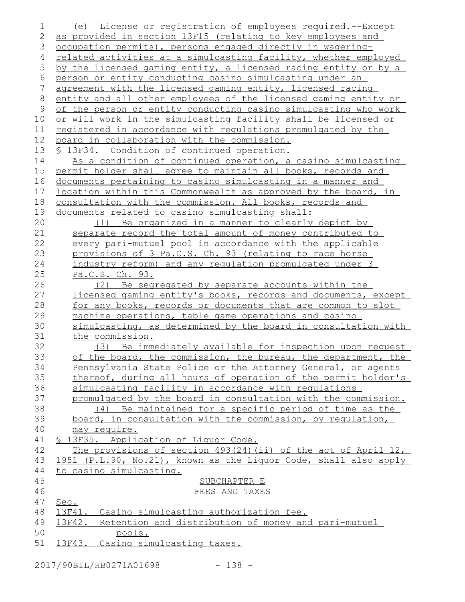| 1            | License or registration of employees required.--Except<br>(e)                                                       |
|--------------|---------------------------------------------------------------------------------------------------------------------|
| $\mathbf{2}$ | as provided in section 13F15 (relating to key employees and                                                         |
| 3            | occupation permits), persons engaged directly in wagering-                                                          |
| 4            | related activities at a simulcasting facility, whether employed                                                     |
| 5            | by the licensed gaming entity, a licensed racing entity or by a                                                     |
| 6            | person or entity conducting casino simulcasting under an                                                            |
| 7            | agreement with the licensed gaming entity, licensed racing                                                          |
| 8            | entity and all other employees of the licensed gaming entity or                                                     |
| 9            | of the person or entity conducting casino simulcasting who work                                                     |
| 10           | or will work in the simulcasting facility shall be licensed or                                                      |
| 11           | registered in accordance with regulations promulgated by the                                                        |
| 12           | board in collaboration with the commission.                                                                         |
| 13           | <u>S 13F34. Condition of continued operation.</u>                                                                   |
| 14           | As a condition of continued operation, a casino simulcasting                                                        |
| 15           | permit holder shall agree to maintain all books, records and                                                        |
| 16           | documents pertaining to casino simulcasting in a manner and                                                         |
| 17           | <u>location within this Commonwealth as approved by the board, in</u>                                               |
| 18           | consultation with the commission. All books, records and                                                            |
| 19           | documents related to casino simulcasting shall:                                                                     |
| 20           | (1) Be organized in a manner to clearly depict by                                                                   |
| 21           | separate record the total amount of money contributed to                                                            |
| 22           | every pari-mutuel pool in accordance with the applicable                                                            |
| 23           | provisions of 3 Pa.C.S. Ch. 93 (relating to race horse                                                              |
| 24           | industry reform) and any regulation promulgated under 3                                                             |
| 25           | Pa.C.S. Ch. 93.                                                                                                     |
| 26           | (2) Be segregated by separate accounts within the                                                                   |
| 27           | licensed gaming entity's books, records and documents, except                                                       |
| 28<br>29     | for any books, records or documents that are common to slot<br>machine operations, table game operations and casino |
| 30           | simulcasting, as determined by the board in consultation with                                                       |
| 31           | the commission.                                                                                                     |
| 32           | (3) Be immediately available for inspection upon request                                                            |
| 33           | of the board, the commission, the bureau, the department, the                                                       |
| 34           | Pennsylvania State Police or the Attorney General, or agents                                                        |
| 35           | thereof, during all hours of operation of the permit holder's                                                       |
| 36           | simulcasting facility in accordance with requlations                                                                |
| 37           | promulgated by the board in consultation with the commission.                                                       |
| 38           | (4) Be maintained for a specific period of time as the                                                              |
| 39           | board, in consultation with the commission, by regulation,                                                          |
| 40           | may require.                                                                                                        |
| 41           | § 13F35. Application of Liquor Code.                                                                                |
| 42           | The provisions of section $493(24)$ (ii) of the act of April 12,                                                    |
| 43           | 1951 (P.L.90, No.21), known as the Liquor Code, shall also apply                                                    |
| 44           | to casino simulcasting.                                                                                             |
| 45           | SUBCHAPTER E                                                                                                        |
| 46           | FEES AND TAXES                                                                                                      |
| 47           | Sec.                                                                                                                |
| 48           | 13F41. Casino simulcasting authorization fee.                                                                       |
| 49           | 13F42. Retention and distribution of money and pari-mutuel                                                          |
| 50           | pools.                                                                                                              |
| 51           | 13F43. Casino simulcasting taxes.                                                                                   |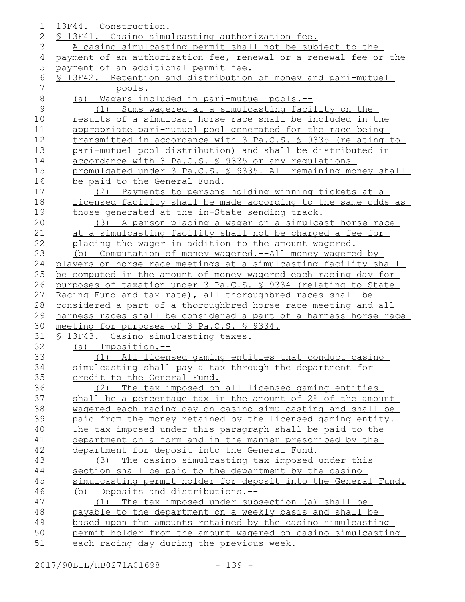| 1              | 13F44. Construction.                                             |
|----------------|------------------------------------------------------------------|
| 2              | § 13F41. Casino simulcasting authorization fee.                  |
| 3              | A casino simulcasting permit shall not be subject to the         |
| 4              | payment of an authorization fee, renewal or a renewal fee or the |
| 5              | payment of an additional permit fee.                             |
| 6              | § 13F42. Retention and distribution of money and pari-mutuel     |
| $\overline{7}$ | pools.                                                           |
| 8              | (a) Wagers included in pari-mutuel pools.--                      |
| $\mathcal{G}$  | (1) Sums wagered at a simulcasting facility on the               |
| 10             | results of a simulcast horse race shall be included in the       |
| 11             | appropriate pari-mutuel pool generated for the race being        |
| 12             | transmitted in accordance with 3 Pa.C.S. § 9335 (relating to     |
| 13             | pari-mutuel pool distribution) and shall be distributed in       |
| 14             | accordance with 3 Pa.C.S. § 9335 or any requlations              |
| 15             | promulgated under 3 Pa.C.S. § 9335. All remaining money shall    |
| 16             | be paid to the General Fund.                                     |
| 17             | (2) Payments to persons holding winning tickets at a             |
| 18             | licensed facility shall be made according to the same odds as    |
| 19             | those generated at the in-State sending track.                   |
| 20             | (3) A person placing a wager on a simulcast horse race           |
| 21             | at a simulcasting facility shall not be charged a fee for        |
| 22             | placing the wager in addition to the amount wagered.             |
| 23             | (b) Computation of money wagered.--All money wagered by          |
| 24             | players on horse race meetings at a simulcasting facility shall  |
| 25             | be computed in the amount of money wagered each racing day for   |
| 26             | purposes of taxation under 3 Pa.C.S. § 9334 (relating to State   |
| 27             | Racing Fund and tax rate), all thoroughbred races shall be       |
| 28             | considered a part of a thoroughbred horse race meeting and all   |
| 29             | harness races shall be considered a part of a harness horse race |
| 30             | meeting for purposes of 3 Pa.C.S. § 9334.                        |
| 31             | § 13F43. Casino simulcasting taxes.                              |
| 32             | (a) Imposition.--                                                |
| 33             | (1) All licensed gaming entities that conduct casino             |
| 34             | simulcasting shall pay a tax through the department for          |
| 35             | credit to the General Fund.                                      |
| 36             | (2) The tax imposed on all licensed gaming entities              |
| 37             | shall be a percentage tax in the amount of 2% of the amount      |
| 38             | wagered each racing day on casino simulcasting and shall be      |
| 39             | paid from the money retained by the licensed gaming entity.      |
| 40             | The tax imposed under this paragraph shall be paid to the        |
| 41             | department on a form and in the manner prescribed by the         |
| 42             | department for deposit into the General Fund.                    |
| 43             | (3) The casino simulcasting tax imposed under this               |
| 44             | section shall be paid to the department by the casino            |
| 45             | simulcasting permit holder for deposit into the General Fund.    |
| 46             | (b) Deposits and distributions.--                                |
| 47             | (1) The tax imposed under subsection (a) shall be                |
| 48             | payable to the department on a weekly basis and shall be         |
| 49             | based upon the amounts retained by the casino simulcasting       |
| 50             | permit holder from the amount wagered on casino simulcasting     |
| 51             | each racing day during the previous week.                        |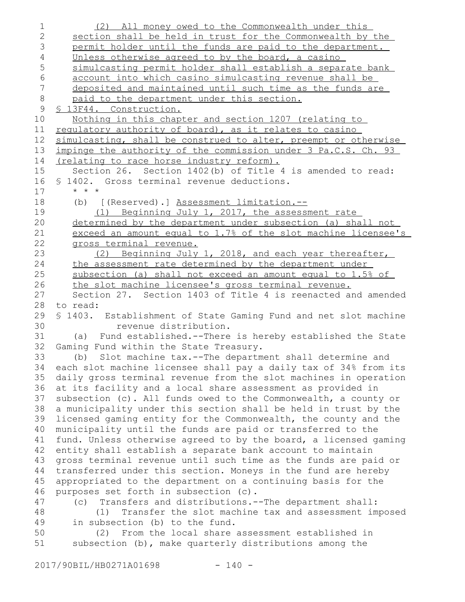| $\mathbf 1$    | (2) All money owed to the Commonwealth under this                                                                             |
|----------------|-------------------------------------------------------------------------------------------------------------------------------|
| $\mathbf{2}$   | section shall be held in trust for the Commonwealth by the                                                                    |
| 3              | permit holder until the funds are paid to the department.                                                                     |
| $\overline{4}$ | Unless otherwise agreed to by the board, a casino                                                                             |
| 5              | simulcasting permit holder shall establish a separate bank                                                                    |
| 6              | account into which casino simulcasting revenue shall be                                                                       |
| $\overline{7}$ | deposited and maintained until such time as the funds are                                                                     |
| $\,8\,$        | paid to the department under this section.                                                                                    |
| $\mathsf 9$    | <u>S 13F44. Construction.</u>                                                                                                 |
| 10             | Nothing in this chapter and section 1207 (relating to                                                                         |
| 11             | regulatory authority of board), as it relates to casino                                                                       |
| 12             | simulcasting, shall be construed to alter, preempt or otherwise                                                               |
| 13             | impinge the authority of the commission under 3 Pa.C.S. Ch. 93                                                                |
| 14             | (relating to race horse industry reform).                                                                                     |
| 15             | Section 26. Section 1402(b) of Title 4 is amended to read:                                                                    |
| 16             | § 1402. Gross terminal revenue deductions.                                                                                    |
| 17             | $\star$ $\star$ $\star$                                                                                                       |
| 18             | (b) [(Reserved).] Assessment limitation.--                                                                                    |
| 19             | (1) Beginning July 1, 2017, the assessment rate                                                                               |
| 20             | determined by the department under subsection (a) shall not                                                                   |
| 21             | exceed an amount equal to 1.7% of the slot machine licensee's                                                                 |
| 22             | gross terminal revenue.                                                                                                       |
| 23             | (2) Beginning July 1, 2018, and each year thereafter,                                                                         |
| 24             | the assessment rate determined by the department under                                                                        |
| 25             | subsection (a) shall not exceed an amount equal to 1.5% of                                                                    |
| 26             | the slot machine licensee's gross terminal revenue.                                                                           |
| 27             | Section 27. Section 1403 of Title 4 is reenacted and amended                                                                  |
| 28             | to read:                                                                                                                      |
| 29             | § 1403. Establishment of State Gaming Fund and net slot machine                                                               |
| 30             | revenue distribution.                                                                                                         |
| 31             | (a) Fund established. -- There is hereby established the State                                                                |
| 32             | Gaming Fund within the State Treasury.                                                                                        |
| 33             | (b) Slot machine tax. -- The department shall determine and                                                                   |
| 34             | each slot machine licensee shall pay a daily tax of 34% from its                                                              |
| 35             | daily gross terminal revenue from the slot machines in operation                                                              |
| 36             | at its facility and a local share assessment as provided in                                                                   |
| 37             | subsection (c). All funds owed to the Commonwealth, a county or                                                               |
| 38             | a municipality under this section shall be held in trust by the                                                               |
| 39             | licensed gaming entity for the Commonwealth, the county and the                                                               |
| 40<br>41       | municipality until the funds are paid or transferred to the                                                                   |
| 42             | fund. Unless otherwise agreed to by the board, a licensed gaming                                                              |
| 43             | entity shall establish a separate bank account to maintain                                                                    |
| 44             | gross terminal revenue until such time as the funds are paid or                                                               |
| 45             | transferred under this section. Moneys in the fund are hereby<br>appropriated to the department on a continuing basis for the |
| 46             |                                                                                                                               |
| 47             | purposes set forth in subsection (c).<br>Transfers and distributions. -- The department shall:<br>(C)                         |
| 48             | Transfer the slot machine tax and assessment imposed<br>(1)                                                                   |
| 49             | in subsection (b) to the fund.                                                                                                |
| 50             | (2) From the local share assessment established in                                                                            |
| 51             | subsection (b), make quarterly distributions among the                                                                        |
|                |                                                                                                                               |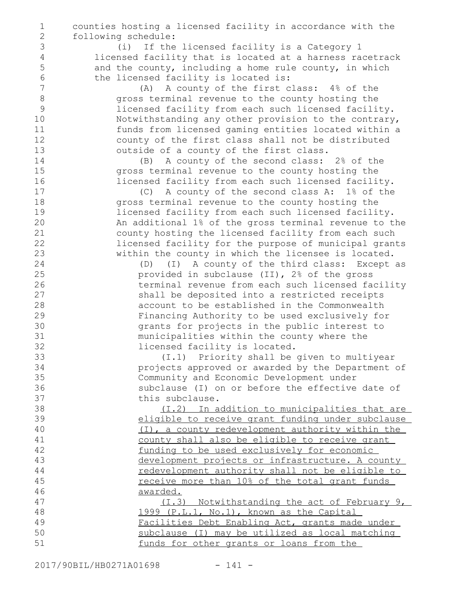counties hosting a licensed facility in accordance with the following schedule: (i) If the licensed facility is a Category 1 licensed facility that is located at a harness racetrack and the county, including a home rule county, in which the licensed facility is located is: (A) A county of the first class: 4% of the gross terminal revenue to the county hosting the licensed facility from each such licensed facility. Notwithstanding any other provision to the contrary, funds from licensed gaming entities located within a county of the first class shall not be distributed outside of a county of the first class. (B) A county of the second class: 2% of the gross terminal revenue to the county hosting the licensed facility from each such licensed facility. (C) A county of the second class A: 1% of the gross terminal revenue to the county hosting the licensed facility from each such licensed facility. An additional 1% of the gross terminal revenue to the county hosting the licensed facility from each such licensed facility for the purpose of municipal grants within the county in which the licensee is located. (D) (I) A county of the third class: Except as provided in subclause (II), 2% of the gross terminal revenue from each such licensed facility shall be deposited into a restricted receipts account to be established in the Commonwealth Financing Authority to be used exclusively for grants for projects in the public interest to municipalities within the county where the licensed facility is located. (I.1) Priority shall be given to multiyear projects approved or awarded by the Department of Community and Economic Development under subclause (I) on or before the effective date of this subclause. (I.2) In addition to municipalities that are eligible to receive grant funding under subclause (I), a county redevelopment authority within the county shall also be eligible to receive grant funding to be used exclusively for economic development projects or infrastructure. A county redevelopment authority shall not be eligible to receive more than 10% of the total grant funds awarded. (I.3) Notwithstanding the act of February 9, 1999 (P.L.1, No.1), known as the Capital Facilities Debt Enabling Act, grants made under subclause (I) may be utilized as local matching funds for other grants or loans from the 1 2 3 4 5 6 7 8 9 10 11 12 13 14 15 16 17 18 19 20 21 22 23 24 25 26 27 28 29 30 31 32 33 34 35 36 37 38 39 40 41 42 43 44 45 46 47 48 49 50 51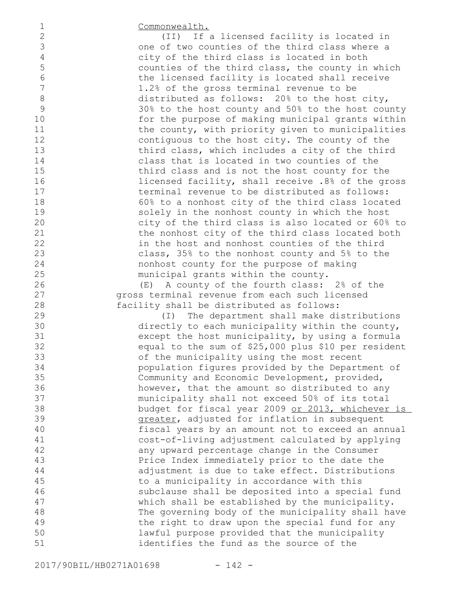Commonwealth.

(II) If a licensed facility is located in one of two counties of the third class where a city of the third class is located in both counties of the third class, the county in which the licensed facility is located shall receive 1.2% of the gross terminal revenue to be distributed as follows: 20% to the host city, 30% to the host county and 50% to the host county for the purpose of making municipal grants within the county, with priority given to municipalities contiguous to the host city. The county of the third class, which includes a city of the third class that is located in two counties of the third class and is not the host county for the licensed facility, shall receive .8% of the gross terminal revenue to be distributed as follows: 60% to a nonhost city of the third class located solely in the nonhost county in which the host city of the third class is also located or 60% to the nonhost city of the third class located both in the host and nonhost counties of the third class, 35% to the nonhost county and 5% to the nonhost county for the purpose of making municipal grants within the county.

(E) A county of the fourth class: 2% of the gross terminal revenue from each such licensed facility shall be distributed as follows:

(I) The department shall make distributions directly to each municipality within the county, except the host municipality, by using a formula equal to the sum of \$25,000 plus \$10 per resident of the municipality using the most recent population figures provided by the Department of Community and Economic Development, provided, however, that the amount so distributed to any municipality shall not exceed 50% of its total budget for fiscal year 2009 or 2013, whichever is greater, adjusted for inflation in subsequent fiscal years by an amount not to exceed an annual cost-of-living adjustment calculated by applying any upward percentage change in the Consumer Price Index immediately prior to the date the adjustment is due to take effect. Distributions to a municipality in accordance with this subclause shall be deposited into a special fund which shall be established by the municipality. The governing body of the municipality shall have the right to draw upon the special fund for any lawful purpose provided that the municipality identifies the fund as the source of the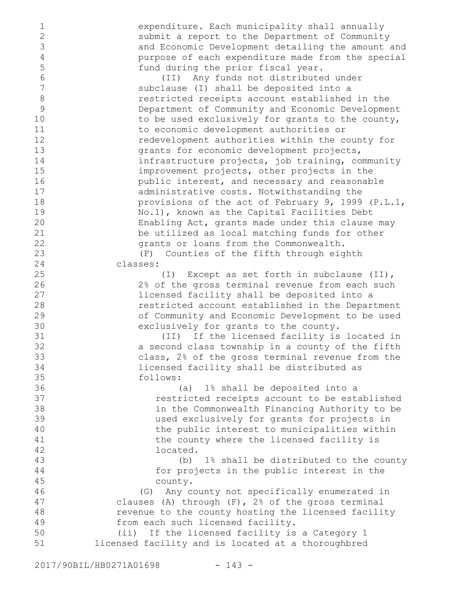expenditure. Each municipality shall annually submit a report to the Department of Community and Economic Development detailing the amount and purpose of each expenditure made from the special fund during the prior fiscal year.

(II) Any funds not distributed under subclause (I) shall be deposited into a restricted receipts account established in the Department of Community and Economic Development to be used exclusively for grants to the county, to economic development authorities or redevelopment authorities within the county for grants for economic development projects, infrastructure projects, job training, community improvement projects, other projects in the public interest, and necessary and reasonable administrative costs. Notwithstanding the provisions of the act of February 9, 1999 (P.L.1, No.1), known as the Capital Facilities Debt Enabling Act, grants made under this clause may be utilized as local matching funds for other grants or loans from the Commonwealth.

(F) Counties of the fifth through eighth classes:

(I) Except as set forth in subclause (II), 2% of the gross terminal revenue from each such licensed facility shall be deposited into a restricted account established in the Department of Community and Economic Development to be used exclusively for grants to the county.

(II) If the licensed facility is located in a second class township in a county of the fifth class, 2% of the gross terminal revenue from the licensed facility shall be distributed as follows:

(a) 1% shall be deposited into a restricted receipts account to be established in the Commonwealth Financing Authority to be used exclusively for grants for projects in the public interest to municipalities within the county where the licensed facility is located.

(b) 1% shall be distributed to the county for projects in the public interest in the county.

(G) Any county not specifically enumerated in clauses (A) through (F), 2% of the gross terminal revenue to the county hosting the licensed facility from each such licensed facility. 46 47 48 49

(ii) If the licensed facility is a Category 1 licensed facility and is located at a thoroughbred 50 51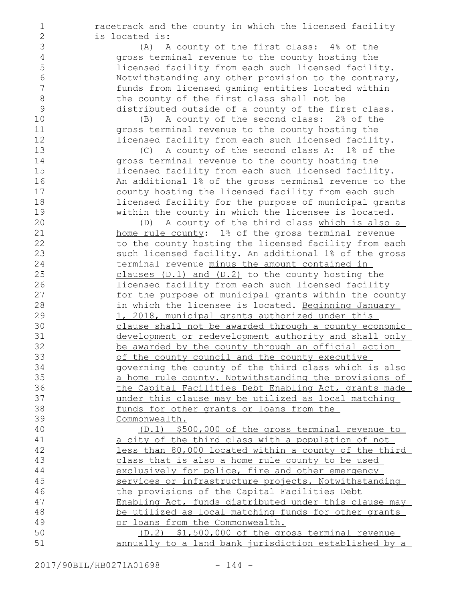racetrack and the county in which the licensed facility is located is:

> (A) A county of the first class: 4% of the gross terminal revenue to the county hosting the licensed facility from each such licensed facility. Notwithstanding any other provision to the contrary, funds from licensed gaming entities located within the county of the first class shall not be distributed outside of a county of the first class.

(B) A county of the second class: 2% of the gross terminal revenue to the county hosting the licensed facility from each such licensed facility.

(C) A county of the second class A: 1% of the gross terminal revenue to the county hosting the licensed facility from each such licensed facility. An additional 1% of the gross terminal revenue to the county hosting the licensed facility from each such licensed facility for the purpose of municipal grants within the county in which the licensee is located.

(D) A county of the third class which is also a home rule county: 1% of the gross terminal revenue to the county hosting the licensed facility from each such licensed facility. An additional 1% of the gross terminal revenue minus the amount contained in clauses (D.1) and (D.2) to the county hosting the licensed facility from each such licensed facility for the purpose of municipal grants within the county in which the licensee is located. Beginning January 1, 2018, municipal grants authorized under this clause shall not be awarded through a county economic development or redevelopment authority and shall only be awarded by the county through an official action of the county council and the county executive governing the county of the third class which is also a home rule county. Notwithstanding the provisions of the Capital Facilities Debt Enabling Act, grants made under this clause may be utilized as local matching funds for other grants or loans from the Commonwealth.

(D.1) \$500,000 of the gross terminal revenue to a city of the third class with a population of not less than 80,000 located within a county of the third class that is also a home rule county to be used exclusively for police, fire and other emergency services or infrastructure projects. Notwithstanding the provisions of the Capital Facilities Debt Enabling Act, funds distributed under this clause may be utilized as local matching funds for other grants or loans from the Commonwealth. (D.2) \$1,500,000 of the gross terminal revenue

annually to a land bank jurisdiction established by a 50 51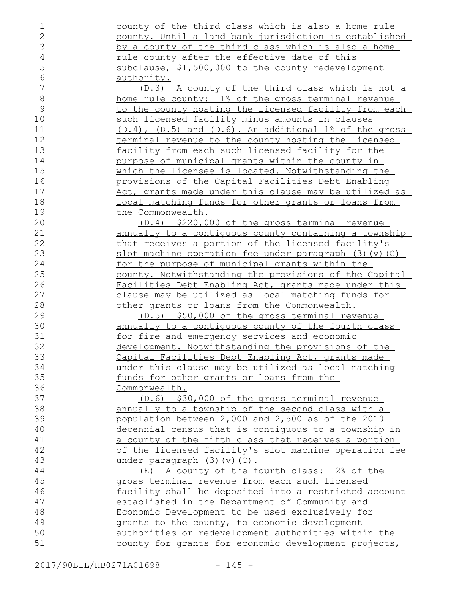county of the third class which is also a home rule county. Until a land bank jurisdiction is established by a county of the third class which is also a home rule county after the effective date of this subclause, \$1,500,000 to the county redevelopment authority. (D.3) A county of the third class which is not a home rule county: 1% of the gross terminal revenue to the county hosting the licensed facility from each such licensed facility minus amounts in clauses (D.4), (D.5) and (D.6). An additional 1% of the gross terminal revenue to the county hosting the licensed facility from each such licensed facility for the purpose of municipal grants within the county in which the licensee is located. Notwithstanding the provisions of the Capital Facilities Debt Enabling Act, grants made under this clause may be utilized as local matching funds for other grants or loans from the Commonwealth. (D.4) \$220,000 of the gross terminal revenue annually to a contiguous county containing a township that receives a portion of the licensed facility's slot machine operation fee under paragraph  $(3)(v)(C)$ for the purpose of municipal grants within the county. Notwithstanding the provisions of the Capital Facilities Debt Enabling Act, grants made under this clause may be utilized as local matching funds for other grants or loans from the Commonwealth. (D.5) \$50,000 of the gross terminal revenue annually to a contiguous county of the fourth class for fire and emergency services and economic development. Notwithstanding the provisions of the Capital Facilities Debt Enabling Act, grants made under this clause may be utilized as local matching funds for other grants or loans from the Commonwealth. (D.6) \$30,000 of the gross terminal revenue annually to a township of the second class with a population between 2,000 and 2,500 as of the 2010 decennial census that is contiguous to a township in a county of the fifth class that receives a portion of the licensed facility's slot machine operation fee under paragraph (3)(v)(C). (E) A county of the fourth class: 2% of the gross terminal revenue from each such licensed facility shall be deposited into a restricted account established in the Department of Community and Economic Development to be used exclusively for grants to the county, to economic development authorities or redevelopment authorities within the county for grants for economic development projects, 1 2 3 4 5 6 7 8 9 10 11 12 13 14 15 16 17 18 19 20 21 22 23 24 25 26 27 28 29 30 31 32 33 34 35 36 37 38 39 40 41 42 43 44 45 46 47 48 49 50 51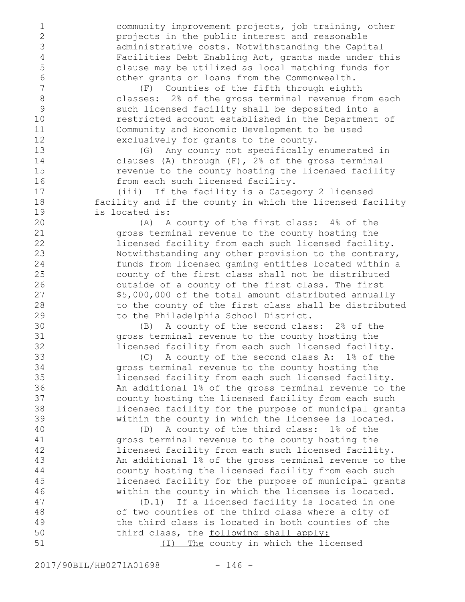community improvement projects, job training, other projects in the public interest and reasonable administrative costs. Notwithstanding the Capital Facilities Debt Enabling Act, grants made under this clause may be utilized as local matching funds for other grants or loans from the Commonwealth.

(F) Counties of the fifth through eighth classes: 2% of the gross terminal revenue from each such licensed facility shall be deposited into a restricted account established in the Department of Community and Economic Development to be used exclusively for grants to the county.

(G) Any county not specifically enumerated in clauses (A) through (F), 2% of the gross terminal revenue to the county hosting the licensed facility from each such licensed facility.

(iii) If the facility is a Category 2 licensed facility and if the county in which the licensed facility is located is:

(A) A county of the first class: 4% of the gross terminal revenue to the county hosting the licensed facility from each such licensed facility. Notwithstanding any other provision to the contrary, funds from licensed gaming entities located within a county of the first class shall not be distributed outside of a county of the first class. The first \$5,000,000 of the total amount distributed annually to the county of the first class shall be distributed to the Philadelphia School District.

(B) A county of the second class: 2% of the gross terminal revenue to the county hosting the licensed facility from each such licensed facility.

(C) A county of the second class A: 1% of the gross terminal revenue to the county hosting the licensed facility from each such licensed facility. An additional 1% of the gross terminal revenue to the county hosting the licensed facility from each such licensed facility for the purpose of municipal grants within the county in which the licensee is located.

(D) A county of the third class: 1% of the gross terminal revenue to the county hosting the licensed facility from each such licensed facility. An additional 1% of the gross terminal revenue to the county hosting the licensed facility from each such licensed facility for the purpose of municipal grants within the county in which the licensee is located.

(D.1) If a licensed facility is located in one of two counties of the third class where a city of the third class is located in both counties of the third class, the following shall apply: (I) The county in which the licensed 47 48 49 50 51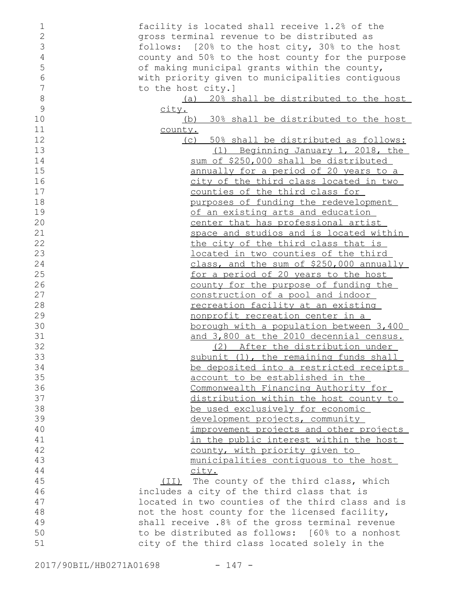| 1              | facility is located shall receive 1.2% of the     |
|----------------|---------------------------------------------------|
| $\overline{2}$ | gross terminal revenue to be distributed as       |
| 3              | follows: [20% to the host city, 30% to the host   |
| 4              | county and 50% to the host county for the purpose |
| 5              | of making municipal grants within the county,     |
| $\epsilon$     | with priority given to municipalities contiguous  |
| 7              | to the host city.]                                |
| 8              | (a) 20% shall be distributed to the host          |
| 9              |                                                   |
|                | <u>city.</u>                                      |
| 10             | (b) 30% shall be distributed to the host          |
| 11             | <u>county.</u>                                    |
| 12             | (c) 50% shall be distributed as follows:          |
| 13             | (1) Beginning January 1, 2018, the                |
| 14             | sum of \$250,000 shall be distributed             |
| 15             | annually for a period of 20 years to a            |
| 16             | city of the third class located in two            |
| 17             | counties of the third class for                   |
| 18             | purposes of funding the redevelopment             |
| 19             | of an existing arts and education                 |
| 20             | center that has professional artist               |
| 21             |                                                   |
|                | space and studios and is located within           |
| 22             | the city of the third class that is               |
| 23             | located in two counties of the third              |
| 24             | class, and the sum of \$250,000 annually          |
| 25             | for a period of 20 years to the host              |
| 26             | county for the purpose of funding the             |
| 27             | construction of a pool and indoor                 |
| 28             | recreation facility at an existing                |
| 29             | nonprofit recreation center in a                  |
| 30             | <u>borough with a population between 3,400</u>    |
| 31             | and 3,800 at the 2010 decennial census.           |
| 32             | (2) After the distribution under                  |
| 33             | subunit (1), the remaining funds shall            |
| 34             |                                                   |
|                | be deposited into a restricted receipts           |
| 35             | account to be established in the                  |
| 36             | Commonwealth Financing Authority for              |
| 37             | <u>distribution within the host county to</u>     |
| 38             | be used exclusively for economic                  |
| 39             | development projects, community                   |
| 40             | improvement projects and other projects           |
| 41             | in the public interest within the host            |
| 42             | county, with priority given to                    |
| 43             | municipalities contiguous to the host             |
| 44             | city.                                             |
| 45             | (II) The county of the third class, which         |
| 46             | includes a city of the third class that is        |
| 47             | located in two counties of the third class and is |
|                |                                                   |
| 48             | not the host county for the licensed facility,    |
| 49             | shall receive .8% of the gross terminal revenue   |
| 50             | to be distributed as follows: [60% to a nonhost   |
| 51             | city of the third class located solely in the     |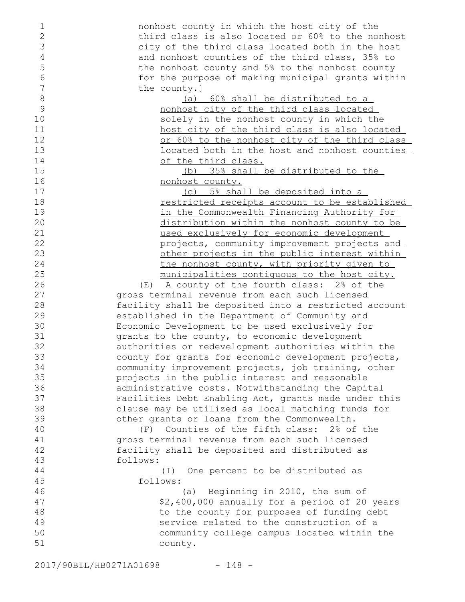nonhost county in which the host city of the third class is also located or 60% to the nonhost city of the third class located both in the host and nonhost counties of the third class, 35% to the nonhost county and 5% to the nonhost county for the purpose of making municipal grants within the county.] (a) 60% shall be distributed to a nonhost city of the third class located solely in the nonhost county in which the host city of the third class is also located or 60% to the nonhost city of the third class located both in the host and nonhost counties of the third class. (b) 35% shall be distributed to the nonhost county. (c) 5% shall be deposited into a restricted receipts account to be established in the Commonwealth Financing Authority for distribution within the nonhost county to be used exclusively for economic development projects, community improvement projects and other projects in the public interest within the nonhost county, with priority given to municipalities contiguous to the host city. (E) A county of the fourth class: 2% of the gross terminal revenue from each such licensed facility shall be deposited into a restricted account established in the Department of Community and Economic Development to be used exclusively for grants to the county, to economic development authorities or redevelopment authorities within the county for grants for economic development projects, community improvement projects, job training, other projects in the public interest and reasonable administrative costs. Notwithstanding the Capital Facilities Debt Enabling Act, grants made under this clause may be utilized as local matching funds for other grants or loans from the Commonwealth. (F) Counties of the fifth class: 2% of the gross terminal revenue from each such licensed facility shall be deposited and distributed as follows: (I) One percent to be distributed as follows: (a) Beginning in 2010, the sum of \$2,400,000 annually for a period of 20 years to the county for purposes of funding debt service related to the construction of a community college campus located within the county. 1 2 3 4 5 6 7 8 9 10 11 12 13 14 15 16 17 18 19 20 21 22 23 24 25 26 27 28 29 30 31 32 33 34 35 36 37 38 39 40 41 42 43 44 45 46 47 48 49 50 51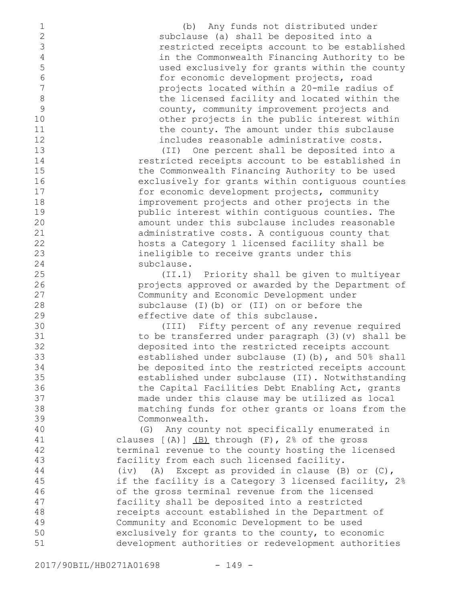(b) Any funds not distributed under subclause (a) shall be deposited into a restricted receipts account to be established in the Commonwealth Financing Authority to be used exclusively for grants within the county for economic development projects, road projects located within a 20-mile radius of the licensed facility and located within the county, community improvement projects and other projects in the public interest within the county. The amount under this subclause includes reasonable administrative costs. (II) One percent shall be deposited into a restricted receipts account to be established in the Commonwealth Financing Authority to be used exclusively for grants within contiguous counties for economic development projects, community improvement projects and other projects in the public interest within contiguous counties. The amount under this subclause includes reasonable administrative costs. A contiguous county that hosts a Category 1 licensed facility shall be ineligible to receive grants under this subclause. (II.1) Priority shall be given to multiyear projects approved or awarded by the Department of Community and Economic Development under subclause (I)(b) or (II) on or before the effective date of this subclause. (III) Fifty percent of any revenue required to be transferred under paragraph (3)(v) shall be deposited into the restricted receipts account established under subclause (I)(b), and 50% shall be deposited into the restricted receipts account established under subclause (II). Notwithstanding the Capital Facilities Debt Enabling Act, grants made under this clause may be utilized as local matching funds for other grants or loans from the Commonwealth. (G) Any county not specifically enumerated in clauses  $[(A)]$   $(B)$  through  $(F)$ ,  $2\$  of the gross terminal revenue to the county hosting the licensed facility from each such licensed facility. (iv) (A) Except as provided in clause (B) or (C), if the facility is a Category 3 licensed facility, 2% of the gross terminal revenue from the licensed facility shall be deposited into a restricted receipts account established in the Department of Community and Economic Development to be used exclusively for grants to the county, to economic development authorities or redevelopment authorities 1 2 3 4 5 6 7 8 9 10 11 12 13 14 15 16 17 18 19 20 21 22 23 24 25 26 27 28 29 30 31 32 33 34 35 36 37 38 39 40 41 42 43 44 45 46 47 48 49 50 51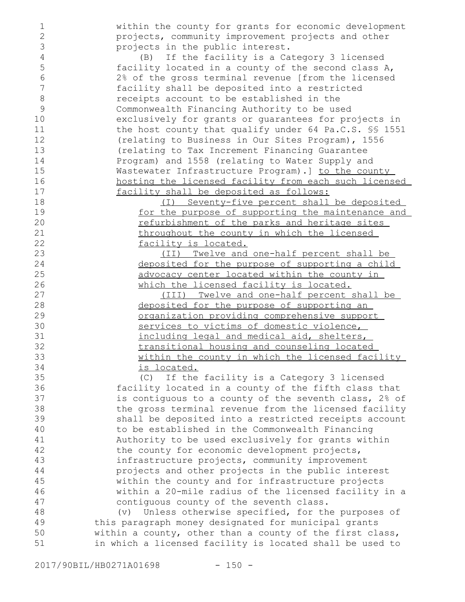1 2 3

within the county for grants for economic development projects, community improvement projects and other projects in the public interest.

(B) If the facility is a Category 3 licensed facility located in a county of the second class A, 2% of the gross terminal revenue [from the licensed facility shall be deposited into a restricted receipts account to be established in the Commonwealth Financing Authority to be used exclusively for grants or guarantees for projects in the host county that qualify under 64 Pa.C.S. §§ 1551 (relating to Business in Our Sites Program), 1556 (relating to Tax Increment Financing Guarantee Program) and 1558 (relating to Water Supply and Wastewater Infrastructure Program).] to the county hosting the licensed facility from each such licensed facility shall be deposited as follows:

(I) Seventy-five percent shall be deposited for the purpose of supporting the maintenance and refurbishment of the parks and heritage sites throughout the county in which the licensed facility is located.

(II) Twelve and one-half percent shall be deposited for the purpose of supporting a child advocacy center located within the county in which the licensed facility is located.

(III) Twelve and one-half percent shall be deposited for the purpose of supporting an organization providing comprehensive support services to victims of domestic violence, including legal and medical aid, shelters, transitional housing and counseling located within the county in which the licensed facility is located.

(C) If the facility is a Category 3 licensed facility located in a county of the fifth class that is contiguous to a county of the seventh class, 2% of the gross terminal revenue from the licensed facility shall be deposited into a restricted receipts account to be established in the Commonwealth Financing Authority to be used exclusively for grants within the county for economic development projects, infrastructure projects, community improvement projects and other projects in the public interest within the county and for infrastructure projects within a 20-mile radius of the licensed facility in a contiguous county of the seventh class. 35 36 37 38 39 40 41 42 43 44 45 46 47

(v) Unless otherwise specified, for the purposes of this paragraph money designated for municipal grants within a county, other than a county of the first class, in which a licensed facility is located shall be used to 48 49 50 51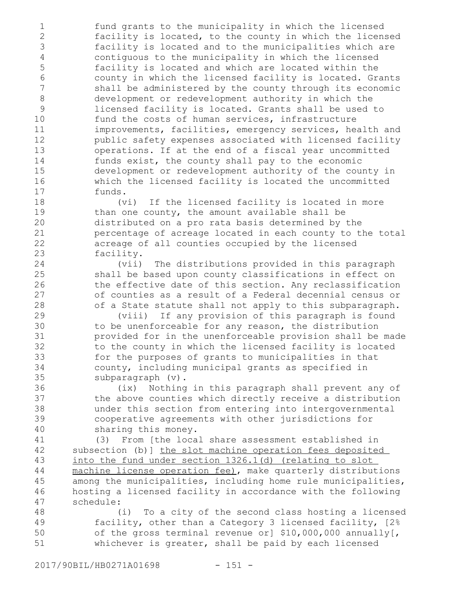fund grants to the municipality in which the licensed facility is located, to the county in which the licensed facility is located and to the municipalities which are contiguous to the municipality in which the licensed facility is located and which are located within the county in which the licensed facility is located. Grants shall be administered by the county through its economic development or redevelopment authority in which the licensed facility is located. Grants shall be used to fund the costs of human services, infrastructure improvements, facilities, emergency services, health and public safety expenses associated with licensed facility operations. If at the end of a fiscal year uncommitted funds exist, the county shall pay to the economic development or redevelopment authority of the county in which the licensed facility is located the uncommitted funds. (vi) If the licensed facility is located in more than one county, the amount available shall be distributed on a pro rata basis determined by the percentage of acreage located in each county to the total acreage of all counties occupied by the licensed facility. (vii) The distributions provided in this paragraph shall be based upon county classifications in effect on the effective date of this section. Any reclassification of counties as a result of a Federal decennial census or of a State statute shall not apply to this subparagraph. (viii) If any provision of this paragraph is found to be unenforceable for any reason, the distribution provided for in the unenforceable provision shall be made to the county in which the licensed facility is located for the purposes of grants to municipalities in that county, including municipal grants as specified in subparagraph (v). (ix) Nothing in this paragraph shall prevent any of the above counties which directly receive a distribution under this section from entering into intergovernmental cooperative agreements with other jurisdictions for sharing this money. (3) From [the local share assessment established in subsection (b)] the slot machine operation fees deposited into the fund under section 1326.1(d) (relating to slot 1 2 3 4 5 6 7 8 9 10 11 12 13 14 15 16 17 18 19 20 21 22 23 24 25 26 27 28 29 30 31 32 33 34 35 36 37 38 39 40 41 42 43 44

machine license operation fee), make quarterly distributions among the municipalities, including home rule municipalities, hosting a licensed facility in accordance with the following schedule: 45 46 47

(i) To a city of the second class hosting a licensed facility, other than a Category 3 licensed facility, [2% of the gross terminal revenue or] \$10,000,000 annually[, whichever is greater, shall be paid by each licensed 48 49 50 51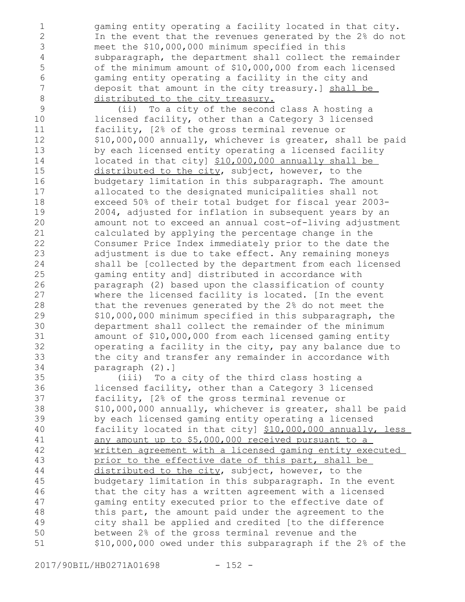gaming entity operating a facility located in that city. In the event that the revenues generated by the 2% do not meet the \$10,000,000 minimum specified in this subparagraph, the department shall collect the remainder of the minimum amount of \$10,000,000 from each licensed gaming entity operating a facility in the city and deposit that amount in the city treasury.] shall be distributed to the city treasury.

(ii) To a city of the second class A hosting a licensed facility, other than a Category 3 licensed facility, [2% of the gross terminal revenue or \$10,000,000 annually, whichever is greater, shall be paid by each licensed entity operating a licensed facility located in that city] \$10,000,000 annually shall be distributed to the city, subject, however, to the budgetary limitation in this subparagraph. The amount allocated to the designated municipalities shall not exceed 50% of their total budget for fiscal year 2003- 2004, adjusted for inflation in subsequent years by an amount not to exceed an annual cost-of-living adjustment calculated by applying the percentage change in the Consumer Price Index immediately prior to the date the adjustment is due to take effect. Any remaining moneys shall be [collected by the department from each licensed gaming entity and] distributed in accordance with paragraph (2) based upon the classification of county where the licensed facility is located. [In the event that the revenues generated by the 2% do not meet the \$10,000,000 minimum specified in this subparagraph, the department shall collect the remainder of the minimum amount of \$10,000,000 from each licensed gaming entity operating a facility in the city, pay any balance due to the city and transfer any remainder in accordance with paragraph (2).] 9 10 11 12 13 14 15 16 17 18 19 20 21 22 23 24 25 26 27 28 29 30 31 32 33 34

(iii) To a city of the third class hosting a licensed facility, other than a Category 3 licensed facility, [2% of the gross terminal revenue or \$10,000,000 annually, whichever is greater, shall be paid by each licensed gaming entity operating a licensed facility located in that city] \$10,000,000 annually, less any amount up to \$5,000,000 received pursuant to a written agreement with a licensed gaming entity executed prior to the effective date of this part, shall be distributed to the city, subject, however, to the budgetary limitation in this subparagraph. In the event that the city has a written agreement with a licensed gaming entity executed prior to the effective date of this part, the amount paid under the agreement to the city shall be applied and credited [to the difference between 2% of the gross terminal revenue and the \$10,000,000 owed under this subparagraph if the 2% of the 35 36 37 38 39 40 41 42 43 44 45 46 47 48 49 50 51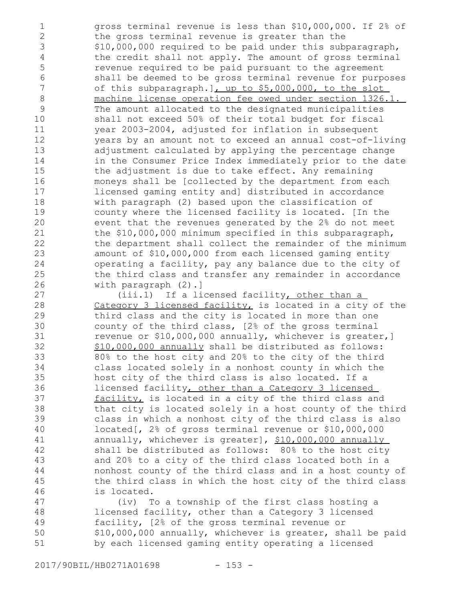gross terminal revenue is less than \$10,000,000. If 2% of the gross terminal revenue is greater than the \$10,000,000 required to be paid under this subparagraph, the credit shall not apply. The amount of gross terminal revenue required to be paid pursuant to the agreement shall be deemed to be gross terminal revenue for purposes of this subparagraph.], up to \$5,000,000, to the slot machine license operation fee owed under section 1326.1. The amount allocated to the designated municipalities shall not exceed 50% of their total budget for fiscal year 2003-2004, adjusted for inflation in subsequent years by an amount not to exceed an annual cost-of-living adjustment calculated by applying the percentage change in the Consumer Price Index immediately prior to the date the adjustment is due to take effect. Any remaining moneys shall be [collected by the department from each licensed gaming entity and] distributed in accordance with paragraph (2) based upon the classification of county where the licensed facility is located. [In the event that the revenues generated by the 2% do not meet the \$10,000,000 minimum specified in this subparagraph, the department shall collect the remainder of the minimum amount of \$10,000,000 from each licensed gaming entity operating a facility, pay any balance due to the city of the third class and transfer any remainder in accordance with paragraph (2).] (iii.1) If a licensed facility, other than a Category 3 licensed facility, is located in a city of the third class and the city is located in more than one county of the third class, [2% of the gross terminal revenue or \$10,000,000 annually, whichever is greater,] \$10,000,000 annually shall be distributed as follows: 80% to the host city and 20% to the city of the third class located solely in a nonhost county in which the host city of the third class is also located. If a licensed facility, other than a Category 3 licensed facility, is located in a city of the third class and that city is located solely in a host county of the third class in which a nonhost city of the third class is also located[, 2% of gross terminal revenue or \$10,000,000 annually, whichever is greater], \$10,000,000 annually shall be distributed as follows: 80% to the host city 1 2 3 4 5 6 7 8 9 10 11 12 13 14 15 16 17 18 19 20 21 22 23 24 25 26 27 28 29 30 31 32 33 34 35 36 37 38 39 40 41 42 43

and 20% to a city of the third class located both in a nonhost county of the third class and in a host county of the third class in which the host city of the third class is located.

(iv) To a township of the first class hosting a licensed facility, other than a Category 3 licensed facility, [2% of the gross terminal revenue or \$10,000,000 annually, whichever is greater, shall be paid by each licensed gaming entity operating a licensed 47 48 49 50 51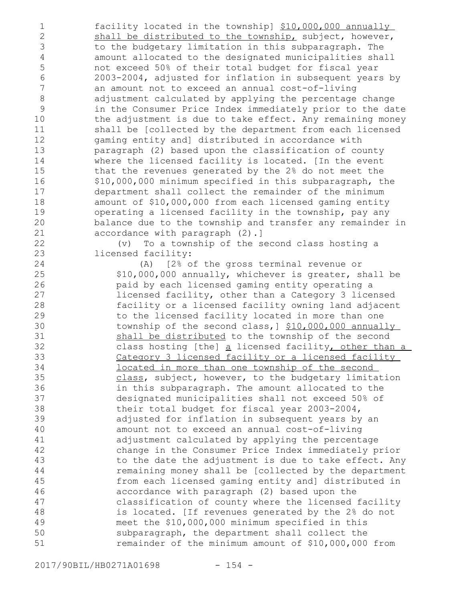facility located in the township] \$10,000,000 annually shall be distributed to the township, subject, however, to the budgetary limitation in this subparagraph. The amount allocated to the designated municipalities shall not exceed 50% of their total budget for fiscal year 2003-2004, adjusted for inflation in subsequent years by an amount not to exceed an annual cost-of-living adjustment calculated by applying the percentage change in the Consumer Price Index immediately prior to the date the adjustment is due to take effect. Any remaining money shall be [collected by the department from each licensed gaming entity and] distributed in accordance with paragraph (2) based upon the classification of county where the licensed facility is located. [In the event that the revenues generated by the 2% do not meet the \$10,000,000 minimum specified in this subparagraph, the department shall collect the remainder of the minimum amount of \$10,000,000 from each licensed gaming entity operating a licensed facility in the township, pay any balance due to the township and transfer any remainder in accordance with paragraph (2).] 1 2 3 4 5 6 7 8 9 10 11 12 13 14 15 16 17 18 19 20 21 22

(v) To a township of the second class hosting a licensed facility:

(A) [2% of the gross terminal revenue or \$10,000,000 annually, whichever is greater, shall be paid by each licensed gaming entity operating a licensed facility, other than a Category 3 licensed facility or a licensed facility owning land adjacent to the licensed facility located in more than one township of the second class, ] \$10,000,000 annually shall be distributed to the township of the second class hosting [the] a licensed facility, other than a Category 3 licensed facility or a licensed facility located in more than one township of the second class, subject, however, to the budgetary limitation in this subparagraph. The amount allocated to the designated municipalities shall not exceed 50% of their total budget for fiscal year 2003-2004, adjusted for inflation in subsequent years by an amount not to exceed an annual cost-of-living adjustment calculated by applying the percentage change in the Consumer Price Index immediately prior to the date the adjustment is due to take effect. Any remaining money shall be [collected by the department from each licensed gaming entity and] distributed in accordance with paragraph (2) based upon the classification of county where the licensed facility is located. [If revenues generated by the 2% do not meet the \$10,000,000 minimum specified in this subparagraph, the department shall collect the remainder of the minimum amount of \$10,000,000 from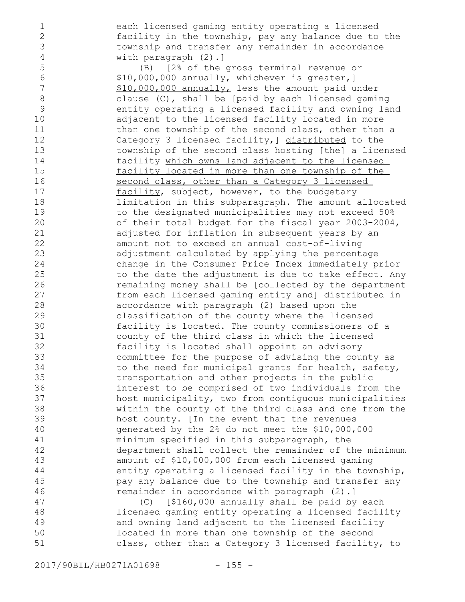each licensed gaming entity operating a licensed facility in the township, pay any balance due to the township and transfer any remainder in accordance with paragraph (2).]

(B) [2% of the gross terminal revenue or \$10,000,000 annually, whichever is greater,] \$10,000,000 annually, less the amount paid under clause (C), shall be [paid by each licensed gaming entity operating a licensed facility and owning land adjacent to the licensed facility located in more than one township of the second class, other than a Category 3 licensed facility,] distributed to the township of the second class hosting [the] a licensed facility which owns land adjacent to the licensed facility located in more than one township of the second class, other than a Category 3 licensed facility, subject, however, to the budgetary limitation in this subparagraph. The amount allocated to the designated municipalities may not exceed 50% of their total budget for the fiscal year 2003-2004, adjusted for inflation in subsequent years by an amount not to exceed an annual cost-of-living adjustment calculated by applying the percentage change in the Consumer Price Index immediately prior to the date the adjustment is due to take effect. Any remaining money shall be [collected by the department from each licensed gaming entity and] distributed in accordance with paragraph (2) based upon the classification of the county where the licensed facility is located. The county commissioners of a county of the third class in which the licensed facility is located shall appoint an advisory committee for the purpose of advising the county as to the need for municipal grants for health, safety, transportation and other projects in the public interest to be comprised of two individuals from the host municipality, two from contiguous municipalities within the county of the third class and one from the host county. [In the event that the revenues generated by the 2% do not meet the \$10,000,000 minimum specified in this subparagraph, the department shall collect the remainder of the minimum amount of \$10,000,000 from each licensed gaming entity operating a licensed facility in the township, pay any balance due to the township and transfer any remainder in accordance with paragraph (2).] (C) [\$160,000 annually shall be paid by each

licensed gaming entity operating a licensed facility and owning land adjacent to the licensed facility located in more than one township of the second class, other than a Category 3 licensed facility, to 47 48 49 50 51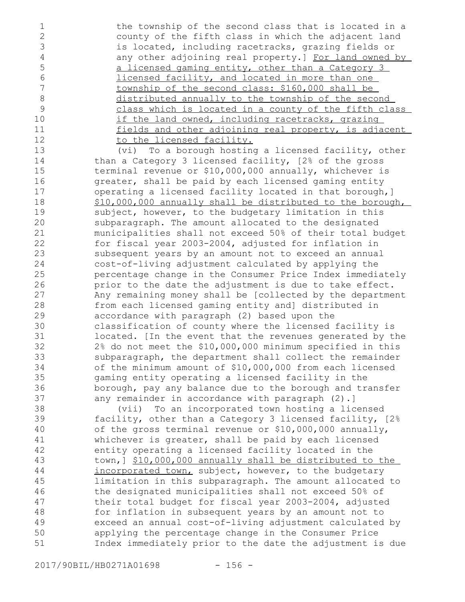the township of the second class that is located in a county of the fifth class in which the adjacent land is located, including racetracks, grazing fields or any other adjoining real property.] For land owned by a licensed gaming entity, other than a Category 3 licensed facility, and located in more than one township of the second class: \$160,000 shall be distributed annually to the township of the second class which is located in a county of the fifth class if the land owned, including racetracks, grazing fields and other adjoining real property, is adjacent to the licensed facility.

(vi) To a borough hosting a licensed facility, other than a Category 3 licensed facility, [2% of the gross terminal revenue or \$10,000,000 annually, whichever is greater, shall be paid by each licensed gaming entity operating a licensed facility located in that borough,] \$10,000,000 annually shall be distributed to the borough, subject, however, to the budgetary limitation in this subparagraph. The amount allocated to the designated municipalities shall not exceed 50% of their total budget for fiscal year 2003-2004, adjusted for inflation in subsequent years by an amount not to exceed an annual cost-of-living adjustment calculated by applying the percentage change in the Consumer Price Index immediately prior to the date the adjustment is due to take effect. Any remaining money shall be [collected by the department from each licensed gaming entity and] distributed in accordance with paragraph (2) based upon the classification of county where the licensed facility is located. [In the event that the revenues generated by the 2% do not meet the \$10,000,000 minimum specified in this subparagraph, the department shall collect the remainder of the minimum amount of \$10,000,000 from each licensed gaming entity operating a licensed facility in the borough, pay any balance due to the borough and transfer any remainder in accordance with paragraph (2).]

(vii) To an incorporated town hosting a licensed facility, other than a Category 3 licensed facility, [2% of the gross terminal revenue or \$10,000,000 annually, whichever is greater, shall be paid by each licensed entity operating a licensed facility located in the town,] \$10,000,000 annually shall be distributed to the incorporated town, subject, however, to the budgetary limitation in this subparagraph. The amount allocated to the designated municipalities shall not exceed 50% of their total budget for fiscal year 2003-2004, adjusted for inflation in subsequent years by an amount not to exceed an annual cost-of-living adjustment calculated by applying the percentage change in the Consumer Price Index immediately prior to the date the adjustment is due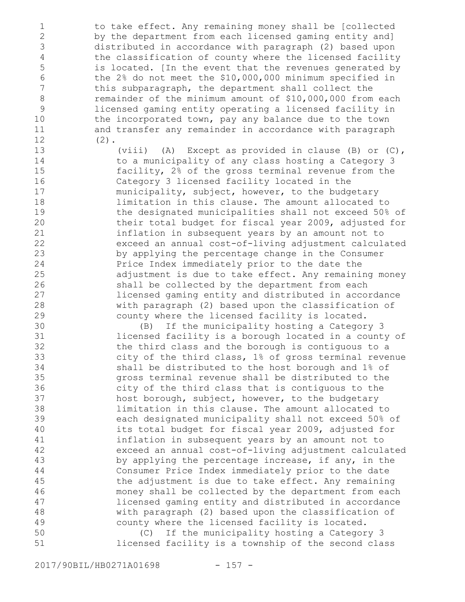to take effect. Any remaining money shall be [collected by the department from each licensed gaming entity and] distributed in accordance with paragraph (2) based upon the classification of county where the licensed facility is located. [In the event that the revenues generated by the 2% do not meet the \$10,000,000 minimum specified in this subparagraph, the department shall collect the remainder of the minimum amount of \$10,000,000 from each licensed gaming entity operating a licensed facility in the incorporated town, pay any balance due to the town and transfer any remainder in accordance with paragraph  $(2)$ .

> (viii) (A) Except as provided in clause (B) or (C), to a municipality of any class hosting a Category 3 facility, 2% of the gross terminal revenue from the Category 3 licensed facility located in the municipality, subject, however, to the budgetary limitation in this clause. The amount allocated to the designated municipalities shall not exceed 50% of their total budget for fiscal year 2009, adjusted for inflation in subsequent years by an amount not to exceed an annual cost-of-living adjustment calculated by applying the percentage change in the Consumer Price Index immediately prior to the date the adjustment is due to take effect. Any remaining money shall be collected by the department from each licensed gaming entity and distributed in accordance with paragraph (2) based upon the classification of county where the licensed facility is located.

(B) If the municipality hosting a Category 3 licensed facility is a borough located in a county of the third class and the borough is contiguous to a city of the third class, 1% of gross terminal revenue shall be distributed to the host borough and 1% of gross terminal revenue shall be distributed to the city of the third class that is contiguous to the host borough, subject, however, to the budgetary limitation in this clause. The amount allocated to each designated municipality shall not exceed 50% of its total budget for fiscal year 2009, adjusted for inflation in subsequent years by an amount not to exceed an annual cost-of-living adjustment calculated by applying the percentage increase, if any, in the Consumer Price Index immediately prior to the date the adjustment is due to take effect. Any remaining money shall be collected by the department from each licensed gaming entity and distributed in accordance with paragraph (2) based upon the classification of county where the licensed facility is located.

(C) If the municipality hosting a Category 3 licensed facility is a township of the second class 50 51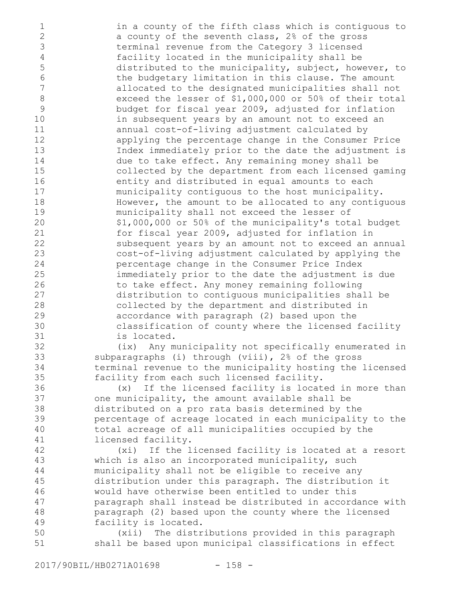in a county of the fifth class which is contiguous to a county of the seventh class, 2% of the gross terminal revenue from the Category 3 licensed facility located in the municipality shall be distributed to the municipality, subject, however, to the budgetary limitation in this clause. The amount allocated to the designated municipalities shall not exceed the lesser of \$1,000,000 or 50% of their total budget for fiscal year 2009, adjusted for inflation in subsequent years by an amount not to exceed an annual cost-of-living adjustment calculated by applying the percentage change in the Consumer Price Index immediately prior to the date the adjustment is due to take effect. Any remaining money shall be collected by the department from each licensed gaming entity and distributed in equal amounts to each municipality contiguous to the host municipality. However, the amount to be allocated to any contiguous municipality shall not exceed the lesser of \$1,000,000 or 50% of the municipality's total budget for fiscal year 2009, adjusted for inflation in subsequent years by an amount not to exceed an annual cost-of-living adjustment calculated by applying the percentage change in the Consumer Price Index immediately prior to the date the adjustment is due to take effect. Any money remaining following distribution to contiguous municipalities shall be collected by the department and distributed in accordance with paragraph (2) based upon the classification of county where the licensed facility is located. (ix) Any municipality not specifically enumerated in subparagraphs (i) through (viii), 2% of the gross terminal revenue to the municipality hosting the licensed facility from each such licensed facility. (x) If the licensed facility is located in more than one municipality, the amount available shall be distributed on a pro rata basis determined by the percentage of acreage located in each municipality to the total acreage of all municipalities occupied by the licensed facility. (xi) If the licensed facility is located at a resort which is also an incorporated municipality, such municipality shall not be eligible to receive any distribution under this paragraph. The distribution it would have otherwise been entitled to under this paragraph shall instead be distributed in accordance with paragraph (2) based upon the county where the licensed facility is located. (xii) The distributions provided in this paragraph shall be based upon municipal classifications in effect 1 2 3 4 5 6 7 8 9 10 11 12 13 14 15 16 17 18 19 20 21 22 23 24 25 26 27 28 29 30 31 32 33 34 35 36 37 38 39 40 41 42 43 44 45 46 47 48 49 50 51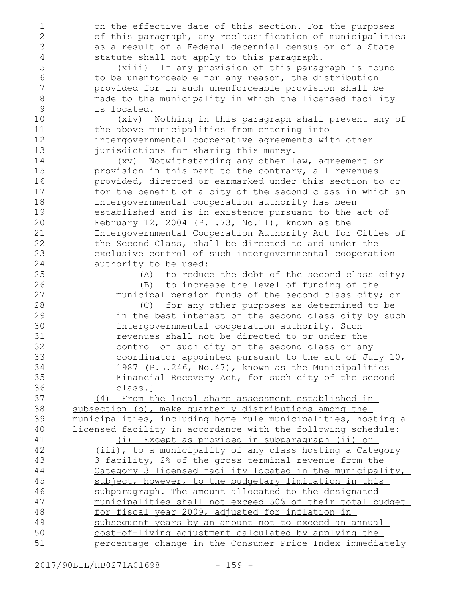on the effective date of this section. For the purposes of this paragraph, any reclassification of municipalities as a result of a Federal decennial census or of a State statute shall not apply to this paragraph. (xiii) If any provision of this paragraph is found to be unenforceable for any reason, the distribution provided for in such unenforceable provision shall be made to the municipality in which the licensed facility is located. (xiv) Nothing in this paragraph shall prevent any of the above municipalities from entering into intergovernmental cooperative agreements with other jurisdictions for sharing this money. (xv) Notwithstanding any other law, agreement or provision in this part to the contrary, all revenues provided, directed or earmarked under this section to or for the benefit of a city of the second class in which an intergovernmental cooperation authority has been established and is in existence pursuant to the act of February 12, 2004 (P.L.73, No.11), known as the Intergovernmental Cooperation Authority Act for Cities of the Second Class, shall be directed to and under the exclusive control of such intergovernmental cooperation authority to be used: (A) to reduce the debt of the second class city; (B) to increase the level of funding of the municipal pension funds of the second class city; or (C) for any other purposes as determined to be in the best interest of the second class city by such intergovernmental cooperation authority. Such revenues shall not be directed to or under the control of such city of the second class or any coordinator appointed pursuant to the act of July 10, 1987 (P.L.246, No.47), known as the Municipalities Financial Recovery Act, for such city of the second class.] (4) From the local share assessment established in subsection (b), make quarterly distributions among the municipalities, including home rule municipalities, hosting a licensed facility in accordance with the following schedule: (i) Except as provided in subparagraph (ii) or (iii), to a municipality of any class hosting a Category 3 facility, 2% of the gross terminal revenue from the Category 3 licensed facility located in the municipality, subject, however, to the budgetary limitation in this subparagraph. The amount allocated to the designated municipalities shall not exceed 50% of their total budget for fiscal year 2009, adjusted for inflation in subsequent years by an amount not to exceed an annual cost-of-living adjustment calculated by applying the percentage change in the Consumer Price Index immediately 1 2 3 4 5 6 7 8 9 10 11 12 13 14 15 16 17 18 19 20 21 22 23 24 25 26 27 28 29 30 31 32 33 34 35 36 37 38 39 40 41 42 43 44 45 46 47 48 49 50 51

2017/90BIL/HB0271A01698 - 159 -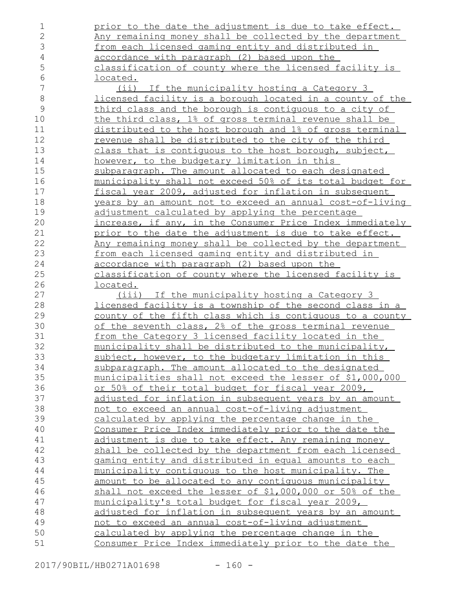| 1              | prior to the date the adjustment is due to take effect.          |
|----------------|------------------------------------------------------------------|
| $\overline{2}$ | Any remaining money shall be collected by the department         |
| 3              | from each licensed gaming entity and distributed in              |
| $\overline{4}$ | accordance with paragraph (2) based upon the                     |
| 5              | classification of county where the licensed facility is          |
| $6\,$          | <u>located.</u>                                                  |
| 7              | <u>(ii)</u> If the municipality hosting a Category 3             |
| $\,8\,$        | <u>licensed facility is a borough located in a county of the</u> |
| $\mathcal{G}$  | third class and the borough is contiguous to a city of           |
| 10             | the third class, 1% of gross terminal revenue shall be           |
| 11             | distributed to the host borough and 1% of gross terminal         |
| 12             | revenue shall be distributed to the city of the third            |
| 13             | class that is contiguous to the host borough, subject,           |
| 14             | however, to the budgetary limitation in this                     |
| 15             | subparagraph. The amount allocated to each designated            |
| 16             | municipality shall not exceed 50% of its total budget for        |
| 17             | fiscal year 2009, adjusted for inflation in subsequent           |
| 18             | years by an amount not to exceed an annual cost-of-living        |
| 19             | adjustment calculated by applying the percentage                 |
| 20             | increase, if any, in the Consumer Price Index immediately        |
| 21             | prior to the date the adjustment is due to take effect.          |
| 22             | Any remaining money shall be collected by the department         |
| 23             | <u>from each licensed gaming entity and distributed in</u>       |
| 24             | accordance with paragraph (2) based upon the                     |
| 25             | classification of county where the licensed facility is          |
| 26             | <u>located.</u>                                                  |
| 27             | (iii) If the municipality hosting a Category 3                   |
| 28             | <u>licensed facility is a township of the second class in a </u> |
| 29             | county of the fifth class which is contiguous to a county        |
| 30             | of the seventh class, 2% of the gross terminal revenue           |
| 31             | from the Category 3 licensed facility located in the             |
| 32             | municipality shall be distributed to the municipality,           |
| 33             | subject, however, to the budgetary limitation in this            |
| 34             | subparagraph. The amount allocated to the designated             |
| 35             | municipalities shall not exceed the lesser of \$1,000,000        |
| 36             | or 50% of their total budget for fiscal year 2009,               |
| 37             | adjusted for inflation in subsequent years by an amount          |
| 38             | not to exceed an annual cost-of-living adjustment                |
| 39             | calculated by applying the percentage change in the              |
| 40             | Consumer Price Index immediately prior to the date the           |
| 41             | adjustment is due to take effect. Any remaining money            |
| 42             | shall be collected by the department from each licensed          |
| 43             | gaming entity and distributed in equal amounts to each           |
| 44             | municipality contiquous to the host municipality. The            |
| 45             | amount to be allocated to any contiguous municipality            |
| 46             | shall not exceed the lesser of \$1,000,000 or 50% of the         |
| 47             | municipality's total budget for fiscal year 2009,                |
| 48             | adjusted for inflation in subsequent years by an amount          |
| 49             | not to exceed an annual cost-of-living adjustment                |
| 50             | calculated by applying the percentage change in the              |
| 51             | Consumer Price Index immediately prior to the date the           |
|                |                                                                  |

2017/90BIL/HB0271A01698 - 160 -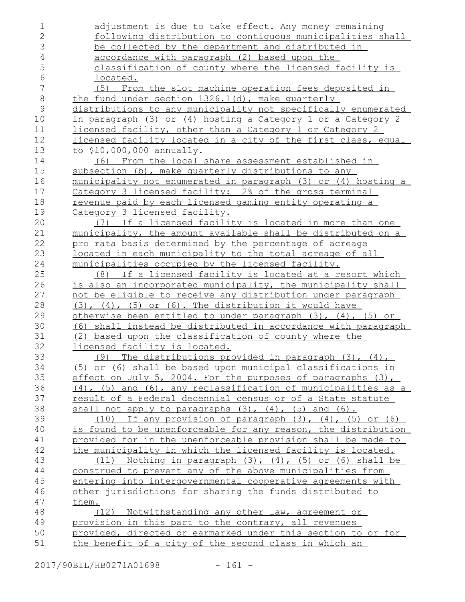| $\mathbf 1$    | adjustment is due to take effect. Any money remaining                 |
|----------------|-----------------------------------------------------------------------|
| $\overline{2}$ | following distribution to contiguous municipalities shall             |
| 3              | be collected by the department and distributed in                     |
| $\overline{4}$ | accordance with paragraph (2) based upon the                          |
| 5              | classification of county where the licensed facility is               |
| 6              | <u>located.</u>                                                       |
| 7              | (5) From the slot machine operation fees deposited in                 |
| $\,8\,$        | the fund under section 1326.1(d), make quarterly                      |
| $\mathsf{9}$   | distributions to any municipality not specifically enumerated         |
| 10             | in paragraph (3) or (4) hosting a Category 1 or a Category 2          |
| 11             | licensed facility, other than a Category 1 or Category 2              |
| 12             | licensed facility located in a city of the first class, equal         |
| 13             | to \$10,000,000 annually.                                             |
| 14             | From the local share assessment established in<br>(6)                 |
| 15             | subsection (b), make quarterly distributions to any                   |
| 16             | municipality not enumerated in paragraph (3) or (4) hosting a         |
| 17             | Category 3 licensed facility: 2% of the gross terminal                |
| 18             | revenue paid by each licensed gaming entity operating a               |
| 19             | Category 3 licensed facility.                                         |
| 20             | (7) If a licensed facility is located in more than one                |
| 21             | municipality, the amount available shall be distributed on a          |
| 22             | pro rata basis determined by the percentage of acreage                |
| 23             | <u>located in each municipality to the total acreage of all</u>       |
| 24             | municipalities occupied by the licensed facility.                     |
| 25             | (8) If a licensed facility is located at a resort which               |
| 26             | is also an incorporated municipality, the municipality shall          |
| 27             | not be eligible to receive any distribution under paragraph           |
| 28             | $(3)$ , $(4)$ , $(5)$ or $(6)$ . The distribution it would have       |
| 29             | otherwise been entitled to under paragraph (3), (4), (5) or           |
| 30             | (6) shall instead be distributed in accordance with paragraph         |
| 31             | (2) based upon the classification of county where the                 |
| 32             | licensed facility is located.                                         |
| 33             | (9) The distributions provided in paragraph (3), (4),                 |
| 34             | (5) or (6) shall be based upon municipal classifications in           |
| 35             | effect on July 5, 2004. For the purposes of paragraphs (3),           |
| 36             | $(4)$ , $(5)$ and $(6)$ , any reclassification of municipalities as a |
| 37             | result of a Federal decennial census or of a State statute            |
| 38             | shall not apply to paragraphs $(3)$ , $(4)$ , $(5)$ and $(6)$ .       |
| 39             | If any provision of paragraph $(3)$ , $(4)$ , $(5)$ or $(6)$<br>(10)  |
| 40             | is found to be unenforceable for any reason, the distribution         |
| 41             | provided for in the unenforceable provision shall be made to          |
| 42             | the municipality in which the licensed facility is located.           |
| 43             | Nothing in paragraph $(3)$ , $(4)$ , $(5)$ or $(6)$ shall be<br>(11)  |
| 44             | construed to prevent any of the above municipalities from             |
| 45             | entering into intergovernmental cooperative agreements with           |
| 46             | other jurisdictions for sharing the funds distributed to              |
| 47             | them.                                                                 |
| 48             | (12) Notwithstanding any other law, agreement or                      |
| 49             | provision in this part to the contrary, all revenues                  |
| 50             | provided, directed or earmarked under this section to or for          |
| 51             | the benefit of a city of the second class in which an                 |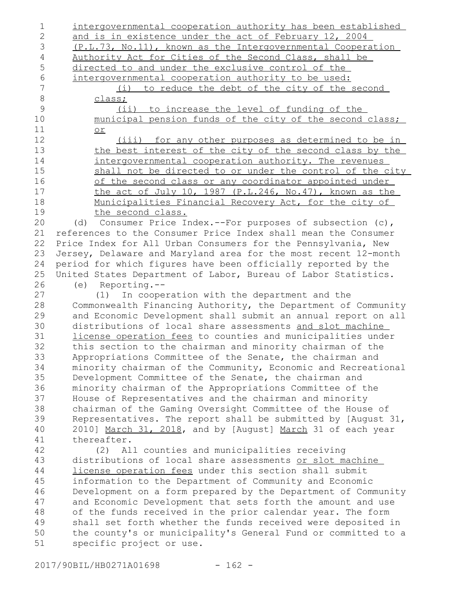| 1              | intergovernmental cooperation authority has been established    |
|----------------|-----------------------------------------------------------------|
| $\overline{2}$ | and is in existence under the act of February 12, 2004          |
| 3              | (P.L.73, No.11), known as the Intergovernmental Cooperation     |
| 4              | Authority Act for Cities of the Second Class, shall be          |
| 5              | directed to and under the exclusive control of the              |
| $6\,$          | intergovernmental cooperation authority to be used:             |
| $\overline{7}$ | to reduce the debt of the city of the second<br>(i)             |
| $\,8\,$        | class;                                                          |
| 9              | (ii) to increase the level of funding of the                    |
| 10             | municipal pension funds of the city of the second class;        |
| 11             | or                                                              |
| 12             | (iii) for any other purposes as determined to be in             |
| 13             | the best interest of the city of the second class by the        |
| 14             | intergovernmental cooperation authority. The revenues           |
| 15             | shall not be directed to or under the control of the city       |
| 16             |                                                                 |
| 17             | of the second class or any coordinator appointed under          |
|                | the act of July 10, 1987 (P.L.246, No.47), known as the         |
| 18             | Municipalities Financial Recovery Act, for the city of          |
| 19             | the second class.                                               |
| 20             | (d) Consumer Price Index.--For purposes of subsection (c),      |
| 21             | references to the Consumer Price Index shall mean the Consumer  |
| 22             | Price Index for All Urban Consumers for the Pennsylvania, New   |
| 23             | Jersey, Delaware and Maryland area for the most recent 12-month |
| 24             | period for which figures have been officially reported by the   |
| 25             | United States Department of Labor, Bureau of Labor Statistics.  |
| 26             | Reporting.--<br>(e)                                             |
| 27             | (1) In cooperation with the department and the                  |
| 28             | Commonwealth Financing Authority, the Department of Community   |
| 29             | and Economic Development shall submit an annual report on all   |
| 30             | distributions of local share assessments and slot machine       |
| 31             | license operation fees to counties and municipalities under     |
| 32             | this section to the chairman and minority chairman of the       |
| 33             | Appropriations Committee of the Senate, the chairman and        |
| 34             | minority chairman of the Community, Economic and Recreational   |
| 35             | Development Committee of the Senate, the chairman and           |
| 36             | minority chairman of the Appropriations Committee of the        |
| 37             | House of Representatives and the chairman and minority          |
| 38             | chairman of the Gaming Oversight Committee of the House of      |
| 39             | Representatives. The report shall be submitted by [August 31,   |
| 40             | 2010] March 31, 2018, and by [August] March 31 of each year     |
| 41             | thereafter.                                                     |
| 42             | All counties and municipalities receiving<br>(2)                |
| 43             | distributions of local share assessments or slot machine        |
| 44             | license operation fees under this section shall submit          |
| 45             | information to the Department of Community and Economic         |
| 46             | Development on a form prepared by the Department of Community   |
| 47             | and Economic Development that sets forth the amount and use     |
| 48             | of the funds received in the prior calendar year. The form      |
| 49             | shall set forth whether the funds received were deposited in    |
| 50             | the county's or municipality's General Fund or committed to a   |
| 51             | specific project or use.                                        |
|                |                                                                 |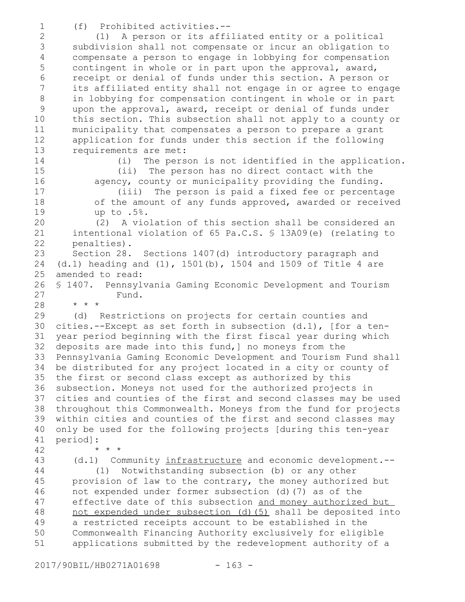(f) Prohibited activities.-- 1

(1) A person or its affiliated entity or a political subdivision shall not compensate or incur an obligation to compensate a person to engage in lobbying for compensation contingent in whole or in part upon the approval, award, receipt or denial of funds under this section. A person or its affiliated entity shall not engage in or agree to engage in lobbying for compensation contingent in whole or in part upon the approval, award, receipt or denial of funds under this section. This subsection shall not apply to a county or municipality that compensates a person to prepare a grant application for funds under this section if the following requirements are met: 2 3 4 5 6 7 8 9 10 11 12 13

14

15 16

17 18 19

42

(i) The person is not identified in the application. (ii) The person has no direct contact with the agency, county or municipality providing the funding.

(iii) The person is paid a fixed fee or percentage of the amount of any funds approved, awarded or received up to .5%.

(2) A violation of this section shall be considered an intentional violation of 65 Pa.C.S. § 13A09(e) (relating to penalties). 20 21 22

Section 28. Sections 1407(d) introductory paragraph and (d.1) heading and (1), 1501(b), 1504 and 1509 of Title 4 are amended to read: 23 24 25

§ 1407. Pennsylvania Gaming Economic Development and Tourism Fund. \* \* \* 26 27 28

(d) Restrictions on projects for certain counties and cities.--Except as set forth in subsection (d.1), [for a tenyear period beginning with the first fiscal year during which deposits are made into this fund,] no moneys from the Pennsylvania Gaming Economic Development and Tourism Fund shall be distributed for any project located in a city or county of the first or second class except as authorized by this 36 subsection. Moneys not used for the authorized projects in cities and counties of the first and second classes may be used throughout this Commonwealth. Moneys from the fund for projects within cities and counties of the first and second classes may only be used for the following projects [during this ten-year period]: 29 30 31 32 33 34 35 37 38 39 40 41

(d.1) Community infrastructure and economic development.-- (1) Notwithstanding subsection (b) or any other provision of law to the contrary, the money authorized but not expended under former subsection (d)(7) as of the effective date of this subsection and money authorized but not expended under subsection (d)(5) shall be deposited into a restricted receipts account to be established in the Commonwealth Financing Authority exclusively for eligible applications submitted by the redevelopment authority of a 43 44 45 46 47 48 49 50 51

\* \* \*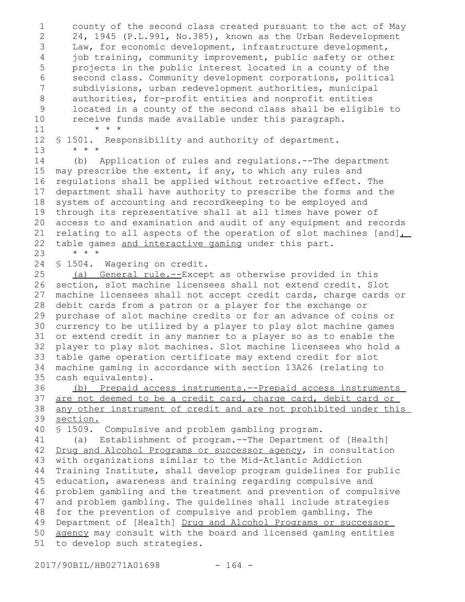county of the second class created pursuant to the act of May 24, 1945 (P.L.991, No.385), known as the Urban Redevelopment Law, for economic development, infrastructure development, job training, community improvement, public safety or other projects in the public interest located in a county of the second class. Community development corporations, political subdivisions, urban redevelopment authorities, municipal authorities, for-profit entities and nonprofit entities located in a county of the second class shall be eligible to receive funds made available under this paragraph. \* \* \* § 1501. Responsibility and authority of department. \* \* \* (b) Application of rules and regulations.--The department may prescribe the extent, if any, to which any rules and regulations shall be applied without retroactive effect. The department shall have authority to prescribe the forms and the system of accounting and recordkeeping to be employed and through its representative shall at all times have power of access to and examination and audit of any equipment and records relating to all aspects of the operation of slot machines [and] table games and interactive gaming under this part. \* \* \* § 1504. Wagering on credit. (a) General rule.--Except as otherwise provided in this section, slot machine licensees shall not extend credit. Slot machine licensees shall not accept credit cards, charge cards or debit cards from a patron or a player for the exchange or purchase of slot machine credits or for an advance of coins or currency to be utilized by a player to play slot machine games or extend credit in any manner to a player so as to enable the player to play slot machines. Slot machine licensees who hold a table game operation certificate may extend credit for slot machine gaming in accordance with section 13A26 (relating to cash equivalents). (b) Prepaid access instruments.--Prepaid access instruments are not deemed to be a credit card, charge card, debit card or any other instrument of credit and are not prohibited under this section. § 1509. Compulsive and problem gambling program. (a) Establishment of program.--The Department of [Health] Drug and Alcohol Programs or successor agency, in consultation with organizations similar to the Mid-Atlantic Addiction Training Institute, shall develop program guidelines for public education, awareness and training regarding compulsive and problem gambling and the treatment and prevention of compulsive and problem gambling. The guidelines shall include strategies for the prevention of compulsive and problem gambling. The Department of [Health] Drug and Alcohol Programs or successor agency may consult with the board and licensed gaming entities to develop such strategies. 1 2 3 4 5 6 7 8 9 10 11 12 13 14 15 16 17 18 19 20 21 22 23 24 25 26 27 28 29 30 31 32 33 34 35 36 37 38 39 40 41 42 43 44 45 46 47 48 49 50 51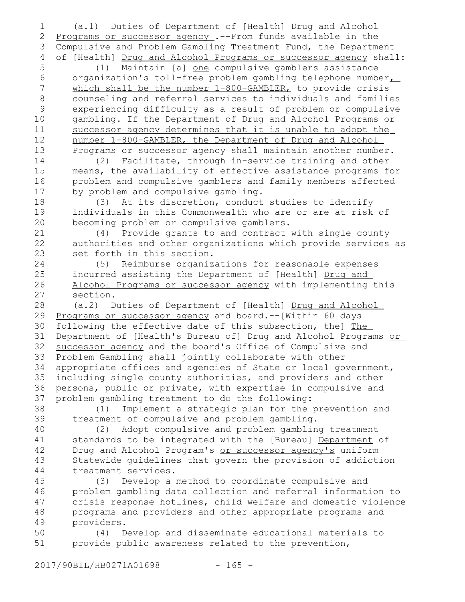(a.1) Duties of Department of [Health] Drug and Alcohol Programs or successor agency .--From funds available in the Compulsive and Problem Gambling Treatment Fund, the Department of [Health] Drug and Alcohol Programs or successor agency shall: 1 2 3 4

(1) Maintain [a] one compulsive gamblers assistance organization's toll-free problem gambling telephone number which shall be the number 1-800-GAMBLER, to provide crisis counseling and referral services to individuals and families experiencing difficulty as a result of problem or compulsive gambling. If the Department of Drug and Alcohol Programs or successor agency determines that it is unable to adopt the number 1-800-GAMBLER, the Department of Drug and Alcohol Programs or successor agency shall maintain another number. 5 6 7 8 9 10 11 12 13

(2) Facilitate, through in-service training and other means, the availability of effective assistance programs for problem and compulsive gamblers and family members affected by problem and compulsive gambling. 14 15 16 17

(3) At its discretion, conduct studies to identify individuals in this Commonwealth who are or are at risk of becoming problem or compulsive gamblers. 18 19 20

(4) Provide grants to and contract with single county authorities and other organizations which provide services as set forth in this section. 21 22 23

(5) Reimburse organizations for reasonable expenses incurred assisting the Department of [Health] Drug and Alcohol Programs or successor agency with implementing this section. 24 25 26 27

(a.2) Duties of Department of [Health] Drug and Alcohol Programs or successor agency and board. -- [Within 60 days following the effective date of this subsection, the] The Department of [Health's Bureau of] Drug and Alcohol Programs or successor agency and the board's Office of Compulsive and Problem Gambling shall jointly collaborate with other appropriate offices and agencies of State or local government, including single county authorities, and providers and other persons, public or private, with expertise in compulsive and problem gambling treatment to do the following: 28 29 30 31 32 33 34 35 36 37

(1) Implement a strategic plan for the prevention and treatment of compulsive and problem gambling. 38 39

(2) Adopt compulsive and problem gambling treatment standards to be integrated with the [Bureau] Department of Drug and Alcohol Program's or successor agency's uniform Statewide guidelines that govern the provision of addiction treatment services. 40 41 42 43 44

(3) Develop a method to coordinate compulsive and problem gambling data collection and referral information to crisis response hotlines, child welfare and domestic violence programs and providers and other appropriate programs and providers. 45 46 47 48 49

(4) Develop and disseminate educational materials to provide public awareness related to the prevention, 50 51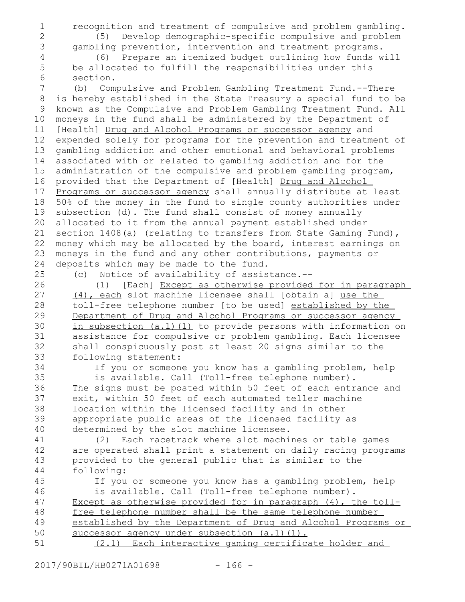recognition and treatment of compulsive and problem gambling. (5) Develop demographic-specific compulsive and problem

2 3 4

1

- gambling prevention, intervention and treatment programs. (6) Prepare an itemized budget outlining how funds will be allocated to fulfill the responsibilities under this
- 5 6

section.

(b) Compulsive and Problem Gambling Treatment Fund.--There is hereby established in the State Treasury a special fund to be known as the Compulsive and Problem Gambling Treatment Fund. All moneys in the fund shall be administered by the Department of [Health] Drug and Alcohol Programs or successor agency and expended solely for programs for the prevention and treatment of gambling addiction and other emotional and behavioral problems associated with or related to gambling addiction and for the administration of the compulsive and problem gambling program, provided that the Department of [Health] Drug and Alcohol Programs or successor agency shall annually distribute at least 50% of the money in the fund to single county authorities under subsection (d). The fund shall consist of money annually allocated to it from the annual payment established under section 1408(a) (relating to transfers from State Gaming Fund), money which may be allocated by the board, interest earnings on moneys in the fund and any other contributions, payments or deposits which may be made to the fund. 7 8 9 10 11 12 13 14 15 16 17 18 19 20 21 22 23 24

25 26 (c) Notice of availability of assistance.--

(1) [Each] Except as otherwise provided for in paragraph (4), each slot machine licensee shall [obtain a] use the toll-free telephone number [to be used] established by the Department of Drug and Alcohol Programs or successor agency in subsection (a.1)(1) to provide persons with information on assistance for compulsive or problem gambling. Each licensee shall conspicuously post at least 20 signs similar to the following statement: 27 28 29 30 31 32 33

34 35

If you or someone you know has a gambling problem, help is available. Call (Toll-free telephone number). The signs must be posted within 50 feet of each entrance and exit, within 50 feet of each automated teller machine location within the licensed facility and in other appropriate public areas of the licensed facility as determined by the slot machine licensee.

(2) Each racetrack where slot machines or table games are operated shall print a statement on daily racing programs provided to the general public that is similar to the following: 41 42 43 44

If you or someone you know has a gambling problem, help is available. Call (Toll-free telephone number). Except as otherwise provided for in paragraph (4), the tollfree telephone number shall be the same telephone number established by the Department of Drug and Alcohol Programs or successor agency under subsection (a.1)(1). (2.1) Each interactive gaming certificate holder and 45 46 47 48 49 50 51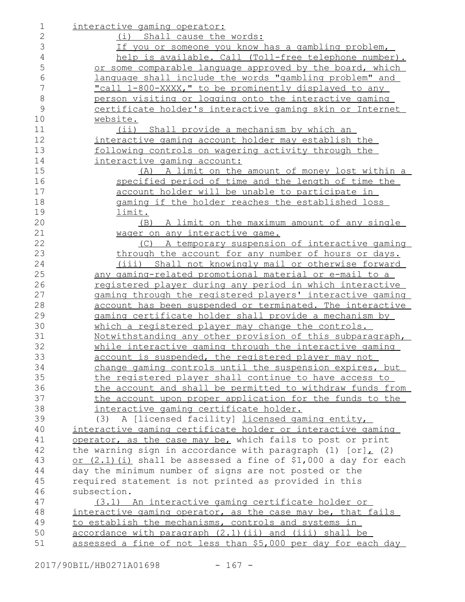| 1              | interactive gaming operator:                                      |
|----------------|-------------------------------------------------------------------|
| 2              | (i) Shall cause the words:                                        |
| 3              | If you or someone you know has a gambling problem,                |
| $\overline{4}$ | help is available. Call (Toll-free telephone number).             |
| 5              | or some comparable language approved by the board, which          |
| 6              | language shall include the words "gambling problem" and           |
| $\overline{7}$ | "call 1-800-XXXX," to be prominently displayed to any             |
| 8              | person visiting or logging onto the interactive gaming            |
| $\mathcal{G}$  | certificate holder's interactive gaming skin or Internet          |
| 10             | website.                                                          |
| 11             | (ii) Shall provide a mechanism by which an                        |
| 12             | interactive gaming account holder may establish the               |
| 13             | following controls on wagering activity through the               |
| 14             | interactive gaming account:                                       |
| 15             | (A) A limit on the amount of money lost within a                  |
| 16             | specified period of time and the length of time the               |
| 17             | account holder will be unable to participate in                   |
| 18             | gaming if the holder reaches the established loss                 |
| 19             | limit.                                                            |
| 20             | (B) A limit on the maximum amount of any single                   |
| 21             | wager on any interactive game.                                    |
| 22             | (C) A temporary suspension of interactive gaming                  |
| 23             | through the account for any number of hours or days.              |
| 24             | (iii) Shall not knowingly mail or otherwise forward               |
| 25             | any gaming-related promotional material or e-mail to a            |
| 26             | <u>registered player during any period in which interactive</u>   |
| 27             | gaming through the registered players' interactive gaming         |
| 28             | account has been suspended or terminated. The interactive         |
| 29             | gaming certificate holder shall provide a mechanism by            |
| 30             | which a registered player may change the controls.                |
| 31             | <u>Notwithstanding any other provision of this subparagraph,</u>  |
| 32             | while interactive gaming through the interactive gaming           |
| 33             | account is suspended, the registered player may not               |
| 34             | change gaming controls until the suspension expires, but          |
| 35             | the registered player shall continue to have access to            |
| 36             | the account and shall be permitted to withdraw funds from         |
| 37             | the account upon proper application for the funds to the          |
| 38             | interactive gaming certificate holder.                            |
| 39             | A [licensed facility] licensed gaming entity,<br>(3)              |
| 40             | interactive gaming certificate holder or interactive gaming       |
| 41             | operator, as the case may be, which fails to post or print        |
| 42             | the warning sign in accordance with paragraph (1) $[or]_L$ (2)    |
| 43             | or $(2.1)$ (i) shall be assessed a fine of \$1,000 a day for each |
| 44             | day the minimum number of signs are not posted or the             |
| 45             | required statement is not printed as provided in this             |
| 46             | subsection.                                                       |
| 47             | (3.1) An interactive gaming certificate holder or                 |
| 48             | interactive gaming operator, as the case may be, that fails       |
| 49             | to establish the mechanisms, controls and systems in              |
| 50             | accordance with paragraph (2.1)(ii) and (iii) shall be            |
| 51             | assessed a fine of not less than \$5,000 per day for each day     |
|                |                                                                   |

2017/90BIL/HB0271A01698 - 167 -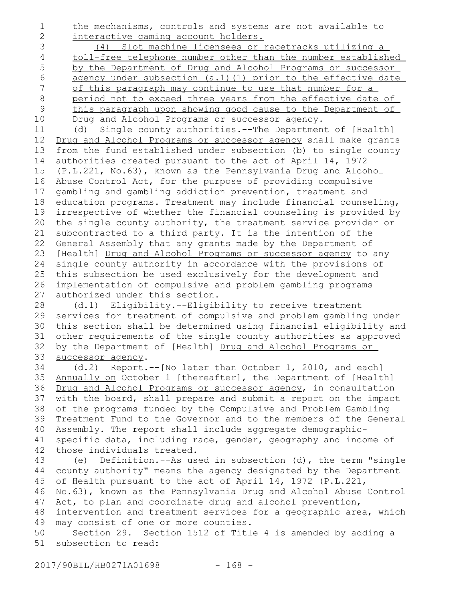the mechanisms, controls and systems are not available to interactive gaming account holders. 1 2

(4) Slot machine licensees or racetracks utilizing a toll-free telephone number other than the number established by the Department of Drug and Alcohol Programs or successor agency under subsection (a.1)(1) prior to the effective date of this paragraph may continue to use that number for a period not to exceed three years from the effective date of this paragraph upon showing good cause to the Department of Drug and Alcohol Programs or successor agency. 3 4 5 6 7 8 9 10

(d) Single county authorities.--The Department of [Health] Drug and Alcohol Programs or successor agency shall make grants from the fund established under subsection (b) to single county authorities created pursuant to the act of April 14, 1972 (P.L.221, No.63), known as the Pennsylvania Drug and Alcohol Abuse Control Act, for the purpose of providing compulsive gambling and gambling addiction prevention, treatment and education programs. Treatment may include financial counseling, irrespective of whether the financial counseling is provided by the single county authority, the treatment service provider or subcontracted to a third party. It is the intention of the General Assembly that any grants made by the Department of [Health] Drug and Alcohol Programs or successor agency to any single county authority in accordance with the provisions of this subsection be used exclusively for the development and implementation of compulsive and problem gambling programs authorized under this section. 11 12 13 14 15 16 17 18 19 20 21 22 23 24 25 26 27

(d.1) Eligibility.--Eligibility to receive treatment services for treatment of compulsive and problem gambling under this section shall be determined using financial eligibility and other requirements of the single county authorities as approved by the Department of [Health] Drug and Alcohol Programs or successor agency. 28 29 30 31 32 33

(d.2) Report.--[No later than October 1, 2010, and each] Annually on October 1 [thereafter], the Department of [Health] Drug and Alcohol Programs or successor agency, in consultation with the board, shall prepare and submit a report on the impact of the programs funded by the Compulsive and Problem Gambling Treatment Fund to the Governor and to the members of the General Assembly. The report shall include aggregate demographicspecific data, including race, gender, geography and income of those individuals treated. 34 35 36 37 38 39 40 41 42

(e) Definition.--As used in subsection (d), the term "single county authority" means the agency designated by the Department of Health pursuant to the act of April 14, 1972 (P.L.221, No.63), known as the Pennsylvania Drug and Alcohol Abuse Control Act, to plan and coordinate drug and alcohol prevention, intervention and treatment services for a geographic area, which may consist of one or more counties. Section 29. Section 1512 of Title 4 is amended by adding a subsection to read: 43 44 45 46 47 48 49 50 51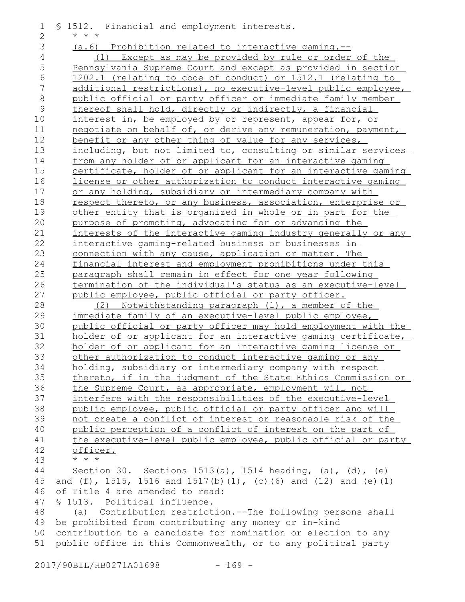| 1              | § 1512. Financial and employment interests.                       |
|----------------|-------------------------------------------------------------------|
| 2              | $\star$ $\star$ $\star$                                           |
| 3              | $(a.6)$ Prohibition related to interactive gaming.--              |
| $\overline{4}$ | (1) Except as may be provided by rule or order of the             |
| 5              | Pennsylvania Supreme Court and except as provided in section      |
| $\epsilon$     | 1202.1 (relating to code of conduct) or 1512.1 (relating to       |
| 7              | additional restrictions), no executive-level public employee,     |
| $\,8\,$        | public official or party officer or immediate family member       |
| $\mathcal{G}$  | thereof shall hold, directly or indirectly, a financial           |
| 10             | interest in, be employed by or represent, appear for, or          |
| 11             | negotiate on behalf of, or derive any remuneration, payment,      |
| 12             | benefit or any other thing of value for any services,             |
| 13             | including, but not limited to, consulting or similar services     |
| 14             | from any holder of or applicant for an interactive gaming         |
| 15             | certificate, holder of or applicant for an interactive gaming     |
| 16             | license or other authorization to conduct interactive gaming      |
| 17             | or any holding, subsidiary or intermediary company with           |
| 18             | respect thereto, or any business, association, enterprise or      |
| 19             | other entity that is organized in whole or in part for the        |
| 20             | purpose of promoting, advocating for or advancing the             |
| 21             | interests of the interactive gaming industry generally or any     |
| 22             | interactive gaming-related business or businesses in              |
| 23             | connection with any cause, application or matter. The             |
| 24             | financial interest and employment prohibitions under this         |
| 25             | paragraph shall remain in effect for one year following           |
| 26             | termination of the individual's status as an executive-level      |
| 27             | public employee, public official or party officer.                |
| 28             | Notwithstanding paragraph (1), a member of the<br>(2)             |
| 29             | immediate family of an executive-level public employee,           |
| 30             | public official or party officer may hold employment with the     |
| 31             | holder of or applicant for an interactive gaming certificate,     |
| 32             | holder of or applicant for an interactive gaming license or       |
| 33             | other authorization to conduct interactive gaming or any          |
| 34             | holding, subsidiary or intermediary company with respect          |
| 35             | thereto, if in the judgment of the State Ethics Commission or     |
| 36             | the Supreme Court, as appropriate, employment will not            |
| 37             | interfere with the responsibilities of the executive-level        |
| 38             | public employee, public official or party officer and will        |
| 39             | not create a conflict of interest or reasonable risk of the       |
| 40             | public perception of a conflict of interest on the part of        |
| 41             | the executive-level public employee, public official or party     |
| 42             | officer.                                                          |
| 43             | $\star$ $\star$ $\star$                                           |
| 44             | Section 30. Sections $1513(a)$ , 1514 heading, (a), (d), (e)      |
| 45             | and $(f)$ , 1515, 1516 and 1517(b)(1), (c)(6) and (12) and (e)(1) |
| 46             | of Title 4 are amended to read:                                   |
| 47             | § 1513. Political influence.                                      |
| 48             | (a) Contribution restriction.--The following persons shall        |
| 49             | be prohibited from contributing any money or in-kind              |
| 50             | contribution to a candidate for nomination or election to any     |
| 51             | public office in this Commonwealth, or to any political party     |
|                |                                                                   |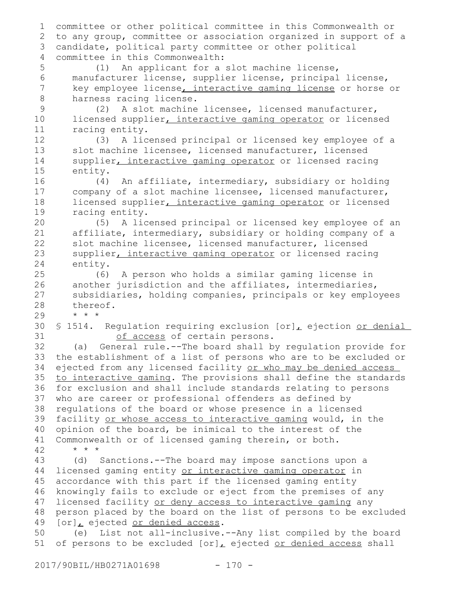committee or other political committee in this Commonwealth or to any group, committee or association organized in support of a candidate, political party committee or other political committee in this Commonwealth: (1) An applicant for a slot machine license, manufacturer license, supplier license, principal license, key employee license, interactive gaming license or horse or harness racing license. (2) A slot machine licensee, licensed manufacturer, licensed supplier, interactive gaming operator or licensed racing entity. (3) A licensed principal or licensed key employee of a slot machine licensee, licensed manufacturer, licensed supplier, interactive gaming operator or licensed racing entity. (4) An affiliate, intermediary, subsidiary or holding company of a slot machine licensee, licensed manufacturer, licensed supplier, interactive gaming operator or licensed racing entity. (5) A licensed principal or licensed key employee of an affiliate, intermediary, subsidiary or holding company of a slot machine licensee, licensed manufacturer, licensed supplier, interactive gaming operator or licensed racing entity. (6) A person who holds a similar gaming license in another jurisdiction and the affiliates, intermediaries, subsidiaries, holding companies, principals or key employees thereof. \* \* \* § 1514. Regulation requiring exclusion [or], ejection or denial of access of certain persons. (a) General rule.--The board shall by regulation provide for the establishment of a list of persons who are to be excluded or ejected from any licensed facility or who may be denied access to interactive gaming. The provisions shall define the standards for exclusion and shall include standards relating to persons who are career or professional offenders as defined by regulations of the board or whose presence in a licensed facility or whose access to interactive gaming would, in the opinion of the board, be inimical to the interest of the Commonwealth or of licensed gaming therein, or both. \* \* \* (d) Sanctions.--The board may impose sanctions upon a licensed gaming entity or interactive gaming operator in accordance with this part if the licensed gaming entity knowingly fails to exclude or eject from the premises of any licensed facility or deny access to interactive gaming any person placed by the board on the list of persons to be excluded [or], ejected or denied access. (e) List not all-inclusive.--Any list compiled by the board of persons to be excluded  $[or]_L$  ejected or denied access shall 1 2 3 4 5 6 7 8 9 10 11 12 13 14 15 16 17 18 19 20 21 22 23 24 25 26 27 28 29 30 31 32 33 34 35 36 37 38 39 40 41 42 43 44 45 46 47 48 49 50 51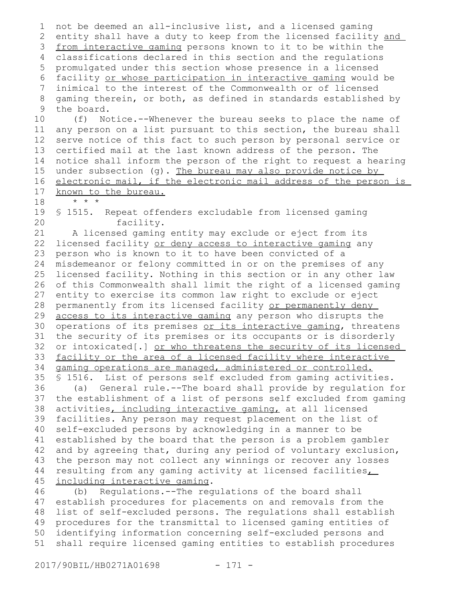```
not be deemed an all-inclusive list, and a licensed gaming
   entity shall have a duty to keep from the licensed facility and
 3 from interactive gaming persons known to it to be within the
 classifications declared in this section and the regulations
4
   promulgated under this section whose presence in a licensed
 6 facility or whose participation in interactive gaming would be
   inimical to the interest of the Commonwealth or of licensed
   gaming therein, or both, as defined in standards established by
   the board.
       (f) Notice.--Whenever the bureau seeks to place the name of
   any person on a list pursuant to this section, the bureau shall
   serve notice of this fact to such person by personal service or
   certified mail at the last known address of the person. The
   notice shall inform the person of the right to request a hearing
   under subsection (g). The bureau may also provide notice by
   electronic mail, if the electronic mail address of the person is
   known to the bureau.
       * * *
   § 1515. Repeat offenders excludable from licensed gaming
               facility.
       A licensed gaming entity may exclude or eject from its
   licensed facility or deny access to interactive gaming any
   person who is known to it to have been convicted of a
   misdemeanor or felony committed in or on the premises of any
   licensed facility. Nothing in this section or in any other law
   of this Commonwealth shall limit the right of a licensed gaming
   entity to exercise its common law right to exclude or eject
   permanently from its licensed facility or permanently deny
   access to its interactive gaming any person who disrupts the
   operations of its premises or its interactive gaming, threatens
   the security of its premises or its occupants or is disorderly
   or intoxicated[.] or who threatens the security of its licensed
   facility or the area of a licensed facility where interactive
   gaming operations are managed, administered or controlled.
   § 1516. List of persons self excluded from gaming activities.
       (a) General rule.--The board shall provide by regulation for
   the establishment of a list of persons self excluded from gaming
   activities, including interactive gaming, at all licensed
   facilities. Any person may request placement on the list of
   self-excluded persons by acknowledging in a manner to be
   established by the board that the person is a problem gambler
   and by agreeing that, during any period of voluntary exclusion,
   the person may not collect any winnings or recover any losses
   resulting from any gaming activity at licensed facilities
   including interactive gaming.
       (b) Regulations.--The regulations of the board shall
   establish procedures for placements on and removals from the
   list of self-excluded persons. The regulations shall establish
 1
 2
 5
 7
8
 9
10
11
12
13
14
15
16
17
18
19
20
21
22
23
24
25
26
27
28
29
30
31
32
33
34
35
36
37
38
39
40
41
42
43
44
45
46
47
48
```
procedures for the transmittal to licensed gaming entities of identifying information concerning self-excluded persons and shall require licensed gaming entities to establish procedures 49 50 51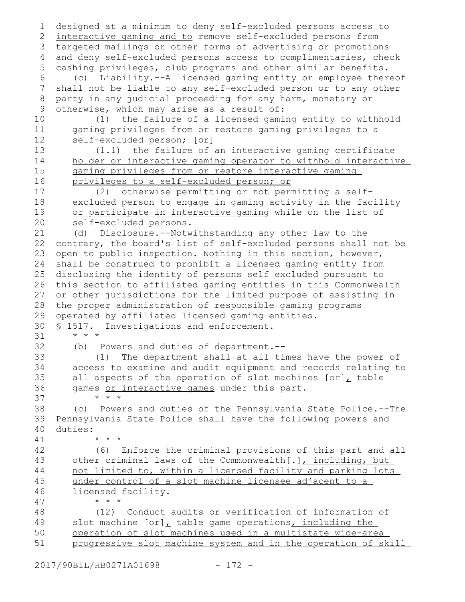designed at a minimum to deny self-excluded persons access to interactive gaming and to remove self-excluded persons from targeted mailings or other forms of advertising or promotions 3 4 and deny self-excluded persons access to complimentaries, check cashing privileges, club programs and other similar benefits. (c) Liability.--A licensed gaming entity or employee thereof shall not be liable to any self-excluded person or to any other party in any judicial proceeding for any harm, monetary or otherwise, which may arise as a result of: (1) the failure of a licensed gaming entity to withhold gaming privileges from or restore gaming privileges to a self-excluded person; [or] (1.1) the failure of an interactive gaming certificate holder or interactive gaming operator to withhold interactive gaming privileges from or restore interactive gaming privileges to a self-excluded person; or (2) otherwise permitting or not permitting a selfexcluded person to engage in gaming activity in the facility or participate in interactive gaming while on the list of self-excluded persons. (d) Disclosure.--Notwithstanding any other law to the contrary, the board's list of self-excluded persons shall not be open to public inspection. Nothing in this section, however, shall be construed to prohibit a licensed gaming entity from disclosing the identity of persons self excluded pursuant to this section to affiliated gaming entities in this Commonwealth or other jurisdictions for the limited purpose of assisting in the proper administration of responsible gaming programs operated by affiliated licensed gaming entities. § 1517. Investigations and enforcement. \* \* \* (b) Powers and duties of department.-- (1) The department shall at all times have the power of access to examine and audit equipment and records relating to all aspects of the operation of slot machines  $[or]$ , table games or interactive games under this part. \* \* \* (c) Powers and duties of the Pennsylvania State Police.--The Pennsylvania State Police shall have the following powers and duties: \* \* \* (6) Enforce the criminal provisions of this part and all other criminal laws of the Commonwealth[.], including, but not limited to, within a licensed facility and parking lots under control of a slot machine licensee adjacent to a licensed facility. \* \* \* (12) Conduct audits or verification of information of slot machine [or], table game operations, including the operation of slot machines used in a multistate wide-area progressive slot machine system and in the operation of skill 1 2 5 6 7 8 9 10 11 12 13 14 15 16 17 18 19 20 21 22 23 24 25 26 27 28 29 30 31 32 33 34 35 36 37 38 39 40 41 42 43 44 45 46 47 48 49 50 51

2017/90BIL/HB0271A01698 - 172 -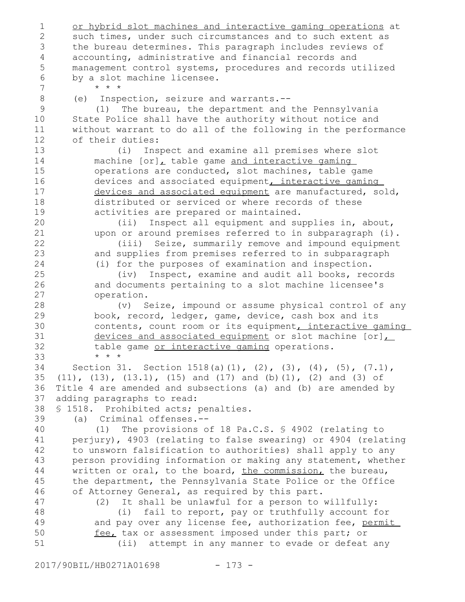or hybrid slot machines and interactive gaming operations at such times, under such circumstances and to such extent as the bureau determines. This paragraph includes reviews of accounting, administrative and financial records and management control systems, procedures and records utilized by a slot machine licensee. \* \* \* (e) Inspection, seizure and warrants.-- (1) The bureau, the department and the Pennsylvania State Police shall have the authority without notice and without warrant to do all of the following in the performance of their duties: (i) Inspect and examine all premises where slot machine [or], table game and interactive gaming operations are conducted, slot machines, table game devices and associated equipment, interactive gaming devices and associated equipment are manufactured, sold, distributed or serviced or where records of these activities are prepared or maintained. (ii) Inspect all equipment and supplies in, about, upon or around premises referred to in subparagraph (i). (iii) Seize, summarily remove and impound equipment and supplies from premises referred to in subparagraph (i) for the purposes of examination and inspection. (iv) Inspect, examine and audit all books, records and documents pertaining to a slot machine licensee's operation. (v) Seize, impound or assume physical control of any book, record, ledger, game, device, cash box and its contents, count room or its equipment, interactive gaming devices and associated equipment or slot machine [or], table game or interactive gaming operations. \* \* \* Section 31. Section 1518(a)(1), (2), (3), (4), (5), (7.1), (11), (13), (13.1), (15) and (17) and (b)(1), (2) and (3) of Title 4 are amended and subsections (a) and (b) are amended by adding paragraphs to read: § 1518. Prohibited acts; penalties. (a) Criminal offenses.-- (1) The provisions of 18 Pa.C.S. § 4902 (relating to perjury), 4903 (relating to false swearing) or 4904 (relating to unsworn falsification to authorities) shall apply to any person providing information or making any statement, whether written or oral, to the board, the commission, the bureau, the department, the Pennsylvania State Police or the Office of Attorney General, as required by this part. (2) It shall be unlawful for a person to willfully: (i) fail to report, pay or truthfully account for and pay over any license fee, authorization fee, permit fee, tax or assessment imposed under this part; or (ii) attempt in any manner to evade or defeat any 1 2 3 4 5 6 7 8 9 10 11 12 13 14 15 16 17 18 19 20 21 22 23 24 25 26 27 28 29 30 31 32 33 34 35 36 37 38 39 40 41 42 43 44 45 46 47 48 49 50 51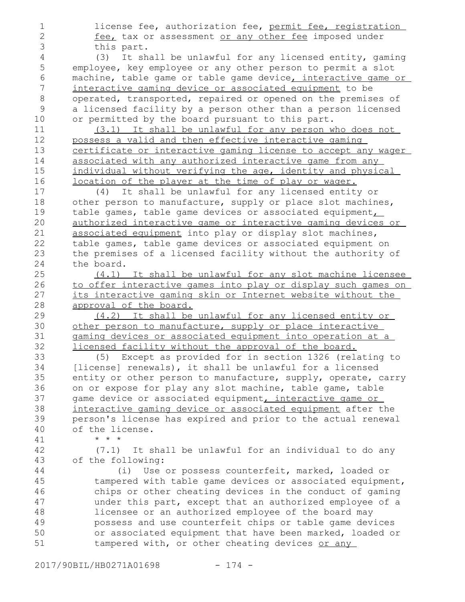license fee, authorization fee, permit fee, registration fee, tax or assessment or any other fee imposed under this part. (3) It shall be unlawful for any licensed entity, gaming employee, key employee or any other person to permit a slot machine, table game or table game device, interactive game or interactive gaming device or associated equipment to be operated, transported, repaired or opened on the premises of a licensed facility by a person other than a person licensed

or permitted by the board pursuant to this part.

9 10 11

> (3.1) It shall be unlawful for any person who does not possess a valid and then effective interactive gaming certificate or interactive gaming license to accept any wager associated with any authorized interactive game from any individual without verifying the age, identity and physical location of the player at the time of play or wager.

(4) It shall be unlawful for any licensed entity or other person to manufacture, supply or place slot machines, table games, table game devices or associated equipment, authorized interactive game or interactive gaming devices or associated equipment into play or display slot machines, table games, table game devices or associated equipment on the premises of a licensed facility without the authority of the board.

(4.1) It shall be unlawful for any slot machine licensee to offer interactive games into play or display such games on its interactive gaming skin or Internet website without the approval of the board.

(4.2) It shall be unlawful for any licensed entity or other person to manufacture, supply or place interactive gaming devices or associated equipment into operation at a licensed facility without the approval of the board.

(5) Except as provided for in section 1326 (relating to [license] renewals), it shall be unlawful for a licensed entity or other person to manufacture, supply, operate, carry on or expose for play any slot machine, table game, table game device or associated equipment, interactive game or interactive gaming device or associated equipment after the person's license has expired and prior to the actual renewal of the license.

\* \* \*

(7.1) It shall be unlawful for an individual to do any of the following:

(i) Use or possess counterfeit, marked, loaded or tampered with table game devices or associated equipment, chips or other cheating devices in the conduct of gaming under this part, except that an authorized employee of a licensee or an authorized employee of the board may possess and use counterfeit chips or table game devices or associated equipment that have been marked, loaded or tampered with, or other cheating devices or any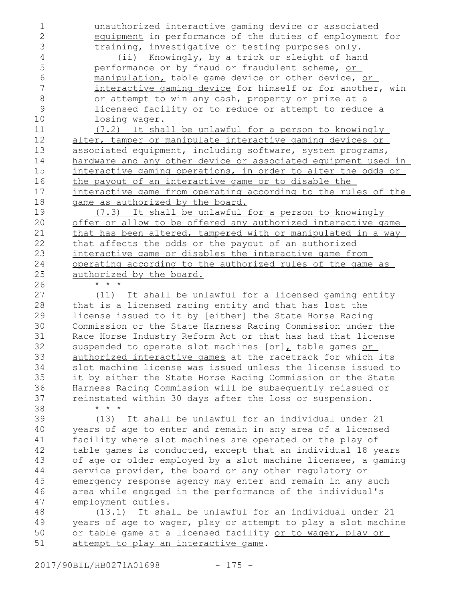1 2

unauthorized interactive gaming device or associated equipment in performance of the duties of employment for training, investigative or testing purposes only.

(ii) Knowingly, by a trick or sleight of hand performance or by fraud or fraudulent scheme, or manipulation, table game device or other device, or interactive gaming device for himself or for another, win or attempt to win any cash, property or prize at a licensed facility or to reduce or attempt to reduce a losing wager.

(7.2) It shall be unlawful for a person to knowingly alter, tamper or manipulate interactive gaming devices or associated equipment, including software, system programs, hardware and any other device or associated equipment used in interactive gaming operations, in order to alter the odds or the payout of an interactive game or to disable the interactive game from operating according to the rules of the game as authorized by the board.

(7.3) It shall be unlawful for a person to knowingly offer or allow to be offered any authorized interactive game that has been altered, tampered with or manipulated in a way that affects the odds or the payout of an authorized interactive game or disables the interactive game from operating according to the authorized rules of the game as authorized by the board.

\* \* \*

\* \* \*

(11) It shall be unlawful for a licensed gaming entity that is a licensed racing entity and that has lost the license issued to it by [either] the State Horse Racing Commission or the State Harness Racing Commission under the Race Horse Industry Reform Act or that has had that license suspended to operate slot machines [or], table games or authorized interactive games at the racetrack for which its slot machine license was issued unless the license issued to it by either the State Horse Racing Commission or the State Harness Racing Commission will be subsequently reissued or reinstated within 30 days after the loss or suspension.

(13) It shall be unlawful for an individual under 21 years of age to enter and remain in any area of a licensed facility where slot machines are operated or the play of table games is conducted, except that an individual 18 years of age or older employed by a slot machine licensee, a gaming service provider, the board or any other regulatory or emergency response agency may enter and remain in any such area while engaged in the performance of the individual's employment duties. 39 40 41 42 43 44 45 46 47

(13.1) It shall be unlawful for an individual under 21 years of age to wager, play or attempt to play a slot machine or table game at a licensed facility or to wager, play or attempt to play an interactive game. 48 49 50 51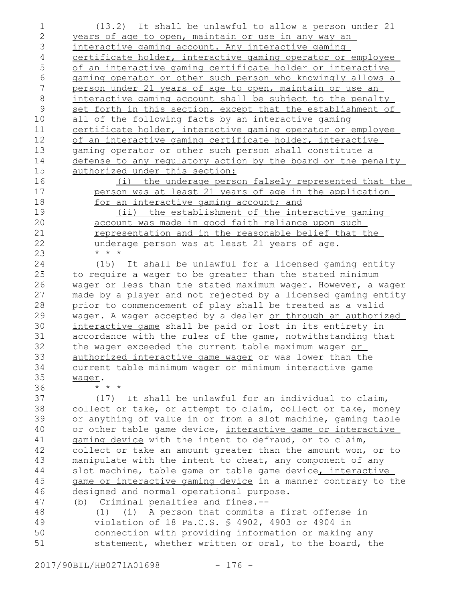(13.2) It shall be unlawful to allow a person under 21 years of age to open, maintain or use in any way an interactive gaming account. Any interactive gaming certificate holder, interactive gaming operator or employee of an interactive gaming certificate holder or interactive gaming operator or other such person who knowingly allows a person under 21 years of age to open, maintain or use an interactive gaming account shall be subject to the penalty set forth in this section, except that the establishment of all of the following facts by an interactive gaming certificate holder, interactive gaming operator or employee of an interactive gaming certificate holder, interactive gaming operator or other such person shall constitute a defense to any regulatory action by the board or the penalty authorized under this section: 1 2 3 4 5 6 7 8 9 10 11 12 13 14 15 16

(i) the underage person falsely represented that the person was at least 21 years of age in the application for an interactive gaming account; and

(ii) the establishment of the interactive gaming account was made in good faith reliance upon such representation and in the reasonable belief that the underage person was at least 21 years of age. \* \* \*

(15) It shall be unlawful for a licensed gaming entity to require a wager to be greater than the stated minimum wager or less than the stated maximum wager. However, a wager made by a player and not rejected by a licensed gaming entity prior to commencement of play shall be treated as a valid wager. A wager accepted by a dealer or through an authorized interactive game shall be paid or lost in its entirety in accordance with the rules of the game, notwithstanding that the wager exceeded the current table maximum wager or authorized interactive game wager or was lower than the current table minimum wager or minimum interactive game wager. \* \* \*

(17) It shall be unlawful for an individual to claim, collect or take, or attempt to claim, collect or take, money or anything of value in or from a slot machine, gaming table or other table game device, interactive game or interactive gaming device with the intent to defraud, or to claim, collect or take an amount greater than the amount won, or to manipulate with the intent to cheat, any component of any slot machine, table game or table game device, interactive game or interactive gaming device in a manner contrary to the designed and normal operational purpose. (b) Criminal penalties and fines.-- 37 38 39 40 41 42 43 44 45 46

(1) (i) A person that commits a first offense in violation of 18 Pa.C.S. § 4902, 4903 or 4904 in connection with providing information or making any statement, whether written or oral, to the board, the 47 48 49 50 51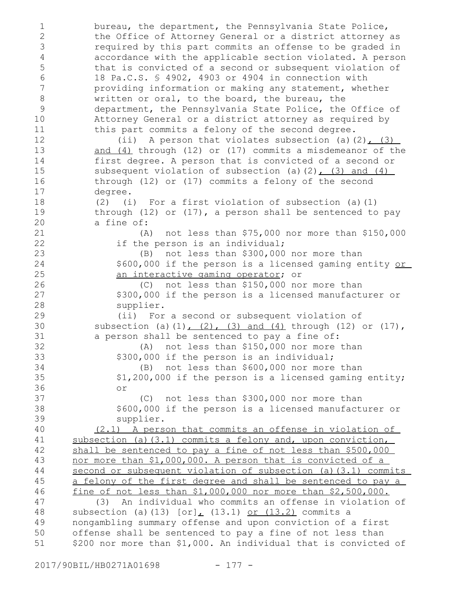bureau, the department, the Pennsylvania State Police, the Office of Attorney General or a district attorney as required by this part commits an offense to be graded in accordance with the applicable section violated. A person that is convicted of a second or subsequent violation of 18 Pa.C.S. § 4902, 4903 or 4904 in connection with providing information or making any statement, whether written or oral, to the board, the bureau, the department, the Pennsylvania State Police, the Office of Attorney General or a district attorney as required by this part commits a felony of the second degree. (ii) A person that violates subsection (a)(2),  $(3)$ and (4) through (12) or (17) commits a misdemeanor of the first degree. A person that is convicted of a second or subsequent violation of subsection (a)(2),  $(3)$  and  $(4)$ through (12) or (17) commits a felony of the second degree. (2) (i) For a first violation of subsection (a)(1) through  $(12)$  or  $(17)$ , a person shall be sentenced to pay a fine of: (A) not less than \$75,000 nor more than \$150,000 if the person is an individual; (B) not less than \$300,000 nor more than \$600,000 if the person is a licensed gaming entity or an interactive gaming operator; or (C) not less than \$150,000 nor more than \$300,000 if the person is a licensed manufacturer or supplier. (ii) For a second or subsequent violation of subsection (a)(1),  $(2)$ ,  $(3)$  and  $(4)$  through (12) or (17), a person shall be sentenced to pay a fine of: (A) not less than \$150,000 nor more than \$300,000 if the person is an individual; (B) not less than \$600,000 nor more than \$1,200,000 if the person is a licensed gaming entity; or (C) not less than \$300,000 nor more than \$600,000 if the person is a licensed manufacturer or supplier. (2.1) A person that commits an offense in violation of subsection (a)(3.1) commits a felony and, upon conviction, shall be sentenced to pay a fine of not less than \$500,000 nor more than \$1,000,000. A person that is convicted of a second or subsequent violation of subsection (a)(3.1) commits a felony of the first degree and shall be sentenced to pay a fine of not less than \$1,000,000 nor more than \$2,500,000. (3) An individual who commits an offense in violation of subsection (a)(13)  $[or]_L$  (13.1) or (13.2) commits a nongambling summary offense and upon conviction of a first offense shall be sentenced to pay a fine of not less than \$200 nor more than \$1,000. An individual that is convicted of 1 2 3 4 5 6 7 8 9 10 11 12 13 14 15 16 17 18 19 20 21 22 23 24 25 26 27 28 29 30 31 32 33 34 35 36 37 38 39 40 41 42 43 44 45 46 47 48 49 50 51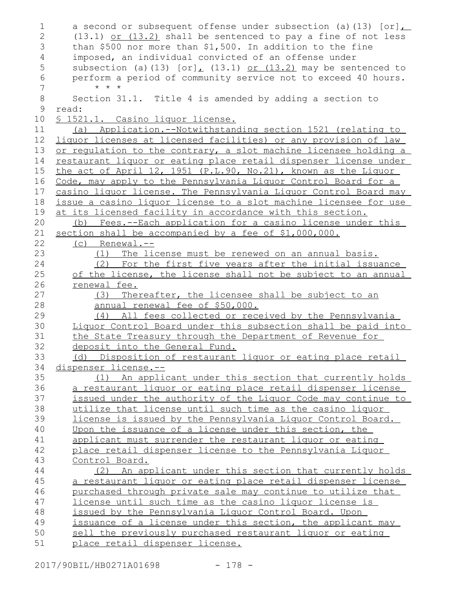| 1              | a second or subsequent offense under subsection (a) $(13)$ [or]                              |
|----------------|----------------------------------------------------------------------------------------------|
| $\overline{2}$ | $(13.1)$ or $(13.2)$ shall be sentenced to pay a fine of not less                            |
| 3              | than \$500 nor more than \$1,500. In addition to the fine                                    |
| $\overline{4}$ | imposed, an individual convicted of an offense under                                         |
| 5              | subsection (a) (13) $[or]_t$ (13.1) or (13.2) may be sentenced to                            |
| $\epsilon$     | perform a period of community service not to exceed 40 hours.                                |
| 7              | $* * *$                                                                                      |
| $\,8\,$        | Section 31.1. Title 4 is amended by adding a section to                                      |
| 9              | read:                                                                                        |
| 10             | § 1521.1. Casino liquor license.                                                             |
| 11             | (a) Application.--Notwithstanding section 1521 (relating to                                  |
| 12             | liquor licenses at licensed facilities) or any provision of law                              |
| 13             | or regulation to the contrary, a slot machine licensee holding a                             |
| 14             | restaurant liquor or eating place retail dispenser license under                             |
| 15             | the act of April 12, 1951 (P.L.90, No.21), known as the Liquor                               |
| 16             | Code, may apply to the Pennsylvania Liquor Control Board for a                               |
| 17             | casino liquor license. The Pennsylvania Liquor Control Board may                             |
| 18             | issue a casino liquor license to a slot machine licensee for use                             |
| 19             | at its licensed facility in accordance with this section.                                    |
| 20             | (b) Fees.--Each application for a casino license under this                                  |
| 21             | section shall be accompanied by a fee of \$1,000,000.                                        |
| 22             | $(c)$ Renewal.--                                                                             |
| 23             | (1) The license must be renewed on an annual basis.                                          |
| 24             | (2) For the first five years after the initial issuance                                      |
| 25             | of the license, the license shall not be subject to an annual                                |
| 26             | renewal fee.                                                                                 |
| 27             | Thereafter, the licensee shall be subject to an<br>(3)                                       |
| 28             | annual renewal fee of \$50,000.                                                              |
| 29             | All fees collected or received by the Pennsylvania<br>(4)                                    |
| 30             | Liquor Control Board under this subsection shall be paid into                                |
| 31             | the State Treasury through the Department of Revenue for                                     |
| 32             | deposit into the General Fund.                                                               |
| 33             | (d) Disposition of restaurant liquor or eating place retail                                  |
| 34             | <u>dispenser license.--</u>                                                                  |
| 35             | (1) An applicant under this section that currently holds                                     |
| 36             | a restaurant liquor or eating place retail dispenser license                                 |
| 37             | issued under the authority of the Liquor Code may continue to                                |
| 38             | utilize that license until such time as the casino liquor                                    |
| 39             | license is issued by the Pennsylvania Liquor Control Board.                                  |
| 40             | Upon the issuance of a license under this section, the                                       |
| 41             | applicant must surrender the restaurant liquor or eating                                     |
| 42             | place retail dispenser license to the Pennsylvania Liquor                                    |
| 43             | Control Board.                                                                               |
| 44             |                                                                                              |
| 45             | An applicant under this section that currently holds<br>(2)                                  |
| 46             | a restaurant liquor or eating place retail dispenser license                                 |
|                | purchased through private sale may continue to utilize that                                  |
| 47             | license until such time as the casino liquor license is                                      |
| 48             | issued by the Pennsylvania Liquor Control Board. Upon                                        |
| 49             | issuance of a license under this section, the applicant may                                  |
| 50<br>51       | sell the previously purchased restaurant liquor or eating<br>place retail dispenser license. |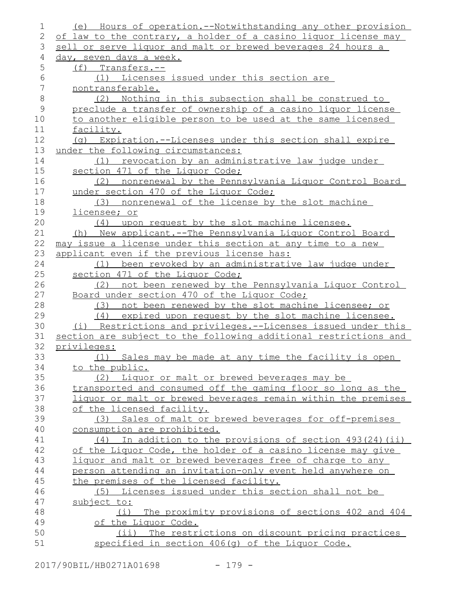| 1              | (e) Hours of operation.--Notwithstanding any other provision     |
|----------------|------------------------------------------------------------------|
| $\overline{2}$ | of law to the contrary, a holder of a casino liquor license may  |
| 3              | sell or serve liquor and malt or brewed beverages 24 hours a     |
| 4              | day, seven days a week.                                          |
| 5              | $(f)$ Transfers.--                                               |
| 6              | (1) Licenses issued under this section are                       |
| 7              | nontransferable.                                                 |
| $\,8\,$        | (2) Nothing in this subsection shall be construed to             |
| $\mathsf 9$    | preclude a transfer of ownership of a casino liquor license      |
| 10             | to another eligible person to be used at the same licensed       |
| 11             | facility.                                                        |
| 12             | (g) Expiration.--Licenses under this section shall expire        |
| 13             | under the following circumstances:                               |
| 14             | revocation by an administrative law judge under<br>(1)           |
| 15             | section 471 of the Liquor Code;                                  |
| 16             | (2) nonrenewal by the Pennsylvania Liquor Control Board          |
| 17             | under section 470 of the Liquor Code;                            |
| 18             | (3) nonrenewal of the license by the slot machine                |
| 19             | licensee; or                                                     |
| 20             | (4) upon request by the slot machine licensee.                   |
| 21             | New applicant.--The Pennsylvania Liquor Control Board<br>(h)     |
| 22             | may issue a license under this section at any time to a new      |
| 23             | applicant even if the previous license has:                      |
| 24             | (1) been revoked by an administrative law judge under            |
| 25             | section 471 of the Liquor Code;                                  |
| 26             | not been renewed by the Pennsylvania Liquor Control<br>(2)       |
| 27             | Board under section 470 of the Liquor Code;                      |
| 28             | not been renewed by the slot machine licensee; or<br>(3)         |
| 29             | expired upon request by the slot machine licensee.<br>(4)        |
| 30             | (i) Restrictions and privileges.--Licenses issued under this     |
| 31             | section are subject to the following additional restrictions and |
| 32             | privileges:                                                      |
| 33             | (1) Sales may be made at any time the facility is open           |
| 34             | to the public.                                                   |
| 35             | (2) Liquor or malt or brewed beverages may be                    |
| 36             | transported and consumed off the gaming floor so long as the     |
| 37             | liquor or malt or brewed beverages remain within the premises    |
| 38             | of the licensed facility.                                        |
| 39             | (3) Sales of malt or brewed beverages for off-premises           |
| 40             | consumption are prohibited.                                      |
| 41             | $(4)$ In addition to the provisions of section 493(24)(ii)       |
| 42             | of the Liquor Code, the holder of a casino license may give      |
| 43             | liquor and malt or brewed beverages free of charge to any        |
| 44             | person attending an invitation-only event held anywhere on       |
| 45             | the premises of the licensed facility.                           |
| 46             | (5) Licenses issued under this section shall not be              |
| 47             | subject to:                                                      |
| 48             | The proximity provisions of sections 402 and 404<br>(i)          |
| 49             | of the Liquor Code.                                              |
| 50             | (ii) The restrictions on discount pricing practices              |
| 51             | specified in section 406(q) of the Liquor Code.                  |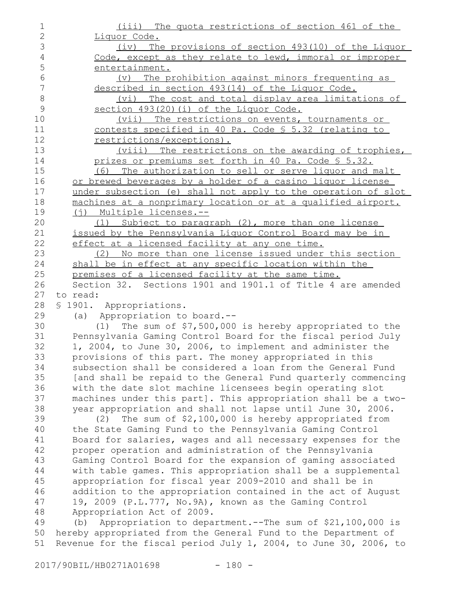| $\mathbf 1$    | (iii) The quota restrictions of section 461 of the                 |
|----------------|--------------------------------------------------------------------|
| $\mathbf{2}$   | Liquor Code.                                                       |
| 3              | (iv) The provisions of section 493(10) of the Liquor               |
| $\overline{4}$ | Code, except as they relate to lewd, immoral or improper           |
| 5              | entertainment.                                                     |
| $\epsilon$     | The prohibition against minors frequenting as<br>$(\triangledown)$ |
| $\overline{7}$ | described in section 493(14) of the Liquor Code.                   |
| 8              | (vi) The cost and total display area limitations of                |
| $\mathcal{G}$  | section 493(20)(i) of the Liquor Code.                             |
| 10             | (vii) The restrictions on events, tournaments or                   |
| 11             | contests specified in 40 Pa. Code § 5.32 (relating to              |
| 12             | restrictions/exceptions).                                          |
| 13             | (viii) The restrictions on the awarding of trophies,               |
| 14             | prizes or premiums set forth in 40 Pa. Code § 5.32.                |
| 15             | (6) The authorization to sell or serve liquor and malt             |
| 16             | or brewed beverages by a holder of a casino liguor license         |
| 17             | under subsection (e) shall not apply to the operation of slot      |
| 18             | machines at a nonprimary location or at a qualified airport.       |
| 19             | (i) Multiple licenses.--                                           |
| 20             | (1) Subject to paragraph (2), more than one license                |
| 21             | issued by the Pennsylvania Liquor Control Board may be in          |
| 22             | effect at a licensed facility at any one time.                     |
| 23             | (2) No more than one license issued under this section             |
| 24             | shall be in effect at any specific location within the             |
| 25             | premises of a licensed facility at the same time.                  |
| 26             | Section 32. Sections 1901 and 1901.1 of Title 4 are amended        |
| 27             | to read:                                                           |
| 28             | \$1901. Appropriations.                                            |
| 29             | (a) Appropriation to board.--                                      |
| 30             | (1) The sum of $$7,500,000$ is hereby appropriated to the          |
| 31             | Pennsylvania Gaming Control Board for the fiscal period July       |
| 32             | 1, 2004, to June 30, 2006, to implement and administer the         |
| 33             | provisions of this part. The money appropriated in this            |
| 34             | subsection shall be considered a loan from the General Fund        |
| 35             | [and shall be repaid to the General Fund quarterly commencing      |
| 36             | with the date slot machine licensees begin operating slot          |
| 37             | machines under this part]. This appropriation shall be a two-      |
| 38             | year appropriation and shall not lapse until June 30, 2006.        |
| 39             | The sum of \$2,100,000 is hereby appropriated from<br>(2)          |
| 40             | the State Gaming Fund to the Pennsylvania Gaming Control           |
| 41             | Board for salaries, wages and all necessary expenses for the       |
| 42             | proper operation and administration of the Pennsylvania            |
| 43             | Gaming Control Board for the expansion of gaming associated        |
| 44             | with table games. This appropriation shall be a supplemental       |
| 45             | appropriation for fiscal year 2009-2010 and shall be in            |
| 46             | addition to the appropriation contained in the act of August       |
| 47             | 19, 2009 (P.L.777, No.9A), known as the Gaming Control             |
| 48             | Appropriation Act of 2009.                                         |
| 49             | Appropriation to department.--The sum of \$21,100,000 is<br>(b)    |
| 50             | hereby appropriated from the General Fund to the Department of     |
| 51             | Revenue for the fiscal period July 1, 2004, to June 30, 2006, to   |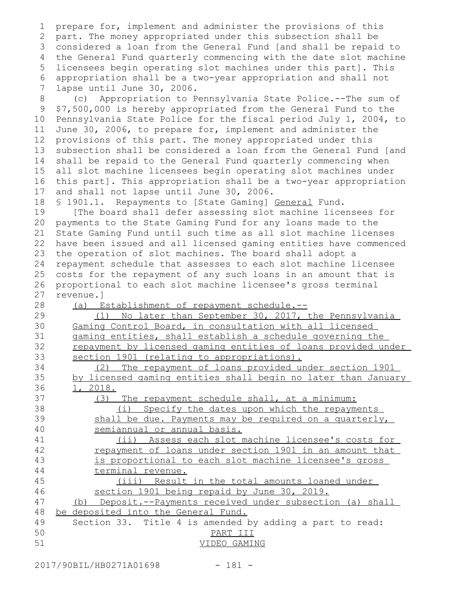prepare for, implement and administer the provisions of this part. The money appropriated under this subsection shall be considered a loan from the General Fund [and shall be repaid to 3 the General Fund quarterly commencing with the date slot machine 4 5 licensees begin operating slot machines under this part]. This appropriation shall be a two-year appropriation and shall not lapse until June 30, 2006. (c) Appropriation to Pennsylvania State Police.--The sum of \$7,500,000 is hereby appropriated from the General Fund to the Pennsylvania State Police for the fiscal period July 1, 2004, to June 30, 2006, to prepare for, implement and administer the provisions of this part. The money appropriated under this subsection shall be considered a loan from the General Fund [and shall be repaid to the General Fund quarterly commencing when all slot machine licensees begin operating slot machines under this part]. This appropriation shall be a two-year appropriation and shall not lapse until June 30, 2006. § 1901.1. Repayments to [State Gaming] General Fund. [The board shall defer assessing slot machine licensees for payments to the State Gaming Fund for any loans made to the State Gaming Fund until such time as all slot machine licenses have been issued and all licensed gaming entities have commenced the operation of slot machines. The board shall adopt a repayment schedule that assesses to each slot machine licensee costs for the repayment of any such loans in an amount that is proportional to each slot machine licensee's gross terminal revenue.] (a) Establishment of repayment schedule.-- (1) No later than September 30, 2017, the Pennsylvania Gaming Control Board, in consultation with all licensed gaming entities, shall establish a schedule governing the repayment by licensed gaming entities of loans provided under section 1901 (relating to appropriations). (2) The repayment of loans provided under section 1901 by licensed gaming entities shall begin no later than January 1, 2018. (3) The repayment schedule shall, at a minimum: (i) Specify the dates upon which the repayments shall be due. Payments may be required on a quarterly, semiannual or annual basis. (ii) Assess each slot machine licensee's costs for repayment of loans under section 1901 in an amount that is proportional to each slot machine licensee's gross terminal revenue. (iii) Result in the total amounts loaned under section 1901 being repaid by June 30, 2019. (b) Deposit.--Payments received under subsection (a) shall be deposited into the General Fund. Section 33.Title 4 is amended by adding a part to read: PART III VIDEO GAMING 1 2 6 7 8 9 10 11 12 13 14 15 16 17 18 19 20 21 22 23 24 25 26 27 28 29 30 31 32 33 34 35 36 37 38 39 40 41 42 43 44 45 46 47 48 49 50 51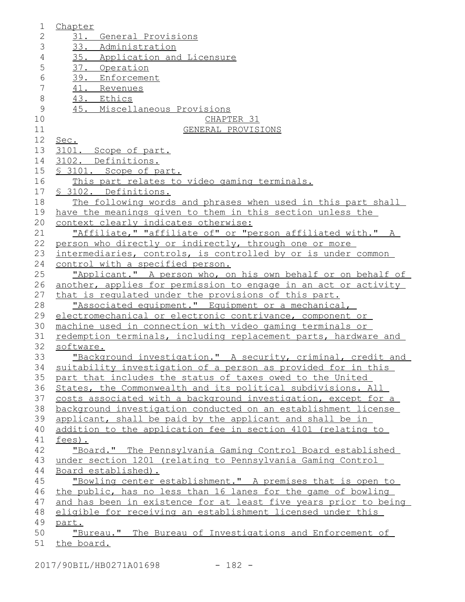| $\mathbf 1$    | Chapter                                                                                                                        |
|----------------|--------------------------------------------------------------------------------------------------------------------------------|
| $\mathbf{2}$   | 31. General Provisions                                                                                                         |
| 3              | 33. Administration                                                                                                             |
| $\sqrt{4}$     | 35. Application and Licensure                                                                                                  |
| 5              | 37. Operation                                                                                                                  |
| $\sqrt{6}$     | 39. Enforcement                                                                                                                |
| $\overline{7}$ | 41. Revenues                                                                                                                   |
| $\,8\,$        | 43. Ethics                                                                                                                     |
| $\mathcal{G}$  | 45. Miscellaneous Provisions                                                                                                   |
| 10             | CHAPTER 31                                                                                                                     |
| 11             | GENERAL PROVISIONS                                                                                                             |
| 12             | Sec.                                                                                                                           |
| 13             | 3101. Scope of part.                                                                                                           |
| 14             | 3102. Definitions.                                                                                                             |
| 15             | \$ 3101. Scope of part.                                                                                                        |
| 16             | This part relates to video gaming terminals.                                                                                   |
| 17             | § 3102. Definitions.                                                                                                           |
| 18             | The following words and phrases when used in this part shall                                                                   |
| 19             | have the meanings given to them in this section unless the                                                                     |
| 20             | context clearly indicates otherwise:                                                                                           |
| 21             | "Affiliate," "affiliate of" or "person affiliated with." A                                                                     |
| 22             | person who directly or indirectly, through one or more                                                                         |
| 23             | intermediaries, controls, is controlled by or is under common                                                                  |
| 24             | control with a specified person.                                                                                               |
| 25             | "Applicant." A person who, on his own behalf or on behalf of                                                                   |
| 26             | another, applies for permission to engage in an act or activity                                                                |
| 27             | that is requlated under the provisions of this part.                                                                           |
| 28             | "Associated equipment." Equipment or a mechanical,                                                                             |
| 29             | electromechanical or electronic contrivance, component or                                                                      |
| 30             | machine used in connection with video gaming terminals or                                                                      |
| 31             | redemption terminals, including replacement parts, hardware and                                                                |
| 32             | software.                                                                                                                      |
| 33             | "Background investigation." A security, criminal, credit and                                                                   |
| 34             | suitability investigation of a person as provided for in this                                                                  |
| 35             | part that includes the status of taxes owed to the United                                                                      |
| 36<br>37       | States, the Commonwealth and its political subdivisions. All<br>costs associated with a background investigation, except for a |
| 38             | background investigation conducted on an establishment license                                                                 |
| 39             | applicant, shall be paid by the applicant and shall be in                                                                      |
| 40             | addition to the application fee in section 4101 (relating to                                                                   |
| 41             | fees).                                                                                                                         |
| 42             | "Board." The Pennsylvania Gaming Control Board established                                                                     |
| 43             | under section 1201 (relating to Pennsylvania Gaming Control                                                                    |
| 44             | Board established).                                                                                                            |
| 45             | "Bowling center establishment." A premises that is open to                                                                     |
| 46             | the public, has no less than 16 lanes for the game of bowling                                                                  |
| 47             | and has been in existence for at least five years prior to being                                                               |
| 48             | eligible for receiving an establishment licensed under this                                                                    |
| 49             | part.                                                                                                                          |
| 50             | "Bureau."<br>The Bureau of Investigations and Enforcement of                                                                   |
| 51             | the board.                                                                                                                     |
|                |                                                                                                                                |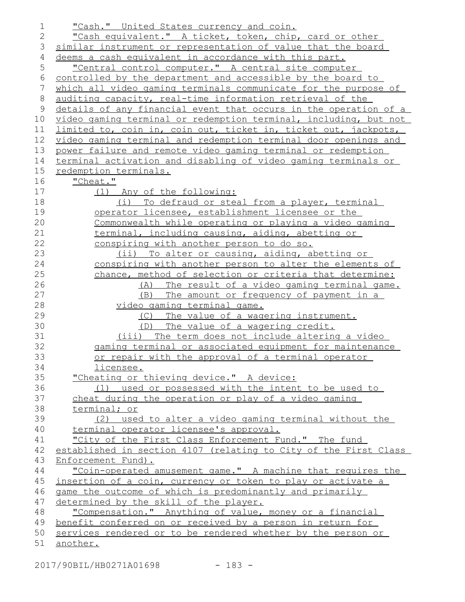| 1           | "Cash." United States currency and coin.                         |
|-------------|------------------------------------------------------------------|
| 2           | "Cash equivalent." A ticket, token, chip, card or other          |
| 3           | similar instrument or representation of value that the board     |
| 4           | deems a cash equivalent in accordance with this part.            |
| 5           | "Central control computer." A central site computer              |
| 6           | controlled by the department and accessible by the board to      |
| 7           | which all video gaming terminals communicate for the purpose of  |
| $8\,$       | auditing capacity, real-time information retrieval of the        |
| $\mathsf 9$ | details of any financial event that occurs in the operation of a |
| 10          | video gaming terminal or redemption terminal, including, but not |
| 11          | limited to, coin in, coin out, ticket in, ticket out, jackpots,  |
| 12          | video gaming terminal and redemption terminal door openings and  |
| 13          | power failure and remote video gaming terminal or redemption     |
| 14          | terminal activation and disabling of video gaming terminals or   |
| 15          | redemption terminals.                                            |
| 16          | "Cheat."                                                         |
| 17          | (1) Any of the following:                                        |
| 18          | (i) To defraud or steal from a player, terminal                  |
| 19          | operator_licensee, establishment_licensee_or_the_                |
| 20          | Commonwealth while operating or playing a video gaming           |
| 21          | terminal, including causing, aiding, abetting or                 |
| 22          | conspiring with another person to do so.                         |
| 23          | (ii) To alter or causing, aiding, abetting or                    |
| 24          | conspiring with another person to alter the elements of          |
| 25          | chance, method of selection or criteria that determine:          |
| 26          | (A) The result of a video gaming terminal game.                  |
| 27          | The amount or frequency of payment in a<br>(B)                   |
| 28          | <u>video qaminq terminal qame.</u>                               |
| 29          | The value of a wagering instrument.<br>(C)                       |
| 30          | The value of a wagering credit.<br>(D)                           |
| 31          | (iii) The term does not include altering a video                 |
| 32          | gaming terminal or associated equipment for maintenance          |
| 33          | or repair with the approval of a terminal operator               |
| 34          | licensee.                                                        |
| 35          | "Cheating or thieving device." A device:                         |
| 36          | (1) used or possessed with the intent to be used to              |
| 37          | cheat during the operation or play of a video gaming             |
| 38          | terminal; or                                                     |
| 39          | (2) used to alter a video gaming terminal without the            |
| 40          | terminal operator licensee's approval.                           |
| 41          | "City of the First Class Enforcement Fund." The fund             |
| 42          | established in section 4107 (relating to City of the First Class |
| 43          | Enforcement Fund).                                               |
| 44          | "Coin-operated amusement game." A machine that requires the      |
| 45          | insertion of a coin, currency or token to play or activate a     |
| 46          | game the outcome of which is predominantly and primarily         |
| 47          | determined by the skill of the player.                           |
| 48          | "Compensation." Anything of value, money or a financial          |
| 49          | benefit conferred on or received by a person in return for       |
| 50          | services rendered or to be rendered whether by the person or     |
| 51          | another.                                                         |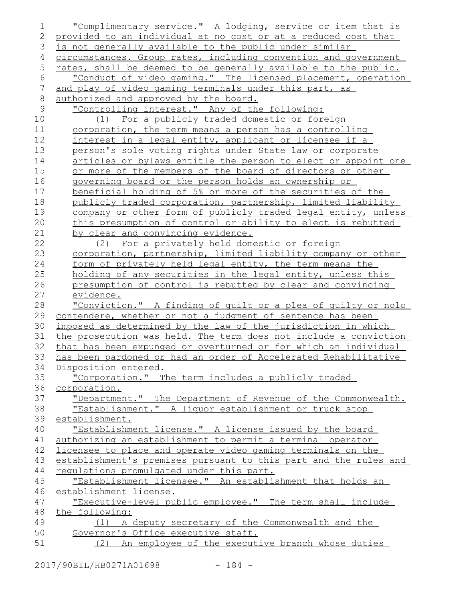| 1              | "Complimentary service." A lodging, service or item that is      |
|----------------|------------------------------------------------------------------|
| 2              | provided to an individual at no cost or at a reduced cost that   |
| 3              | is not generally available to the public under similar           |
| 4              | circumstances. Group rates, including convention and government  |
| 5              | rates, shall be deemed to be generally available to the public.  |
| 6              | "Conduct of video gaming." The licensed placement, operation     |
| $\overline{7}$ | and play of video gaming terminals under this part, as           |
| $\,8\,$        | authorized and approved by the board.                            |
| $\mathcal{G}$  | "Controlling interest." Any of the following:                    |
| 10             | (1) For a publicly traded domestic or foreign                    |
| 11             | corporation, the term means a person has a controlling           |
| 12             | interest in a legal entity, applicant or licensee if a           |
| 13             | person's sole voting rights under State law or corporate         |
| 14             | articles or bylaws entitle the person to elect or appoint one    |
| 15             | or more of the members of the board of directors or other        |
| 16             | governing board or the person holds an ownership or              |
| 17             | beneficial holding of 5% or more of the securities of the        |
| 18             | publicly traded corporation, partnership, limited liability      |
| 19             | company or other form of publicly traded legal entity, unless    |
| 20             | this presumption of control or ability to elect is rebutted      |
| 21             | by clear and convincing evidence.                                |
| 22             | (2) For a privately held domestic or foreign                     |
| 23             | corporation, partnership, limited liability company or other     |
| 24             | form of privately held legal entity, the term means the          |
| 25             | holding of any securities in the legal entity, unless this       |
| 26             | presumption of control is rebutted by clear and convincing       |
| 27             | evidence.                                                        |
| 28             | "Conviction." A finding of quilt or a plea of quilty or nolo     |
| 29             | contendere, whether or not a judgment of sentence has been       |
| 30             | imposed as determined by the law of the jurisdiction in which    |
| 31             | the prosecution was held. The term does not include a conviction |
| 32             | that has been expunged or overturned or for which an individual  |
| 33             | has been pardoned or had an order of Accelerated Rehabilitative  |
| 34             | Disposition entered.                                             |
| 35             | "Corporation." The term includes a publicly traded               |
| 36             | corporation.                                                     |
| 37             | "Department." The Department of Revenue of the Commonwealth.     |
| 38             | "Establishment." A liquor establishment or truck stop            |
| 39             | establishment.                                                   |
| 40             | "Establishment license." A license issued by the board           |
| 41             | authorizing an establishment to permit a terminal operator       |
| 42             | licensee to place and operate video gaming terminals on the      |
| 43             | establishment's premises pursuant to this part and the rules and |
| 44             | requlations promulgated under this part.                         |
| 45             | "Establishment licensee." An establishment that holds an         |
| 46             | establishment license.                                           |
| 47             | "Executive-level public employee." The term shall include        |
| 48             | the following:                                                   |
| 49             | (1) A deputy secretary of the Commonwealth and the               |
| 50             | Governor's Office executive staff.                               |
| 51             | (2) An employee of the executive branch whose duties             |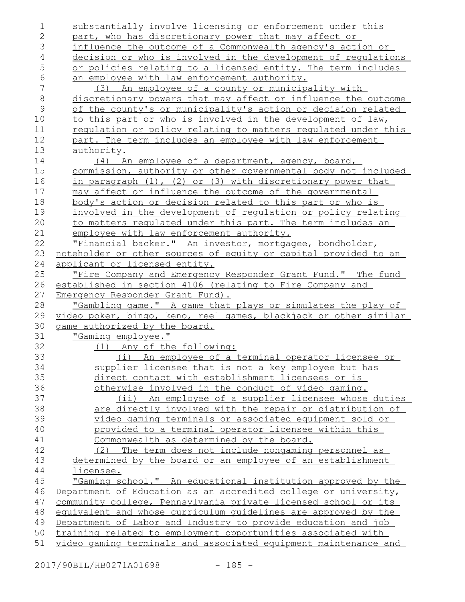| 1            | substantially involve licensing or enforcement under this        |
|--------------|------------------------------------------------------------------|
| $\mathbf{2}$ | part, who has discretionary power that may affect or             |
| 3            | influence the outcome of a Commonwealth agency's action or       |
| 4            | decision or who is involved in the development of requlations    |
| 5            | or policies relating to a licensed entity. The term includes     |
| $\epsilon$   | an employee with law enforcement authority.                      |
| 7            | An employee of a county or municipality with<br>(3)              |
| $\,8\,$      | discretionary powers that may affect or influence the outcome    |
| $\mathsf 9$  | of the county's or municipality's action or decision related     |
| 10           | to this part or who is involved in the development of law,       |
| 11           | regulation or policy relating to matters regulated under this    |
| 12           | part. The term includes an employee with law enforcement         |
| 13           | authority.                                                       |
| 14           | (4) An employee of a department, agency, board,                  |
| 15           | commission, authority or other governmental body not included    |
| 16           | in paragraph (1), (2) or (3) with discretionary power that       |
| 17           | may affect or influence the outcome of the governmental          |
| 18           | body's action or decision related to this part or who is         |
| 19           | involved in the development of requlation or policy relating     |
| 20           | to matters requlated under this part. The term includes an       |
| 21           | employee with law enforcement authority.                         |
| 22           | "Financial backer." An investor, mortgagee, bondholder,          |
| 23           | noteholder or other sources of equity or capital provided to an  |
| 24           | applicant or licensed entity.                                    |
| 25           | "Fire Company and Emergency Responder Grant Fund." The fund      |
| 26           | established in section 4106 (relating to Fire Company and        |
| 27           | Emergency Responder Grant Fund).                                 |
| 28           | "Gambling game." A game that plays or simulates the play of      |
| 29           | video poker, bingo, keno, reel games, blackjack or other similar |
| 30           | game authorized by the board.                                    |
| 31           | "Gaming employee."                                               |
| 32           | (1) Any of the following:                                        |
| 33           | (i) An employee of a terminal operator licensee or               |
| 34           | supplier licensee that is not a key employee but has             |
| 35           | direct contact with establishment licensees or is                |
| 36           | otherwise involved in the conduct of video gaming.               |
| 37           | An employee of a supplier licensee whose duties<br>$(i$ i)       |
| 38           | are directly involved with the repair or distribution of         |
| 39           | <u>video gaming terminals or associated equipment sold or</u>    |
| 40           | provided to a terminal operator licensee within this             |
| 41           | Commonwealth as determined by the board.                         |
| 42           | (2) The term does not include nongaming personnel as             |
| 43           | determined by the board or an employee of an establishment       |
| 44           | licensee.                                                        |
| 45           | "Gaming school." An educational institution approved by the      |
| 46           | Department of Education as an accredited college or university,  |
| 47           | community college, Pennsylvania private licensed school or its   |
| 48           | equivalent and whose curriculum quidelines are approved by the   |
| 49           | Department of Labor and Industry to provide education and job    |
| 50           | training related to employment opportunities associated with     |
| 51           | video gaming terminals and associated equipment maintenance and  |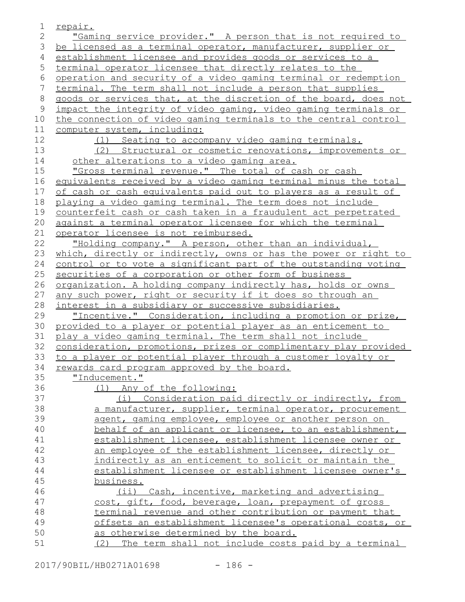| 1     | <u>repair.</u>                                                       |
|-------|----------------------------------------------------------------------|
| 2     | "Gaming service provider." A person that is not required to          |
| 3     | be licensed as a terminal operator, manufacturer, supplier or        |
| 4     | establishment licensee and provides goods or services to a           |
| 5     | terminal operator licensee that directly relates to the              |
| 6     | operation and security of a video gaming terminal or redemption      |
| 7     | terminal. The term shall not include a person that supplies          |
| $8\,$ | goods or services that, at the discretion of the board, does not     |
| 9     | impact the integrity of video gaming, video gaming terminals or      |
| 10    | the connection of video gaming terminals to the central control      |
| 11    | computer system, including:                                          |
| 12    | (1) Seating to accompany video gaming terminals.                     |
| 13    | (2) Structural or cosmetic renovations, improvements or              |
| 14    | other alterations to a video gaming area.                            |
| 15    | "Gross terminal revenue." The total of cash or cash                  |
| 16    | equivalents received by a video gaming terminal minus the total      |
| 17    | of cash or cash equivalents paid out to players as a result of       |
| 18    | playing a video gaming terminal. The term does not include           |
| 19    | counterfeit cash or cash taken in a fraudulent act perpetrated       |
| 20    | against a terminal operator licensee for which the terminal          |
| 21    | operator licensee is not reimbursed.                                 |
| 22    | "Holding company." A person, other than an individual,               |
| 23    | which, directly or indirectly, owns or has the power or right to     |
| 24    | control or to vote a significant part of the outstanding voting      |
| 25    | securities of a corporation or other form of business                |
| 26    | <u>organization. A holding company indirectly has, holds or owns</u> |
| 27    | <u>any such power, right or security if it does so through an</u>    |
| 28    | interest in a subsidiary or successive subsidiaries.                 |
| 29    | "Incentive." Consideration, including a promotion or prize,          |
| 30    | provided to a player or potential player as an enticement to         |
| 31    | play a video gaming terminal. The term shall not include             |
| 32    | consideration, promotions, prizes or complimentary play provided     |
| 33    | to a player or potential player through a customer loyalty or        |
| 34    | rewards card program approved by the board.                          |
| 35    | "Inducement."                                                        |
| 36    | (1) Any of the following:                                            |
| 37    | (i) Consideration paid directly or indirectly, from                  |
| 38    | a manufacturer, supplier, terminal operator, procurement             |
| 39    | agent, gaming employee, employee or another person on                |
| 40    | behalf of an applicant or licensee, to an establishment,             |
| 41    | establishment licensee, establishment licensee owner or              |
| 42    | an employee of the establishment licensee, directly or               |
| 43    | indirectly as an enticement to solicit or maintain the               |
| 44    | establishment licensee or establishment licensee owner's             |
| 45    | business.                                                            |
| 46    | Cash, incentive, marketing and advertising<br>$(i$ i)                |
| 47    | cost, gift, food, beverage, loan, prepayment of gross                |
| 48    | terminal revenue and other contribution or payment that              |
| 49    | offsets an establishment licensee's operational costs, or            |
| 50    | as otherwise determined by the board.                                |
| 51    | (2) The term shall not include costs paid by a terminal              |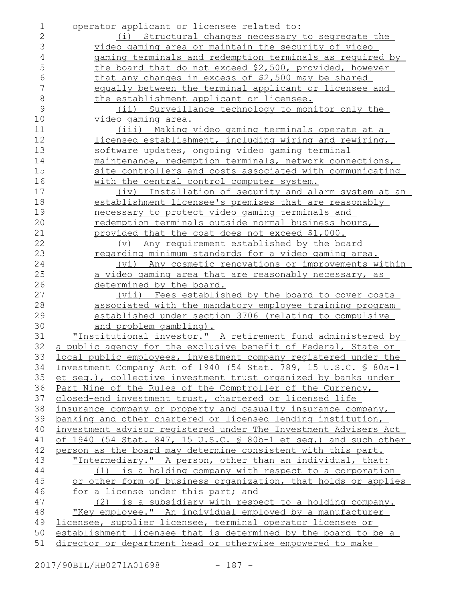| 1          | operator applicant or licensee related to:                                                                                      |
|------------|---------------------------------------------------------------------------------------------------------------------------------|
| 2          | (i) Structural changes necessary to segregate the                                                                               |
| 3          | video gaming area or maintain the security of video                                                                             |
| $\sqrt{4}$ | gaming terminals and redemption terminals as required by                                                                        |
| 5          | the board that do not exceed \$2,500, provided, however                                                                         |
| 6          | that any changes in excess of \$2,500 may be shared                                                                             |
| 7          | equally between the terminal applicant or licensee and                                                                          |
| $\,8\,$    | the establishment applicant or licensee.                                                                                        |
| 9          | (ii) Surveillance technology to monitor only the                                                                                |
| 10         | <u>video gaming area.</u>                                                                                                       |
| 11         | <u>(iii) Making video gaming terminals operate at a</u>                                                                         |
| 12         | licensed establishment, including wiring and rewiring,                                                                          |
| 13         | software updates, ongoing video gaming terminal                                                                                 |
| 14         | maintenance, redemption terminals, network connections,                                                                         |
| 15         | site controllers and costs associated with communicating                                                                        |
| 16         | with the central control computer system.                                                                                       |
| 17         | (iv) Installation of security and alarm system at an                                                                            |
| 18         | establishment licensee's premises that are reasonably                                                                           |
| 19         | necessary to protect video gaming terminals and                                                                                 |
| 20         | redemption terminals outside normal business hours,                                                                             |
| 21         | provided that the cost does not exceed \$1,000.                                                                                 |
| 22         | Any requirement established by the board<br>$(\triangledown)$                                                                   |
| 23         | regarding minimum standards for a video gaming area.                                                                            |
| 24         | (vi) Any cosmetic renovations or improvements within                                                                            |
| 25         | a video gaming area that are reasonably necessary, as                                                                           |
| 26         | determined by the board.                                                                                                        |
| 27         | (vii) Fees established by the board to cover costs                                                                              |
| 28         | associated with the mandatory employee training program                                                                         |
| 29         | established under section 3706 (relating to compulsive                                                                          |
| 30         | <u>and problem gambling).</u>                                                                                                   |
| 31         | "Institutional investor." A retirement fund administered by                                                                     |
| 32         | a public agency for the exclusive benefit of Federal, State or                                                                  |
| 33         | local public employees, investment company registered under the                                                                 |
| 34         | Investment Company Act of 1940 (54 Stat. 789, 15 U.S.C. § 80a-1                                                                 |
| 35         | et seq.), collective investment trust organized by banks under                                                                  |
| 36         | Part Nine of the Rules of the Comptroller of the Currency,                                                                      |
| 37         | closed-end investment trust, chartered or licensed life                                                                         |
| 38         | insurance company or property and casualty insurance company,                                                                   |
| 39<br>40   | banking and other chartered or licensed lending institution,<br>investment advisor registered under The Investment Advisers Act |
| 41         | of 1940 (54 Stat. 847, 15 U.S.C. § 80b-1 et seq.) and such other                                                                |
| 42         | person as the board may determine consistent with this part.                                                                    |
| 43         | "Intermediary." A person, other than an individual, that:                                                                       |
| 44         | (1) is a holding company with respect to a corporation                                                                          |
| 45         | or other form of business organization, that holds or applies                                                                   |
| 46         | for a license under this part; and                                                                                              |
| 47         | is a subsidiary with respect to a holding company.<br>(2)                                                                       |
| 48         | "Key employee." An individual employed by a manufacturer                                                                        |
| 49         | licensee, supplier licensee, terminal operator licensee or                                                                      |
| 50         | establishment licensee that is determined by the board to be a                                                                  |
| 51         | director or department head or otherwise empowered to make                                                                      |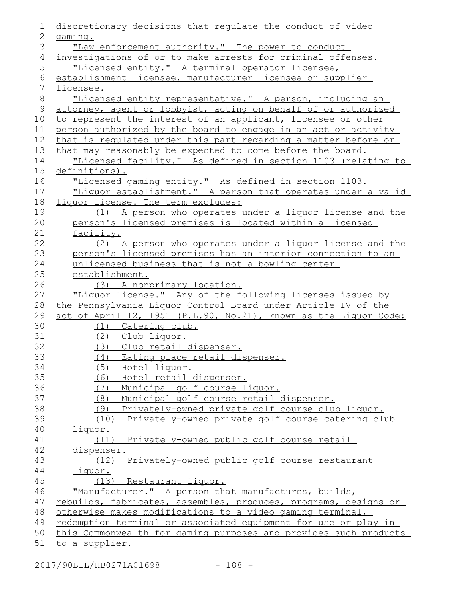| 1              | discretionary decisions that regulate the conduct of video       |
|----------------|------------------------------------------------------------------|
| 2              | gaming.                                                          |
| 3              | "Law enforcement authority." The power to conduct                |
| 4              | investigations of or to make arrests for criminal offenses.      |
| 5              | "Licensed entity." A terminal operator licensee,                 |
| $\epsilon$     | establishment licensee, manufacturer licensee or supplier        |
| $7\phantom{.}$ | licensee.                                                        |
| 8              | "Licensed entity representative." A person, including an         |
| 9              | attorney, agent or lobbyist, acting on behalf of or authorized   |
| 10             | to represent the interest of an applicant, licensee or other     |
| 11             | person authorized by the board to engage in an act or activity   |
| 12             | that is regulated under this part regarding a matter before or   |
| 13             | that may reasonably be expected to come before the board.        |
| 14             | "Licensed facility." As defined in section 1103 (relating to     |
| 15             | definitions).                                                    |
| 16             | "Licensed gaming entity." As defined in section 1103.            |
| 17             | "Liquor establishment." A person that operates under a valid     |
| 18             | liquor license. The term excludes:                               |
| 19             | (1) A person who operates under a liquor license and the         |
| 20             | person's licensed premises is located within a licensed          |
| 21             | facility.                                                        |
| 22             | (2) A person who operates under a liquor license and the         |
| 23             | person's licensed premises has an interior connection to an      |
| 24             | unlicensed business that is not a bowling center                 |
| 25             | establishment.                                                   |
| 26             | (3) A nonprimary location.                                       |
| 27             | "Liquor license." Any of the following licenses issued by        |
| 28             | the Pennsylvania Liquor Control Board under Article IV of the    |
| 29             | act of April 12, 1951 (P.L.90, No.21), known as the Liquor Code: |
| 30             | (1) Catering club.                                               |
| 31             | (2) Club liquor.                                                 |
| 32             | (3) Club retail dispenser.                                       |
| 33             | (4) Eating place retail dispenser.                               |
| 34             | Hotel liquor.<br>(5)                                             |
| 35             | Hotel retail dispenser.<br>(6)                                   |
| 36             | (7) Municipal golf course liquor.                                |
| 37             | (8) Municipal golf course retail dispenser.                      |
| 38             | Privately-owned private golf course club liquor.<br>(9)          |
| 39<br>40       | Privately-owned private golf course catering club<br>(10)        |
| 41             | liquor.<br>(11) Privately-owned public golf course retail        |
| 42             |                                                                  |
| 43             | dispenser.<br>Privately-owned public golf course restaurant      |
| 44             | (12)                                                             |
| 45             | <u>liquor.</u><br>(13) Restaurant liquor.                        |
| 46             | "Manufacturer." A person that manufactures, builds,              |
| 47             | rebuilds, fabricates, assembles, produces, programs, designs or  |
| 48             | otherwise makes modifications to a video gaming terminal,        |
| 49             | redemption terminal or associated equipment for use or play in   |
| 50             | this Commonwealth for gaming purposes and provides such products |
| 51             | to a supplier.                                                   |
|                |                                                                  |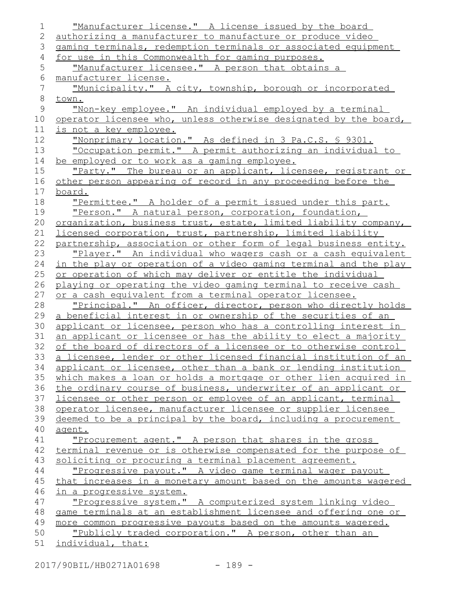| $\mathbf 1$   | "Manufacturer license." A license issued by the board               |
|---------------|---------------------------------------------------------------------|
| 2             | authorizing a manufacturer to manufacture or produce video          |
| 3             | gaming terminals, redemption terminals or associated equipment      |
| 4             | for use in this Commonwealth for gaming purposes.                   |
| 5             | "Manufacturer licensee." A person that obtains a                    |
| 6             | manufacturer license.                                               |
| 7             | "Municipality." A city, township, borough or incorporated           |
| $\,8\,$       | town.                                                               |
| $\mathcal{G}$ | <u>"Non-key employee." An individual employed by a terminal</u>     |
| 10            | operator licensee who, unless otherwise designated by the board,    |
| 11            | is not a key employee.                                              |
| 12            | "Nonprimary location." As defined in 3 Pa.C.S. § 9301.              |
| 13            | "Occupation permit." A permit authorizing an individual to          |
| 14            | be employed or to work as a gaming employee.                        |
| 15            | "Party." The bureau or an applicant, licensee, registrant or        |
| 16            | other person appearing of record in any proceeding before the       |
| 17            | board.                                                              |
| 18            | "Permittee." A holder of a permit issued under this part.           |
| 19            | "Person." A natural person, corporation, foundation,                |
| 20            | organization, business trust, estate, limited liability company,    |
| 21            | licensed corporation, trust, partnership, limited liability         |
| 22            | partnership, association or other form of legal business entity.    |
| 23            | <u>"Player." An individual who wagers cash or a cash equivalent</u> |
| 24            | in the play or operation of a video gaming terminal and the play    |
| 25            | or operation of which may deliver or entitle the individual         |
| 26            | playing or operating the video gaming terminal to receive cash      |
| 27            | or a cash equivalent from a terminal operator licensee.             |
| 28            | <u>"Principal." An officer, director, person who directly holds</u> |
| 29            | a beneficial interest in or ownership of the securities of an       |
| 30            | applicant or licensee, person who has a controlling interest in     |
| 31            | an applicant or licensee or has the ability to elect a majority     |
| 32            | of the board of directors of a licensee or to otherwise control     |
| 33            | a licensee, lender or other licensed financial institution of an    |
| 34            | applicant or licensee, other than a bank or lending institution     |
| 35            | which makes a loan or holds a mortgage or other lien acquired in    |
| 36            | the ordinary course of business, underwriter of an applicant or     |
| 37            | licensee or other person or employee of an applicant, terminal      |
| 38            | operator licensee, manufacturer licensee or supplier licensee       |
| 39            | deemed to be a principal by the board, including a procurement      |
| 40            | agent.                                                              |
| 41            | "Procurement agent." A person that shares in the gross              |
| 42            | terminal revenue or is otherwise compensated for the purpose of     |
| 43            | soliciting or procuring a terminal placement agreement.             |
| 44            | "Progressive payout." A video game terminal wager payout            |
| 45            | that increases in a monetary amount based on the amounts wagered    |
| 46            | <u>in a progressive system.</u>                                     |
| 47            | "Progressive system." A computerized system linking video           |
| 48            | game terminals at an establishment licensee and offering one or     |
| 49            | more common progressive payouts based on the amounts wagered.       |
| 50            | "Publicly traded corporation." A person, other than an              |
| 51            | individual, that:                                                   |
|               |                                                                     |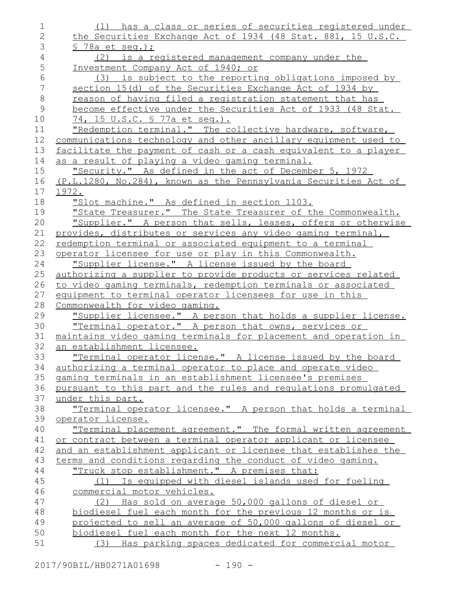| 1              | (1) has a class or series of securities registered under        |
|----------------|-----------------------------------------------------------------|
| $\mathbf{2}$   | the Securities Exchange Act of 1934 (48 Stat. 881, 15 U.S.C.    |
| 3              | $$78a$ et seq.);                                                |
| $\sqrt{4}$     | (2) is a registered management company under the                |
| 5              | Investment Company Act of 1940; or                              |
| $6\,$          | (3) is subject to the reporting obligations imposed by          |
| $\overline{7}$ | section 15(d) of the Securities Exchange Act of 1934 by         |
| $\,8\,$        | reason of having filed a registration statement that has        |
| $\mathsf{9}$   | become effective under the Securities Act of 1933 (48 Stat.     |
| 10             | 74, 15 U.S.C. § 77a et seq.).                                   |
| 11             | "Redemption terminal." The collective hardware, software,       |
| 12             | communications technology and other ancillary equipment used to |
| 13             | facilitate the payment of cash or a cash equivalent to a player |
| 14             | as a result of playing a video gaming terminal.                 |
| 15             | "Security." As defined in the act of December 5, 1972           |
| 16             | (P.L.1280, No.284), known as the Pennsylvania Securities Act of |
| 17             | 1972.                                                           |
| 18             | "Slot machine." As defined in section 1103.                     |
| 19             | "State Treasurer." The State Treasurer of the Commonwealth.     |
| 20             | "Supplier." A person that sells, leases, offers or otherwise    |
| 21             | provides, distributes or services any video gaming terminal,    |
| 22             | redemption terminal or associated equipment to a terminal       |
| 23             | operator licensee for use or play in this Commonwealth.         |
| 24             | "Supplier license." A license issued by the board               |
| 25             | authorizing a supplier to provide products or services related  |
| 26             | to video gaming terminals, redemption terminals or associated   |
| 27             | equipment to terminal operator licensees for use in this        |
| 28             | Commonwealth for video gaming.                                  |
| 29             | "Supplier licensee." A person that holds a supplier license.    |
| 30             | "Terminal operator." A person that owns, services or            |
| 31             | maintains video gaming terminals for placement and operation in |
| 32             | an establishment licensee.                                      |
| 33             | "Terminal operator license." A license issued by the board      |
| 34             | authorizing a terminal operator to place and operate video      |
| 35             | gaming terminals in an establishment licensee's premises        |
| 36             | pursuant to this part and the rules and regulations promulgated |
| 37             | under this part.                                                |
| 38             | "Terminal operator licensee." A person that holds a terminal    |
| 39             | operator license.                                               |
| 40             | "Terminal placement agreement." The formal written agreement    |
| 41             | or contract between a terminal operator applicant or licensee   |
| 42             | and an establishment applicant or licensee that establishes the |
| 43             | terms and conditions regarding the conduct of video gaming.     |
| 44             | "Truck stop establishment." A premises that:                    |
| 45             | (1) Is equipped with diesel islands used for fueling            |
| 46             | commercial motor vehicles.                                      |
| 47             | Has sold on average 50,000 gallons of diesel or<br>(2)          |
| 48             | biodiesel fuel each month for the previous 12 months or is      |
| 49             | projected to sell an average of 50,000 gallons of diesel or     |
| 50             | biodiesel fuel each month for the next 12 months.               |
| 51             | (3) Has parking spaces dedicated for commercial motor           |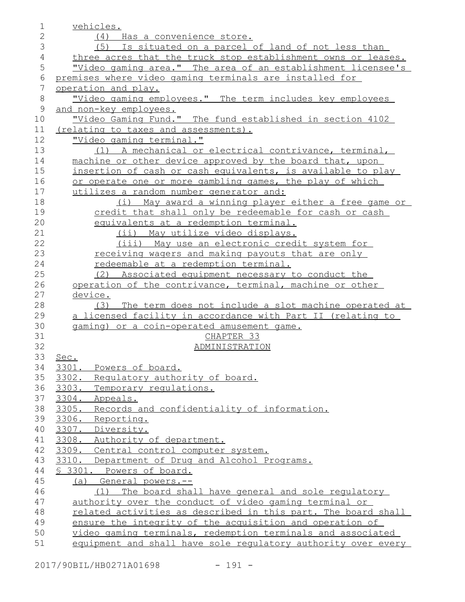| 1              | vehicles.                                                                                                               |
|----------------|-------------------------------------------------------------------------------------------------------------------------|
| $\overline{2}$ | (4) Has a convenience store.                                                                                            |
| 3              | Is situated on a parcel of land of not less than<br>(5)                                                                 |
| $\overline{4}$ | three acres that the truck stop establishment owns or leases.                                                           |
| 5              | <u>"Video gaming area." The area of an establishment licensee's</u>                                                     |
| 6              | premises where video gaming terminals are installed for                                                                 |
| 7              | operation and play.                                                                                                     |
| $8\,$          | "Video gaming employees." The term includes key employees                                                               |
| $\mathcal{G}$  | and non-key employees.                                                                                                  |
| 10             | "Video Gaming Fund." The fund established in section 4102                                                               |
| 11             | (relating to taxes and assessments).                                                                                    |
| 12             | "Video gaming terminal."                                                                                                |
| 13             | (1) A mechanical or electrical contrivance, terminal,                                                                   |
| 14             | machine or other device approved by the board that, upon                                                                |
| 15             | insertion of cash or cash equivalents, is available to play                                                             |
| 16             | or operate one or more gambling games, the play of which                                                                |
| 17             | utilizes a random number generator and:                                                                                 |
| 18             | May award a winning player either a free game or<br>(i)                                                                 |
| 19             | credit that shall only be redeemable for cash or cash                                                                   |
| 20             | equivalents at a redemption terminal.                                                                                   |
| 21             | (ii) May utilize video displays.                                                                                        |
| 22             | (iii) May use an electronic credit system for                                                                           |
| 23             | receiving wagers and making payouts that are only                                                                       |
| 24             | redeemable at a redemption terminal.                                                                                    |
| 25             | (2) Associated equipment necessary to conduct the                                                                       |
| 26             | operation of the contrivance, terminal, machine or other                                                                |
| 27             | device.                                                                                                                 |
| 28             | The term does not include a slot machine operated at<br>(3)                                                             |
| 29             | a licensed facility in accordance with Part II (relating to                                                             |
| 30             | gaming) or a coin-operated amusement game.                                                                              |
| 31             | CHAPTER 33                                                                                                              |
| 32             | ADMINISTRATION                                                                                                          |
| 33             | Sec.                                                                                                                    |
| 34             | 3301. Powers of board.                                                                                                  |
| 35             | 3302. Regulatory authority of board.                                                                                    |
| 36             | Temporary requlations.<br>3303.                                                                                         |
| 37             | 3304. Appeals.                                                                                                          |
| 38             | 3305. Records and confidentiality of information.                                                                       |
| 39             | 3306.<br>Reporting.                                                                                                     |
| 40             | 3307. Diversity.                                                                                                        |
| 41             | 3308. Authority of department.                                                                                          |
| 42             | 3309. Central control computer system.                                                                                  |
| 43             | 3310. Department of Drug and Alcohol Programs.                                                                          |
| 44             | § 3301. Powers of board.                                                                                                |
| 45             | (a) General powers.--                                                                                                   |
| 46             | (1) The board shall have general and sole regulatory                                                                    |
| 47<br>48       | authority over the conduct of video gaming terminal or<br>related activities as described in this part. The board shall |
| 49             | ensure the integrity of the acquisition and operation of                                                                |
| 50             | video gaming terminals, redemption terminals and associated                                                             |
| 51             | equipment and shall have sole requlatory authority over every                                                           |
|                |                                                                                                                         |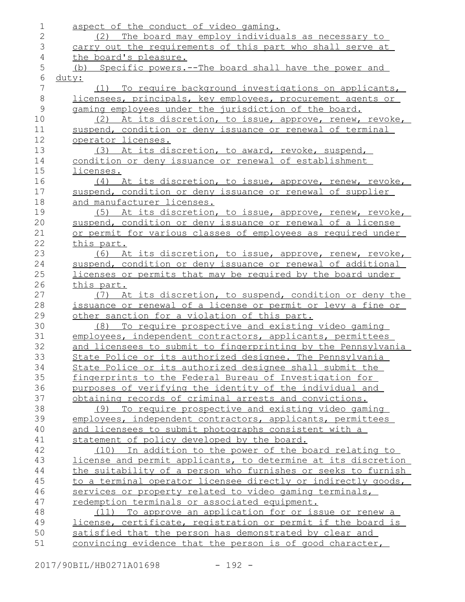| 1              | aspect of the conduct of video gaming.                        |
|----------------|---------------------------------------------------------------|
| 2              | (2) The board may employ individuals as necessary to          |
| 3              | carry out the requirements of this part who shall serve at    |
| 4              | the board's pleasure.                                         |
| 5              | (b) Specific powers.--The board shall have the power and      |
| $\epsilon$     | duty:                                                         |
| $\overline{7}$ | (1) To require background investigations on applicants,       |
| $8\,$          | licensees, principals, key employees, procurement agents or   |
| $\mathcal{G}$  | gaming employees under the jurisdiction of the board.         |
| 10             | (2) At its discretion, to issue, approve, renew, revoke,      |
| 11             | suspend, condition or deny issuance or renewal of terminal    |
| 12             | operator licenses.                                            |
| 13             | (3) At its discretion, to award, revoke, suspend,             |
| 14             | condition or deny issuance or renewal of establishment        |
| 15             | licenses.                                                     |
| 16             |                                                               |
| 17             | (4) At its discretion, to issue, approve, renew, revoke,      |
|                | suspend, condition or deny issuance or renewal of supplier    |
| 18             | and manufacturer licenses.                                    |
| 19             | (5) At its discretion, to issue, approve, renew, revoke,      |
| 20             | suspend, condition or deny issuance or renewal of a license   |
| 21             | or permit for various classes of employees as required under  |
| 22             | this part.                                                    |
| 23             | (6) At its discretion, to issue, approve, renew, revoke,      |
| 24             | suspend, condition or deny issuance or renewal of additional  |
| 25             | licenses or permits that may be required by the board under   |
| 26             | this part.                                                    |
| 27             | (7) At its discretion, to suspend, condition or deny the      |
| 28             | issuance or renewal of a license or permit or levy a fine or  |
| 29             | other sanction for a violation of this part.                  |
| 30             | To require prospective and existing video gaming<br>(8)       |
| 31             | employees, independent contractors, applicants, permittees    |
| 32             | and licensees to submit to fingerprinting by the Pennsylvania |
| 33             | State Police or its authorized designee. The Pennsylvania     |
| 34             | State Police or its authorized designee shall submit the      |
| 35             | fingerprints to the Federal Bureau of Investigation for       |
| 36             | purposes of verifying the identity of the individual and      |
| 37             | obtaining records of criminal arrests and convictions.        |
| 38             | (9) To require prospective and existing video gaming          |
| 39             | employees, independent contractors, applicants, permittees    |
| 40             | and licensees to submit photographs consistent with a         |
| 41             | statement of policy developed by the board.                   |
| 42             | (10) In addition to the power of the board relating to        |
| 43             | license and permit applicants, to determine at its discretion |
| 44             | the suitability of a person who furnishes or seeks to furnish |
| 45             | to a terminal operator licensee directly or indirectly goods, |
| 46             | services or property related to video gaming terminals,       |
| 47             | redemption terminals or associated equipment.                 |
| 48             | (11) To approve an application for or issue or renew a        |
| 49             | license, certificate, registration or permit if the board is  |
| 50             | satisfied that the person has demonstrated by clear and       |
| 51             | convincing evidence that the person is of good character,     |

2017/90BIL/HB0271A01698 - 192 -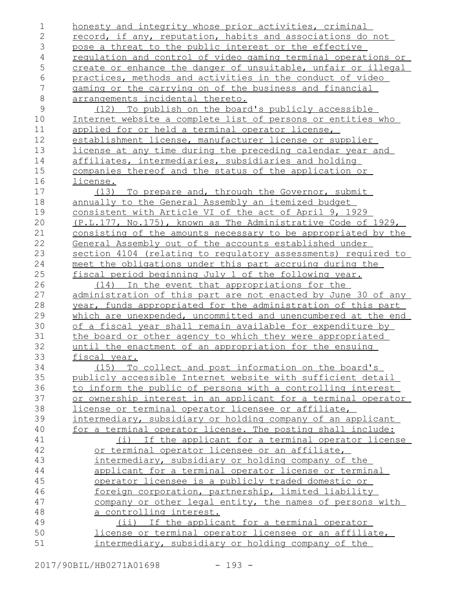honesty and integrity whose prior activities, criminal record, if any, reputation, habits and associations do not pose a threat to the public interest or the effective regulation and control of video gaming terminal operations or create or enhance the danger of unsuitable, unfair or illegal practices, methods and activities in the conduct of video gaming or the carrying on of the business and financial arrangements incidental thereto. (12) To publish on the board's publicly accessible Internet website a complete list of persons or entities who applied for or held a terminal operator license, establishment license, manufacturer license or supplier license at any time during the preceding calendar year and affiliates, intermediaries, subsidiaries and holding companies thereof and the status of the application or license. (13) To prepare and, through the Governor, submit annually to the General Assembly an itemized budget consistent with Article VI of the act of April 9, 1929 (P.L.177, No.175), known as The Administrative Code of 1929, consisting of the amounts necessary to be appropriated by the General Assembly out of the accounts established under section 4104 (relating to regulatory assessments) required to meet the obligations under this part accruing during the fiscal period beginning July 1 of the following year. (14) In the event that appropriations for the administration of this part are not enacted by June 30 of any year, funds appropriated for the administration of this part which are unexpended, uncommitted and unencumbered at the end of a fiscal year shall remain available for expenditure by the board or other agency to which they were appropriated until the enactment of an appropriation for the ensuing fiscal year. (15) To collect and post information on the board's publicly accessible Internet website with sufficient detail to inform the public of persons with a controlling interest or ownership interest in an applicant for a terminal operator license or terminal operator licensee or affiliate, intermediary, subsidiary or holding company of an applicant for a terminal operator license. The posting shall include: (i) If the applicant for a terminal operator license or terminal operator licensee or an affiliate, intermediary, subsidiary or holding company of the applicant for a terminal operator license or terminal operator licensee is a publicly traded domestic or foreign corporation, partnership, limited liability company or other legal entity, the names of persons with a controlling interest. (ii) If the applicant for a terminal operator license or terminal operator licensee or an affiliate, intermediary, subsidiary or holding company of the 1 2 3 4 5 6 7 8 9 10 11 12 13 14 15 16 17 18 19 20 21 22 23 24 25 26 27 28 29 30 31 32 33 34 35 36 37 38 39 40 41 42 43 44 45 46 47 48 49 50 51

2017/90BIL/HB0271A01698 - 193 -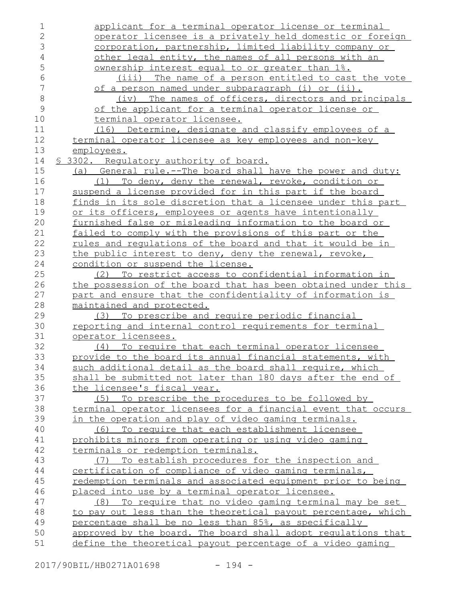| 1              | applicant for a terminal operator license or terminal           |
|----------------|-----------------------------------------------------------------|
| $\overline{2}$ | operator licensee is a privately held domestic or foreign       |
| 3              | corporation, partnership, limited liability company or          |
| $\sqrt{4}$     | other legal entity, the names of all persons with an            |
| 5              | ownership interest equal to or greater than 1%.                 |
| $\epsilon$     | The name of a person entitled to cast the vote<br>(iii)         |
| 7              | of a person named under subparagraph (i) or (ii).               |
| $\,8\,$        | The names of officers, directors and principals<br>(iv)         |
| 9              | of the applicant for a terminal operator license or             |
| 10             | terminal operator licensee.                                     |
| 11             | (16) Determine, designate and classify employees of a           |
| 12             | terminal operator licensee as key employees and non-key         |
| 13             | employees.                                                      |
| 14             | § 3302. Regulatory authority of board.                          |
| 15             | (a) General rule.--The board shall have the power and duty:     |
| 16             | (1) To deny, deny the renewal, revoke, condition or             |
| 17             | suspend a license provided for in this part if the board        |
| 18             | finds in its sole discretion that a licensee under this part    |
| 19             | or its officers, employees or agents have intentionally         |
| 20             | furnished false or misleading information to the board or       |
| 21             | failed to comply with the provisions of this part or the        |
| 22             | rules and requlations of the board and that it would be in      |
| 23             | the public interest to deny, deny the renewal, revoke,          |
| 24             | condition or suspend the license.                               |
| 25             | (2) To restrict access to confidential information in           |
| 26             | the possession of the board that has been obtained under this   |
| 27             | part and ensure that the confidentiality of information is      |
| 28             | maintained and protected.                                       |
| 29             | (3) To prescribe and require periodic financial                 |
| 30             | <u>reporting and internal control requirements for terminal</u> |
| 31             | operator licensees.                                             |
| 32             | (4) To require that each terminal operator licensee             |
| 33             | provide to the board its annual financial statements, with      |
| 34             | such additional detail as the board shall require, which        |
| 35             | shall be submitted not later than 180 days after the end of     |
| 36             | the licensee's fiscal year.                                     |
| 37             | (5) To prescribe the procedures to be followed by               |
| 38             | terminal operator licensees for a financial event that occurs   |
| 39             | in the operation and play of video gaming terminals.            |
| 40             | To require that each establishment licensee<br>(6)              |
| 41             | prohibits minors from operating or using video gaming           |
| 42             | terminals or redemption terminals.                              |
| 43             | To establish procedures for the inspection and<br>(7)           |
| 44             | certification of compliance of video gaming terminals,          |
| 45             | redemption terminals and associated equipment prior to being    |
| 46             | placed into use by a terminal operator licensee.                |
| 47             | To require that no video gaming terminal may be set<br>(8)      |
| 48             | to pay out less than the theoretical payout percentage, which   |
| 49             | percentage shall be no less than 85%, as specifically           |
| 50             | approved by the board. The board shall adopt regulations that   |
| 51             | define the theoretical payout percentage of a video gaming      |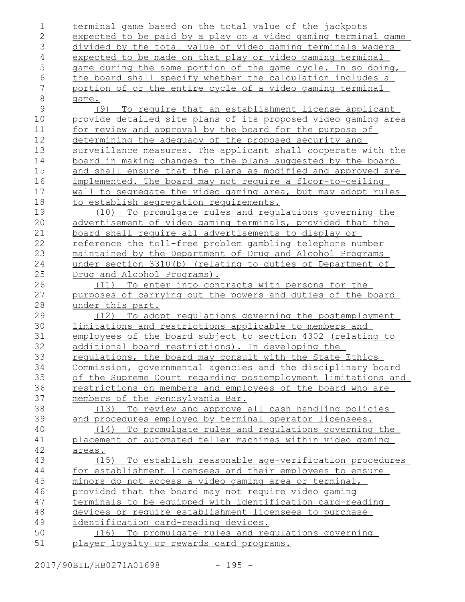| $\mathbf 1$    | terminal game based on the total value of the jackpots                                                           |
|----------------|------------------------------------------------------------------------------------------------------------------|
| $\overline{2}$ | expected to be paid by a play on a video gaming terminal game                                                    |
| 3              | divided by the total value of video gaming terminals wagers                                                      |
| $\sqrt{4}$     | expected to be made on that play or video gaming terminal                                                        |
| 5              | game during the same portion of the game cycle. In so doing,                                                     |
| $\epsilon$     | the board shall specify whether the calculation includes a                                                       |
| 7              | portion of or the entire cycle of a video gaming terminal                                                        |
| $\,8\,$        | game.                                                                                                            |
| $\mathcal{G}$  | (9) To require that an establishment license applicant                                                           |
| 10             | provide detailed site plans of its proposed video gaming area                                                    |
| 11             | for review and approval by the board for the purpose of                                                          |
| 12             | determining the adequacy of the proposed security and                                                            |
| 13             | surveillance measures. The applicant shall cooperate with the                                                    |
| 14             | board in making changes to the plans suggested by the board                                                      |
| 15             | and shall ensure that the plans as modified and approved are                                                     |
| 16             | implemented. The board may not require a floor-to-ceiling                                                        |
| 17             | wall to segregate the video gaming area, but may adopt rules                                                     |
| 18             | to establish segregation requirements.                                                                           |
| 19             | (10) To promulgate rules and regulations governing the                                                           |
| 20             | advertisement of video gaming terminals, provided that the                                                       |
| 21             | board shall require all advertisements to display or                                                             |
| 22             | reference the toll-free problem gambling telephone number                                                        |
| 23             | maintained by the Department of Drug and Alcohol Programs                                                        |
| 24             | under section 3310(b) (relating to duties of Department of                                                       |
| 25             | Drug and Alcohol Programs).                                                                                      |
| 26             | (11) To enter into contracts with persons for the                                                                |
| 27             | purposes of carrying out the powers and duties of the board                                                      |
| 28             | under this part.                                                                                                 |
| 29             | (12) To adopt regulations governing the postemployment                                                           |
| 30             | limitations and restrictions applicable to members and                                                           |
| 31             | employees of the board subject to section 4302 (relating to                                                      |
| 32             | additional board restrictions). In developing the                                                                |
| 33             | requlations, the board may consult with the State Ethics                                                         |
| 34             | Commission, governmental agencies and the disciplinary board                                                     |
| 35             | of the Supreme Court regarding postemployment limitations and                                                    |
| 36             | restrictions on members and employees of the board who are                                                       |
| 37             | members of the Pennsylvania Bar.                                                                                 |
| 38             |                                                                                                                  |
| 39             | (13) To review and approve all cash handling policies<br>and procedures employed by terminal operator licensees. |
|                |                                                                                                                  |
| 40             | (14) To promulgate rules and regulations governing the                                                           |
| 41             | placement of automated teller machines within video gaming                                                       |
| 42             | areas.                                                                                                           |
| 43             | (15) To establish reasonable age-verification procedures                                                         |
| 44             | for establishment licensees and their employees to ensure                                                        |
| 45             | minors do not access a video gaming area or terminal,                                                            |
| 46             | provided that the board may not require video gaming                                                             |
| 47             | terminals to be equipped with identification card-reading                                                        |
| 48             | devices or require establishment licensees to purchase                                                           |
| 49             | identification card-reading devices.                                                                             |
| 50             | (16) To promulgate rules and regulations governing                                                               |
| 51             | player loyalty or rewards card programs.                                                                         |

2017/90BIL/HB0271A01698 - 195 -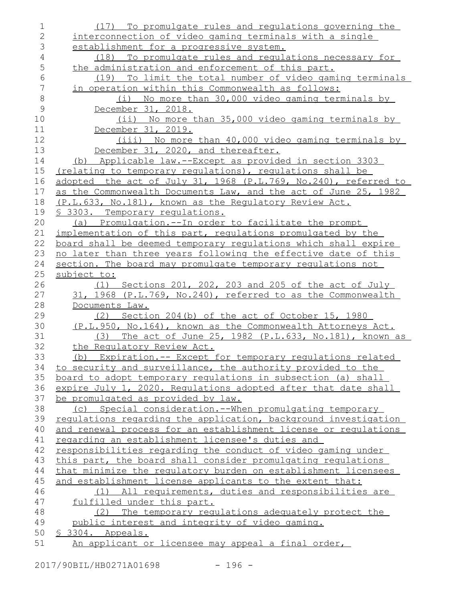| $\mathbf 1$    | (17) To promulgate rules and regulations governing the          |
|----------------|-----------------------------------------------------------------|
| $\overline{2}$ | interconnection of video gaming terminals with a single         |
| 3              | establishment for a progressive system.                         |
| $\overline{4}$ | (18) To promulgate rules and regulations necessary for          |
| 5              | the administration and enforcement of this part.                |
| 6              | To limit the total number of video gaming terminals<br>(19)     |
| $\overline{7}$ | in operation within this Commonwealth as follows:               |
| $\,8\,$        | (i) No more than 30,000 video gaming terminals by               |
| $\mathcal{G}$  | December 31, 2018.                                              |
| 10             | (ii) No more than 35,000 video gaming terminals by              |
| 11             | December 31, 2019.                                              |
| 12             | (iii) No more than 40,000 video gaming terminals by             |
| 13             | December 31, 2020, and thereafter.                              |
| 14             | (b) Applicable law.--Except as provided in section 3303         |
| 15             | (relating to temporary regulations), regulations shall be       |
| 16             | adopted the act of July 31, 1968 (P.L.769, No.240), referred to |
| 17             | as the Commonwealth Documents Law, and the act of June 25, 1982 |
| 18             | (P.L.633, No.181), known as the Requlatory Review Act.          |
| 19             | <u>S 3303. Temporary requlations.</u>                           |
| 20             | (a) Promulgation.--In order to facilitate the prompt            |
| 21             | implementation of this part, requlations promulgated by the     |
| 22             | board shall be deemed temporary regulations which shall expire  |
| 23             | no later than three years following the effective date of this  |
| 24             | section. The board may promulgate temporary regulations not     |
| 25             | subject to:                                                     |
| 26             | (1) Sections 201, 202, 203 and 205 of the act of July           |
| 27             | 31, 1968 (P.L.769, No.240), referred to as the Commonwealth     |
| 28             | Documents Law.                                                  |
| 29             | (2) Section 204(b) of the act of October 15, 1980               |
| 30             | (P.L.950, No.164), known as the Commonwealth Attorneys Act.     |
| 31             | (3) The act of June 25, 1982 (P.L.633, No.181), known as        |
| 32             | the Regulatory Review Act.                                      |
| 33             | (b) Expiration.-- Except for temporary regulations related      |
| 34             | to security and surveillance, the authority provided to the     |
| 35             | board to adopt temporary requlations in subsection (a) shall    |
| 36             | expire July 1, 2020. Requlations adopted after that date shall  |
| 37             | be promulgated as provided by law.                              |
| 38             | (c) Special consideration.--When promulgating temporary         |
| 39             | regulations regarding the application, background investigation |
| 40             | and renewal process for an establishment license or regulations |
| 41             | regarding an establishment licensee's duties and                |
| 42             | responsibilities regarding the conduct of video gaming under    |
| 43             | this part, the board shall consider promulgating requlations    |
| 44             | that minimize the requlatory burden on establishment licensees  |
| 45             | and establishment license applicants to the extent that:        |
| 46             | (1) All requirements, duties and responsibilities are           |
| 47             | fulfilled under this part.                                      |
| 48             | (2) The temporary regulations adequately protect the            |
| 49             | public interest and integrity of video gaming.                  |
| 50             | \$ 3304. Appeals.                                               |
| 51             | An applicant or licensee may appeal a final order,              |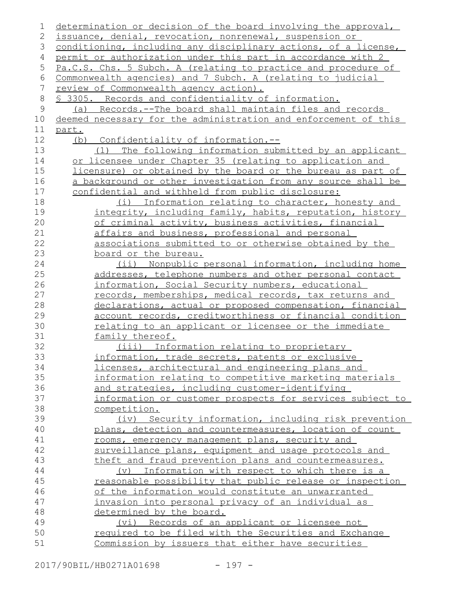| 1           | determination or decision of the board involving the approval,  |
|-------------|-----------------------------------------------------------------|
| 2           | issuance, denial, revocation, nonrenewal, suspension or         |
| 3           | conditioning, including any disciplinary actions, of a license, |
| 4           | permit or authorization under this part in accordance with 2    |
| 5           | Pa.C.S. Chs. 5 Subch. A (relating to practice and procedure of  |
| 6           | Commonwealth agencies) and 7 Subch. A (relating to judicial     |
| 7           | review of Commonwealth agency action).                          |
| 8           | § 3305. Records and confidentiality of information.             |
| $\mathsf 9$ | (a) Records.--The board shall maintain files and records        |
| 10          | deemed necessary for the administration and enforcement of this |
| 11          | part.                                                           |
| 12          | (b) Confidentiality of information.--                           |
| 13          | The following information submitted by an applicant<br>(1)      |
| 14          | or licensee under Chapter 35 (relating to application and       |
| 15          | licensure) or obtained by the board or the bureau as part of    |
| 16          | a background or other investigation from any source shall be    |
| 17          | confidential and withheld from public disclosure:               |
| 18          | (i) Information relating to character, honesty and              |
| 19          | integrity, including family, habits, reputation, history        |
| 20          | of criminal activity, business activities, financial            |
| 21          | affairs and business, professional and personal                 |
| 22          | associations submitted to or otherwise obtained by the          |
| 23          | board or the bureau.                                            |
| 24          | (ii) Nonpublic personal information, including home             |
| 25          | addresses, telephone numbers and other personal contact         |
| 26          | information, Social Security numbers, educational               |
| 27          | records, memberships, medical records, tax returns and          |
| 28          | declarations, actual or proposed compensation, financial        |
| 29          | account records, creditworthiness or financial condition        |
| 30          | relating to an applicant or licensee or the immediate           |
| 31          | family thereof.                                                 |
| 32          | (iii) Information relating to proprietary                       |
| 33          | information, trade secrets, patents or exclusive                |
| 34          | licenses, architectural and engineering plans and               |
| 35          | information relating to competitive marketing materials         |
| 36          | and strategies, including customer-identifying                  |
| 37          | information or customer prospects for services subject to       |
| 38          | competition.                                                    |
| 39          | (iv) Security information, including risk prevention            |
| 40          | plans, detection and countermeasures, location of count         |
| 41          | rooms, emergency management plans, security and                 |
| 42          | surveillance plans, equipment and usage protocols and           |
| 43          |                                                                 |
|             | theft and fraud prevention plans and countermeasures.           |
| 44          | (v) Information with respect to which there is a                |
| 45          | reasonable possibility that public release or inspection        |
| 46          | of the information would constitute an unwarranted              |
| 47          | invasion into personal privacy of an individual as              |
| 48          | determined by the board.                                        |
| 49          | (vi) Records of an applicant or licensee not                    |
| 50          | required to be filed with the Securities and Exchange           |
| 51          | Commission by issuers that either have securities               |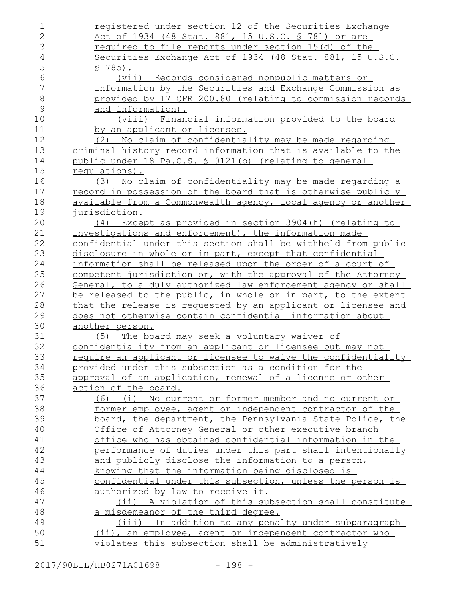| 1              | registered under section 12 of the Securities Exchange        |
|----------------|---------------------------------------------------------------|
| $\overline{2}$ | Act of 1934 (48 Stat. 881, 15 U.S.C. § 781) or are            |
| 3              | required to file reports under section 15(d) of the           |
| $\overline{4}$ | Securities Exchange Act of 1934 (48 Stat. 881, 15 U.S.C.      |
| 5              | $$780$ .                                                      |
| 6              | <u>(vii) Records considered nonpublic matters or</u>          |
| 7              | information by the Securities and Exchange Commission as      |
| 8              | provided by 17 CFR 200.80 (relating to commission records     |
| 9              | and information).                                             |
| 10             | (viii) Financial information provided to the board            |
| 11             | by an applicant or licensee.                                  |
| 12             | (2) No claim of confidentiality may be made regarding         |
| 13             | criminal history record information that is available to the  |
| 14             | public under 18 Pa.C.S. § 9121(b) (relating to general        |
| 15             | requlations).                                                 |
| 16             | (3) No claim of confidentiality may be made regarding a       |
| 17             | record in possession of the board that is otherwise publicly  |
| 18             | available from a Commonwealth agency, local agency or another |
| 19             | jurisdiction.                                                 |
| 20             | Except as provided in section 3904(h) (relating to<br>(4)     |
| 21             | investigations and enforcement), the information made         |
| 22             | confidential under this section shall be withheld from public |
| 23             | disclosure in whole or in part, except that confidential      |
| 24             | information shall be released upon the order of a court of    |
| 25             | competent jurisdiction or, with the approval of the Attorney  |
| 26             | General, to a duly authorized law enforcement agency or shall |
| 27             | be released to the public, in whole or in part, to the extent |
| 28             | that the release is requested by an applicant or licensee and |
| 29             | does not otherwise contain confidential information about     |
| 30             | another person.                                               |
| 31             | The board may seek a voluntary waiver of<br>(5)               |
| 32             | confidentiality from an applicant or licensee but may not     |
| 33             | require an applicant or licensee to waive the confidentiality |
| 34             | provided under this subsection as a condition for the         |
| 35             | approval of an application, renewal of a license or other     |
| 36             | action of the board.                                          |
| 37             | (6) (i) No current or former member and no current or         |
| 38             | former employee, agent or independent contractor of the       |
| 39             | board, the department, the Pennsylvania State Police, the     |
| 40             | Office of Attorney General or other executive branch          |
| 41             | office who has obtained confidential information in the       |
| 42             | performance of duties under this part shall intentionally     |
| 43             | and publicly disclose the information to a person,            |
| 44             | knowing that the information being disclosed is               |
| 45             | confidential under this subsection, unless the person is      |
| 46             | authorized by law to receive it.                              |
| 47             | (ii) A violation of this subsection shall constitute          |
| 48             | a misdemeanor of the third degree.                            |
| 49             | (iii) In addition to any penalty under subparagraph           |
| 50             | (ii), an employee, agent or independent contractor who        |
| 51             | violates this subsection shall be administratively            |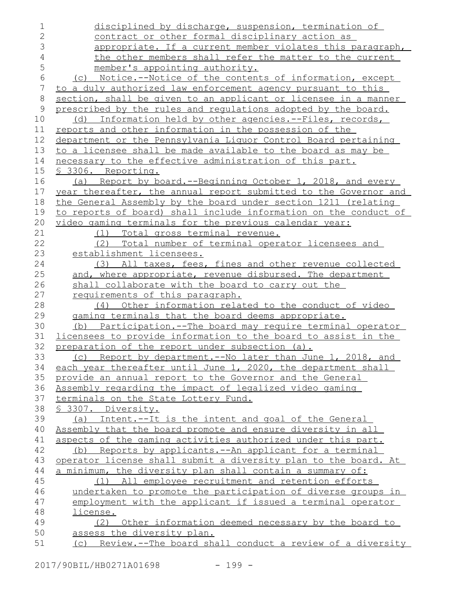| 1              | disciplined by discharge, suspension, termination of             |
|----------------|------------------------------------------------------------------|
| $\overline{2}$ | contract or other formal disciplinary action as                  |
| 3              | appropriate. If a current member violates this paragraph,        |
| 4              | the other members shall refer the matter to the current          |
| 5              | member's appointing authority.                                   |
| 6              | Notice.--Notice of the contents of information, except<br>(C)    |
| 7              | to a duly authorized law enforcement agency pursuant to this     |
| $\,8\,$        | section, shall be given to an applicant or licensee in a manner  |
| $\mathsf{9}$   | prescribed by the rules and regulations adopted by the board.    |
| 10             | (d) Information held by other agencies.--Files, records,         |
| 11             | reports and other information in the possession of the           |
| 12             | department or the Pennsylvania Liquor Control Board pertaining   |
| 13             | to a licensee shall be made available to the board as may be     |
| 14             | necessary to the effective administration of this part.          |
| 15             | § 3306. Reporting.                                               |
| 16             | (a) Report by board.--Beginning October 1, 2018, and every       |
| 17             | year thereafter, the annual report submitted to the Governor and |
| 18             | the General Assembly by the board under section 1211 (relating   |
| 19             | to reports of board) shall include information on the conduct of |
| 20             | video gaming terminals for the previous calendar year:           |
| 21             | Total gross terminal revenue.<br>(1)                             |
| 22             | Total number of terminal operator licensees and<br>(2)           |
| 23             | establishment licensees.                                         |
| 24             | (3) All taxes, fees, fines and other revenue collected           |
| 25             | and, where appropriate, revenue disbursed. The department        |
| 26             | shall collaborate with the board to carry out the                |
| 27             | requirements of this paragraph.                                  |
| 28             | Other information related to the conduct of video<br>(4)         |
| 29             | gaming terminals that the board deems appropriate.               |
| 30             | (b) Participation.--The board may require terminal operator      |
| 31             | licensees to provide information to the board to assist in the   |
| 32             | preparation of the report under subsection (a).                  |
| 33             | (c) Report by department.--No later than June 1, 2018, and       |
| 34             | each year thereafter until June 1, 2020, the department shall    |
| 35             | provide an annual report to the Governor and the General         |
| 36             | Assembly regarding the impact of legalized video gaming          |
| 37             | terminals on the State Lottery Fund.                             |
| 38             | § 3307. Diversity.                                               |
| 39             | (a) Intent.--It is the intent and goal of the General            |
| 40             | Assembly that the board promote and ensure diversity in all      |
| 41             | aspects of the gaming activities authorized under this part.     |
| 42             | (b) Reports by applicants. -- An applicant for a terminal        |
| 43             | operator license shall submit a diversity plan to the board. At  |
| 44             | a minimum, the diversity plan shall contain a summary of:        |
| 45             | (1) All employee recruitment and retention efforts               |
| 46             | undertaken to promote the participation of diverse groups in     |
| 47             | employment with the applicant if issued a terminal operator      |
| 48             | license.                                                         |
| 49             | (2) Other information deemed necessary by the board to           |
| 50             | assess the diversity plan.                                       |
| 51             | (c) Review.--The board shall conduct a review of a diversity     |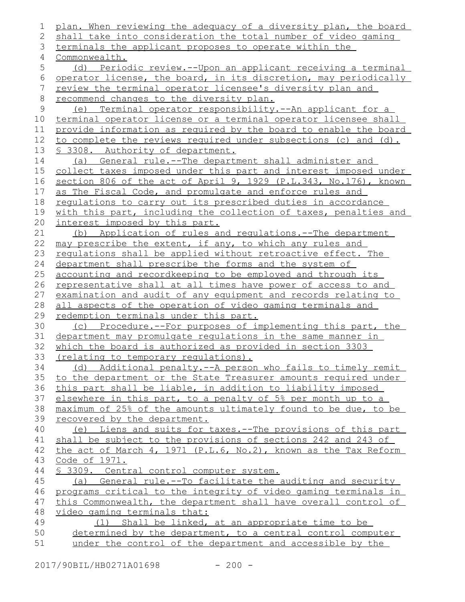```
plan. When reviewing the adequacy of a diversity plan, the board
   shall take into consideration the total number of video gaming
   terminals the applicant proposes to operate within the
   Commonwealth.
       (d) Periodic review.--Upon an applicant receiving a terminal
   operator license, the board, in its discretion, may periodically
   review the terminal operator licensee's diversity plan and
   recommend changes to the diversity plan.
       (e) Terminal operator responsibility.--An applicant for a
   terminal operator license or a terminal operator licensee shall
   provide information as required by the board to enable the board
   to complete the reviews required under subsections (c) and (d).
   § 3308. Authority of department.
       (a) General rule.--The department shall administer and
   collect taxes imposed under this part and interest imposed under
   section 806 of the act of April 9, 1929 (P.L.343, No.176), known
   as The Fiscal Code, and promulgate and enforce rules and
   regulations to carry out its prescribed duties in accordance
   with this part, including the collection of taxes, penalties and
   interest imposed by this part.
      (b) Application of rules and regulations.--The department
   may prescribe the extent, if any, to which any rules and
   regulations shall be applied without retroactive effect. The
   department shall prescribe the forms and the system of
   accounting and recordkeeping to be employed and through its
   representative shall at all times have power of access to and
   examination and audit of any equipment and records relating to
   all aspects of the operation of video gaming terminals and
   redemption terminals under this part.
       (c) Procedure.--For purposes of implementing this part, the
   department may promulgate regulations in the same manner in
   which the board is authorized as provided in section 3303
   (relating to temporary regulations).
       (d) Additional penalty.--A person who fails to timely remit
   to the department or the State Treasurer amounts required under
   this part shall be liable, in addition to liability imposed
   elsewhere in this part, to a penalty of 5% per month up to a
   maximum of 25% of the amounts ultimately found to be due, to be
   recovered by the department.
       (e) Liens and suits for taxes.--The provisions of this part
   shall be subject to the provisions of sections 242 and 243 of
   the act of March 4, 1971 (P.L.6, No.2), known as the Tax Reform
   Code of 1971.
   § 3309. Central control computer system.
      (a) General rule.--To facilitate the auditing and security
   programs critical to the integrity of video gaming terminals in
   this Commonwealth, the department shall have overall control of
   video gaming terminals that:
          (1) Shall be linked, at an appropriate time to be
      determined by the department, to a central control computer
      under the control of the department and accessible by the
1
2
3
 4
 5
 6
7
8
9
10
11
12
13
14
15
16
17
18
19
20
21
22
23
24
25
26
27
28
29
30
31
32
33
34
35
36
37
38
39
40
41
42
43
44
45
46
47
48
49
50
51
```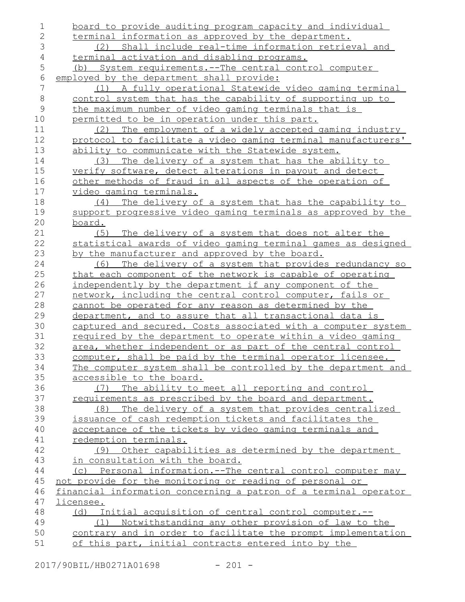| 1              | board to provide auditing program capacity and individual          |
|----------------|--------------------------------------------------------------------|
| 2              | terminal information as approved by the department.                |
| 3              | Shall include real-time information retrieval and<br>(2)           |
| $\overline{4}$ | <u>terminal activation and disabling programs.</u>                 |
| 5              | System requirements. -- The central control computer<br>(b)        |
| $\epsilon$     | employed by the department shall provide:                          |
| 7              | (1) A fully operational Statewide video gaming terminal            |
| $\,8\,$        | control system that has the capability of supporting up to         |
| $\mathcal{G}$  | the maximum number of video gaming terminals that is               |
| 10             | permitted to be in operation under this part.                      |
| 11             | (2) The employment of a widely accepted gaming industry            |
| 12             | protocol to facilitate a video gaming terminal manufacturers'      |
| 13             | ability to communicate with the Statewide system.                  |
| 14             | The delivery of a system that has the ability to<br>(3)            |
| 15             | verify software, detect alterations in payout and detect           |
| 16             | other methods of fraud in all aspects of the operation of          |
| 17             | video gaming terminals.                                            |
| 18             | The delivery of a system that has the capability to<br>(4)         |
| 19             | support progressive video gaming terminals as approved by the      |
| 20             | board.                                                             |
| 21             | (5) The delivery of a system that does not alter the               |
| 22             | statistical awards of video gaming terminal games as designed      |
| 23             | by the manufacturer and approved by the board.                     |
| 24             | The delivery of a system that provides redundancy so<br>(6)        |
| 25             | that each component of the network is capable of operating         |
| 26             | independently by the department if any component of the            |
| 27             | network, including the central control computer, fails or          |
| 28             | cannot be operated for any reason as determined by the             |
| 29             | department, and to assure that all transactional data is           |
| 30             | captured and secured. Costs associated with a computer system      |
| 31             | <u>required by the department to operate within a video gaming</u> |
| 32             | area, whether independent or as part of the central control        |
| 33             | computer, shall be paid by the terminal operator licensee.         |
| 34             | The computer system shall be controlled by the department and      |
| 35             | accessible to the board.                                           |
| 36             | The ability to meet all reporting and control<br>(7)               |
| 37             | requirements as prescribed by the board and department.            |
| 38             | The delivery of a system that provides centralized<br>(8)          |
| 39             | issuance of cash redemption tickets and facilitates the            |
| 40             | acceptance of the tickets by video gaming terminals and            |
| 41             | redemption terminals.                                              |
| 42             | (9) Other capabilities as determined by the department             |
| 43             | in consultation with the board.                                    |
| 44             | (c) Personal information.--The central control computer may        |
| 45             | not provide for the monitoring or reading of personal or           |
| 46             | financial information concerning a patron of a terminal operator   |
| 47             | licensee.                                                          |
| 48             | Initial acquisition of central control computer.--<br>(d)          |
| 49             | (1) Notwithstanding any other provision of law to the              |
| 50             | contrary and in order to facilitate the prompt implementation      |
| 51             | of this part, initial contracts entered into by the                |

2017/90BIL/HB0271A01698 - 201 -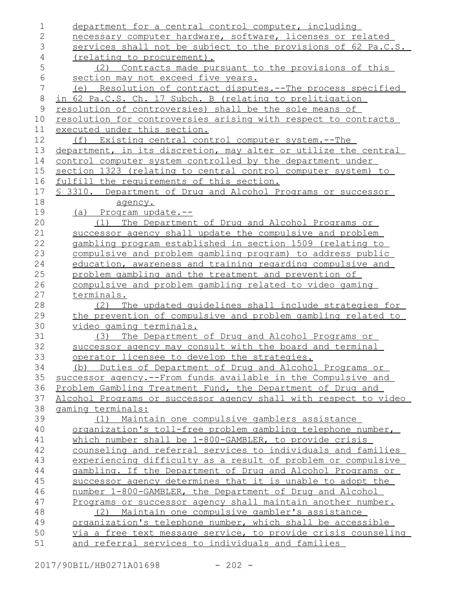| $\mathbf 1$    | department for a central control computer, including             |
|----------------|------------------------------------------------------------------|
| $\overline{2}$ | necessary computer hardware, software, licenses or related       |
| 3              | services shall not be subject to the provisions of 62 Pa.C.S.    |
| $\overline{4}$ | (relating to procurement).                                       |
| 5              | (2) Contracts made pursuant to the provisions of this            |
| $\epsilon$     | section may not exceed five years.                               |
| $\overline{7}$ | (e) Resolution of contract disputes.--The process specified      |
| $\,8\,$        | in 62 Pa.C.S. Ch. 17 Subch. B (relating to prelitigation         |
| 9              | resolution of controversies) shall be the sole means of          |
| 10             | resolution for controversies arising with respect to contracts   |
| 11             | executed under this section.                                     |
| 12             | (f) Existing central control computer system.--The               |
| 13             | department, in its discretion, may alter or utilize the central  |
| 14             | control computer system controlled by the department under       |
| 15             | section 1323 (relating to central control computer system) to    |
| 16             | fulfill the requirements of this section.                        |
| 17             | \$ 3310. Department of Drug and Alcohol Programs or successor    |
| 18             | agency.                                                          |
| 19             | (a) Program update.--                                            |
| 20             | The Department of Drug and Alcohol Programs or<br>(1)            |
| 21             | successor agency shall update the compulsive and problem         |
| 22             | gambling program established in section 1509 (relating to        |
| 23             | compulsive and problem gambling program) to address public       |
| 24             | education, awareness and training regarding compulsive and       |
| 25             | problem gambling and the treatment and prevention of             |
| 26             | compulsive and problem gambling related to video gaming          |
| 27             | terminals.                                                       |
| 28             | The updated quidelines shall include strategies for<br>(2)       |
| 29             | the prevention of compulsive and problem gambling related to     |
| 30             | video gaming terminals.                                          |
| 31             | (3) The Department of Drug and Alcohol Programs or               |
| 32             | successor agency may consult with the board and terminal         |
| 33             | operator licensee to develop the strategies.                     |
| 34             | (b) Duties of Department of Drug and Alcohol Programs or         |
| 35             | successor agency.--From funds available in the Compulsive and    |
| 36             | Problem Gambling Treatment Fund, the Department of Drug and      |
| 37             | Alcohol Programs or successor agency shall with respect to video |
| 38             | gaming terminals:                                                |
| 39             | Maintain one compulsive gamblers assistance<br>(1)               |
| 40             | organization's toll-free problem gambling telephone number,      |
| 41             | which number shall be 1-800-GAMBLER, to provide crisis           |
| 42             | counseling and referral services to individuals and families     |
| 43             | experiencing difficulty as a result of problem or compulsive     |
| 44             | gambling. If the Department of Drug and Alcohol Programs or      |
| 45             | successor agency determines that it is unable to adopt the       |
| 46             | number 1-800-GAMBLER, the Department of Drug and Alcohol         |
| 47             | Programs or successor agency shall maintain another number.      |
| 48             | (2) Maintain one compulsive gambler's assistance                 |
| 49             | organization's telephone number, which shall be accessible       |
| 50             | via a free text message service, to provide crisis counseling    |
| 51             | and referral services to individuals and families                |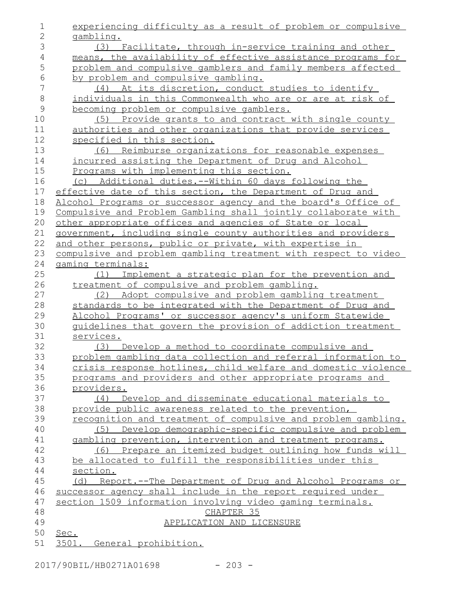| 1              | experiencing difficulty as a result of problem or compulsive            |
|----------------|-------------------------------------------------------------------------|
| $\overline{2}$ | gambling.                                                               |
| 3              | (3) Facilitate, through in-service training and other                   |
| $\overline{4}$ | means, the availability of effective assistance programs for            |
| 5              | problem and compulsive gamblers and family members affected             |
| 6              | by problem and compulsive gambling.                                     |
| 7              | (4) At its discretion, conduct studies to identify                      |
| $\,8\,$        | individuals in this Commonwealth who are or are at risk of              |
| $\mathsf{9}$   | becoming problem or compulsive gamblers.                                |
| 10             | (5) Provide grants to and contract with single county                   |
| 11             | authorities and other organizations that provide services               |
| 12             | specified in this section.                                              |
| 13             | (6) Reimburse organizations for reasonable expenses                     |
| 14             | incurred assisting the Department of Drug and Alcohol                   |
| 15             | Programs with implementing this section.                                |
| 16             | (c) Additional duties.--Within 60 days following the                    |
| 17             | effective date of this section, the Department of Drug and              |
| 18             | Alcohol Programs or successor agency and the board's Office of          |
| 19             | Compulsive and Problem Gambling shall jointly collaborate with          |
| 20             | other appropriate offices and agencies of State or local                |
| 21             | government, including single county authorities and providers           |
| 22             | and other persons, public or private, with expertise in                 |
| 23             | compulsive and problem gambling treatment with respect to video         |
| 24             | gaming terminals:                                                       |
| 25             | Implement a strategic plan for the prevention and<br>(1)                |
| 26             | treatment of compulsive and problem gambling.                           |
| 27             | (2) Adopt compulsive and problem gambling treatment                     |
| 28             | standards to be integrated with the Department of Drug and              |
| 29             | Alcohol Programs' or successor agency's uniform Statewide               |
| 30             | guidelines that govern the provision of addiction treatment             |
| 31             | services.                                                               |
| 32             | (3) Develop a method to coordinate compulsive and                       |
| 33             | problem gambling data collection and referral information to            |
| 34<br>35       | crisis response hotlines, child welfare and domestic violence           |
| 36             | programs and providers and other appropriate programs and<br>providers. |
| 37             | (4) Develop and disseminate educational materials to                    |
| 38             | provide public awareness related to the prevention,                     |
| 39             | recognition and treatment of compulsive and problem gambling.           |
| 40             | Develop demographic-specific compulsive and problem<br>(5)              |
| 41             | gambling prevention, intervention and treatment programs.               |
| 42             | (6) Prepare an itemized budget outlining how funds will                 |
| 43             | be allocated to fulfill the responsibilities under this                 |
| 44             | section.                                                                |
| 45             | (d) Report.--The Department of Drug and Alcohol Programs or             |
| 46             | successor agency shall include in the report required under             |
| 47             | section 1509 information involving video gaming terminals.              |
| 48             | CHAPTER 35                                                              |
| 49             | APPLICATION AND LICENSURE                                               |
| 50             | Sec.                                                                    |
| 51             | 3501.<br>General prohibition.                                           |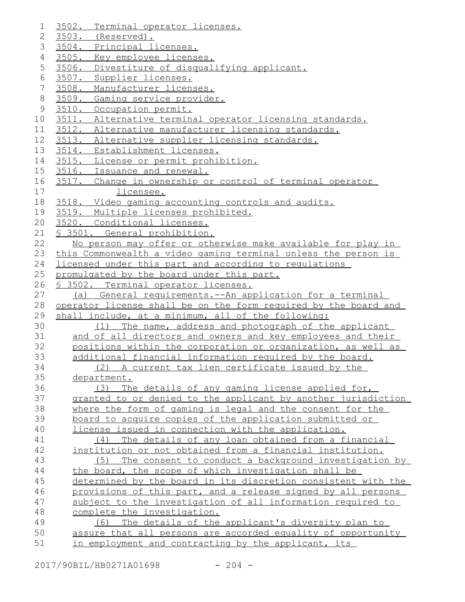| 1               | 3502.<br>Terminal operator licenses.                            |
|-----------------|-----------------------------------------------------------------|
| 2               | 3503. (Reserved).                                               |
| 3               | 3504. Principal licenses.                                       |
| 4               | 3505. Key employee licenses.                                    |
| 5               | 3506. Divestiture of disqualifying applicant.                   |
| 6               | 3507.<br>Supplier licenses.                                     |
| $7\phantom{.0}$ | 3508.<br>Manufacturer licenses.                                 |
| 8               | 3509. Gaming service provider.                                  |
| 9               | 3510.<br>Occupation permit.                                     |
| 10              | 3511. Alternative terminal operator licensing standards.        |
| 11              | 3512. Alternative manufacturer licensing standards.             |
| 12              | 3513. Alternative supplier licensing standards.                 |
| 13              | 3514. Establishment licenses.                                   |
| 14              | 3515. License or permit prohibition.                            |
| 15              | 3516. Issuance and renewal.                                     |
| 16              | 3517. Change in ownership or control of terminal operator       |
| 17              | licensee.                                                       |
| 18              | 3518. Video gaming accounting controls and audits.              |
| 19              | 3519. Multiple licenses prohibited.                             |
| 20              | 3520. Conditional licenses.                                     |
| 21              | § 3501. General prohibition.                                    |
| 22              | No person may offer or otherwise make available for play in     |
| 23              | this Commonwealth a video gaming terminal unless the person is  |
| 24              | licensed under this part and according to regulations           |
| 25              | promulgated by the board under this part.                       |
| 26              | § 3502. Terminal operator licenses.                             |
| 27              | (a) General requirements.--An application for a terminal        |
| 28              | operator license shall be on the form required by the board and |
| 29              | shall include, at a minimum, all of the following:              |
| 30              | (1) The name, address and photograph of the applicant           |
| 31              | and of all directors and owners and key employees and their     |
| 32              | positions within the corporation or organization, as well as    |
| 33              | additional financial information required by the board.         |
| 34              | (2) A current tax lien certificate issued by the                |
| 35              | department.                                                     |
| 36              | The details of any gaming license applied for,<br>(3)           |
| 37              | granted to or denied to the applicant by another jurisdiction   |
| 38              | where the form of gaming is legal and the consent for the       |
| 39              | board to acquire copies of the application submitted or         |
| 40              | license issued in connection with the application.              |
| 41              | The details of any loan obtained from a financial<br>(4)        |
| 42              | institution or not obtained from a financial institution.       |
| 43              | (5) The consent to conduct a background investigation by        |
| 44              | the board, the scope of which investigation shall be            |
| 45              | determined by the board in its discretion consistent with the   |
| 46              | provisions of this part, and a release signed by all persons    |
| 47              | subject to the investigation of all information required to     |
| 48              | complete the investigation.                                     |
| 49              | (6) The details of the applicant's diversity plan to            |
| 50              | assure that all persons are accorded equality of opportunity    |
| 51              | in employment and contracting by the applicant, its             |

2017/90BIL/HB0271A01698 - 204 -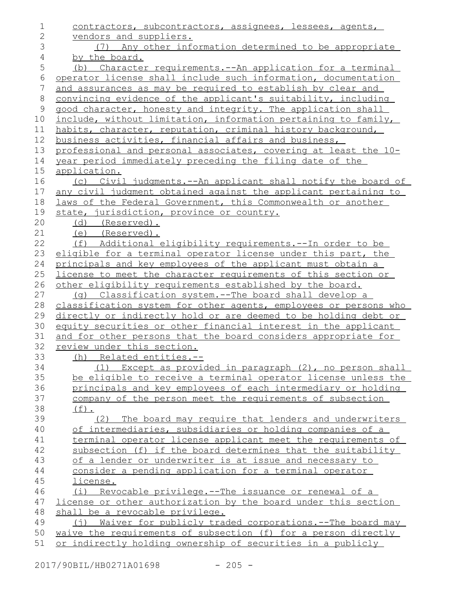| $\mathbf 1$    | contractors, subcontractors, assignees, lessees, agents,               |
|----------------|------------------------------------------------------------------------|
| $\mathbf{2}$   | vendors and suppliers.                                                 |
| 3              | (7) Any other information determined to be appropriate                 |
| $\sqrt{4}$     | by the board.                                                          |
| 5              | (b) Character requirements. -- An application for a terminal           |
| $\sqrt{6}$     | operator license shall include such information, documentation         |
| $\overline{7}$ | and assurances as may be required to establish by clear and            |
| $\,8\,$        | convincing evidence of the applicant's suitability, including          |
| $\mathsf 9$    | good character, honesty and integrity. The application shall           |
| 10             | include, without limitation, information pertaining to family,         |
| 11             | habits, character, reputation, criminal history background,            |
| 12             | business activities, financial affairs and business,                   |
| 13             | professional and personal associates, covering at least the 10-        |
| 14             | year period immediately preceding the filing date of the               |
| $15$           | application.                                                           |
| 16             | (c) Civil judgments.--An applicant shall notify the board of           |
| 17             | any civil judgment obtained against the applicant pertaining to        |
| 18             | laws of the Federal Government, this Commonwealth or another           |
| 19             | state, jurisdiction, province or country.                              |
| 20             | (d) (Reserved).                                                        |
| 21             | (e) (Reserved).                                                        |
| 22             | (f) Additional eligibility requirements.--In order to be               |
| 23             | eligible for a terminal operator license under this part, the          |
| 24             | principals and key employees of the applicant must obtain a            |
| 25             | license to meet the character requirements of this section or          |
| 26             | other eligibility requirements established by the board.               |
| 27             | (q) Classification system.--The board shall develop a                  |
| 28             | classification system for other agents, employees or persons who       |
| 29             | directly or indirectly hold or are deemed to be holding debt or        |
| 30             | equity securities or other financial interest in the applicant         |
| 31             | and for other persons that the board considers appropriate for         |
| 32             | review under this section.                                             |
| 33             | (h) Related entities.--                                                |
| 34             | (1) Except as provided in paragraph (2), no person shall               |
| 35             | be eligible to receive a terminal operator license unless the          |
| 36             | principals and key employees of each intermediary or holding           |
| 37             | company of the person meet the requirements of subsection              |
| 38             | $(f)$ .                                                                |
| 39             | (2) The board may require that lenders and underwriters                |
| 40             | of intermediaries, subsidiaries or holding companies of a              |
| 41             | terminal operator license applicant meet the requirements of           |
| 42             | subsection (f) if the board determines that the suitability            |
| 43             | of a lender or underwriter is at issue and necessary to                |
| 44             | consider a pending application for a terminal operator                 |
| 45             | license.                                                               |
| 46             | (i) Revocable privilege.--The issuance or renewal of a                 |
| 47             | license or other authorization by the board under this section         |
| 48             | shall be a revocable privilege.                                        |
| 49             | Waiver for publicly traded corporations.--The board may<br>$(\dagger)$ |
| 50             | waive the requirements of subsection (f) for a person directly         |
| 51             | or indirectly holding ownership of securities in a publicly            |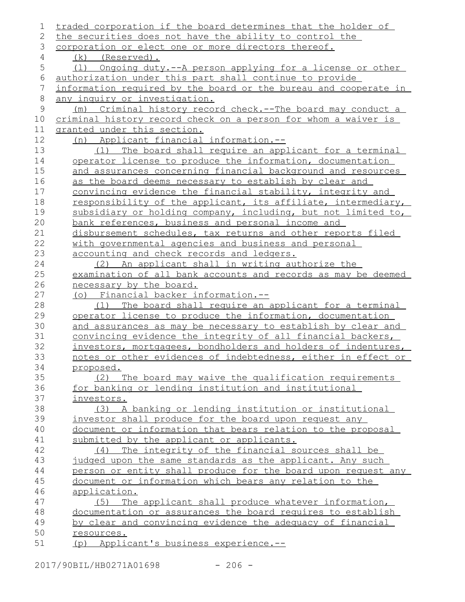| 1       | traded corporation if the board determines that the holder of    |
|---------|------------------------------------------------------------------|
| 2       | the securities does not have the ability to control the          |
| 3       | corporation or elect one or more directors thereof.              |
| 4       | $(k)$ (Reserved).                                                |
| 5       | Ongoing duty.--A person applying for a license or other<br>(1)   |
| 6       | authorization under this part shall continue to provide          |
| 7       | information required by the board or the bureau and cooperate in |
| $\,8\,$ | any inquiry or investigation.                                    |
| 9       | (m) Criminal history record check.--The board may conduct a      |
| 10      | criminal history record check on a person for whom a waiver is   |
| 11      | granted under this section.                                      |
| 12      | (n) Applicant financial information.--                           |
| 13      | The board shall require an applicant for a terminal<br>(1)       |
| 14      | operator license to produce the information, documentation       |
| 15      | and assurances concerning financial background and resources     |
| 16      | as the board deems necessary to establish by clear and           |
| 17      | convincing evidence the financial stability, integrity and       |
| 18      | responsibility of the applicant, its affiliate, intermediary,    |
| 19      | subsidiary or holding company, including, but not limited to,    |
| 20      | bank references, business and personal income and                |
| 21      | disbursement schedules, tax returns and other reports filed      |
| 22      | with governmental agencies and business and personal             |
| 23      | accounting and check records and ledgers.                        |
| 24      | (2) An applicant shall in writing authorize the                  |
| 25      | examination of all bank accounts and records as may be deemed    |
| 26      | necessary by the board.                                          |
| 27      | (o) Financial backer information.--                              |
| 28      | The board shall require an applicant for a terminal<br>(1)       |
| 29      | operator license to produce the information, documentation       |
| 30      | and assurances as may be necessary to establish by clear and     |
| 31      | convincing evidence the integrity of all financial backers,      |
| 32      | investors, mortgagees, bondholders and holders of indentures,    |
| 33      | notes or other evidences of indebtedness, either in effect or    |
| 34      | proposed.                                                        |
| 35      | (2) The board may waive the qualification requirements           |
| 36      | for banking or lending institution and institutional             |
| 37      | investors.                                                       |
| 38      | (3) A banking or lending institution or institutional            |
| 39      | investor shall produce for the board upon request any            |
| 40      | document or information that bears relation to the proposal      |
| 41      | submitted by the applicant or applicants.                        |
| 42      | The integrity of the financial sources shall be<br>(4)           |
| 43      | judged upon the same standards as the applicant. Any such        |
| 44      | person or entity shall produce for the board upon request any    |
| 45      | document or information which bears any relation to the          |
| 46      | application.                                                     |
| 47      | The applicant shall produce whatever information,<br>(5)         |
| 48      | documentation or assurances the board requires to establish      |
| 49      | by clear and convincing evidence the adequacy of financial       |
| 50      | resources.                                                       |
| 51      | (p) Applicant's business experience.--                           |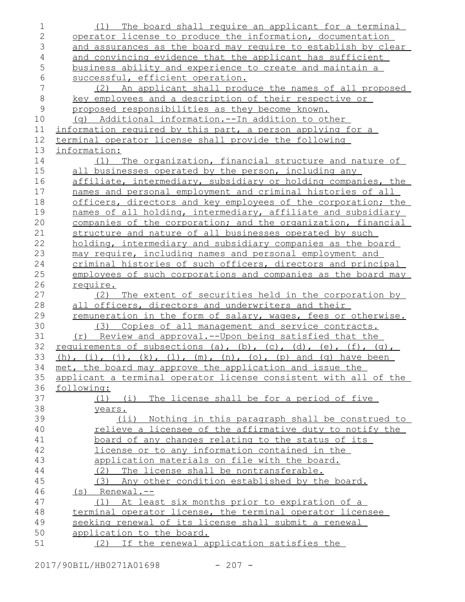| 1              | (1) The board shall require an applicant for a terminal                      |
|----------------|------------------------------------------------------------------------------|
| $\overline{2}$ | operator license to produce the information, documentation                   |
| 3              | and assurances as the board may require to establish by clear                |
| $\overline{4}$ | and convincing evidence that the applicant has sufficient                    |
| 5              | business ability and experience to create and maintain a                     |
| 6              | successful, efficient operation.                                             |
| 7              | (2) An applicant shall produce the names of all proposed                     |
| $\,8\,$        | key employees and a description of their respective or                       |
| $\mathcal{G}$  | proposed responsibilities as they become known.                              |
| 10             | (g) Additional information.--In addition to other                            |
| 11             | information required by this part, a person applying for a                   |
| 12             | terminal operator license shall provide the following                        |
| 13             | information:                                                                 |
| 14             | (1) The organization, financial structure and nature of                      |
| 15             | all businesses operated by the person, including any                         |
| 16             | affiliate, intermediary, subsidiary or holding companies, the                |
| 17             | names and personal employment and criminal histories of all                  |
| 18             | officers, directors and key employees of the corporation; the                |
| 19             | names of all holding, intermediary, affiliate and subsidiary                 |
| 20             | companies of the corporation; and the organization, financial                |
| 21             | structure and nature of all businesses operated by such                      |
| 22             | holding, intermediary and subsidiary companies as the board                  |
| 23             | may require, including names and personal employment and                     |
| 24             | criminal histories of such officers, directors and principal                 |
| 25             | employees of such corporations and companies as the board may                |
| 26             | <u>require.</u>                                                              |
|                |                                                                              |
| 27             | The extent of securities held in the corporation by<br>(2)                   |
| 28             | all officers, directors and underwriters and their                           |
| 29             | remuneration in the form of salary, wages, fees or otherwise.                |
| 30             | (3) Copies of all management and service contracts.                          |
| 31             | (r) Review and approval.--Upon being satisfied that the                      |
| 32             | requirements of subsections (a), (b), (c), (d), (e), (f), (q),               |
| 33             | (h), (i), (j), (k), (l), (m), (n), (o), (p) and (q) have been                |
| 34             | met, the board may approve the application and issue the                     |
| 35             | applicant a terminal operator license consistent with all of the             |
| 36             | following:                                                                   |
| 37             | (1) (i) The license shall be for a period of five                            |
| 38             | years.                                                                       |
| 39             | (ii) Nothing in this paragraph shall be construed to                         |
| 40             | relieve a licensee of the affirmative duty to notify the                     |
| 41             | board of any changes relating to the status of its                           |
| 42             | license or to any information contained in the                               |
| 43             | application materials on file with the board.                                |
| 44             | (2) The license shall be nontransferable.                                    |
| 45             | (3) Any other condition established by the board.                            |
| 46             | $(s)$ Renewal.--                                                             |
| 47             | At least six months prior to expiration of a<br>(1)                          |
| 48             | terminal operator license, the terminal operator licensee                    |
| 49             | seeking renewal of its license shall submit a renewal                        |
| 50<br>51       | application to the board.<br>If the renewal application satisfies the<br>(2) |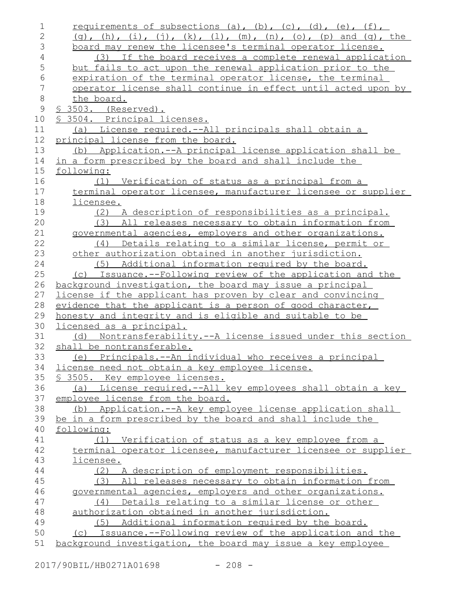| 1            | requirements of subsections (a), (b), (c), (d), (e), (f),        |
|--------------|------------------------------------------------------------------|
| $\mathbf{2}$ | $(g)$ , (h), (i), (j), (k), (l), (m), (n), (o), (p) and (q), the |
| 3            | board may renew the licensee's terminal operator license.        |
| 4            | (3) If the board receives a complete renewal application         |
| 5            | but fails to act upon the renewal application prior to the       |
| $\epsilon$   | expiration of the terminal operator license, the terminal        |
| 7            | operator license shall continue in effect until acted upon by    |
| $\,8\,$      | the board.                                                       |
| $\mathsf 9$  | <u>§ 3503. (Reserved).</u>                                       |
| 10           | § 3504. Principal licenses.                                      |
| 11           | (a) License required.--All principals shall obtain a             |
| 12           | principal license from the board.                                |
| 13           | (b) Application.--A principal license application shall be       |
| 14           | in a form prescribed by the board and shall include the          |
| 15           | following:                                                       |
| 16           | (1) Verification of status as a principal from a                 |
| 17           | terminal operator licensee, manufacturer licensee or supplier    |
| 18           | licensee.                                                        |
| 19           | (2) A description of responsibilities as a principal.            |
| 20           | All releases necessary to obtain information from<br>(3)         |
| 21           | governmental agencies, employers and other organizations.        |
| 22           | Details relating to a similar license, permit or<br>(4)          |
| 23           | other authorization obtained in another jurisdiction.            |
| 24           | (5) Additional information required by the board.                |
| 25           | (c) Issuance.--Following review of the application and the       |
| 26           | background investigation, the board may issue a principal        |
| 27           | license if the applicant has proven by clear and convincing      |
| 28           | evidence that the applicant is a person of good character,       |
| 29           | honesty and integrity and is eligible and suitable to be         |
| 30           | licensed as a principal.                                         |
| 31           | (d) Nontransferability.--A license issued under this section     |
| 32           | shall be nontransferable.                                        |
| 33           | (e) Principals.--An individual who receives a principal          |
| 34           | license need not obtain a key employee license.                  |
| 35           | <u>S 3505. Key employee licenses.</u>                            |
| 36           | (a) License required.--All key employees shall obtain a key      |
| 37           | employee license from the board.                                 |
| 38           | (b) Application.--A key employee license application shall       |
| 39           | be in a form prescribed by the board and shall include the       |
| 40           | following:                                                       |
| 41           | (1) Verification of status as a key employee from a              |
| 42           | terminal operator licensee, manufacturer licensee or supplier    |
| 43           | licensee.                                                        |
| 44           | (2) A description of employment responsibilities.                |
| 45           | (3) All releases necessary to obtain information from            |
| 46           | governmental agencies, employers and other organizations.        |
| 47           | Details relating to a similar license or other<br>(4)            |
| 48           | authorization obtained in another jurisdiction.                  |
| 49           | (5) Additional information required by the board.                |
| 50           | (c) Issuance.--Following review of the application and the       |
| 51           | background investigation, the board may issue a key employee     |

2017/90BIL/HB0271A01698 - 208 -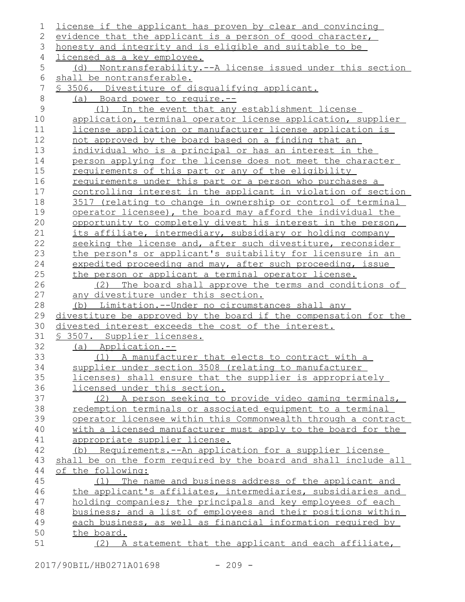| 1            | license if the applicant has proven by clear and convincing                                                                    |
|--------------|--------------------------------------------------------------------------------------------------------------------------------|
| 2            | evidence that the applicant is a person of good character,                                                                     |
| 3            | honesty and integrity and is eligible and suitable to be                                                                       |
| 4            | licensed as a key employee.                                                                                                    |
| 5            | Nontransferability.--A license issued under this section<br>(d)                                                                |
| 6            | shall be nontransferable.                                                                                                      |
| 7            | § 3506. Divestiture of disqualifying applicant.                                                                                |
| $\,8\,$      | (a) Board power to require.--                                                                                                  |
| $\mathsf{9}$ | (1) In the event that any establishment license                                                                                |
| 10           | application, terminal operator license application, supplier                                                                   |
| 11           | license application or manufacturer license application is                                                                     |
| 12           | not approved by the board based on a finding that an                                                                           |
| 13           | individual who is a principal or has an interest in the                                                                        |
| 14           | person applying for the license does not meet the character                                                                    |
| 15           | requirements of this part or any of the eligibility                                                                            |
| 16           | requirements under this part or a person who purchases a                                                                       |
| 17           | controlling interest in the applicant in violation of section                                                                  |
| 18           | 3517 (relating to change in ownership or control of terminal                                                                   |
| 19           | operator licensee), the board may afford the individual the                                                                    |
| 20           | opportunity to completely divest his interest in the person,                                                                   |
| 21           | its affiliate, intermediary, subsidiary or holding company                                                                     |
| 22           | seeking the license and, after such divestiture, reconsider                                                                    |
| 23           | the person's or applicant's suitability for licensure in an                                                                    |
| 24           | expedited proceeding and may, after such proceeding, issue                                                                     |
| 25           | the person or applicant a terminal operator license.                                                                           |
| 26           | (2) The board shall approve the terms and conditions of                                                                        |
| 27           | any divestiture under this section.                                                                                            |
| 28           | Limitation.--Under no circumstances shall any<br>(b)                                                                           |
| 29           | divestiture be approved by the board if the compensation for the                                                               |
| 30           | divested interest exceeds the cost of the interest.                                                                            |
| 31           | § 3507. Supplier licenses.                                                                                                     |
| 32           | (a) Application.--                                                                                                             |
| 33           | (1) A manufacturer that elects to contract with a                                                                              |
| 34           | supplier under section 3508 (relating to manufacturer                                                                          |
| 35           | licenses) shall ensure that the supplier is appropriately                                                                      |
| 36           | licensed under this section.                                                                                                   |
| 37           | (2) A person seeking to provide video gaming terminals,                                                                        |
| 38           | redemption terminals or associated equipment to a terminal                                                                     |
| 39           | operator licensee within this Commonwealth through a contract                                                                  |
| 40<br>41     | with a licensed manufacturer must apply to the board for the<br>appropriate supplier license.                                  |
| 42           |                                                                                                                                |
| 43           | (b) Requirements. -- An application for a supplier license<br>shall be on the form required by the board and shall include all |
| 44           | of the following:                                                                                                              |
| 45           | (1) The name and business address of the applicant and                                                                         |
| 46           | the applicant's affiliates, intermediaries, subsidiaries and                                                                   |
| 47           | holding companies; the principals and key employees of each                                                                    |
| 48           | business; and a list of employees and their positions within                                                                   |
| 49           | each business, as well as financial information required by                                                                    |
| 50           | the board.                                                                                                                     |
| 51           | (2) A statement that the applicant and each affiliate,                                                                         |
|              |                                                                                                                                |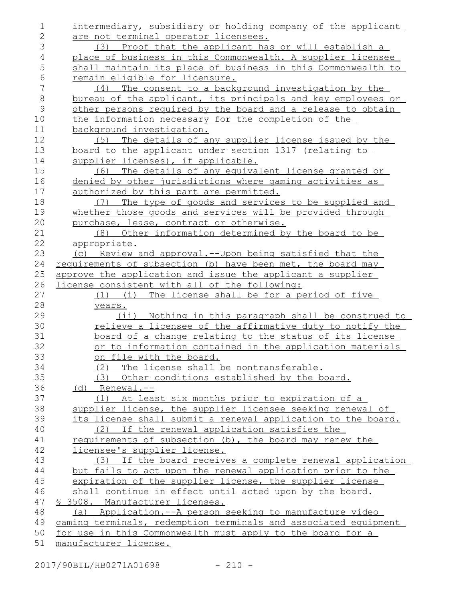intermediary, subsidiary or holding company of the applicant are not terminal operator licensees. (3) Proof that the applicant has or will establish a place of business in this Commonwealth. A supplier licensee shall maintain its place of business in this Commonwealth to remain eligible for licensure. (4) The consent to a background investigation by the bureau of the applicant, its principals and key employees or other persons required by the board and a release to obtain the information necessary for the completion of the background investigation. (5) The details of any supplier license issued by the board to the applicant under section 1317 (relating to supplier licenses), if applicable. (6) The details of any equivalent license granted or denied by other jurisdictions where gaming activities as authorized by this part are permitted. (7) The type of goods and services to be supplied and whether those goods and services will be provided through purchase, lease, contract or otherwise. (8) Other information determined by the board to be appropriate. (c) Review and approval.--Upon being satisfied that the requirements of subsection (b) have been met, the board may approve the application and issue the applicant a supplier license consistent with all of the following: (1) (i) The license shall be for a period of five years. (ii) Nothing in this paragraph shall be construed to relieve a licensee of the affirmative duty to notify the board of a change relating to the status of its license or to information contained in the application materials on file with the board. (2) The license shall be nontransferable. (3) Other conditions established by the board. (d) Renewal.-- (1) At least six months prior to expiration of a supplier license, the supplier licensee seeking renewal of its license shall submit a renewal application to the board. (2) If the renewal application satisfies the requirements of subsection (b), the board may renew the licensee's supplier license. (3) If the board receives a complete renewal application but fails to act upon the renewal application prior to the expiration of the supplier license, the supplier license shall continue in effect until acted upon by the board. § 3508. Manufacturer licenses. (a) Application.--A person seeking to manufacture video gaming terminals, redemption terminals and associated equipment for use in this Commonwealth must apply to the board for a manufacturer license. 1 2 3 4 5 6 7 8 9 10 11 12 13 14 15 16 17 18 19 20 21 22 23 24 25 26 27 28 29 30 31 32 33 34 35 36 37 38 39 40 41 42 43 44 45 46 47 48 49 50 51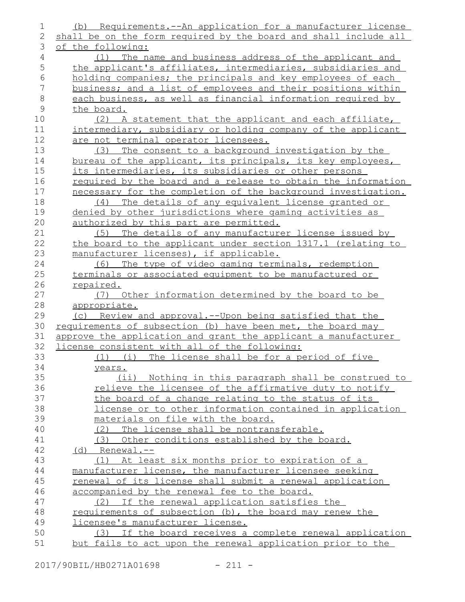| 1              | (b) Requirements.--An application for a manufacturer license     |
|----------------|------------------------------------------------------------------|
| $\mathbf{2}$   | shall be on the form required by the board and shall include all |
| 3              | of the following:                                                |
| $\overline{4}$ | (1) The name and business address of the applicant and           |
| 5              | the applicant's affiliates, intermediaries, subsidiaries and     |
| $\sqrt{6}$     | holding companies; the principals and key employees of each      |
| 7              | business; and a list of employees and their positions within     |
| $\,8\,$        | each business, as well as financial information required by      |
| $\mathsf 9$    | the board.                                                       |
| 10             | (2) A statement that the applicant and each affiliate,           |
| 11             | intermediary, subsidiary or holding company of the applicant     |
| 12             | are not terminal operator licensees.                             |
| 13             | The consent to a background investigation by the<br>(3)          |
| 14             | bureau of the applicant, its principals, its key employees,      |
| 15             | its intermediaries, its subsidiaries or other persons            |
| 16             | required by the board and a release to obtain the information    |
| 17             | necessary for the completion of the background investigation.    |
| 18             | The details of any equivalent license granted or<br>(4)          |
| 19             | denied by other jurisdictions where gaming activities as         |
| 20             | authorized by this part are permitted.                           |
| 21             | The details of any manufacturer license issued by<br>(5)         |
| 22             | the board to the applicant under section 1317.1 (relating to     |
| 23             | manufacturer licenses), if applicable.                           |
| 24             | (6) The type of video gaming terminals, redemption               |
| 25             | terminals or associated equipment to be manufactured or          |
| 26             | repaired.                                                        |
| 27             | (7) Other information determined by the board to be              |
| 28             | appropriate.                                                     |
| 29             | (c) Review and approval.--Upon being satisfied that the          |
| 30             | requirements of subsection (b) have been met, the board may      |
| 31             | approve the application and grant the applicant a manufacturer   |
| 32             | license consistent with all of the following:                    |
| 33             | (1) (i) The license shall be for a period of five                |
| 34             | years.                                                           |
| 35             | (ii) Nothing in this paragraph shall be construed to             |
| 36             | relieve the licensee of the affirmative duty to notify           |
| 37             | the board of a change relating to the status of its              |
| 38             | license or to other information contained in application         |
| 39             | materials on file with the board.                                |
| 40             | (2) The license shall be nontransferable.                        |
| 41             | (3) Other conditions established by the board.                   |
| 42             | $(d)$ Renewal.--                                                 |
| 43             | (1) At least six months prior to expiration of a                 |
| 44             | manufacturer license, the manufacturer licensee seeking          |
| 45             | renewal of its license shall submit a renewal application        |
| 46             | accompanied by the renewal fee to the board.                     |
| 47             | (2) If the renewal application satisfies the                     |
| 48             | requirements of subsection (b), the board may renew the          |
| 49             | licensee's manufacturer license.                                 |
| 50             | (3) If the board receives a complete renewal application         |
| 51             | but fails to act upon the renewal application prior to the       |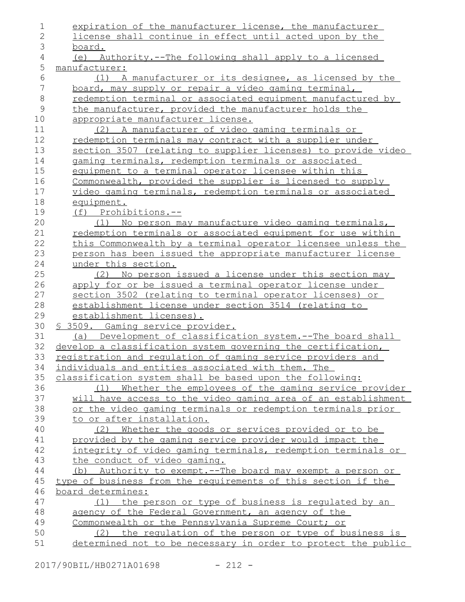| 1              | expiration of the manufacturer license, the manufacturer                                                                 |
|----------------|--------------------------------------------------------------------------------------------------------------------------|
| $\overline{2}$ | license shall continue in effect until acted upon by the                                                                 |
| 3              | board.                                                                                                                   |
| 4              | (e) Authority.--The following shall apply to a licensed                                                                  |
| 5              | manufacturer:                                                                                                            |
| 6              | A manufacturer or its designee, as licensed by the<br>(1)                                                                |
| 7              | board, may supply or repair a video gaming terminal,                                                                     |
| $\,8\,$        | redemption terminal or associated equipment manufactured by                                                              |
| 9              | the manufacturer, provided the manufacturer holds the                                                                    |
| 10             | appropriate manufacturer license.                                                                                        |
| 11             | (2) A manufacturer of video gaming terminals or                                                                          |
| 12             | redemption terminals may contract with a supplier under                                                                  |
| 13             | section 3507 (relating to supplier licenses) to provide video                                                            |
| 14             | gaming terminals, redemption terminals or associated                                                                     |
| 15             | equipment to a terminal operator licensee within this                                                                    |
| 16             | Commonwealth, provided the supplier is licensed to supply                                                                |
| 17             | video gaming terminals, redemption terminals or associated                                                               |
| 18             | equipment.                                                                                                               |
| 19             | (f) Prohibitions.--                                                                                                      |
| 20             | No person may manufacture video gaming terminals,<br>(1)                                                                 |
| 21             | redemption terminals or associated equipment for use within                                                              |
| 22             | this Commonwealth by a terminal operator licensee unless the                                                             |
| 23             | person has been issued the appropriate manufacturer license                                                              |
| 24             | under this section.                                                                                                      |
| 25             | (2) No person issued a license under this section may                                                                    |
| 26             | apply for or be issued a terminal operator license under                                                                 |
| 27             | section 3502 (relating to terminal operator licenses) or                                                                 |
| 28             | establishment license under section 3514 (relating to                                                                    |
| 29             | establishment licenses).                                                                                                 |
| 30             | <u>S 3509. Gaming service provider.</u>                                                                                  |
| 31             | (a) Development of classification system.--The board shall                                                               |
| 32             | develop a classification system governing the certification,                                                             |
| 33             | registration and regulation of gaming service providers and                                                              |
| 34             | individuals and entities associated with them. The                                                                       |
| 35             | classification system shall be based upon the following:                                                                 |
| 36             | Whether the employees of the gaming service provider<br>(1)                                                              |
| 37             | will have access to the video gaming area of an establishment                                                            |
| 38             | or the video gaming terminals or redemption terminals prior                                                              |
| 39             | to or after installation.                                                                                                |
| 40             | Whether the goods or services provided or to be<br>(2)                                                                   |
| 41<br>42       | provided by the gaming service provider would impact the<br>integrity of video gaming terminals, redemption terminals or |
| 43             | the conduct of video gaming.                                                                                             |
| 44             | (b) Authority to exempt.--The board may exempt a person or                                                               |
| 45             | type of business from the requirements of this section if the                                                            |
| 46             | board determines:                                                                                                        |
| 47             | the person or type of business is requlated by an<br>(1)                                                                 |
| 48             | agency of the Federal Government, an agency of the                                                                       |
| 49             | Commonwealth or the Pennsylvania Supreme Court; or                                                                       |
| 50             | (2) the requiation of the person or type of business is                                                                  |
| 51             | determined not to be necessary in order to protect the public                                                            |
|                |                                                                                                                          |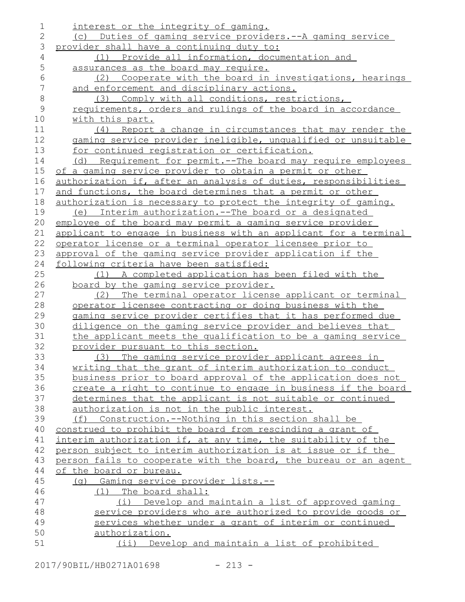| 1              | interest or the integrity of gaming.                             |
|----------------|------------------------------------------------------------------|
| $\overline{2}$ | (c) Duties of gaming service providers.--A gaming service        |
| 3              | provider shall have a continuing duty to:                        |
| 4              | (1) Provide all information, documentation and                   |
| 5              | assurances as the board may require.                             |
| 6              | Cooperate with the board in investigations, hearings<br>(2)      |
| $\sqrt{}$      | and enforcement and disciplinary actions.                        |
| $\,8\,$        | (3) Comply with all conditions, restrictions,                    |
| $\mathcal{G}$  | requirements, orders and rulings of the board in accordance      |
| 10             | with this part.                                                  |
| 11             | (4) Report a change in circumstances that may render the         |
| 12             | gaming service provider ineligible, unqualified or unsuitable    |
| 13             | for continued registration or certification.                     |
| 14             | (d) Requirement for permit.--The board may require employees     |
| 15             | of a gaming service provider to obtain a permit or other         |
| 16             | authorization if, after an analysis of duties, responsibilities  |
| 17             | and functions, the board determines that a permit or other       |
| 18             | authorization is necessary to protect the integrity of gaming.   |
| 19             | Interim authorization.--The board or a designated<br>(e)         |
| 20             | employee of the board may permit a gaming service provider       |
| 21             | applicant to engage in business with an applicant for a terminal |
| 22             | operator license or a terminal operator licensee prior to        |
| 23             | approval of the gaming service provider application if the       |
| 24             | following criteria have been satisfied:                          |
| 25             | (1) A completed application has been filed with the              |
| 26             | board by the gaming service provider.                            |
| 27             | The terminal operator license applicant or terminal<br>(2)       |
| 28             | operator licensee contracting or doing business with the         |
| 29             | gaming service provider certifies that it has performed due      |
| 30             | diligence on the gaming service provider and believes that       |
| 31             | the applicant meets the qualification to be a gaming service     |
| 32             | provider pursuant to this section.                               |
| 33             | (3) The gaming service provider applicant agrees in              |
| 34             | writing that the grant of interim authorization to conduct       |
| 35             | business prior to board approval of the application does not     |
| 36             | create a right to continue to engage in business if the board    |
| 37             | determines that the applicant is not suitable or continued       |
| 38             | authorization is not in the public interest.                     |
| 39             | Construction.--Nothing in this section shall be<br>(f)           |
| 40             | construed to prohibit the board from rescinding a grant of       |
| 41             | interim authorization if, at any time, the suitability of the    |
| 42             | person subject to interim authorization is at issue or if the    |
| 43             | person fails to cooperate with the board, the bureau or an agent |
| 44<br>45       | of the board or bureau.<br>(g) Gaming service provider lists.--  |
| 46             | (1) The board shall:                                             |
| 47             | Develop and maintain a list of approved gaming<br>(i)            |
| 48             | service providers who are authorized to provide goods or         |
| 49             | services whether under a grant of interim or continued           |
| 50             | authorization.                                                   |
| 51             | (ii) Develop and maintain a list of prohibited                   |
|                |                                                                  |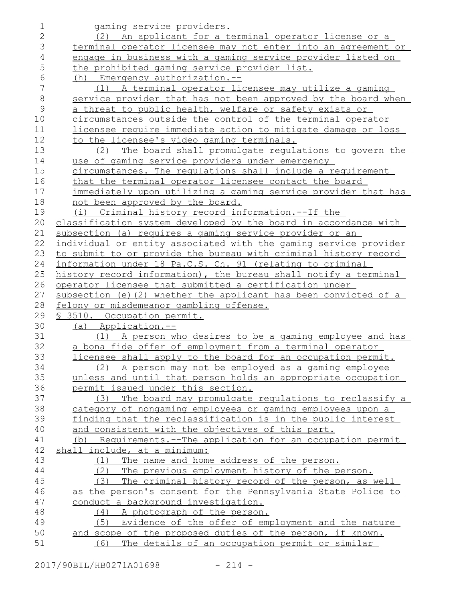| $\mathbf 1$   | gaming service providers.                                        |
|---------------|------------------------------------------------------------------|
| $\mathbf{2}$  | (2) An applicant for a terminal operator license or a            |
| 3             | terminal operator licensee may not enter into an agreement or    |
| 4             | engage in business with a gaming service provider listed on      |
| 5             | the prohibited gaming service provider list.                     |
| 6             | (h) Emergency authorization.--                                   |
| 7             | (1) A terminal operator licensee may utilize a gaming            |
| $\,8\,$       | service provider that has not been approved by the board when    |
| $\mathcal{G}$ | a threat to public health, welfare or safety exists or           |
| 10            | circumstances outside the control of the terminal operator       |
| 11            | licensee require immediate action to mitigate damage or loss     |
| 12            | to the licensee's video gaming terminals.                        |
| 13            | The board shall promulgate regulations to govern the<br>(2)      |
| 14            | use of gaming service providers under emergency                  |
| 15            | circumstances. The requlations shall include a requirement       |
| 16            | that the terminal operator licensee contact the board            |
| 17            | immediately upon utilizing a gaming service provider that has    |
| 18            | not been approved by the board.                                  |
| 19            | (i) Criminal history record information.--If the                 |
| 20            | classification system developed by the board in accordance with  |
| 21            | subsection (a) requires a gaming service provider or an          |
| 22            | individual or entity associated with the gaming service provider |
| 23            | to submit to or provide the bureau with criminal history record  |
| 24            | information under 18 Pa.C.S. Ch. 91 (relating to criminal        |
| 25            | history record information), the bureau shall notify a terminal  |
| 26            | operator licensee that submitted a certification under           |
| 27            | subsection (e) (2) whether the applicant has been convicted of a |
| 28            | felony or misdemeanor gambling offense.                          |
| 29            | \$ 3510. Occupation permit.                                      |
| 30            | (a) Application.--                                               |
| 31            | (1) A person who desires to be a gaming employee and has         |
| 32            | a bona fide offer of employment from a terminal operator         |
| 33            | licensee shall apply to the board for an occupation permit.      |
| 34            | (2) A person may not be employed as a gaming employee            |
| 35            | unless and until that person holds an appropriate occupation     |
| 36            | permit issued under this section.                                |
| 37            | The board may promulgate regulations to reclassify a<br>(3)      |
| 38            | category of nongaming employees or gaming employees upon a       |
| 39            | finding that the reclassification is in the public interest      |
| 40            | and consistent with the objectives of this part.                 |
| 41            | (b) Requirements.--The application for an occupation permit      |
| 42            | shall include, at a minimum:                                     |
| 43            | The name and home address of the person.<br>(1)                  |
| 44            | The previous employment history of the person.<br>(2)            |
| 45            | The criminal history record of the person, as well<br>(3)        |
| 46            | as the person's consent for the Pennsylvania State Police to     |
| 47            | conduct a background investigation.                              |
| 48            | (4) A photograph of the person.                                  |
| 49            | Evidence of the offer of employment and the nature<br>(5)        |
| 50            | and scope of the proposed duties of the person, if known.        |
| 51            | The details of an occupation permit or similar<br>(6)            |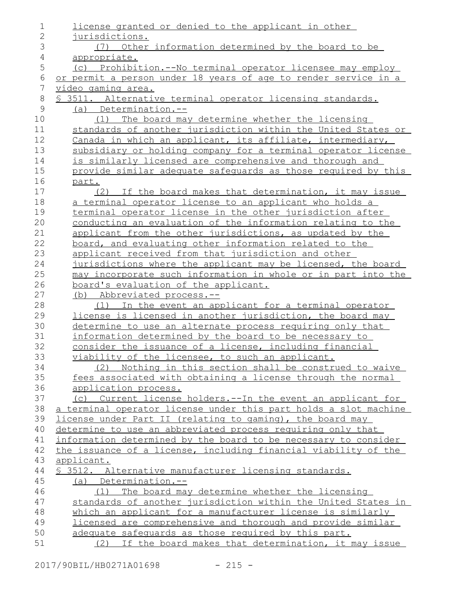| $\overline{2}$<br>jurisdictions.<br>3<br>(7) Other information determined by the board to be<br>$\sqrt{4}$<br>appropriate.<br>5<br>(c) Prohibition.--No terminal operator licensee may employ<br>$\epsilon$<br>or permit a person under 18 years of age to render service in a<br>7<br><u>video qaming area.</u><br>$\,8\,$<br>\$ 3511. Alternative terminal operator licensing standards.<br>$\mathcal{G}$<br>$(a)$ Determination.--<br>10<br>The board may determine whether the licensing<br>(1)<br>standards of another jurisdiction within the United States or<br>11<br>12<br>Canada in which an applicant, its affiliate, intermediary,<br>13<br>subsidiary or holding company for a terminal operator license<br>14<br>is similarly licensed are comprehensive and thorough and<br>15<br>provide similar adequate safequards as those required by this<br>16<br>part.<br>17<br>(2) If the board makes that determination, it may issue<br>18<br>a terminal operator license to an applicant who holds a<br>19<br>terminal operator license in the other jurisdiction after<br>20<br>conducting an evaluation of the information relating to the<br>21<br>applicant from the other jurisdictions, as updated by the<br>22<br>board, and evaluating other information related to the<br>23<br>applicant received from that jurisdiction and other<br>24<br>jurisdictions where the applicant may be licensed, the board<br>25<br>may incorporate such information in whole or in part into the<br>26<br>board's evaluation of the applicant.<br>27<br>(b) Abbreviated process.--<br>28<br>In the event an applicant for a terminal operator<br>(1)<br>29<br>license is licensed in another jurisdiction, the board may<br>30<br>determine to use an alternate process requiring only that<br>31<br>information determined by the board to be necessary to<br>32<br>consider the issuance of a license, including financial<br>33<br>viability of the licensee, to such an applicant.<br>34<br>(2) Nothing in this section shall be construed to waive<br>35<br>fees associated with obtaining a license through the normal<br>36<br>application process.<br>37<br>(c) Current license holders.--In the event an applicant for<br>a terminal operator license under this part holds a slot machine<br>38<br>39<br>license under Part II (relating to gaming), the board may<br>determine to use an abbreviated process requiring only that<br>40<br>information determined by the board to be necessary to consider<br>41<br>42<br>the issuance of a license, including financial viability of the<br>43<br>applicant.<br>44<br>\$ 3512. Alternative manufacturer licensing standards.<br>45<br>$(a)$ Determination.--<br>46<br>The board may determine whether the licensing<br>(1)<br>47<br>standards of another jurisdiction within the United States in<br>48<br>which an applicant for a manufacturer license is similarly<br>49<br>licensed are comprehensive and thorough and provide similar<br>50<br>adequate safequards as those required by this part. | $\mathbf 1$ | license granted or denied to the applicant in other     |
|------------------------------------------------------------------------------------------------------------------------------------------------------------------------------------------------------------------------------------------------------------------------------------------------------------------------------------------------------------------------------------------------------------------------------------------------------------------------------------------------------------------------------------------------------------------------------------------------------------------------------------------------------------------------------------------------------------------------------------------------------------------------------------------------------------------------------------------------------------------------------------------------------------------------------------------------------------------------------------------------------------------------------------------------------------------------------------------------------------------------------------------------------------------------------------------------------------------------------------------------------------------------------------------------------------------------------------------------------------------------------------------------------------------------------------------------------------------------------------------------------------------------------------------------------------------------------------------------------------------------------------------------------------------------------------------------------------------------------------------------------------------------------------------------------------------------------------------------------------------------------------------------------------------------------------------------------------------------------------------------------------------------------------------------------------------------------------------------------------------------------------------------------------------------------------------------------------------------------------------------------------------------------------------------------------------------------------------------------------------------------------------------------------------------------------------------------------------------------------------------------------------------------------------------------------------------------------------------------------------------------------------------------------------------------------------------------------------------------------------------------------------------------------------------------------------------------------------------------------------------------------------------------------------------------------------------------------------------------------------------------------------------------------------------------------------------|-------------|---------------------------------------------------------|
|                                                                                                                                                                                                                                                                                                                                                                                                                                                                                                                                                                                                                                                                                                                                                                                                                                                                                                                                                                                                                                                                                                                                                                                                                                                                                                                                                                                                                                                                                                                                                                                                                                                                                                                                                                                                                                                                                                                                                                                                                                                                                                                                                                                                                                                                                                                                                                                                                                                                                                                                                                                                                                                                                                                                                                                                                                                                                                                                                                                                                                                                        |             |                                                         |
|                                                                                                                                                                                                                                                                                                                                                                                                                                                                                                                                                                                                                                                                                                                                                                                                                                                                                                                                                                                                                                                                                                                                                                                                                                                                                                                                                                                                                                                                                                                                                                                                                                                                                                                                                                                                                                                                                                                                                                                                                                                                                                                                                                                                                                                                                                                                                                                                                                                                                                                                                                                                                                                                                                                                                                                                                                                                                                                                                                                                                                                                        |             |                                                         |
|                                                                                                                                                                                                                                                                                                                                                                                                                                                                                                                                                                                                                                                                                                                                                                                                                                                                                                                                                                                                                                                                                                                                                                                                                                                                                                                                                                                                                                                                                                                                                                                                                                                                                                                                                                                                                                                                                                                                                                                                                                                                                                                                                                                                                                                                                                                                                                                                                                                                                                                                                                                                                                                                                                                                                                                                                                                                                                                                                                                                                                                                        |             |                                                         |
|                                                                                                                                                                                                                                                                                                                                                                                                                                                                                                                                                                                                                                                                                                                                                                                                                                                                                                                                                                                                                                                                                                                                                                                                                                                                                                                                                                                                                                                                                                                                                                                                                                                                                                                                                                                                                                                                                                                                                                                                                                                                                                                                                                                                                                                                                                                                                                                                                                                                                                                                                                                                                                                                                                                                                                                                                                                                                                                                                                                                                                                                        |             |                                                         |
|                                                                                                                                                                                                                                                                                                                                                                                                                                                                                                                                                                                                                                                                                                                                                                                                                                                                                                                                                                                                                                                                                                                                                                                                                                                                                                                                                                                                                                                                                                                                                                                                                                                                                                                                                                                                                                                                                                                                                                                                                                                                                                                                                                                                                                                                                                                                                                                                                                                                                                                                                                                                                                                                                                                                                                                                                                                                                                                                                                                                                                                                        |             |                                                         |
|                                                                                                                                                                                                                                                                                                                                                                                                                                                                                                                                                                                                                                                                                                                                                                                                                                                                                                                                                                                                                                                                                                                                                                                                                                                                                                                                                                                                                                                                                                                                                                                                                                                                                                                                                                                                                                                                                                                                                                                                                                                                                                                                                                                                                                                                                                                                                                                                                                                                                                                                                                                                                                                                                                                                                                                                                                                                                                                                                                                                                                                                        |             |                                                         |
|                                                                                                                                                                                                                                                                                                                                                                                                                                                                                                                                                                                                                                                                                                                                                                                                                                                                                                                                                                                                                                                                                                                                                                                                                                                                                                                                                                                                                                                                                                                                                                                                                                                                                                                                                                                                                                                                                                                                                                                                                                                                                                                                                                                                                                                                                                                                                                                                                                                                                                                                                                                                                                                                                                                                                                                                                                                                                                                                                                                                                                                                        |             |                                                         |
|                                                                                                                                                                                                                                                                                                                                                                                                                                                                                                                                                                                                                                                                                                                                                                                                                                                                                                                                                                                                                                                                                                                                                                                                                                                                                                                                                                                                                                                                                                                                                                                                                                                                                                                                                                                                                                                                                                                                                                                                                                                                                                                                                                                                                                                                                                                                                                                                                                                                                                                                                                                                                                                                                                                                                                                                                                                                                                                                                                                                                                                                        |             |                                                         |
|                                                                                                                                                                                                                                                                                                                                                                                                                                                                                                                                                                                                                                                                                                                                                                                                                                                                                                                                                                                                                                                                                                                                                                                                                                                                                                                                                                                                                                                                                                                                                                                                                                                                                                                                                                                                                                                                                                                                                                                                                                                                                                                                                                                                                                                                                                                                                                                                                                                                                                                                                                                                                                                                                                                                                                                                                                                                                                                                                                                                                                                                        |             |                                                         |
|                                                                                                                                                                                                                                                                                                                                                                                                                                                                                                                                                                                                                                                                                                                                                                                                                                                                                                                                                                                                                                                                                                                                                                                                                                                                                                                                                                                                                                                                                                                                                                                                                                                                                                                                                                                                                                                                                                                                                                                                                                                                                                                                                                                                                                                                                                                                                                                                                                                                                                                                                                                                                                                                                                                                                                                                                                                                                                                                                                                                                                                                        |             |                                                         |
|                                                                                                                                                                                                                                                                                                                                                                                                                                                                                                                                                                                                                                                                                                                                                                                                                                                                                                                                                                                                                                                                                                                                                                                                                                                                                                                                                                                                                                                                                                                                                                                                                                                                                                                                                                                                                                                                                                                                                                                                                                                                                                                                                                                                                                                                                                                                                                                                                                                                                                                                                                                                                                                                                                                                                                                                                                                                                                                                                                                                                                                                        |             |                                                         |
|                                                                                                                                                                                                                                                                                                                                                                                                                                                                                                                                                                                                                                                                                                                                                                                                                                                                                                                                                                                                                                                                                                                                                                                                                                                                                                                                                                                                                                                                                                                                                                                                                                                                                                                                                                                                                                                                                                                                                                                                                                                                                                                                                                                                                                                                                                                                                                                                                                                                                                                                                                                                                                                                                                                                                                                                                                                                                                                                                                                                                                                                        |             |                                                         |
|                                                                                                                                                                                                                                                                                                                                                                                                                                                                                                                                                                                                                                                                                                                                                                                                                                                                                                                                                                                                                                                                                                                                                                                                                                                                                                                                                                                                                                                                                                                                                                                                                                                                                                                                                                                                                                                                                                                                                                                                                                                                                                                                                                                                                                                                                                                                                                                                                                                                                                                                                                                                                                                                                                                                                                                                                                                                                                                                                                                                                                                                        |             |                                                         |
|                                                                                                                                                                                                                                                                                                                                                                                                                                                                                                                                                                                                                                                                                                                                                                                                                                                                                                                                                                                                                                                                                                                                                                                                                                                                                                                                                                                                                                                                                                                                                                                                                                                                                                                                                                                                                                                                                                                                                                                                                                                                                                                                                                                                                                                                                                                                                                                                                                                                                                                                                                                                                                                                                                                                                                                                                                                                                                                                                                                                                                                                        |             |                                                         |
|                                                                                                                                                                                                                                                                                                                                                                                                                                                                                                                                                                                                                                                                                                                                                                                                                                                                                                                                                                                                                                                                                                                                                                                                                                                                                                                                                                                                                                                                                                                                                                                                                                                                                                                                                                                                                                                                                                                                                                                                                                                                                                                                                                                                                                                                                                                                                                                                                                                                                                                                                                                                                                                                                                                                                                                                                                                                                                                                                                                                                                                                        |             |                                                         |
|                                                                                                                                                                                                                                                                                                                                                                                                                                                                                                                                                                                                                                                                                                                                                                                                                                                                                                                                                                                                                                                                                                                                                                                                                                                                                                                                                                                                                                                                                                                                                                                                                                                                                                                                                                                                                                                                                                                                                                                                                                                                                                                                                                                                                                                                                                                                                                                                                                                                                                                                                                                                                                                                                                                                                                                                                                                                                                                                                                                                                                                                        |             |                                                         |
|                                                                                                                                                                                                                                                                                                                                                                                                                                                                                                                                                                                                                                                                                                                                                                                                                                                                                                                                                                                                                                                                                                                                                                                                                                                                                                                                                                                                                                                                                                                                                                                                                                                                                                                                                                                                                                                                                                                                                                                                                                                                                                                                                                                                                                                                                                                                                                                                                                                                                                                                                                                                                                                                                                                                                                                                                                                                                                                                                                                                                                                                        |             |                                                         |
|                                                                                                                                                                                                                                                                                                                                                                                                                                                                                                                                                                                                                                                                                                                                                                                                                                                                                                                                                                                                                                                                                                                                                                                                                                                                                                                                                                                                                                                                                                                                                                                                                                                                                                                                                                                                                                                                                                                                                                                                                                                                                                                                                                                                                                                                                                                                                                                                                                                                                                                                                                                                                                                                                                                                                                                                                                                                                                                                                                                                                                                                        |             |                                                         |
|                                                                                                                                                                                                                                                                                                                                                                                                                                                                                                                                                                                                                                                                                                                                                                                                                                                                                                                                                                                                                                                                                                                                                                                                                                                                                                                                                                                                                                                                                                                                                                                                                                                                                                                                                                                                                                                                                                                                                                                                                                                                                                                                                                                                                                                                                                                                                                                                                                                                                                                                                                                                                                                                                                                                                                                                                                                                                                                                                                                                                                                                        |             |                                                         |
|                                                                                                                                                                                                                                                                                                                                                                                                                                                                                                                                                                                                                                                                                                                                                                                                                                                                                                                                                                                                                                                                                                                                                                                                                                                                                                                                                                                                                                                                                                                                                                                                                                                                                                                                                                                                                                                                                                                                                                                                                                                                                                                                                                                                                                                                                                                                                                                                                                                                                                                                                                                                                                                                                                                                                                                                                                                                                                                                                                                                                                                                        |             |                                                         |
|                                                                                                                                                                                                                                                                                                                                                                                                                                                                                                                                                                                                                                                                                                                                                                                                                                                                                                                                                                                                                                                                                                                                                                                                                                                                                                                                                                                                                                                                                                                                                                                                                                                                                                                                                                                                                                                                                                                                                                                                                                                                                                                                                                                                                                                                                                                                                                                                                                                                                                                                                                                                                                                                                                                                                                                                                                                                                                                                                                                                                                                                        |             |                                                         |
|                                                                                                                                                                                                                                                                                                                                                                                                                                                                                                                                                                                                                                                                                                                                                                                                                                                                                                                                                                                                                                                                                                                                                                                                                                                                                                                                                                                                                                                                                                                                                                                                                                                                                                                                                                                                                                                                                                                                                                                                                                                                                                                                                                                                                                                                                                                                                                                                                                                                                                                                                                                                                                                                                                                                                                                                                                                                                                                                                                                                                                                                        |             |                                                         |
|                                                                                                                                                                                                                                                                                                                                                                                                                                                                                                                                                                                                                                                                                                                                                                                                                                                                                                                                                                                                                                                                                                                                                                                                                                                                                                                                                                                                                                                                                                                                                                                                                                                                                                                                                                                                                                                                                                                                                                                                                                                                                                                                                                                                                                                                                                                                                                                                                                                                                                                                                                                                                                                                                                                                                                                                                                                                                                                                                                                                                                                                        |             |                                                         |
|                                                                                                                                                                                                                                                                                                                                                                                                                                                                                                                                                                                                                                                                                                                                                                                                                                                                                                                                                                                                                                                                                                                                                                                                                                                                                                                                                                                                                                                                                                                                                                                                                                                                                                                                                                                                                                                                                                                                                                                                                                                                                                                                                                                                                                                                                                                                                                                                                                                                                                                                                                                                                                                                                                                                                                                                                                                                                                                                                                                                                                                                        |             |                                                         |
|                                                                                                                                                                                                                                                                                                                                                                                                                                                                                                                                                                                                                                                                                                                                                                                                                                                                                                                                                                                                                                                                                                                                                                                                                                                                                                                                                                                                                                                                                                                                                                                                                                                                                                                                                                                                                                                                                                                                                                                                                                                                                                                                                                                                                                                                                                                                                                                                                                                                                                                                                                                                                                                                                                                                                                                                                                                                                                                                                                                                                                                                        |             |                                                         |
|                                                                                                                                                                                                                                                                                                                                                                                                                                                                                                                                                                                                                                                                                                                                                                                                                                                                                                                                                                                                                                                                                                                                                                                                                                                                                                                                                                                                                                                                                                                                                                                                                                                                                                                                                                                                                                                                                                                                                                                                                                                                                                                                                                                                                                                                                                                                                                                                                                                                                                                                                                                                                                                                                                                                                                                                                                                                                                                                                                                                                                                                        |             |                                                         |
|                                                                                                                                                                                                                                                                                                                                                                                                                                                                                                                                                                                                                                                                                                                                                                                                                                                                                                                                                                                                                                                                                                                                                                                                                                                                                                                                                                                                                                                                                                                                                                                                                                                                                                                                                                                                                                                                                                                                                                                                                                                                                                                                                                                                                                                                                                                                                                                                                                                                                                                                                                                                                                                                                                                                                                                                                                                                                                                                                                                                                                                                        |             |                                                         |
|                                                                                                                                                                                                                                                                                                                                                                                                                                                                                                                                                                                                                                                                                                                                                                                                                                                                                                                                                                                                                                                                                                                                                                                                                                                                                                                                                                                                                                                                                                                                                                                                                                                                                                                                                                                                                                                                                                                                                                                                                                                                                                                                                                                                                                                                                                                                                                                                                                                                                                                                                                                                                                                                                                                                                                                                                                                                                                                                                                                                                                                                        |             |                                                         |
|                                                                                                                                                                                                                                                                                                                                                                                                                                                                                                                                                                                                                                                                                                                                                                                                                                                                                                                                                                                                                                                                                                                                                                                                                                                                                                                                                                                                                                                                                                                                                                                                                                                                                                                                                                                                                                                                                                                                                                                                                                                                                                                                                                                                                                                                                                                                                                                                                                                                                                                                                                                                                                                                                                                                                                                                                                                                                                                                                                                                                                                                        |             |                                                         |
|                                                                                                                                                                                                                                                                                                                                                                                                                                                                                                                                                                                                                                                                                                                                                                                                                                                                                                                                                                                                                                                                                                                                                                                                                                                                                                                                                                                                                                                                                                                                                                                                                                                                                                                                                                                                                                                                                                                                                                                                                                                                                                                                                                                                                                                                                                                                                                                                                                                                                                                                                                                                                                                                                                                                                                                                                                                                                                                                                                                                                                                                        |             |                                                         |
|                                                                                                                                                                                                                                                                                                                                                                                                                                                                                                                                                                                                                                                                                                                                                                                                                                                                                                                                                                                                                                                                                                                                                                                                                                                                                                                                                                                                                                                                                                                                                                                                                                                                                                                                                                                                                                                                                                                                                                                                                                                                                                                                                                                                                                                                                                                                                                                                                                                                                                                                                                                                                                                                                                                                                                                                                                                                                                                                                                                                                                                                        |             |                                                         |
|                                                                                                                                                                                                                                                                                                                                                                                                                                                                                                                                                                                                                                                                                                                                                                                                                                                                                                                                                                                                                                                                                                                                                                                                                                                                                                                                                                                                                                                                                                                                                                                                                                                                                                                                                                                                                                                                                                                                                                                                                                                                                                                                                                                                                                                                                                                                                                                                                                                                                                                                                                                                                                                                                                                                                                                                                                                                                                                                                                                                                                                                        |             |                                                         |
|                                                                                                                                                                                                                                                                                                                                                                                                                                                                                                                                                                                                                                                                                                                                                                                                                                                                                                                                                                                                                                                                                                                                                                                                                                                                                                                                                                                                                                                                                                                                                                                                                                                                                                                                                                                                                                                                                                                                                                                                                                                                                                                                                                                                                                                                                                                                                                                                                                                                                                                                                                                                                                                                                                                                                                                                                                                                                                                                                                                                                                                                        |             |                                                         |
|                                                                                                                                                                                                                                                                                                                                                                                                                                                                                                                                                                                                                                                                                                                                                                                                                                                                                                                                                                                                                                                                                                                                                                                                                                                                                                                                                                                                                                                                                                                                                                                                                                                                                                                                                                                                                                                                                                                                                                                                                                                                                                                                                                                                                                                                                                                                                                                                                                                                                                                                                                                                                                                                                                                                                                                                                                                                                                                                                                                                                                                                        |             |                                                         |
|                                                                                                                                                                                                                                                                                                                                                                                                                                                                                                                                                                                                                                                                                                                                                                                                                                                                                                                                                                                                                                                                                                                                                                                                                                                                                                                                                                                                                                                                                                                                                                                                                                                                                                                                                                                                                                                                                                                                                                                                                                                                                                                                                                                                                                                                                                                                                                                                                                                                                                                                                                                                                                                                                                                                                                                                                                                                                                                                                                                                                                                                        |             |                                                         |
|                                                                                                                                                                                                                                                                                                                                                                                                                                                                                                                                                                                                                                                                                                                                                                                                                                                                                                                                                                                                                                                                                                                                                                                                                                                                                                                                                                                                                                                                                                                                                                                                                                                                                                                                                                                                                                                                                                                                                                                                                                                                                                                                                                                                                                                                                                                                                                                                                                                                                                                                                                                                                                                                                                                                                                                                                                                                                                                                                                                                                                                                        |             |                                                         |
|                                                                                                                                                                                                                                                                                                                                                                                                                                                                                                                                                                                                                                                                                                                                                                                                                                                                                                                                                                                                                                                                                                                                                                                                                                                                                                                                                                                                                                                                                                                                                                                                                                                                                                                                                                                                                                                                                                                                                                                                                                                                                                                                                                                                                                                                                                                                                                                                                                                                                                                                                                                                                                                                                                                                                                                                                                                                                                                                                                                                                                                                        |             |                                                         |
|                                                                                                                                                                                                                                                                                                                                                                                                                                                                                                                                                                                                                                                                                                                                                                                                                                                                                                                                                                                                                                                                                                                                                                                                                                                                                                                                                                                                                                                                                                                                                                                                                                                                                                                                                                                                                                                                                                                                                                                                                                                                                                                                                                                                                                                                                                                                                                                                                                                                                                                                                                                                                                                                                                                                                                                                                                                                                                                                                                                                                                                                        |             |                                                         |
|                                                                                                                                                                                                                                                                                                                                                                                                                                                                                                                                                                                                                                                                                                                                                                                                                                                                                                                                                                                                                                                                                                                                                                                                                                                                                                                                                                                                                                                                                                                                                                                                                                                                                                                                                                                                                                                                                                                                                                                                                                                                                                                                                                                                                                                                                                                                                                                                                                                                                                                                                                                                                                                                                                                                                                                                                                                                                                                                                                                                                                                                        |             |                                                         |
|                                                                                                                                                                                                                                                                                                                                                                                                                                                                                                                                                                                                                                                                                                                                                                                                                                                                                                                                                                                                                                                                                                                                                                                                                                                                                                                                                                                                                                                                                                                                                                                                                                                                                                                                                                                                                                                                                                                                                                                                                                                                                                                                                                                                                                                                                                                                                                                                                                                                                                                                                                                                                                                                                                                                                                                                                                                                                                                                                                                                                                                                        |             |                                                         |
|                                                                                                                                                                                                                                                                                                                                                                                                                                                                                                                                                                                                                                                                                                                                                                                                                                                                                                                                                                                                                                                                                                                                                                                                                                                                                                                                                                                                                                                                                                                                                                                                                                                                                                                                                                                                                                                                                                                                                                                                                                                                                                                                                                                                                                                                                                                                                                                                                                                                                                                                                                                                                                                                                                                                                                                                                                                                                                                                                                                                                                                                        |             |                                                         |
|                                                                                                                                                                                                                                                                                                                                                                                                                                                                                                                                                                                                                                                                                                                                                                                                                                                                                                                                                                                                                                                                                                                                                                                                                                                                                                                                                                                                                                                                                                                                                                                                                                                                                                                                                                                                                                                                                                                                                                                                                                                                                                                                                                                                                                                                                                                                                                                                                                                                                                                                                                                                                                                                                                                                                                                                                                                                                                                                                                                                                                                                        |             |                                                         |
|                                                                                                                                                                                                                                                                                                                                                                                                                                                                                                                                                                                                                                                                                                                                                                                                                                                                                                                                                                                                                                                                                                                                                                                                                                                                                                                                                                                                                                                                                                                                                                                                                                                                                                                                                                                                                                                                                                                                                                                                                                                                                                                                                                                                                                                                                                                                                                                                                                                                                                                                                                                                                                                                                                                                                                                                                                                                                                                                                                                                                                                                        |             |                                                         |
|                                                                                                                                                                                                                                                                                                                                                                                                                                                                                                                                                                                                                                                                                                                                                                                                                                                                                                                                                                                                                                                                                                                                                                                                                                                                                                                                                                                                                                                                                                                                                                                                                                                                                                                                                                                                                                                                                                                                                                                                                                                                                                                                                                                                                                                                                                                                                                                                                                                                                                                                                                                                                                                                                                                                                                                                                                                                                                                                                                                                                                                                        |             |                                                         |
|                                                                                                                                                                                                                                                                                                                                                                                                                                                                                                                                                                                                                                                                                                                                                                                                                                                                                                                                                                                                                                                                                                                                                                                                                                                                                                                                                                                                                                                                                                                                                                                                                                                                                                                                                                                                                                                                                                                                                                                                                                                                                                                                                                                                                                                                                                                                                                                                                                                                                                                                                                                                                                                                                                                                                                                                                                                                                                                                                                                                                                                                        |             |                                                         |
|                                                                                                                                                                                                                                                                                                                                                                                                                                                                                                                                                                                                                                                                                                                                                                                                                                                                                                                                                                                                                                                                                                                                                                                                                                                                                                                                                                                                                                                                                                                                                                                                                                                                                                                                                                                                                                                                                                                                                                                                                                                                                                                                                                                                                                                                                                                                                                                                                                                                                                                                                                                                                                                                                                                                                                                                                                                                                                                                                                                                                                                                        |             |                                                         |
|                                                                                                                                                                                                                                                                                                                                                                                                                                                                                                                                                                                                                                                                                                                                                                                                                                                                                                                                                                                                                                                                                                                                                                                                                                                                                                                                                                                                                                                                                                                                                                                                                                                                                                                                                                                                                                                                                                                                                                                                                                                                                                                                                                                                                                                                                                                                                                                                                                                                                                                                                                                                                                                                                                                                                                                                                                                                                                                                                                                                                                                                        |             |                                                         |
|                                                                                                                                                                                                                                                                                                                                                                                                                                                                                                                                                                                                                                                                                                                                                                                                                                                                                                                                                                                                                                                                                                                                                                                                                                                                                                                                                                                                                                                                                                                                                                                                                                                                                                                                                                                                                                                                                                                                                                                                                                                                                                                                                                                                                                                                                                                                                                                                                                                                                                                                                                                                                                                                                                                                                                                                                                                                                                                                                                                                                                                                        |             |                                                         |
|                                                                                                                                                                                                                                                                                                                                                                                                                                                                                                                                                                                                                                                                                                                                                                                                                                                                                                                                                                                                                                                                                                                                                                                                                                                                                                                                                                                                                                                                                                                                                                                                                                                                                                                                                                                                                                                                                                                                                                                                                                                                                                                                                                                                                                                                                                                                                                                                                                                                                                                                                                                                                                                                                                                                                                                                                                                                                                                                                                                                                                                                        | 51          | (2) If the board makes that determination, it may issue |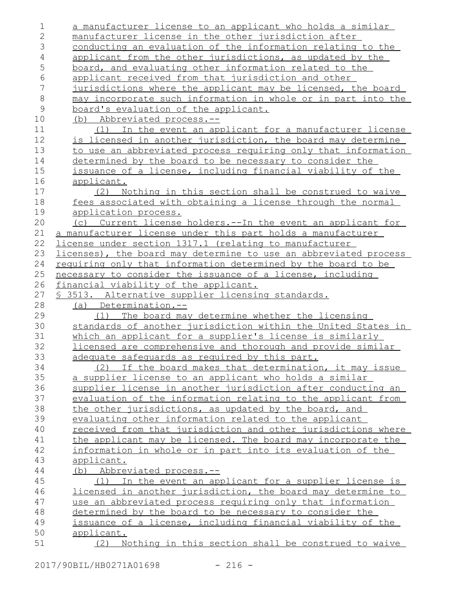| 1             | a manufacturer license to an applicant who holds a similar               |
|---------------|--------------------------------------------------------------------------|
| $\mathbf{2}$  | manufacturer license in the other jurisdiction after                     |
| 3             | conducting an evaluation of the information relating to the              |
| 4             | applicant from the other jurisdictions, as updated by the                |
| 5             | board, and evaluating other information related to the                   |
| 6             | applicant received from that jurisdiction and other                      |
| 7             | jurisdictions where the applicant may be licensed, the board             |
| $\,8\,$       | may incorporate such information in whole or in part into the            |
| $\mathcal{G}$ | board's evaluation of the applicant.                                     |
| 10            | (b) Abbreviated process.--                                               |
| 11            | (1) In the event an applicant for a manufacturer license                 |
| 12            | is licensed in another jurisdiction, the board may determine             |
| 13            | to use an abbreviated process requiring only that information            |
| 14            | determined by the board to be necessary to consider the                  |
| 15            | issuance of a license, including financial viability of the              |
| 16            | applicant.                                                               |
| 17            | Nothing in this section shall be construed to waive<br>(2)               |
| 18            | fees associated with obtaining a license through the normal              |
| 19            | application process.                                                     |
| 20            | (c) Current license holders.--In the event an applicant for              |
| 21            | a manufacturer license under this part holds a manufacturer              |
| 22            | license under section 1317.1 (relating to manufacturer                   |
| 23            | licenses), the board may determine to use an abbreviated process         |
| 24            | requiring only that information determined by the board to be            |
| 25            | necessary to consider the issuance of a license, including               |
|               |                                                                          |
| 26            | financial viability of the applicant.                                    |
| 27            | \$ 3513. Alternative supplier licensing standards.                       |
| 28            | (a) Determination.--                                                     |
| 29            | The board may determine whether the licensing<br>(1)                     |
| 30            | standards of another jurisdiction within the United States in            |
| 31            | which an applicant for a supplier's license is similarly                 |
| 32            | licensed are comprehensive and thorough and provide similar              |
| 33            | adequate safequards as required by this part.                            |
| 34            | (2)<br>If the board makes that determination, it may issue               |
| 35            | a supplier license to an applicant who holds a similar                   |
| 36            | supplier license in another jurisdiction after conducting an             |
| 37            | evaluation of the information relating to the applicant from             |
| 38            | the other jurisdictions, as updated by the board, and                    |
| 39            | evaluating other information related to the applicant                    |
| 40            | received from that jurisdiction and other jurisdictions where            |
| 41            | the applicant may be licensed. The board may incorporate the             |
| 42            | information in whole or in part into its evaluation of the               |
| 43            | applicant.                                                               |
| 44            | (b) Abbreviated process.--                                               |
| 45            | (1) In the event an applicant for a supplier license is                  |
| 46            | licensed in another jurisdiction, the board may determine to             |
| 47            | use an abbreviated process requiring only that information               |
| 48            | determined by the board to be necessary to consider the                  |
| 49            | issuance of a license, including financial viability of the              |
| 50<br>51      | applicant.<br>Nothing in this section shall be construed to waive<br>(2) |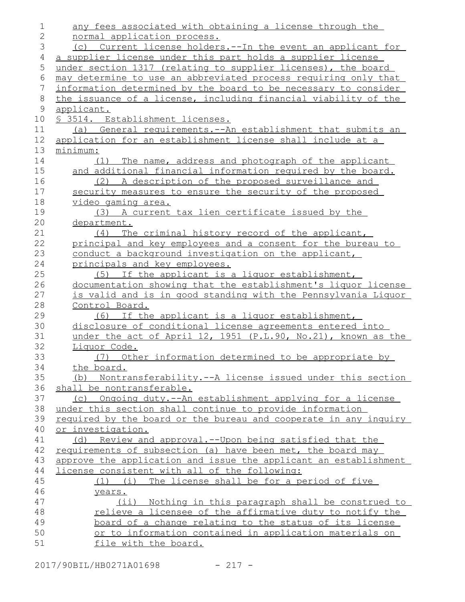| 1              | any fees associated with obtaining a license through the             |
|----------------|----------------------------------------------------------------------|
| $\overline{2}$ | normal application process.                                          |
| 3              | (c) Current license holders. -- In the event an applicant for        |
| 4              | a supplier license under this part holds a supplier license          |
| 5              | under section 1317 (relating to supplier licenses), the board        |
| 6              | may determine to use an abbreviated process requiring only that      |
| 7              | information determined by the board to be necessary to consider      |
| $8\,$          | the issuance of a license, including financial viability of the      |
| 9              | applicant.                                                           |
| 10             | <u>S 3514. Establishment licenses.</u>                               |
| 11             | (a) General requirements. -- An establishment that submits an        |
| 12             | application for an establishment license shall include at a          |
| 13             | minimum:                                                             |
| 14             | (1) The name, address and photograph of the applicant                |
| 15             | and additional financial information required by the board.          |
| 16             | (2) A description of the proposed surveillance and                   |
| 17             | security measures to ensure the security of the proposed             |
| 18             | video gaming area.                                                   |
| 19             | (3) A current tax lien certificate issued by the                     |
| 20             | department.                                                          |
| 21             | The criminal history record of the applicant,<br>(4)                 |
| 22             | principal and key employees and a consent for the bureau to          |
| 23             | conduct a background investigation on the applicant,                 |
| 24             | principals and key employees.                                        |
| 25             | (5) If the applicant is a liquor establishment,                      |
| 26             | documentation showing that the establishment's liquor license        |
| 27             | <u>is valid and is in good standing with the Pennsylvania Liquor</u> |
| 28             | Control Board.                                                       |
| 29             | If the applicant is a liquor establishment,<br>(6)                   |
| 30             | disclosure of conditional license agreements entered into            |
| 31             | under the act of April 12, 1951 (P.L.90, No.21), known as the        |
| 32             | Liquor Code.                                                         |
| 33             | (7) Other information determined to be appropriate by                |
| 34             | the board.                                                           |
| 35             | (b) Nontransferability.--A license issued under this section         |
| 36             | shall be nontransferable.                                            |
| 37             | (c) Ongoing duty.--An establishment applying for a license           |
| 38             | under this section shall continue to provide information             |
| 39             | required by the board or the bureau and cooperate in any inquiry     |
| 40             | or investigation.                                                    |
| 41             | (d) Review and approval.--Upon being satisfied that the              |
| 42             | requirements of subsection (a) have been met, the board may          |
| 43             | approve the application and issue the applicant an establishment     |
| 44             | license consistent with all of the following:                        |
| 45             | (1) (i) The license shall be for a period of five                    |
| 46             | years.                                                               |
| 47             | (ii) Nothing in this paragraph shall be construed to                 |
| 48             | relieve a licensee of the affirmative duty to notify the             |
| 49             | board of a change relating to the status of its license              |
| 50             | or to information contained in application materials on              |
| 51             | file with the board.                                                 |
|                |                                                                      |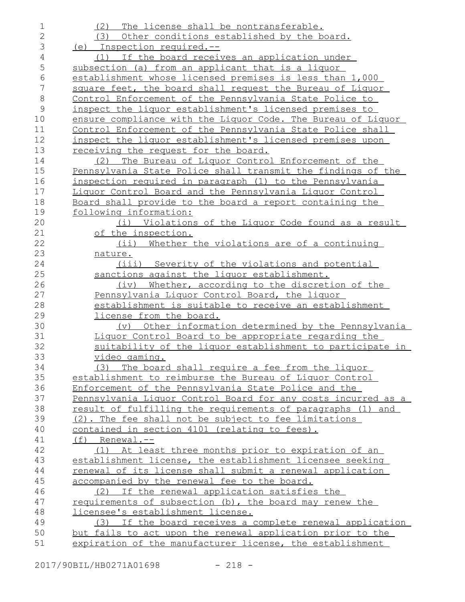| 1              | (2) The license shall be nontransferable.                             |
|----------------|-----------------------------------------------------------------------|
| $\mathbf{2}$   | (3) Other conditions established by the board.                        |
| 3              | (e) Inspection required.--                                            |
| 4              | (1) If the board receives an application under                        |
| 5              | subsection (a) from an applicant that is a liquor                     |
| 6              | establishment whose licensed premises is less than 1,000              |
| $\overline{7}$ | square feet, the board shall request the Bureau of Liquor             |
| $\,8\,$        | Control Enforcement of the Pennsylvania State Police to               |
|                |                                                                       |
| $\mathsf 9$    | inspect the liquor establishment's licensed premises to               |
| 10             | ensure compliance with the Liquor Code. The Bureau of Liquor          |
| 11             | Control Enforcement of the Pennsylvania State Police shall            |
| 12             | inspect the liquor establishment's licensed premises upon             |
| 13             | receiving the request for the board.                                  |
| 14             | (2) The Bureau of Liquor Control Enforcement of the                   |
| 15             | Pennsylvania State Police shall transmit the findings of the          |
| 16             | inspection required in paragraph (1) to the Pennsylvania              |
| 17             | Liquor Control Board and the Pennsylvania Liquor Control              |
| 18             | Board shall provide to the board a report containing the              |
| 19             | following information:                                                |
| 20             | (i) Violations of the Liguor Code found as a result                   |
| 21             | of the inspection.                                                    |
| 22             | $(i$ ii)<br>Whether the violations are of a continuing                |
| 23             | nature.                                                               |
| 24             | (iii) Severity of the violations and potential                        |
|                |                                                                       |
| 25             | sanctions against the liquor establishment.                           |
| 26             | Whether, according to the discretion of the<br>(iv)                   |
| 27             | Pennsylvania Liquor Control Board, the liquor                         |
| 28             | establishment is suitable to receive an establishment                 |
| 29             | license from the board.                                               |
| 30             | Other information determined by the Pennsylvania<br>$(\triangledown)$ |
| 31             | Liquor Control Board to be appropriate regarding the                  |
| 32             | suitability of the liquor establishment to participate in             |
| 33             | <u>video gaming.</u>                                                  |
| 34             | (3) The board shall require a fee from the liquor                     |
| 35             | establishment to reimburse the Bureau of Liquor Control               |
| 36             | Enforcement of the Pennsylvania State Police and the                  |
| 37             | Pennsylvania Liguor Control Board for any costs incurred as a         |
| 38             | result of fulfilling the requirements of paragraphs (1) and           |
| 39             | (2). The fee shall not be subject to fee limitations                  |
|                |                                                                       |
| 40             | contained in section 4101 (relating to fees).                         |
| 41             | $(f)$ Renewal.--                                                      |
| 42             | (1) At least three months prior to expiration of an                   |
| 43             | establishment license, the establishment licensee seeking             |
| 44             | renewal of its license shall submit a renewal application             |
| 45             | accompanied by the renewal fee to the board.                          |
| 46             | (2) If the renewal application satisfies the                          |
| 47             | requirements of subsection (b), the board may renew the               |
| 48             | licensee's establishment license.                                     |
| 49             | (3) If the board receives a complete renewal application              |
| 50             | but fails to act upon the renewal application prior to the            |
| 51             | expiration of the manufacturer license, the establishment             |

2017/90BIL/HB0271A01698 - 218 -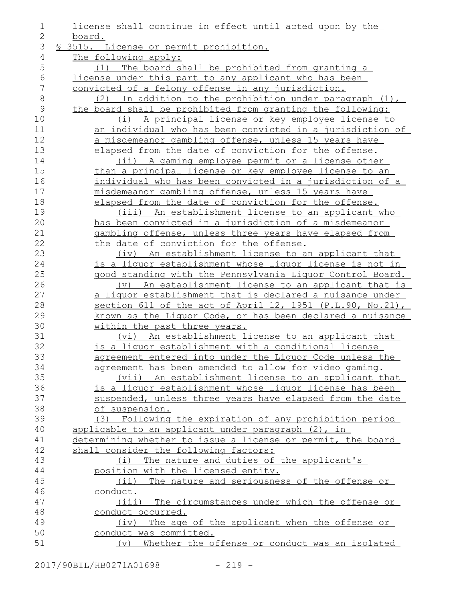| $\mathbf 1$    | license shall continue in effect until acted upon by the         |
|----------------|------------------------------------------------------------------|
| $\mathbf{2}$   | board.                                                           |
| 3              | § 3515. License or permit prohibition.                           |
| 4              | The following apply:                                             |
| 5              | (1) The board shall be prohibited from granting a                |
| $\sqrt{6}$     | license under this part to any applicant who has been            |
| 7              | convicted of a felony offense in any jurisdiction.               |
| $\,8\,$        | (2) In addition to the prohibition under paragraph (1),          |
| $\overline{9}$ | the board shall be prohibited from granting the following:       |
| 10             | (i) A principal license or key employee license to               |
| 11             | <u>an individual who has been convicted in a jurisdiction of</u> |
| 12             | a misdemeanor gambling offense, unless 15 years have             |
| 13             | elapsed from the date of conviction for the offense.             |
| 14             | (ii) A gaming employee permit or a license other                 |
| 15             | than a principal license or key employee license to an           |
| 16             | <u>individual who has been convicted in a jurisdiction of a</u>  |
| 17             | misdemeanor gambling offense, unless 15 years have               |
| 18             | elapsed from the date of conviction for the offense.             |
| 19             | (iii) An establishment license to an applicant who               |
| 20             | has been convicted in a jurisdiction of a misdemeanor            |
| 21             | gambling offense, unless three years have elapsed from           |
| 22             | the date of conviction for the offense.                          |
| 23             | (iv) An establishment license to an applicant that               |
| 24             | is a liguor establishment whose liguor license is not in         |
| 25             | good standing with the Pennsylvania Liquor Control Board.        |
| 26             | (v) An establishment license to an applicant that is             |
| 27             | a liquor establishment that is declared a nuisance under         |
| 28             | section 611 of the act of April 12, 1951 (P.L.90, No.21),        |
| 29             | known as the Liquor Code, or has been declared a nuisance        |
| 30             | within the past three years.                                     |
| 31             | (vi) An establishment license to an applicant that               |
| 32             | is a liquor establishment with a conditional license             |
| 33             | agreement entered into under the Liquor Code unless the          |
| 34             | agreement has been amended to allow for video gaming.            |
| 35             | (vii) An establishment license to an applicant that              |
| 36             | is a liguor establishment whose liguor license has been          |
| 37             | suspended, unless three years have elapsed from the date         |
| 38             | of suspension.                                                   |
| 39             | (3) Following the expiration of any prohibition period           |
| 40             | applicable to an applicant under paragraph (2), in               |
| 41             | determining whether to issue a license or permit, the board      |
| 42             | shall consider the following factors:                            |
| 43             | The nature and duties of the applicant's<br>(i)                  |
| 44             | position with the licensed entity.                               |
| 45             | (ii) The nature and seriousness of the offense or                |
| 46             | conduct.                                                         |
| 47             | (iii) The circumstances under which the offense or               |
| 48             | conduct occurred.                                                |
| 49             | (iv) The age of the applicant when the offense or                |
| 50             | conduct was committed.                                           |
| 51             | Whether the offense or conduct was an isolated<br>(v)            |
|                |                                                                  |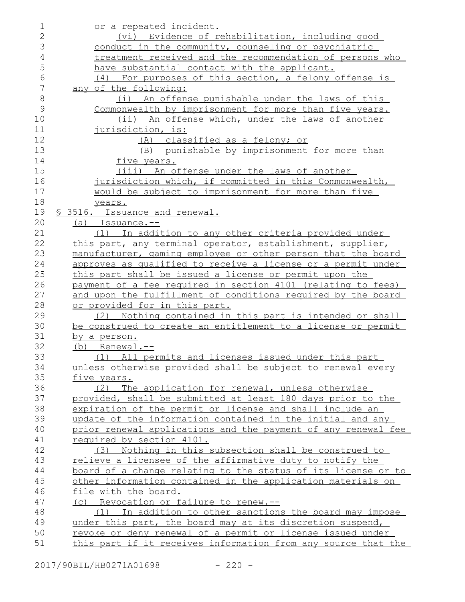| 1              | or a repeated incident.                                              |
|----------------|----------------------------------------------------------------------|
| $\overline{2}$ | (vi) Evidence of rehabilitation, including good                      |
| 3              | conduct in the community, counseling or psychiatric                  |
| 4              | treatment received and the recommendation of persons who             |
| 5              | have substantial contact with the applicant.                         |
| 6              | (4) For purposes of this section, a felony offense is                |
| 7              | any of the following:                                                |
| 8              | (i) An offense punishable under the laws of this                     |
| 9              | Commonwealth by imprisonment for more than five years.               |
| 10             | (ii) An offense which, under the laws of another                     |
| 11             | jurisdiction, is:                                                    |
| 12             | (A) classified as a felony; or                                       |
| 13             | punishable by imprisonment for more than<br>(B)                      |
| 14             | five years.                                                          |
| 15             | (iii) An offense under the laws of another                           |
| 16             | jurisdiction which, if committed in this Commonwealth,               |
| 17             | would be subject to imprisonment for more than five                  |
| 18             | years.                                                               |
| 19             | § 3516. Issuance and renewal.                                        |
| 20             | $(a)$ Issuance.--                                                    |
| 21             | (1) In addition to any other criteria provided under                 |
| 22             | this part, any terminal operator, establishment, supplier,           |
| 23             | manufacturer, gaming employee or other person that the board         |
| 24             | approves as qualified to receive a license or a permit under         |
| 25             | this part shall be issued a license or permit upon the               |
| 26             | payment of a fee required in section 4101 (relating to fees)         |
| 27             | and upon the fulfillment of conditions required by the board         |
| 28             | or provided for in this part.                                        |
| 29             | Nothing contained in this part is intended or shall<br>(2)           |
| 30             | be construed to create an entitlement to a license or permit         |
| 31             | by a person.                                                         |
| 32             | $(b)$ Renewal.--                                                     |
| 33             | (1) All permits and licenses issued under this part                  |
| 34             | unless otherwise provided shall be subject to renewal every          |
| 35             | five years.                                                          |
| 36             | (2) The application for renewal, unless otherwise                    |
| 37             | provided, shall be submitted at least 180 days prior to the          |
| 38             | expiration of the permit or license and shall include an             |
| 39             | update of the information contained in the initial and any           |
| 40             | prior renewal applications and the payment of any renewal fee        |
| 41             | required by section 4101.                                            |
| 42             | (3) Nothing in this subsection shall be construed to                 |
| 43             | relieve a licensee of the affirmative duty to notify the             |
| 44             | <u>board of a change relating to the status of its license or to</u> |
| 45             | other information contained in the application materials on          |
| 46             | file with the board.                                                 |
| 47             | (c) Revocation or failure to renew.--                                |
| 48             | In addition to other sanctions the board may impose<br>(1)           |
| 49             | under this part, the board may at its discretion suspend,            |
| 50             | revoke or deny renewal of a permit or license issued under           |
| 51             | this part if it receives information from any source that the        |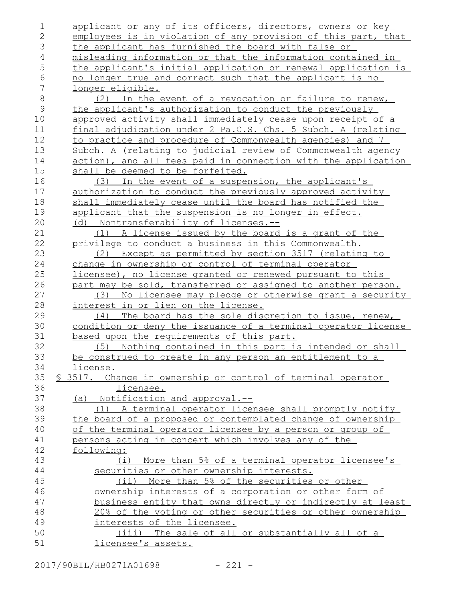| $\mathbf 1$    | applicant or any of its officers, directors, owners or key    |
|----------------|---------------------------------------------------------------|
| $\overline{2}$ | employees is in violation of any provision of this part, that |
| 3              | the applicant has furnished the board with false or           |
| 4              | misleading information or that the information contained in   |
| 5              | the applicant's initial application or renewal application is |
| 6              | no longer true and correct such that the applicant is no      |
| 7              | <u>longer eligible.</u>                                       |
| $\,8\,$        | (2) In the event of a revocation or failure to renew,         |
| $\mathsf{9}$   | the applicant's authorization to conduct the previously       |
| 10             | approved activity shall immediately cease upon receipt of a   |
| 11             | final adjudication under 2 Pa.C.S. Chs. 5 Subch. A (relating  |
| 12             | to practice and procedure of Commonwealth agencies) and 7     |
| 13             | Subch. A (relating to judicial review of Commonwealth agency  |
| 14             | action), and all fees paid in connection with the application |
| 15             | shall be deemed to be forfeited.                              |
| 16             | (3) In the event of a suspension, the applicant's             |
| 17             | authorization to conduct the previously approved activity     |
| 18             | shall immediately cease until the board has notified the      |
| 19             | applicant that the suspension is no longer in effect.         |
| 20             | (d) Nontransferability of licenses.--                         |
| 21             | A license issued by the board is a grant of the<br>(1)        |
| 22             | privilege to conduct a business in this Commonwealth.         |
| 23             | (2) Except as permitted by section 3517 (relating to          |
| 24             | change in ownership or control of terminal operator           |
| 25             | licensee), no license granted or renewed pursuant to this     |
| 26             | part may be sold, transferred or assigned to another person.  |
| 27             | No licensee may pledge or otherwise grant a security<br>(3)   |
| 28             | interest in or lien on the license.                           |
| 29             | The board has the sole discretion to issue, renew,<br>(4)     |
| 30             | condition or deny the issuance of a terminal operator license |
| 31             | based upon the requirements of this part.                     |
| 32             | Nothing contained in this part is intended or shall<br>(5)    |
| 33             | be construed to create in any person an entitlement to a      |
| 34             | license.                                                      |
| 35             | \$ 3517. Change in ownership or control of terminal operator  |
| 36             | licensee.                                                     |
| 37             | (a) Notification and approval.--                              |
| 38             | (1) A terminal operator licensee shall promptly notify        |
| 39             | the board of a proposed or contemplated change of ownership   |
| 40             | of the terminal operator licensee by a person or group of     |
| 41             | persons acting in concert which involves any of the           |
| 42             | following:                                                    |
| 43             | (i) More than 5% of a terminal operator licensee's            |
| 44             | securities or other ownership interests.                      |
| 45             | (ii) More than 5% of the securities or other                  |
| 46             | ownership interests of a corporation or other form of         |
| 47             | business entity that owns directly or indirectly at least     |
| 48             | 20% of the voting or other securities or other ownership      |
| 49             | interests of the licensee.                                    |
| 50             | (iii) The sale of all or substantially all of a               |
| 51             | licensee's assets.                                            |
|                |                                                               |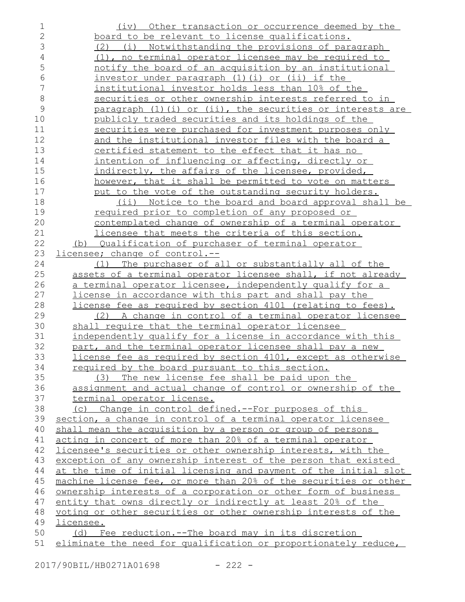| 1              | (iv) Other transaction or occurrence deemed by the                          |
|----------------|-----------------------------------------------------------------------------|
| $\mathbf{2}$   | board to be relevant to license qualifications.                             |
| 3              | (2) (i) Notwithstanding the provisions of paragraph                         |
| $\overline{4}$ | (1), no terminal operator licensee may be required to                       |
| 5              | notify the board of an acquisition by an institutional                      |
| 6              | investor under paragraph (1) (i) or (ii) if the                             |
| 7              | institutional investor holds less than 10% of the                           |
| $\,8\,$        | securities or other ownership interests referred to in                      |
| 9              | paragraph (1) (i) or (ii), the securities or interests are                  |
| 10             | publicly traded securities and its holdings of the                          |
| 11             | securities were purchased for investment purposes only                      |
| 12             | and the institutional investor files with the board a                       |
| 13             | certified statement to the effect that it has no                            |
| 14             | intention of influencing or affecting, directly or                          |
| 15             | indirectly, the affairs of the licensee, provided,                          |
| 16             | however, that it shall be permitted to vote on matters                      |
| 17             | put to the vote of the outstanding security holders.                        |
| 18             | (ii) Notice to the board and board approval shall be                        |
| 19             | <u>required prior to completion of any proposed or</u>                      |
| 20             | contemplated change of ownership of a terminal operator                     |
| 21             | licensee that meets the criteria of this section.                           |
| 22             | (b) Qualification of purchaser of terminal operator                         |
| 23             | <u>licensee; change of control.--</u>                                       |
| 24             | (1) The purchaser of all or substantially all of the                        |
| 25             | assets of a terminal operator licensee shall, if not already                |
| 26             | <u>a terminal operator licensee, independently qualify for a</u>            |
| 27             | license in accordance with this part and shall pay the                      |
| 28             | license fee as required by section 4101 (relating to fees).                 |
| 29             | (2) A change in control of a terminal operator licensee                     |
| 30             | shall require that the terminal operator licensee                           |
| 31             | independently qualify for a license in accordance with this                 |
| 32             | part, and the terminal operator licensee shall pay a new                    |
| 33             | license fee as required by section 4101, except as otherwise                |
| 34             | required by the board pursuant to this section.                             |
| 35             | (3) The new license fee shall be paid upon the                              |
| 36             | assignment and actual change of control or ownership of the                 |
| 37             | terminal operator license.                                                  |
| 38             | (c) Change in control defined.--For purposes of this                        |
| 39             | section, a change in control of a terminal operator licensee                |
| 40             | shall mean the acquisition by a person or group of persons                  |
| 41             | acting in concert of more than 20% of a terminal operator                   |
| 42             | licensee's securities or other ownership interests, with the                |
| 43             | exception of any ownership interest of the person that existed              |
| 44             | at the time of initial licensing and payment of the initial slot            |
| 45             | machine license fee, or more than 20% of the securities or other            |
| 46             | ownership interests of a corporation or other form of business              |
| 47             | entity that owns directly or indirectly at least 20% of the                 |
| 48<br>49       | voting or other securities or other ownership interests of the<br>licensee. |
| 50             | (d) Fee reduction.--The board may in its discretion                         |
| 51             | eliminate the need for qualification or proportionately reduce,             |
|                |                                                                             |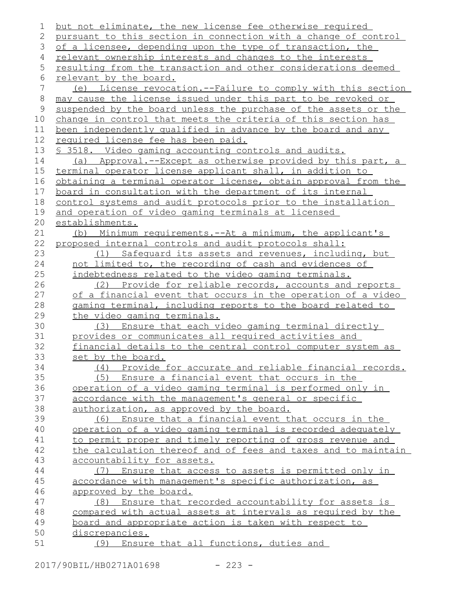but not eliminate, the new license fee otherwise required pursuant to this section in connection with a change of control of a licensee, depending upon the type of transaction, the relevant ownership interests and changes to the interests resulting from the transaction and other considerations deemed relevant by the board. (e) License revocation.--Failure to comply with this section may cause the license issued under this part to be revoked or suspended by the board unless the purchase of the assets or the change in control that meets the criteria of this section has been independently qualified in advance by the board and any required license fee has been paid. § 3518. Video gaming accounting controls and audits. (a) Approval.--Except as otherwise provided by this part, a terminal operator license applicant shall, in addition to obtaining a terminal operator license, obtain approval from the board in consultation with the department of its internal control systems and audit protocols prior to the installation and operation of video gaming terminals at licensed establishments. (b) Minimum requirements.--At a minimum, the applicant's proposed internal controls and audit protocols shall: (1) Safeguard its assets and revenues, including, but not limited to, the recording of cash and evidences of indebtedness related to the video gaming terminals. (2) Provide for reliable records, accounts and reports of a financial event that occurs in the operation of a video gaming terminal, including reports to the board related to the video gaming terminals. (3) Ensure that each video gaming terminal directly provides or communicates all required activities and financial details to the central control computer system as set by the board. (4) Provide for accurate and reliable financial records. (5) Ensure a financial event that occurs in the operation of a video gaming terminal is performed only in accordance with the management's general or specific authorization, as approved by the board. (6) Ensure that a financial event that occurs in the operation of a video gaming terminal is recorded adequately to permit proper and timely reporting of gross revenue and the calculation thereof and of fees and taxes and to maintain accountability for assets. (7) Ensure that access to assets is permitted only in accordance with management's specific authorization, as approved by the board. (8) Ensure that recorded accountability for assets is compared with actual assets at intervals as required by the board and appropriate action is taken with respect to discrepancies. (9) Ensure that all functions, duties and 1 2 3 4 5 6 7 8 9 10 11 12 13 14 15 16 17 18 19 20 21 22 23 24 25 26 27 28 29 30 31 32 33 34 35 36 37 38 39 40 41 42 43 44 45 46 47 48 49 50 51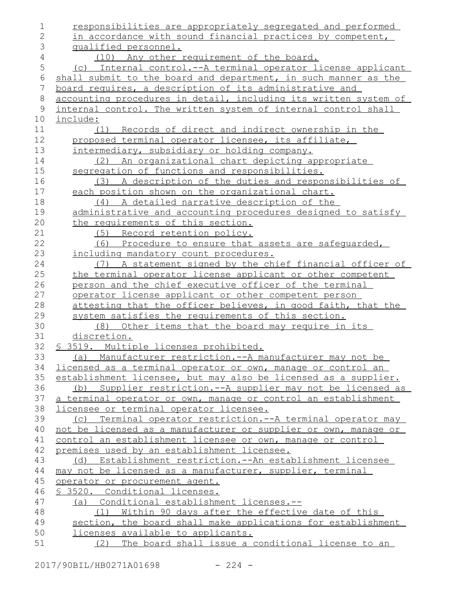responsibilities are appropriately segregated and performed in accordance with sound financial practices by competent, qualified personnel. (10) Any other requirement of the board. (c) Internal control.--A terminal operator license applicant shall submit to the board and department, in such manner as the board requires, a description of its administrative and accounting procedures in detail, including its written system of internal control. The written system of internal control shall include: (1) Records of direct and indirect ownership in the proposed terminal operator licensee, its affiliate, intermediary, subsidiary or holding company. (2) An organizational chart depicting appropriate segregation of functions and responsibilities. (3) A description of the duties and responsibilities of each position shown on the organizational chart. (4) A detailed narrative description of the administrative and accounting procedures designed to satisfy the requirements of this section. (5) Record retention policy. (6) Procedure to ensure that assets are safeguarded, including mandatory count procedures. (7) A statement signed by the chief financial officer of the terminal operator license applicant or other competent person and the chief executive officer of the terminal operator license applicant or other competent person attesting that the officer believes, in good faith, that the system satisfies the requirements of this section. (8) Other items that the board may require in its discretion. § 3519. Multiple licenses prohibited. (a) Manufacturer restriction.--A manufacturer may not be licensed as a terminal operator or own, manage or control an establishment licensee, but may also be licensed as a supplier. (b) Supplier restriction.--A supplier may not be licensed as a terminal operator or own, manage or control an establishment licensee or terminal operator licensee. (c) Terminal operator restriction.--A terminal operator may not be licensed as a manufacturer or supplier or own, manage or control an establishment licensee or own, manage or control premises used by an establishment licensee. (d) Establishment restriction.--An establishment licensee may not be licensed as a manufacturer, supplier, terminal operator or procurement agent. § 3520. Conditional licenses. (a) Conditional establishment licenses.-- (1) Within 90 days after the effective date of this section, the board shall make applications for establishment licenses available to applicants. (2) The board shall issue a conditional license to an 1 2 3 4 5 6 7 8 9 10 11 12 13 14 15 16 17 18 19 20 21 22 23 24 25 26 27 28 29 30 31 32 33 34 35 36 37 38 39 40 41 42 43 44 45 46 47 48 49 50 51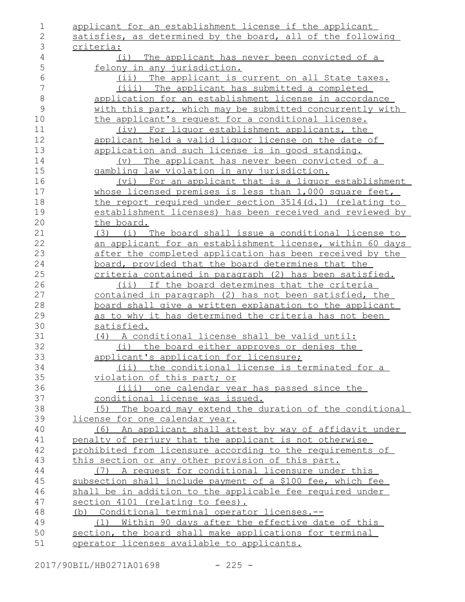| $\mathbf 1$  | applicant for an establishment license if the applicant                                                        |
|--------------|----------------------------------------------------------------------------------------------------------------|
| $\mathbf{2}$ | satisfies, as determined by the board, all of the following                                                    |
| 3            | criteria:                                                                                                      |
| 4            | The applicant has never been convicted of a<br>(i)                                                             |
| 5            | felony in any jurisdiction.                                                                                    |
| 6            | (ii) The applicant is current on all State taxes.                                                              |
| 7            | (iii) The applicant has submitted a completed                                                                  |
| $8\,$        | application for an establishment license in accordance                                                         |
| 9            | with this part, which may be submitted concurrently with                                                       |
| 10           | the applicant's request for a conditional license.                                                             |
| 11           | (iv) For liquor establishment applicants, the                                                                  |
| 12           | applicant held a valid liguor license on the date of                                                           |
| 13           | application and such license is in good standing.                                                              |
| 14           | (v) The applicant has never been convicted of a                                                                |
| 15           | gambling law violation in any jurisdiction.                                                                    |
| 16           | (vi) For an applicant that is a liquor establishment                                                           |
| 17           | whose licensed premises is less than 1,000 square feet,                                                        |
| 18           | the report required under section 3514(d.1) (relating to                                                       |
| 19           | establishment licenses) has been received and reviewed by                                                      |
| 20           | the board.                                                                                                     |
| 21           | (i) The board shall issue a conditional license to<br>(3)                                                      |
| 22           | an applicant for an establishment license, within 60 days                                                      |
| 23           | after the completed application has been received by the                                                       |
| 24           | board, provided that the board determines that the                                                             |
| 25           | criteria contained in paragraph (2) has been satisfied.                                                        |
| 26           | (ii) If the board determines that the criteria                                                                 |
| 27           | contained in paragraph (2) has not been satisfied, the                                                         |
| 28           | <u>board shall give a written explanation to the applicant</u>                                                 |
| 29           | as to why it has determined the criteria has not been                                                          |
| 30           | satisfied.                                                                                                     |
| 31           | (4) A conditional license shall be valid until:                                                                |
| 32           | (i) the board either approves or denies the                                                                    |
| 33           | applicant's application for licensure;                                                                         |
| 34           | (ii) the conditional license is terminated for a                                                               |
| 35           | violation of this part; or                                                                                     |
| 36           | (iii) one calendar year has passed since the                                                                   |
| 37           | conditional license was issued.                                                                                |
| 38           | (5) The board may extend the duration of the conditional                                                       |
| 39           | license for one calendar year.                                                                                 |
| 40           | (6) An applicant shall attest by way of affidavit under                                                        |
| 41           | penalty of perjury that the applicant is not otherwise                                                         |
| 42           | prohibited from licensure according to the requirements of                                                     |
| 43           | this section or any other provision of this part.                                                              |
| 44           | (7) A request for conditional licensure under this                                                             |
| 45           | subsection shall include payment of a \$100 fee, which fee                                                     |
| 46           | shall be in addition to the applicable fee required under                                                      |
| 47           | section 4101 (relating to fees).                                                                               |
| 48<br>49     | (b) Conditional terminal operator licenses.--                                                                  |
| 50           | (1) Within 90 days after the effective date of this<br>section, the board shall make applications for terminal |
| 51           |                                                                                                                |
|              | operator licenses available to applicants.                                                                     |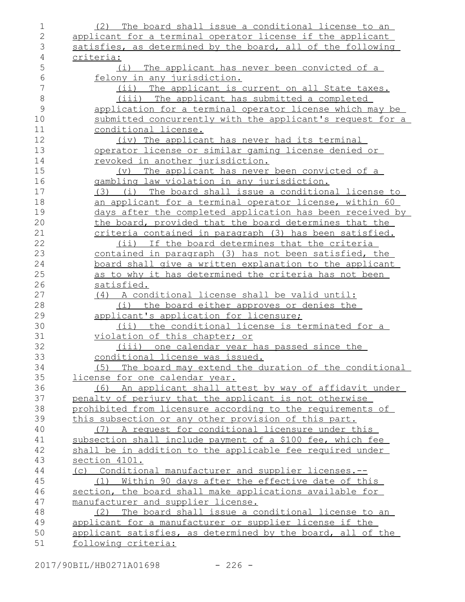| 1              | (2) The board shall issue a conditional license to an          |
|----------------|----------------------------------------------------------------|
| $\overline{2}$ | applicant for a terminal operator license if the applicant     |
| 3              | satisfies, as determined by the board, all of the following    |
| $\overline{4}$ | criteria:                                                      |
| 5              | (i) The applicant has never been convicted of a                |
| $\epsilon$     | felony in any jurisdiction.                                    |
| 7              | (ii) The applicant is current on all State taxes.              |
| $\,8\,$        | (iii) The applicant has submitted a completed                  |
| $\mathcal{G}$  | application for a terminal operator license which may be       |
| 10             | submitted concurrently with the applicant's request for a      |
| 11             | conditional license.                                           |
| 12             | (iv) The applicant has never had its terminal                  |
| 13             | <u>operator license or similar gaming license denied or </u>   |
| 14             | <u>revoked in another jurisdiction.</u>                        |
| 15             | (v) The applicant has never been convicted of a                |
| 16             | gambling law violation in any jurisdiction.                    |
| 17             | (3) (i) The board shall issue a conditional license to         |
| 18             | an applicant for a terminal operator license, within 60        |
| 19             | days after the completed application has been received by      |
| 20             | the board, provided that the board determines that the         |
| 21             | criteria contained in paragraph (3) has been satisfied.        |
| 22             | (ii) If the board determines that the criteria                 |
| 23             | contained in paragraph (3) has not been satisfied, the         |
| 24             | <u>board shall give a written explanation to the applicant</u> |
| 25             | as to why it has determined the criteria has not been          |
| 26             | satisfied.                                                     |
| 27             | (4) A conditional license shall be valid until:                |
| 28             | the board either approves or denies the<br>(i)                 |
| 29             | applicant's application for licensure;                         |
| 30             | (ii) the conditional license is terminated for a               |
| 31             | <u>violation of this chapter; or</u>                           |
| 32             | (iii) one calendar year has passed since the                   |
| 33             | conditional license was issued.                                |
| 34             | (5) The board may extend the duration of the conditional       |
| 35             | license for one calendar year.                                 |
| 36             | (6) An applicant shall attest by way of affidavit under        |
| 37             | penalty of perjury that the applicant is not otherwise         |
| 38             | prohibited from licensure according to the requirements of     |
| 39             | this subsection or any other provision of this part.           |
| 40             | A request for conditional licensure under this<br>(7)          |
| 41             | subsection shall include payment of a \$100 fee, which fee     |
| 42             | shall be in addition to the applicable fee required under      |
| 43             | section 4101.                                                  |
| 44             | (c) Conditional manufacturer and supplier licenses.--          |
| 45             | (1) Within 90 days after the effective date of this            |
| 46             | section, the board shall make applications available for       |
| 47             | manufacturer and supplier license.                             |
| 48             | The board shall issue a conditional license to an<br>(2)       |
| 49             | applicant for a manufacturer or supplier license if the        |
| 50             | applicant satisfies, as determined by the board, all of the    |
| 51             | following criteria:                                            |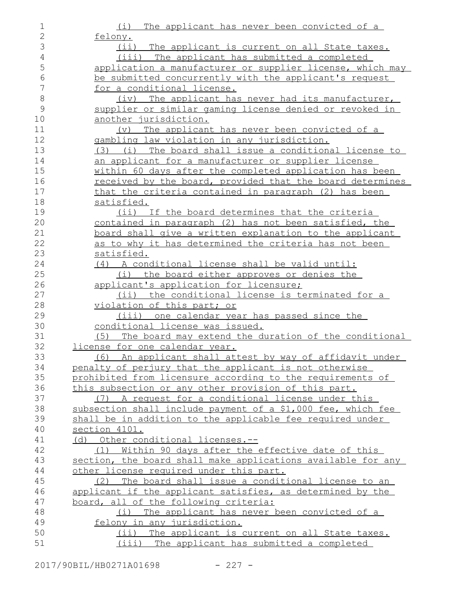| 1              | (i)<br>The applicant has never been convicted of a           |
|----------------|--------------------------------------------------------------|
| $\mathbf{2}$   | felony.                                                      |
| $\mathfrak{Z}$ | (i)<br>The applicant is current on all State taxes.          |
| $\overline{4}$ | (iii) The applicant has submitted a completed                |
| 5              | application a manufacturer or supplier license, which may    |
| 6              | be submitted concurrently with the applicant's request       |
| $\overline{7}$ | for a conditional license.                                   |
| $\,8\,$        | (iv) The applicant has never had its manufacturer,           |
| $\mathcal{G}$  | supplier or similar gaming license denied or revoked in      |
| 10             | another jurisdiction.                                        |
| 11             | (v) The applicant has never been convicted of a              |
| 12             | gambling law violation in any jurisdiction.                  |
| 13             | (3) (i) The board shall issue a conditional license to       |
| 14             | an applicant for a manufacturer or supplier license          |
| 15             | within 60 days after the completed application has been      |
| 16             | received by the board, provided that the board determines    |
| 17             | that the criteria contained in paragraph (2) has been        |
| 18             | satisfied.                                                   |
| 19             | (ii) If the board determines that the criteria               |
| 20             | contained in paragraph (2) has not been satisfied, the       |
| 21             | board shall give a written explanation to the applicant      |
| 22             | as to why it has determined the criteria has not been        |
| 23             | satisfied.                                                   |
| 24             | (4) A conditional license shall be valid until:              |
| 25             | (i) the board either approves or denies the                  |
| 26             | applicant's application for licensure;                       |
| 27             | (ii) the conditional license is terminated for a             |
| 28             | violation of this part; or                                   |
| 29             | (iii) one calendar year has passed since the                 |
| 30             | conditional license was issued.                              |
| 31             | (5) The board may extend the duration of the conditional     |
| 32             | license for one calendar year.                               |
| 33             | An applicant shall attest by way of affidavit under<br>(6)   |
| 34             | penalty of perjury that the applicant is not otherwise       |
| 35             | prohibited from licensure according to the requirements of   |
| 36             | this subsection or any other provision of this part.         |
| 37             | (7) A request for a conditional license under this           |
| 38             | subsection shall include payment of a \$1,000 fee, which fee |
| 39             | shall be in addition to the applicable fee required under    |
| 40             | section 4101.                                                |
| 41             | (d) Other conditional licenses.--                            |
| 42             | (1) Within 90 days after the effective date of this          |
| 43             | section, the board shall make applications available for any |
| 44             | other license required under this part.                      |
| 45             | The board shall issue a conditional license to an<br>(2)     |
| 46             | applicant if the applicant satisfies, as determined by the   |
| 47             | board, all of the following criteria:                        |
| 48             | (i) The applicant has never been convicted of a              |
| 49             | felony in any jurisdiction.                                  |
| 50             | (ii) The applicant is current on all State taxes.            |
| 51             | (iii) The applicant has submitted a completed                |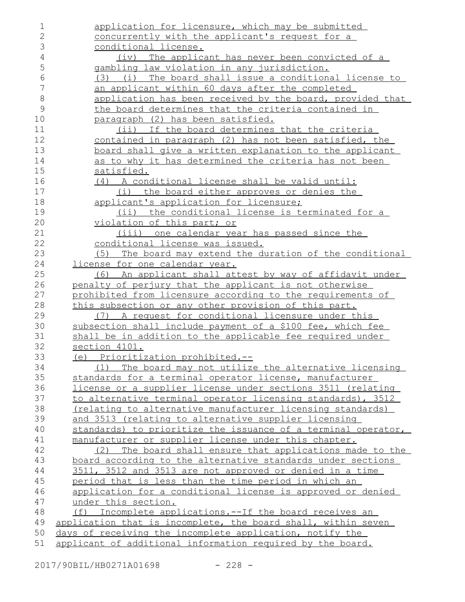| 1              | application for licensure, which may be submitted             |
|----------------|---------------------------------------------------------------|
| $\mathbf{2}$   | concurrently with the applicant's request for a               |
| 3              | conditional license.                                          |
| $\overline{4}$ | (iv) The applicant has never been convicted of a              |
| 5              | gambling law violation in any jurisdiction.                   |
| $6\,$          | (i) The board shall issue a conditional license to<br>(3)     |
| 7              | an applicant within 60 days after the completed               |
| $\,8\,$        | application has been received by the board, provided that     |
| $\mathcal{G}$  | the board determines that the criteria contained in           |
| 10             | paragraph (2) has been satisfied.                             |
| 11             | (ii) If the board determines that the criteria                |
| 12             | contained in paragraph (2) has not been satisfied, the        |
| 13             | board shall give a written explanation to the applicant       |
| 14             | as to why it has determined the criteria has not been         |
| 15             | satisfied.                                                    |
| 16             | (4) A conditional license shall be valid until:               |
| 17             | (i) the board either approves or denies the                   |
| 18             | applicant's application for licensure;                        |
| 19             | (ii) the conditional license is terminated for a              |
| 20             | <u>violation of this part; or</u>                             |
| 21             | (iii) one calendar year has passed since the                  |
| 22             | conditional license was issued.                               |
| 23             | (5) The board may extend the duration of the conditional      |
| 24             | license for one calendar year.                                |
| 25             | (6) An applicant shall attest by way of affidavit under       |
| 26             | penalty of perjury that the applicant is not otherwise        |
| 27             | prohibited from licensure according to the requirements of    |
| 28             | this subsection or any other provision of this part.          |
| 29             | A request for conditional licensure under this<br>(7)         |
| 30             | subsection shall include payment of a \$100 fee, which fee    |
| 31             | shall be in addition to the applicable fee required under     |
| 32             | section 4101.                                                 |
| 33             | (e) Prioritization prohibited.--                              |
| 34             | (1) The board may not utilize the alternative licensing       |
| 35             | standards for a terminal operator license, manufacturer       |
| 36             | license or a supplier license under sections 3511 (relating   |
| 37             | to alternative terminal operator licensing standards), 3512   |
| 38             | (relating to alternative manufacturer licensing standards)    |
| 39             | and 3513 (relating to alternative supplier licensing          |
| 40             | standards) to prioritize the issuance of a terminal operator, |
| 41             | manufacturer or supplier license under this chapter.          |
| 42             | (2) The board shall ensure that applications made to the      |
| 43             | board according to the alternative standards under sections   |
| 44             | 3511, 3512 and 3513 are not approved or denied in a time      |
| 45             | period that is less than the time period in which an          |
| 46             | application for a conditional license is approved or denied   |
| 47             | under this section.                                           |
| 48             | Incomplete applications.--If the board receives an<br>(f)     |
| 49             | application that is incomplete, the board shall, within seven |
| 50             | days of receiving the incomplete application, notify the      |
| 51             | applicant of additional information required by the board.    |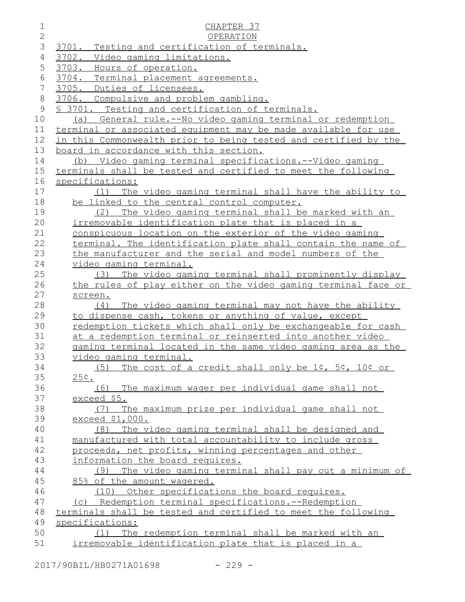| $\mathbf 1$     | CHAPTER 37                                                      |
|-----------------|-----------------------------------------------------------------|
| $\overline{2}$  | OPERATION                                                       |
| 3               | 3701.<br>Testing and certification of terminals.                |
| 4               | 3702. Video gaming limitations.                                 |
| 5               | 3703. Hours of operation.                                       |
| 6               | 3704. Terminal placement agreements.                            |
| $7\phantom{.0}$ | 3705. Duties of licensees.                                      |
| 8               | 3706. Compulsive and problem gambling.                          |
| 9               | § 3701. Testing and certification of terminals.                 |
| 10              | (a) General rule.--No video gaming terminal or redemption       |
| 11              | terminal or associated equipment may be made available for use  |
| 12              | in this Commonwealth prior to being tested and certified by the |
| 13              | board in accordance with this section.                          |
| 14              | (b) Video gaming terminal specifications.--Video gaming         |
| 15              | terminals shall be tested and certified to meet the following   |
| 16              | specifications:                                                 |
| 17              | (1) The video gaming terminal shall have the ability to         |
| 18              | be linked to the central control computer.                      |
| 19              | The video gaming terminal shall be marked with an<br>(2)        |
| 20              | irremovable identification plate that is placed in a            |
| 21              | conspicuous location on the exterior of the video gaming        |
| 22              | terminal. The identification plate shall contain the name of    |
| 23              | the manufacturer and the serial and model numbers of the        |
| 24              | video gaming terminal.                                          |
| 25              | The video gaming terminal shall prominently display<br>(3)      |
| 26              | the rules of play either on the video gaming terminal face or   |
| 27              | screen.                                                         |
| 28              | The video gaming terminal may not have the ability<br>(4)       |
| 29              | to dispense cash, tokens or anything of value, except           |
| 30              | redemption tickets which shall only be exchangeable for cash    |
| 31              | at a redemption terminal or reinserted into another video       |
| 32              | gaming terminal located in the same video gaming area as the    |
| 33              | video gaming terminal.                                          |
| 34              | The cost of a credit shall only be 1¢, 5¢, 10¢ or<br>(5)        |
| 35              | 25¢.                                                            |
| 36              | (6) The maximum wager per individual game shall not             |
| 37              | exceed \$5.                                                     |
| 38              | The maximum prize per individual game shall not<br>(7)          |
| 39              | exceed \$1,000.                                                 |
| 40              | The video gaming terminal shall be designed and<br>(8)          |
| 41              | manufactured with total accountability to include gross         |
| 42              | proceeds, net profits, winning percentages and other            |
| 43              | information the board requires.                                 |
| 44              | The video gaming terminal shall pay out a minimum of<br>(9)     |
| 45              | 85% of the amount wagered.                                      |
| 46              | (10) Other specifications the board requires.                   |
| 47              | (c) Redemption terminal specifications.--Redemption             |
| 48              | terminals shall be tested and certified to meet the following   |
| 49              | specifications:                                                 |
| 50              | The redemption terminal shall be marked with an<br>(1)          |
| 51              | irremovable identification plate that is placed in a            |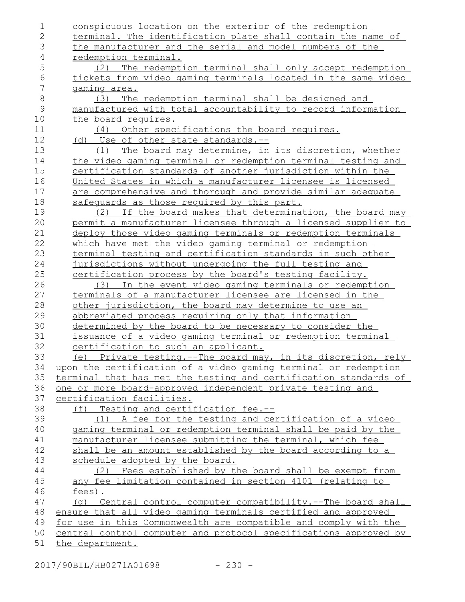| 1              | conspicuous location on the exterior of the redemption                                                                                |
|----------------|---------------------------------------------------------------------------------------------------------------------------------------|
| $\overline{2}$ | terminal. The identification plate shall contain the name of                                                                          |
| 3              | the manufacturer and the serial and model numbers of the                                                                              |
| $\sqrt{4}$     | redemption terminal.                                                                                                                  |
| 5              | The redemption terminal shall only accept redemption<br>(2)                                                                           |
| $\sqrt{6}$     | tickets from video gaming terminals located in the same video                                                                         |
| 7              | gaming area.                                                                                                                          |
| $\,8\,$        | The redemption terminal shall be designed and<br>(3)                                                                                  |
| $\mathsf 9$    | manufactured with total accountability to record information                                                                          |
| 10             | the board requires.                                                                                                                   |
| 11             | (4) Other specifications the board requires.                                                                                          |
| 12             | (d) Use of other state standards.--                                                                                                   |
| 13             | The board may determine, in its discretion, whether<br>(1)                                                                            |
| 14             | the video gaming terminal or redemption terminal testing and                                                                          |
| 15             | certification standards of another jurisdiction within the                                                                            |
| 16             | United States in which a manufacturer licensee is licensed                                                                            |
| 17             | are comprehensive and thorough and provide similar adequate                                                                           |
| 18             | safequards as those required by this part.                                                                                            |
| 19             | (2) If the board makes that determination, the board may                                                                              |
| 20             | permit a manufacturer licensee through a licensed supplier to                                                                         |
| 21             | deploy those video gaming terminals or redemption terminals                                                                           |
| 22             | which have met the video gaming terminal or redemption                                                                                |
| 23             | terminal testing and certification standards in such other                                                                            |
| 24             | jurisdictions without undergoing the full testing and                                                                                 |
| 25             | certification process by the board's testing facility.                                                                                |
| 26             | (3) In the event video gaming terminals or redemption                                                                                 |
| 27             | terminals of a manufacturer licensee are licensed in the                                                                              |
| 28             | other jurisdiction, the board may determine to use an                                                                                 |
| 29             | abbreviated process requiring only that information                                                                                   |
| 30             | determined by the board to be necessary to consider the                                                                               |
| 31             | issuance of a video gaming terminal or redemption terminal                                                                            |
| 32             | certification to such an applicant.                                                                                                   |
| 33             | (e) Private testing.--The board may, in its discretion, rely                                                                          |
| 34<br>35       | upon the certification of a video gaming terminal or redemption                                                                       |
| 36             | terminal that has met the testing and certification standards of<br><u>one or more board-approved independent private testing and</u> |
| 37             | certification facilities.                                                                                                             |
| 38             | (f) Testing and certification fee.--                                                                                                  |
| 39             | (1) A fee for the testing and certification of a video                                                                                |
| 40             | gaming terminal or redemption terminal shall be paid by the                                                                           |
| 41             | manufacturer licensee submitting the terminal, which fee                                                                              |
| 42             | shall be an amount established by the board according to a                                                                            |
| 43             | schedule adopted by the board.                                                                                                        |
| 44             | (2) Fees established by the board shall be exempt from                                                                                |
| 45             | any fee limitation contained in section 4101 (relating to                                                                             |
| 46             | fees).                                                                                                                                |
| 47             | (q) Central control computer compatibility.--The board shall                                                                          |
| 48             | ensure that all video gaming terminals certified and approved                                                                         |
| 49             | for use in this Commonwealth are compatible and comply with the                                                                       |
| 50             | central control computer and protocol specifications approved by                                                                      |
| 51             | the department.                                                                                                                       |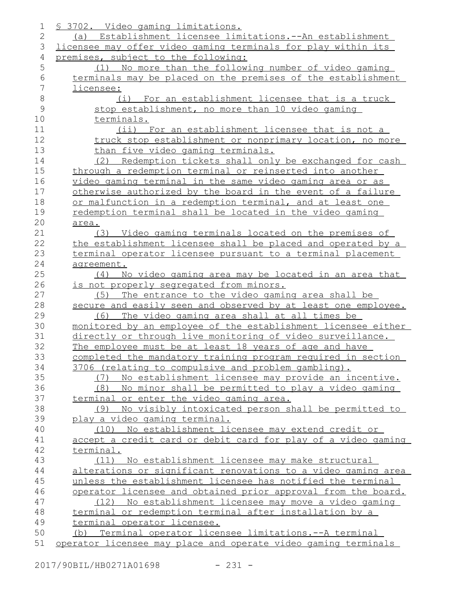| 1              | <u>S 3702. Video gaming limitations.</u>                       |
|----------------|----------------------------------------------------------------|
| $\overline{2}$ | (a) Establishment licensee limitations.--An establishment      |
| 3              | licensee may offer video gaming terminals for play within its  |
| 4              | premises, subject to the following:                            |
| 5              | (1) No more than the following number of video gaming          |
| 6              | terminals may be placed on the premises of the establishment   |
| 7              | licensee:                                                      |
| 8              | (i) For an establishment licensee that is a truck              |
| $\mathcal{G}$  | stop establishment, no more than 10 video gaming               |
| 10             | terminals.                                                     |
| 11             | (ii) For an establishment licensee that is not a               |
| 12             | truck stop establishment or nonprimary location, no more       |
| 13             | than five video gaming terminals.                              |
| 14             | (2) Redemption tickets shall only be exchanged for cash        |
| 15             | through a redemption terminal or reinserted into another       |
| 16             | video gaming terminal in the same video gaming area or as      |
| 17             | otherwise authorized by the board in the event of a failure    |
| 18             | or malfunction in a redemption terminal, and at least one      |
| 19             | redemption terminal shall be located in the video gaming       |
| 20             | area.                                                          |
| 21             | (3) Video gaming terminals located on the premises of          |
| 22             | the establishment licensee shall be placed and operated by a   |
| 23             | terminal operator licensee pursuant to a terminal placement    |
| 24             | agreement.                                                     |
| 25             | (4) No video gaming area may be located in an area that        |
| 26             | is not properly segregated from minors.                        |
| 27             | The entrance to the video gaming area shall be<br>(5)          |
| 28             | secure and easily seen and observed by at least one employee.  |
| 29             | The video gaming area shall at all times be<br>(6)             |
| 30             | monitored by an employee of the establishment licensee either  |
| 31             | directly or through live monitoring of video surveillance.     |
| 32             | The employee must be at least 18 years of age and have         |
| 33             | completed the mandatory training program required in section   |
| 34             | 3706 (relating to compulsive and problem gambling).            |
| 35             | No establishment licensee may provide an incentive.<br>(7)     |
| 36             | No minor shall be permitted to play a video gaming<br>(8)      |
| 37             | terminal or enter the video gaming area.                       |
| 38             | No visibly intoxicated person shall be permitted to<br>(9)     |
| 39             | play a video gaming terminal.                                  |
| 40             | No establishment licensee may extend credit or<br>(10)         |
| 41             | accept a credit card or debit card for play of a video gaming  |
| 42             | terminal.                                                      |
| 43             | (11) No establishment licensee may make structural             |
| 44             | alterations or significant renovations to a video gaming area  |
| 45             | unless the establishment licensee has notified the terminal    |
| 46             | operator licensee and obtained prior approval from the board.  |
| 47             | (12) No establishment licensee may move a video gaming         |
| 48             | terminal or redemption terminal after installation by a        |
| 49             | terminal operator licensee.                                    |
| 50             | (b) Terminal operator licensee limitations.--A terminal        |
| 51             | operator licensee may place and operate video gaming terminals |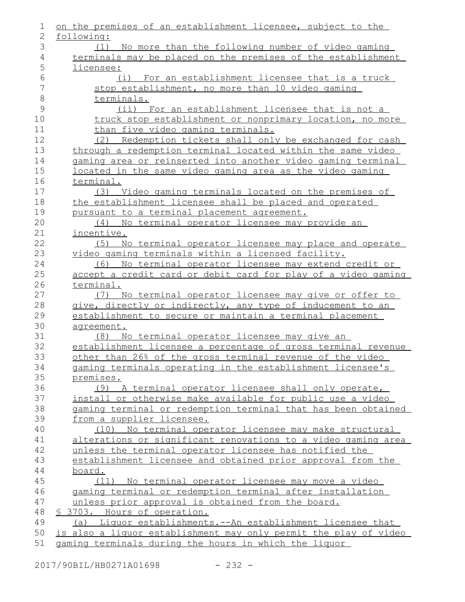| 1              | on the premises of an establishment licensee, subject to the     |
|----------------|------------------------------------------------------------------|
| 2              | following:                                                       |
| 3              | (1) No more than the following number of video gaming            |
| 4              | terminals may be placed on the premises of the establishment     |
| 5              | licensee:                                                        |
| 6              | (i) For an establishment licensee that is a truck                |
| $\overline{7}$ | stop establishment, no more than 10 video gaming                 |
| $\,8\,$        | terminals.                                                       |
| 9              | (ii) For an establishment licensee that is not a                 |
| 10             | truck stop establishment or nonprimary location, no more         |
| 11             | than five video gaming terminals.                                |
| 12             | (2) Redemption tickets shall only be exchanged for cash          |
| 13             | through a redemption terminal located within the same video      |
| 14             | gaming area or reinserted into another video gaming terminal     |
| 15             | located in the same video gaming area as the video gaming        |
| 16             | terminal.                                                        |
| 17             | (3) Video gaming terminals located on the premises of            |
| 18             | the establishment licensee shall be placed and operated          |
| 19             | pursuant to a terminal placement agreement.                      |
| 20             | (4) No terminal operator licensee may provide an                 |
| 21             | incentive.                                                       |
| 22             | No terminal operator licensee may place and operate<br>(5)       |
| 23             | video gaming terminals within a licensed facility.               |
| 24             | (6) No terminal operator licensee may extend credit or           |
| 25             | accept a credit card or debit card for play of a video gaming    |
| 26             | terminal.                                                        |
| 27             | (7) No terminal operator licensee may give or offer to           |
| 28             | give, directly or indirectly, any type of inducement to an       |
| 29<br>30       | establishment to secure or maintain a terminal placement         |
| 31             | agreement.<br>(8) No terminal operator licensee may give an      |
| 32             | establishment licensee a percentage of gross terminal revenue    |
| 33             | other than 26% of the gross terminal revenue of the video        |
| 34             | gaming terminals operating in the establishment licensee's       |
| 35             | premises.                                                        |
| 36             | (9) A terminal operator licensee shall only operate,             |
| 37             | install or otherwise make available for public use a video       |
| 38             | gaming terminal or redemption terminal that has been obtained    |
| 39             | from a supplier licensee.                                        |
| 40             | (10) No terminal operator licensee may make structural           |
| 41             | alterations or significant renovations to a video gaming area    |
| 42             | unless the terminal operator licensee has notified the           |
| 43             | establishment licensee and obtained prior approval from the      |
| 44             | board.                                                           |
| 45             | (11) No terminal operator licensee may move a video              |
| 46             | gaming terminal or redemption terminal after installation        |
| 47             | unless prior approval is obtained from the board.                |
| 48             | <u>S 3703. Hours of operation.</u>                               |
| 49             | (a) Liquor establishments.--An establishment licensee that       |
| 50             | is also a liquor establishment may only permit the play of video |
| 51             | gaming terminals during the hours in which the liguor            |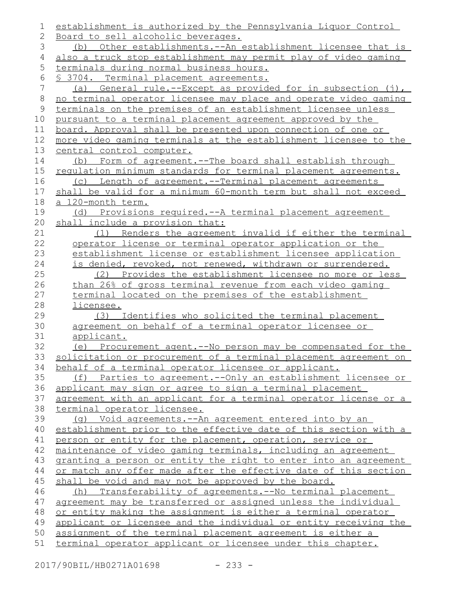| 1       | establishment is authorized by the Pennsylvania Liquor Control   |
|---------|------------------------------------------------------------------|
| 2       | Board to sell alcoholic beverages.                               |
| 3       | (b) Other establishments.--An establishment licensee that is     |
| 4       | also a truck stop establishment may permit play of video gaming  |
| 5       | terminals during normal business hours.                          |
| 6       | <u>S 3704. Terminal placement agreements.</u>                    |
| 7       | (a) General rule.--Except as provided for in subsection (j),     |
| $\,8\,$ | no terminal operator licensee may place and operate video gaming |
| 9       | terminals on the premises of an establishment licensee unless    |
| 10      | pursuant to a terminal placement agreement approved by the       |
| 11      | board. Approval shall be presented upon connection of one or     |
| 12      | more video gaming terminals at the establishment licensee to the |
| 13      | central control computer.                                        |
| 14      | Form of agreement.--The board shall establish through<br>(b)     |
| 15      | regulation minimum standards for terminal placement agreements.  |
| 16      | (c) Length of agreement.--Terminal placement agreements          |
| 17      | shall be valid for a minimum 60-month term but shall not exceed  |
| 18      | a 120-month term.                                                |
| 19      | (d) Provisions required.--A terminal placement agreement         |
| 20      | shall include a provision that:                                  |
| 21      | (1) Renders the agreement invalid if either the terminal         |
| 22      | operator license or terminal operator application or the         |
| 23      | establishment license or establishment licensee application      |
| 24      | is denied, revoked, not renewed, withdrawn or surrendered.       |
| 25      | (2) Provides the establishment licensee no more or less          |
| 26      | than 26% of gross terminal revenue from each video gaming        |
| 27      | terminal located on the premises of the establishment            |
| 28      | licensee.                                                        |
| 29      | Identifies who solicited the terminal placement<br>(3)           |
| 30      | agreement on behalf of a terminal operator licensee or           |
| 31      | applicant.                                                       |
| 32      | (e) Procurement agent.--No person may be compensated for the     |
| 33      | solicitation or procurement of a terminal placement agreement on |
| 34      | behalf of a terminal operator licensee or applicant.             |
| 35      | (f) Parties to agreement.-- Only an establishment licensee or    |
| 36      | applicant may sign or agree to sign a terminal placement         |
| 37      | agreement with an applicant for a terminal operator license or a |
| 38      | terminal operator licensee.                                      |
| 39      | (g) Void agreements.--An agreement entered into by an            |
| 40      | establishment prior to the effective date of this section with a |
| 41      | person or entity for the placement, operation, service or        |
| 42      | maintenance of video gaming terminals, including an agreement    |
| 43      | granting a person or entity the right to enter into an agreement |
| 44      | or match any offer made after the effective date of this section |
| 45      | shall be void and may not be approved by the board.              |
| 46      | (h) Transferability of agreements.--No terminal placement        |
| 47      | agreement may be transferred or assigned unless the individual   |
| 48      | or entity making the assignment is either a terminal operator    |
| 49      | applicant or licensee and the individual or entity receiving the |
| 50      | assignment of the terminal placement agreement is either a       |
| 51      | terminal operator applicant or licensee under this chapter.      |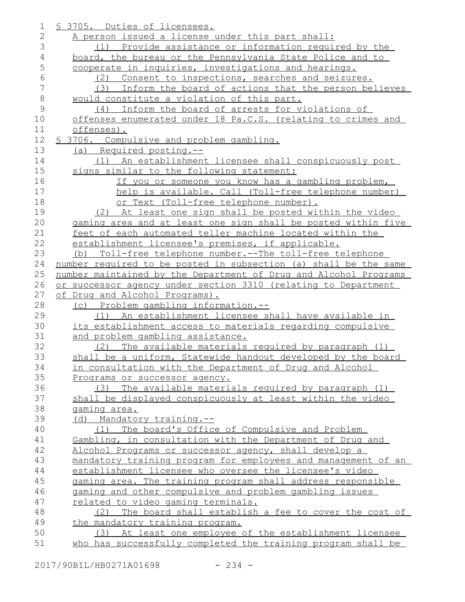| 1              | \$ 3705. Duties of licensees.                                    |
|----------------|------------------------------------------------------------------|
| $\overline{2}$ | A person issued a license under this part shall:                 |
| 3              | (1) Provide assistance or information required by the            |
| $\overline{4}$ | board, the bureau or the Pennsylvania State Police and to        |
| 5              | cooperate in inquiries, investigations and hearings.             |
| 6              | Consent to inspections, searches and seizures.<br>(2)            |
| 7              | Inform the board of actions that the person believes<br>(3)      |
| $\,8\,$        | would constitute a violation of this part.                       |
| 9              | (4) Inform the board of arrests for violations of                |
| 10             | offenses enumerated under 18 Pa.C.S. (relating to crimes and     |
| 11             | offenses).                                                       |
| 12             | \$ 3706. Compulsive and problem gambling.                        |
| 13             | (a) Required posting.--                                          |
| 14             | (1) An establishment licensee shall conspicuously post           |
| 15             | signs similar to the following statement:                        |
| 16             | If you or someone you know has a gambling problem,               |
| 17             | help is available. Call (Toll-free telephone number)             |
| 18             | or Text (Toll-free telephone number).                            |
| 19             | (2) At least one sign shall be posted within the video           |
| 20             | gaming area and at least one sign shall be posted within five    |
| 21             | feet of each automated teller machine located within the         |
| 22             | establishment licensee's premises, if applicable.                |
| 23             | (b) Toll-free telephone number.--The toll-free telephone         |
| 24             | number required to be posted in subsection (a) shall be the same |
| 25             | number maintained by the Department of Drug and Alcohol Programs |
| 26             | or successor agency under section 3310 (relating to Department   |
| 27             | of Drug and Alcohol Programs).                                   |
| 28             | (c) Problem gambling information.--                              |
| 29             | (1) An establishment licensee shall have available in            |
| 30             | its establishment access to materials regarding compulsive       |
| 31             | and problem gambling assistance.                                 |
| 32             | The available materials required by paragraph (1)<br>(2)         |
| 33             | shall be a uniform, Statewide handout developed by the board     |
| 34             | in consultation with the Department of Drug and Alcohol          |
| 35             | Programs or successor agency.                                    |
| 36             | The available materials required by paragraph (1)<br>(3)         |
| 37             | shall be displayed conspicuously at least within the video       |
| 38             | gaming area.                                                     |
| 39             | Mandatory training.--<br>(d)                                     |
| 40             | The board's Office of Compulsive and Problem<br>(1)              |
| 41             | Gambling, in consultation with the Department of Drug and        |
| 42             | Alcohol Programs or successor agency, shall develop a            |
| 43             | mandatory training program for employees and management of an    |
| 44             | establishment licensee who oversee the licensee's video          |
| 45             | gaming area. The training program shall address responsible      |
| 46             | gaming and other compulsive and problem gambling issues          |
| 47             | related to video gaming terminals.                               |
| 48             | The board shall establish a fee to cover the cost of<br>(2)      |
| 49             | the mandatory training program.                                  |
| 50             | (3) At least one employee of the establishment licensee          |
|                |                                                                  |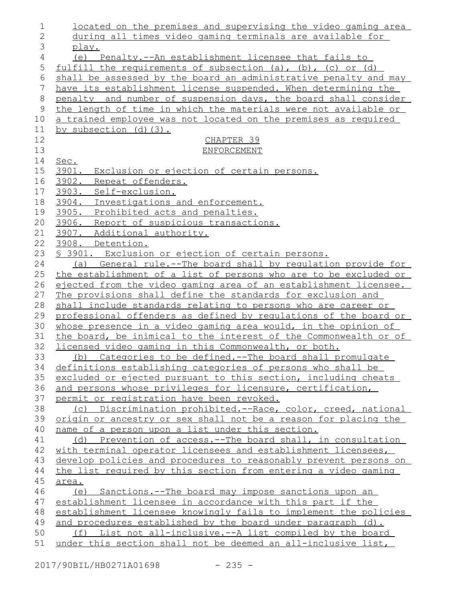| 1              | <u>located on the premises and supervising the video gaming area</u>                                      |
|----------------|-----------------------------------------------------------------------------------------------------------|
| $\overline{2}$ | during all times video gaming terminals are available for                                                 |
| 3              | play.                                                                                                     |
| 4              | (e) Penalty.--An establishment licensee that fails to                                                     |
| 5              | fulfill the requirements of subsection $(a)$ , $(b)$ , $(c)$ or $(d)$                                     |
| 6              | shall be assessed by the board an administrative penalty and may                                          |
| 7              | have its establishment license suspended. When determining the                                            |
| $\,8\,$        | penalty and number of suspension days, the board shall consider                                           |
| 9              | the length of time in which the materials were not available or                                           |
| 10             | a trained employee was not located on the premises as required                                            |
| 11             | by subsection (d) (3).                                                                                    |
| 12             | CHAPTER 39                                                                                                |
| 13             | ENFORCEMENT                                                                                               |
| 14             | Sec.                                                                                                      |
| 15             | 3901.<br>Exclusion or ejection of certain persons.                                                        |
| 16             | 3902.<br>Repeat offenders.                                                                                |
| 17             | Self-exclusion.<br>3903.                                                                                  |
| 18             | 3904. Investigations and enforcement.                                                                     |
| 19             | 3905. Prohibited acts and penalties.                                                                      |
| 20             | 3906. Report of suspicious transactions.                                                                  |
| 21             | 3907. Additional authority.                                                                               |
| 22             | 3908. Detention.                                                                                          |
| 23             | § 3901. Exclusion or ejection of certain persons.                                                         |
| 24             | (a) General rule.--The board shall by requlation provide for                                              |
| 25             | the establishment of a list of persons who are to be excluded or                                          |
| 26             | ejected from the video gaming area of an establishment licensee.                                          |
| 27             | The provisions shall define the standards for exclusion and                                               |
| 28             | shall include standards relating to persons who are career or                                             |
| 29             | professional offenders as defined by requlations of the board or                                          |
| 30             | whose presence in a video gaming area would, in the opinion of                                            |
| 31             | the board, be inimical to the interest of the Commonwealth or of                                          |
| 32             | licensed video gaming in this Commonwealth, or both.                                                      |
| 33             | (b) Categories to be defined.--The board shall promulgate                                                 |
| 34             | definitions establishing categories of persons who shall be                                               |
| 35             | excluded or ejected pursuant to this section, including cheats                                            |
| 36             | and persons whose privileges for licensure, certification,                                                |
| 37<br>38       | permit or registration have been revoked.<br>(c) Discrimination prohibited.--Race, color, creed, national |
| 39             | origin or ancestry or sex shall not be a reason for placing the                                           |
| 40             | name of a person upon a list under this section.                                                          |
| 41             | (d) Prevention of access.--The board shall, in consultation                                               |
| 42             | with terminal operator licensees and establishment licensees,                                             |
| 43             | develop policies and procedures to reasonably prevent persons on                                          |
| 44             | <u>the list required by this section from entering a video gaming</u>                                     |
| 45             | area.                                                                                                     |
| 46             | (e) Sanctions.--The board may impose sanctions upon an                                                    |
| 47             | establishment licensee in accordance with this part if the                                                |
| 48             | establishment licensee knowingly fails to implement the policies                                          |
| 49             | and procedures established by the board under paragraph (d).                                              |
| 50             | (f) List not all-inclusive.--A list compiled by the board                                                 |
| 51             | under this section shall not be deemed an all-inclusive list,                                             |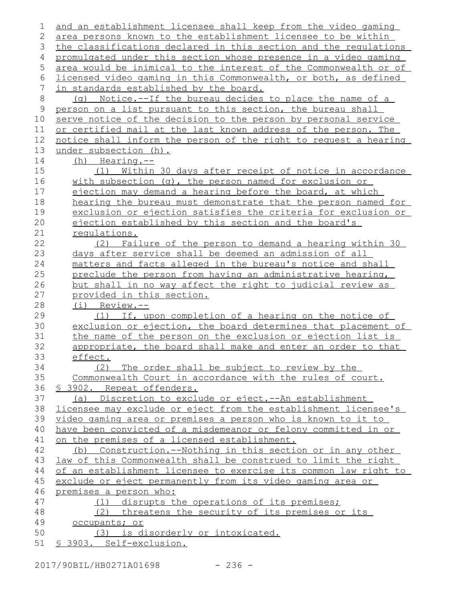| 1           | and an establishment licensee shall keep from the video gaming   |
|-------------|------------------------------------------------------------------|
| 2           | area persons known to the establishment licensee to be within    |
| 3           | the classifications declared in this section and the requlations |
| 4           | promulgated under this section whose presence in a video gaming  |
| 5           | area would be inimical to the interest of the Commonwealth or of |
| 6           | licensed video gaming in this Commonwealth, or both, as defined  |
| 7           | in standards established by the board.                           |
| 8           | (g) Notice.--If the bureau decides to place the name of a        |
| $\mathsf 9$ | person on a list pursuant to this section, the bureau shall      |
| 10          | serve notice of the decision to the person by personal service   |
| 11          | or certified mail at the last known address of the person. The   |
| 12          | notice shall inform the person of the right to request a hearing |
| 13          | under subsection (h).                                            |
| 14          | $(h)$ Hearing.--                                                 |
| 15          | Within 30 days after receipt of notice in accordance<br>(1)      |
| 16          | with subsection (q), the person named for exclusion or           |
| 17          | ejection may demand a hearing before the board, at which         |
| 18          | hearing the bureau must demonstrate that the person named for    |
| 19          | exclusion or ejection satisfies the criteria for exclusion or    |
| 20          | ejection established by this section and the board's             |
| 21          | requlations.                                                     |
| 22          | Failure of the person to demand a hearing within 30<br>(2)       |
| 23          | days after service shall be deemed an admission of all           |
| 24          | matters and facts alleged in the bureau's notice and shall       |
| 25          | preclude the person from having an administrative hearing,       |
| 26          | but shall in no way affect the right to judicial review as       |
| 27          | provided in this section.                                        |
| 28          | $(i)$ Review.--                                                  |
| 29          | If, upon completion of a hearing on the notice of<br>(T)         |
| 30          | exclusion or ejection, the board determines that placement of    |
| 31          | the name of the person on the exclusion or ejection list is      |
| 32          | appropriate, the board shall make and enter an order to that     |
| 33          | effect.                                                          |
| 34          | (2)<br>The order shall be subject to review by the               |
| 35          | Commonwealth Court in accordance with the rules of court.        |
| 36          | <u>S 3902. Repeat offenders.</u>                                 |
| 37          | (a) Discretion to exclude or eject.--An establishment            |
| 38          | licensee may exclude or eject from the establishment licensee's  |
| 39          | video gaming area or premises a person who is known to it to     |
| 40          | have been convicted of a misdemeanor or felony committed in or   |
| 41          | on the premises of a licensed establishment.                     |
| 42          | (b) Construction.--Nothing in this section or in any other       |
| 43          | law of this Commonwealth shall be construed to limit the right   |
| 44          | of an establishment licensee to exercise its common law right to |
| 45          | exclude or eject permanently from its video gaming area or       |
| 46          | premises a person who:                                           |
| 47          | (1) disrupts the operations of its premises;                     |
| 48          | (2) threatens the security of its premises or its                |
| 49          | occupants; or                                                    |
| 50          | (3) is disorderly or intoxicated.                                |
| 51          | § 3903. Self-exclusion.                                          |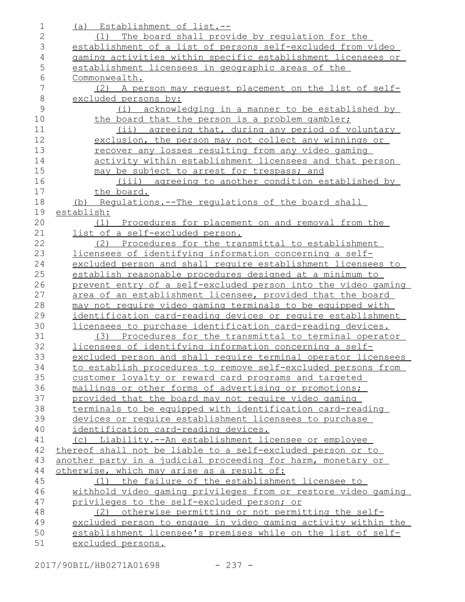| $\mathbf 1$  | (a) Establishment of list.--                                                      |
|--------------|-----------------------------------------------------------------------------------|
| $\mathbf{2}$ | The board shall provide by requlation for the<br>(1)                              |
| 3            | establishment of a list of persons self-excluded from video                       |
| 4            | gaming activities within specific establishment licensees or                      |
| 5            | establishment licensees in geographic areas of the                                |
| $\epsilon$   | Commonwealth.                                                                     |
| 7            | A person may request placement on the list of self-<br>(2)                        |
| $\,8\,$      | excluded persons by:                                                              |
| 9            | (i) acknowledging in a manner to be established by                                |
| 10           | the board that the person is a problem gambler;                                   |
| 11           | (ii) agreeing that, during any period of voluntary                                |
| 12           | exclusion, the person may not collect any winnings or                             |
| 13           | recover any losses resulting from any video gaming                                |
| 14           | activity within establishment licensees and that person                           |
| 15           | may be subject to arrest for trespass; and                                        |
| 16           | (iii) agreeing to another condition established by                                |
| 17           | the board.                                                                        |
| 18           | (b) Regulations.--The regulations of the board shall                              |
| 19           | establish:                                                                        |
| 20           | (1) Procedures for placement on and removal from the                              |
| 21           | list of a self-excluded person.                                                   |
| 22           | Procedures for the transmittal to establishment<br>(2)                            |
| 23           | licensees of identifying information concerning a self-                           |
| 24           | excluded person and shall require establishment licensees to                      |
| 25           | establish reasonable procedures designed at a minimum to                          |
|              |                                                                                   |
| 26           | prevent entry of a self-excluded person into the video gaming                     |
| 27           | area of an establishment licensee, provided that the board                        |
| 28           | may not require video gaming terminals to be equipped with                        |
| 29           | identification card-reading devices or require establishment                      |
| 30           | licensees to purchase identification card-reading devices.                        |
| 31           | (3) Procedures for the transmittal to terminal operator                           |
| 32           | licensees of identifying information concerning a self-                           |
| 33           | excluded person and shall require terminal operator licensees                     |
| 34           | to establish procedures to remove self-excluded persons from                      |
| 35           | customer loyalty or reward card programs and targeted                             |
| 36           | mailings or other forms of advertising or promotions;                             |
| 37           | provided that the board may not require video gaming                              |
| 38           | terminals to be equipped with identification card-reading                         |
| 39           | devices or require establishment licensees to purchase                            |
| 40           | identification card-reading devices.                                              |
| 41           | Liability.--An establishment licensee or employee<br>(C)                          |
| 42           | thereof shall not be liable to a self-excluded person or to                       |
| 43           | another party in a judicial proceeding for harm, monetary or                      |
| 44           | otherwise, which may arise as a result of:                                        |
| 45           | (1) the failure of the establishment licensee to                                  |
| 46           | withhold video gaming privileges from or restore video gaming                     |
| 47           | privileges to the self-excluded person; or                                        |
| 48           | otherwise permitting or not permitting the self-<br>(2)                           |
| 49<br>50     | excluded person to engage in video gaming activity within the                     |
| 51           | establishment licensee's premises while on the list of self-<br>excluded persons. |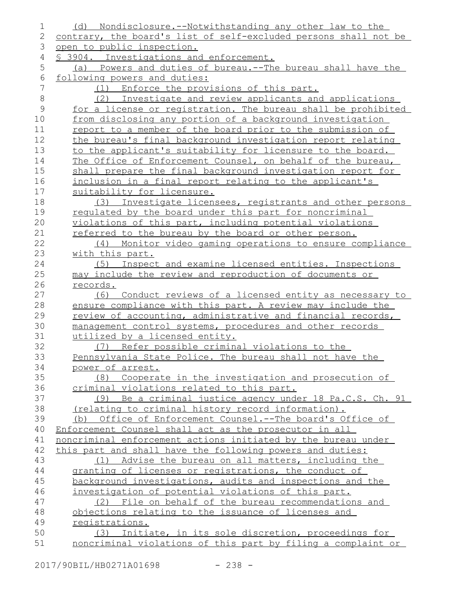| $\mathbf 1$    | <u>Nondisclosure.--Notwithstanding any other law to the</u><br>(d)                                                    |
|----------------|-----------------------------------------------------------------------------------------------------------------------|
| 2              | contrary, the board's list of self-excluded persons shall not be                                                      |
| 3              | open to public inspection.                                                                                            |
| 4              | § 3904. Investigations and enforcement.                                                                               |
| 5              | (a) Powers and duties of bureau.--The bureau shall have the                                                           |
| 6              | following powers and duties:                                                                                          |
| $\overline{7}$ | (1) Enforce the provisions of this part.                                                                              |
| $\,8\,$        | (2) Investigate and review applicants and applications                                                                |
| $\mathcal{G}$  | for a license or registration. The bureau shall be prohibited                                                         |
| 10             | from disclosing any portion of a background investigation                                                             |
| 11             | report to a member of the board prior to the submission of                                                            |
| 12             | the bureau's final background investigation report relating                                                           |
| 13             | to the applicant's suitability for licensure to the board.                                                            |
| 14             | The Office of Enforcement Counsel, on behalf of the bureau,                                                           |
| 15             | shall prepare the final background investigation report for                                                           |
| 16             | inclusion in a final report relating to the applicant's                                                               |
| 17             | suitability for licensure.                                                                                            |
| 18             | (3) Investigate licensees, registrants and other persons                                                              |
| 19             | requlated by the board under this part for noncriminal                                                                |
| 20             | violations of this part, including potential violations                                                               |
| 21             | referred to the bureau by the board or other person.                                                                  |
| 22             | (4) Monitor video gaming operations to ensure compliance                                                              |
| 23             | with this part.                                                                                                       |
| 24             | (5) Inspect and examine licensed entities. Inspections                                                                |
| 25             | may include the review and reproduction of documents or                                                               |
| 26             | <u>records.</u>                                                                                                       |
| 27             | (6) Conduct reviews of a licensed entity as necessary to                                                              |
| 28             | ensure compliance with this part. A review may include the                                                            |
| 29             | review of accounting, administrative and financial records,                                                           |
| 30             | management control systems, procedures and other records                                                              |
| 31             | utilized by a licensed entity.                                                                                        |
| 32             | (7) Refer possible criminal violations to the                                                                         |
| 33             | Pennsylvania State Police. The bureau shall not have the                                                              |
| 34             | power of arrest.                                                                                                      |
| 35             | (8) Cooperate in the investigation and prosecution of                                                                 |
| 36             | criminal violations related to this part.                                                                             |
| 37             | (9) Be a criminal justice agency under 18 Pa.C.S. Ch. 91                                                              |
| 38             | (relating to criminal history record information).                                                                    |
| 39             | (b) Office of Enforcement Counsel.--The board's Office of                                                             |
| 40             | Enforcement Counsel shall act as the prosecutor in all                                                                |
| 41             | noncriminal enforcement actions initiated by the bureau under                                                         |
| 42             | this part and shall have the following powers and duties:                                                             |
| 43             | (1) Advise the bureau on all matters, including the                                                                   |
| 44             | granting of licenses or registrations, the conduct of                                                                 |
| 45             | background investigations, audits and inspections and the                                                             |
| 46             | investigation of potential violations of this part.                                                                   |
| 47             | (2) File on behalf of the bureau recommendations and                                                                  |
| 48             | objections relating to the issuance of licenses and                                                                   |
| 49             | registrations.                                                                                                        |
|                |                                                                                                                       |
| 50<br>51       | (3) Initiate, in its sole discretion, proceedings for<br>noncriminal violations of this part by filing a complaint or |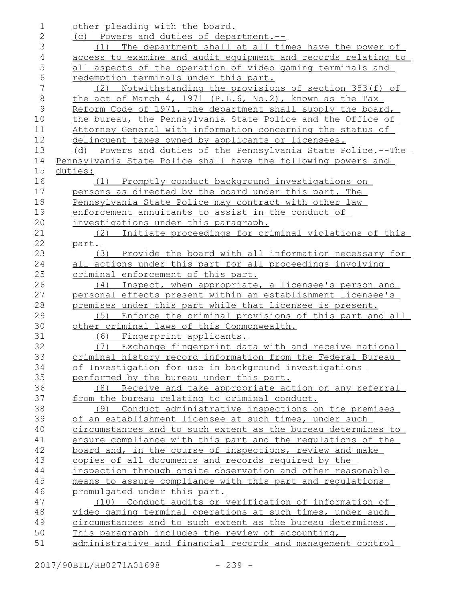| 1              | other pleading with the board.                                |
|----------------|---------------------------------------------------------------|
| $\mathbf{2}$   | (c) Powers and duties of department.--                        |
| 3              | The department shall at all times have the power of<br>(1)    |
| $\overline{4}$ | access to examine and audit equipment and records relating to |
| 5              | all aspects of the operation of video gaming terminals and    |
| 6              | redemption terminals under this part.                         |
| 7              | Notwithstanding the provisions of section 353(f) of<br>(2)    |
| $\,8\,$        | the act of March 4, 1971 (P.L.6, No.2), known as the Tax      |
| $\mathcal{G}$  | Reform Code of 1971, the department shall supply the board,   |
| 10             | the bureau, the Pennsylvania State Police and the Office of   |
| 11             | Attorney General with information concerning the status of    |
| 12             | delinquent taxes owned by applicants or licensees.            |
| 13             | (d) Powers and duties of the Pennsylvania State Police.--The  |
| 14             | Pennsylvania State Police shall have the following powers and |
| 15             | duties:                                                       |
| 16             | (1) Promptly conduct background investigations on             |
| 17             | persons as directed by the board under this part. The         |
| 18             | Pennsylvania State Police may contract with other law         |
| 19             | enforcement annuitants to assist in the conduct of            |
| 20             | investigations under this paragraph.                          |
| 21             | Initiate proceedings for criminal violations of this<br>(2)   |
| 22             | part.                                                         |
| 23             | (3) Provide the board with all information necessary for      |
| 24             | all actions under this part for all proceedings involving     |
| 25             | criminal enforcement of this part.                            |
| 26             | (4) Inspect, when appropriate, a licensee's person and        |
| 27             | personal effects present within an establishment licensee's   |
| 28             | premises under this part while that licensee is present.      |
| 29             | Enforce the criminal provisions of this part and all<br>(5)   |
| 30             | other criminal laws of this Commonwealth.                     |
| 31             | (6) Fingerprint applicants.                                   |
| 32             | (7) Exchange fingerprint data with and receive national       |
| 33             | criminal history record information from the Federal Bureau   |
| 34             |                                                               |
| 35             | of Investigation for use in background investigations         |
|                | performed by the bureau under this part.                      |
| 36<br>37       | (8) Receive and take appropriate action on any referral       |
| 38             | from the bureau relating to criminal conduct.                 |
|                | (9) Conduct administrative inspections on the premises        |
| 39             | of an establishment licensee at such times, under such        |
| 40             | circumstances and to such extent as the bureau determines to  |
| 41             | ensure compliance with this part and the requlations of the   |
| 42             | board and, in the course of inspections, review and make      |
| 43             | copies of all documents and records required by the           |
| 44             | inspection through onsite observation and other reasonable    |
| 45             | means to assure compliance with this part and requlations     |
| 46             | promulgated under this part.                                  |
| 47             | Conduct audits or verification of information of<br>(10)      |
| 48             | video gaming terminal operations at such times, under such    |
| 49             | circumstances and to such extent as the bureau determines.    |
| 50             | This paragraph includes the review of accounting,             |
| 51             | administrative and financial records and management control   |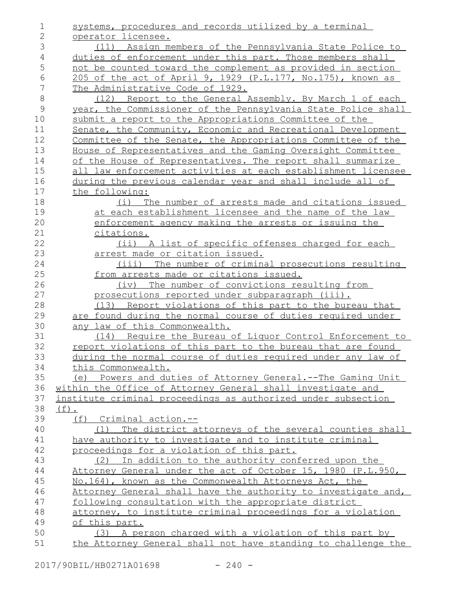systems, procedures and records utilized by a terminal operator licensee. (11) Assign members of the Pennsylvania State Police to duties of enforcement under this part. Those members shall not be counted toward the complement as provided in section 205 of the act of April 9, 1929 (P.L.177, No.175), known as The Administrative Code of 1929. (12) Report to the General Assembly. By March 1 of each year, the Commissioner of the Pennsylvania State Police shall submit a report to the Appropriations Committee of the Senate, the Community, Economic and Recreational Development Committee of the Senate, the Appropriations Committee of the House of Representatives and the Gaming Oversight Committee of the House of Representatives. The report shall summarize all law enforcement activities at each establishment licensee during the previous calendar year and shall include all of the following: (i) The number of arrests made and citations issued at each establishment licensee and the name of the law enforcement agency making the arrests or issuing the citations. (ii) A list of specific offenses charged for each arrest made or citation issued. (iii) The number of criminal prosecutions resulting from arrests made or citations issued. (iv) The number of convictions resulting from prosecutions reported under subparagraph (iii). (13) Report violations of this part to the bureau that are found during the normal course of duties required under any law of this Commonwealth. (14) Require the Bureau of Liquor Control Enforcement to report violations of this part to the bureau that are found during the normal course of duties required under any law of this Commonwealth. (e) Powers and duties of Attorney General.--The Gaming Unit within the Office of Attorney General shall investigate and institute criminal proceedings as authorized under subsection  $(f)$ . (f) Criminal action.-- (1) The district attorneys of the several counties shall have authority to investigate and to institute criminal proceedings for a violation of this part. (2) In addition to the authority conferred upon the Attorney General under the act of October 15, 1980 (P.L.950, No.164), known as the Commonwealth Attorneys Act, the Attorney General shall have the authority to investigate and, following consultation with the appropriate district attorney, to institute criminal proceedings for a violation of this part. (3) A person charged with a violation of this part by the Attorney General shall not have standing to challenge the 1 2 3 4 5 6 7 8 9 10 11 12 13 14 15 16 17 18 19 20 21 22 23 24 25 26 27 28 29 30 31 32 33 34 35 36 37 38 39 40 41 42 43 44 45 46 47 48 49 50 51

2017/90BIL/HB0271A01698 - 240 -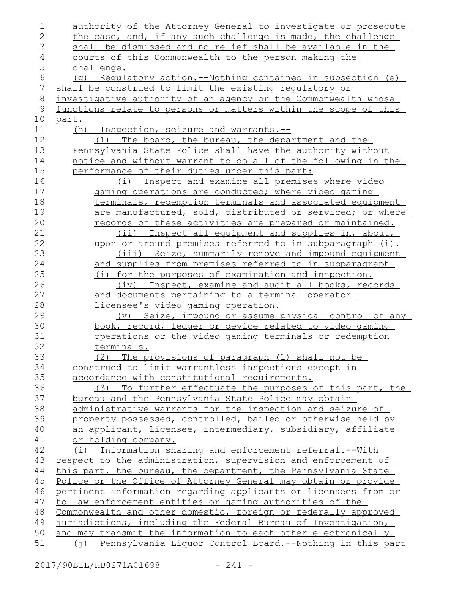| 1              | authority of the Attorney General to investigate or prosecute                  |
|----------------|--------------------------------------------------------------------------------|
| $\overline{2}$ | the case, and, if any such challenge is made, the challenge                    |
| 3              | shall be dismissed and no relief shall be available in the                     |
| $\overline{4}$ | <u>courts of this Commonwealth to the person making the</u>                    |
| 5              | challenge.                                                                     |
| 6              | (q) Requlatory action.--Nothing contained in subsection (e)                    |
| $\overline{7}$ | shall be construed to limit the existing regulatory or                         |
| $\,8\,$        | investigative authority of an agency or the Commonwealth whose                 |
| 9              | functions relate to persons or matters within the scope of this                |
| 10             | <u>part.</u>                                                                   |
| 11             | Inspection, seizure and warrants.--<br>(h)                                     |
| 12             | The board, the bureau, the department and the<br>(1)                           |
| 13             | Pennsylvania State Police shall have the authority without                     |
| 14             | notice and without warrant to do all of the following in the                   |
| 15             | performance of their duties under this part:                                   |
| 16             | (i) Inspect and examine all premises where video                               |
| 17             | gaming operations are conducted; where video gaming                            |
| 18             | terminals, redemption terminals and associated equipment                       |
| 19             | are manufactured, sold, distributed or serviced; or where                      |
| 20             | records of these activities are prepared or maintained.                        |
| 21             | Inspect all equipment and supplies in, about,<br>$(i$ ii)                      |
| 22             | upon or around premises referred to in subparagraph (i).                       |
| 23             | (iii) Seize, summarily remove and impound equipment                            |
| 24             | and supplies from premises referred to in subparagraph                         |
| 25             | (i) for the purposes of examination and inspection.                            |
| 26             | (iv) Inspect, examine and audit all books, records                             |
| 27             | and documents pertaining to a terminal operator                                |
| 28             | licensee's video gaming operation.                                             |
| 29             | (v) Seize, impound or assume physical control of any                           |
| 30             | book, record, ledger or device related to video gaming                         |
| 31             | <u>operations or the video gaming terminals or redemption</u>                  |
| 32             | terminals.                                                                     |
| 33             | (2) The provisions of paragraph (1) shall not be                               |
| 34             | construed to limit warrantless inspections except in                           |
| 35             | accordance with constitutional requirements.                                   |
| 36             | To further effectuate the purposes of this part, the<br>(3)                    |
| 37             | bureau and the Pennsylvania State Police may obtain                            |
| 38             | administrative warrants for the inspection and seizure of                      |
| 39             | property possessed, controlled, bailed or otherwise held by                    |
| 40             | an applicant, licensee, intermediary, subsidiary, affiliate                    |
| 41             | or holding company.                                                            |
| 42             | (i) Information sharing and enforcement referral.--With                        |
| 43             | respect to the administration, supervision and enforcement of                  |
| 44             | this part, the bureau, the department, the Pennsylvania State                  |
| 45             | Police or the Office of Attorney General may obtain or provide                 |
| 46             | pertinent information regarding applicants or licensees from or                |
| 47             | to law enforcement entities or gaming authorities of the                       |
| 48             | Commonwealth and other domestic, foreign or federally approved                 |
| 49             | jurisdictions, including the Federal Bureau of Investigation,                  |
| 50             | and may transmit the information to each other electronically.                 |
| 51             | <u>Pennsylvania Liquor Control Board.--Nothing in this part</u><br>$(\dagger)$ |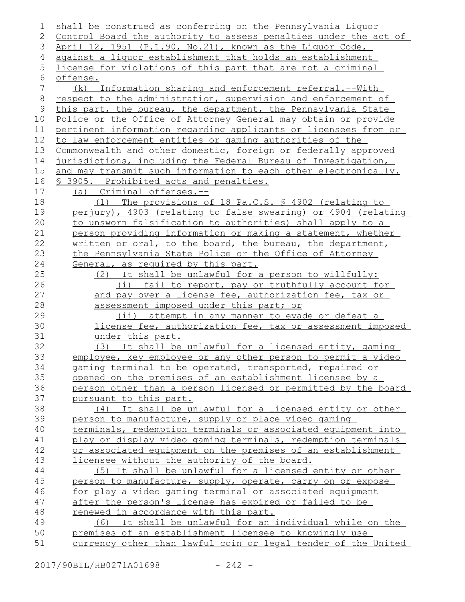| 1           | shall be construed as conferring on the Pennsylvania Liquor       |
|-------------|-------------------------------------------------------------------|
| 2           | Control Board the authority to assess penalties under the act of  |
| 3           | April 12, 1951 (P.L.90, No.21), known as the Liquor Code,         |
| 4           | against a liquor establishment that holds an establishment        |
| 5           | license for violations of this part that are not a criminal       |
| 6           | offense.                                                          |
| 7           | Information sharing and enforcement referral.--With<br>( k )      |
| $8\,$       | respect to the administration, supervision and enforcement of     |
| $\mathsf 9$ | this part, the bureau, the department, the Pennsylvania State     |
| 10          | Police or the Office of Attorney General may obtain or provide    |
| 11          | pertinent information regarding applicants or licensees from or   |
| 12          | to law enforcement entities or gaming authorities of the          |
| 13          | Commonwealth and other domestic, foreign or federally approved    |
| 14          | jurisdictions, including the Federal Bureau of Investigation,     |
| 15          | and may transmit such information to each other electronically.   |
| 16          | \$ 3905. Prohibited acts and penalties.                           |
| 17          | (a) Criminal offenses.--                                          |
| 18          | (1) The provisions of 18 Pa.C.S. \$ 4902 (relating to             |
| 19          | perjury), 4903 (relating to false swearing) or 4904 (relating     |
| 20          | to unsworn falsification to authorities) shall apply to a         |
| 21          | person providing information or making a statement, whether       |
| 22          | <u>written or oral, to the board, the bureau, the department,</u> |
| 23          | the Pennsylvania State Police or the Office of Attorney           |
| 24          | General, as required by this part.                                |
| 25          | (2) It shall be unlawful for a person to willfully:               |
| 26          | (i) fail to report, pay or truthfully account for                 |
| 27          | and pay over a license fee, authorization fee, tax or             |
| 28          | assessment imposed under this part; or                            |
| 29          | (ii) attempt in any manner to evade or defeat a                   |
| 30          | license fee, authorization fee, tax or assessment imposed         |
| 31          | under this part.                                                  |
| 32          | (3) It shall be unlawful for a licensed entity, gaming            |
| 33          | employee, key employee or any other person to permit a video      |
| 34          | gaming terminal to be operated, transported, repaired or          |
| 35          | opened on the premises of an establishment licensee by a          |
| 36          | person other than a person licensed or permitted by the board     |
| 37          | pursuant to this part.                                            |
| 38          | (4) It shall be unlawful for a licensed entity or other           |
| 39          | person to manufacture, supply or place video gaming               |
| 40          | terminals, redemption terminals or associated equipment into      |
| 41          | play or display video gaming terminals, redemption terminals      |
| 42          | or associated equipment on the premises of an establishment       |
| 43          | licensee without the authority of the board.                      |
| 44          | (5) It shall be unlawful for a licensed entity or other           |
| 45          | person to manufacture, supply, operate, carry on or expose        |
| 46          | for play a video gaming terminal or associated equipment          |
| 47          | after the person's license has expired or failed to be            |
| 48          | renewed in accordance with this part.                             |
| 49          | (6) It shall be unlawful for an individual while on the           |
| 50          | premises of an establishment licensee to knowingly use            |
| 51          | currency other than lawful coin or legal tender of the United     |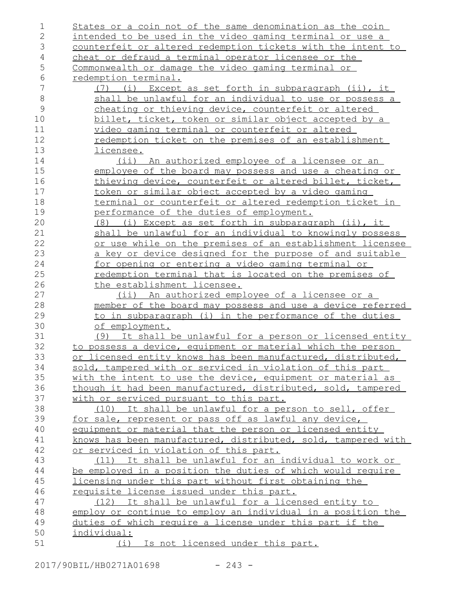| 1             | States or a coin not of the same denomination as the coin     |
|---------------|---------------------------------------------------------------|
| $\mathbf{2}$  | intended to be used in the video gaming terminal or use a     |
| 3             | counterfeit or altered redemption tickets with the intent to  |
| 4             | cheat or defraud a terminal operator licensee or the          |
| $\mathsf S$   | Commonwealth or damage the video gaming terminal or           |
| $\sqrt{6}$    | redemption terminal.                                          |
| 7             | Except as set forth in subparagraph (ii), it<br>(i)<br>(7)    |
| $\,8\,$       | shall be unlawful for an individual to use or possess a       |
| $\mathcal{G}$ | cheating or thieving device, counterfeit or altered           |
| 10            | billet, ticket, token or similar object accepted by a         |
| 11            | video gaming terminal or counterfeit or altered               |
| 12            | redemption ticket on the premises of an establishment         |
| 13            | licensee.                                                     |
| 14            | (ii) An authorized employee of a licensee or an               |
| 15            | employee of the board may possess and use a cheating or       |
| 16            | thieving device, counterfeit or altered billet, ticket,       |
| 17            | token or similar object accepted by a video gaming            |
| 18            | terminal or counterfeit or altered redemption ticket in       |
| 19            | performance of the duties of employment.                      |
| 20            | (8) (i) Except as set forth in subparagraph (ii), it          |
| 21            | shall be unlawful for an individual to knowingly possess      |
| 22            | or use while on the premises of an establishment licensee     |
| 23            | a key or device designed for the purpose of and suitable      |
| 24            | <u>for opening or entering a video gaming terminal or </u>    |
| 25            | redemption terminal that is located on the premises of        |
| 26            | the establishment licensee.                                   |
| 27            | (ii) An authorized employee of a licensee or a                |
| 28            | member of the board may possess and use a device referred     |
| 29            | to in subparagraph (i) in the performance of the duties       |
| 30            | of employment.                                                |
| 31            | (9) It shall be unlawful for a person or licensed entity      |
| 32            | to possess a device, equipment or material which the person   |
| 33            | or licensed entity knows has been manufactured, distributed,  |
| 34            | sold, tampered with or serviced in violation of this part     |
| 35            | with the intent to use the device, equipment or material as   |
| 36            | though it had been manufactured, distributed, sold, tampered  |
| 37            | with or serviced pursuant to this part.                       |
| 38            | (10) It shall be unlawful for a person to sell, offer         |
| 39            | for sale, represent or pass off as lawful any device,         |
| 40            | equipment or material that the person or licensed entity      |
| 41            | knows has been manufactured, distributed, sold, tampered with |
| 42            | or serviced in violation of this part.                        |
| 43            | (11) It shall be unlawful for an individual to work or        |
| 44            | be employed in a position the duties of which would require   |
| 45            | licensing under this part without first obtaining the         |
| 46            | requisite license issued under this part.                     |
| 47            | (12) It shall be unlawful for a licensed entity to            |
| 48            | employ or continue to employ an individual in a position the  |
| 49            | duties of which require a license under this part if the      |
| 50            | individual:                                                   |
| 51            | (i) Is not licensed under this part.                          |
|               |                                                               |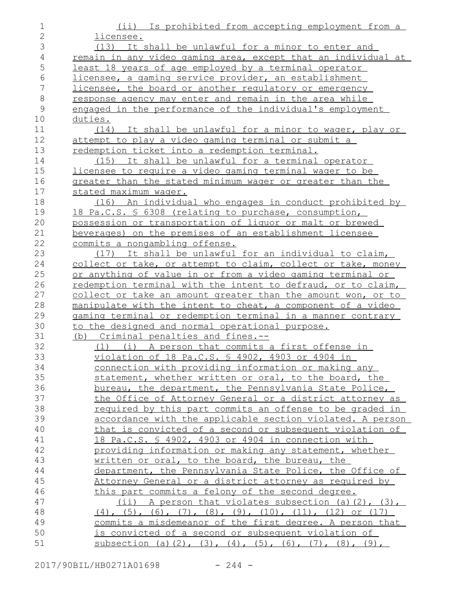| $\mathbf 1$    | (ii) Is prohibited from accepting employment from a                                |
|----------------|------------------------------------------------------------------------------------|
| $\mathbf{2}$   | licensee.                                                                          |
| 3              | (13) It shall be unlawful for a minor to enter and                                 |
| $\overline{4}$ | remain in any video gaming area, except that an individual at                      |
| 5              | <u>least 18 years of age employed by a terminal operator</u>                       |
| 6              | licensee, a gaming service provider, an establishment                              |
| $\overline{7}$ | licensee, the board or another requlatory or emergency                             |
| $\,8\,$        | response agency may enter and remain in the area while                             |
| 9              | engaged in the performance of the individual's employment                          |
| 10             | duties.                                                                            |
| 11             | (14) It shall be unlawful for a minor to wager, play or                            |
| 12             | attempt to play a video gaming terminal or submit a                                |
| 13             | redemption ticket into a redemption terminal.                                      |
| 14             | (15) It shall be unlawful for a terminal operator                                  |
| 15             | licensee to require a video gaming terminal wager to be                            |
| 16             | greater than the stated minimum wager or greater than the                          |
| 17             | stated maximum wager.                                                              |
| 18             | (16) An individual who engages in conduct prohibited by                            |
| 19             | 18 Pa.C.S. § 6308 (relating to purchase, consumption,                              |
| 20             | possession or transportation of liquor or malt or brewed                           |
| 21             | beverages) on the premises of an establishment licensee                            |
| 22             | commits a nongambling offense.                                                     |
| 23             | (17) It shall be unlawful for an individual to claim,                              |
| 24             | collect or take, or attempt to claim, collect or take, money                       |
| 25             | or anything of value in or from a video gaming terminal or                         |
| 26             | redemption terminal with the intent to defraud, or to claim,                       |
| 27             | collect or take an amount greater than the amount won, or to                       |
| 28             | manipulate with the intent to cheat, a component of a video                        |
| 29             | gaming terminal or redemption terminal in a manner contrary                        |
| 30             | to the designed and normal operational purpose.                                    |
| 31             | (b) Criminal penalties and fines.--                                                |
| 32             | (1) (i) A person that commits a first offense in                                   |
| 33             | violation of 18 Pa.C.S. § 4902, 4903 or 4904 in                                    |
| 34             | connection with providing information or making any                                |
| 35             | statement, whether written or oral, to the board, the                              |
| 36             | bureau, the department, the Pennsylvania State Police,                             |
| 37             | the Office of Attorney General or a district attorney as                           |
| 38             | required by this part commits an offense to be graded in                           |
| 39             | accordance with the applicable section violated. A person                          |
| 40             | that is convicted of a second or subsequent violation of                           |
| 41             | 18 Pa.C.S. § 4902, 4903 or 4904 in connection with                                 |
| 42             | providing information or making any statement, whether                             |
| 43             | written or oral, to the board, the bureau, the                                     |
| 44             | department, the Pennsylvania State Police, the Office of                           |
| 45             | Attorney General or a district attorney as required by                             |
| 46             | this part commits a felony of the second degree.                                   |
| 47             | $(i)$ A person that violates subsection (a)(2), (3),                               |
| 48             | $(4)$ , $(5)$ , $(6)$ , $(7)$ , $(8)$ , $(9)$ , $(10)$ , $(11)$ , $(12)$ or $(17)$ |
| 49             | commits a misdemeanor of the first degree. A person that                           |
| 50             | is convicted of a second or subsequent violation of                                |
| 51             | subsection (a)(2), (3), (4), (5), (6), (7), (8), (9),                              |

2017/90BIL/HB0271A01698 - 244 -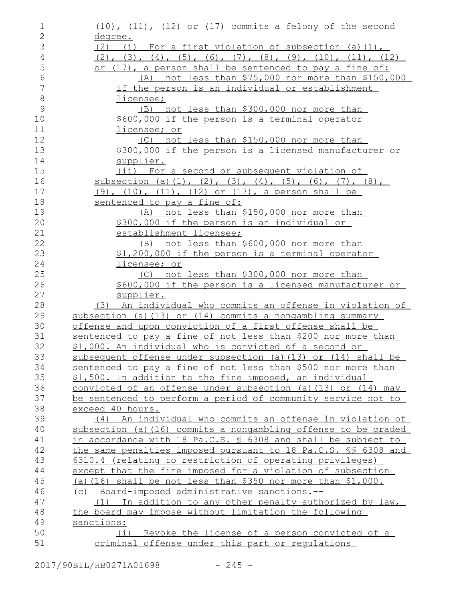| $\mathbf 1$    | (10), (11), (12) or (17) commits a felony of the second                                                                  |
|----------------|--------------------------------------------------------------------------------------------------------------------------|
| $\mathbf{2}$   | degree.                                                                                                                  |
| 3              | (2) (i) For a first violation of subsection (a) $(1)$ ,                                                                  |
| 4              | $(2)$ , $(3)$ , $(4)$ , $(5)$ , $(6)$ , $(7)$ , $(8)$ , $(9)$ , $(10)$ , $(11)$ , $(12)$                                 |
| 5              | or (17), a person shall be sentenced to pay a fine of:                                                                   |
| 6              | not less than \$75,000 nor more than \$150,000<br>(A)                                                                    |
| $\overline{7}$ | if the person is an individual or establishment                                                                          |
| $\,8\,$        | licensee;                                                                                                                |
| 9              | (B) not less than \$300,000 nor more than                                                                                |
| 10             | \$600,000 if the person is a terminal operator                                                                           |
| 11             | licensee; or                                                                                                             |
| 12             | (C) not less than \$150,000 nor more than                                                                                |
| 13             | \$300,000 if the person is a licensed manufacturer or                                                                    |
| 14             | supplier.                                                                                                                |
| 15             | (ii) For a second or subsequent violation of                                                                             |
| 16             | subsection (a) $(1)$ , $(2)$ , $(3)$ , $(4)$ , $(5)$ , $(6)$ , $(7)$ , $(8)$ ,                                           |
| 17             | (9), $(10)$ , $(11)$ , $(12)$ or $(17)$ , a person shall be                                                              |
| 18             | sentenced to pay a fine of:                                                                                              |
| 19             | (A) not less than \$150,000 nor more than                                                                                |
| 20             | \$300,000 if the person is an individual or                                                                              |
| 21             | establishment licensee;                                                                                                  |
| 22             | (B) not less than \$600,000 nor more than                                                                                |
| 23             | \$1,200,000 if the person is a terminal operator                                                                         |
| 24             | licensee; or                                                                                                             |
| 25             | (C) not less than \$300,000 nor more than                                                                                |
| 26             | \$600,000 if the person is a licensed manufacturer or                                                                    |
| 27             | supplier.                                                                                                                |
| 28             | An individual who commits an offense in violation of<br>(3)                                                              |
| 29             | subsection (a) (13) or (14) commits a nongambling summary                                                                |
| 30             | offense and upon conviction of a first offense shall be                                                                  |
| 31             | sentenced to pay a fine of not less than \$200 nor more than                                                             |
| 32             | \$1,000. An individual who is convicted of a second or                                                                   |
| 33             | subsequent offense under subsection (a) (13) or (14) shall be                                                            |
| 34             | sentenced to pay a fine of not less than \$500 nor more than                                                             |
| 35<br>36       | \$1,500. In addition to the fine imposed, an individual<br>convicted of an offense under subsection (a) (13) or (14) may |
| 37             | be sentenced to perform a period of community service not to                                                             |
| 38             | exceed 40 hours.                                                                                                         |
| 39             | (4) An individual who commits an offense in violation of                                                                 |
| 40             | subsection (a) (16) commits a nongambling offense to be graded                                                           |
| 41             | in accordance with 18 Pa.C.S. § 6308 and shall be subject to                                                             |
| 42             | the same penalties imposed pursuant to 18 Pa.C.S. \$\$ 6308 and                                                          |
| 43             | 6310.4 (relating to restriction of operating privileges)                                                                 |
| 44             | except that the fine imposed for a violation of subsection                                                               |
| 45             | (a) (16) shall be not less than \$350 nor more than \$1,000.                                                             |
| 46             | (c) Board-imposed administrative sanctions.--                                                                            |
| 47             | In addition to any other penalty authorized by law,<br>(1)                                                               |
| 48             | the board may impose without limitation the following                                                                    |
| 49             | sanctions:                                                                                                               |
| 50             | (i) Revoke the license of a person convicted of a                                                                        |
| 51             | criminal offense under this part or requlations                                                                          |
|                |                                                                                                                          |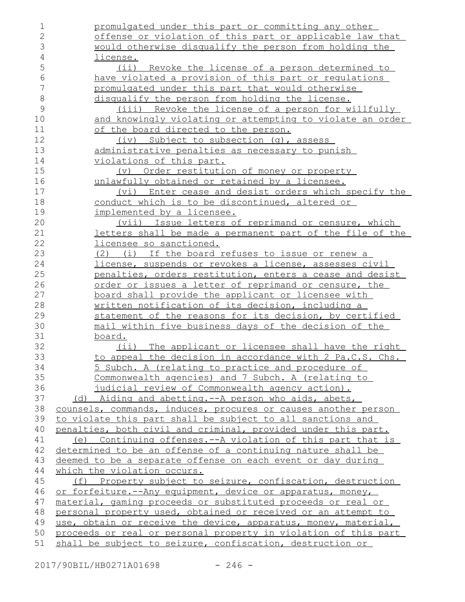promulgated under this part or committing any other offense or violation of this part or applicable law that would otherwise disqualify the person from holding the license. (ii) Revoke the license of a person determined to have violated a provision of this part or regulations promulgated under this part that would otherwise disqualify the person from holding the license. (iii) Revoke the license of a person for willfully and knowingly violating or attempting to violate an order of the board directed to the person. (iv) Subject to subsection (g), assess administrative penalties as necessary to punish violations of this part. (v) Order restitution of money or property unlawfully obtained or retained by a licensee. (vi) Enter cease and desist orders which specify the conduct which is to be discontinued, altered or implemented by a licensee. (vii) Issue letters of reprimand or censure, which letters shall be made a permanent part of the file of the licensee so sanctioned. (2) (i) If the board refuses to issue or renew a license, suspends or revokes a license, assesses civil penalties, orders restitution, enters a cease and desist order or issues a letter of reprimand or censure, the board shall provide the applicant or licensee with written notification of its decision, including a statement of the reasons for its decision, by certified mail within five business days of the decision of the board. (ii) The applicant or licensee shall have the right to appeal the decision in accordance with 2 Pa.C.S. Chs. 5 Subch. A (relating to practice and procedure of Commonwealth agencies) and 7 Subch. A (relating to judicial review of Commonwealth agency action). (d) Aiding and abetting.--A person who aids, abets, counsels, commands, induces, procures or causes another person to violate this part shall be subject to all sanctions and penalties, both civil and criminal, provided under this part. (e) Continuing offenses.--A violation of this part that is determined to be an offense of a continuing nature shall be deemed to be a separate offense on each event or day during which the violation occurs. (f) Property subject to seizure, confiscation, destruction or forfeiture.--Any equipment, device or apparatus, money, material, gaming proceeds or substituted proceeds or real or personal property used, obtained or received or an attempt to use, obtain or receive the device, apparatus, money, material, proceeds or real or personal property in violation of this part shall be subject to seizure, confiscation, destruction or 1 2 3 4 5 6 7 8 9 10 11 12 13 14 15 16 17 18 19 20 21 22 23 24 25 26 27 28 29 30 31 32 33 34 35 36 37 38 39 40 41 42 43 44 45 46 47 48 49 50 51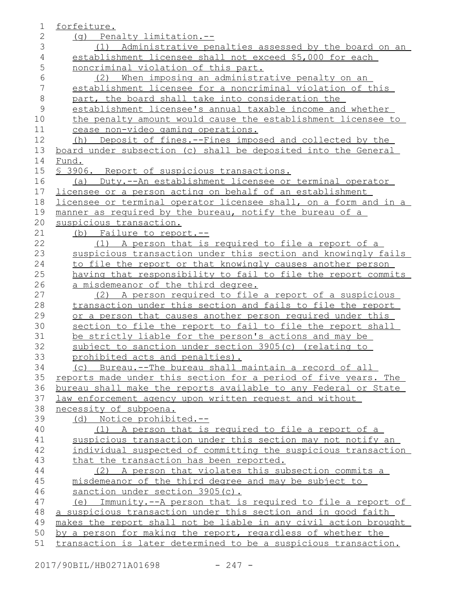| 1              | forfeiture.                                                      |
|----------------|------------------------------------------------------------------|
| $\overline{2}$ | (g) Penalty limitation.--                                        |
| 3              | (1) Administrative penalties assessed by the board on an         |
| 4              | establishment licensee shall not exceed \$5,000 for each         |
| 5              | noncriminal violation of this part.                              |
| 6              | When imposing an administrative penalty on an<br>(2)             |
| 7              | establishment licensee for a noncriminal violation of this       |
| $\,8\,$        | part, the board shall take into consideration the                |
| $\mathcal{G}$  | establishment licensee's annual taxable income and whether       |
| 10             | the penalty amount would cause the establishment licensee to     |
| 11             | cease non-video gaming operations.                               |
| 12             | (h) Deposit of fines.--Fines imposed and collected by the        |
| 13             | board under subsection (c) shall be deposited into the General   |
| 14             | Fund.                                                            |
| 15             | § 3906. Report of suspicious transactions.                       |
| 16             | (a) Duty.--An establishment licensee or terminal operator        |
| 17             | licensee or a person acting on behalf of an establishment        |
| 18             | licensee or terminal operator licensee shall, on a form and in a |
| 19             | manner as required by the bureau, notify the bureau of a         |
| 20             | suspicious transaction.                                          |
| 21             | (b) Failure to report.--                                         |
| 22             | (1) A person that is required to file a report of a              |
| 23             | suspicious transaction under this section and knowingly fails    |
| 24             | to file the report or that knowingly causes another person       |
| 25             | having that responsibility to fail to file the report commits    |
| 26             | a misdemeanor of the third degree.                               |
| 27             | (2) A person required to file a report of a suspicious           |
| 28             | transaction under this section and fails to file the report      |
| 29             | or a person that causes another person required under this       |
| 30             | section to file the report to fail to file the report shall      |
| 31             | be strictly liable for the person's actions and may be           |
| 32             | subject to sanction under section 3905(c) (relating to           |
| 33             | prohibited acts and penalties).                                  |
| 34             | (c) Bureau.--The bureau shall maintain a record of all           |
| 35             | reports made under this section for a period of five years. The  |
| 36             | bureau shall make the reports available to any Federal or State  |
| 37             | law enforcement agency upon written request and without          |
| 38             | necessity of subpoena.                                           |
| 39             | <u>Notice prohibited.--</u><br>(d)                               |
| 40             | (1) A person that is required to file a report of a              |
| 41             | suspicious transaction under this section may not notify an      |
| 42             | individual suspected of committing the suspicious transaction    |
| 43             | that the transaction has been reported.                          |
| 44             | (2) A person that violates this subsection commits a             |
| 45             | misdemeanor of the third degree and may be subject to            |
| 46             | sanction under section 3905(c).                                  |
| 47             | Immunity.--A person that is required to file a report of<br>(e)  |
| 48             | a suspicious transaction under this section and in good faith    |
| 49             | makes the report shall not be liable in any civil action brought |
| 50             | by a person for making the report, regardless of whether the     |
| 51             | transaction is later determined to be a suspicious transaction.  |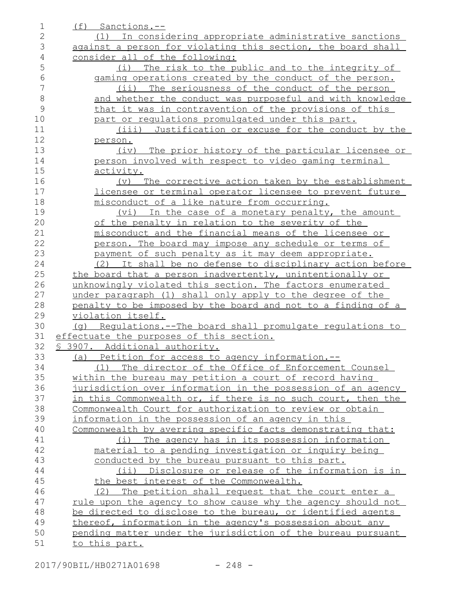| 1              | (f) Sanctions.--                                                      |
|----------------|-----------------------------------------------------------------------|
| $\mathbf{2}$   | (1) In considering appropriate administrative sanctions               |
| 3              | against a person for violating this section, the board shall          |
| $\overline{4}$ | consider all of the following:                                        |
| 5              | The risk to the public and to the integrity of<br>(i)                 |
| 6              | gaming operations created by the conduct of the person.               |
| 7              | (ii) The seriousness of the conduct of the person                     |
| 8              | and whether the conduct was purposeful and with knowledge             |
| 9              | that it was in contravention of the provisions of this                |
| 10             | part or regulations promulgated under this part.                      |
| 11             | (iii)<br>Justification or excuse for the conduct by the               |
| 12             | person.                                                               |
| 13             | (iv) The prior history of the particular licensee or                  |
| 14             | person involved with respect to video gaming terminal                 |
| 15             | activity.                                                             |
| 16             | The corrective action taken by the establishment<br>$(\triangledown)$ |
| 17             | licensee or terminal operator licensee to prevent future              |
| 18             | misconduct of a like nature from occurring.                           |
| 19             | (vi) In the case of a monetary penalty, the amount                    |
| 20             | of the penalty in relation to the severity of the                     |
| 21             | misconduct and the financial means of the licensee or                 |
| 22             | person. The board may impose any schedule or terms of                 |
| 23             | payment of such penalty as it may deem appropriate.                   |
| 24             | (2) It shall be no defense to disciplinary action before              |
| 25             | the board that a person inadvertently, unintentionally or             |
| 26             | unknowingly violated this section. The factors enumerated             |
| 27             | under paragraph (1) shall only apply to the degree of the             |
| 28             | penalty to be imposed by the board and not to a finding of a          |
| 29             | violation itself.                                                     |
| 30             | (g) Requlations.--The board shall promulgate requlations to           |
| 31             | effectuate the purposes of this section.                              |
| 32             | § 3907. Additional authority.                                         |
| 33             | (a) Petition for access to agency information.--                      |
| 34             | The director of the Office of Enforcement Counsel<br>(1)              |
| 35             | within the bureau may petition a court of record having               |
| 36             | jurisdiction over information in the possession of an agency          |
| 37             | in this Commonwealth or, if there is no such court, then the          |
| 38             | Commonwealth Court for authorization to review or obtain              |
| 39             | information in the possession of an agency in this                    |
| 40             | Commonwealth by averring specific facts demonstrating that:           |
| 41             | (i) The agency has in its possession information                      |
| 42             | material to a pending investigation or inquiry being                  |
| 43             | conducted by the bureau pursuant to this part.                        |
| 44             | (ii) Disclosure or release of the information is in                   |
| 45             | the best interest of the Commonwealth.                                |
| 46             | The petition shall request that the court enter a<br>(2)              |
| 47             | rule upon the agency to show cause why the agency should not          |
| 48             | be directed to disclose to the bureau, or identified agents           |
| 49             | thereof, information in the agency's possession about any             |
| 50             | pending matter under the jurisdiction of the bureau pursuant          |
| 51             | to this part.                                                         |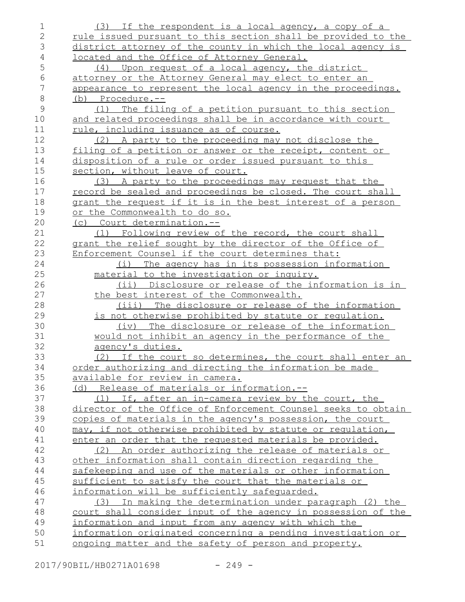| 1              | (3) If the respondent is a local agency, a copy of a          |
|----------------|---------------------------------------------------------------|
| $\overline{2}$ | rule issued pursuant to this section shall be provided to the |
| 3              | district attorney of the county in which the local agency is  |
| 4              | located and the Office of Attorney General.                   |
| 5              | (4) Upon request of a local agency, the district              |
| 6              | attorney or the Attorney General may elect to enter an        |
| $\overline{7}$ | appearance to represent the local agency in the proceedings.  |
| $\,8\,$        | (b) Procedure.--                                              |
| 9              | (1) The filing of a petition pursuant to this section         |
| 10             | and related proceedings shall be in accordance with court     |
| 11             | rule, including issuance as of course.                        |
| 12             | (2) A party to the proceeding may not disclose the            |
| 13             | filing of a petition or answer or the receipt, content or     |
| 14             | disposition of a rule or order issued pursuant to this        |
| 15             | section, without leave of court.                              |
| 16             | (3) A party to the proceedings may request that the           |
| 17             | record be sealed and proceedings be closed. The court shall   |
| 18             | grant the request if it is in the best interest of a person   |
| 19             | or the Commonwealth to do so.                                 |
| 20             | (c) Court determination.--                                    |
| 21             | Following review of the record, the court shall<br>(1)        |
| 22             | grant the relief sought by the director of the Office of      |
| 23             | Enforcement Counsel if the court determines that:             |
| 24             | (i) The agency has in its possession information              |
| 25             | material to the investigation or inquiry.                     |
| 26             | (ii) Disclosure or release of the information is in           |
| 27             | the best interest of the Commonwealth.                        |
| 28             | (iii) The disclosure or release of the information            |
| 29             | is not otherwise prohibited by statute or requlation.         |
| 30             | (iv) The disclosure or release of the information             |
| 31             | would not inhibit an agency in the performance of the         |
| 32             | agency's duties.                                              |
| 33             | (2) If the court so determines, the court shall enter an      |
| 34             | order authorizing and directing the information be made       |
| 35             | available for review in camera.                               |
| 36             | (d) Release of materials or information.--                    |
| 37             | (1) If, after an in-camera review by the court, the           |
| 38             | director of the Office of Enforcement Counsel seeks to obtain |
| 39             | copies of materials in the agency's possession, the court     |
| 40             | may, if not otherwise prohibited by statute or regulation,    |
| 41             | enter an order that the requested materials be provided.      |
| 42             | (2) An order authorizing the release of materials or          |
| 43             | other information shall contain direction regarding the       |
| 44             | safekeeping and use of the materials or other information     |
| 45             | sufficient to satisfy the court that the materials or         |
| 46             | information will be sufficiently safequarded.                 |
| 47             | In making the determination under paragraph (2) the<br>(3)    |
| 48             | court shall consider input of the agency in possession of the |
| 49             | information and input from any agency with which the          |
| 50             | information originated concerning a pending investigation or  |
| 51             | ongoing matter and the safety of person and property.         |

2017/90BIL/HB0271A01698 - 249 -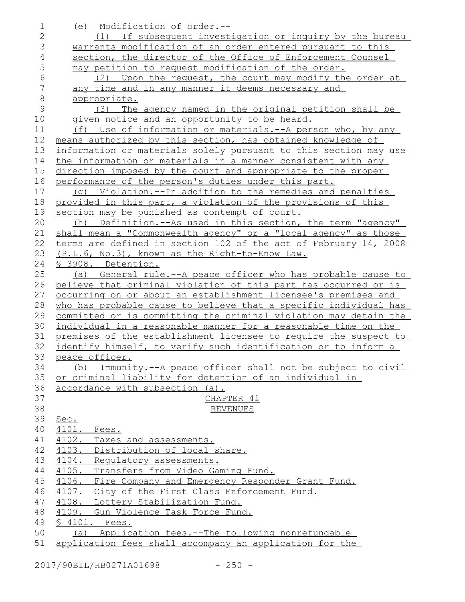| $\mathbf 1$    | (e) Modification of order.--                                                                                       |
|----------------|--------------------------------------------------------------------------------------------------------------------|
| $\mathbf{2}$   | (1) If subsequent investigation or inquiry by the bureau                                                           |
| 3              | warrants modification of an order entered pursuant to this                                                         |
| $\overline{4}$ | section, the director of the Office of Enforcement Counsel                                                         |
| 5              | may petition to request modification of the order.                                                                 |
| $\epsilon$     | (2) Upon the request, the court may modify the order at                                                            |
| $\overline{7}$ | any time and in any manner it deems necessary and                                                                  |
| $\,8\,$        | appropriate.                                                                                                       |
| $\mathcal{G}$  | (3) The agency named in the original petition shall be                                                             |
| 10             | given notice and an opportunity to be heard.                                                                       |
| 11             | (f) Use of information or materials.--A person who, by any                                                         |
| 12             | means authorized by this section, has obtained knowledge of                                                        |
| 13             | information or materials solely pursuant to this section may use                                                   |
| 14             | the information or materials in a manner consistent with any                                                       |
| 15             | direction imposed by the court and appropriate to the proper                                                       |
| 16             | performance of the person's duties under this part.                                                                |
| 17             | (q) Violation.--In addition to the remedies and penalties                                                          |
| 18             | provided in this part, a violation of the provisions of this                                                       |
| 19             | section may be punished as contempt of court.                                                                      |
| 20             | Definition.--As used in this section, the term "agency"<br>(h)                                                     |
| 21<br>22       | shall mean a "Commonwealth agency" or a "local agency" as those                                                    |
| 23             | terms are defined in section 102 of the act of February 14, 2008<br>(P.L.6, No.3), known as the Right-to-Know Law. |
| 24             | § 3908. Detention.                                                                                                 |
| 25             | (a) General rule.--A peace officer who has probable cause to                                                       |
| 26             | believe that criminal violation of this part has occurred or is                                                    |
| 27             | occurring on or about an establishment licensee's premises and                                                     |
| 28             | who has probable cause to believe that a specific individual has                                                   |
| 29             | committed or is committing the criminal violation may detain the                                                   |
| 30             | individual in a reasonable manner for a reasonable time on the                                                     |
| 31             | premises of the establishment licensee to require the suspect to                                                   |
| 32             | identify himself, to verify such identification or to inform a                                                     |
| 33             | peace officer.                                                                                                     |
| 34             | Immunity.--A peace officer shall not be subject to civil<br>(b)                                                    |
| 35             | or criminal liability for detention of an individual in                                                            |
| 36             | accordance with subsection (a).                                                                                    |
| 37             | CHAPTER 41                                                                                                         |
| 38             | <b>REVENUES</b>                                                                                                    |
| 39             | Sec.                                                                                                               |
| 40             | 4101. Fees.                                                                                                        |
| 41             | 4102. Taxes and assessments.                                                                                       |
| 42<br>43       | 4103.<br>Distribution of local share.                                                                              |
| 44             | 4104. Requlatory assessments.<br>4105. Transfers from Video Gaming Fund.                                           |
| 45             | 4106. Fire Company and Emergency Responder Grant Fund.                                                             |
| 46             | 4107. City of the First Class Enforcement Fund.                                                                    |
| 47             | 4108. Lottery Stabilization Fund.                                                                                  |
| 48             | 4109. Gun Violence Task Force Fund.                                                                                |
| 49             | § 4101. Fees.                                                                                                      |
| 50             | (a) Application fees.--The following nonrefundable                                                                 |
| 51             | application fees shall accompany an application for the                                                            |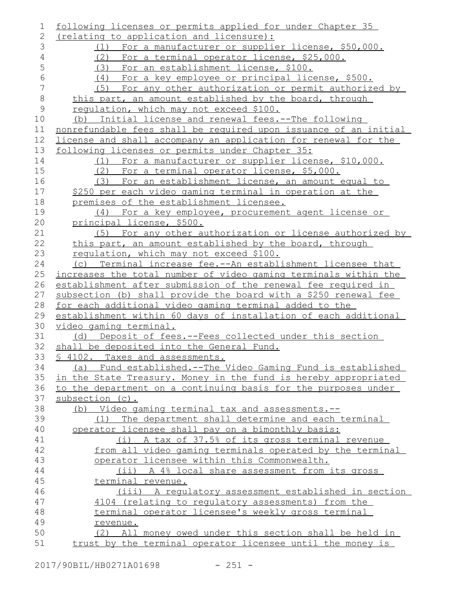| 1              | following licenses or permits applied for under Chapter 35       |
|----------------|------------------------------------------------------------------|
| $\mathbf{2}$   | (relating to application and licensure):                         |
| 3              | (1) For a manufacturer or supplier license, \$50,000.            |
| $\overline{4}$ | (2) For a terminal operator license, \$25,000.                   |
| 5              | For an establishment license, \$100.<br>(3)                      |
| $\sqrt{6}$     | (4) For a key employee or principal license, \$500.              |
| $\overline{7}$ | For any other authorization or permit authorized by<br>(5)       |
| $\,8\,$        | this part, an amount established by the board, through           |
| $\mathsf 9$    | requlation, which may not exceed \$100.                          |
| 10             | (b) Initial license and renewal fees.--The following             |
| 11             | nonrefundable fees shall be required upon issuance of an initial |
| 12             | license and shall accompany an application for renewal for the   |
| 13             | following licenses or permits under Chapter 35:                  |
| 14             | (1) For a manufacturer or supplier license, \$10,000.            |
| 15             | (2) For a terminal operator license, \$5,000.                    |
| 16             | (3) For an establishment license, an amount equal to             |
| 17             | \$250 per each video gaming terminal in operation at the         |
| 18             | premises of the establishment licensee.                          |
| 19             | (4) For a key employee, procurement agent license or             |
| 20             | principal license, \$500.                                        |
| 21             | For any other authorization or license authorized by<br>(5)      |
| 22             | this part, an amount established by the board, through           |
| 23             | requlation, which may not exceed \$100.                          |
| 24             | (c) Terminal increase fee.--An establishment licensee that       |
| 25             | increases the total number of video gaming terminals within the  |
| 26             | establishment after submission of the renewal fee required in    |
| 27             | subsection (b) shall provide the board with a \$250 renewal fee  |
| 28             | for each additional video gaming terminal added to the           |
| 29             | establishment within 60 days of installation of each additional  |
| 30             | video gaming terminal.                                           |
| 31             | (d) Deposit of fees.--Fees collected under this section          |
| 32             | shall be deposited into the General Fund.                        |
| 33             | § 4102. Taxes and assessments.                                   |
| 34             | (a) Fund established.--The Video Gaming Fund is established      |
| 35             | in the State Treasury. Money in the fund is hereby appropriated  |
| 36             | to the department on a continuing basis for the purposes under   |
| 37             | subsection (c).                                                  |
| 38             | (b) Video gaming terminal tax and assessments.--                 |
| 39             | The department shall determine and each terminal<br>(1)          |
| 40             | operator licensee shall pay on a bimonthly basis:                |
| 41             | (i) A tax of 37.5% of its gross terminal revenue                 |
| 42             | from all video gaming terminals operated by the terminal         |
| 43             | operator licensee within this Commonwealth.                      |
| 44             | (ii) A 4% local share assessment from its gross                  |
| 45             | terminal revenue.                                                |
| 46             | (iii) A regulatory assessment established in section             |
| 47             | 4104 (relating to regulatory assessments) from the               |
| 48             | terminal operator licensee's weekly gross terminal               |
| 49             | revenue.                                                         |
| 50             | (2) All money owed under this section shall be held in           |
| 51             | trust by the terminal operator licensee until the money is       |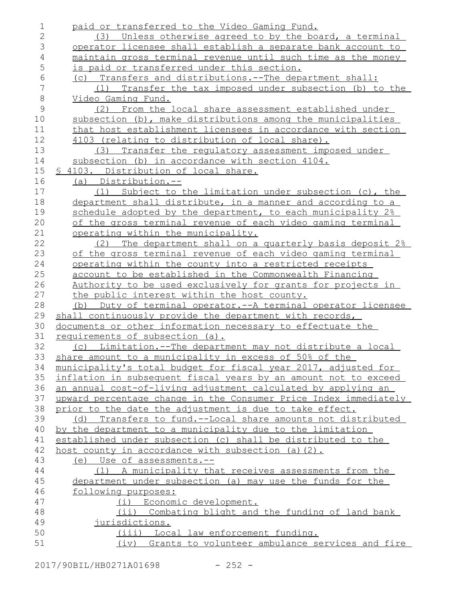| 1              | paid or transferred to the Video Gaming Fund.                                                |
|----------------|----------------------------------------------------------------------------------------------|
| $\mathbf{2}$   | (3) Unless otherwise agreed to by the board, a terminal                                      |
| 3              | operator licensee shall establish a separate bank account to                                 |
| $\overline{4}$ | maintain gross terminal revenue until such time as the money                                 |
| 5              | is paid or transferred under this section.                                                   |
| $\epsilon$     | (c) Transfers and distributions.--The department shall:                                      |
| 7              | Transfer the tax imposed under subsection (b) to the<br>(1)                                  |
| $\,8\,$        | Video Gaming Fund.                                                                           |
| $\mathcal{G}$  | (2) From the local share assessment established under                                        |
| 10             | subsection (b), make distributions among the municipalities                                  |
| 11             | that host establishment licensees in accordance with section                                 |
| 12             | 4103 (relating to distribution of local share).                                              |
| 13             | (3) Transfer the requlatory assessment imposed under                                         |
| 14             | subsection (b) in accordance with section 4104.                                              |
| 15             | § 4103. Distribution of local share.                                                         |
| 16             | (a) Distribution.--                                                                          |
| 17             | (1) Subject to the limitation under subsection (c), the                                      |
| 18             | department shall distribute, in a manner and according to a                                  |
| 19             | schedule adopted by the department, to each municipality 2%                                  |
| 20             | of the gross terminal revenue of each video gaming terminal                                  |
| 21             | operating within the municipality.                                                           |
| 22             | (2) The department shall on a quarterly basis deposit 2%                                     |
| 23             | of the gross terminal revenue of each video gaming terminal                                  |
| 24             | operating within the county into a restricted receipts                                       |
| 25             | account to be established in the Commonwealth Financing                                      |
| 26             | Authority to be used exclusively for grants for projects in                                  |
| 27             | the public interest within the host county.                                                  |
| 28             | Duty of terminal operator.--A terminal operator licensee<br>(b)                              |
| 29             | shall continuously provide the department with records,                                      |
| 30             | documents or other information necessary to effectuate the                                   |
| 31             | requirements of subsection (a).                                                              |
| 32             | Limitation.--The department may not distribute a local<br>(C)                                |
| 33             | share amount to a municipality in excess of 50% of the                                       |
| 34             | municipality's total budget for fiscal year 2017, adjusted for                               |
| 35             | inflation in subsequent fiscal years by an amount not to exceed                              |
| 36             | an annual cost-of-living adjustment calculated by applying an                                |
| 37             | upward percentage change in the Consumer Price Index immediately                             |
| 38             | prior to the date the adjustment is due to take effect.                                      |
| 39             | (d) Transfers to fund.--Local share amounts not distributed                                  |
| 40             | by the department to a municipality due to the limitation                                    |
| 41             | established under subsection (c) shall be distributed to the                                 |
| 42             | host county in accordance with subsection (a) $(2)$ .                                        |
| 43             | (e) Use of assessments.--                                                                    |
| 44             | (1) A municipality that receives assessments from the                                        |
| 45             | department under subsection (a) may use the funds for the                                    |
| 46             | following purposes:                                                                          |
| 47             | (i) Economic development.                                                                    |
| 48             | Combating blight and the funding of land bank<br>$(i$ ii)                                    |
| 49             |                                                                                              |
|                | jurisdictions.                                                                               |
| 50<br>51       | (iii) Local law enforcement funding.<br>(iv) Grants to volunteer ambulance services and fire |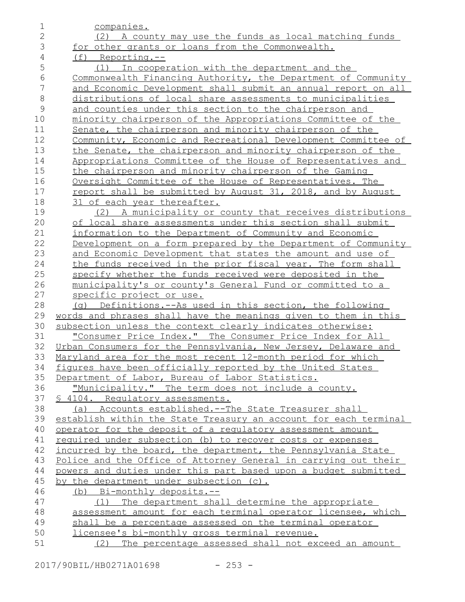| 1              | companies.                                                       |
|----------------|------------------------------------------------------------------|
| $\mathbf{2}$   | (2) A county may use the funds as local matching funds           |
| 3              | for other grants or loans from the Commonwealth.                 |
| $\overline{4}$ | (f) Reporting.--                                                 |
| 5              | (1) In cooperation with the department and the                   |
| 6              | Commonwealth Financing Authority, the Department of Community    |
| 7              | and Economic Development shall submit an annual report on all    |
| $\,8\,$        | distributions of local share assessments to municipalities       |
| $\mathsf 9$    | and counties under this section to the chairperson and           |
| 10             | minority chairperson of the Appropriations Committee of the      |
| 11             | Senate, the chairperson and minority chairperson of the          |
| 12             | Community, Economic and Recreational Development Committee of    |
| 13             | the Senate, the chairperson and minority chairperson of the      |
| 14             | Appropriations Committee of the House of Representatives and     |
| 15             | the chairperson and minority chairperson of the Gaming           |
| 16             | Oversight Committee of the House of Representatives. The         |
| 17             | report shall be submitted by August 31, 2018, and by August      |
| 18             | 31 of each year thereafter.                                      |
| 19             | (2) A municipality or county that receives distributions         |
| 20             | of local share assessments under this section shall submit       |
| 21             | information to the Department of Community and Economic          |
| 22             | Development on a form prepared by the Department of Community    |
| 23             | and Economic Development that states the amount and use of       |
| 24             | the funds received in the prior fiscal year. The form shall      |
| 25             | specify whether the funds received were deposited in the         |
| 26             | <u>municipality's or county's General Fund or committed to a</u> |
| 27             | specific project or use.                                         |
| 28             | (q) Definitions.--As used in this section, the following         |
| 29             | words and phrases shall have the meanings given to them in this  |
| 30             | subsection unless the context clearly indicates otherwise:       |
| 31             | "Consumer Price Index." The Consumer Price Index for All         |
| 32             | Urban Consumers for the Pennsylvania, New Jersey, Delaware and   |
| 33             | Maryland area for the most recent 12-month period for which      |
| 34             | figures have been officially reported by the United States       |
| 35             | Department of Labor, Bureau of Labor Statistics.                 |
| 36             | "Municipality." The term does not include a county.              |
| 37             | § 4104. Requlatory assessments.                                  |
| 38             | (a) Accounts established.--The State Treasurer shall             |
| 39             | establish within the State Treasury an account for each terminal |
| 40             | operator for the deposit of a regulatory assessment amount       |
| 41             | required under subsection (b) to recover costs or expenses       |
| 42             | incurred by the board, the department, the Pennsylvania State    |
| 43             | Police and the Office of Attorney General in carrying out their  |
| 44             | powers and duties under this part based upon a budget submitted  |
| 45             | <u>by the department under subsection (c).</u>                   |
| 46             | (b) Bi-monthly deposits.--                                       |
| 47             | (1) The department shall determine the appropriate               |
| 48             | assessment amount for each terminal operator licensee, which     |
| 49             | shall be a percentage assessed on the terminal operator          |
| 50             | licensee's bi-monthly gross terminal revenue.                    |
| 51             | (2)<br>The percentage assessed shall not exceed an amount        |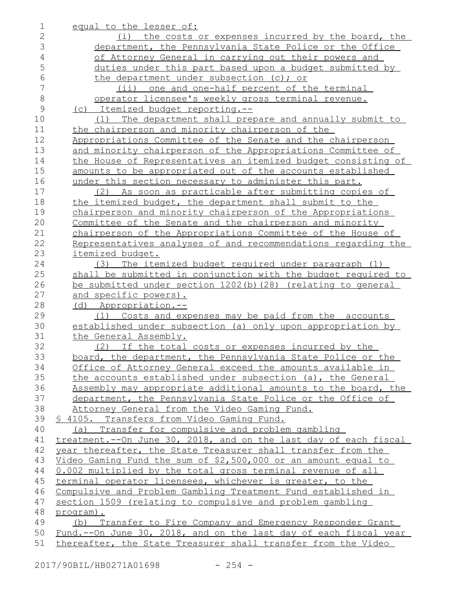| 1              | equal to the lesser of:                                          |
|----------------|------------------------------------------------------------------|
| $\mathbf{2}$   | (i) the costs or expenses incurred by the board, the             |
| 3              | department, the Pennsylvania State Police or the Office          |
| $\overline{4}$ | of Attorney General in carrying out their powers and             |
| 5              | duties under this part based upon a budget submitted by          |
| 6              | the department under subsection (c); or                          |
| 7              | (ii) one and one-half percent of the terminal                    |
| $8\,$          | operator licensee's weekly gross terminal revenue.               |
| $\mathcal{G}$  | (c) Itemized budget reporting.--                                 |
| 10             | (1) The department shall prepare and annually submit to          |
| 11             | the chairperson and minority chairperson of the                  |
| 12             | Appropriations Committee of the Senate and the chairperson       |
| 13             | and minority chairperson of the Appropriations Committee of      |
| 14             | the House of Representatives an itemized budget consisting of    |
| 15             | amounts to be appropriated out of the accounts established       |
| 16             | under this section necessary to administer this part.            |
| 17             | (2) As soon as practicable after submitting copies of            |
| 18             | the itemized budget, the department shall submit to the          |
| 19             | chairperson and minority chairperson of the Appropriations       |
| 20             | Committee of the Senate and the chairperson and minority         |
| 21             | chairperson of the Appropriations Committee of the House of      |
| 22             | Representatives analyses of and recommendations regarding the    |
| 23             | itemized budget.                                                 |
| 24             | (3) The itemized budget required under paragraph (1)             |
| 25             | shall be submitted in conjunction with the budget required to    |
| 26             | be submitted under section 1202(b)(28) (relating to general      |
| 27             | and specific powers).                                            |
| 28             | (d) Appropriation.--                                             |
| 29             | (1) Costs and expenses may be paid from the accounts             |
| 30             | established under subsection (a) only upon appropriation by      |
| 31             | the General Assembly.                                            |
| 32             | (2) If the total costs or expenses incurred by the               |
| 33             | board, the department, the Pennsylvania State Police or the      |
| 34             | Office of Attorney General exceed the amounts available in       |
| 35             | the accounts established under subsection (a), the General       |
| 36             | Assembly may appropriate additional amounts to the board, the    |
| 37             | department, the Pennsylvania State Police or the Office of       |
| 38             | Attorney General from the Video Gaming Fund.                     |
| 39             | § 4105. Transfers from Video Gaming Fund.                        |
| 40             | (a) Transfer for compulsive and problem gambling                 |
| 41             | treatment.--On June 30, 2018, and on the last day of each fiscal |
| 42             | year thereafter, the State Treasurer shall transfer from the     |
| 43             | Video Gaming Fund the sum of \$2,500,000 or an amount equal to   |
| 44             | 0.002 multiplied by the total gross terminal revenue of all      |
| 45             | terminal operator licensees, whichever is greater, to the        |
| 46             | Compulsive and Problem Gambling Treatment Fund established in    |
| 47             | section 1509 (relating to compulsive and problem gambling        |
| 48             | program).                                                        |
| 49             | (b) Transfer to Fire Company and Emergency Responder Grant       |
| 50             | Fund.--On June 30, 2018, and on the last day of each fiscal year |
| 51             | thereafter, the State Treasurer shall transfer from the Video    |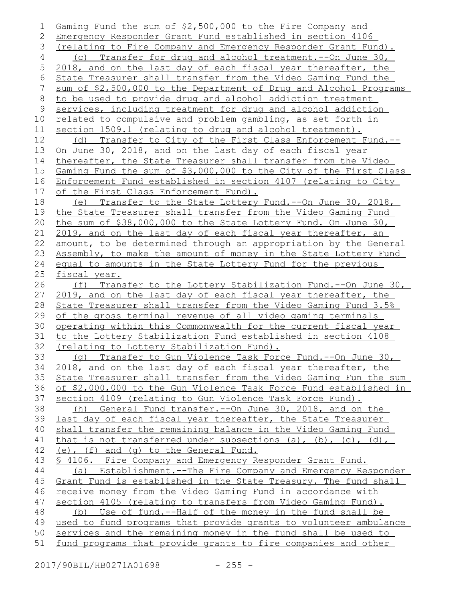Gaming Fund the sum of \$2,500,000 to the Fire Company and Emergency Responder Grant Fund established in section 4106 (relating to Fire Company and Emergency Responder Grant Fund). (c) Transfer for drug and alcohol treatment.--On June 30, 2018, and on the last day of each fiscal year thereafter, the State Treasurer shall transfer from the Video Gaming Fund the sum of \$2,500,000 to the Department of Drug and Alcohol Programs to be used to provide drug and alcohol addiction treatment services, including treatment for drug and alcohol addiction related to compulsive and problem gambling, as set forth in section 1509.1 (relating to drug and alcohol treatment). (d) Transfer to City of the First Class Enforcement Fund.-- On June 30, 2018, and on the last day of each fiscal year thereafter, the State Treasurer shall transfer from the Video Gaming Fund the sum of \$3,000,000 to the City of the First Class Enforcement Fund established in section 4107 (relating to City of the First Class Enforcement Fund). (e) Transfer to the State Lottery Fund.--On June 30, 2018, the State Treasurer shall transfer from the Video Gaming Fund the sum of \$38,000,000 to the State Lottery Fund. On June 30, 2019, and on the last day of each fiscal year thereafter, an amount, to be determined through an appropriation by the General Assembly, to make the amount of money in the State Lottery Fund equal to amounts in the State Lottery Fund for the previous fiscal year. (f) Transfer to the Lottery Stabilization Fund.--On June 30, 2019, and on the last day of each fiscal year thereafter, the State Treasurer shall transfer from the Video Gaming Fund 3.5% of the gross terminal revenue of all video gaming terminals operating within this Commonwealth for the current fiscal year to the Lottery Stabilization Fund established in section 4108 (relating to Lottery Stabilization Fund). (g) Transfer to Gun Violence Task Force Fund.--On June 30, 2018, and on the last day of each fiscal year thereafter, the State Treasurer shall transfer from the Video Gaming Fun the sum of \$2,000,000 to the Gun Violence Task Force Fund established in section 4109 (relating to Gun Violence Task Force Fund). (h) General Fund transfer.--On June 30, 2018, and on the last day of each fiscal year thereafter, the State Treasurer shall transfer the remaining balance in the Video Gaming Fund that is not transferred under subsections (a), (b), (c),  $(d)$ , (e), (f) and (g) to the General Fund. § 4106. Fire Company and Emergency Responder Grant Fund. (a) Establishment.--The Fire Company and Emergency Responder Grant Fund is established in the State Treasury. The fund shall receive money from the Video Gaming Fund in accordance with section 4105 (relating to transfers from Video Gaming Fund). (b) Use of fund.--Half of the money in the fund shall be used to fund programs that provide grants to volunteer ambulance services and the remaining money in the fund shall be used to fund programs that provide grants to fire companies and other 1 2 3 4 5 6 7 8 9 10 11 12 13 14 15 16 17 18 19 20 21 22 23 24 25 26 27 28 29 30 31 32 33 34 35 36 37 38 39 40 41 42 43 44 45 46 47 48 49 50 51

2017/90BIL/HB0271A01698 - 255 -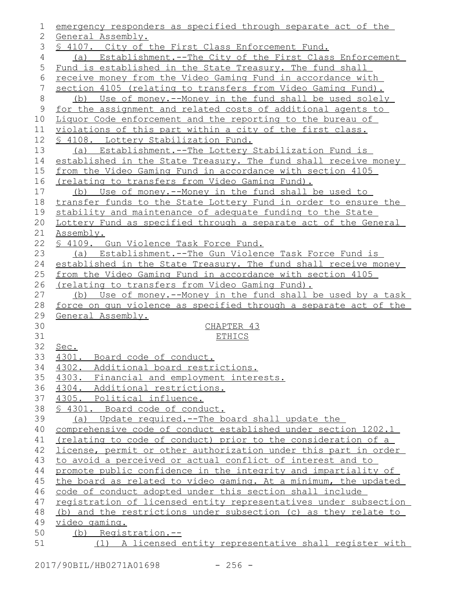| 2<br>General Assembly.<br>3<br>§ 4107. City of the First Class Enforcement Fund.<br>4<br>5<br>Fund is established in the State Treasury. The fund shall<br>6<br>receive money from the Video Gaming Fund in accordance with<br>7<br>section 4105 (relating to transfers from Video Gaming Fund).<br>8<br>9<br>for the assignment and related costs of additional agents to<br>10<br>Liquor Code enforcement and the reporting to the bureau of<br>violations of this part within a city of the first class.<br>11<br>12<br><u>S 4108. Lottery Stabilization Fund.</u><br>13<br>(a) Establishment.--The Lottery Stabilization Fund is<br>14<br>from the Video Gaming Fund in accordance with section 4105<br>16<br><u>(relating to transfers from Video Gaming Fund).</u><br>(b) Use of money.--Money in the fund shall be used to<br>17<br>18<br>stability and maintenance of adequate funding to the State<br>20<br>21<br>Assembly.<br>22<br>§ 4109. Gun Violence Task Force Fund.<br>23<br>(a) Establishment.--The Gun Violence Task Force Fund is<br>24<br>25<br>from the Video Gaming Fund in accordance with section 4105<br>(relating to transfers from Video Gaming Fund).<br>26<br>27<br>28<br>force on gun violence as specified through a separate act of the<br>29<br>General Assembly.<br>30<br>CHAPTER 43<br>31<br><b>ETHICS</b><br><u>Sec.</u><br>33<br>4301. Board code of conduct.<br>34<br>4302. Additional board restrictions.<br>35<br>4303. Financial and employment interests.<br>4304. Additional restrictions.<br>37<br>4305. Political influence.<br>38<br>§ 4301. Board code of conduct.<br>39<br>(a) Update required.--The board shall update the<br>40<br>comprehensive code of conduct established under section 1202.1<br>(relating to code of conduct) prior to the consideration of a<br>41<br>license, permit or other authorization under this part in order<br>42<br>to avoid a perceived or actual conflict of interest and to<br>43<br>promote public confidence in the integrity and impartiality of<br>44<br>the board as related to video gaming. At a minimum, the updated<br>45<br>46<br>code of conduct adopted under this section shall include<br>47<br>registration of licensed entity representatives under subsection | 1 | emergency responders as specified through separate act of the   |
|----------------------------------------------------------------------------------------------------------------------------------------------------------------------------------------------------------------------------------------------------------------------------------------------------------------------------------------------------------------------------------------------------------------------------------------------------------------------------------------------------------------------------------------------------------------------------------------------------------------------------------------------------------------------------------------------------------------------------------------------------------------------------------------------------------------------------------------------------------------------------------------------------------------------------------------------------------------------------------------------------------------------------------------------------------------------------------------------------------------------------------------------------------------------------------------------------------------------------------------------------------------------------------------------------------------------------------------------------------------------------------------------------------------------------------------------------------------------------------------------------------------------------------------------------------------------------------------------------------------------------------------------------------------------------------------------------------------------------------------------------------------------------------------------------------------------------------------------------------------------------------------------------------------------------------------------------------------------------------------------------------------------------------------------------------------------------------------------------------------------------------------------------------------------------------------------------------------------------------------------------------------------|---|-----------------------------------------------------------------|
|                                                                                                                                                                                                                                                                                                                                                                                                                                                                                                                                                                                                                                                                                                                                                                                                                                                                                                                                                                                                                                                                                                                                                                                                                                                                                                                                                                                                                                                                                                                                                                                                                                                                                                                                                                                                                                                                                                                                                                                                                                                                                                                                                                                                                                                                      |   |                                                                 |
| 15<br>19<br>32<br>36                                                                                                                                                                                                                                                                                                                                                                                                                                                                                                                                                                                                                                                                                                                                                                                                                                                                                                                                                                                                                                                                                                                                                                                                                                                                                                                                                                                                                                                                                                                                                                                                                                                                                                                                                                                                                                                                                                                                                                                                                                                                                                                                                                                                                                                 |   |                                                                 |
|                                                                                                                                                                                                                                                                                                                                                                                                                                                                                                                                                                                                                                                                                                                                                                                                                                                                                                                                                                                                                                                                                                                                                                                                                                                                                                                                                                                                                                                                                                                                                                                                                                                                                                                                                                                                                                                                                                                                                                                                                                                                                                                                                                                                                                                                      |   | (a) Establishment.--The City of the First Class Enforcement     |
|                                                                                                                                                                                                                                                                                                                                                                                                                                                                                                                                                                                                                                                                                                                                                                                                                                                                                                                                                                                                                                                                                                                                                                                                                                                                                                                                                                                                                                                                                                                                                                                                                                                                                                                                                                                                                                                                                                                                                                                                                                                                                                                                                                                                                                                                      |   |                                                                 |
|                                                                                                                                                                                                                                                                                                                                                                                                                                                                                                                                                                                                                                                                                                                                                                                                                                                                                                                                                                                                                                                                                                                                                                                                                                                                                                                                                                                                                                                                                                                                                                                                                                                                                                                                                                                                                                                                                                                                                                                                                                                                                                                                                                                                                                                                      |   |                                                                 |
|                                                                                                                                                                                                                                                                                                                                                                                                                                                                                                                                                                                                                                                                                                                                                                                                                                                                                                                                                                                                                                                                                                                                                                                                                                                                                                                                                                                                                                                                                                                                                                                                                                                                                                                                                                                                                                                                                                                                                                                                                                                                                                                                                                                                                                                                      |   |                                                                 |
|                                                                                                                                                                                                                                                                                                                                                                                                                                                                                                                                                                                                                                                                                                                                                                                                                                                                                                                                                                                                                                                                                                                                                                                                                                                                                                                                                                                                                                                                                                                                                                                                                                                                                                                                                                                                                                                                                                                                                                                                                                                                                                                                                                                                                                                                      |   | (b) Use of money.--Money in the fund shall be used solely       |
|                                                                                                                                                                                                                                                                                                                                                                                                                                                                                                                                                                                                                                                                                                                                                                                                                                                                                                                                                                                                                                                                                                                                                                                                                                                                                                                                                                                                                                                                                                                                                                                                                                                                                                                                                                                                                                                                                                                                                                                                                                                                                                                                                                                                                                                                      |   |                                                                 |
|                                                                                                                                                                                                                                                                                                                                                                                                                                                                                                                                                                                                                                                                                                                                                                                                                                                                                                                                                                                                                                                                                                                                                                                                                                                                                                                                                                                                                                                                                                                                                                                                                                                                                                                                                                                                                                                                                                                                                                                                                                                                                                                                                                                                                                                                      |   |                                                                 |
|                                                                                                                                                                                                                                                                                                                                                                                                                                                                                                                                                                                                                                                                                                                                                                                                                                                                                                                                                                                                                                                                                                                                                                                                                                                                                                                                                                                                                                                                                                                                                                                                                                                                                                                                                                                                                                                                                                                                                                                                                                                                                                                                                                                                                                                                      |   |                                                                 |
|                                                                                                                                                                                                                                                                                                                                                                                                                                                                                                                                                                                                                                                                                                                                                                                                                                                                                                                                                                                                                                                                                                                                                                                                                                                                                                                                                                                                                                                                                                                                                                                                                                                                                                                                                                                                                                                                                                                                                                                                                                                                                                                                                                                                                                                                      |   |                                                                 |
|                                                                                                                                                                                                                                                                                                                                                                                                                                                                                                                                                                                                                                                                                                                                                                                                                                                                                                                                                                                                                                                                                                                                                                                                                                                                                                                                                                                                                                                                                                                                                                                                                                                                                                                                                                                                                                                                                                                                                                                                                                                                                                                                                                                                                                                                      |   |                                                                 |
|                                                                                                                                                                                                                                                                                                                                                                                                                                                                                                                                                                                                                                                                                                                                                                                                                                                                                                                                                                                                                                                                                                                                                                                                                                                                                                                                                                                                                                                                                                                                                                                                                                                                                                                                                                                                                                                                                                                                                                                                                                                                                                                                                                                                                                                                      |   | established in the State Treasury. The fund shall receive money |
|                                                                                                                                                                                                                                                                                                                                                                                                                                                                                                                                                                                                                                                                                                                                                                                                                                                                                                                                                                                                                                                                                                                                                                                                                                                                                                                                                                                                                                                                                                                                                                                                                                                                                                                                                                                                                                                                                                                                                                                                                                                                                                                                                                                                                                                                      |   |                                                                 |
|                                                                                                                                                                                                                                                                                                                                                                                                                                                                                                                                                                                                                                                                                                                                                                                                                                                                                                                                                                                                                                                                                                                                                                                                                                                                                                                                                                                                                                                                                                                                                                                                                                                                                                                                                                                                                                                                                                                                                                                                                                                                                                                                                                                                                                                                      |   |                                                                 |
|                                                                                                                                                                                                                                                                                                                                                                                                                                                                                                                                                                                                                                                                                                                                                                                                                                                                                                                                                                                                                                                                                                                                                                                                                                                                                                                                                                                                                                                                                                                                                                                                                                                                                                                                                                                                                                                                                                                                                                                                                                                                                                                                                                                                                                                                      |   |                                                                 |
|                                                                                                                                                                                                                                                                                                                                                                                                                                                                                                                                                                                                                                                                                                                                                                                                                                                                                                                                                                                                                                                                                                                                                                                                                                                                                                                                                                                                                                                                                                                                                                                                                                                                                                                                                                                                                                                                                                                                                                                                                                                                                                                                                                                                                                                                      |   | transfer funds to the State Lottery Fund in order to ensure the |
|                                                                                                                                                                                                                                                                                                                                                                                                                                                                                                                                                                                                                                                                                                                                                                                                                                                                                                                                                                                                                                                                                                                                                                                                                                                                                                                                                                                                                                                                                                                                                                                                                                                                                                                                                                                                                                                                                                                                                                                                                                                                                                                                                                                                                                                                      |   |                                                                 |
|                                                                                                                                                                                                                                                                                                                                                                                                                                                                                                                                                                                                                                                                                                                                                                                                                                                                                                                                                                                                                                                                                                                                                                                                                                                                                                                                                                                                                                                                                                                                                                                                                                                                                                                                                                                                                                                                                                                                                                                                                                                                                                                                                                                                                                                                      |   | Lottery Fund as specified through a separate act of the General |
|                                                                                                                                                                                                                                                                                                                                                                                                                                                                                                                                                                                                                                                                                                                                                                                                                                                                                                                                                                                                                                                                                                                                                                                                                                                                                                                                                                                                                                                                                                                                                                                                                                                                                                                                                                                                                                                                                                                                                                                                                                                                                                                                                                                                                                                                      |   |                                                                 |
|                                                                                                                                                                                                                                                                                                                                                                                                                                                                                                                                                                                                                                                                                                                                                                                                                                                                                                                                                                                                                                                                                                                                                                                                                                                                                                                                                                                                                                                                                                                                                                                                                                                                                                                                                                                                                                                                                                                                                                                                                                                                                                                                                                                                                                                                      |   |                                                                 |
|                                                                                                                                                                                                                                                                                                                                                                                                                                                                                                                                                                                                                                                                                                                                                                                                                                                                                                                                                                                                                                                                                                                                                                                                                                                                                                                                                                                                                                                                                                                                                                                                                                                                                                                                                                                                                                                                                                                                                                                                                                                                                                                                                                                                                                                                      |   |                                                                 |
|                                                                                                                                                                                                                                                                                                                                                                                                                                                                                                                                                                                                                                                                                                                                                                                                                                                                                                                                                                                                                                                                                                                                                                                                                                                                                                                                                                                                                                                                                                                                                                                                                                                                                                                                                                                                                                                                                                                                                                                                                                                                                                                                                                                                                                                                      |   | established in the State Treasury. The fund shall receive money |
|                                                                                                                                                                                                                                                                                                                                                                                                                                                                                                                                                                                                                                                                                                                                                                                                                                                                                                                                                                                                                                                                                                                                                                                                                                                                                                                                                                                                                                                                                                                                                                                                                                                                                                                                                                                                                                                                                                                                                                                                                                                                                                                                                                                                                                                                      |   |                                                                 |
|                                                                                                                                                                                                                                                                                                                                                                                                                                                                                                                                                                                                                                                                                                                                                                                                                                                                                                                                                                                                                                                                                                                                                                                                                                                                                                                                                                                                                                                                                                                                                                                                                                                                                                                                                                                                                                                                                                                                                                                                                                                                                                                                                                                                                                                                      |   |                                                                 |
|                                                                                                                                                                                                                                                                                                                                                                                                                                                                                                                                                                                                                                                                                                                                                                                                                                                                                                                                                                                                                                                                                                                                                                                                                                                                                                                                                                                                                                                                                                                                                                                                                                                                                                                                                                                                                                                                                                                                                                                                                                                                                                                                                                                                                                                                      |   | (b) Use of money.--Money in the fund shall be used by a task    |
|                                                                                                                                                                                                                                                                                                                                                                                                                                                                                                                                                                                                                                                                                                                                                                                                                                                                                                                                                                                                                                                                                                                                                                                                                                                                                                                                                                                                                                                                                                                                                                                                                                                                                                                                                                                                                                                                                                                                                                                                                                                                                                                                                                                                                                                                      |   |                                                                 |
|                                                                                                                                                                                                                                                                                                                                                                                                                                                                                                                                                                                                                                                                                                                                                                                                                                                                                                                                                                                                                                                                                                                                                                                                                                                                                                                                                                                                                                                                                                                                                                                                                                                                                                                                                                                                                                                                                                                                                                                                                                                                                                                                                                                                                                                                      |   |                                                                 |
|                                                                                                                                                                                                                                                                                                                                                                                                                                                                                                                                                                                                                                                                                                                                                                                                                                                                                                                                                                                                                                                                                                                                                                                                                                                                                                                                                                                                                                                                                                                                                                                                                                                                                                                                                                                                                                                                                                                                                                                                                                                                                                                                                                                                                                                                      |   |                                                                 |
|                                                                                                                                                                                                                                                                                                                                                                                                                                                                                                                                                                                                                                                                                                                                                                                                                                                                                                                                                                                                                                                                                                                                                                                                                                                                                                                                                                                                                                                                                                                                                                                                                                                                                                                                                                                                                                                                                                                                                                                                                                                                                                                                                                                                                                                                      |   |                                                                 |
|                                                                                                                                                                                                                                                                                                                                                                                                                                                                                                                                                                                                                                                                                                                                                                                                                                                                                                                                                                                                                                                                                                                                                                                                                                                                                                                                                                                                                                                                                                                                                                                                                                                                                                                                                                                                                                                                                                                                                                                                                                                                                                                                                                                                                                                                      |   |                                                                 |
|                                                                                                                                                                                                                                                                                                                                                                                                                                                                                                                                                                                                                                                                                                                                                                                                                                                                                                                                                                                                                                                                                                                                                                                                                                                                                                                                                                                                                                                                                                                                                                                                                                                                                                                                                                                                                                                                                                                                                                                                                                                                                                                                                                                                                                                                      |   |                                                                 |
|                                                                                                                                                                                                                                                                                                                                                                                                                                                                                                                                                                                                                                                                                                                                                                                                                                                                                                                                                                                                                                                                                                                                                                                                                                                                                                                                                                                                                                                                                                                                                                                                                                                                                                                                                                                                                                                                                                                                                                                                                                                                                                                                                                                                                                                                      |   |                                                                 |
|                                                                                                                                                                                                                                                                                                                                                                                                                                                                                                                                                                                                                                                                                                                                                                                                                                                                                                                                                                                                                                                                                                                                                                                                                                                                                                                                                                                                                                                                                                                                                                                                                                                                                                                                                                                                                                                                                                                                                                                                                                                                                                                                                                                                                                                                      |   |                                                                 |
|                                                                                                                                                                                                                                                                                                                                                                                                                                                                                                                                                                                                                                                                                                                                                                                                                                                                                                                                                                                                                                                                                                                                                                                                                                                                                                                                                                                                                                                                                                                                                                                                                                                                                                                                                                                                                                                                                                                                                                                                                                                                                                                                                                                                                                                                      |   |                                                                 |
|                                                                                                                                                                                                                                                                                                                                                                                                                                                                                                                                                                                                                                                                                                                                                                                                                                                                                                                                                                                                                                                                                                                                                                                                                                                                                                                                                                                                                                                                                                                                                                                                                                                                                                                                                                                                                                                                                                                                                                                                                                                                                                                                                                                                                                                                      |   |                                                                 |
|                                                                                                                                                                                                                                                                                                                                                                                                                                                                                                                                                                                                                                                                                                                                                                                                                                                                                                                                                                                                                                                                                                                                                                                                                                                                                                                                                                                                                                                                                                                                                                                                                                                                                                                                                                                                                                                                                                                                                                                                                                                                                                                                                                                                                                                                      |   |                                                                 |
|                                                                                                                                                                                                                                                                                                                                                                                                                                                                                                                                                                                                                                                                                                                                                                                                                                                                                                                                                                                                                                                                                                                                                                                                                                                                                                                                                                                                                                                                                                                                                                                                                                                                                                                                                                                                                                                                                                                                                                                                                                                                                                                                                                                                                                                                      |   |                                                                 |
|                                                                                                                                                                                                                                                                                                                                                                                                                                                                                                                                                                                                                                                                                                                                                                                                                                                                                                                                                                                                                                                                                                                                                                                                                                                                                                                                                                                                                                                                                                                                                                                                                                                                                                                                                                                                                                                                                                                                                                                                                                                                                                                                                                                                                                                                      |   |                                                                 |
|                                                                                                                                                                                                                                                                                                                                                                                                                                                                                                                                                                                                                                                                                                                                                                                                                                                                                                                                                                                                                                                                                                                                                                                                                                                                                                                                                                                                                                                                                                                                                                                                                                                                                                                                                                                                                                                                                                                                                                                                                                                                                                                                                                                                                                                                      |   |                                                                 |
|                                                                                                                                                                                                                                                                                                                                                                                                                                                                                                                                                                                                                                                                                                                                                                                                                                                                                                                                                                                                                                                                                                                                                                                                                                                                                                                                                                                                                                                                                                                                                                                                                                                                                                                                                                                                                                                                                                                                                                                                                                                                                                                                                                                                                                                                      |   |                                                                 |
|                                                                                                                                                                                                                                                                                                                                                                                                                                                                                                                                                                                                                                                                                                                                                                                                                                                                                                                                                                                                                                                                                                                                                                                                                                                                                                                                                                                                                                                                                                                                                                                                                                                                                                                                                                                                                                                                                                                                                                                                                                                                                                                                                                                                                                                                      |   |                                                                 |
|                                                                                                                                                                                                                                                                                                                                                                                                                                                                                                                                                                                                                                                                                                                                                                                                                                                                                                                                                                                                                                                                                                                                                                                                                                                                                                                                                                                                                                                                                                                                                                                                                                                                                                                                                                                                                                                                                                                                                                                                                                                                                                                                                                                                                                                                      |   |                                                                 |
|                                                                                                                                                                                                                                                                                                                                                                                                                                                                                                                                                                                                                                                                                                                                                                                                                                                                                                                                                                                                                                                                                                                                                                                                                                                                                                                                                                                                                                                                                                                                                                                                                                                                                                                                                                                                                                                                                                                                                                                                                                                                                                                                                                                                                                                                      |   |                                                                 |
|                                                                                                                                                                                                                                                                                                                                                                                                                                                                                                                                                                                                                                                                                                                                                                                                                                                                                                                                                                                                                                                                                                                                                                                                                                                                                                                                                                                                                                                                                                                                                                                                                                                                                                                                                                                                                                                                                                                                                                                                                                                                                                                                                                                                                                                                      |   |                                                                 |
| 48                                                                                                                                                                                                                                                                                                                                                                                                                                                                                                                                                                                                                                                                                                                                                                                                                                                                                                                                                                                                                                                                                                                                                                                                                                                                                                                                                                                                                                                                                                                                                                                                                                                                                                                                                                                                                                                                                                                                                                                                                                                                                                                                                                                                                                                                   |   | (b) and the restrictions under subsection (c) as they relate to |
| 49<br>video gaming.                                                                                                                                                                                                                                                                                                                                                                                                                                                                                                                                                                                                                                                                                                                                                                                                                                                                                                                                                                                                                                                                                                                                                                                                                                                                                                                                                                                                                                                                                                                                                                                                                                                                                                                                                                                                                                                                                                                                                                                                                                                                                                                                                                                                                                                  |   |                                                                 |
| 50<br>(b) Registration.--                                                                                                                                                                                                                                                                                                                                                                                                                                                                                                                                                                                                                                                                                                                                                                                                                                                                                                                                                                                                                                                                                                                                                                                                                                                                                                                                                                                                                                                                                                                                                                                                                                                                                                                                                                                                                                                                                                                                                                                                                                                                                                                                                                                                                                            |   |                                                                 |
| 51                                                                                                                                                                                                                                                                                                                                                                                                                                                                                                                                                                                                                                                                                                                                                                                                                                                                                                                                                                                                                                                                                                                                                                                                                                                                                                                                                                                                                                                                                                                                                                                                                                                                                                                                                                                                                                                                                                                                                                                                                                                                                                                                                                                                                                                                   |   | (1) A licensed entity representative shall register with        |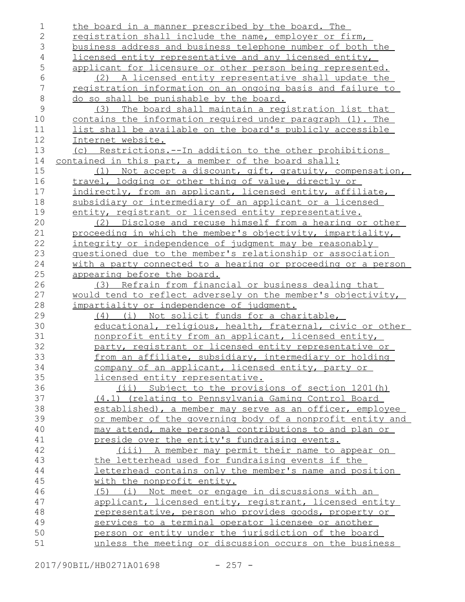the board in a manner prescribed by the board. The registration shall include the name, employer or firm, business address and business telephone number of both the licensed entity representative and any licensed entity, applicant for licensure or other person being represented. (2) A licensed entity representative shall update the registration information on an ongoing basis and failure to do so shall be punishable by the board. (3) The board shall maintain a registration list that contains the information required under paragraph (1). The list shall be available on the board's publicly accessible Internet website. (c) Restrictions.--In addition to the other prohibitions contained in this part, a member of the board shall: (1) Not accept a discount, gift, gratuity, compensation, travel, lodging or other thing of value, directly or indirectly, from an applicant, licensed entity, affiliate, subsidiary or intermediary of an applicant or a licensed entity, registrant or licensed entity representative. (2) Disclose and recuse himself from a hearing or other proceeding in which the member's objectivity, impartiality, integrity or independence of judgment may be reasonably questioned due to the member's relationship or association with a party connected to a hearing or proceeding or a person appearing before the board. (3) Refrain from financial or business dealing that would tend to reflect adversely on the member's objectivity, impartiality or independence of judgment. (4) (i) Not solicit funds for a charitable, educational, religious, health, fraternal, civic or other nonprofit entity from an applicant, licensed entity, party, registrant or licensed entity representative or from an affiliate, subsidiary, intermediary or holding company of an applicant, licensed entity, party or licensed entity representative. (ii) Subject to the provisions of section 1201(h) (4.1) (relating to Pennsylvania Gaming Control Board established), a member may serve as an officer, employee or member of the governing body of a nonprofit entity and may attend, make personal contributions to and plan or preside over the entity's fundraising events. (iii) A member may permit their name to appear on the letterhead used for fundraising events if the letterhead contains only the member's name and position with the nonprofit entity. (5) (i) Not meet or engage in discussions with an applicant, licensed entity, registrant, licensed entity representative, person who provides goods, property or services to a terminal operator licensee or another person or entity under the jurisdiction of the board unless the meeting or discussion occurs on the business 1 2 3 4 5 6 7 8 9 10 11 12 13 14 15 16 17 18 19 20 21 22 23 24 25 26 27 28 29 30 31 32 33 34 35 36 37 38 39 40 41 42 43 44 45 46 47 48 49 50 51

2017/90BIL/HB0271A01698 - 257 -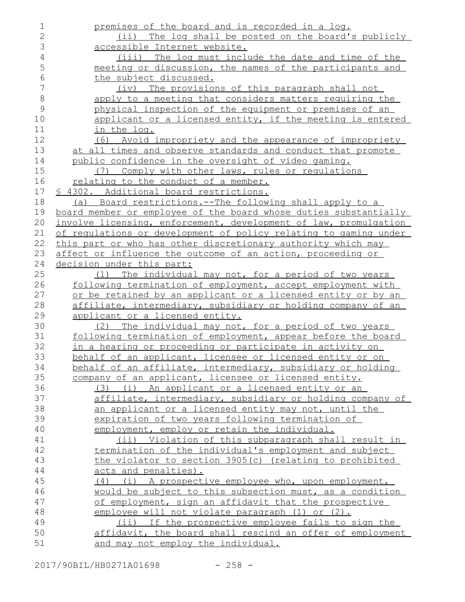| $\mathbf 1$    | premises of the board and is recorded in a log.                  |
|----------------|------------------------------------------------------------------|
| $\mathbf{2}$   | (ii) The log shall be posted on the board's publicly             |
| 3              | accessible Internet website.                                     |
| $\overline{4}$ | (iii) The log must include the date and time of the              |
| 5              | meeting or discussion, the names of the participants and         |
| 6              | the subject discussed.                                           |
| $\sqrt{}$      | (iv) The provisions of this paragraph shall not                  |
| 8              | apply to a meeting that considers matters requiring the          |
| 9              | physical inspection of the equipment or premises of an           |
| 10             | applicant or a licensed entity, if the meeting is entered        |
| 11             | in the log.                                                      |
| 12             | (6) Avoid impropriety and the appearance of impropriety          |
| 13             | at all times and observe standards and conduct that promote      |
| 14             | public confidence in the oversight of video gaming.              |
| 15             | (7) Comply with other laws, rules or requlations                 |
| 16             | relating to the conduct of a member.                             |
| 17             | § 4302. Additional board restrictions.                           |
| 18             | (a) Board restrictions.--The following shall apply to a          |
| 19             | board member or employee of the board whose duties substantially |
| 20             | involve licensing, enforcement, development of law, promulgation |
| 21             | of regulations or development of policy relating to gaming under |
| 22             | this part or who has other discretionary authority which may     |
| 23             | affect or influence the outcome of an action, proceeding or      |
| 24             | decision under this part:                                        |
| 25             | The individual may not, for a period of two years<br>(1)         |
| 26             | following termination of employment, accept employment with      |
| 27             | or be retained by an applicant or a licensed entity or by an     |
| 28             | affiliate, intermediary, subsidiary or holding company of an     |
| 29             | applicant or a licensed entity.                                  |
| 30             | (2) The individual may not, for a period of two years            |
| 31             | following termination of employment, appear before the board     |
| 32             | in a hearing or proceeding or participate in activity on         |
| 33             | behalf of an applicant, licensee or licensed entity or on        |
| 34             | behalf of an affiliate, intermediary, subsidiary or holding      |
| 35             | company of an applicant, licensee or licensed entity.            |
| 36             | (3) (i) An applicant or a licensed entity or an                  |
| 37             | affiliate, intermediary, subsidiary or holding company of        |
| 38             | an applicant or a licensed entity may not, until the             |
| 39             | expiration of two years following termination of                 |
| 40             | employment, employ or retain the individual.                     |
| 41             | (ii) Violation of this subparagraph shall result in              |
| 42             | termination of the individual's employment and subject           |
| 43             | the violator to section 3905(c) (relating to prohibited          |
| 44             | acts and penalties).                                             |
| 45             | (4) (i) A prospective employee who, upon employment,             |
| 46             | would be subject to this subsection must, as a condition         |
| 47             | of employment, sign an affidavit that the prospective            |
| 48             | employee will not violate paragraph (1) or (2).                  |
| 49             | (ii) If the prospective employee fails to sign the               |
| 50             | affidavit, the board shall rescind an offer of employment        |
| 51             | and may not employ the individual.                               |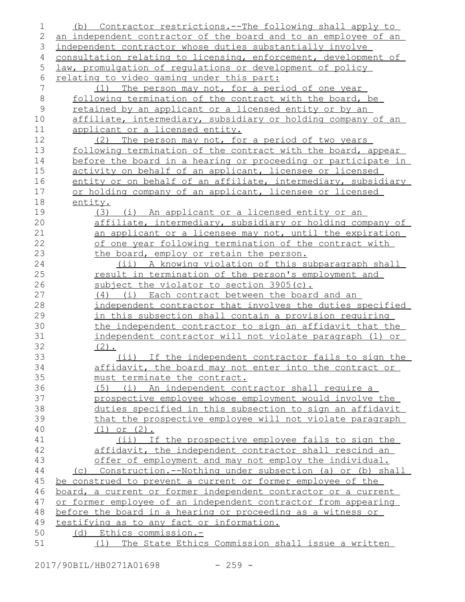| 1              | Contractor restrictions.--The following shall apply to<br>(b)                                                    |
|----------------|------------------------------------------------------------------------------------------------------------------|
| 2              | an independent contractor of the board and to an employee of an                                                  |
| 3              | independent contractor whose duties substantially involve                                                        |
| 4              | consultation relating to licensing, enforcement, development of                                                  |
| 5              | law, promulgation of regulations or development of policy                                                        |
| 6              | relating to video gaming under this part:                                                                        |
| $7\phantom{.}$ | The person may not, for a period of one year<br>(1)                                                              |
| $\,8\,$        | following termination of the contract with the board, be                                                         |
| $\mathcal{G}$  | retained by an applicant or a licensed entity or by an                                                           |
| 10             | affiliate, intermediary, subsidiary or holding company of an                                                     |
| 11             | applicant or a licensed entity.                                                                                  |
| 12             | (2) The person may not, for a period of two years                                                                |
| 13             | following termination of the contract with the board, appear                                                     |
| 14             | before the board in a hearing or proceeding or participate in                                                    |
| 15             | activity on behalf of an applicant, licensee or licensed                                                         |
| 16             | entity or on behalf of an affiliate, intermediary, subsidiary                                                    |
| 17             | or holding company of an applicant, licensee or licensed                                                         |
| 18             | entity.                                                                                                          |
| 19             | (3) (i) An applicant or a licensed entity or an                                                                  |
| 20             | affiliate, intermediary, subsidiary or holding company of                                                        |
| 21             | an applicant or a licensee may not, until the expiration                                                         |
| 22             | of one year following termination of the contract with                                                           |
| 23             | the board, employ or retain the person.                                                                          |
| 24             | (ii) A knowing violation of this subparagraph shall                                                              |
| 25             | <u>result in termination of the person's employment and</u>                                                      |
| 26             | subject the violator to section 3905(c).                                                                         |
| 27             | (i) Each contract between the board and an<br>(4)                                                                |
| 28             | independent contractor that involves the duties specified                                                        |
| 29             | in this subsection shall contain a provision requiring                                                           |
| 30             | the independent contractor to sign an affidavit that the                                                         |
| 31             | independent contractor will not violate paragraph (1) or                                                         |
| 32             | $(2)$ .                                                                                                          |
| 33             | (ii) If the independent contractor fails to sign the                                                             |
| 34             | affidavit, the board may not enter into the contract or                                                          |
| 35             | must terminate the contract.                                                                                     |
| 36             | (5) (i) An independent contractor shall require a                                                                |
| 37             | prospective employee whose employment would involve the                                                          |
| 38             | duties specified in this subsection to sign an affidavit                                                         |
| 39             | that the prospective employee will not violate paragraph<br>$(1)$ or $(2)$ .                                     |
| 40<br>41       | (ii) If the prospective employee fails to sign the                                                               |
| 42             |                                                                                                                  |
| 43             | affidavit, the independent contractor shall rescind an<br>offer of employment and may not employ the individual. |
| 44             | (c) Construction.--Nothing under subsection (a) or (b) shall                                                     |
| 45             | be construed to prevent a current or former employee of the                                                      |
| 46             | board, a current or former independent contractor or a current                                                   |
| 47             | or former employee of an independent contractor from appearing                                                   |
| 48             | before the board in a hearing or proceeding as a witness or                                                      |
| 49             | testifying as to any fact or information.                                                                        |
| 50             | Ethics commission.-<br>(d)                                                                                       |
| 51             | The State Ethics Commission shall issue a written<br>(1)                                                         |
|                |                                                                                                                  |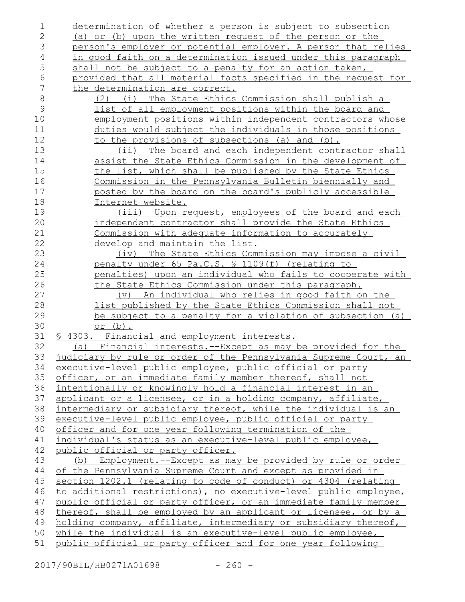determination of whether a person is subject to subsection (a) or (b) upon the written request of the person or the person's employer or potential employer. A person that relies in good faith on a determination issued under this paragraph shall not be subject to a penalty for an action taken, provided that all material facts specified in the request for the determination are correct. (2) (i) The State Ethics Commission shall publish a list of all employment positions within the board and employment positions within independent contractors whose duties would subject the individuals in those positions to the provisions of subsections (a) and (b). (ii) The board and each independent contractor shall assist the State Ethics Commission in the development of the list, which shall be published by the State Ethics Commission in the Pennsylvania Bulletin biennially and posted by the board on the board's publicly accessible Internet website. (iii) Upon request, employees of the board and each independent contractor shall provide the State Ethics Commission with adequate information to accurately develop and maintain the list. (iv) The State Ethics Commission may impose a civil penalty under 65 Pa.C.S. § 1109(f) (relating to penalties) upon an individual who fails to cooperate with the State Ethics Commission under this paragraph. (v) An individual who relies in good faith on the list published by the State Ethics Commission shall not be subject to a penalty for a violation of subsection (a) or (b). § 4303. Financial and employment interests. (a) Financial interests.--Except as may be provided for the judiciary by rule or order of the Pennsylvania Supreme Court, an executive-level public employee, public official or party officer, or an immediate family member thereof, shall not intentionally or knowingly hold a financial interest in an applicant or a licensee, or in a holding company, affiliate, intermediary or subsidiary thereof, while the individual is an executive-level public employee, public official or party officer and for one year following termination of the individual's status as an executive-level public employee, public official or party officer. (b) Employment.--Except as may be provided by rule or order of the Pennsylvania Supreme Court and except as provided in section 1202.1 (relating to code of conduct) or 4304 (relating to additional restrictions), no executive-level public employee, public official or party officer, or an immediate family member thereof, shall be employed by an applicant or licensee, or by a holding company, affiliate, intermediary or subsidiary thereof, while the individual is an executive-level public employee, public official or party officer and for one year following 1 2 3 4 5 6 7 8 9 10 11 12 13 14 15 16 17 18 19 20 21 22 23 24 25 26 27 28 29 30 31 32 33 34 35 36 37 38 39 40 41 42 43 44 45 46 47 48 49 50 51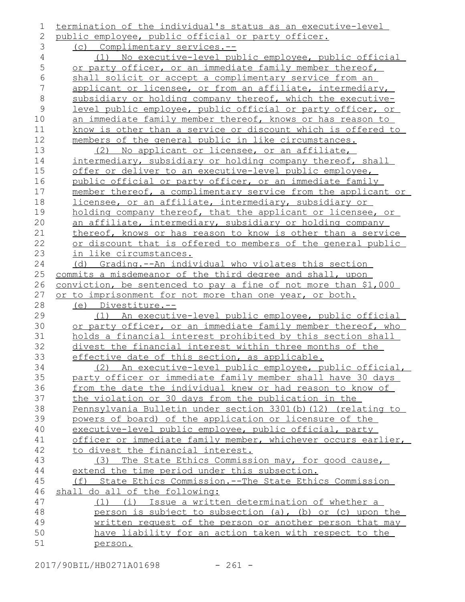| 1           | termination of the individual's status as an executive-level                                                                |
|-------------|-----------------------------------------------------------------------------------------------------------------------------|
| 2           | public employee, public official or party officer.                                                                          |
| 3           | (c) Complimentary services.--                                                                                               |
| 4           | (1) No executive-level public employee, public official                                                                     |
| 5           | or party officer, or an immediate family member thereof,                                                                    |
| 6           | shall solicit or accept a complimentary service from an                                                                     |
| 7           | applicant or licensee, or from an affiliate, intermediary,                                                                  |
| $\,8\,$     | subsidiary or holding company thereof, which the executive-                                                                 |
| $\mathsf 9$ | level public employee, public official or party officer, or                                                                 |
| 10          | an immediate family member thereof, knows or has reason to                                                                  |
| 11          | know is other than a service or discount which is offered to                                                                |
| 12          | members of the general public in like circumstances.                                                                        |
| 13          | No applicant or licensee, or an affiliate,<br>(2)                                                                           |
| 14          | intermediary, subsidiary or holding company thereof, shall                                                                  |
| 15          | offer or deliver to an executive-level public employee,                                                                     |
| 16          | public official or party officer, or an immediate family                                                                    |
| 17          | member thereof, a complimentary service from the applicant or                                                               |
| 18          | licensee, or an affiliate, intermediary, subsidiary or                                                                      |
| 19          | holding company thereof, that the applicant or licensee, or                                                                 |
| 20          | an affiliate, intermediary, subsidiary or holding company                                                                   |
| 21          | thereof, knows or has reason to know is other than a service                                                                |
| 22          | or discount that is offered to members of the general public                                                                |
| 23          | in like circumstances.                                                                                                      |
| 24          | (d) Grading.--An individual who violates this section                                                                       |
| 25          | commits a misdemeanor of the third degree and shall, upon                                                                   |
| 26          | conviction, be sentenced to pay a fine of not more than \$1,000                                                             |
| 27          | or to imprisonment for not more than one year, or both.                                                                     |
| 28          | (e) Divestiture.--                                                                                                          |
| 29          | (1) An executive-level public employee, public official                                                                     |
| 30          | or party officer, or an immediate family member thereof, who<br>holds a financial interest prohibited by this section shall |
| 31<br>32    |                                                                                                                             |
| 33          | divest the financial interest within three months of the<br>effective date of this section, as applicable.                  |
| 34          | (2) An executive-level public employee, public official,                                                                    |
| 35          | party officer or immediate family member shall have 30 days                                                                 |
| 36          | from the date the individual knew or had reason to know of                                                                  |
| 37          | the violation or 30 days from the publication in the                                                                        |
| 38          | Pennsylvania Bulletin under section 3301(b) (12) (relating to                                                               |
| 39          | powers of board) of the application or licensure of the                                                                     |
| 40          | executive-level public employee, public official, party                                                                     |
| 41          | officer or immediate family member, whichever occurs earlier,                                                               |
| 42          | to divest the financial interest.                                                                                           |
| 43          | (3) The State Ethics Commission may, for good cause,                                                                        |
| 44          | extend the time period under this subsection.                                                                               |
| 45          | (f) State Ethics Commission.--The State Ethics Commission                                                                   |
| 46          | shall do all of the following:                                                                                              |
| 47          | (1) (i) Issue a written determination of whether a                                                                          |
| 48          | person is subject to subsection (a), (b) or (c) upon the                                                                    |
| 49          | written request of the person or another person that may                                                                    |
| 50          | have liability for an action taken with respect to the                                                                      |
| 51          | person.                                                                                                                     |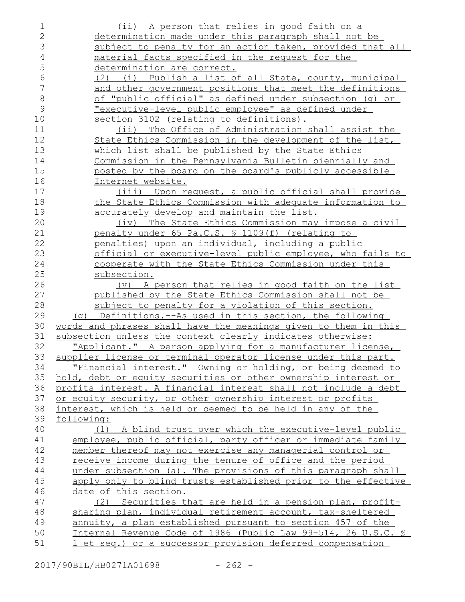| 1              | <u>(ii) A person that relies in good faith on a</u>                    |
|----------------|------------------------------------------------------------------------|
| $\overline{2}$ | determination made under this paragraph shall not be                   |
| 3              | subject to penalty for an action taken, provided that all              |
| $\overline{4}$ | <u>material facts specified in the request for the</u>                 |
| 5              | determination are correct.                                             |
| 6              | (2) (i) Publish a list of all State, county, municipal                 |
| 7              | and other government positions that meet the definitions               |
| $\,8\,$        | of "public official" as defined under subsection (q) or                |
| 9              | <u>"executive-level public employee" as defined under</u>              |
| 10             | section 3102 (relating to definitions).                                |
| 11             | The Office of Administration shall assist the<br>$(i$ ii)              |
| 12             | State Ethics Commission in the development of the list,                |
| 13             | which list shall be published by the State Ethics                      |
| 14             | Commission in the Pennsylvania Bulletin biennially and                 |
| 15             | posted by the board on the board's publicly accessible                 |
| 16             | Internet website.                                                      |
| 17             | (iii) Upon request, a public official shall provide                    |
| 18             | the State Ethics Commission with adequate information to               |
| 19             | <u>accurately develop and maintain the list.</u>                       |
| 20             | The State Ethics Commission may impose a civil<br>(iv)                 |
| 21             | penalty under 65 Pa.C.S. § 1109(f) (relating to                        |
| 22             | penalties) upon an individual, including a public                      |
| 23             | official or executive-level public employee, who fails to              |
| 24             | cooperate with the State Ethics Commission under this                  |
| 25             | subsection.                                                            |
| 26             | (v) A person that relies in good faith on the list                     |
| 27             | published by the State Ethics Commission shall not be                  |
| 28             | subject to penalty for a violation of this section.                    |
| 29             | (g) Definitions.--As used in this section, the following               |
| 30             | <u>words and phrases shall have the meanings given to them in this</u> |
| 31             | subsection unless the context clearly indicates otherwise:             |
| 32             | "Applicant." A person applying for a manufacturer license,             |
| 33             | supplier license or terminal operator license under this part.         |
| 34             | <u>"Financial interest." Owning or holding, or being deemed to </u>    |
| 35             | hold, debt or equity securities or other ownership interest or         |
| 36             | profits interest. A financial interest shall not include a debt        |
| 37             | or equity security, or other ownership interest or profits             |
| 38             | interest, which is held or deemed to be held in any of the             |
| 39             | following:                                                             |
| 40             | (1) A blind trust over which the executive-level public                |
| 41             | employee, public official, party officer or immediate family           |
| 42             | member thereof may not exercise any managerial control or              |
| 43             | receive income during the tenure of office and the period              |
| 44             | under subsection (a). The provisions of this paragraph shall           |
| 45             | apply only to blind trusts established prior to the effective          |
| 46             | date of this section.                                                  |
| 47             | (2) Securities that are held in a pension plan, profit-                |
| 48             | sharing plan, individual retirement account, tax-sheltered             |
| 49             | annuity, a plan established pursuant to section 457 of the             |
| 50             | Internal Revenue Code of 1986 (Public Law 99-514, 26 U.S.C. §          |
| 51             | 1 et seq.) or a successor provision deferred compensation              |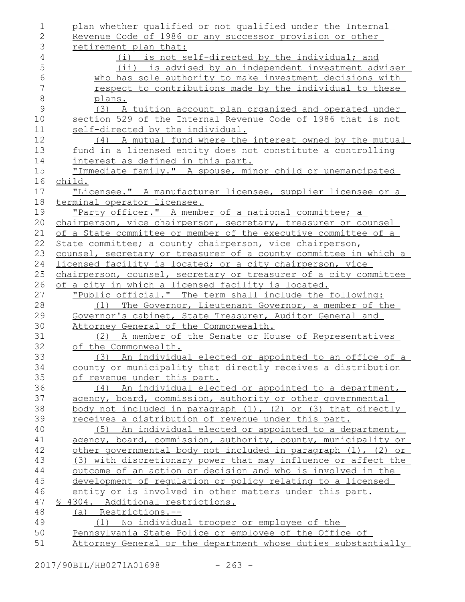plan whether qualified or not qualified under the Internal Revenue Code of 1986 or any successor provision or other retirement plan that: (i) is not self-directed by the individual; and (ii) is advised by an independent investment adviser who has sole authority to make investment decisions with respect to contributions made by the individual to these plans. (3) A tuition account plan organized and operated under section 529 of the Internal Revenue Code of 1986 that is not self-directed by the individual. (4) A mutual fund where the interest owned by the mutual fund in a licensed entity does not constitute a controlling interest as defined in this part. "Immediate family." A spouse, minor child or unemancipated child. "Licensee." A manufacturer licensee, supplier licensee or a terminal operator licensee. "Party officer." A member of a national committee; a chairperson, vice chairperson, secretary, treasurer or counsel of a State committee or member of the executive committee of a State committee; a county chairperson, vice chairperson, counsel, secretary or treasurer of a county committee in which a licensed facility is located; or a city chairperson, vice chairperson, counsel, secretary or treasurer of a city committee of a city in which a licensed facility is located. "Public official." The term shall include the following: (1) The Governor, Lieutenant Governor, a member of the Governor's cabinet, State Treasurer, Auditor General and Attorney General of the Commonwealth. (2) A member of the Senate or House of Representatives of the Commonwealth. (3) An individual elected or appointed to an office of a county or municipality that directly receives a distribution of revenue under this part. (4) An individual elected or appointed to a department, agency, board, commission, authority or other governmental body not included in paragraph (1), (2) or (3) that directly receives a distribution of revenue under this part. (5) An individual elected or appointed to a department, agency, board, commission, authority, county, municipality or other governmental body not included in paragraph (1), (2) or (3) with discretionary power that may influence or affect the outcome of an action or decision and who is involved in the development of regulation or policy relating to a licensed entity or is involved in other matters under this part. § 4304. Additional restrictions. (a) Restrictions.-- (1) No individual trooper or employee of the Pennsylvania State Police or employee of the Office of Attorney General or the department whose duties substantially 1 2 3 4 5 6 7 8 9 10 11 12 13 14 15 16 17 18 19 20 21 22 23 24 25 26 27 28 29 30 31 32 33 34 35 36 37 38 39 40 41 42 43 44 45 46 47 48 49 50 51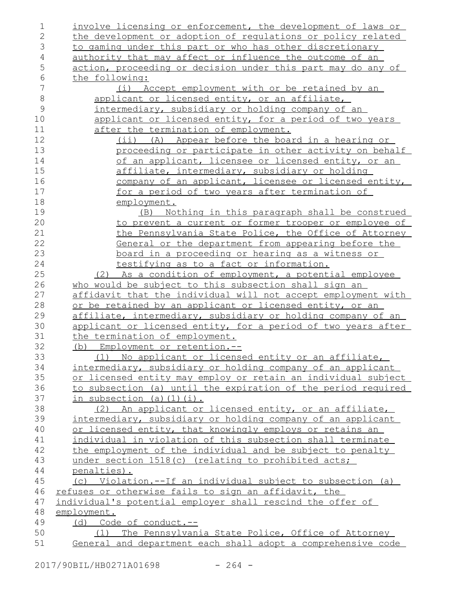| 1             | involve licensing or enforcement, the development of laws or        |
|---------------|---------------------------------------------------------------------|
| 2             | the development or adoption of requlations or policy related        |
| 3             | to gaming under this part or who has other discretionary            |
| 4             | authority that may affect or influence the outcome of an            |
| 5             | action, proceeding or decision under this part may do any of        |
| 6             | the following:                                                      |
| 7             | (i) Accept employment with or be retained by an                     |
| $\,8\,$       | applicant or licensed entity, or an affiliate,                      |
| $\mathcal{G}$ | intermediary, subsidiary or holding company of an                   |
| 10            | applicant or licensed entity, for a period of two years             |
| 11            | after the termination of employment.                                |
| 12            | (ii) (A) Appear before the board in a hearing or                    |
| 13            | proceeding or participate in other activity on behalf               |
| 14            | <u>of an applicant, licensee or licensed entity, or an</u>          |
| 15            | affiliate, intermediary, subsidiary or holding                      |
| 16            | company of an applicant, licensee or licensed entity,               |
| 17            | for a period of two years after termination of                      |
| 18            | employment.                                                         |
| 19            | (B) Nothing in this paragraph shall be construed                    |
| 20            | to prevent a current or former trooper or employee of               |
| 21            | the Pennsylvania State Police, the Office of Attorney               |
| 22            | General or the department from appearing before the                 |
| 23            | <u>board in a proceeding or hearing as a witness or</u>             |
| 24            | testifying as to a fact or information.                             |
| 25            | (2) As a condition of employment, a potential employee              |
| 26            | who would be subject to this subsection shall sign an               |
| 27            | affidavit that the individual will not accept employment with       |
| 28            | or be retained by an applicant or licensed entity, or an            |
| 29            | <u>affiliate, intermediary, subsidiary or holding company of an</u> |
| 30            | applicant or licensed entity, for a period of two years after       |
| 31            | the termination of employment.                                      |
| 32            | (b) Employment or retention.--                                      |
| 33            | (1) No applicant or licensed entity or an affiliate,                |
| 34            | intermediary, subsidiary or holding company of an applicant         |
| 35            | or licensed entity may employ or retain an individual subject       |
| 36            | to subsection (a) until the expiration of the period required       |
| 37            | in subsection (a) $(1)$ $(i)$ .                                     |
| 38            | (2) An applicant or licensed entity, or an affiliate,               |
| 39            | intermediary, subsidiary or holding company of an applicant         |
| 40            | or licensed entity, that knowingly employs or retains an            |
| 41            | individual in violation of this subsection shall terminate          |
| 42            | the employment of the individual and be subject to penalty          |
| 43            | under section 1518(c) (relating to prohibited acts;                 |
| 44            | penalties).                                                         |
| 45            | (c) Violation.--If an individual subject to subsection (a)          |
| 46            | refuses or otherwise fails to sign an affidavit, the                |
| 47            | individual's potential employer shall rescind the offer of          |
| 48            | employment.                                                         |
| 49            | (d) Code of conduct.--                                              |
| 50            | (1) The Pennsylvania State Police, Office of Attorney               |
| 51            | General and department each shall adopt a comprehensive code        |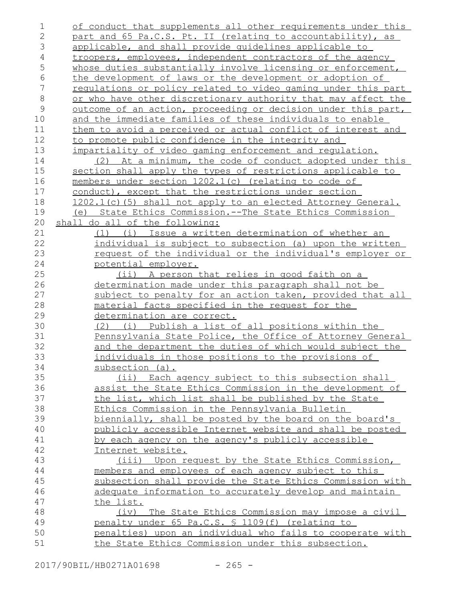| 1              | of conduct that supplements all other requirements under this    |
|----------------|------------------------------------------------------------------|
| $\overline{2}$ | part and 65 Pa.C.S. Pt. II (relating to accountability), as      |
| 3              | applicable, and shall provide quidelines applicable to           |
| 4              | troopers, employees, independent contractors of the agency       |
| 5              | whose duties substantially involve licensing or enforcement,     |
| $\epsilon$     | the development of laws or the development or adoption of        |
| 7              | regulations or policy related to video gaming under this part    |
| $\,8\,$        | or who have other discretionary authority that may affect the    |
| $\mathcal{G}$  | outcome of an action, proceeding or decision under this part,    |
| 10             | and the immediate families of these individuals to enable        |
| 11             | them to avoid a perceived or actual conflict of interest and     |
| 12             | to promote public confidence in the integrity and                |
| 13             | impartiality of video gaming enforcement and regulation.         |
| 14             | (2) At a minimum, the code of conduct adopted under this         |
| 15             | section shall apply the types of restrictions applicable to      |
| 16             | members under section 1202.1(c) (relating to code of             |
| 17             | conduct), except that the restrictions under section             |
| 18             | 1202.1(c)(5) shall not apply to an elected Attorney General.     |
| 19             | State Ethics Commission.--The State Ethics Commission<br>(e)     |
| 20             | shall do all of the following:                                   |
| 21             | <u>Issue a written determination of whether an</u><br>(i)<br>(1) |
| 22             | individual is subject to subsection (a) upon the written         |
| 23             | <u>request of the individual or the individual's employer or</u> |
| 24             | potential employer.                                              |
| 25             | (ii) A person that relies in good faith on a                     |
| 26             | determination made under this paragraph shall not be             |
| 27             | subject to penalty for an action taken, provided that all        |
| 28             | material facts specified in the request for the                  |
| 29             | determination are correct.                                       |
| 30             | (2) (i) Publish a list of all positions within the               |
| 31             | Pennsylvania State Police, the Office of Attorney General        |
| 32             | and the department the duties of which would subject the         |
| 33             | individuals in those positions to the provisions of              |
| 34             | subsection (a).                                                  |
| 35             | (ii) Each agency subject to this subsection shall                |
| 36             | assist the State Ethics Commission in the development of         |
| 37             | the list, which list shall be published by the State             |
| 38             | Ethics Commission in the Pennsylvania Bulletin                   |
| 39             | biennially, shall be posted by the board on the board's          |
| 40             | publicly accessible Internet website and shall be posted         |
| 41             | by each agency on the agency's publicly accessible               |
| 42             | Internet website.                                                |
| 43             | (iii) Upon request by the State Ethics Commission,               |
| 44             | members and employees of each agency subject to this             |
| 45             | subsection shall provide the State Ethics Commission with        |
| 46             | adequate information to accurately develop and maintain          |
| 47             | the list.                                                        |
| 48             | (iv) The State Ethics Commission may impose a civil              |
| 49             | penalty under 65 Pa.C.S. § 1109(f) (relating to                  |
| 50             | penalties) upon an individual who fails to cooperate with        |
| 51             | the State Ethics Commission under this subsection.               |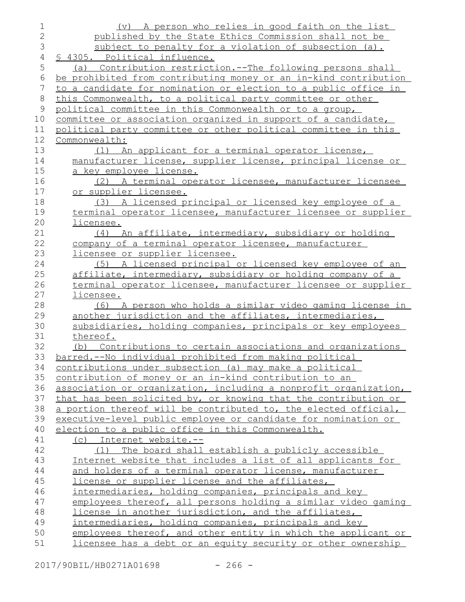| $\mathbf 1$      | (v) A person who relies in good faith on the list                |
|------------------|------------------------------------------------------------------|
| $\overline{2}$   | published by the State Ethics Commission shall not be            |
| 3                | subject to penalty for a violation of subsection (a).            |
| $\overline{4}$   | § 4305. Political influence.                                     |
| 5                | (a) Contribution restriction.--The following persons shall       |
| 6                | be prohibited from contributing money or an in-kind contribution |
| $\boldsymbol{7}$ | to a candidate for nomination or election to a public office in  |
| $\,8\,$          | this Commonwealth, to a political party committee or other       |
| 9                | political committee in this Commonwealth or to a group,          |
| 10               | committee or association organized in support of a candidate,    |
| 11               | political party committee or other political committee in this   |
| 12               | Commonwealth:                                                    |
| 13               | (1) An applicant for a terminal operator license,                |
| 14               | manufacturer license, supplier license, principal license or     |
| 15               | <u>a key employee license.</u>                                   |
| 16               | (2) A terminal operator licensee, manufacturer licensee          |
| 17               | or supplier licensee.                                            |
| 18               | (3) A licensed principal or licensed key employee of a           |
| 19               | terminal operator licensee, manufacturer licensee or supplier    |
| 20               | licensee.                                                        |
| 21               | (4) An affiliate, intermediary, subsidiary or holding            |
| 22               | company of a terminal operator licensee, manufacturer            |
| 23               | licensee or supplier licensee.                                   |
| 24               | (5) A licensed principal or licensed key employee of an          |
| 25               | affiliate, intermediary, subsidiary or holding company of a      |
| 26               | terminal operator licensee, manufacturer licensee or supplier    |
| 27               | licensee.                                                        |
| 28               | (6) A person who holds a similar video gaming license in         |
| 29               | another jurisdiction and the affiliates, intermediaries,         |
| 30               | subsidiaries, holding companies, principals or key employees     |
| 31               | thereof.                                                         |
| 32               | (b) Contributions to certain associations and organizations      |
| 33               | barred.--No individual prohibited from making political          |
| 34               | contributions under subsection (a) may make a political          |
| 35               | contribution of money or an in-kind contribution to an           |
| 36               | association or organization, including a nonprofit organization, |
| 37               | that has been solicited by, or knowing that the contribution or  |
| 38               | a portion thereof will be contributed to, the elected official,  |
| 39               | executive-level public employee or candidate for nomination or   |
| 40               | election to a public office in this Commonwealth.                |
| 41               | (c) Internet website.--                                          |
| 42               | (1) The board shall establish a publicly accessible              |
| 43               | Internet website that includes a list of all applicants for      |
| 44               | and holders of a terminal operator license, manufacturer         |
| 45               | license or supplier license and the affiliates,                  |
| 46               | intermediaries, holding companies, principals and key            |
| 47               | employees thereof, all persons holding a similar video gaming    |
| 48               | license in another jurisdiction, and the affiliates,             |
| 49               | intermediaries, holding companies, principals and key            |
| 50               | employees thereof, and other entity in which the applicant or    |
| 51               | licensee has a debt or an equity security or other ownership     |

2017/90BIL/HB0271A01698 - 266 -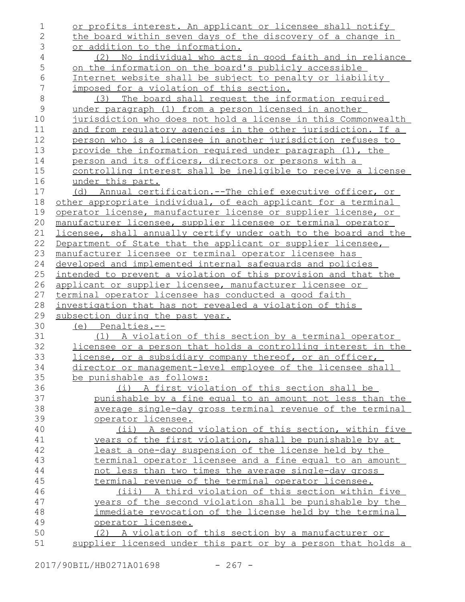| $\mathbf 1$    | or profits interest. An applicant or licensee shall notify       |
|----------------|------------------------------------------------------------------|
| $\overline{2}$ | the board within seven days of the discovery of a change in      |
| 3              | or addition to the information.                                  |
| 4              | (2) No individual who acts in good faith and in reliance         |
| 5              | on the information on the board's publicly accessible            |
| 6              | Internet website shall be subject to penalty or liability        |
| 7              | imposed for a violation of this section.                         |
| $\,8\,$        | The board shall request the information required<br>(3)          |
| $\mathsf 9$    | under paragraph (1) from a person licensed in another            |
| 10             | jurisdiction who does not hold a license in this Commonwealth    |
| 11             | and from requlatory agencies in the other jurisdiction. If a     |
| 12             | person who is a licensee in another jurisdiction refuses to      |
| 13             | provide the information required under paragraph (1), the        |
| 14             | person and its officers, directors or persons with a             |
| 15             | controlling interest shall be ineligible to receive a license    |
| 16             | under this part.                                                 |
| 17             | (d) Annual certification.--The chief executive officer, or       |
| 18             | other appropriate individual, of each applicant for a terminal   |
| 19             | operator license, manufacturer license or supplier license, or   |
| 20             | manufacturer licensee, supplier licensee or terminal operator    |
| 21             | licensee, shall annually certify under oath to the board and the |
| 22             | Department of State that the applicant or supplier licensee,     |
| 23             | manufacturer licensee or terminal operator licensee has          |
| 24             | developed and implemented internal safequards and policies       |
| 25             | intended to prevent a violation of this provision and that the   |
| 26             | applicant or supplier licensee, manufacturer licensee or         |
| 27             | terminal operator licensee has conducted a good faith            |
| 28             | investigation that has not revealed a violation of this          |
| 29             | subsection during the past year.                                 |
| 30             | (e) Penalties.--                                                 |
| 31             | (1) A violation of this section by a terminal operator           |
| 32             | licensee or a person that holds a controlling interest in the    |
| 33             | license, or a subsidiary company thereof, or an officer,         |
| 34             | director or management-level employee of the licensee shall      |
| 35             | be punishable as follows:                                        |
| 36             | (i) A first violation of this section shall be                   |
| 37             | punishable by a fine equal to an amount not less than the        |
| 38             | average single-day gross terminal revenue of the terminal        |
| 39             | operator licensee.                                               |
| 40             | (ii) A second violation of this section, within five             |
| 41             | years of the first violation, shall be punishable by at          |
| 42             | least a one-day suspension of the license held by the            |
| 43             | terminal operator licensee and a fine equal to an amount         |
| 44             | not less than two times the average single-day gross             |
| 45             | terminal revenue of the terminal operator licensee.              |
| 46             | (iii) A third violation of this section within five              |
| 47             | years of the second violation shall be punishable by the         |
| 48             | immediate revocation of the license held by the terminal         |
| 49             | operator licensee.                                               |
| 50             | (2) A violation of this section by a manufacturer or             |
| 51             | supplier licensed under this part or by a person that holds a    |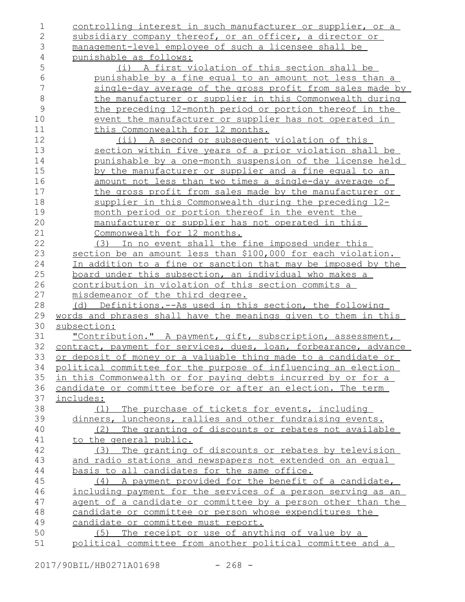| $\mathbf 1$    | controlling interest in such manufacturer or supplier, or a      |
|----------------|------------------------------------------------------------------|
| $\mathbf{2}$   | subsidiary company thereof, or an officer, a director or         |
| 3              | management-level employee of such a licensee shall be            |
| $\overline{4}$ | punishable as follows:                                           |
| 5              | (i) A first violation of this section shall be                   |
| $\epsilon$     | punishable by a fine equal to an amount not less than a          |
| 7              | single-day average of the gross profit from sales made by        |
| $\,8\,$        | the manufacturer or supplier in this Commonwealth during         |
| $\mathcal{G}$  | the preceding 12-month period or portion thereof in the          |
| 10             | event the manufacturer or supplier has not operated in           |
| 11             | this Commonwealth for 12 months.                                 |
| 12             | (ii) A second or subsequent violation of this                    |
| 13             | section within five years of a prior violation shall be          |
| 14             | punishable by a one-month suspension of the license held         |
| 15             | by the manufacturer or supplier and a fine equal to an           |
| 16             | amount not less than two times a single-day average of           |
| 17             | the gross profit from sales made by the manufacturer or          |
| 18             | supplier in this Commonwealth during the preceding 12-           |
| 19             | month period or portion thereof in the event the                 |
| 20             | manufacturer or supplier has not operated in this                |
| 21             | Commonwealth for 12 months.                                      |
| 22             | (3) In no event shall the fine imposed under this                |
| 23             | section be an amount less than \$100,000 for each violation.     |
| 24             | In addition to a fine or sanction that may be imposed by the     |
| 25             | board under this subsection, an individual who makes a           |
| 26             | contribution in violation of this section commits a              |
| 27             | misdemeanor of the third degree.                                 |
| 28             | (d) Definitions.--As used in this section, the following         |
| 29             | words and phrases shall have the meanings given to them in this  |
| 30             | subsection:                                                      |
| 31             | "Contribution." A payment, gift, subscription, assessment,       |
| 32             | contract, payment for services, dues, loan, forbearance, advance |
| 33             | or deposit of money or a valuable thing made to a candidate or   |
| 34             | political committee for the purpose of influencing an election   |
| 35             | in this Commonwealth or for paying debts incurred by or for a    |
| 36             | candidate or committee before or after an election. The term     |
| 37             | includes:                                                        |
| 38             | (1) The purchase of tickets for events, including                |
| 39             | dinners, luncheons, rallies and other fundraising events.        |
| 40             | (2) The granting of discounts or rebates not available           |
| 41             | to the general public.                                           |
| 42             | (3) The granting of discounts or rebates by television           |
| 43             | and radio stations and newspapers not extended on an equal       |
| 44             | basis to all candidates for the same office.                     |
| 45             | (4) A payment provided for the benefit of a candidate,           |
| 46             | including payment for the services of a person serving as an     |
| 47             | agent of a candidate or committee by a person other than the     |
| 48             | candidate or committee or person whose expenditures the          |
| 49             | candidate or committee must report.                              |
| 50             | (5) The receipt or use of anything of value by a                 |
| 51             | political committee from another political committee and a       |
|                |                                                                  |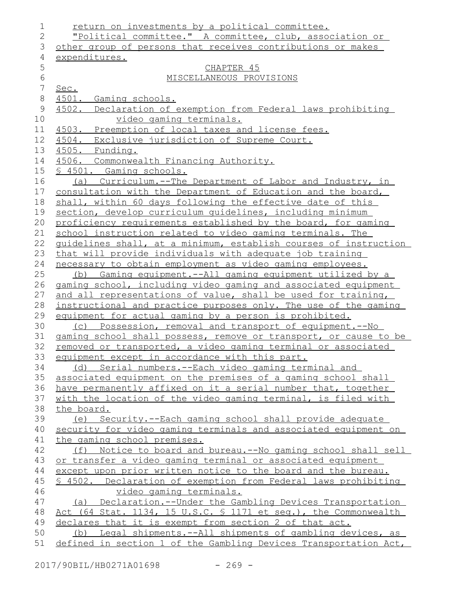| 1              | return on investments by a political committee.                  |
|----------------|------------------------------------------------------------------|
| $\mathbf{2}$   | "Political committee." A committee, club, association or         |
| 3              | other group of persons that receives contributions or makes      |
| $\overline{4}$ | expenditures.                                                    |
| 5              | CHAPTER 45                                                       |
| $\sqrt{6}$     | MISCELLANEOUS PROVISIONS                                         |
| $\overline{7}$ | Sec.                                                             |
| $\,8\,$        | 4501. Gaming schools.                                            |
| $\mathsf 9$    | 4502. Declaration of exemption from Federal laws prohibiting     |
| 10             | video gaming terminals.                                          |
| 11             | 4503. Preemption of local taxes and license fees.                |
| 12             | 4504. Exclusive jurisdiction of Supreme Court.                   |
| 13             | 4505. Funding.                                                   |
| 14             | 4506. Commonwealth Financing Authority.                          |
| 15             | \$ 4501. Gaming schools.                                         |
| 16             | (a) Curriculum.--The Department of Labor and Industry, in        |
| 17             | consultation with the Department of Education and the board,     |
| 18             | shall, within 60 days following the effective date of this       |
| 19             | section, develop curriculum quidelines, including minimum        |
| 20             | proficiency requirements established by the board, for gaming    |
| 21             | school instruction related to video gaming terminals. The        |
| 22             | quidelines shall, at a minimum, establish courses of instruction |
| 23             | that will provide individuals with adequate job training         |
| 24             | necessary to obtain employment as video gaming employees.        |
| 25             | (b) Gaming equipment.--All gaming equipment utilized by a        |
| 26             | gaming school, including video gaming and associated equipment   |
| 27             | and all representations of value, shall be used for training,    |
| 28             | instructional and practice purposes only. The use of the gaming  |
| 29             | equipment for actual gaming by a person is prohibited.           |
| 30             | (c) Possession, removal and transport of equipment.--No          |
| 31             | gaming school shall possess, remove or transport, or cause to be |
| 32             | removed or transported, a video gaming terminal or associated    |
| 33             | equipment except in accordance with this part.                   |
| 34             | (d) Serial numbers.--Each video gaming terminal and              |
| 35             | associated equipment on the premises of a gaming school shall    |
| 36             | have permanently affixed on it a serial number that, together    |
| 37             | with the location of the video gaming terminal, is filed with    |
| 38             | the board.                                                       |
| 39             | (e) Security.--Each gaming school shall provide adequate         |
| 40             | security for video gaming terminals and associated equipment on  |
| 41             | the gaming school premises.                                      |
| 42             | (f) Notice to board and bureau. -- No gaming school shall sell   |
| 43             | or transfer a video gaming terminal or associated equipment      |
| 44             | except upon prior written notice to the board and the bureau.    |
| 45             | \$ 4502. Declaration of exemption from Federal laws prohibiting  |
| 46             | video gaming terminals.                                          |
| 47             | (a) Declaration.--Under the Gambling Devices Transportation      |
| 48             | Act (64 Stat. 1134, 15 U.S.C. § 1171 et seq.), the Commonwealth  |
| 49             | declares that it is exempt from section 2 of that act.           |
| 50             | (b) Legal shipments.--All shipments of gambling devices, as      |
| 51             | defined in section 1 of the Gambling Devices Transportation Act, |
|                |                                                                  |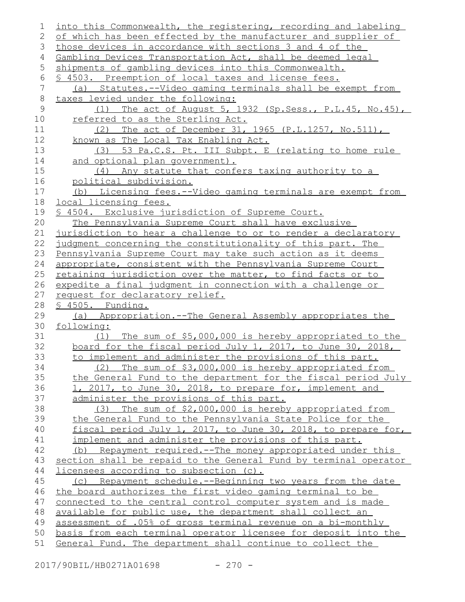| 1        | into this Commonwealth, the registering, recording and labeling                                     |
|----------|-----------------------------------------------------------------------------------------------------|
| 2        | of which has been effected by the manufacturer and supplier of                                      |
| 3        | those devices in accordance with sections 3 and 4 of the                                            |
| 4        | Gambling Devices Transportation Act, shall be deemed legal                                          |
| 5        | shipments of gambling devices into this Commonwealth.                                               |
| 6        | \$ 4503. Preemption of local taxes and license fees.                                                |
| 7        | (a) Statutes.--Video gaming terminals shall be exempt from                                          |
| $\,8\,$  | taxes levied under the following:                                                                   |
| 9        | (1) The act of August 5, 1932 (Sp. Sess., P. L. 45, No. 45),                                        |
| 10       | referred to as the Sterling Act.                                                                    |
| 11       | (2) The act of December 31, 1965 (P.L.1257, No.511),                                                |
| 12       | known as The Local Tax Enabling Act.                                                                |
| 13       | (3) 53 Pa.C.S. Pt. III Subpt. E (relating to home rule                                              |
| 14       | and optional plan government).                                                                      |
| 15       | (4) Any statute that confers taxing authority to a                                                  |
| 16       | political subdivision.                                                                              |
| 17       | (b) Licensing fees.--Video gaming terminals are exempt from                                         |
| 18       | local licensing fees.                                                                               |
| 19       | § 4504. Exclusive jurisdiction of Supreme Court.                                                    |
| 20       | The Pennsylvania Supreme Court shall have exclusive                                                 |
| 21       | jurisdiction to hear a challenge to or to render a declaratory                                      |
| 22       | judgment concerning the constitutionality of this part. The                                         |
| 23       | Pennsylvania Supreme Court may take such action as it deems                                         |
| 24       | appropriate, consistent with the Pennsylvania Supreme Court                                         |
| 25       | retaining jurisdiction over the matter, to find facts or to                                         |
| 26       | expedite a final judgment in connection with a challenge or                                         |
| 27       | request for declaratory relief.                                                                     |
| 28       | $$4505.$ Funding.                                                                                   |
| 29       | (a) Appropriation.--The General Assembly appropriates the                                           |
| 30       | following:                                                                                          |
| 31       | The sum of \$5,000,000 is hereby appropriated to the<br>(1)                                         |
| 32       | board for the fiscal period July 1, 2017, to June 30, 2018,                                         |
| 33       | to implement and administer the provisions of this part.                                            |
| 34       | The sum of \$3,000,000 is hereby appropriated from<br>(2)                                           |
| 35       | the General Fund to the department for the fiscal period July                                       |
| 36<br>37 | 1, 2017, to June 30, 2018, to prepare for, implement and<br>administer the provisions of this part. |
| 38       | (3) The sum of \$2,000,000 is hereby appropriated from                                              |
| 39       | the General Fund to the Pennsylvania State Police for the                                           |
| 40       | fiscal period July 1, 2017, to June 30, 2018, to prepare for,                                       |
| 41       | implement and administer the provisions of this part.                                               |
| 42       | (b) Repayment required.--The money appropriated under this                                          |
| 43       | section shall be repaid to the General Fund by terminal operator                                    |
| 44       | licensees according to subsection (c).                                                              |
| 45       | (c) Repayment schedule.--Beginning two years from the date                                          |
| 46       | the board authorizes the first video gaming terminal to be                                          |
| 47       | connected to the central control computer system and is made                                        |
| 48       | available for public use, the department shall collect an                                           |
| 49       | assessment of .05% of gross terminal revenue on a bi-monthly                                        |
| 50       | basis from each terminal operator licensee for deposit into the                                     |
| 51       | General Fund. The department shall continue to collect the                                          |

2017/90BIL/HB0271A01698 - 270 -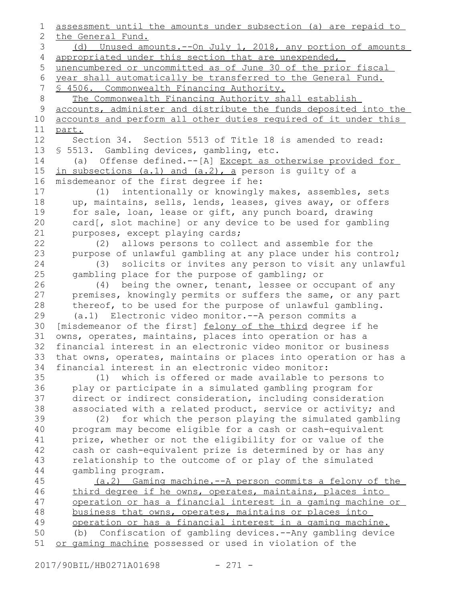assessment until the amounts under subsection (a) are repaid to the General Fund. (d) Unused amounts.--On July 1, 2018, any portion of amounts appropriated under this section that are unexpended, unencumbered or uncommitted as of June 30 of the prior fiscal year shall automatically be transferred to the General Fund. § 4506. Commonwealth Financing Authority. The Commonwealth Financing Authority shall establish accounts, administer and distribute the funds deposited into the accounts and perform all other duties required of it under this part. Section 34. Section 5513 of Title 18 is amended to read: § 5513. Gambling devices, gambling, etc. (a) Offense defined.--[A] Except as otherwise provided for in subsections (a.1) and (a.2), a person is guilty of a misdemeanor of the first degree if he: (1) intentionally or knowingly makes, assembles, sets up, maintains, sells, lends, leases, gives away, or offers for sale, loan, lease or gift, any punch board, drawing card[, slot machine] or any device to be used for gambling purposes, except playing cards; (2) allows persons to collect and assemble for the purpose of unlawful gambling at any place under his control; (3) solicits or invites any person to visit any unlawful gambling place for the purpose of gambling; or (4) being the owner, tenant, lessee or occupant of any premises, knowingly permits or suffers the same, or any part thereof, to be used for the purpose of unlawful gambling. (a.1) Electronic video monitor.--A person commits a [misdemeanor of the first] felony of the third degree if he owns, operates, maintains, places into operation or has a financial interest in an electronic video monitor or business that owns, operates, maintains or places into operation or has a financial interest in an electronic video monitor: (1) which is offered or made available to persons to play or participate in a simulated gambling program for direct or indirect consideration, including consideration associated with a related product, service or activity; and (2) for which the person playing the simulated gambling program may become eligible for a cash or cash-equivalent prize, whether or not the eligibility for or value of the cash or cash-equivalent prize is determined by or has any relationship to the outcome of or play of the simulated gambling program. (a.2) Gaming machine.--A person commits a felony of the third degree if he owns, operates, maintains, places into operation or has a financial interest in a gaming machine or business that owns, operates, maintains or places into operation or has a financial interest in a gaming machine. (b) Confiscation of gambling devices.--Any gambling device or gaming machine possessed or used in violation of the 1 2 3 4 5 6 7 8 9 10 11 12 13 14 15 16 17 18 19 20 21 22 23 24 25 26 27 28 29 30 31 32 33 34 35 36 37 38 39 40 41 42 43 44 45 46 47 48 49 50 51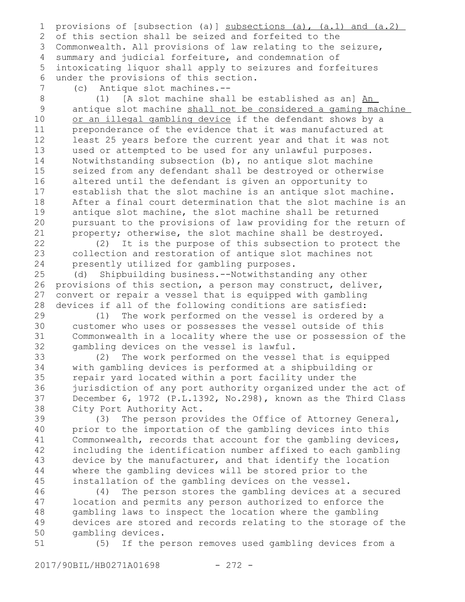provisions of [subsection (a)] subsections (a), (a.1) and (a.2) of this section shall be seized and forfeited to the Commonwealth. All provisions of law relating to the seizure, 3 summary and judicial forfeiture, and condemnation of intoxicating liquor shall apply to seizures and forfeitures under the provisions of this section. 1 2 4 5 6

7

(c) Antique slot machines.--

(1) [A slot machine shall be established as an] An antique slot machine shall not be considered a gaming machine or an illegal gambling device if the defendant shows by a preponderance of the evidence that it was manufactured at least 25 years before the current year and that it was not used or attempted to be used for any unlawful purposes. Notwithstanding subsection (b), no antique slot machine seized from any defendant shall be destroyed or otherwise altered until the defendant is given an opportunity to establish that the slot machine is an antique slot machine. After a final court determination that the slot machine is an antique slot machine, the slot machine shall be returned pursuant to the provisions of law providing for the return of property; otherwise, the slot machine shall be destroyed. 8 9 10 11 12 13 14 15 16 17 18 19 20 21

(2) It is the purpose of this subsection to protect the collection and restoration of antique slot machines not presently utilized for gambling purposes. 22 23 24

(d) Shipbuilding business.--Notwithstanding any other provisions of this section, a person may construct, deliver, convert or repair a vessel that is equipped with gambling devices if all of the following conditions are satisfied: 25 26 27 28

(1) The work performed on the vessel is ordered by a customer who uses or possesses the vessel outside of this Commonwealth in a locality where the use or possession of the gambling devices on the vessel is lawful. 29 30 31 32

(2) The work performed on the vessel that is equipped with gambling devices is performed at a shipbuilding or repair yard located within a port facility under the jurisdiction of any port authority organized under the act of December 6, 1972 (P.L.1392, No.298), known as the Third Class City Port Authority Act. 33 34 35 36 37 38

(3) The person provides the Office of Attorney General, prior to the importation of the gambling devices into this Commonwealth, records that account for the gambling devices, including the identification number affixed to each gambling device by the manufacturer, and that identify the location where the gambling devices will be stored prior to the installation of the gambling devices on the vessel. 39 40 41 42 43 44 45

(4) The person stores the gambling devices at a secured location and permits any person authorized to enforce the gambling laws to inspect the location where the gambling devices are stored and records relating to the storage of the gambling devices. 46 47 48 49 50

(5) If the person removes used gambling devices from a 51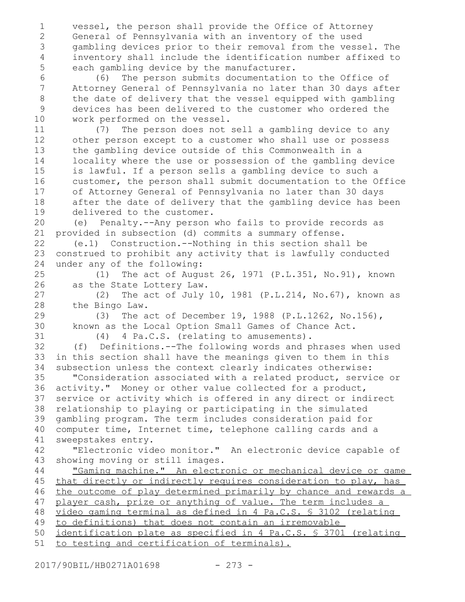vessel, the person shall provide the Office of Attorney General of Pennsylvania with an inventory of the used gambling devices prior to their removal from the vessel. The inventory shall include the identification number affixed to each gambling device by the manufacturer. 1 2 3 4 5

(6) The person submits documentation to the Office of Attorney General of Pennsylvania no later than 30 days after the date of delivery that the vessel equipped with gambling devices has been delivered to the customer who ordered the work performed on the vessel. 6 7 8 9 10

(7) The person does not sell a gambling device to any other person except to a customer who shall use or possess the gambling device outside of this Commonwealth in a locality where the use or possession of the gambling device is lawful. If a person sells a gambling device to such a customer, the person shall submit documentation to the Office of Attorney General of Pennsylvania no later than 30 days after the date of delivery that the gambling device has been delivered to the customer. 11 12 13 14 15 16 17 18 19

(e) Penalty.--Any person who fails to provide records as provided in subsection (d) commits a summary offense. 20 21

(e.1) Construction.--Nothing in this section shall be construed to prohibit any activity that is lawfully conducted under any of the following: 22 23 24

(1) The act of August 26, 1971 (P.L.351, No.91), known as the State Lottery Law. 25 26

(2) The act of July 10, 1981 (P.L.214, No.67), known as the Bingo Law. 27 28

(3) The act of December 19, 1988 (P.L.1262, No.156), known as the Local Option Small Games of Chance Act.

(4) 4 Pa.C.S. (relating to amusements).

(f) Definitions.--The following words and phrases when used in this section shall have the meanings given to them in this subsection unless the context clearly indicates otherwise: 32 33 34

"Consideration associated with a related product, service or activity." Money or other value collected for a product, service or activity which is offered in any direct or indirect relationship to playing or participating in the simulated gambling program. The term includes consideration paid for computer time, Internet time, telephone calling cards and a sweepstakes entry. 35 36 37 38 39 40 41

"Electronic video monitor." An electronic device capable of showing moving or still images. 42 43

"Gaming machine." An electronic or mechanical device or game that directly or indirectly requires consideration to play, has the outcome of play determined primarily by chance and rewards a player cash, prize or anything of value. The term includes a video gaming terminal as defined in 4 Pa.C.S. § 3102 (relating 44 45 46 47 48

to definitions) that does not contain an irremovable 49

identification plate as specified in 4 Pa.C.S. § 3701 (relating 50

to testing and certification of terminals). 51

29 30 31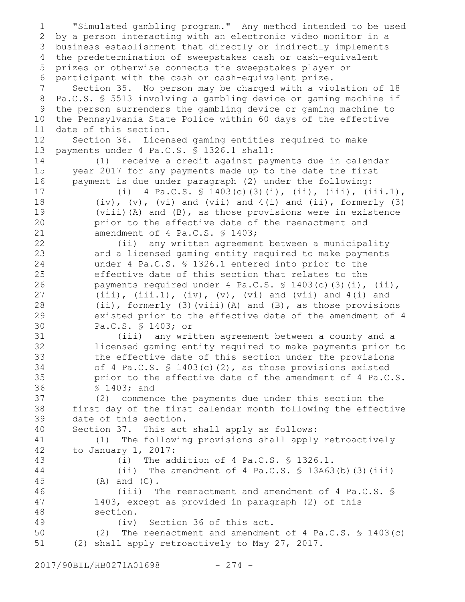"Simulated gambling program." Any method intended to be used by a person interacting with an electronic video monitor in a business establishment that directly or indirectly implements 3 the predetermination of sweepstakes cash or cash-equivalent prizes or otherwise connects the sweepstakes player or participant with the cash or cash-equivalent prize. Section 35. No person may be charged with a violation of 18 Pa.C.S. § 5513 involving a gambling device or gaming machine if the person surrenders the gambling device or gaming machine to the Pennsylvania State Police within 60 days of the effective date of this section. Section 36. Licensed gaming entities required to make payments under 4 Pa.C.S. § 1326.1 shall: (1) receive a credit against payments due in calendar year 2017 for any payments made up to the date the first payment is due under paragraph (2) under the following: (i) 4 Pa.C.S.  $\frac{1}{9}$  1403(c)(3)(i), (ii), (iii), (iii.1),  $(iv)$ ,  $(v)$ ,  $(vi)$  and  $(vii)$  and  $4(i)$  and  $(ii)$ , formerly  $(3)$ (viii)(A) and (B), as those provisions were in existence prior to the effective date of the reenactment and amendment of 4 Pa.C.S. § 1403; (ii) any written agreement between a municipality and a licensed gaming entity required to make payments under 4 Pa.C.S. § 1326.1 entered into prior to the effective date of this section that relates to the payments required under 4 Pa.C.S. § 1403(c)(3)(i), (ii),  $(iii)$ ,  $(iii.1)$ ,  $(iv)$ ,  $(v)$ ,  $(vi)$  and  $(vii)$  and  $4(i)$  and (ii), formerly (3)(viii)(A) and (B), as those provisions existed prior to the effective date of the amendment of 4 Pa.C.S. § 1403; or (iii) any written agreement between a county and a licensed gaming entity required to make payments prior to the effective date of this section under the provisions of 4 Pa.C.S. § 1403(c)(2), as those provisions existed prior to the effective date of the amendment of 4 Pa.C.S. § 1403; and (2) commence the payments due under this section the first day of the first calendar month following the effective date of this section. Section 37. This act shall apply as follows: (1) The following provisions shall apply retroactively to January 1, 2017: (i) The addition of 4 Pa.C.S. § 1326.1. (ii) The amendment of 4 Pa.C.S.  $\frac{1}{2}$  13A63(b)(3)(iii) (A) and (C). (iii) The reenactment and amendment of 4 Pa.C.S. § 1403, except as provided in paragraph (2) of this section. (iv) Section 36 of this act. (2) The reenactment and amendment of 4 Pa.C.S. § 1403(c) (2) shall apply retroactively to May 27, 2017. 1 2 4 5 6 7 8 9 10 11 12 13 14 15 16 17 18 19 20 21 22 23 24 25 26 27 28 29 30 31 32 33 34 35 36 37 38 39 40 41 42 43 44 45 46 47 48 49 50 51